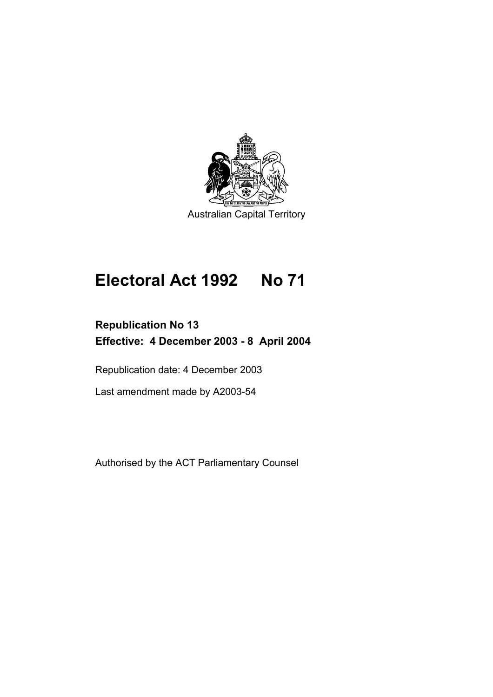

# **Electoral Act 1992 No 71**

# **Republication No 13 Effective: 4 December 2003 - 8 April 2004**

Republication date: 4 December 2003

Last amendment made by A2003-54

Authorised by the ACT Parliamentary Counsel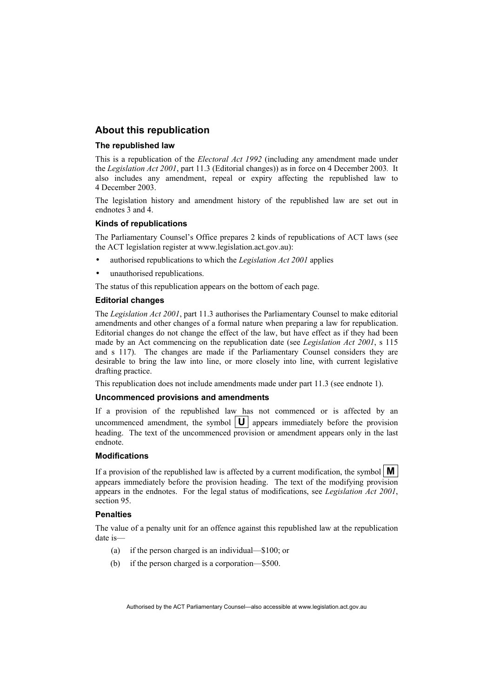#### **About this republication**

#### **The republished law**

This is a republication of the *Electoral Act 1992* (including any amendment made under the *Legislation Act 2001*, part 11.3 (Editorial changes)) as in force on 4 December 2003*.* It also includes any amendment, repeal or expiry affecting the republished law to 4 December 2003.

The legislation history and amendment history of the republished law are set out in endnotes 3 and 4.

#### **Kinds of republications**

The Parliamentary Counsel's Office prepares 2 kinds of republications of ACT laws (see the ACT legislation register at www.legislation.act.gov.au):

- authorised republications to which the *Legislation Act 2001* applies
- unauthorised republications.

The status of this republication appears on the bottom of each page.

#### **Editorial changes**

The *Legislation Act 2001*, part 11.3 authorises the Parliamentary Counsel to make editorial amendments and other changes of a formal nature when preparing a law for republication. Editorial changes do not change the effect of the law, but have effect as if they had been made by an Act commencing on the republication date (see *Legislation Act 2001*, s 115 and s 117). The changes are made if the Parliamentary Counsel considers they are desirable to bring the law into line, or more closely into line, with current legislative drafting practice.

This republication does not include amendments made under part 11.3 (see endnote 1).

#### **Uncommenced provisions and amendments**

If a provision of the republished law has not commenced or is affected by an uncommenced amendment, the symbol  $|\mathbf{U}|$  appears immediately before the provision heading. The text of the uncommenced provision or amendment appears only in the last endnote.

#### **Modifications**

If a provision of the republished law is affected by a current modification, the symbol  $\mathbf{M}$ appears immediately before the provision heading. The text of the modifying provision appears in the endnotes. For the legal status of modifications, see *Legislation Act 2001*, section 95.

#### **Penalties**

The value of a penalty unit for an offence against this republished law at the republication date is—

- (a) if the person charged is an individual—\$100; or
- (b) if the person charged is a corporation—\$500.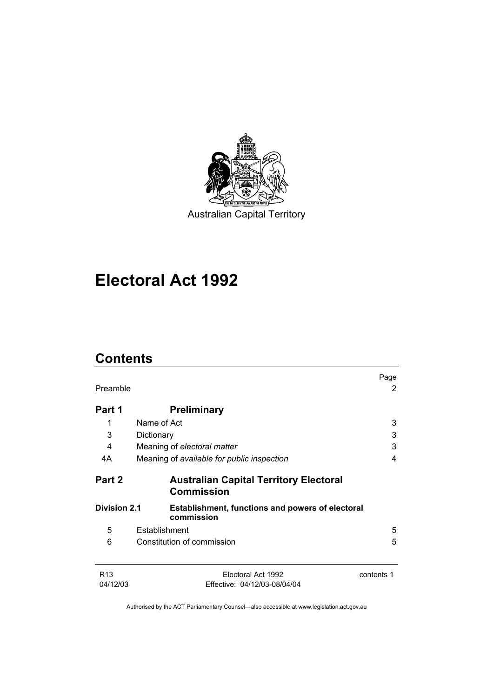

# **Electoral Act 1992**

# **Contents**

|                 |                                                                    | Page       |
|-----------------|--------------------------------------------------------------------|------------|
| Preamble        |                                                                    | 2          |
| Part 1          | <b>Preliminary</b>                                                 |            |
| 1               | Name of Act                                                        | 3          |
| 3               | Dictionary                                                         | 3          |
| 4               | Meaning of electoral matter                                        | 3          |
| 4A              | Meaning of available for public inspection                         | 4          |
| Part 2          | <b>Australian Capital Territory Electoral</b><br><b>Commission</b> |            |
| Division 2.1    | Establishment, functions and powers of electoral<br>commission     |            |
| 5               | Establishment                                                      | 5          |
| 6               | Constitution of commission                                         | 5          |
| R <sub>13</sub> | Electoral Act 1992                                                 | contents 1 |
| 04/12/03        | Effective: 04/12/03-08/04/04                                       |            |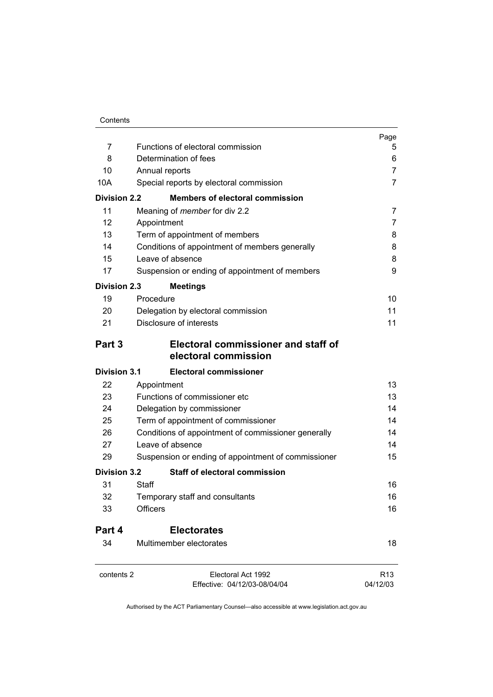| 7                   | Functions of electoral commission                                                                                        | Page            |
|---------------------|--------------------------------------------------------------------------------------------------------------------------|-----------------|
| 8                   | Determination of fees                                                                                                    | 5<br>6          |
| 10                  | Annual reports                                                                                                           | 7               |
| 10A                 | Special reports by electoral commission                                                                                  | $\overline{7}$  |
| <b>Division 2.2</b> | <b>Members of electoral commission</b>                                                                                   |                 |
| 11                  | Meaning of <i>member</i> for div 2.2                                                                                     | 7               |
| 12                  | Appointment                                                                                                              | 7               |
| 13                  | Term of appointment of members                                                                                           | 8               |
| 14                  | Conditions of appointment of members generally                                                                           | 8               |
| 15                  | Leave of absence                                                                                                         | 8               |
| 17                  | Suspension or ending of appointment of members                                                                           | 9               |
| <b>Division 2.3</b> | <b>Meetings</b>                                                                                                          |                 |
| 19                  | Procedure                                                                                                                | 10              |
| 20                  | Delegation by electoral commission                                                                                       | 11              |
| 21                  | Disclosure of interests                                                                                                  | 11              |
| Part 3              | Electoral commissioner and staff of<br>electoral commission                                                              |                 |
| <b>Division 3.1</b> | <b>Electoral commissioner</b>                                                                                            |                 |
| 22                  | Appointment                                                                                                              | 13              |
| 23                  | Functions of commissioner etc                                                                                            | 13              |
| 24                  | Delegation by commissioner<br>Term of appointment of commissioner<br>Conditions of appointment of commissioner generally | 14              |
| 25                  |                                                                                                                          | 14              |
| 26                  |                                                                                                                          | 14              |
| 27                  | Leave of absence                                                                                                         | 14              |
| 29                  | Suspension or ending of appointment of commissioner                                                                      | 15              |
| <b>Division 3.2</b> | <b>Staff of electoral commission</b>                                                                                     |                 |
| 31                  | Staff                                                                                                                    | 16              |
| 32                  | Temporary staff and consultants                                                                                          | 16              |
| 33                  | Officers                                                                                                                 | 16              |
| Part 4              | <b>Electorates</b>                                                                                                       |                 |
| 34                  | Multimember electorates                                                                                                  | 18              |
| contents 2          | Electoral Act 1992                                                                                                       | R <sub>13</sub> |
|                     | Effective: 04/12/03-08/04/04                                                                                             | 04/12/03        |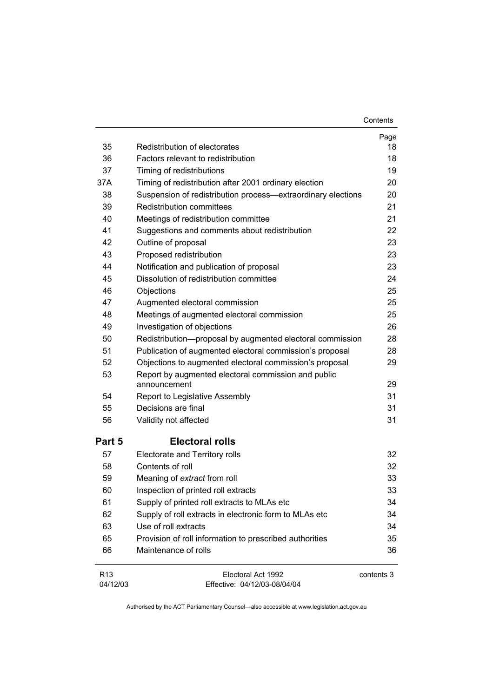| 35              | Redistribution of electorates                                                         | Page<br>18 |
|-----------------|---------------------------------------------------------------------------------------|------------|
| 36              | Factors relevant to redistribution                                                    | 18         |
| 37              |                                                                                       | 19         |
| 37A             | Timing of redistributions<br>Timing of redistribution after 2001 ordinary election    | 20         |
| 38              | Suspension of redistribution process-extraordinary elections                          | 20         |
| 39              | <b>Redistribution committees</b>                                                      | 21         |
| 40              |                                                                                       | 21         |
| 41              | Meetings of redistribution committee<br>Suggestions and comments about redistribution | 22         |
| 42              | Outline of proposal                                                                   | 23         |
| 43              | Proposed redistribution                                                               | 23         |
| 44              | Notification and publication of proposal                                              | 23         |
| 45              | Dissolution of redistribution committee                                               | 24         |
| 46              | Objections                                                                            | 25         |
| 47              | Augmented electoral commission                                                        | 25         |
| 48              | Meetings of augmented electoral commission                                            | 25         |
| 49              | Investigation of objections                                                           | 26         |
| 50              | Redistribution-proposal by augmented electoral commission                             | 28         |
| 51              | Publication of augmented electoral commission's proposal                              | 28         |
| 52              | Objections to augmented electoral commission's proposal                               | 29         |
| 53              | Report by augmented electoral commission and public                                   |            |
|                 | announcement                                                                          | 29         |
| 54              | Report to Legislative Assembly                                                        | 31         |
| 55              | Decisions are final                                                                   | 31         |
| 56              | Validity not affected                                                                 | 31         |
| Part 5          | <b>Electoral rolls</b>                                                                |            |
| 57              | Electorate and Territory rolls                                                        | 32         |
| 58              | Contents of roll                                                                      | 32         |
| 59              | Meaning of extract from roll                                                          | 33         |
| 60              | Inspection of printed roll extracts                                                   | 33         |
| 61              | Supply of printed roll extracts to MLAs etc                                           | 34         |
| 62              | Supply of roll extracts in electronic form to MLAs etc                                | 34         |
| 63              | Use of roll extracts                                                                  | 34         |
| 65              | Provision of roll information to prescribed authorities                               | 35         |
| 66              | Maintenance of rolls                                                                  | 36         |
| R <sub>13</sub> | Electoral Act 1992                                                                    | contents 3 |
| 04/12/03        | Effective: 04/12/03-08/04/04                                                          |            |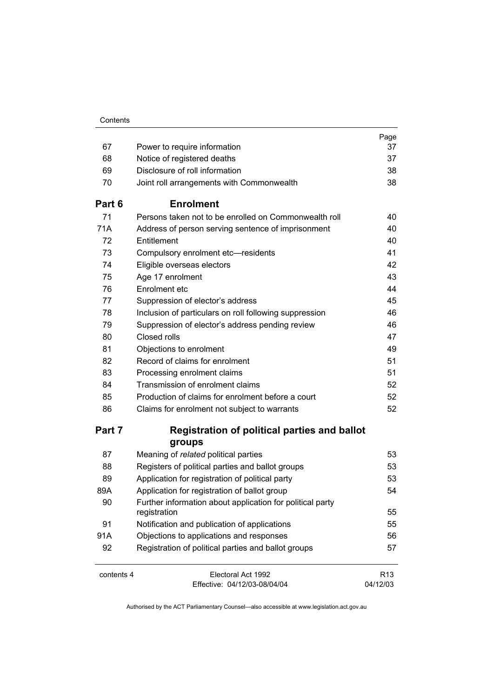| 67         | Power to require information                                              | Page<br>37                  |
|------------|---------------------------------------------------------------------------|-----------------------------|
| 68         | Notice of registered deaths                                               | 37                          |
| 69         | Disclosure of roll information                                            | 38                          |
| 70         | Joint roll arrangements with Commonwealth                                 | 38                          |
| Part 6     | <b>Enrolment</b>                                                          |                             |
| 71         | Persons taken not to be enrolled on Commonwealth roll                     | 40                          |
| 71A        | Address of person serving sentence of imprisonment                        | 40                          |
| 72         | Entitlement                                                               | 40                          |
| 73         | Compulsory enrolment etc-residents                                        | 41                          |
| 74         | Eligible overseas electors                                                | 42                          |
| 75         | Age 17 enrolment                                                          | 43                          |
| 76         | Enrolment etc                                                             | 44                          |
| 77         | Suppression of elector's address                                          | 45                          |
| 78         | Inclusion of particulars on roll following suppression                    | 46                          |
| 79         | Suppression of elector's address pending review                           | 46                          |
| 80         | Closed rolls                                                              | 47                          |
| 81         | Objections to enrolment                                                   | 49                          |
| 82         | Record of claims for enrolment                                            | 51                          |
| 83         | Processing enrolment claims                                               | 51                          |
| 84         | Transmission of enrolment claims                                          | 52                          |
| 85         | Production of claims for enrolment before a court                         | 52                          |
| 86         | Claims for enrolment not subject to warrants                              | 52                          |
| Part 7     | <b>Registration of political parties and ballot</b><br>groups             |                             |
| 87         | Meaning of related political parties                                      | 53                          |
| 88         | Registers of political parties and ballot groups                          | 53                          |
| 89         | Application for registration of political party                           | 53                          |
| 89A        | Application for registration of ballot group                              | 54                          |
| 90         | Further information about application for political party<br>registration | 55                          |
| 91         | Notification and publication of applications                              | 55                          |
| 91A        | Objections to applications and responses                                  | 56                          |
| 92         | Registration of political parties and ballot groups                       | 57                          |
| contents 4 | Electoral Act 1992<br>Effective: 04/12/03-08/04/04                        | R <sub>13</sub><br>04/12/03 |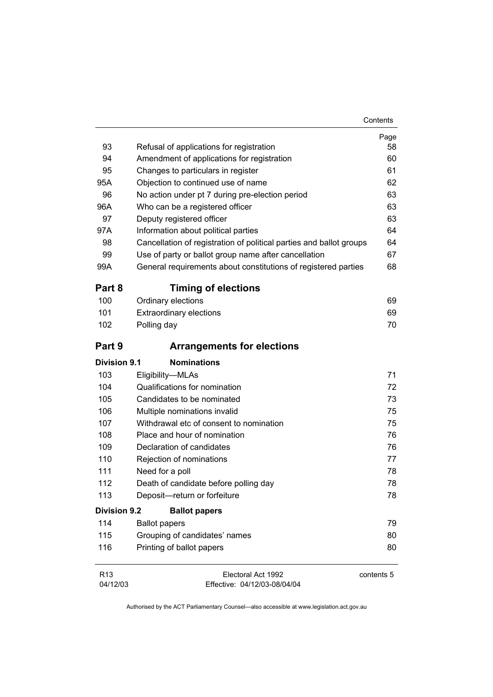|                     |                                                                                                         | Page       |
|---------------------|---------------------------------------------------------------------------------------------------------|------------|
| 93                  | Refusal of applications for registration                                                                | 58         |
| 94                  | Amendment of applications for registration                                                              | 60         |
| 95                  | Changes to particulars in register                                                                      | 61         |
| 95A                 | Objection to continued use of name                                                                      | 62         |
| 96                  | No action under pt 7 during pre-election period                                                         | 63         |
| 96A                 | Who can be a registered officer                                                                         | 63         |
| 97                  | Deputy registered officer                                                                               | 63         |
| 97A                 | Information about political parties                                                                     | 64         |
| 98                  | Cancellation of registration of political parties and ballot groups                                     | 64         |
| 99                  | Use of party or ballot group name after cancellation                                                    | 67         |
| 99A                 | General requirements about constitutions of registered parties                                          | 68         |
| Part 8              | <b>Timing of elections</b>                                                                              |            |
| 100                 | Ordinary elections                                                                                      | 69         |
| 101                 | <b>Extraordinary elections</b>                                                                          | 69         |
| 102                 | Polling day                                                                                             | 70         |
| Part 9              | <b>Arrangements for elections</b>                                                                       |            |
| <b>Division 9.1</b> | <b>Nominations</b>                                                                                      |            |
| 103                 | Eligibility-MLAs                                                                                        | 71         |
| 104                 | Qualifications for nomination                                                                           | 72         |
| 105                 | Candidates to be nominated                                                                              | 73         |
| 106                 | Multiple nominations invalid<br>Withdrawal etc of consent to nomination<br>Place and hour of nomination | 75         |
| 107                 |                                                                                                         | 75         |
| 108                 |                                                                                                         | 76         |
| 109                 | Declaration of candidates                                                                               | 76         |
| 110                 | Rejection of nominations                                                                                | 77         |
| 111                 | Need for a poll                                                                                         | 78         |
| 112                 | Death of candidate before polling day                                                                   | 78         |
| 113                 | Deposit-return or forfeiture                                                                            | 78         |
| <b>Division 9.2</b> | <b>Ballot papers</b>                                                                                    |            |
| 114                 | <b>Ballot papers</b>                                                                                    | 79         |
| 115                 | Grouping of candidates' names                                                                           | 80         |
| 116                 | Printing of ballot papers                                                                               | 80         |
| R <sub>13</sub>     | Electoral Act 1992                                                                                      | contents 5 |

04/12/03 Effective: 04/12/03-08/04/04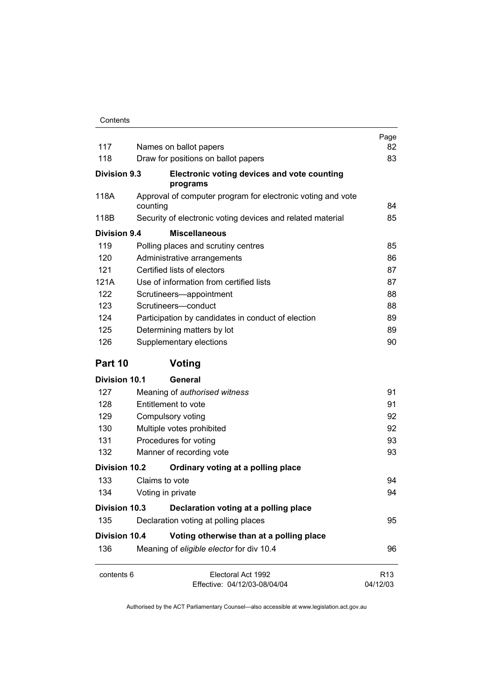| 117                  | Names on ballot papers                                                  | Page<br>82                  |
|----------------------|-------------------------------------------------------------------------|-----------------------------|
| 118                  | Draw for positions on ballot papers                                     | 83                          |
| Division 9.3         | Electronic voting devices and vote counting<br>programs                 |                             |
| 118A                 | Approval of computer program for electronic voting and vote<br>counting | 84                          |
| 118B                 | Security of electronic voting devices and related material              | 85                          |
| Division 9.4         | <b>Miscellaneous</b>                                                    |                             |
| 119                  | Polling places and scrutiny centres                                     | 85                          |
| 120                  | Administrative arrangements                                             | 86                          |
| 121                  | Certified lists of electors                                             | 87                          |
| 121A                 | Use of information from certified lists                                 | 87                          |
| 122                  | Scrutineers-appointment                                                 | 88                          |
| 123                  | Scrutineers-conduct                                                     | 88                          |
| 124                  | Participation by candidates in conduct of election                      | 89                          |
| 125                  | Determining matters by lot                                              | 89                          |
| 126                  | Supplementary elections                                                 | 90                          |
| Part 10              | Voting                                                                  |                             |
| Division 10.1        | General                                                                 |                             |
| 127                  | Meaning of authorised witness                                           | 91                          |
| 128                  | Entitlement to vote                                                     | 91                          |
| 129                  | Compulsory voting                                                       | 92                          |
| 130                  | Multiple votes prohibited                                               | 92                          |
| 131                  | Procedures for voting                                                   | 93                          |
| 132                  | Manner of recording vote                                                | 93                          |
| <b>Division 10.2</b> | Ordinary voting at a polling place                                      |                             |
| 133                  | Claims to vote                                                          | 94                          |
| 134                  | Voting in private                                                       | 94                          |
| <b>Division 10.3</b> | Declaration voting at a polling place                                   |                             |
| 135                  | Declaration voting at polling places                                    | 95                          |
| <b>Division 10.4</b> | Voting otherwise than at a polling place                                |                             |
| 136                  | Meaning of eligible elector for div 10.4                                | 96                          |
| contents 6           | Electoral Act 1992<br>Effective: 04/12/03-08/04/04                      | R <sub>13</sub><br>04/12/03 |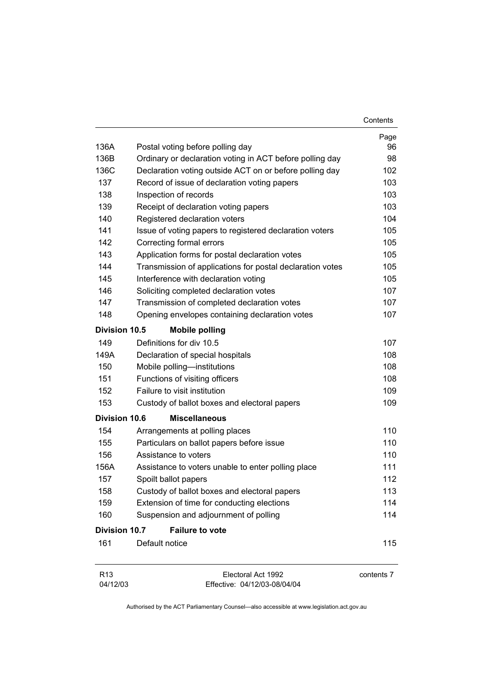|                             |                                                           | Contents   |
|-----------------------------|-----------------------------------------------------------|------------|
|                             |                                                           | Page       |
| 136A                        | Postal voting before polling day                          | 96         |
| 136B                        | Ordinary or declaration voting in ACT before polling day  | 98         |
| 136C                        | Declaration voting outside ACT on or before polling day   | 102        |
| 137                         | Record of issue of declaration voting papers              | 103        |
| 138                         | Inspection of records                                     | 103        |
| 139                         | Receipt of declaration voting papers                      | 103        |
| 140                         | Registered declaration voters                             | 104        |
| 141                         | Issue of voting papers to registered declaration voters   | 105        |
| 142                         | Correcting formal errors                                  | 105        |
| 143                         | Application forms for postal declaration votes            | 105        |
| 144                         | Transmission of applications for postal declaration votes | 105        |
| 145                         | Interference with declaration voting                      | 105        |
| 146                         | Soliciting completed declaration votes                    | 107        |
| 147                         | Transmission of completed declaration votes               | 107        |
| 148                         | Opening envelopes containing declaration votes            | 107        |
| <b>Division 10.5</b>        | <b>Mobile polling</b>                                     |            |
| 149                         | Definitions for div 10.5                                  | 107        |
| 149A                        | Declaration of special hospitals                          | 108        |
| 150                         | Mobile polling-institutions                               | 108        |
| 151                         | Functions of visiting officers                            | 108        |
| 152                         | Failure to visit institution                              | 109        |
| 153                         | Custody of ballot boxes and electoral papers              | 109        |
| <b>Division 10.6</b>        | <b>Miscellaneous</b>                                      |            |
| 154                         | Arrangements at polling places                            | 110        |
| 155                         | Particulars on ballot papers before issue                 | 110        |
| 156                         | Assistance to voters                                      | 110        |
| 156A                        | Assistance to voters unable to enter polling place        | 111        |
| 157                         | Spoilt ballot papers                                      | 112        |
| 158                         | Custody of ballot boxes and electoral papers              | 113        |
| 159                         | Extension of time for conducting elections                | 114        |
| 160                         | Suspension and adjournment of polling                     | 114        |
| <b>Division 10.7</b>        | <b>Failure to vote</b>                                    |            |
| 161                         | Default notice                                            | 115        |
| R <sub>13</sub><br>04/12/03 | Electoral Act 1992<br>Effective: 04/12/03-08/04/04        | contents 7 |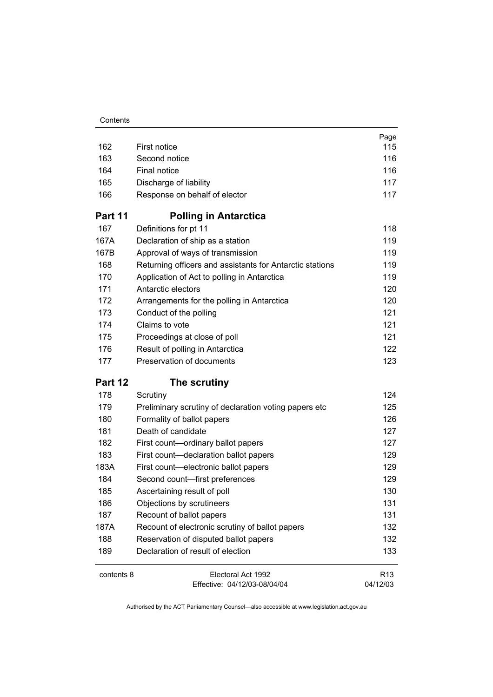| Contents |
|----------|
|----------|

|            |                                                          | Page            |
|------------|----------------------------------------------------------|-----------------|
| 162        | First notice                                             | 115             |
| 163        | Second notice                                            | 116             |
| 164        | <b>Final notice</b>                                      | 116             |
| 165        | Discharge of liability                                   | 117             |
| 166        | Response on behalf of elector                            | 117             |
| Part 11    | <b>Polling in Antarctica</b>                             |                 |
| 167        | Definitions for pt 11                                    | 118             |
| 167A       | Declaration of ship as a station                         | 119             |
| 167B       | Approval of ways of transmission                         | 119             |
| 168        | Returning officers and assistants for Antarctic stations | 119             |
| 170        | Application of Act to polling in Antarctica              | 119             |
| 171        | Antarctic electors                                       | 120             |
| 172        | Arrangements for the polling in Antarctica               | 120             |
| 173        | Conduct of the polling                                   | 121             |
| 174        | Claims to vote                                           | 121             |
| 175        | Proceedings at close of poll                             | 121             |
| 176        | Result of polling in Antarctica                          | 122             |
| 177        | Preservation of documents                                | 123             |
| Part 12    | The scrutiny                                             |                 |
| 178        | Scrutiny                                                 | 124             |
| 179        | Preliminary scrutiny of declaration voting papers etc    | 125             |
| 180        | Formality of ballot papers                               | 126             |
| 181        | Death of candidate                                       | 127             |
| 182        | First count-ordinary ballot papers                       | 127             |
| 183        | First count-declaration ballot papers                    | 129             |
| 183A       | First count-electronic ballot papers                     | 129             |
| 184        | Second count-first preferences                           | 129             |
| 185        | Ascertaining result of poll                              | 130             |
| 186        | Objections by scrutineers                                | 131             |
| 187        | Recount of ballot papers                                 | 131             |
| 187A       | Recount of electronic scrutiny of ballot papers          | 132             |
| 188        | Reservation of disputed ballot papers                    | 132             |
| 189        | Declaration of result of election                        | 133             |
| contents 8 | Electoral Act 1992                                       | R <sub>13</sub> |
|            | Effective: 04/12/03-08/04/04                             | 04/12/03        |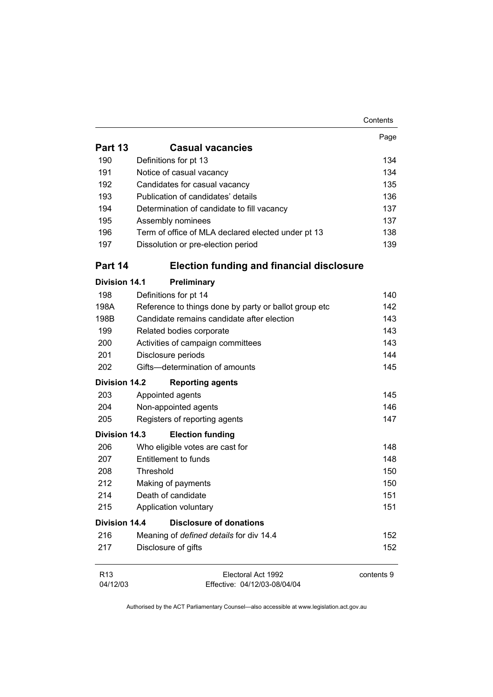|                             |                                                       | Contents   |
|-----------------------------|-------------------------------------------------------|------------|
|                             |                                                       | Page       |
| Part 13                     | <b>Casual vacancies</b>                               |            |
| 190                         | Definitions for pt 13                                 | 134        |
| 191                         | Notice of casual vacancy                              | 134        |
| 192                         | Candidates for casual vacancy                         | 135        |
| 193                         | Publication of candidates' details                    | 136        |
| 194                         | Determination of candidate to fill vacancy            | 137        |
| 195                         | Assembly nominees                                     | 137        |
| 196                         | Term of office of MLA declared elected under pt 13    | 138        |
| 197                         | Dissolution or pre-election period                    | 139        |
| Part 14                     | <b>Election funding and financial disclosure</b>      |            |
| <b>Division 14.1</b>        | Preliminary                                           |            |
| 198                         | Definitions for pt 14                                 | 140        |
| 198A                        | Reference to things done by party or ballot group etc | 142        |
| 198B                        | Candidate remains candidate after election            | 143        |
| 199                         | Related bodies corporate                              | 143        |
| 200                         | Activities of campaign committees                     | 143        |
| 201                         | Disclosure periods                                    | 144        |
| 202                         | Gifts-determination of amounts                        | 145        |
| <b>Division 14.2</b>        | <b>Reporting agents</b>                               |            |
| 203                         | Appointed agents                                      | 145        |
| 204                         | Non-appointed agents                                  | 146        |
| 205                         | Registers of reporting agents                         | 147        |
| <b>Division 14.3</b>        | <b>Election funding</b>                               |            |
| 206                         | Who eligible votes are cast for                       | 148        |
| 207                         | Entitlement to funds                                  | 148        |
| 208                         | Threshold                                             | 150        |
| 212                         | Making of payments                                    | 150        |
| 214                         | Death of candidate                                    | 151        |
| 215                         | Application voluntary                                 | 151        |
| <b>Division 14.4</b>        | <b>Disclosure of donations</b>                        |            |
| 216                         | Meaning of defined details for div 14.4               | 152        |
| 217                         | Disclosure of gifts                                   | 152        |
| R <sub>13</sub><br>04/12/03 | Electoral Act 1992<br>Effective: 04/12/03-08/04/04    | contents 9 |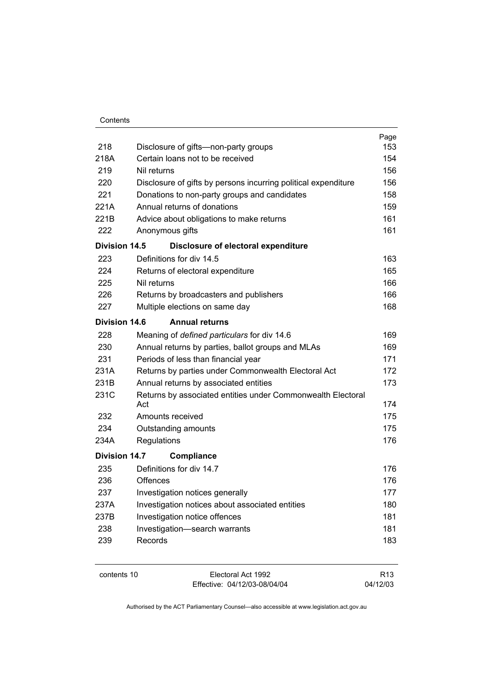| Contents |  |
|----------|--|
|          |  |

|               |                                                                    | Page |  |  |
|---------------|--------------------------------------------------------------------|------|--|--|
| 218           | Disclosure of gifts-non-party groups                               | 153  |  |  |
| 218A          | Certain loans not to be received                                   |      |  |  |
| 219           | Nil returns                                                        |      |  |  |
| 220           | Disclosure of gifts by persons incurring political expenditure     | 156  |  |  |
| 221           | Donations to non-party groups and candidates                       | 158  |  |  |
| 221A          | Annual returns of donations                                        | 159  |  |  |
| 221B          | Advice about obligations to make returns                           | 161  |  |  |
| 222           | Anonymous gifts                                                    | 161  |  |  |
| Division 14.5 | Disclosure of electoral expenditure                                |      |  |  |
| 223           | Definitions for div 14.5                                           | 163  |  |  |
| 224           | Returns of electoral expenditure                                   | 165  |  |  |
| 225           | Nil returns                                                        | 166  |  |  |
| 226           | Returns by broadcasters and publishers                             | 166  |  |  |
| 227           | Multiple elections on same day                                     | 168  |  |  |
| Division 14.6 | <b>Annual returns</b>                                              |      |  |  |
| 228           | Meaning of defined particulars for div 14.6                        | 169  |  |  |
| 230           | Annual returns by parties, ballot groups and MLAs                  | 169  |  |  |
| 231           | Periods of less than financial year                                | 171  |  |  |
| 231A          | Returns by parties under Commonwealth Electoral Act                | 172  |  |  |
| 231B          | Annual returns by associated entities                              | 173  |  |  |
| 231C          | Returns by associated entities under Commonwealth Electoral<br>Act |      |  |  |
| 232           | Amounts received                                                   | 175  |  |  |
| 234           | Outstanding amounts                                                | 175  |  |  |
| 234A          | Regulations                                                        | 176  |  |  |
| Division 14.7 | <b>Compliance</b>                                                  |      |  |  |
| 235           | Definitions for div 14.7                                           | 176  |  |  |
| 236           | Offences                                                           | 176  |  |  |
| 237           | Investigation notices generally                                    | 177  |  |  |
| 237A          | Investigation notices about associated entities                    | 180  |  |  |
| 237B          | Investigation notice offences                                      | 181  |  |  |
| 238           | Investigation-search warrants                                      | 181  |  |  |
| 239           | Records                                                            | 183  |  |  |
|               |                                                                    |      |  |  |

|--|

Electoral Act 1992 Effective: 04/12/03-08/04/04

R13 04/12/03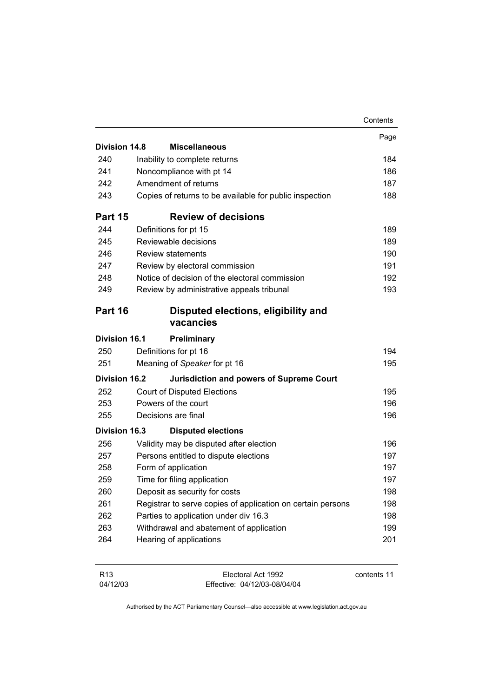|                      |                                                             | Contents |
|----------------------|-------------------------------------------------------------|----------|
|                      |                                                             | Page     |
| Division 14.8        | <b>Miscellaneous</b>                                        |          |
| 240                  | Inability to complete returns                               | 184      |
| 241                  | Noncompliance with pt 14                                    | 186      |
| 242                  | Amendment of returns                                        | 187      |
| 243                  | Copies of returns to be available for public inspection     | 188      |
| Part 15              | <b>Review of decisions</b>                                  |          |
| 244                  | Definitions for pt 15                                       | 189      |
| 245                  | Reviewable decisions                                        | 189      |
| 246                  | <b>Review statements</b>                                    | 190      |
| 247                  | Review by electoral commission                              | 191      |
| 248                  | Notice of decision of the electoral commission              | 192      |
| 249                  | Review by administrative appeals tribunal                   | 193      |
| Part 16              | Disputed elections, eligibility and<br>vacancies            |          |
| <b>Division 16.1</b> | Preliminary                                                 |          |
| 250                  | Definitions for pt 16                                       | 194      |
| 251                  | Meaning of Speaker for pt 16                                | 195      |
| <b>Division 16.2</b> | <b>Jurisdiction and powers of Supreme Court</b>             |          |
| 252                  | <b>Court of Disputed Elections</b>                          | 195      |
| 253                  | Powers of the court                                         | 196      |
| 255                  | Decisions are final                                         | 196      |
| <b>Division 16.3</b> | <b>Disputed elections</b>                                   |          |
| 256                  | Validity may be disputed after election                     | 196      |
| 257                  | Persons entitled to dispute elections                       | 197      |
| 258                  | Form of application                                         | 197      |
| 259                  | Time for filing application                                 | 197      |
| 260                  | Deposit as security for costs                               | 198      |
| 261                  | Registrar to serve copies of application on certain persons | 198      |
| 262                  | Parties to application under div 16.3                       | 198      |
| 263                  | Withdrawal and abatement of application                     | 199      |
| 264                  | Hearing of applications                                     | 201      |
|                      |                                                             |          |

| R13      | Electoral Act 1992           | contents 11 |
|----------|------------------------------|-------------|
| 04/12/03 | Effective: 04/12/03-08/04/04 |             |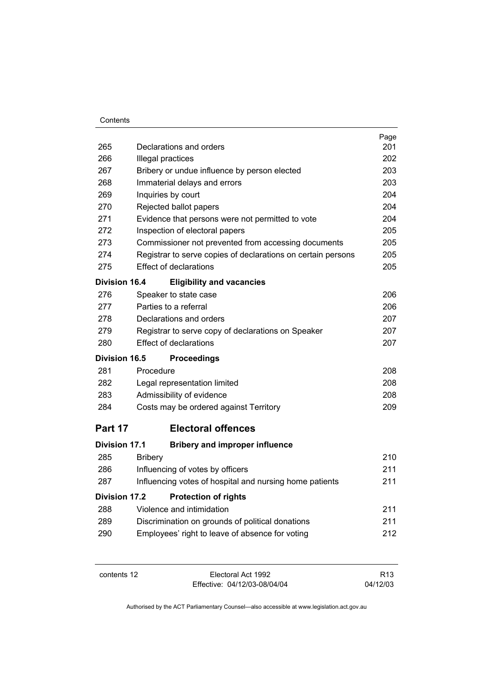| 265                  | Declarations and orders                                      | Page<br>201 |
|----------------------|--------------------------------------------------------------|-------------|
| 266                  | Illegal practices                                            | 202         |
| 267                  | Bribery or undue influence by person elected                 | 203         |
| 268                  | Immaterial delays and errors                                 | 203         |
| 269                  | Inquiries by court                                           | 204         |
| 270                  | Rejected ballot papers                                       | 204         |
| 271                  | Evidence that persons were not permitted to vote             | 204         |
| 272                  | Inspection of electoral papers                               | 205         |
| 273                  | Commissioner not prevented from accessing documents          | 205         |
| 274                  | Registrar to serve copies of declarations on certain persons | 205         |
| 275                  | <b>Effect of declarations</b>                                | 205         |
| <b>Division 16.4</b> | <b>Eligibility and vacancies</b>                             |             |
| 276                  | Speaker to state case                                        | 206         |
| 277                  | Parties to a referral                                        | 206         |
| 278                  | Declarations and orders                                      | 207         |
| 279                  | Registrar to serve copy of declarations on Speaker           | 207         |
| 280                  | <b>Effect of declarations</b>                                | 207         |
| <b>Division 16.5</b> | <b>Proceedings</b>                                           |             |
| 281                  | Procedure                                                    | 208         |
| 282                  | Legal representation limited                                 | 208         |
| 283                  | Admissibility of evidence                                    | 208         |
| 284                  | Costs may be ordered against Territory                       | 209         |
| Part 17              | <b>Electoral offences</b>                                    |             |
| <b>Division 17.1</b> | <b>Bribery and improper influence</b>                        |             |
| 285                  | <b>Bribery</b>                                               | 210         |
| 286                  | Influencing of votes by officers                             | 211         |
| 287                  | Influencing votes of hospital and nursing home patients      | 211         |
| Division 17.2        | <b>Protection of rights</b>                                  |             |
| 288                  | Violence and intimidation                                    | 211         |
| 289                  | Discrimination on grounds of political donations             | 211         |
| 290                  | Employees' right to leave of absence for voting              | 212         |
|                      |                                                              |             |

contents 12 Electoral Act 1992 Effective: 04/12/03-08/04/04

R13 04/12/03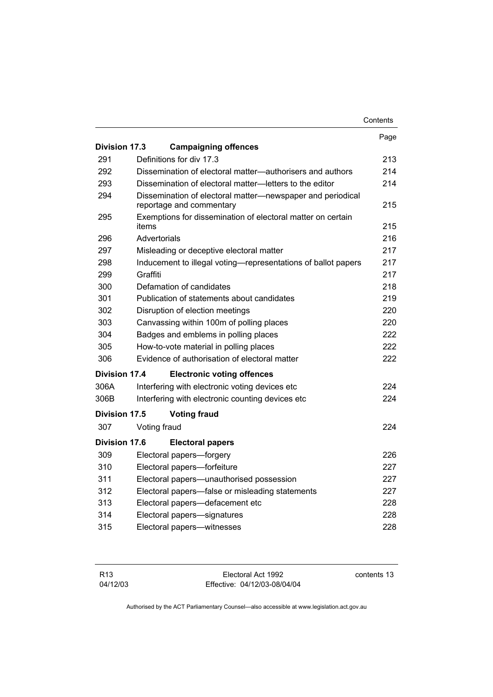|                      |                                                                                        | Contents |
|----------------------|----------------------------------------------------------------------------------------|----------|
|                      |                                                                                        | Page     |
| <b>Division 17.3</b> | <b>Campaigning offences</b>                                                            |          |
| 291                  | Definitions for div 17.3                                                               | 213      |
| 292                  | Dissemination of electoral matter—authorisers and authors                              | 214      |
| 293                  | Dissemination of electoral matter—letters to the editor                                | 214      |
| 294                  | Dissemination of electoral matter-newspaper and periodical<br>reportage and commentary | 215      |
| 295                  | Exemptions for dissemination of electoral matter on certain<br>items                   | 215      |
| 296                  | Advertorials                                                                           | 216      |
| 297                  | Misleading or deceptive electoral matter                                               | 217      |
| 298                  | Inducement to illegal voting—representations of ballot papers                          | 217      |
| 299                  | Graffiti                                                                               | 217      |
| 300                  | Defamation of candidates                                                               | 218      |
| 301                  | Publication of statements about candidates                                             |          |
| 302                  | Disruption of election meetings                                                        |          |
| 303                  | Canvassing within 100m of polling places                                               |          |
| 304                  | Badges and emblems in polling places                                                   |          |
| 305                  | How-to-vote material in polling places                                                 | 222      |
| 306                  | Evidence of authorisation of electoral matter                                          | 222      |
| Division 17.4        | <b>Electronic voting offences</b>                                                      |          |
| 306A                 | Interfering with electronic voting devices etc                                         | 224      |
| 306B                 | Interfering with electronic counting devices etc                                       | 224      |
| Division 17.5        | <b>Voting fraud</b>                                                                    |          |
| 307                  | Voting fraud                                                                           | 224      |
| Division 17.6        | <b>Electoral papers</b>                                                                |          |
| 309                  | Electoral papers-forgery                                                               | 226      |
| 310                  | Electoral papers-forfeiture                                                            | 227      |
| 311                  | Electoral papers-unauthorised possession                                               | 227      |
| 312                  | Electoral papers-false or misleading statements                                        | 227      |
| 313                  | Electoral papers-defacement etc                                                        | 228      |
| 314                  | Electoral papers-signatures                                                            | 228      |
| 315                  | Electoral papers-witnesses                                                             | 228      |

| R <sub>13</sub> | Electoral Act 1992           | contents 13 |
|-----------------|------------------------------|-------------|
| 04/12/03        | Effective: 04/12/03-08/04/04 |             |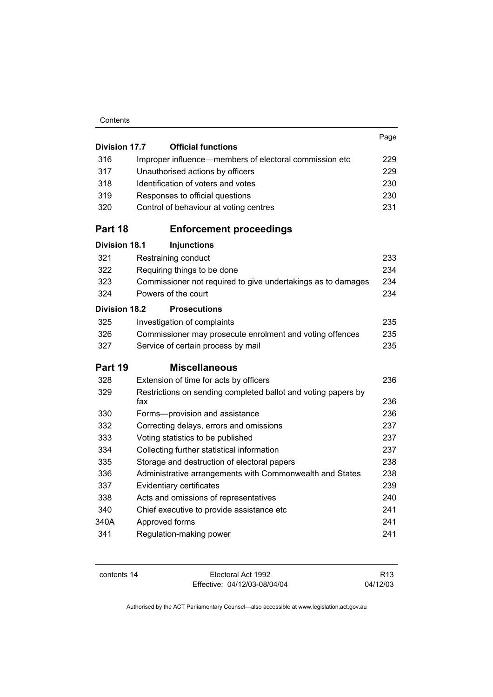| Contents |
|----------|
|----------|

| <b>Division 17.7</b> | <b>Official functions</b>                                            | Page |
|----------------------|----------------------------------------------------------------------|------|
| 316                  | Improper influence-members of electoral commission etc               | 229  |
| 317                  | Unauthorised actions by officers                                     | 229  |
| 318                  | Identification of voters and votes                                   |      |
| 319                  | Responses to official questions                                      |      |
| 320                  | Control of behaviour at voting centres                               | 231  |
| Part 18              | <b>Enforcement proceedings</b>                                       |      |
| <b>Division 18.1</b> | <b>Injunctions</b>                                                   |      |
| 321                  | Restraining conduct                                                  | 233  |
| 322                  | Requiring things to be done                                          | 234  |
| 323                  | Commissioner not required to give undertakings as to damages         | 234  |
| 324                  | Powers of the court                                                  | 234  |
| <b>Division 18.2</b> | <b>Prosecutions</b>                                                  |      |
| 325                  | Investigation of complaints                                          | 235  |
| 326                  | Commissioner may prosecute enrolment and voting offences             | 235  |
| 327                  | Service of certain process by mail                                   | 235  |
| Part 19              | <b>Miscellaneous</b>                                                 |      |
| 328                  | Extension of time for acts by officers                               | 236  |
| 329                  | Restrictions on sending completed ballot and voting papers by<br>fax | 236  |
| 330                  | Forms-provision and assistance                                       | 236  |
| 332                  | Correcting delays, errors and omissions                              | 237  |
| 333                  | Voting statistics to be published                                    | 237  |
| 334                  | Collecting further statistical information                           | 237  |
| 335                  | Storage and destruction of electoral papers                          | 238  |
| 336                  | Administrative arrangements with Commonwealth and States             | 238  |
| 337                  | Evidentiary certificates                                             | 239  |
| 338                  | Acts and omissions of representatives                                | 240  |
| 340                  | Chief executive to provide assistance etc                            | 241  |
| 340A                 | Approved forms                                                       | 241  |
| 341                  | Regulation-making power                                              | 241  |

| contents 14 |  |
|-------------|--|
|-------------|--|

Electoral Act 1992 Effective: 04/12/03-08/04/04

R13 04/12/03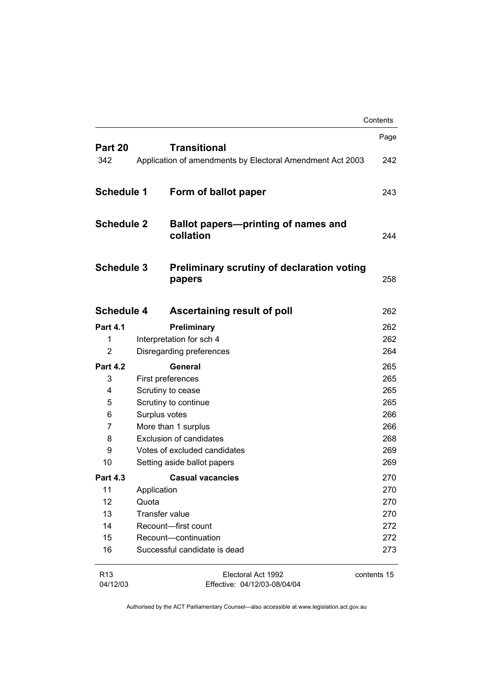|                           |                       |                                                             | Contents    |
|---------------------------|-----------------------|-------------------------------------------------------------|-------------|
| Part 20                   |                       | <b>Transitional</b>                                         | Page        |
| 342                       |                       | Application of amendments by Electoral Amendment Act 2003   | 242         |
| <b>Schedule 1</b>         |                       | Form of ballot paper                                        | 243         |
| <b>Schedule 2</b>         |                       | Ballot papers—printing of names and<br>collation            | 244         |
| <b>Schedule 3</b>         |                       | <b>Preliminary scrutiny of declaration voting</b><br>papers | 258         |
| <b>Schedule 4</b>         |                       | Ascertaining result of poll                                 | 262         |
| <b>Part 4.1</b>           |                       | Preliminary                                                 | 262         |
| 1                         |                       | Interpretation for sch 4                                    | 262         |
| 2                         |                       | Disregarding preferences                                    | 264         |
| <b>Part 4.2</b>           |                       | General                                                     | 265         |
| 3                         |                       | First preferences                                           | 265         |
| 4<br>Scrutiny to cease    |                       |                                                             | 265         |
| 5<br>Scrutiny to continue |                       |                                                             | 265         |
| 6<br>Surplus votes        |                       |                                                             | 266         |
| 7                         | More than 1 surplus   |                                                             | 266         |
| 8                         |                       | <b>Exclusion of candidates</b>                              | 268         |
| 9                         |                       | Votes of excluded candidates                                | 269         |
| 10                        |                       | Setting aside ballot papers                                 | 269         |
| <b>Part 4.3</b>           |                       | <b>Casual vacancies</b>                                     | 270         |
| 11                        | Application           |                                                             | 270         |
| 12                        | Quota                 |                                                             | 270         |
| 13                        | <b>Transfer value</b> |                                                             | 270         |
| 14                        |                       | Recount-first count                                         | 272         |
| 15                        |                       | Recount-continuation                                        | 272         |
| 16                        |                       | Successful candidate is dead                                | 273         |
| R13<br>04/12/03           |                       | Electoral Act 1992<br>Effective: 04/12/03-08/04/04          | contents 15 |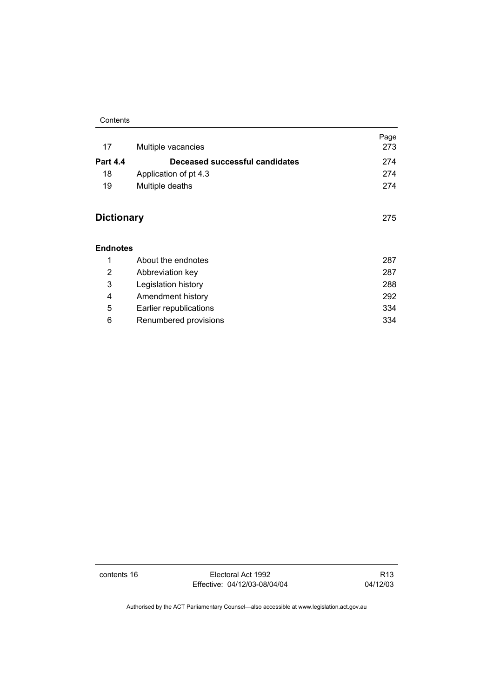#### Contents

| 17                | Multiple vacancies             | Page<br>273 |
|-------------------|--------------------------------|-------------|
| <b>Part 4.4</b>   | Deceased successful candidates | 274         |
| 18                | Application of pt 4.3          | 274         |
| 19                | Multiple deaths                | 274         |
| <b>Dictionary</b> |                                | 275         |
| Endnotes          |                                |             |
| 1                 | About the endnotes             | 287         |
| 2                 | Abbreviation key               | 287         |
| 3                 | Legislation history            | 288         |
| 4                 | Amendment history              | 292         |
| 5                 | Earlier republications         | 334         |
| 6                 | Renumbered provisions          | 334         |

contents 16 Electoral Act 1992 Effective: 04/12/03-08/04/04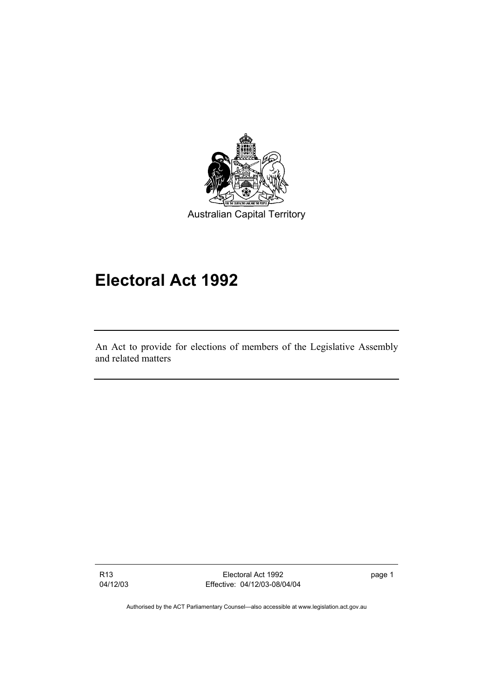

# **Electoral Act 1992**

An Act to provide for elections of members of the Legislative Assembly and related matters

R13 04/12/03

Electoral Act 1992 Effective: 04/12/03-08/04/04 page 1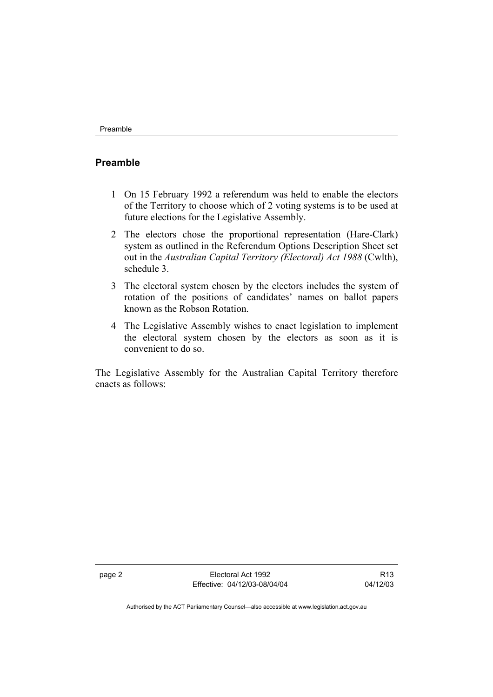#### **Preamble**

- 1 On 15 February 1992 a referendum was held to enable the electors of the Territory to choose which of 2 voting systems is to be used at future elections for the Legislative Assembly.
- 2 The electors chose the proportional representation (Hare-Clark) system as outlined in the Referendum Options Description Sheet set out in the *Australian Capital Territory (Electoral) Act 1988* (Cwlth), schedule 3.
- 3 The electoral system chosen by the electors includes the system of rotation of the positions of candidates' names on ballot papers known as the Robson Rotation.
- 4 The Legislative Assembly wishes to enact legislation to implement the electoral system chosen by the electors as soon as it is convenient to do so.

The Legislative Assembly for the Australian Capital Territory therefore enacts as follows:

page 2 Electoral Act 1992 Effective: 04/12/03-08/04/04

R13 04/12/03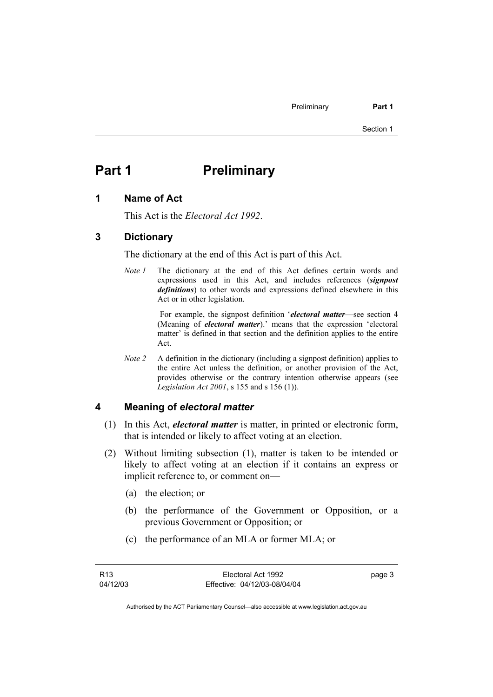# **Part 1** Preliminary

#### **1 Name of Act**

This Act is the *Electoral Act 1992*.

#### **3 Dictionary**

The dictionary at the end of this Act is part of this Act.

*Note 1* The dictionary at the end of this Act defines certain words and expressions used in this Act, and includes references (*signpost definitions*) to other words and expressions defined elsewhere in this Act or in other legislation.

> For example, the signpost definition '*electoral matter*—see section 4 (Meaning of *electoral matter*).' means that the expression 'electoral matter' is defined in that section and the definition applies to the entire Act.

*Note 2* A definition in the dictionary (including a signpost definition) applies to the entire Act unless the definition, or another provision of the Act, provides otherwise or the contrary intention otherwise appears (see *Legislation Act 2001*, s 155 and s 156 (1)).

#### **4 Meaning of** *electoral matter*

- (1) In this Act, *electoral matter* is matter, in printed or electronic form, that is intended or likely to affect voting at an election.
- (2) Without limiting subsection (1), matter is taken to be intended or likely to affect voting at an election if it contains an express or implicit reference to, or comment on—
	- (a) the election; or
	- (b) the performance of the Government or Opposition, or a previous Government or Opposition; or
	- (c) the performance of an MLA or former MLA; or

page 3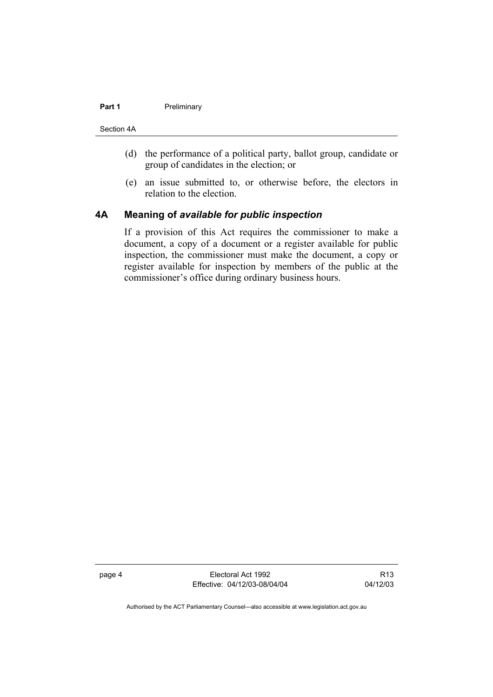#### **Part 1** Preliminary

#### Section 4A

- (d) the performance of a political party, ballot group, candidate or group of candidates in the election; or
- (e) an issue submitted to, or otherwise before, the electors in relation to the election.

### **4A Meaning of** *available for public inspection*

If a provision of this Act requires the commissioner to make a document, a copy of a document or a register available for public inspection, the commissioner must make the document, a copy or register available for inspection by members of the public at the commissioner's office during ordinary business hours.

page 4 Electoral Act 1992 Effective: 04/12/03-08/04/04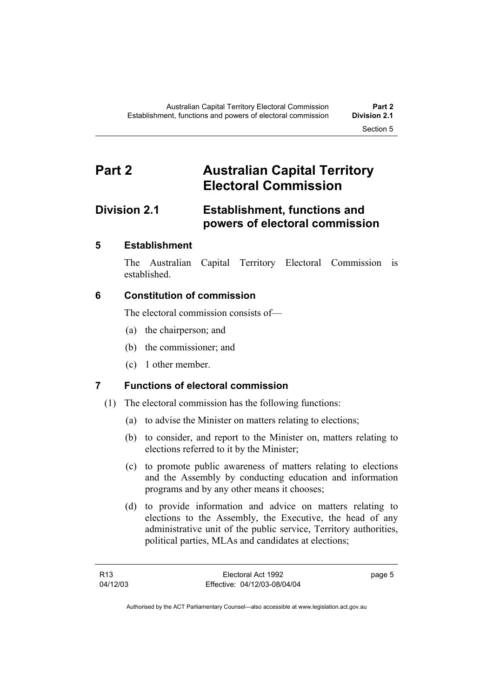# **Part 2 Australian Capital Territory Electoral Commission**

## **Division 2.1 Establishment, functions and powers of electoral commission**

### **5 Establishment**

The Australian Capital Territory Electoral Commission is established.

### **6 Constitution of commission**

The electoral commission consists of—

- (a) the chairperson; and
- (b) the commissioner; and
- (c) 1 other member.

## **7 Functions of electoral commission**

- (1) The electoral commission has the following functions:
	- (a) to advise the Minister on matters relating to elections;
	- (b) to consider, and report to the Minister on, matters relating to elections referred to it by the Minister;
	- (c) to promote public awareness of matters relating to elections and the Assembly by conducting education and information programs and by any other means it chooses;
	- (d) to provide information and advice on matters relating to elections to the Assembly, the Executive, the head of any administrative unit of the public service, Territory authorities, political parties, MLAs and candidates at elections;

page 5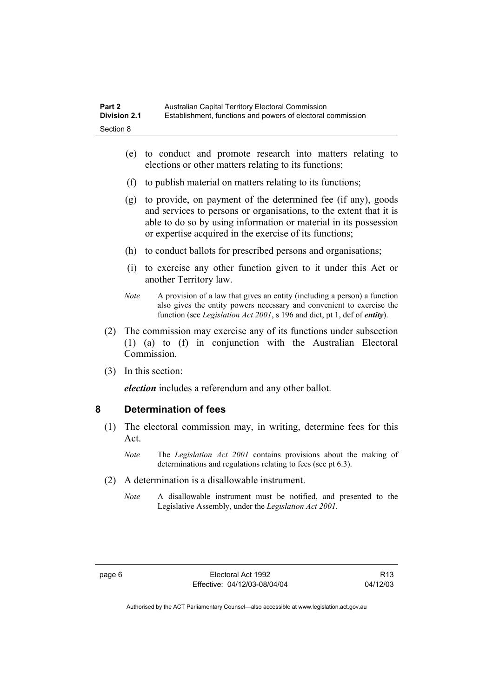- (e) to conduct and promote research into matters relating to elections or other matters relating to its functions;
- (f) to publish material on matters relating to its functions;
- (g) to provide, on payment of the determined fee (if any), goods and services to persons or organisations, to the extent that it is able to do so by using information or material in its possession or expertise acquired in the exercise of its functions;
- (h) to conduct ballots for prescribed persons and organisations;
- (i) to exercise any other function given to it under this Act or another Territory law.
- *Note* A provision of a law that gives an entity (including a person) a function also gives the entity powers necessary and convenient to exercise the function (see *Legislation Act 2001*, s 196 and dict, pt 1, def of *entity*).
- (2) The commission may exercise any of its functions under subsection (1) (a) to (f) in conjunction with the Australian Electoral **Commission**
- (3) In this section:

*election* includes a referendum and any other ballot.

#### **8 Determination of fees**

- (1) The electoral commission may, in writing, determine fees for this Act.
	- *Note* The *Legislation Act 2001* contains provisions about the making of determinations and regulations relating to fees (see pt 6.3).
- (2) A determination is a disallowable instrument.
	- *Note* A disallowable instrument must be notified, and presented to the Legislative Assembly, under the *Legislation Act 2001*.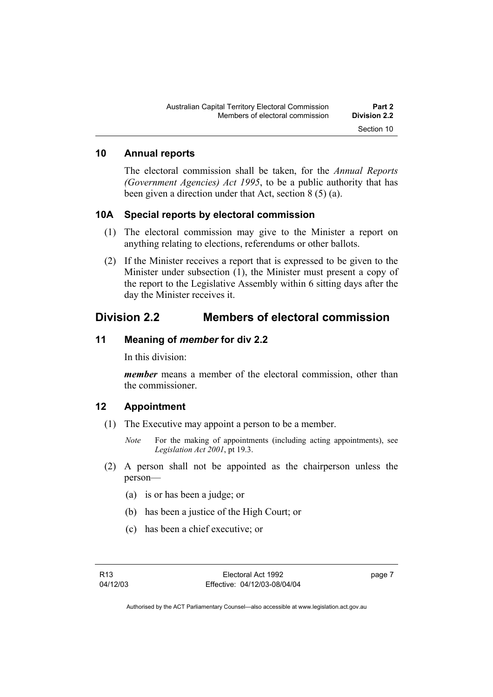#### **10 Annual reports**

The electoral commission shall be taken, for the *Annual Reports (Government Agencies) Act 1995*, to be a public authority that has been given a direction under that Act, section 8 (5) (a).

#### **10A Special reports by electoral commission**

- (1) The electoral commission may give to the Minister a report on anything relating to elections, referendums or other ballots.
- (2) If the Minister receives a report that is expressed to be given to the Minister under subsection (1), the Minister must present a copy of the report to the Legislative Assembly within 6 sitting days after the day the Minister receives it.

### **Division 2.2 Members of electoral commission**

#### **11 Meaning of** *member* **for div 2.2**

In this division:

*member* means a member of the electoral commission, other than the commissioner.

#### **12 Appointment**

- (1) The Executive may appoint a person to be a member.
	- *Note* For the making of appointments (including acting appointments), see *Legislation Act 2001*, pt 19.3.
- (2) A person shall not be appointed as the chairperson unless the person—
	- (a) is or has been a judge; or
	- (b) has been a justice of the High Court; or
	- (c) has been a chief executive; or

page 7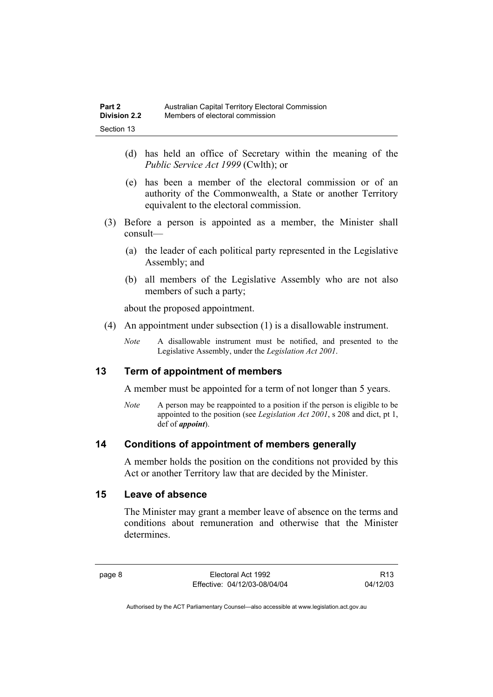- (d) has held an office of Secretary within the meaning of the *Public Service Act 1999* (Cwlth); or
- (e) has been a member of the electoral commission or of an authority of the Commonwealth, a State or another Territory equivalent to the electoral commission.
- (3) Before a person is appointed as a member, the Minister shall consult—
	- (a) the leader of each political party represented in the Legislative Assembly; and
	- (b) all members of the Legislative Assembly who are not also members of such a party;

about the proposed appointment.

- (4) An appointment under subsection (1) is a disallowable instrument.
	- *Note* A disallowable instrument must be notified, and presented to the Legislative Assembly, under the *Legislation Act 2001*.

### **13 Term of appointment of members**

A member must be appointed for a term of not longer than 5 years.

*Note* A person may be reappointed to a position if the person is eligible to be appointed to the position (see *Legislation Act 2001*, s 208 and dict, pt 1, def of *appoint*).

#### **14 Conditions of appointment of members generally**

A member holds the position on the conditions not provided by this Act or another Territory law that are decided by the Minister.

#### **15 Leave of absence**

The Minister may grant a member leave of absence on the terms and conditions about remuneration and otherwise that the Minister determines.

R13 04/12/03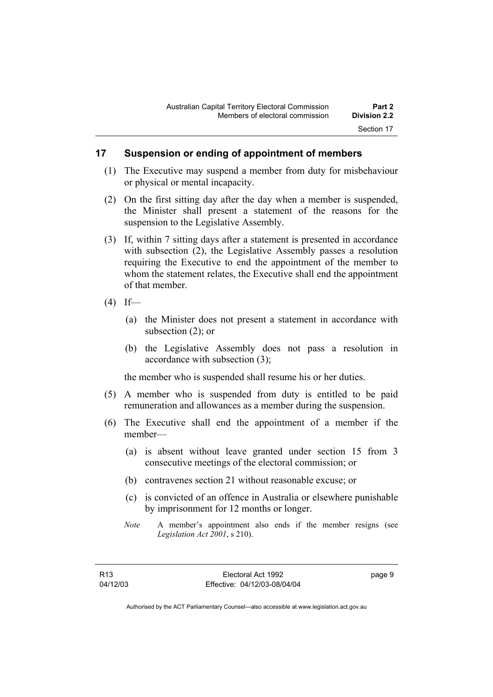#### **17 Suspension or ending of appointment of members**

- (1) The Executive may suspend a member from duty for misbehaviour or physical or mental incapacity.
- (2) On the first sitting day after the day when a member is suspended, the Minister shall present a statement of the reasons for the suspension to the Legislative Assembly.
- (3) If, within 7 sitting days after a statement is presented in accordance with subsection (2), the Legislative Assembly passes a resolution requiring the Executive to end the appointment of the member to whom the statement relates, the Executive shall end the appointment of that member.
- $(4)$  If—
	- (a) the Minister does not present a statement in accordance with subsection (2); or
	- (b) the Legislative Assembly does not pass a resolution in accordance with subsection (3);

the member who is suspended shall resume his or her duties.

- (5) A member who is suspended from duty is entitled to be paid remuneration and allowances as a member during the suspension.
- (6) The Executive shall end the appointment of a member if the member—
	- (a) is absent without leave granted under section 15 from 3 consecutive meetings of the electoral commission; or
	- (b) contravenes section 21 without reasonable excuse; or
	- (c) is convicted of an offence in Australia or elsewhere punishable by imprisonment for 12 months or longer.
	- *Note* A member's appointment also ends if the member resigns (see *Legislation Act 2001*, s 210).

page 9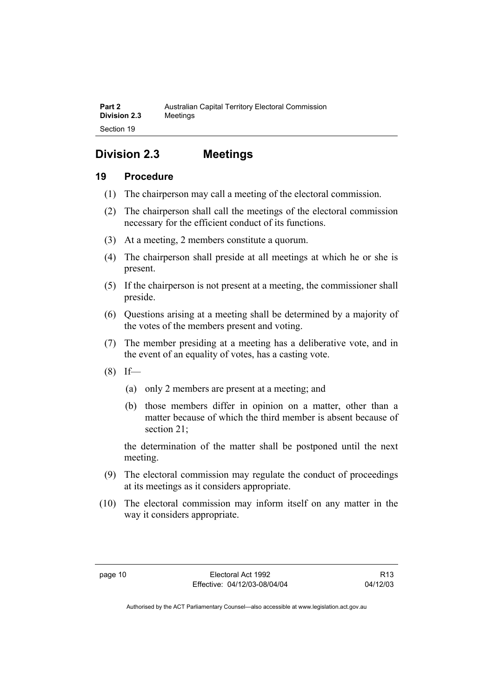# **Division 2.3 Meetings**

### **19 Procedure**

- (1) The chairperson may call a meeting of the electoral commission.
- (2) The chairperson shall call the meetings of the electoral commission necessary for the efficient conduct of its functions.
- (3) At a meeting, 2 members constitute a quorum.
- (4) The chairperson shall preside at all meetings at which he or she is present.
- (5) If the chairperson is not present at a meeting, the commissioner shall preside.
- (6) Questions arising at a meeting shall be determined by a majority of the votes of the members present and voting.
- (7) The member presiding at a meeting has a deliberative vote, and in the event of an equality of votes, has a casting vote.
- $(8)$  If—
	- (a) only 2 members are present at a meeting; and
	- (b) those members differ in opinion on a matter, other than a matter because of which the third member is absent because of section 21;

the determination of the matter shall be postponed until the next meeting.

- (9) The electoral commission may regulate the conduct of proceedings at its meetings as it considers appropriate.
- (10) The electoral commission may inform itself on any matter in the way it considers appropriate.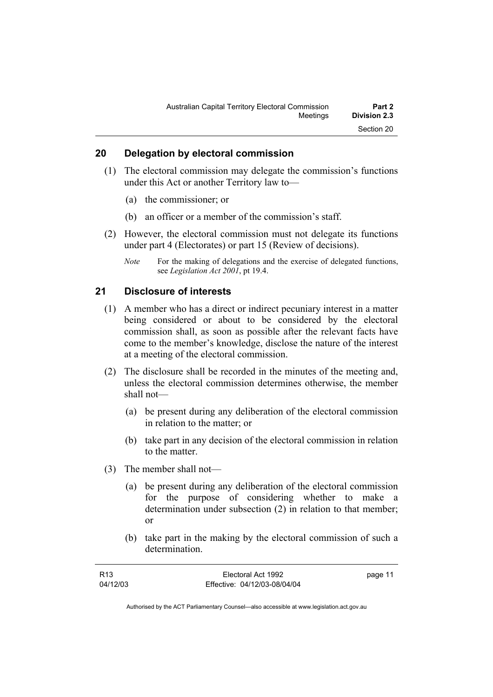#### **20 Delegation by electoral commission**

- (1) The electoral commission may delegate the commission's functions under this Act or another Territory law to—
	- (a) the commissioner; or
	- (b) an officer or a member of the commission's staff.
- (2) However, the electoral commission must not delegate its functions under part 4 (Electorates) or part 15 (Review of decisions).
	- *Note* For the making of delegations and the exercise of delegated functions, see *Legislation Act 2001*, pt 19.4.

#### **21 Disclosure of interests**

- (1) A member who has a direct or indirect pecuniary interest in a matter being considered or about to be considered by the electoral commission shall, as soon as possible after the relevant facts have come to the member's knowledge, disclose the nature of the interest at a meeting of the electoral commission.
- (2) The disclosure shall be recorded in the minutes of the meeting and, unless the electoral commission determines otherwise, the member shall not—
	- (a) be present during any deliberation of the electoral commission in relation to the matter; or
	- (b) take part in any decision of the electoral commission in relation to the matter.
- (3) The member shall not—
	- (a) be present during any deliberation of the electoral commission for the purpose of considering whether to make a determination under subsection (2) in relation to that member; or
	- (b) take part in the making by the electoral commission of such a determination.

| R13      | Electoral Act 1992           | page 11 |
|----------|------------------------------|---------|
| 04/12/03 | Effective: 04/12/03-08/04/04 |         |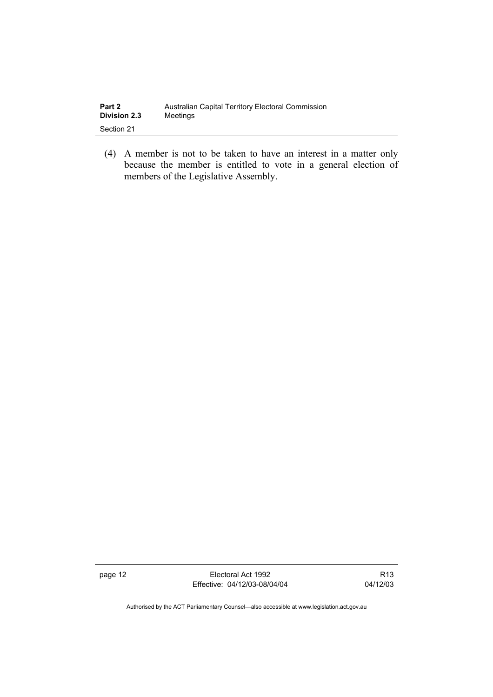| Part 2              | Australian Capital Territory Electoral Commission |
|---------------------|---------------------------------------------------|
| <b>Division 2.3</b> | Meetings                                          |
| Section 21          |                                                   |

 (4) A member is not to be taken to have an interest in a matter only because the member is entitled to vote in a general election of members of the Legislative Assembly.

page 12 **Electoral Act 1992** Effective: 04/12/03-08/04/04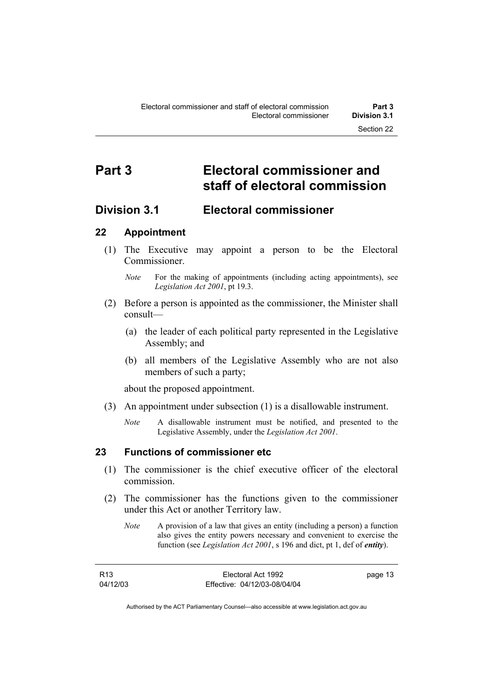# **Part 3 Electoral commissioner and staff of electoral commission**

### **Division 3.1 Electoral commissioner**

### **22 Appointment**

 (1) The Executive may appoint a person to be the Electoral **Commissioner** 

- (2) Before a person is appointed as the commissioner, the Minister shall consult—
	- (a) the leader of each political party represented in the Legislative Assembly; and
	- (b) all members of the Legislative Assembly who are not also members of such a party;

about the proposed appointment.

- (3) An appointment under subsection (1) is a disallowable instrument.
	- *Note* A disallowable instrument must be notified, and presented to the Legislative Assembly, under the *Legislation Act 2001*.

#### **23 Functions of commissioner etc**

- (1) The commissioner is the chief executive officer of the electoral commission.
- (2) The commissioner has the functions given to the commissioner under this Act or another Territory law.
	- *Note* A provision of a law that gives an entity (including a person) a function also gives the entity powers necessary and convenient to exercise the function (see *Legislation Act 2001*, s 196 and dict, pt 1, def of *entity*).

| R13      | Electoral Act 1992           | page 13 |
|----------|------------------------------|---------|
| 04/12/03 | Effective: 04/12/03-08/04/04 |         |

*Note* For the making of appointments (including acting appointments), see *Legislation Act 2001*, pt 19.3.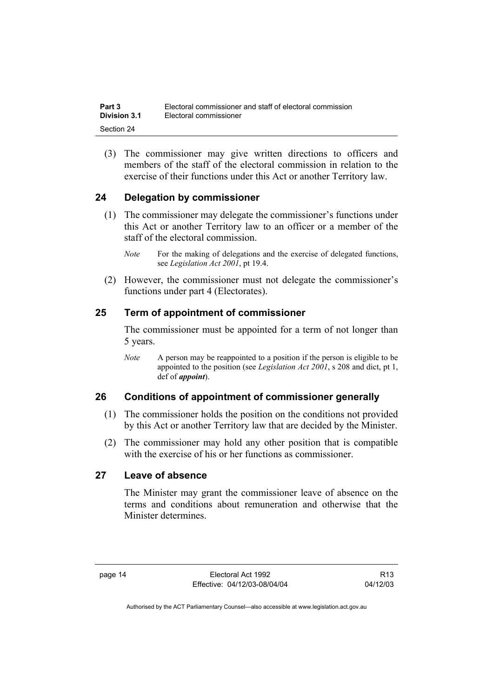| Part 3       | Electoral commissioner and staff of electoral commission |
|--------------|----------------------------------------------------------|
| Division 3.1 | Electoral commissioner                                   |
| Section 24   |                                                          |

 (3) The commissioner may give written directions to officers and members of the staff of the electoral commission in relation to the exercise of their functions under this Act or another Territory law.

### **24 Delegation by commissioner**

- (1) The commissioner may delegate the commissioner's functions under this Act or another Territory law to an officer or a member of the staff of the electoral commission.
	- *Note* For the making of delegations and the exercise of delegated functions, see *Legislation Act 2001*, pt 19.4.
- (2) However, the commissioner must not delegate the commissioner's functions under part 4 (Electorates).

#### **25 Term of appointment of commissioner**

The commissioner must be appointed for a term of not longer than 5 years.

*Note* A person may be reappointed to a position if the person is eligible to be appointed to the position (see *Legislation Act 2001*, s 208 and dict, pt 1, def of *appoint*).

#### **26 Conditions of appointment of commissioner generally**

- (1) The commissioner holds the position on the conditions not provided by this Act or another Territory law that are decided by the Minister.
- (2) The commissioner may hold any other position that is compatible with the exercise of his or her functions as commissioner.

#### **27 Leave of absence**

The Minister may grant the commissioner leave of absence on the terms and conditions about remuneration and otherwise that the Minister determines.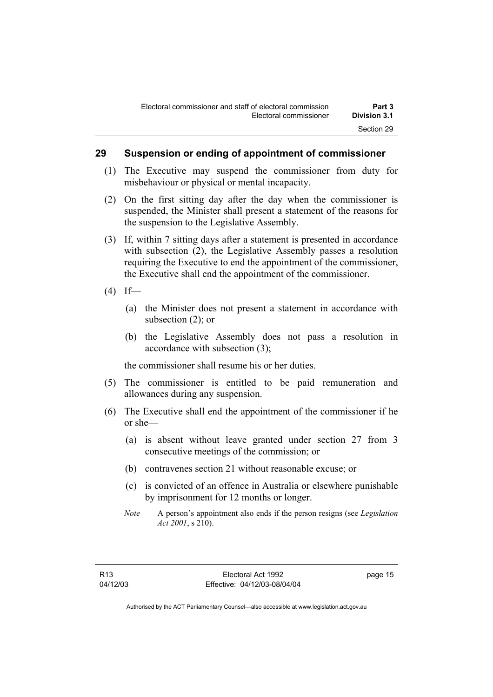#### **29 Suspension or ending of appointment of commissioner**

- (1) The Executive may suspend the commissioner from duty for misbehaviour or physical or mental incapacity.
- (2) On the first sitting day after the day when the commissioner is suspended, the Minister shall present a statement of the reasons for the suspension to the Legislative Assembly.
- (3) If, within 7 sitting days after a statement is presented in accordance with subsection (2), the Legislative Assembly passes a resolution requiring the Executive to end the appointment of the commissioner, the Executive shall end the appointment of the commissioner.
- $(4)$  If—
	- (a) the Minister does not present a statement in accordance with subsection (2); or
	- (b) the Legislative Assembly does not pass a resolution in accordance with subsection (3);

the commissioner shall resume his or her duties.

- (5) The commissioner is entitled to be paid remuneration and allowances during any suspension.
- (6) The Executive shall end the appointment of the commissioner if he or she—
	- (a) is absent without leave granted under section 27 from 3 consecutive meetings of the commission; or
	- (b) contravenes section 21 without reasonable excuse; or
	- (c) is convicted of an offence in Australia or elsewhere punishable by imprisonment for 12 months or longer.
	- *Note* A person's appointment also ends if the person resigns (see *Legislation Act 2001*, s 210).

page 15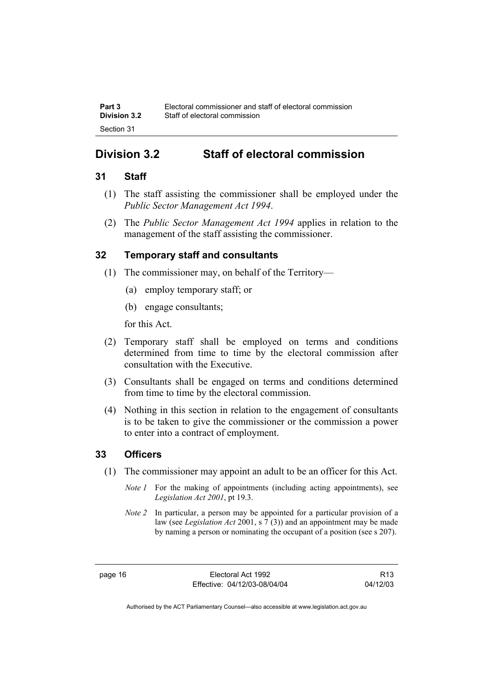## **Division 3.2 Staff of electoral commission**

### **31 Staff**

- (1) The staff assisting the commissioner shall be employed under the *Public Sector Management Act 1994*.
- (2) The *Public Sector Management Act 1994* applies in relation to the management of the staff assisting the commissioner.

### **32 Temporary staff and consultants**

- (1) The commissioner may, on behalf of the Territory—
	- (a) employ temporary staff; or
	- (b) engage consultants;

for this Act.

- (2) Temporary staff shall be employed on terms and conditions determined from time to time by the electoral commission after consultation with the Executive.
- (3) Consultants shall be engaged on terms and conditions determined from time to time by the electoral commission.
- (4) Nothing in this section in relation to the engagement of consultants is to be taken to give the commissioner or the commission a power to enter into a contract of employment.

### **33 Officers**

- (1) The commissioner may appoint an adult to be an officer for this Act.
	- *Note 1* For the making of appointments (including acting appointments), see *Legislation Act 2001*, pt 19.3.
	- *Note 2* In particular, a person may be appointed for a particular provision of a law (see *Legislation Act* 2001, s 7 (3)) and an appointment may be made by naming a person or nominating the occupant of a position (see s 207).

page 16 **Electoral Act 1992** Effective: 04/12/03-08/04/04

R13 04/12/03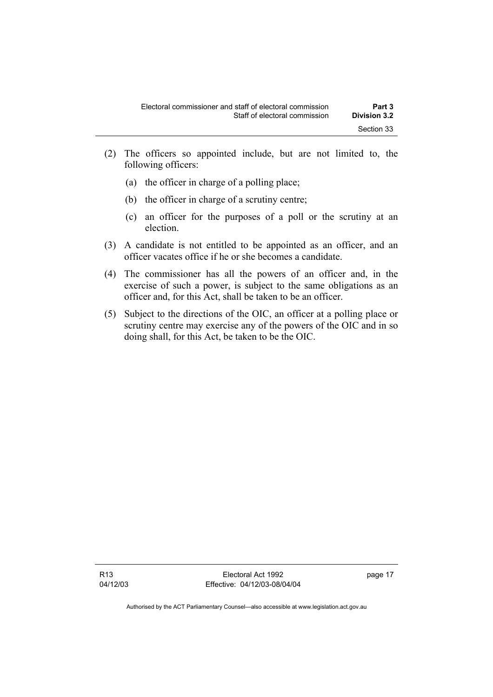- (2) The officers so appointed include, but are not limited to, the following officers:
	- (a) the officer in charge of a polling place;
	- (b) the officer in charge of a scrutiny centre;
	- (c) an officer for the purposes of a poll or the scrutiny at an election.
- (3) A candidate is not entitled to be appointed as an officer, and an officer vacates office if he or she becomes a candidate.
- (4) The commissioner has all the powers of an officer and, in the exercise of such a power, is subject to the same obligations as an officer and, for this Act, shall be taken to be an officer.
- (5) Subject to the directions of the OIC, an officer at a polling place or scrutiny centre may exercise any of the powers of the OIC and in so doing shall, for this Act, be taken to be the OIC.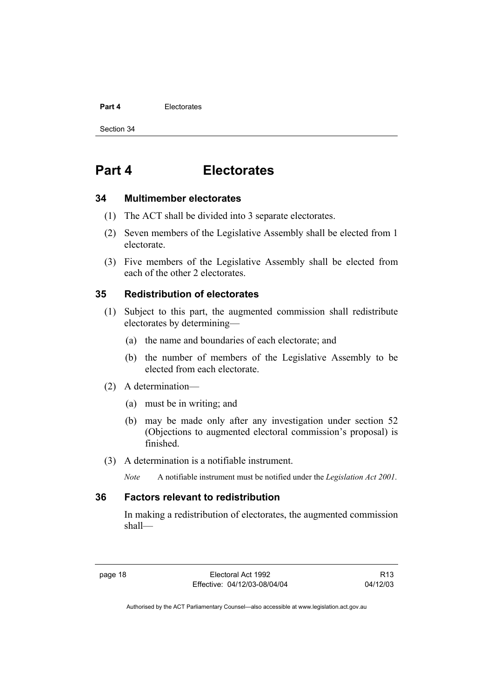#### **Part 4 Electorates**

Section 34

# **Part 4 Electorates**

#### **34 Multimember electorates**

- (1) The ACT shall be divided into 3 separate electorates.
- (2) Seven members of the Legislative Assembly shall be elected from 1 electorate.
- (3) Five members of the Legislative Assembly shall be elected from each of the other 2 electorates.

#### **35 Redistribution of electorates**

- (1) Subject to this part, the augmented commission shall redistribute electorates by determining—
	- (a) the name and boundaries of each electorate; and
	- (b) the number of members of the Legislative Assembly to be elected from each electorate.
- (2) A determination—
	- (a) must be in writing; and
	- (b) may be made only after any investigation under section 52 (Objections to augmented electoral commission's proposal) is finished.
- (3) A determination is a notifiable instrument.
	- *Note* A notifiable instrument must be notified under the *Legislation Act 2001*.

#### **36 Factors relevant to redistribution**

In making a redistribution of electorates, the augmented commission shall—

R13 04/12/03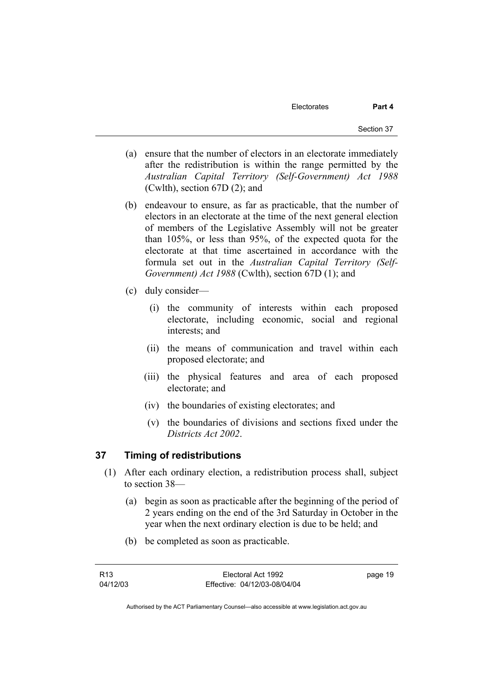- (a) ensure that the number of electors in an electorate immediately after the redistribution is within the range permitted by the *Australian Capital Territory (Self-Government) Act 1988*  (Cwlth), section 67D (2); and
- (b) endeavour to ensure, as far as practicable, that the number of electors in an electorate at the time of the next general election of members of the Legislative Assembly will not be greater than 105%, or less than 95%, of the expected quota for the electorate at that time ascertained in accordance with the formula set out in the *Australian Capital Territory (Self-Government) Act 1988* (Cwlth), section 67D (1); and
- (c) duly consider—
	- (i) the community of interests within each proposed electorate, including economic, social and regional interests; and
	- (ii) the means of communication and travel within each proposed electorate; and
	- (iii) the physical features and area of each proposed electorate; and
	- (iv) the boundaries of existing electorates; and
	- (v) the boundaries of divisions and sections fixed under the *Districts Act 2002*.

# **37 Timing of redistributions**

- (1) After each ordinary election, a redistribution process shall, subject to section 38—
	- (a) begin as soon as practicable after the beginning of the period of 2 years ending on the end of the 3rd Saturday in October in the year when the next ordinary election is due to be held; and
	- (b) be completed as soon as practicable.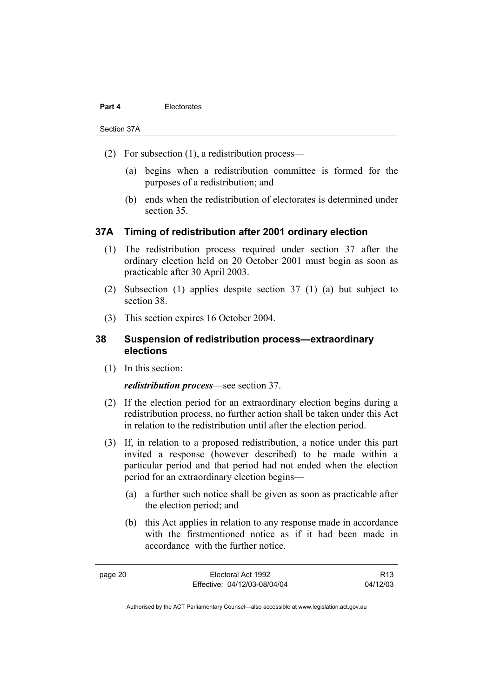#### **Part 4 Electorates**

Section 37A

- (2) For subsection (1), a redistribution process—
	- (a) begins when a redistribution committee is formed for the purposes of a redistribution; and
	- (b) ends when the redistribution of electorates is determined under section 35.

### **37A Timing of redistribution after 2001 ordinary election**

- (1) The redistribution process required under section 37 after the ordinary election held on 20 October 2001 must begin as soon as practicable after 30 April 2003.
- (2) Subsection (1) applies despite section 37 (1) (a) but subject to section 38.
- (3) This section expires 16 October 2004.

## **38 Suspension of redistribution process—extraordinary elections**

(1) In this section:

#### *redistribution process*—see section 37.

- (2) If the election period for an extraordinary election begins during a redistribution process, no further action shall be taken under this Act in relation to the redistribution until after the election period.
- (3) If, in relation to a proposed redistribution, a notice under this part invited a response (however described) to be made within a particular period and that period had not ended when the election period for an extraordinary election begins—
	- (a) a further such notice shall be given as soon as practicable after the election period; and
	- (b) this Act applies in relation to any response made in accordance with the firstmentioned notice as if it had been made in accordance with the further notice.

R13 04/12/03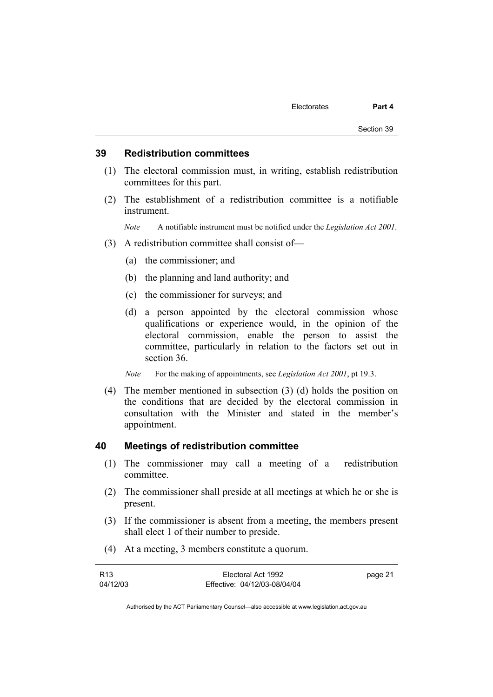#### **39 Redistribution committees**

- (1) The electoral commission must, in writing, establish redistribution committees for this part.
- (2) The establishment of a redistribution committee is a notifiable instrument.

*Note* A notifiable instrument must be notified under the *Legislation Act 2001*.

- (3) A redistribution committee shall consist of—
	- (a) the commissioner; and
	- (b) the planning and land authority; and
	- (c) the commissioner for surveys; and
	- (d) a person appointed by the electoral commission whose qualifications or experience would, in the opinion of the electoral commission, enable the person to assist the committee, particularly in relation to the factors set out in section 36.
	- *Note* For the making of appointments, see *Legislation Act 2001*, pt 19.3.
- (4) The member mentioned in subsection (3) (d) holds the position on the conditions that are decided by the electoral commission in consultation with the Minister and stated in the member's appointment.

#### **40 Meetings of redistribution committee**

- (1) The commissioner may call a meeting of a redistribution committee.
- (2) The commissioner shall preside at all meetings at which he or she is present.
- (3) If the commissioner is absent from a meeting, the members present shall elect 1 of their number to preside.
- (4) At a meeting, 3 members constitute a quorum.

| R <sub>13</sub> | Electoral Act 1992           | page 21 |
|-----------------|------------------------------|---------|
| 04/12/03        | Effective: 04/12/03-08/04/04 |         |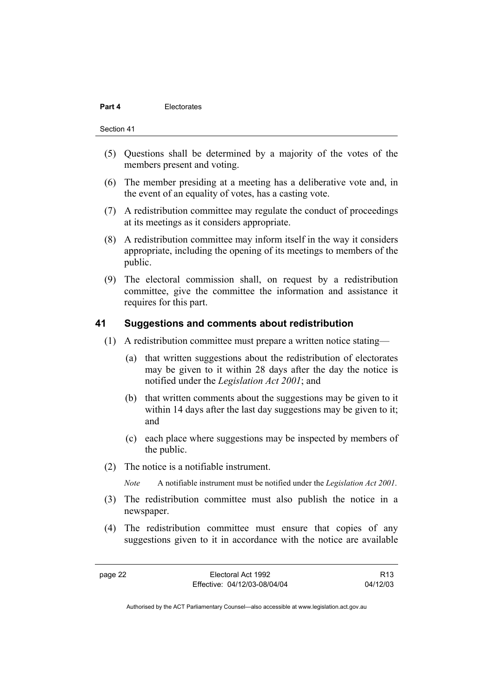#### **Part 4 Electorates**

Section 41

- (5) Questions shall be determined by a majority of the votes of the members present and voting.
- (6) The member presiding at a meeting has a deliberative vote and, in the event of an equality of votes, has a casting vote.
- (7) A redistribution committee may regulate the conduct of proceedings at its meetings as it considers appropriate.
- (8) A redistribution committee may inform itself in the way it considers appropriate, including the opening of its meetings to members of the public.
- (9) The electoral commission shall, on request by a redistribution committee, give the committee the information and assistance it requires for this part.

### **41 Suggestions and comments about redistribution**

- (1) A redistribution committee must prepare a written notice stating—
	- (a) that written suggestions about the redistribution of electorates may be given to it within 28 days after the day the notice is notified under the *Legislation Act 2001*; and
	- (b) that written comments about the suggestions may be given to it within 14 days after the last day suggestions may be given to it; and
	- (c) each place where suggestions may be inspected by members of the public.
- (2) The notice is a notifiable instrument.

*Note* A notifiable instrument must be notified under the *Legislation Act 2001*.

- (3) The redistribution committee must also publish the notice in a newspaper.
- (4) The redistribution committee must ensure that copies of any suggestions given to it in accordance with the notice are available

R13 04/12/03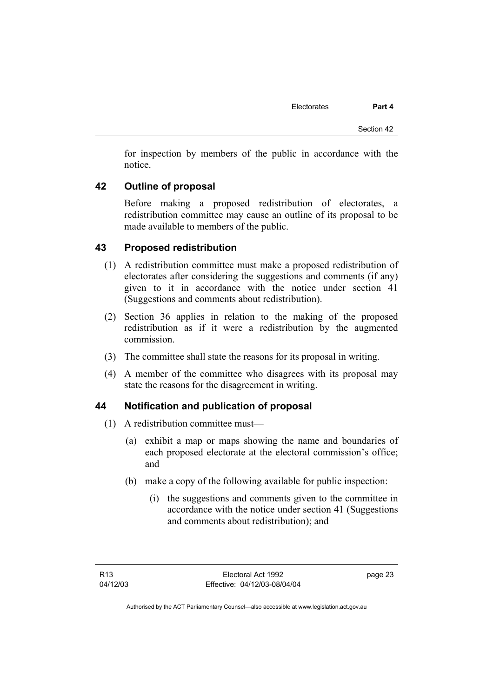for inspection by members of the public in accordance with the notice.

# **42 Outline of proposal**

Before making a proposed redistribution of electorates, a redistribution committee may cause an outline of its proposal to be made available to members of the public.

## **43 Proposed redistribution**

- (1) A redistribution committee must make a proposed redistribution of electorates after considering the suggestions and comments (if any) given to it in accordance with the notice under section 41 (Suggestions and comments about redistribution).
- (2) Section 36 applies in relation to the making of the proposed redistribution as if it were a redistribution by the augmented commission.
- (3) The committee shall state the reasons for its proposal in writing.
- (4) A member of the committee who disagrees with its proposal may state the reasons for the disagreement in writing.

## **44 Notification and publication of proposal**

- (1) A redistribution committee must—
	- (a) exhibit a map or maps showing the name and boundaries of each proposed electorate at the electoral commission's office; and
	- (b) make a copy of the following available for public inspection:
		- (i) the suggestions and comments given to the committee in accordance with the notice under section 41 (Suggestions and comments about redistribution); and

page 23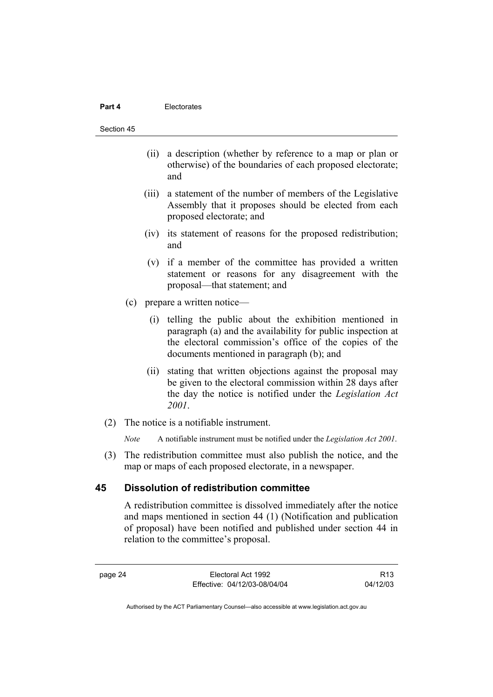#### **Part 4 Electorates**

#### Section 45

- (ii) a description (whether by reference to a map or plan or otherwise) of the boundaries of each proposed electorate; and
- (iii) a statement of the number of members of the Legislative Assembly that it proposes should be elected from each proposed electorate; and
- (iv) its statement of reasons for the proposed redistribution; and
- (v) if a member of the committee has provided a written statement or reasons for any disagreement with the proposal—that statement; and
- (c) prepare a written notice—
	- (i) telling the public about the exhibition mentioned in paragraph (a) and the availability for public inspection at the electoral commission's office of the copies of the documents mentioned in paragraph (b); and
	- (ii) stating that written objections against the proposal may be given to the electoral commission within 28 days after the day the notice is notified under the *Legislation Act 2001*.
- (2) The notice is a notifiable instrument.

*Note* A notifiable instrument must be notified under the *Legislation Act 2001*.

 (3) The redistribution committee must also publish the notice, and the map or maps of each proposed electorate, in a newspaper.

### **45 Dissolution of redistribution committee**

A redistribution committee is dissolved immediately after the notice and maps mentioned in section 44 (1) (Notification and publication of proposal) have been notified and published under section 44 in relation to the committee's proposal.

R13 04/12/03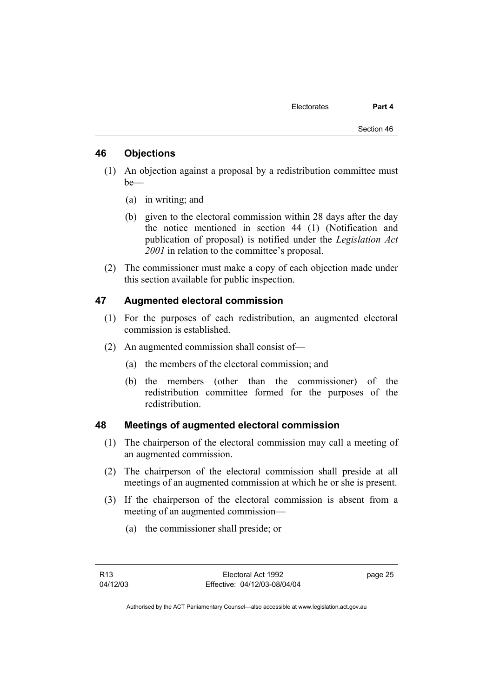## **46 Objections**

- (1) An objection against a proposal by a redistribution committee must be—
	- (a) in writing; and
	- (b) given to the electoral commission within 28 days after the day the notice mentioned in section 44 (1) (Notification and publication of proposal) is notified under the *Legislation Act 2001* in relation to the committee's proposal.
- (2) The commissioner must make a copy of each objection made under this section available for public inspection.

# **47 Augmented electoral commission**

- (1) For the purposes of each redistribution, an augmented electoral commission is established.
- (2) An augmented commission shall consist of—
	- (a) the members of the electoral commission; and
	- (b) the members (other than the commissioner) of the redistribution committee formed for the purposes of the redistribution.

#### **48 Meetings of augmented electoral commission**

- (1) The chairperson of the electoral commission may call a meeting of an augmented commission.
- (2) The chairperson of the electoral commission shall preside at all meetings of an augmented commission at which he or she is present.
- (3) If the chairperson of the electoral commission is absent from a meeting of an augmented commission—
	- (a) the commissioner shall preside; or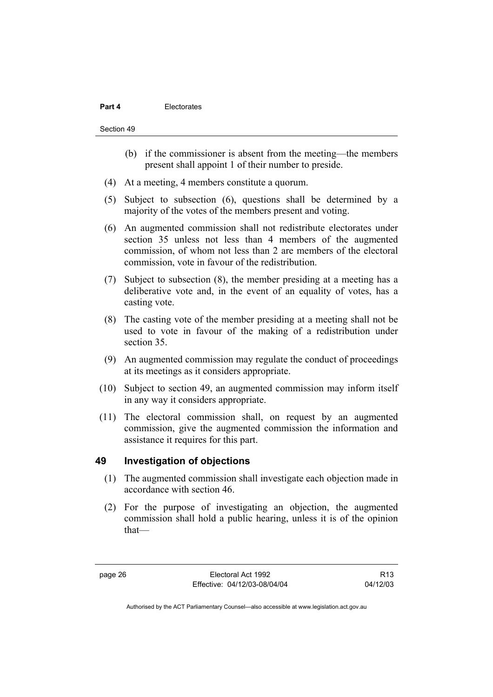#### **Part 4 Electorates**

#### Section 49

- (b) if the commissioner is absent from the meeting—the members present shall appoint 1 of their number to preside.
- (4) At a meeting, 4 members constitute a quorum.
- (5) Subject to subsection (6), questions shall be determined by a majority of the votes of the members present and voting.
- (6) An augmented commission shall not redistribute electorates under section 35 unless not less than 4 members of the augmented commission, of whom not less than 2 are members of the electoral commission, vote in favour of the redistribution.
- (7) Subject to subsection (8), the member presiding at a meeting has a deliberative vote and, in the event of an equality of votes, has a casting vote.
- (8) The casting vote of the member presiding at a meeting shall not be used to vote in favour of the making of a redistribution under section 35.
- (9) An augmented commission may regulate the conduct of proceedings at its meetings as it considers appropriate.
- (10) Subject to section 49, an augmented commission may inform itself in any way it considers appropriate.
- (11) The electoral commission shall, on request by an augmented commission, give the augmented commission the information and assistance it requires for this part.

## **49 Investigation of objections**

- (1) The augmented commission shall investigate each objection made in accordance with section 46.
- (2) For the purpose of investigating an objection, the augmented commission shall hold a public hearing, unless it is of the opinion that—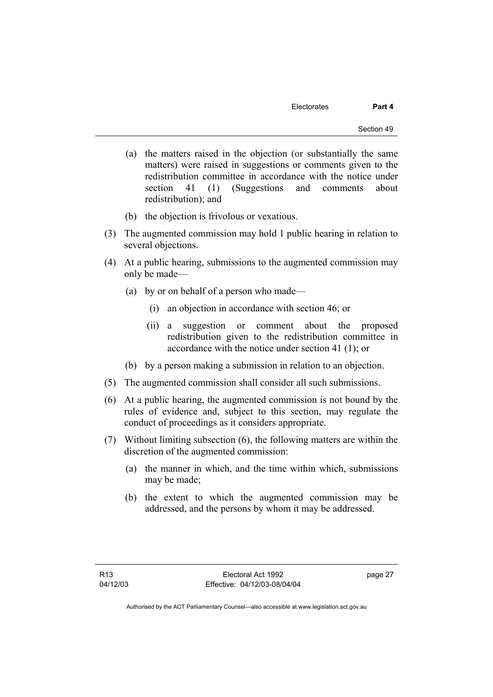- (a) the matters raised in the objection (or substantially the same matters) were raised in suggestions or comments given to the redistribution committee in accordance with the notice under section 41 (1) (Suggestions and comments about redistribution); and
- (b) the objection is frivolous or vexatious.
- (3) The augmented commission may hold 1 public hearing in relation to several objections.
- (4) At a public hearing, submissions to the augmented commission may only be made—
	- (a) by or on behalf of a person who made—
		- (i) an objection in accordance with section 46; or
		- (ii) a suggestion or comment about the proposed redistribution given to the redistribution committee in accordance with the notice under section 41 (1); or
	- (b) by a person making a submission in relation to an objection.
- (5) The augmented commission shall consider all such submissions.
- (6) At a public hearing, the augmented commission is not bound by the rules of evidence and, subject to this section, may regulate the conduct of proceedings as it considers appropriate.
- (7) Without limiting subsection (6), the following matters are within the discretion of the augmented commission:
	- (a) the manner in which, and the time within which, submissions may be made;
	- (b) the extent to which the augmented commission may be addressed, and the persons by whom it may be addressed.

page 27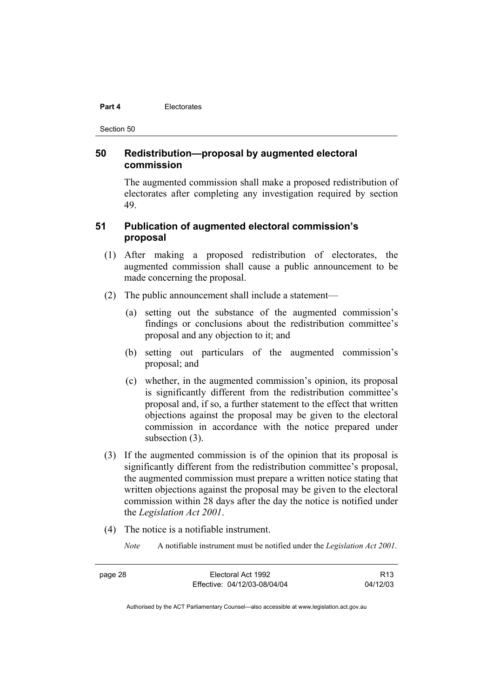#### **Part 4 Electorates**

Section 50

## **50 Redistribution—proposal by augmented electoral commission**

The augmented commission shall make a proposed redistribution of electorates after completing any investigation required by section 49.

# **51 Publication of augmented electoral commission's proposal**

- (1) After making a proposed redistribution of electorates, the augmented commission shall cause a public announcement to be made concerning the proposal.
- (2) The public announcement shall include a statement—
	- (a) setting out the substance of the augmented commission's findings or conclusions about the redistribution committee's proposal and any objection to it; and
	- (b) setting out particulars of the augmented commission's proposal; and
	- (c) whether, in the augmented commission's opinion, its proposal is significantly different from the redistribution committee's proposal and, if so, a further statement to the effect that written objections against the proposal may be given to the electoral commission in accordance with the notice prepared under subsection (3).
- (3) If the augmented commission is of the opinion that its proposal is significantly different from the redistribution committee's proposal, the augmented commission must prepare a written notice stating that written objections against the proposal may be given to the electoral commission within 28 days after the day the notice is notified under the *Legislation Act 2001*.
- (4) The notice is a notifiable instrument.
	- *Note* A notifiable instrument must be notified under the *Legislation Act 2001*.

| page 28 | Electoral Act 1992           | R <sub>13</sub> |
|---------|------------------------------|-----------------|
|         | Effective: 04/12/03-08/04/04 | 04/12/03        |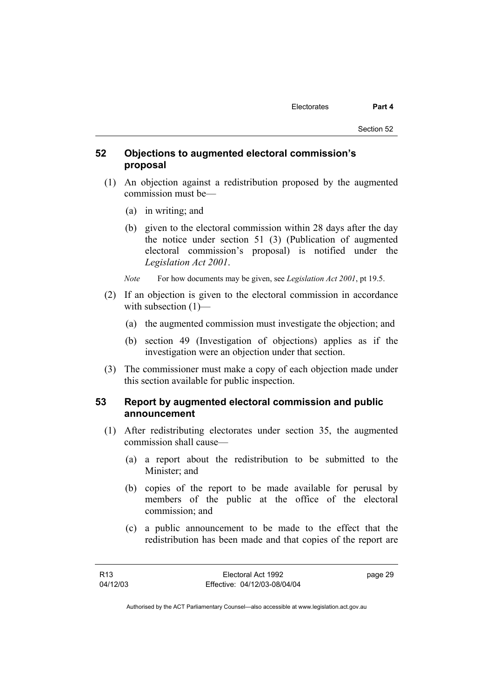# **52 Objections to augmented electoral commission's proposal**

- (1) An objection against a redistribution proposed by the augmented commission must be—
	- (a) in writing; and
	- (b) given to the electoral commission within 28 days after the day the notice under section 51 (3) (Publication of augmented electoral commission's proposal) is notified under the *Legislation Act 2001*.
	- *Note* For how documents may be given, see *Legislation Act 2001*, pt 19.5.
- (2) If an objection is given to the electoral commission in accordance with subsection  $(1)$ —
	- (a) the augmented commission must investigate the objection; and
	- (b) section 49 (Investigation of objections) applies as if the investigation were an objection under that section.
- (3) The commissioner must make a copy of each objection made under this section available for public inspection.

## **53 Report by augmented electoral commission and public announcement**

- (1) After redistributing electorates under section 35, the augmented commission shall cause—
	- (a) a report about the redistribution to be submitted to the Minister; and
	- (b) copies of the report to be made available for perusal by members of the public at the office of the electoral commission; and
	- (c) a public announcement to be made to the effect that the redistribution has been made and that copies of the report are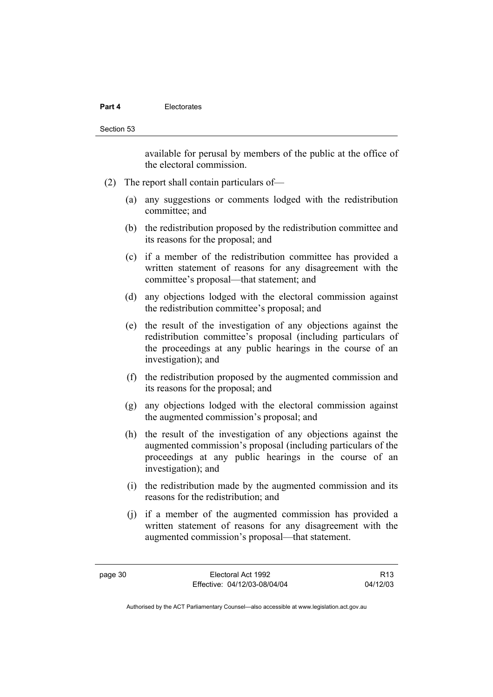#### **Part 4 Electorates**

Section 53

available for perusal by members of the public at the office of the electoral commission.

- (2) The report shall contain particulars of—
	- (a) any suggestions or comments lodged with the redistribution committee; and
	- (b) the redistribution proposed by the redistribution committee and its reasons for the proposal; and
	- (c) if a member of the redistribution committee has provided a written statement of reasons for any disagreement with the committee's proposal—that statement; and
	- (d) any objections lodged with the electoral commission against the redistribution committee's proposal; and
	- (e) the result of the investigation of any objections against the redistribution committee's proposal (including particulars of the proceedings at any public hearings in the course of an investigation); and
	- (f) the redistribution proposed by the augmented commission and its reasons for the proposal; and
	- (g) any objections lodged with the electoral commission against the augmented commission's proposal; and
	- (h) the result of the investigation of any objections against the augmented commission's proposal (including particulars of the proceedings at any public hearings in the course of an investigation); and
	- (i) the redistribution made by the augmented commission and its reasons for the redistribution; and
	- (j) if a member of the augmented commission has provided a written statement of reasons for any disagreement with the augmented commission's proposal—that statement.

R13 04/12/03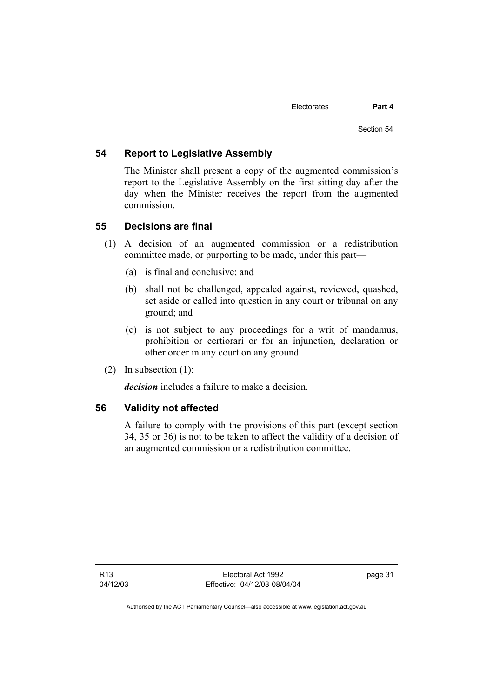## **54 Report to Legislative Assembly**

The Minister shall present a copy of the augmented commission's report to the Legislative Assembly on the first sitting day after the day when the Minister receives the report from the augmented commission.

### **55 Decisions are final**

- (1) A decision of an augmented commission or a redistribution committee made, or purporting to be made, under this part—
	- (a) is final and conclusive; and
	- (b) shall not be challenged, appealed against, reviewed, quashed, set aside or called into question in any court or tribunal on any ground; and
	- (c) is not subject to any proceedings for a writ of mandamus, prohibition or certiorari or for an injunction, declaration or other order in any court on any ground.
- (2) In subsection (1):

*decision* includes a failure to make a decision.

## **56 Validity not affected**

A failure to comply with the provisions of this part (except section 34, 35 or 36) is not to be taken to affect the validity of a decision of an augmented commission or a redistribution committee.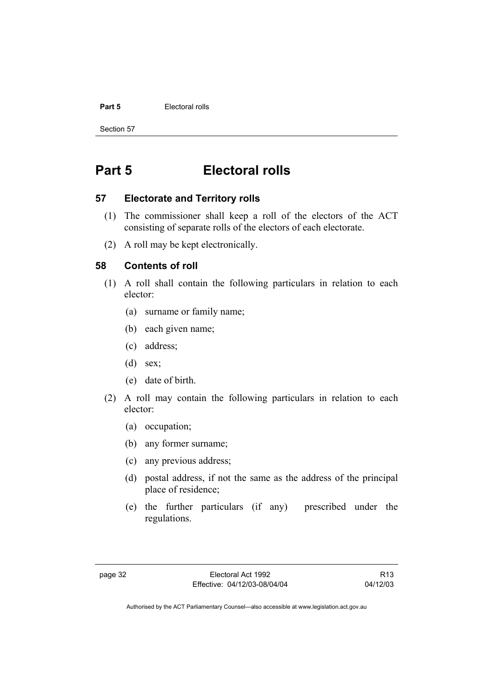#### **Part 5 Electoral rolls**

Section 57

# **Part 5 Electoral rolls**

### **57 Electorate and Territory rolls**

- (1) The commissioner shall keep a roll of the electors of the ACT consisting of separate rolls of the electors of each electorate.
- (2) A roll may be kept electronically.

## **58 Contents of roll**

- (1) A roll shall contain the following particulars in relation to each elector:
	- (a) surname or family name;
	- (b) each given name;
	- (c) address;
	- (d) sex;
	- (e) date of birth.
- (2) A roll may contain the following particulars in relation to each elector:
	- (a) occupation;
	- (b) any former surname;
	- (c) any previous address;
	- (d) postal address, if not the same as the address of the principal place of residence;
	- (e) the further particulars (if any) prescribed under the regulations.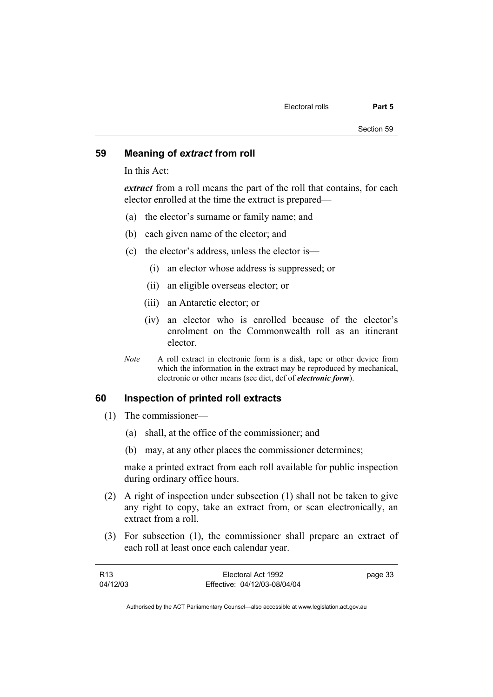## **59 Meaning of** *extract* **from roll**

In this Act:

*extract* from a roll means the part of the roll that contains, for each elector enrolled at the time the extract is prepared—

- (a) the elector's surname or family name; and
- (b) each given name of the elector; and
- (c) the elector's address, unless the elector is—
	- (i) an elector whose address is suppressed; or
	- (ii) an eligible overseas elector; or
	- (iii) an Antarctic elector; or
	- (iv) an elector who is enrolled because of the elector's enrolment on the Commonwealth roll as an itinerant elector.
- *Note* A roll extract in electronic form is a disk, tape or other device from which the information in the extract may be reproduced by mechanical, electronic or other means (see dict, def of *electronic form*).

## **60 Inspection of printed roll extracts**

- (1) The commissioner—
	- (a) shall, at the office of the commissioner; and
	- (b) may, at any other places the commissioner determines;

make a printed extract from each roll available for public inspection during ordinary office hours.

- (2) A right of inspection under subsection (1) shall not be taken to give any right to copy, take an extract from, or scan electronically, an extract from a roll.
- (3) For subsection (1), the commissioner shall prepare an extract of each roll at least once each calendar year.

| R13      | Electoral Act 1992           | page 33 |
|----------|------------------------------|---------|
| 04/12/03 | Effective: 04/12/03-08/04/04 |         |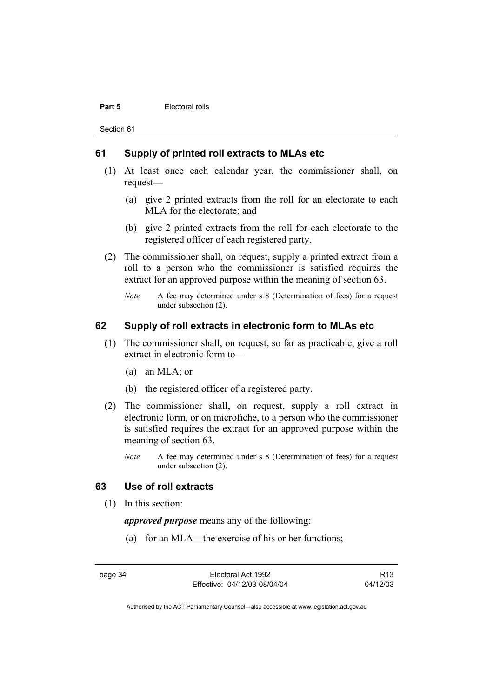#### **Part 5 Electoral rolls**

Section 61

#### **61 Supply of printed roll extracts to MLAs etc**

- (1) At least once each calendar year, the commissioner shall, on request—
	- (a) give 2 printed extracts from the roll for an electorate to each MLA for the electorate; and
	- (b) give 2 printed extracts from the roll for each electorate to the registered officer of each registered party.
- (2) The commissioner shall, on request, supply a printed extract from a roll to a person who the commissioner is satisfied requires the extract for an approved purpose within the meaning of section 63.
	- *Note* A fee may determined under s 8 (Determination of fees) for a request under subsection (2).

# **62 Supply of roll extracts in electronic form to MLAs etc**

- (1) The commissioner shall, on request, so far as practicable, give a roll extract in electronic form to—
	- (a) an MLA; or
	- (b) the registered officer of a registered party.
- (2) The commissioner shall, on request, supply a roll extract in electronic form, or on microfiche, to a person who the commissioner is satisfied requires the extract for an approved purpose within the meaning of section 63.
	- *Note* A fee may determined under s 8 (Determination of fees) for a request under subsection (2).

# **63 Use of roll extracts**

(1) In this section:

*approved purpose* means any of the following:

(a) for an MLA—the exercise of his or her functions;

page 34 Electoral Act 1992 Effective: 04/12/03-08/04/04

R13 04/12/03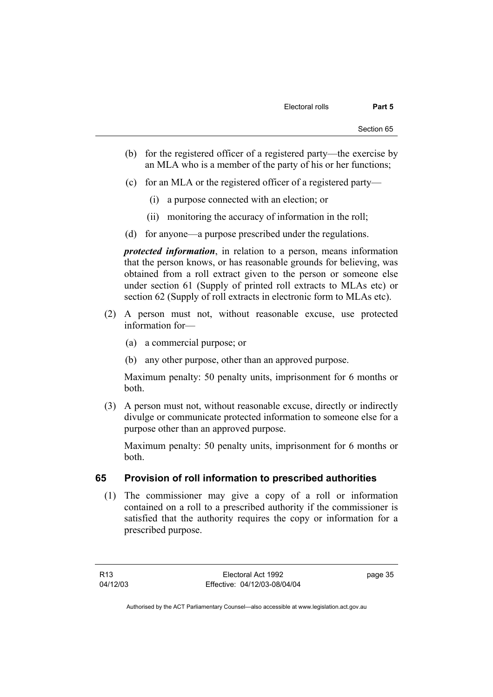- (b) for the registered officer of a registered party—the exercise by an MLA who is a member of the party of his or her functions;
- (c) for an MLA or the registered officer of a registered party—
	- (i) a purpose connected with an election; or
	- (ii) monitoring the accuracy of information in the roll;
- (d) for anyone—a purpose prescribed under the regulations.

*protected information*, in relation to a person, means information that the person knows, or has reasonable grounds for believing, was obtained from a roll extract given to the person or someone else under section 61 (Supply of printed roll extracts to MLAs etc) or section 62 (Supply of roll extracts in electronic form to MLAs etc).

- (2) A person must not, without reasonable excuse, use protected information for—
	- (a) a commercial purpose; or
	- (b) any other purpose, other than an approved purpose.

Maximum penalty: 50 penalty units, imprisonment for 6 months or both.

 (3) A person must not, without reasonable excuse, directly or indirectly divulge or communicate protected information to someone else for a purpose other than an approved purpose.

Maximum penalty: 50 penalty units, imprisonment for 6 months or both.

# **65 Provision of roll information to prescribed authorities**

 (1) The commissioner may give a copy of a roll or information contained on a roll to a prescribed authority if the commissioner is satisfied that the authority requires the copy or information for a prescribed purpose.

R13 04/12/03 page 35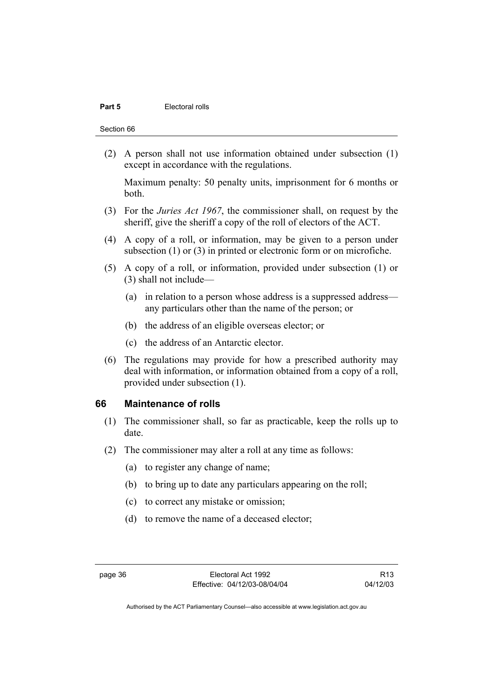#### **Part 5 Electoral rolls**

Section 66

 (2) A person shall not use information obtained under subsection (1) except in accordance with the regulations.

Maximum penalty: 50 penalty units, imprisonment for 6 months or both.

- (3) For the *Juries Act 1967*, the commissioner shall, on request by the sheriff, give the sheriff a copy of the roll of electors of the ACT.
- (4) A copy of a roll, or information, may be given to a person under subsection (1) or (3) in printed or electronic form or on microfiche.
- (5) A copy of a roll, or information, provided under subsection (1) or (3) shall not include—
	- (a) in relation to a person whose address is a suppressed address any particulars other than the name of the person; or
	- (b) the address of an eligible overseas elector; or
	- (c) the address of an Antarctic elector.
- (6) The regulations may provide for how a prescribed authority may deal with information, or information obtained from a copy of a roll, provided under subsection (1).

#### **66 Maintenance of rolls**

- (1) The commissioner shall, so far as practicable, keep the rolls up to date.
- (2) The commissioner may alter a roll at any time as follows:
	- (a) to register any change of name;
	- (b) to bring up to date any particulars appearing on the roll;
	- (c) to correct any mistake or omission;
	- (d) to remove the name of a deceased elector;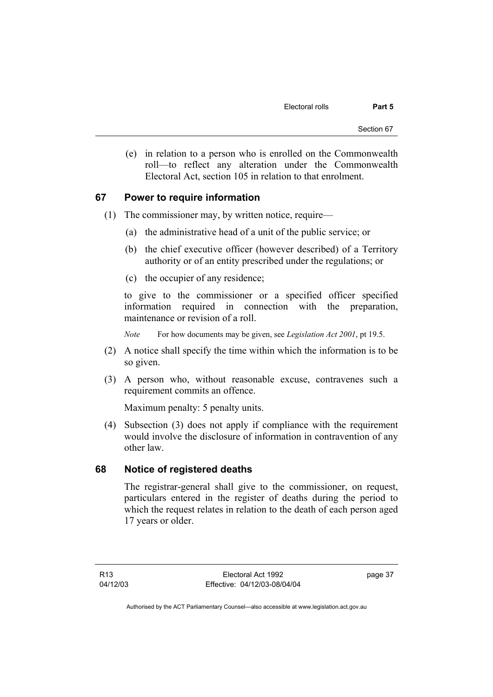(e) in relation to a person who is enrolled on the Commonwealth roll—to reflect any alteration under the Commonwealth Electoral Act, section 105 in relation to that enrolment.

### **67 Power to require information**

- (1) The commissioner may, by written notice, require—
	- (a) the administrative head of a unit of the public service; or
	- (b) the chief executive officer (however described) of a Territory authority or of an entity prescribed under the regulations; or
	- (c) the occupier of any residence;

to give to the commissioner or a specified officer specified information required in connection with the preparation, maintenance or revision of a roll.

*Note* For how documents may be given, see *Legislation Act 2001*, pt 19.5.

- (2) A notice shall specify the time within which the information is to be so given.
- (3) A person who, without reasonable excuse, contravenes such a requirement commits an offence.

Maximum penalty: 5 penalty units.

 (4) Subsection (3) does not apply if compliance with the requirement would involve the disclosure of information in contravention of any other law.

#### **68 Notice of registered deaths**

The registrar-general shall give to the commissioner, on request, particulars entered in the register of deaths during the period to which the request relates in relation to the death of each person aged 17 years or older.

page 37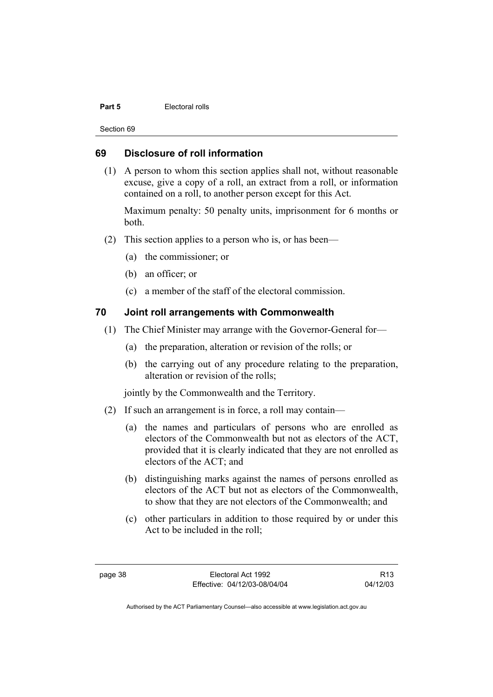#### **Part 5 Electoral rolls**

Section 69

## **69 Disclosure of roll information**

 (1) A person to whom this section applies shall not, without reasonable excuse, give a copy of a roll, an extract from a roll, or information contained on a roll, to another person except for this Act.

Maximum penalty: 50 penalty units, imprisonment for 6 months or both.

- (2) This section applies to a person who is, or has been—
	- (a) the commissioner; or
	- (b) an officer; or
	- (c) a member of the staff of the electoral commission.

## **70 Joint roll arrangements with Commonwealth**

- (1) The Chief Minister may arrange with the Governor-General for—
	- (a) the preparation, alteration or revision of the rolls; or
	- (b) the carrying out of any procedure relating to the preparation, alteration or revision of the rolls;

jointly by the Commonwealth and the Territory.

- (2) If such an arrangement is in force, a roll may contain—
	- (a) the names and particulars of persons who are enrolled as electors of the Commonwealth but not as electors of the ACT, provided that it is clearly indicated that they are not enrolled as electors of the ACT; and
	- (b) distinguishing marks against the names of persons enrolled as electors of the ACT but not as electors of the Commonwealth, to show that they are not electors of the Commonwealth; and
	- (c) other particulars in addition to those required by or under this Act to be included in the roll;

R13 04/12/03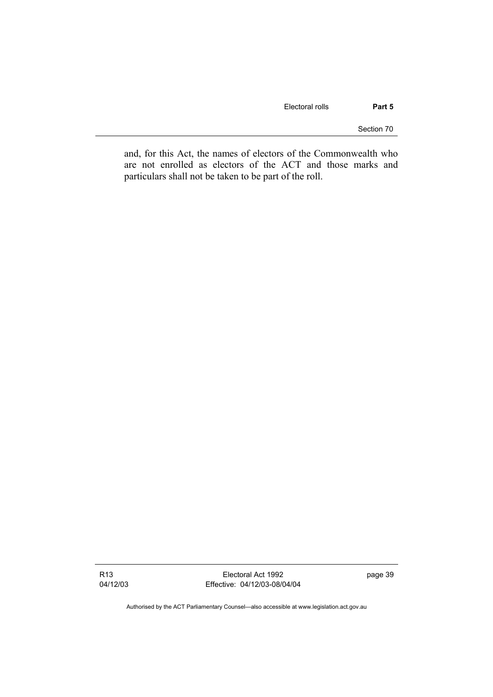Electoral rolls **Part 5** 

Section 70

and, for this Act, the names of electors of the Commonwealth who are not enrolled as electors of the ACT and those marks and particulars shall not be taken to be part of the roll.

R13 04/12/03

Electoral Act 1992 Effective: 04/12/03-08/04/04 page 39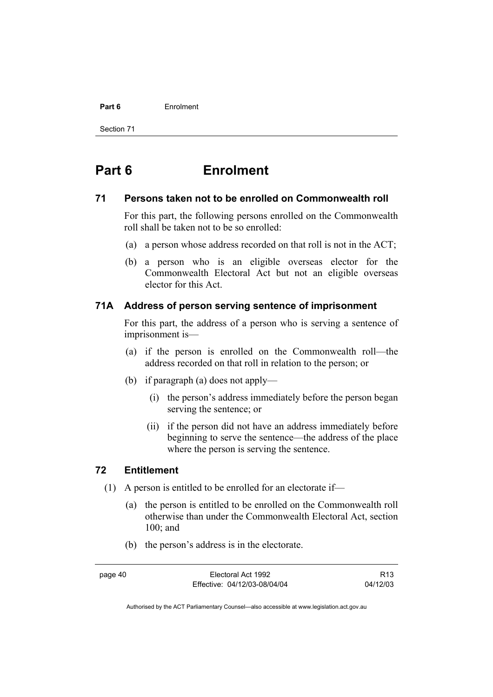# **Part 6** Enrolment

Section 71

# **Part 6 Enrolment**

# **71 Persons taken not to be enrolled on Commonwealth roll**

For this part, the following persons enrolled on the Commonwealth roll shall be taken not to be so enrolled:

- (a) a person whose address recorded on that roll is not in the ACT;
- (b) a person who is an eligible overseas elector for the Commonwealth Electoral Act but not an eligible overseas elector for this Act.

# **71A Address of person serving sentence of imprisonment**

For this part, the address of a person who is serving a sentence of imprisonment is—

- (a) if the person is enrolled on the Commonwealth roll—the address recorded on that roll in relation to the person; or
- (b) if paragraph (a) does not apply—
	- (i) the person's address immediately before the person began serving the sentence; or
	- (ii) if the person did not have an address immediately before beginning to serve the sentence—the address of the place where the person is serving the sentence.

# **72 Entitlement**

- (1) A person is entitled to be enrolled for an electorate if—
	- (a) the person is entitled to be enrolled on the Commonwealth roll otherwise than under the Commonwealth Electoral Act, section 100; and
	- (b) the person's address is in the electorate.

page 40 Electoral Act 1992 Effective: 04/12/03-08/04/04

R13 04/12/03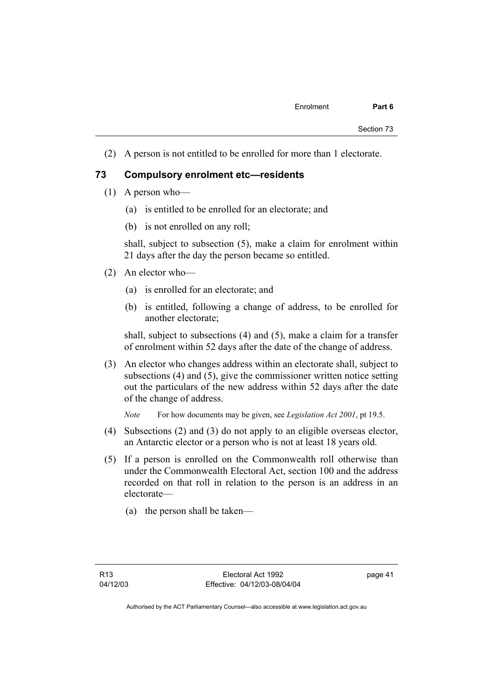(2) A person is not entitled to be enrolled for more than 1 electorate.

## **73 Compulsory enrolment etc—residents**

- (1) A person who—
	- (a) is entitled to be enrolled for an electorate; and
	- (b) is not enrolled on any roll;

shall, subject to subsection (5), make a claim for enrolment within 21 days after the day the person became so entitled.

- (2) An elector who—
	- (a) is enrolled for an electorate; and
	- (b) is entitled, following a change of address, to be enrolled for another electorate;

shall, subject to subsections (4) and (5), make a claim for a transfer of enrolment within 52 days after the date of the change of address.

 (3) An elector who changes address within an electorate shall, subject to subsections (4) and (5), give the commissioner written notice setting out the particulars of the new address within 52 days after the date of the change of address.

*Note* For how documents may be given, see *Legislation Act 2001*, pt 19.5.

- (4) Subsections (2) and (3) do not apply to an eligible overseas elector, an Antarctic elector or a person who is not at least 18 years old.
- (5) If a person is enrolled on the Commonwealth roll otherwise than under the Commonwealth Electoral Act, section 100 and the address recorded on that roll in relation to the person is an address in an electorate—
	- (a) the person shall be taken—

page 41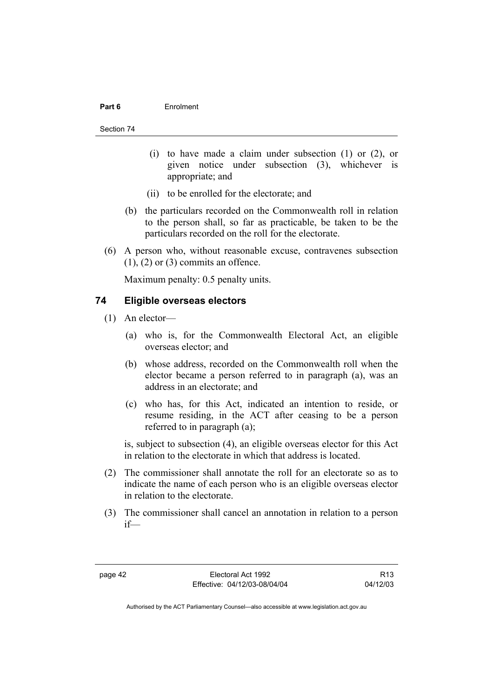#### **Part 6** Enrolment

#### Section 74

- (i) to have made a claim under subsection (1) or (2), or given notice under subsection (3), whichever is appropriate; and
- (ii) to be enrolled for the electorate; and
- (b) the particulars recorded on the Commonwealth roll in relation to the person shall, so far as practicable, be taken to be the particulars recorded on the roll for the electorate.
- (6) A person who, without reasonable excuse, contravenes subsection  $(1)$ ,  $(2)$  or  $(3)$  commits an offence.

Maximum penalty: 0.5 penalty units.

## **74 Eligible overseas electors**

- (1) An elector—
	- (a) who is, for the Commonwealth Electoral Act, an eligible overseas elector; and
	- (b) whose address, recorded on the Commonwealth roll when the elector became a person referred to in paragraph (a), was an address in an electorate; and
	- (c) who has, for this Act, indicated an intention to reside, or resume residing, in the ACT after ceasing to be a person referred to in paragraph (a);

is, subject to subsection (4), an eligible overseas elector for this Act in relation to the electorate in which that address is located.

- (2) The commissioner shall annotate the roll for an electorate so as to indicate the name of each person who is an eligible overseas elector in relation to the electorate.
- (3) The commissioner shall cancel an annotation in relation to a person if—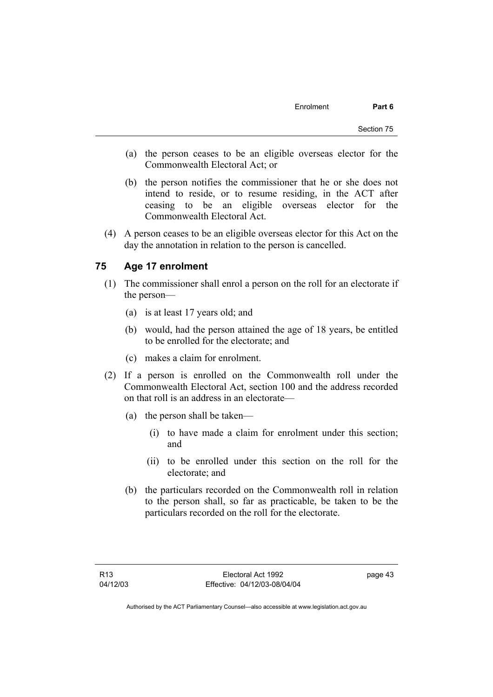- (a) the person ceases to be an eligible overseas elector for the Commonwealth Electoral Act; or
- (b) the person notifies the commissioner that he or she does not intend to reside, or to resume residing, in the ACT after ceasing to be an eligible overseas elector for the Commonwealth Electoral Act.
- (4) A person ceases to be an eligible overseas elector for this Act on the day the annotation in relation to the person is cancelled.

# **75 Age 17 enrolment**

- (1) The commissioner shall enrol a person on the roll for an electorate if the person—
	- (a) is at least 17 years old; and
	- (b) would, had the person attained the age of 18 years, be entitled to be enrolled for the electorate; and
	- (c) makes a claim for enrolment.
- (2) If a person is enrolled on the Commonwealth roll under the Commonwealth Electoral Act, section 100 and the address recorded on that roll is an address in an electorate—
	- (a) the person shall be taken—
		- (i) to have made a claim for enrolment under this section; and
		- (ii) to be enrolled under this section on the roll for the electorate; and
	- (b) the particulars recorded on the Commonwealth roll in relation to the person shall, so far as practicable, be taken to be the particulars recorded on the roll for the electorate.

page 43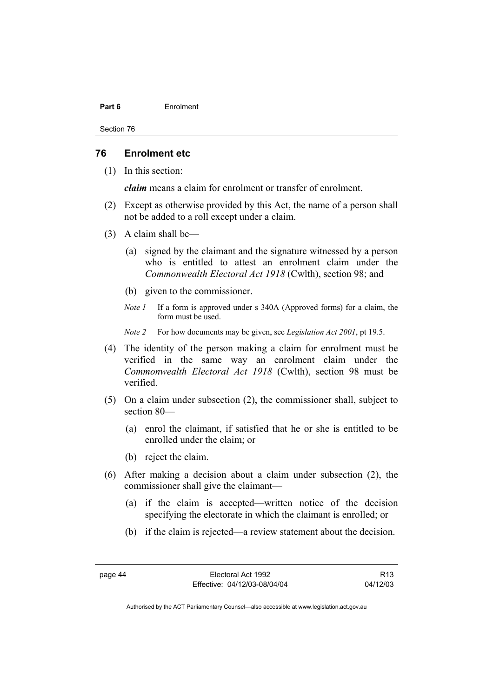#### **Part 6** Enrolment

Section 76

#### **76 Enrolment etc**

(1) In this section:

*claim* means a claim for enrolment or transfer of enrolment.

- (2) Except as otherwise provided by this Act, the name of a person shall not be added to a roll except under a claim.
- (3) A claim shall be—
	- (a) signed by the claimant and the signature witnessed by a person who is entitled to attest an enrolment claim under the *Commonwealth Electoral Act 1918* (Cwlth), section 98; and
	- (b) given to the commissioner.
	- *Note 1* If a form is approved under s 340A (Approved forms) for a claim, the form must be used.
	- *Note 2* For how documents may be given, see *Legislation Act 2001*, pt 19.5.
- (4) The identity of the person making a claim for enrolment must be verified in the same way an enrolment claim under the *Commonwealth Electoral Act 1918* (Cwlth), section 98 must be verified.
- (5) On a claim under subsection (2), the commissioner shall, subject to section 80—
	- (a) enrol the claimant, if satisfied that he or she is entitled to be enrolled under the claim; or
	- (b) reject the claim.
- (6) After making a decision about a claim under subsection (2), the commissioner shall give the claimant—
	- (a) if the claim is accepted—written notice of the decision specifying the electorate in which the claimant is enrolled; or
	- (b) if the claim is rejected—a review statement about the decision.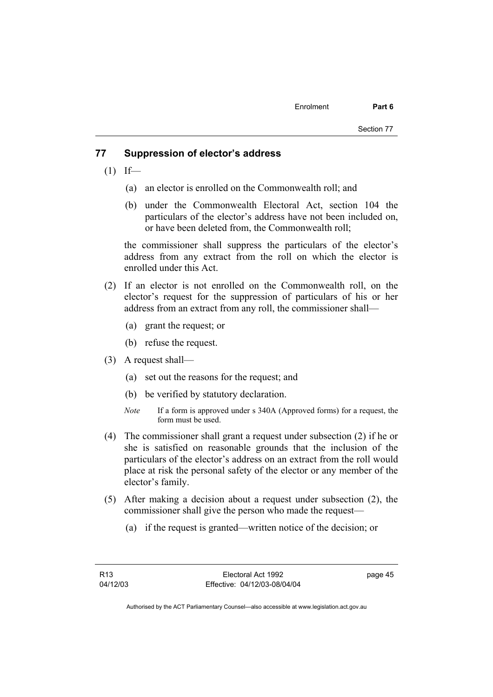#### **77 Suppression of elector's address**

- $(1)$  If—
	- (a) an elector is enrolled on the Commonwealth roll; and
	- (b) under the Commonwealth Electoral Act, section 104 the particulars of the elector's address have not been included on, or have been deleted from, the Commonwealth roll;

the commissioner shall suppress the particulars of the elector's address from any extract from the roll on which the elector is enrolled under this Act.

- (2) If an elector is not enrolled on the Commonwealth roll, on the elector's request for the suppression of particulars of his or her address from an extract from any roll, the commissioner shall—
	- (a) grant the request; or
	- (b) refuse the request.
- (3) A request shall—
	- (a) set out the reasons for the request; and
	- (b) be verified by statutory declaration.
	- *Note* If a form is approved under s 340A (Approved forms) for a request, the form must be used.
- (4) The commissioner shall grant a request under subsection (2) if he or she is satisfied on reasonable grounds that the inclusion of the particulars of the elector's address on an extract from the roll would place at risk the personal safety of the elector or any member of the elector's family.
- (5) After making a decision about a request under subsection (2), the commissioner shall give the person who made the request—
	- (a) if the request is granted—written notice of the decision; or

page 45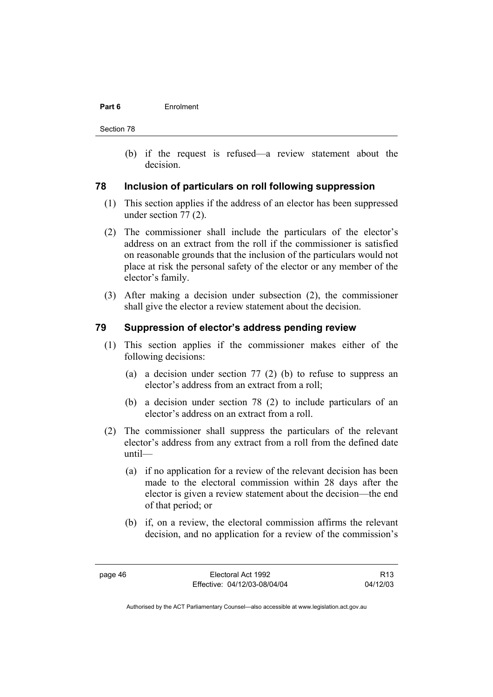#### **Part 6** Enrolment

Section 78

 (b) if the request is refused—a review statement about the decision.

## **78 Inclusion of particulars on roll following suppression**

- (1) This section applies if the address of an elector has been suppressed under section 77 (2).
- (2) The commissioner shall include the particulars of the elector's address on an extract from the roll if the commissioner is satisfied on reasonable grounds that the inclusion of the particulars would not place at risk the personal safety of the elector or any member of the elector's family.
- (3) After making a decision under subsection (2), the commissioner shall give the elector a review statement about the decision.

#### **79 Suppression of elector's address pending review**

- (1) This section applies if the commissioner makes either of the following decisions:
	- (a) a decision under section 77 (2) (b) to refuse to suppress an elector's address from an extract from a roll;
	- (b) a decision under section 78 (2) to include particulars of an elector's address on an extract from a roll.
- (2) The commissioner shall suppress the particulars of the relevant elector's address from any extract from a roll from the defined date until—
	- (a) if no application for a review of the relevant decision has been made to the electoral commission within 28 days after the elector is given a review statement about the decision—the end of that period; or
	- (b) if, on a review, the electoral commission affirms the relevant decision, and no application for a review of the commission's

R13 04/12/03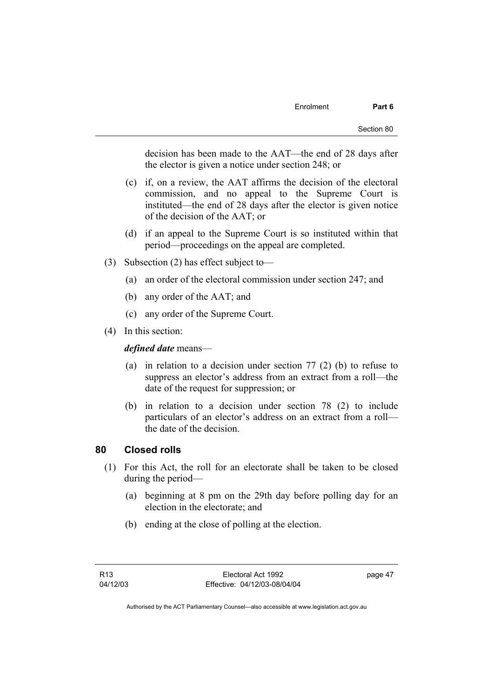decision has been made to the AAT—the end of 28 days after the elector is given a notice under section 248; or

- (c) if, on a review, the AAT affirms the decision of the electoral commission, and no appeal to the Supreme Court is instituted—the end of 28 days after the elector is given notice of the decision of the AAT; or
- (d) if an appeal to the Supreme Court is so instituted within that period—proceedings on the appeal are completed.
- (3) Subsection (2) has effect subject to—
	- (a) an order of the electoral commission under section 247; and
	- (b) any order of the AAT; and
	- (c) any order of the Supreme Court.
- (4) In this section:

*defined date* means—

- (a) in relation to a decision under section 77 (2) (b) to refuse to suppress an elector's address from an extract from a roll—the date of the request for suppression; or
- (b) in relation to a decision under section 78 (2) to include particulars of an elector's address on an extract from a roll the date of the decision.

#### **80 Closed rolls**

- (1) For this Act, the roll for an electorate shall be taken to be closed during the period—
	- (a) beginning at 8 pm on the 29th day before polling day for an election in the electorate; and
	- (b) ending at the close of polling at the election.

page 47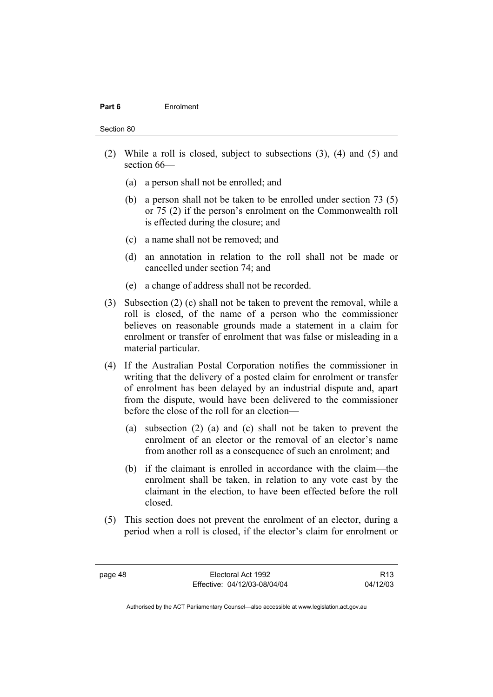#### **Part 6** Enrolment

Section 80

- (2) While a roll is closed, subject to subsections (3), (4) and (5) and section 66—
	- (a) a person shall not be enrolled; and
	- (b) a person shall not be taken to be enrolled under section 73 (5) or 75 (2) if the person's enrolment on the Commonwealth roll is effected during the closure; and
	- (c) a name shall not be removed; and
	- (d) an annotation in relation to the roll shall not be made or cancelled under section 74; and
	- (e) a change of address shall not be recorded.
- (3) Subsection (2) (c) shall not be taken to prevent the removal, while a roll is closed, of the name of a person who the commissioner believes on reasonable grounds made a statement in a claim for enrolment or transfer of enrolment that was false or misleading in a material particular.
- (4) If the Australian Postal Corporation notifies the commissioner in writing that the delivery of a posted claim for enrolment or transfer of enrolment has been delayed by an industrial dispute and, apart from the dispute, would have been delivered to the commissioner before the close of the roll for an election—
	- (a) subsection (2) (a) and (c) shall not be taken to prevent the enrolment of an elector or the removal of an elector's name from another roll as a consequence of such an enrolment; and
	- (b) if the claimant is enrolled in accordance with the claim—the enrolment shall be taken, in relation to any vote cast by the claimant in the election, to have been effected before the roll closed.
- (5) This section does not prevent the enrolment of an elector, during a period when a roll is closed, if the elector's claim for enrolment or

R13 04/12/03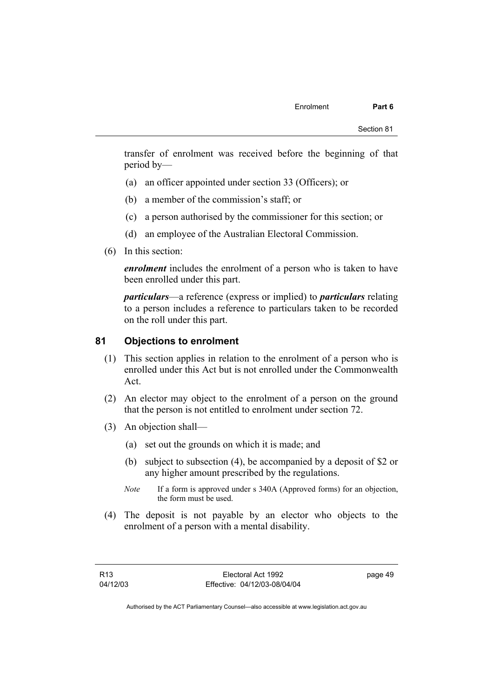transfer of enrolment was received before the beginning of that period by—

- (a) an officer appointed under section 33 (Officers); or
- (b) a member of the commission's staff; or
- (c) a person authorised by the commissioner for this section; or
- (d) an employee of the Australian Electoral Commission.
- (6) In this section:

*enrolment* includes the enrolment of a person who is taken to have been enrolled under this part.

*particulars*—a reference (express or implied) to *particulars* relating to a person includes a reference to particulars taken to be recorded on the roll under this part.

## **81 Objections to enrolment**

- (1) This section applies in relation to the enrolment of a person who is enrolled under this Act but is not enrolled under the Commonwealth Act.
- (2) An elector may object to the enrolment of a person on the ground that the person is not entitled to enrolment under section 72.
- (3) An objection shall—
	- (a) set out the grounds on which it is made; and
	- (b) subject to subsection (4), be accompanied by a deposit of \$2 or any higher amount prescribed by the regulations.
	- *Note* If a form is approved under s 340A (Approved forms) for an objection, the form must be used.
- (4) The deposit is not payable by an elector who objects to the enrolment of a person with a mental disability.

page 49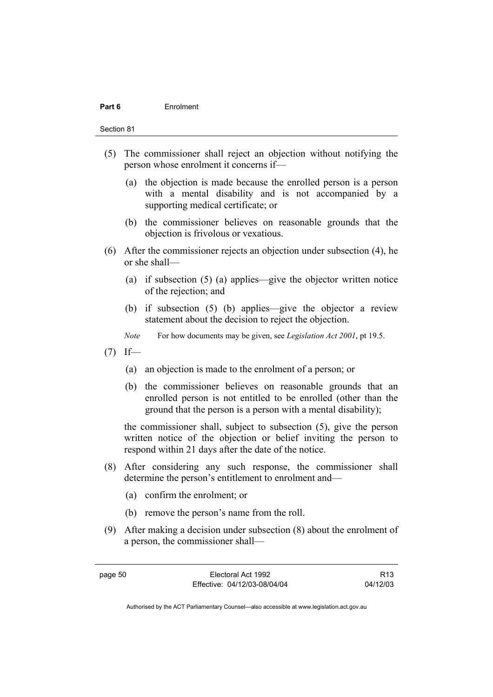#### **Part 6** Enrolment

Section 81

- (5) The commissioner shall reject an objection without notifying the person whose enrolment it concerns if—
	- (a) the objection is made because the enrolled person is a person with a mental disability and is not accompanied by a supporting medical certificate; or
	- (b) the commissioner believes on reasonable grounds that the objection is frivolous or vexatious.
- (6) After the commissioner rejects an objection under subsection (4), he or she shall—
	- (a) if subsection (5) (a) applies—give the objector written notice of the rejection; and
	- (b) if subsection (5) (b) applies—give the objector a review statement about the decision to reject the objection.
	- *Note* For how documents may be given, see *Legislation Act 2001*, pt 19.5.
- $(7)$  If—
	- (a) an objection is made to the enrolment of a person; or
	- (b) the commissioner believes on reasonable grounds that an enrolled person is not entitled to be enrolled (other than the ground that the person is a person with a mental disability);

the commissioner shall, subject to subsection (5), give the person written notice of the objection or belief inviting the person to respond within 21 days after the date of the notice.

- (8) After considering any such response, the commissioner shall determine the person's entitlement to enrolment and—
	- (a) confirm the enrolment; or
	- (b) remove the person's name from the roll.
- (9) After making a decision under subsection (8) about the enrolment of a person, the commissioner shall—

R13 04/12/03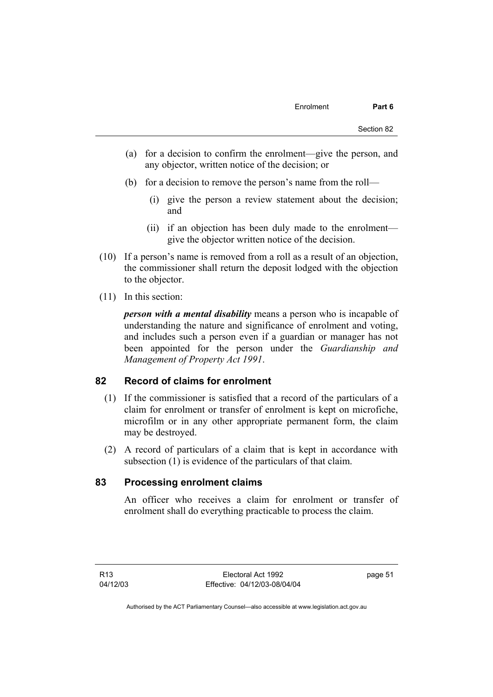- (a) for a decision to confirm the enrolment—give the person, and any objector, written notice of the decision; or
- (b) for a decision to remove the person's name from the roll—
	- (i) give the person a review statement about the decision; and
	- (ii) if an objection has been duly made to the enrolment give the objector written notice of the decision.
- (10) If a person's name is removed from a roll as a result of an objection, the commissioner shall return the deposit lodged with the objection to the objector.
- (11) In this section:

*person with a mental disability* means a person who is incapable of understanding the nature and significance of enrolment and voting, and includes such a person even if a guardian or manager has not been appointed for the person under the *Guardianship and Management of Property Act 1991*.

# **82 Record of claims for enrolment**

- (1) If the commissioner is satisfied that a record of the particulars of a claim for enrolment or transfer of enrolment is kept on microfiche, microfilm or in any other appropriate permanent form, the claim may be destroyed.
- (2) A record of particulars of a claim that is kept in accordance with subsection (1) is evidence of the particulars of that claim.

## **83 Processing enrolment claims**

An officer who receives a claim for enrolment or transfer of enrolment shall do everything practicable to process the claim.

page 51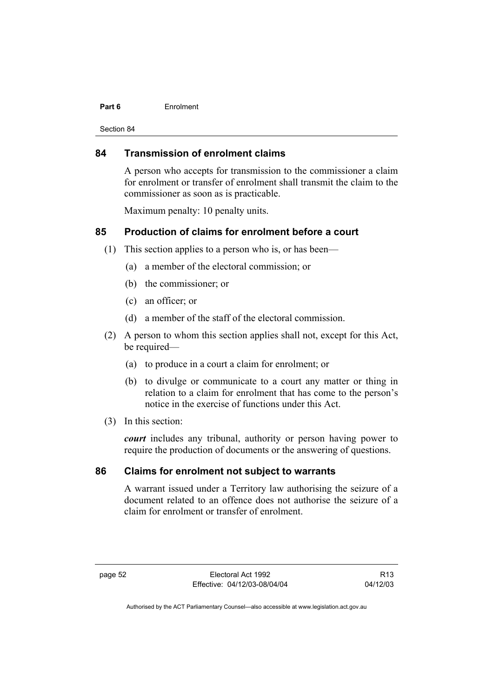#### **Part 6** Enrolment

Section 84

## **84 Transmission of enrolment claims**

A person who accepts for transmission to the commissioner a claim for enrolment or transfer of enrolment shall transmit the claim to the commissioner as soon as is practicable.

Maximum penalty: 10 penalty units.

# **85 Production of claims for enrolment before a court**

- (1) This section applies to a person who is, or has been—
	- (a) a member of the electoral commission; or
	- (b) the commissioner; or
	- (c) an officer; or
	- (d) a member of the staff of the electoral commission.
- (2) A person to whom this section applies shall not, except for this Act, be required—
	- (a) to produce in a court a claim for enrolment; or
	- (b) to divulge or communicate to a court any matter or thing in relation to a claim for enrolment that has come to the person's notice in the exercise of functions under this Act.
- (3) In this section:

*court* includes any tribunal, authority or person having power to require the production of documents or the answering of questions.

## **86 Claims for enrolment not subject to warrants**

A warrant issued under a Territory law authorising the seizure of a document related to an offence does not authorise the seizure of a claim for enrolment or transfer of enrolment.

R13 04/12/03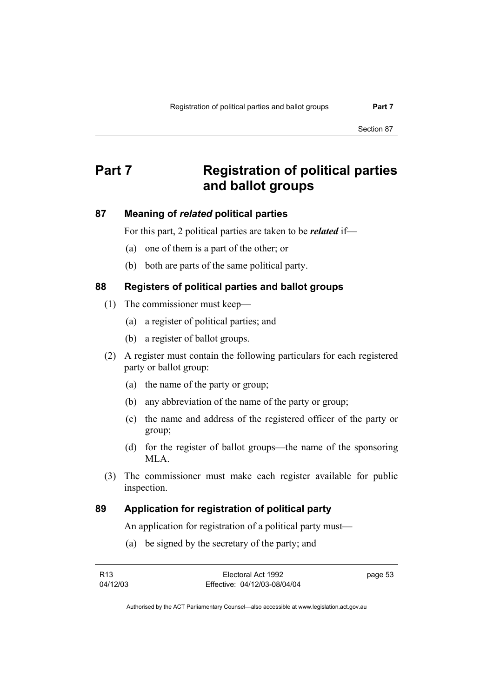Section 87

# **Part 7 Registration of political parties and ballot groups**

# **87 Meaning of** *related* **political parties**

For this part, 2 political parties are taken to be *related* if—

- (a) one of them is a part of the other; or
- (b) both are parts of the same political party.

# **88 Registers of political parties and ballot groups**

- (1) The commissioner must keep—
	- (a) a register of political parties; and
	- (b) a register of ballot groups.
- (2) A register must contain the following particulars for each registered party or ballot group:
	- (a) the name of the party or group;
	- (b) any abbreviation of the name of the party or group;
	- (c) the name and address of the registered officer of the party or group;
	- (d) for the register of ballot groups—the name of the sponsoring MLA.
- (3) The commissioner must make each register available for public inspection.

# **89 Application for registration of political party**

An application for registration of a political party must—

(a) be signed by the secretary of the party; and

| R13      | Electoral Act 1992           | page 53 |
|----------|------------------------------|---------|
| 04/12/03 | Effective: 04/12/03-08/04/04 |         |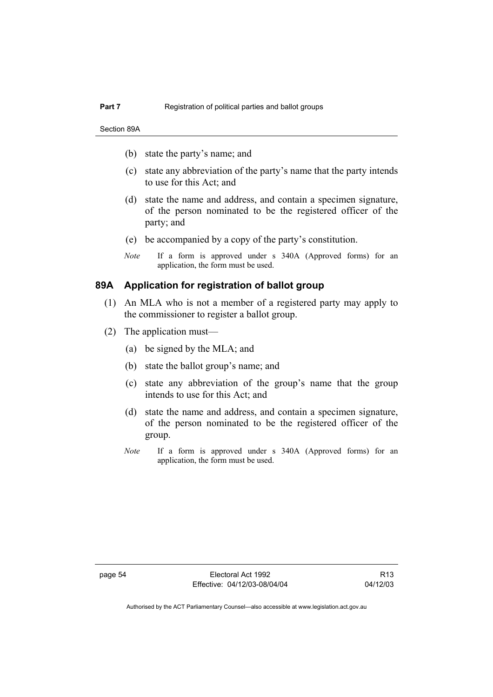- (b) state the party's name; and
- (c) state any abbreviation of the party's name that the party intends to use for this Act; and
- (d) state the name and address, and contain a specimen signature, of the person nominated to be the registered officer of the party; and
- (e) be accompanied by a copy of the party's constitution.
- *Note* If a form is approved under s 340A (Approved forms) for an application, the form must be used.

## **89A Application for registration of ballot group**

- (1) An MLA who is not a member of a registered party may apply to the commissioner to register a ballot group.
- (2) The application must—
	- (a) be signed by the MLA; and
	- (b) state the ballot group's name; and
	- (c) state any abbreviation of the group's name that the group intends to use for this Act; and
	- (d) state the name and address, and contain a specimen signature, of the person nominated to be the registered officer of the group.
	- *Note* If a form is approved under s 340A (Approved forms) for an application, the form must be used.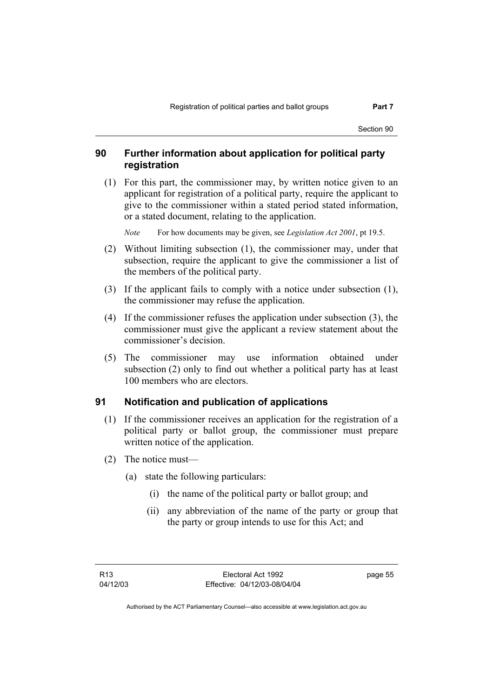Section 90

# **90 Further information about application for political party registration**

 (1) For this part, the commissioner may, by written notice given to an applicant for registration of a political party, require the applicant to give to the commissioner within a stated period stated information, or a stated document, relating to the application.

*Note* For how documents may be given, see *Legislation Act 2001*, pt 19.5.

- (2) Without limiting subsection (1), the commissioner may, under that subsection, require the applicant to give the commissioner a list of the members of the political party.
- (3) If the applicant fails to comply with a notice under subsection (1), the commissioner may refuse the application.
- (4) If the commissioner refuses the application under subsection (3), the commissioner must give the applicant a review statement about the commissioner's decision.
- (5) The commissioner may use information obtained under subsection (2) only to find out whether a political party has at least 100 members who are electors.

# **91 Notification and publication of applications**

- (1) If the commissioner receives an application for the registration of a political party or ballot group, the commissioner must prepare written notice of the application.
- (2) The notice must—
	- (a) state the following particulars:
		- (i) the name of the political party or ballot group; and
		- (ii) any abbreviation of the name of the party or group that the party or group intends to use for this Act; and

page 55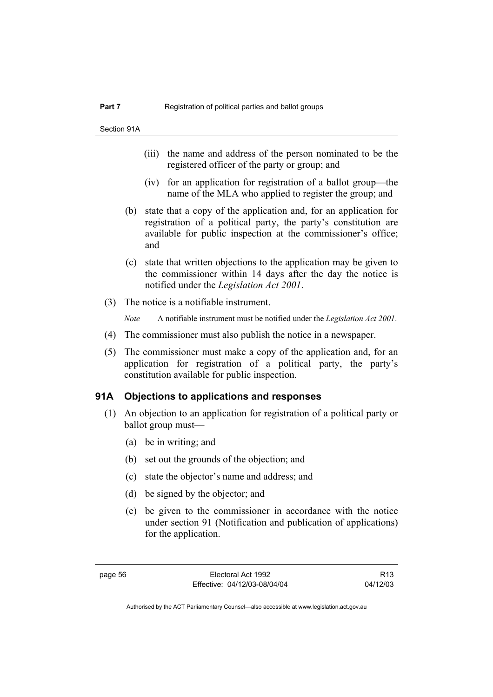- (iii) the name and address of the person nominated to be the registered officer of the party or group; and
- (iv) for an application for registration of a ballot group—the name of the MLA who applied to register the group; and
- (b) state that a copy of the application and, for an application for registration of a political party, the party's constitution are available for public inspection at the commissioner's office; and
- (c) state that written objections to the application may be given to the commissioner within 14 days after the day the notice is notified under the *Legislation Act 2001*.
- (3) The notice is a notifiable instrument.

*Note* A notifiable instrument must be notified under the *Legislation Act 2001*.

- (4) The commissioner must also publish the notice in a newspaper.
- (5) The commissioner must make a copy of the application and, for an application for registration of a political party, the party's constitution available for public inspection.

## **91A Objections to applications and responses**

- (1) An objection to an application for registration of a political party or ballot group must—
	- (a) be in writing; and
	- (b) set out the grounds of the objection; and
	- (c) state the objector's name and address; and
	- (d) be signed by the objector; and
	- (e) be given to the commissioner in accordance with the notice under section 91 (Notification and publication of applications) for the application.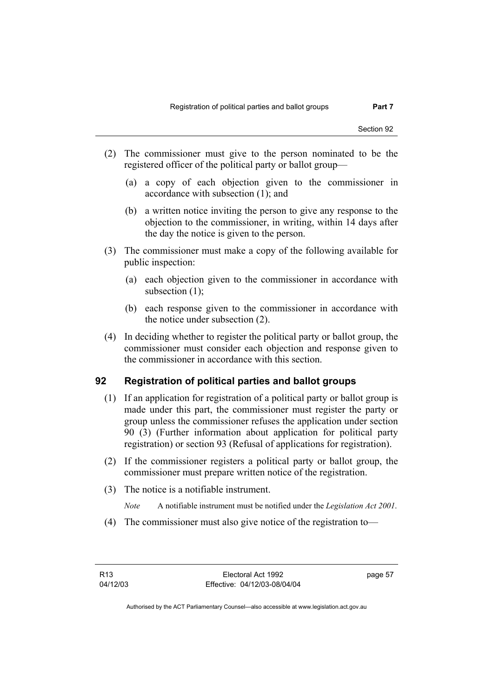- (2) The commissioner must give to the person nominated to be the registered officer of the political party or ballot group—
	- (a) a copy of each objection given to the commissioner in accordance with subsection (1); and
	- (b) a written notice inviting the person to give any response to the objection to the commissioner, in writing, within 14 days after the day the notice is given to the person.
- (3) The commissioner must make a copy of the following available for public inspection:
	- (a) each objection given to the commissioner in accordance with subsection (1);
	- (b) each response given to the commissioner in accordance with the notice under subsection (2).
- (4) In deciding whether to register the political party or ballot group, the commissioner must consider each objection and response given to the commissioner in accordance with this section.

# **92 Registration of political parties and ballot groups**

- (1) If an application for registration of a political party or ballot group is made under this part, the commissioner must register the party or group unless the commissioner refuses the application under section 90 (3) (Further information about application for political party registration) or section 93 (Refusal of applications for registration).
- (2) If the commissioner registers a political party or ballot group, the commissioner must prepare written notice of the registration.
- (3) The notice is a notifiable instrument.
	- *Note* A notifiable instrument must be notified under the *Legislation Act 2001*.
- (4) The commissioner must also give notice of the registration to—

page 57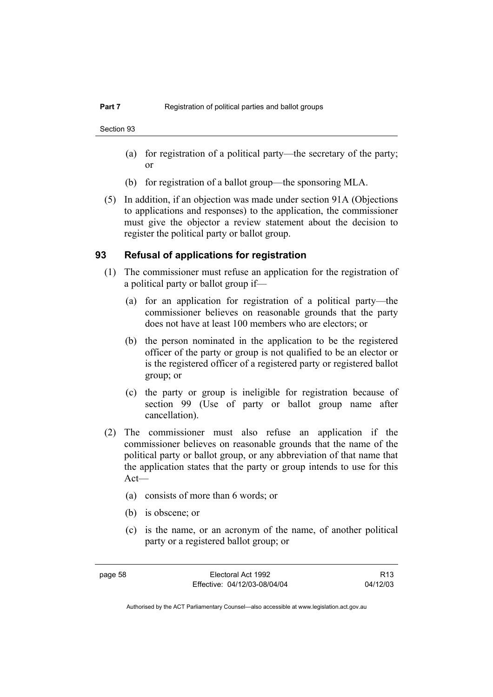- (a) for registration of a political party—the secretary of the party; or
- (b) for registration of a ballot group—the sponsoring MLA.
- (5) In addition, if an objection was made under section 91A (Objections to applications and responses) to the application, the commissioner must give the objector a review statement about the decision to register the political party or ballot group.

## **93 Refusal of applications for registration**

- (1) The commissioner must refuse an application for the registration of a political party or ballot group if—
	- (a) for an application for registration of a political party—the commissioner believes on reasonable grounds that the party does not have at least 100 members who are electors; or
	- (b) the person nominated in the application to be the registered officer of the party or group is not qualified to be an elector or is the registered officer of a registered party or registered ballot group; or
	- (c) the party or group is ineligible for registration because of section 99 (Use of party or ballot group name after cancellation).
- (2) The commissioner must also refuse an application if the commissioner believes on reasonable grounds that the name of the political party or ballot group, or any abbreviation of that name that the application states that the party or group intends to use for this Act—
	- (a) consists of more than 6 words; or
	- (b) is obscene; or
	- (c) is the name, or an acronym of the name, of another political party or a registered ballot group; or

R13 04/12/03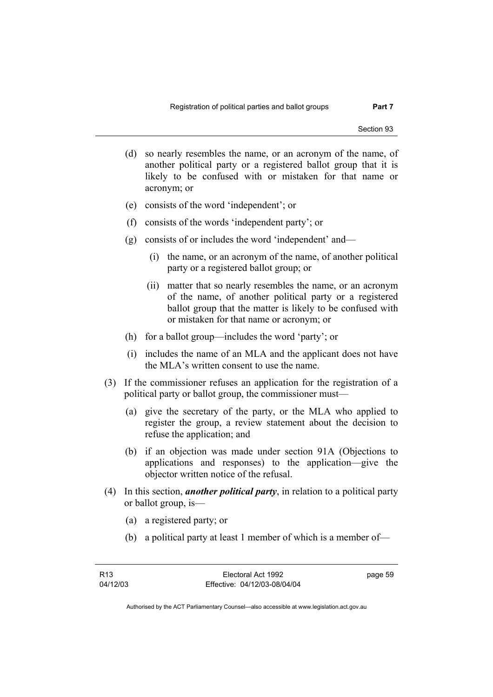- (d) so nearly resembles the name, or an acronym of the name, of another political party or a registered ballot group that it is likely to be confused with or mistaken for that name or acronym; or
- (e) consists of the word 'independent'; or
- (f) consists of the words 'independent party'; or
- (g) consists of or includes the word 'independent' and—
	- (i) the name, or an acronym of the name, of another political party or a registered ballot group; or
	- (ii) matter that so nearly resembles the name, or an acronym of the name, of another political party or a registered ballot group that the matter is likely to be confused with or mistaken for that name or acronym; or
- (h) for a ballot group—includes the word 'party'; or
- (i) includes the name of an MLA and the applicant does not have the MLA's written consent to use the name.
- (3) If the commissioner refuses an application for the registration of a political party or ballot group, the commissioner must—
	- (a) give the secretary of the party, or the MLA who applied to register the group, a review statement about the decision to refuse the application; and
	- (b) if an objection was made under section 91A (Objections to applications and responses) to the application—give the objector written notice of the refusal.
- (4) In this section, *another political party*, in relation to a political party or ballot group, is—
	- (a) a registered party; or
	- (b) a political party at least 1 member of which is a member of—

page 59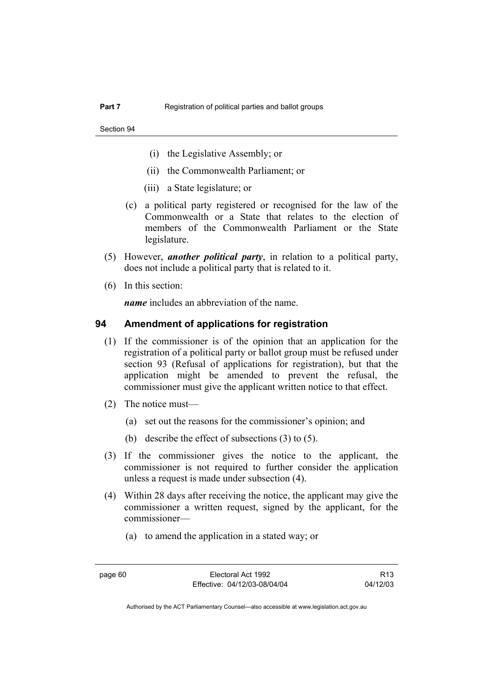- (i) the Legislative Assembly; or
- (ii) the Commonwealth Parliament; or
- (iii) a State legislature; or
- (c) a political party registered or recognised for the law of the Commonwealth or a State that relates to the election of members of the Commonwealth Parliament or the State legislature.
- (5) However, *another political party*, in relation to a political party, does not include a political party that is related to it.
- (6) In this section:

*name* includes an abbreviation of the name.

## **94 Amendment of applications for registration**

- (1) If the commissioner is of the opinion that an application for the registration of a political party or ballot group must be refused under section 93 (Refusal of applications for registration), but that the application might be amended to prevent the refusal, the commissioner must give the applicant written notice to that effect.
- (2) The notice must—
	- (a) set out the reasons for the commissioner's opinion; and
	- (b) describe the effect of subsections (3) to (5).
- (3) If the commissioner gives the notice to the applicant, the commissioner is not required to further consider the application unless a request is made under subsection (4).
- (4) Within 28 days after receiving the notice, the applicant may give the commissioner a written request, signed by the applicant, for the commissioner—
	- (a) to amend the application in a stated way; or

page 60 Electoral Act 1992 Effective: 04/12/03-08/04/04

R13 04/12/03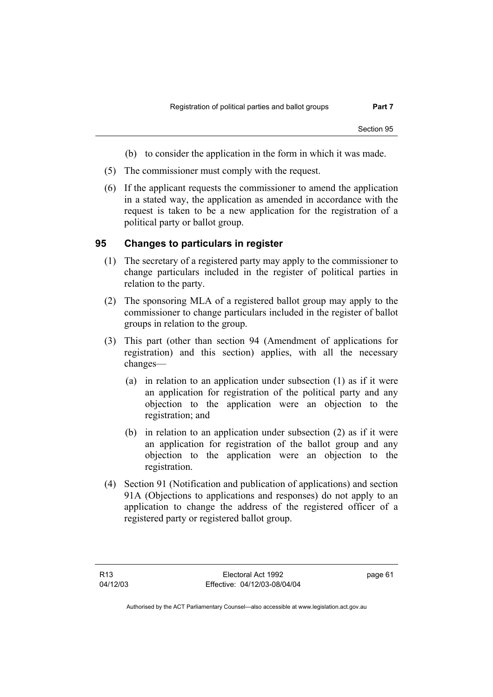- (b) to consider the application in the form in which it was made.
- (5) The commissioner must comply with the request.
- (6) If the applicant requests the commissioner to amend the application in a stated way, the application as amended in accordance with the request is taken to be a new application for the registration of a political party or ballot group.

# **95 Changes to particulars in register**

- (1) The secretary of a registered party may apply to the commissioner to change particulars included in the register of political parties in relation to the party.
- (2) The sponsoring MLA of a registered ballot group may apply to the commissioner to change particulars included in the register of ballot groups in relation to the group.
- (3) This part (other than section 94 (Amendment of applications for registration) and this section) applies, with all the necessary changes—
	- (a) in relation to an application under subsection (1) as if it were an application for registration of the political party and any objection to the application were an objection to the registration; and
	- (b) in relation to an application under subsection (2) as if it were an application for registration of the ballot group and any objection to the application were an objection to the registration.
- (4) Section 91 (Notification and publication of applications) and section 91A (Objections to applications and responses) do not apply to an application to change the address of the registered officer of a registered party or registered ballot group.

page 61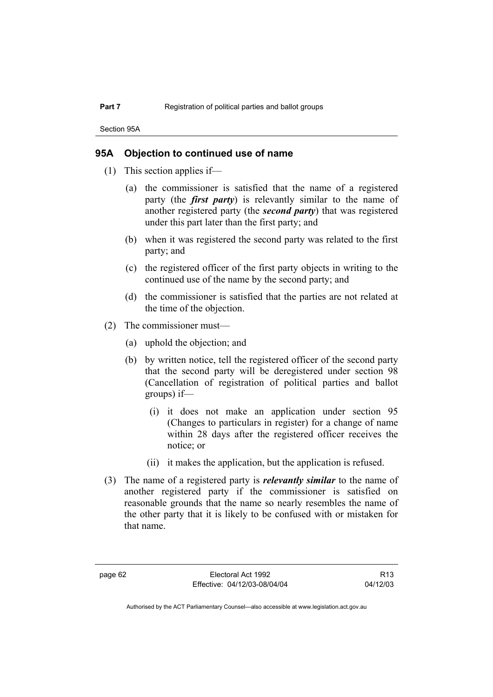Section 95A

# **95A Objection to continued use of name**

- (1) This section applies if—
	- (a) the commissioner is satisfied that the name of a registered party (the *first party*) is relevantly similar to the name of another registered party (the *second party*) that was registered under this part later than the first party; and
	- (b) when it was registered the second party was related to the first party; and
	- (c) the registered officer of the first party objects in writing to the continued use of the name by the second party; and
	- (d) the commissioner is satisfied that the parties are not related at the time of the objection.
- (2) The commissioner must—
	- (a) uphold the objection; and
	- (b) by written notice, tell the registered officer of the second party that the second party will be deregistered under section 98 (Cancellation of registration of political parties and ballot groups) if—
		- (i) it does not make an application under section 95 (Changes to particulars in register) for a change of name within 28 days after the registered officer receives the notice; or
		- (ii) it makes the application, but the application is refused.
- (3) The name of a registered party is *relevantly similar* to the name of another registered party if the commissioner is satisfied on reasonable grounds that the name so nearly resembles the name of the other party that it is likely to be confused with or mistaken for that name.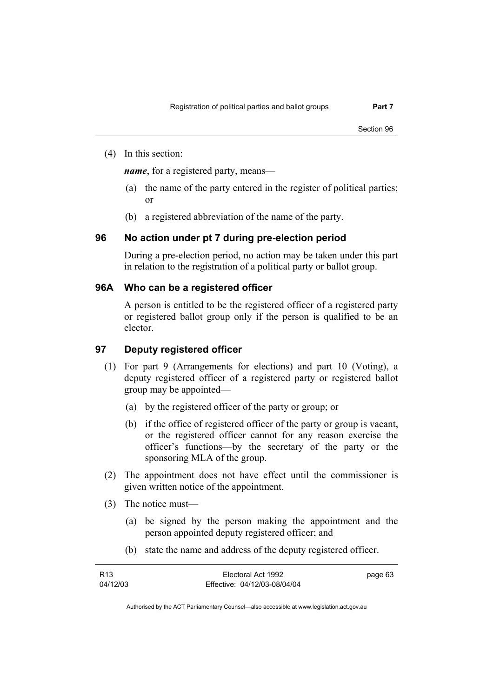(4) In this section:

*name*, for a registered party, means—

- (a) the name of the party entered in the register of political parties; or
- (b) a registered abbreviation of the name of the party.

# **96 No action under pt 7 during pre-election period**

During a pre-election period, no action may be taken under this part in relation to the registration of a political party or ballot group.

# **96A Who can be a registered officer**

A person is entitled to be the registered officer of a registered party or registered ballot group only if the person is qualified to be an elector.

## **97 Deputy registered officer**

- (1) For part 9 (Arrangements for elections) and part 10 (Voting), a deputy registered officer of a registered party or registered ballot group may be appointed—
	- (a) by the registered officer of the party or group; or
	- (b) if the office of registered officer of the party or group is vacant, or the registered officer cannot for any reason exercise the officer's functions—by the secretary of the party or the sponsoring MLA of the group.
- (2) The appointment does not have effect until the commissioner is given written notice of the appointment.
- (3) The notice must—
	- (a) be signed by the person making the appointment and the person appointed deputy registered officer; and
	- (b) state the name and address of the deputy registered officer.

| R <sub>13</sub> | Electoral Act 1992           | page 63 |
|-----------------|------------------------------|---------|
| 04/12/03        | Effective: 04/12/03-08/04/04 |         |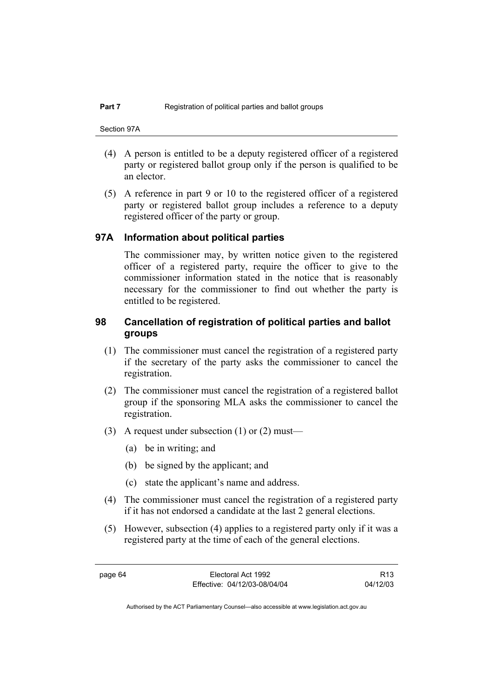- (4) A person is entitled to be a deputy registered officer of a registered party or registered ballot group only if the person is qualified to be an elector.
- (5) A reference in part 9 or 10 to the registered officer of a registered party or registered ballot group includes a reference to a deputy registered officer of the party or group.

## **97A Information about political parties**

The commissioner may, by written notice given to the registered officer of a registered party, require the officer to give to the commissioner information stated in the notice that is reasonably necessary for the commissioner to find out whether the party is entitled to be registered.

# **98 Cancellation of registration of political parties and ballot groups**

- (1) The commissioner must cancel the registration of a registered party if the secretary of the party asks the commissioner to cancel the registration.
- (2) The commissioner must cancel the registration of a registered ballot group if the sponsoring MLA asks the commissioner to cancel the registration.
- (3) A request under subsection (1) or (2) must—
	- (a) be in writing; and
	- (b) be signed by the applicant; and
	- (c) state the applicant's name and address.
- (4) The commissioner must cancel the registration of a registered party if it has not endorsed a candidate at the last 2 general elections.
- (5) However, subsection (4) applies to a registered party only if it was a registered party at the time of each of the general elections.

page 64 Electoral Act 1992 Effective: 04/12/03-08/04/04

R13 04/12/03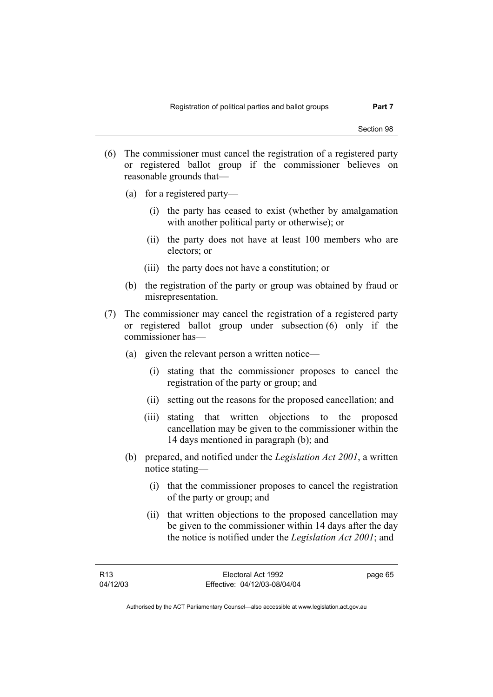- (6) The commissioner must cancel the registration of a registered party or registered ballot group if the commissioner believes on reasonable grounds that—
	- (a) for a registered party—
		- (i) the party has ceased to exist (whether by amalgamation with another political party or otherwise); or
		- (ii) the party does not have at least 100 members who are electors; or
		- (iii) the party does not have a constitution; or
	- (b) the registration of the party or group was obtained by fraud or misrepresentation.
- (7) The commissioner may cancel the registration of a registered party or registered ballot group under subsection (6) only if the commissioner has—
	- (a) given the relevant person a written notice—
		- (i) stating that the commissioner proposes to cancel the registration of the party or group; and
		- (ii) setting out the reasons for the proposed cancellation; and
		- (iii) stating that written objections to the proposed cancellation may be given to the commissioner within the 14 days mentioned in paragraph (b); and
	- (b) prepared, and notified under the *Legislation Act 2001*, a written notice stating—
		- (i) that the commissioner proposes to cancel the registration of the party or group; and
		- (ii) that written objections to the proposed cancellation may be given to the commissioner within 14 days after the day the notice is notified under the *Legislation Act 2001*; and

page 65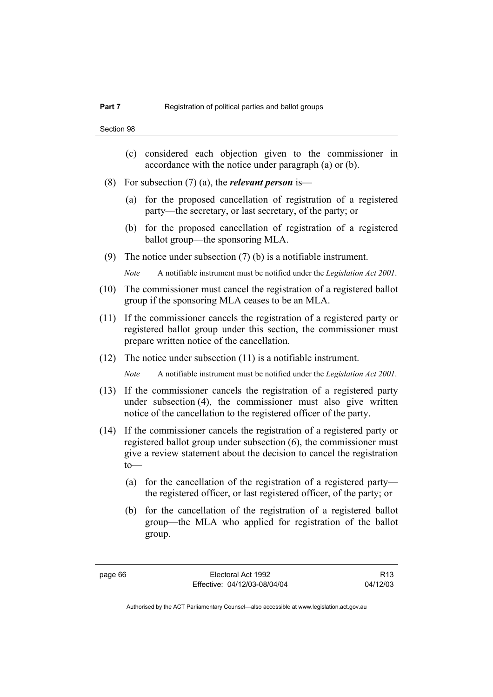- (c) considered each objection given to the commissioner in accordance with the notice under paragraph (a) or (b).
- (8) For subsection (7) (a), the *relevant person* is—
	- (a) for the proposed cancellation of registration of a registered party—the secretary, or last secretary, of the party; or
	- (b) for the proposed cancellation of registration of a registered ballot group—the sponsoring MLA.
- (9) The notice under subsection (7) (b) is a notifiable instrument.

*Note* A notifiable instrument must be notified under the *Legislation Act 2001*.

- (10) The commissioner must cancel the registration of a registered ballot group if the sponsoring MLA ceases to be an MLA.
- (11) If the commissioner cancels the registration of a registered party or registered ballot group under this section, the commissioner must prepare written notice of the cancellation.
- (12) The notice under subsection (11) is a notifiable instrument.

*Note* A notifiable instrument must be notified under the *Legislation Act 2001*.

- (13) If the commissioner cancels the registration of a registered party under subsection (4), the commissioner must also give written notice of the cancellation to the registered officer of the party.
- (14) If the commissioner cancels the registration of a registered party or registered ballot group under subsection (6), the commissioner must give a review statement about the decision to cancel the registration  $to$ —
	- (a) for the cancellation of the registration of a registered party the registered officer, or last registered officer, of the party; or
	- (b) for the cancellation of the registration of a registered ballot group—the MLA who applied for registration of the ballot group.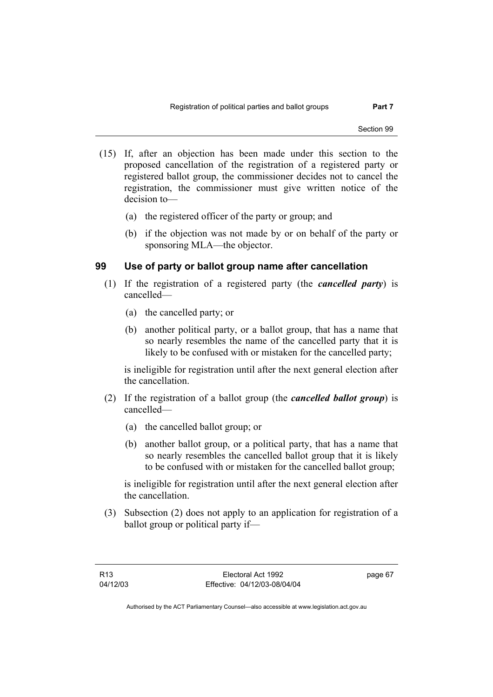- (15) If, after an objection has been made under this section to the proposed cancellation of the registration of a registered party or registered ballot group, the commissioner decides not to cancel the registration, the commissioner must give written notice of the decision to—
	- (a) the registered officer of the party or group; and
	- (b) if the objection was not made by or on behalf of the party or sponsoring MLA—the objector.

# **99 Use of party or ballot group name after cancellation**

- (1) If the registration of a registered party (the *cancelled party*) is cancelled—
	- (a) the cancelled party; or
	- (b) another political party, or a ballot group, that has a name that so nearly resembles the name of the cancelled party that it is likely to be confused with or mistaken for the cancelled party;

is ineligible for registration until after the next general election after the cancellation.

- (2) If the registration of a ballot group (the *cancelled ballot group*) is cancelled—
	- (a) the cancelled ballot group; or
	- (b) another ballot group, or a political party, that has a name that so nearly resembles the cancelled ballot group that it is likely to be confused with or mistaken for the cancelled ballot group;

is ineligible for registration until after the next general election after the cancellation.

 (3) Subsection (2) does not apply to an application for registration of a ballot group or political party if—

page 67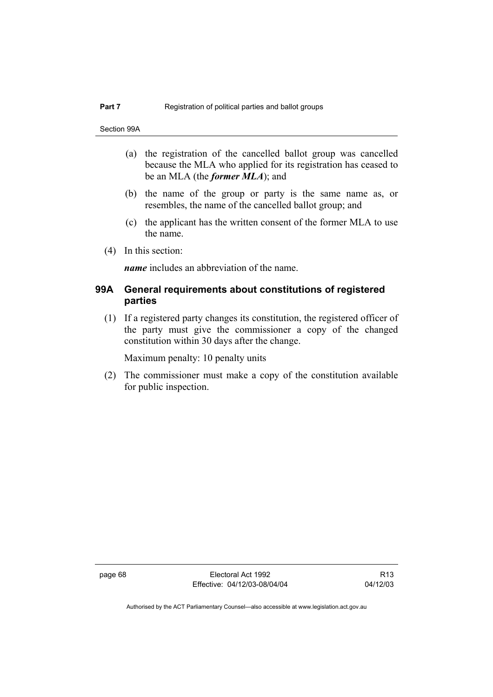- (a) the registration of the cancelled ballot group was cancelled because the MLA who applied for its registration has ceased to be an MLA (the *former MLA*); and
- (b) the name of the group or party is the same name as, or resembles, the name of the cancelled ballot group; and
- (c) the applicant has the written consent of the former MLA to use the name.
- (4) In this section:

*name* includes an abbreviation of the name.

# **99A General requirements about constitutions of registered parties**

 (1) If a registered party changes its constitution, the registered officer of the party must give the commissioner a copy of the changed constitution within 30 days after the change.

Maximum penalty: 10 penalty units

 (2) The commissioner must make a copy of the constitution available for public inspection.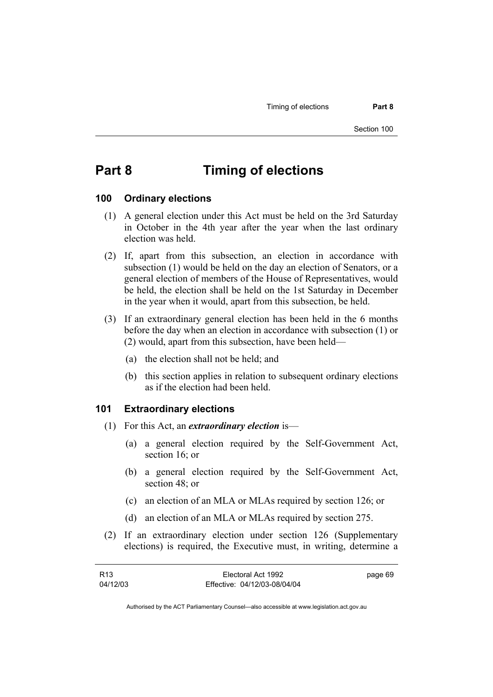Timing of elections **Part 8** 

# **Part 8 Timing of elections**

#### **100 Ordinary elections**

- (1) A general election under this Act must be held on the 3rd Saturday in October in the 4th year after the year when the last ordinary election was held.
- (2) If, apart from this subsection, an election in accordance with subsection (1) would be held on the day an election of Senators, or a general election of members of the House of Representatives, would be held, the election shall be held on the 1st Saturday in December in the year when it would, apart from this subsection, be held.
- (3) If an extraordinary general election has been held in the 6 months before the day when an election in accordance with subsection (1) or (2) would, apart from this subsection, have been held—
	- (a) the election shall not be held; and
	- (b) this section applies in relation to subsequent ordinary elections as if the election had been held.

# **101 Extraordinary elections**

- (1) For this Act, an *extraordinary election* is—
	- (a) a general election required by the Self-Government Act, section 16; or
	- (b) a general election required by the Self-Government Act, section 48; or
	- (c) an election of an MLA or MLAs required by section 126; or
	- (d) an election of an MLA or MLAs required by section 275.
- (2) If an extraordinary election under section 126 (Supplementary elections) is required, the Executive must, in writing, determine a

| R13      | Electoral Act 1992           | page 69 |
|----------|------------------------------|---------|
| 04/12/03 | Effective: 04/12/03-08/04/04 |         |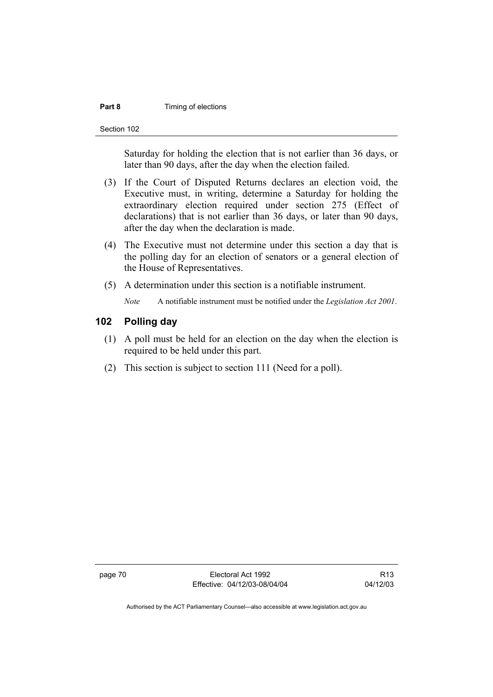#### **Part 8 Timing of elections**

Section 102

Saturday for holding the election that is not earlier than 36 days, or later than 90 days, after the day when the election failed.

- (3) If the Court of Disputed Returns declares an election void, the Executive must, in writing, determine a Saturday for holding the extraordinary election required under section 275 (Effect of declarations) that is not earlier than 36 days, or later than 90 days, after the day when the declaration is made.
- (4) The Executive must not determine under this section a day that is the polling day for an election of senators or a general election of the House of Representatives.
- (5) A determination under this section is a notifiable instrument.

*Note* A notifiable instrument must be notified under the *Legislation Act 2001*.

# **102 Polling day**

- (1) A poll must be held for an election on the day when the election is required to be held under this part.
- (2) This section is subject to section 111 (Need for a poll).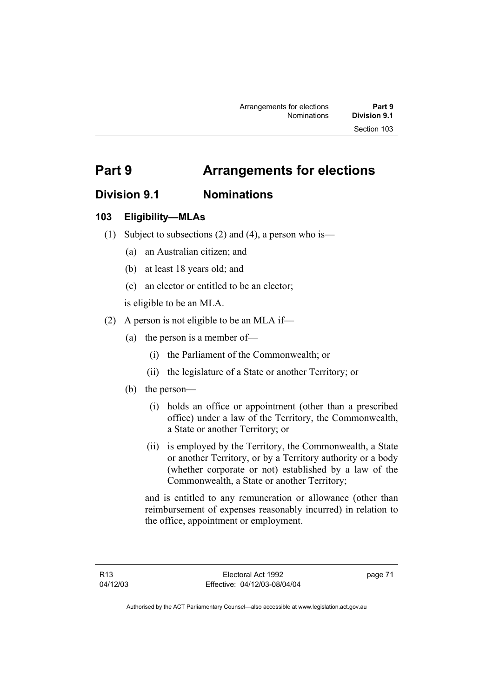# **Part 9 Arrangements for elections**

# **Division 9.1 Nominations**

# **103 Eligibility—MLAs**

- (1) Subject to subsections (2) and (4), a person who is—
	- (a) an Australian citizen; and
	- (b) at least 18 years old; and
	- (c) an elector or entitled to be an elector;

is eligible to be an MLA.

- (2) A person is not eligible to be an MLA if—
	- (a) the person is a member of—
		- (i) the Parliament of the Commonwealth; or
		- (ii) the legislature of a State or another Territory; or
	- (b) the person—
		- (i) holds an office or appointment (other than a prescribed office) under a law of the Territory, the Commonwealth, a State or another Territory; or
		- (ii) is employed by the Territory, the Commonwealth, a State or another Territory, or by a Territory authority or a body (whether corporate or not) established by a law of the Commonwealth, a State or another Territory;

and is entitled to any remuneration or allowance (other than reimbursement of expenses reasonably incurred) in relation to the office, appointment or employment.

page 71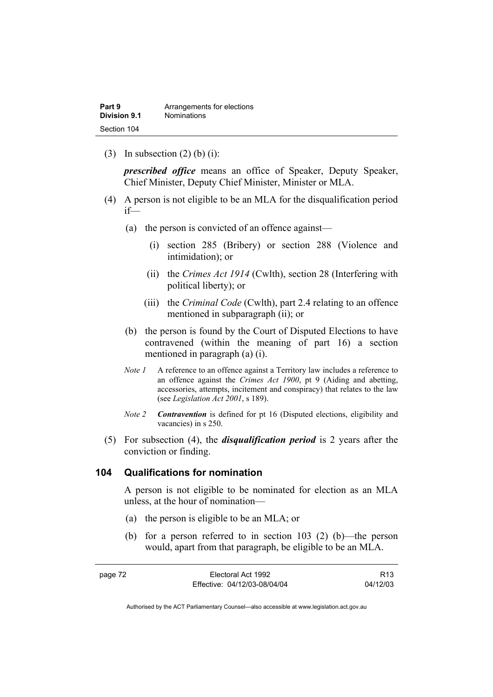(3) In subsection  $(2)$  (b) (i):

*prescribed office* means an office of Speaker, Deputy Speaker, Chief Minister, Deputy Chief Minister, Minister or MLA.

- (4) A person is not eligible to be an MLA for the disqualification period if—
	- (a) the person is convicted of an offence against—
		- (i) section 285 (Bribery) or section 288 (Violence and intimidation); or
		- (ii) the *Crimes Act 1914* (Cwlth), section 28 (Interfering with political liberty); or
		- (iii) the *Criminal Code* (Cwlth), part 2.4 relating to an offence mentioned in subparagraph (ii); or
	- (b) the person is found by the Court of Disputed Elections to have contravened (within the meaning of part 16) a section mentioned in paragraph (a) (i).
	- *Note 1* A reference to an offence against a Territory law includes a reference to an offence against the *Crimes Act 1900*, pt 9 (Aiding and abetting, accessories, attempts, incitement and conspiracy) that relates to the law (see *Legislation Act 2001*, s 189).
	- *Note 2 Contravention* is defined for pt 16 (Disputed elections, eligibility and vacancies) in s 250.
- (5) For subsection (4), the *disqualification period* is 2 years after the conviction or finding.

### **104 Qualifications for nomination**

A person is not eligible to be nominated for election as an MLA unless, at the hour of nomination—

- (a) the person is eligible to be an MLA; or
- (b) for a person referred to in section 103 (2) (b)—the person would, apart from that paragraph, be eligible to be an MLA.

| page 72 | Electoral Act 1992           | R <sub>13</sub> |
|---------|------------------------------|-----------------|
|         | Effective: 04/12/03-08/04/04 | 04/12/03        |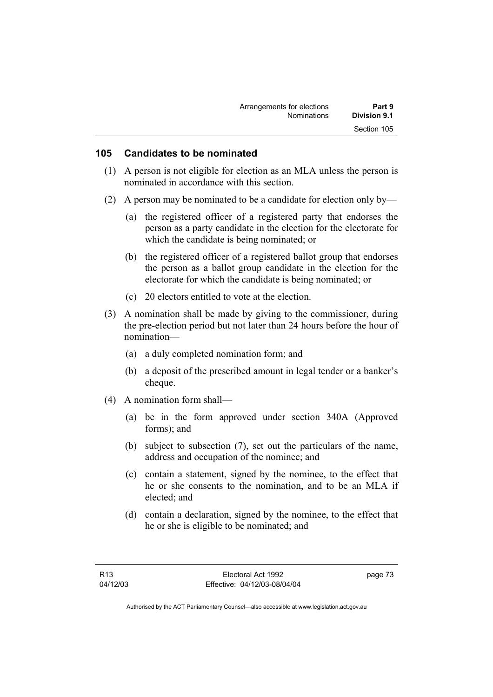| Arrangements for elections | Part 9       |
|----------------------------|--------------|
| <b>Nominations</b>         | Division 9.1 |
|                            | Section 105  |

## **105 Candidates to be nominated**

- (1) A person is not eligible for election as an MLA unless the person is nominated in accordance with this section.
- (2) A person may be nominated to be a candidate for election only by—
	- (a) the registered officer of a registered party that endorses the person as a party candidate in the election for the electorate for which the candidate is being nominated; or
	- (b) the registered officer of a registered ballot group that endorses the person as a ballot group candidate in the election for the electorate for which the candidate is being nominated; or
	- (c) 20 electors entitled to vote at the election.
- (3) A nomination shall be made by giving to the commissioner, during the pre-election period but not later than 24 hours before the hour of nomination—
	- (a) a duly completed nomination form; and
	- (b) a deposit of the prescribed amount in legal tender or a banker's cheque.
- (4) A nomination form shall—
	- (a) be in the form approved under section 340A (Approved forms); and
	- (b) subject to subsection (7), set out the particulars of the name, address and occupation of the nominee; and
	- (c) contain a statement, signed by the nominee, to the effect that he or she consents to the nomination, and to be an MLA if elected; and
	- (d) contain a declaration, signed by the nominee, to the effect that he or she is eligible to be nominated; and

page 73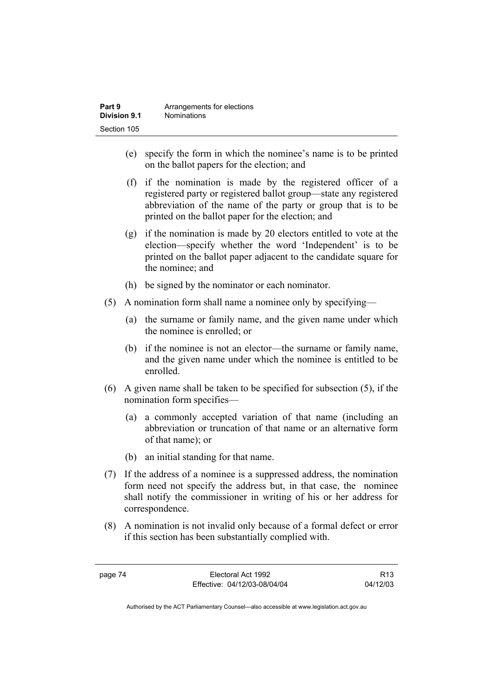| Part 9       | Arrangements for elections |
|--------------|----------------------------|
| Division 9.1 | <b>Nominations</b>         |
| Section 105  |                            |

- (e) specify the form in which the nominee's name is to be printed on the ballot papers for the election; and
- (f) if the nomination is made by the registered officer of a registered party or registered ballot group—state any registered abbreviation of the name of the party or group that is to be printed on the ballot paper for the election; and
- (g) if the nomination is made by 20 electors entitled to vote at the election—specify whether the word 'Independent' is to be printed on the ballot paper adjacent to the candidate square for the nominee; and
- (h) be signed by the nominator or each nominator.
- (5) A nomination form shall name a nominee only by specifying—
	- (a) the surname or family name, and the given name under which the nominee is enrolled; or
	- (b) if the nominee is not an elector—the surname or family name, and the given name under which the nominee is entitled to be enrolled.
- (6) A given name shall be taken to be specified for subsection (5), if the nomination form specifies—
	- (a) a commonly accepted variation of that name (including an abbreviation or truncation of that name or an alternative form of that name); or
	- (b) an initial standing for that name.
- (7) If the address of a nominee is a suppressed address, the nomination form need not specify the address but, in that case, the nominee shall notify the commissioner in writing of his or her address for correspondence.
- (8) A nomination is not invalid only because of a formal defect or error if this section has been substantially complied with.

page 74 Electoral Act 1992 Effective: 04/12/03-08/04/04

R13 04/12/03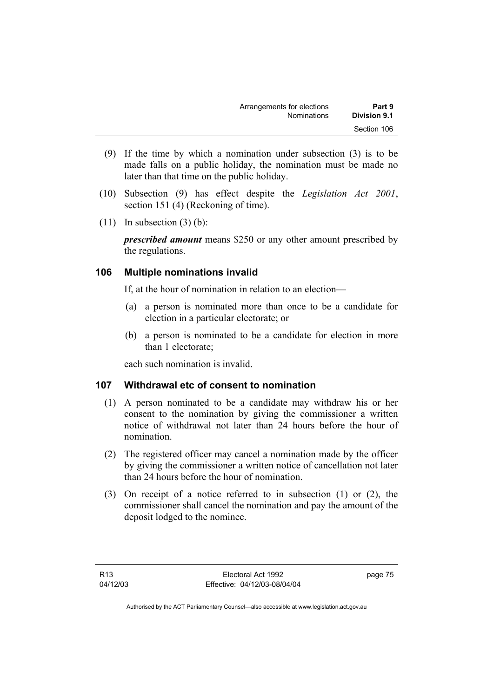| Arrangements for elections | Part 9       |
|----------------------------|--------------|
| <b>Nominations</b>         | Division 9.1 |
|                            | Section 106  |

- (9) If the time by which a nomination under subsection (3) is to be made falls on a public holiday, the nomination must be made no later than that time on the public holiday.
- (10) Subsection (9) has effect despite the *Legislation Act 2001*, section 151 (4) (Reckoning of time).
- $(11)$  In subsection  $(3)$  (b):

*prescribed amount* means \$250 or any other amount prescribed by the regulations.

# **106 Multiple nominations invalid**

If, at the hour of nomination in relation to an election—

- (a) a person is nominated more than once to be a candidate for election in a particular electorate; or
- (b) a person is nominated to be a candidate for election in more than 1 electorate;

each such nomination is invalid.

# **107 Withdrawal etc of consent to nomination**

- (1) A person nominated to be a candidate may withdraw his or her consent to the nomination by giving the commissioner a written notice of withdrawal not later than 24 hours before the hour of nomination.
- (2) The registered officer may cancel a nomination made by the officer by giving the commissioner a written notice of cancellation not later than 24 hours before the hour of nomination.
- (3) On receipt of a notice referred to in subsection (1) or (2), the commissioner shall cancel the nomination and pay the amount of the deposit lodged to the nominee.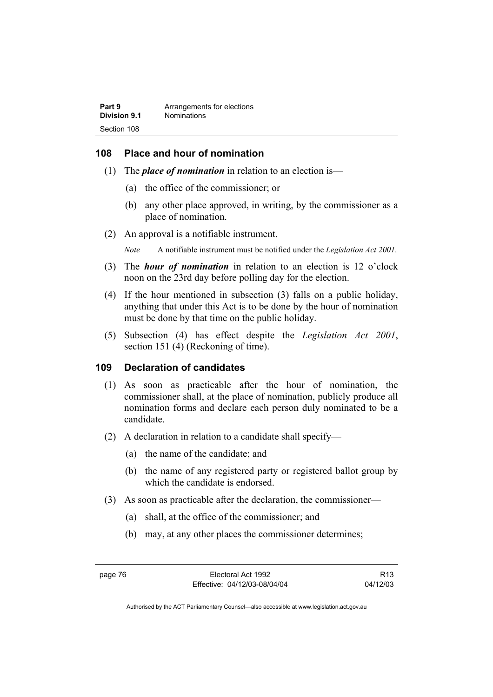# **108 Place and hour of nomination**

- (1) The *place of nomination* in relation to an election is—
	- (a) the office of the commissioner; or
	- (b) any other place approved, in writing, by the commissioner as a place of nomination.
- (2) An approval is a notifiable instrument.

*Note* A notifiable instrument must be notified under the *Legislation Act 2001*.

- (3) The *hour of nomination* in relation to an election is 12 o'clock noon on the 23rd day before polling day for the election.
- (4) If the hour mentioned in subsection (3) falls on a public holiday, anything that under this Act is to be done by the hour of nomination must be done by that time on the public holiday.
- (5) Subsection (4) has effect despite the *Legislation Act 2001*, section 151 (4) (Reckoning of time).

# **109 Declaration of candidates**

- (1) As soon as practicable after the hour of nomination, the commissioner shall, at the place of nomination, publicly produce all nomination forms and declare each person duly nominated to be a candidate.
- (2) A declaration in relation to a candidate shall specify—
	- (a) the name of the candidate; and
	- (b) the name of any registered party or registered ballot group by which the candidate is endorsed.
- (3) As soon as practicable after the declaration, the commissioner—
	- (a) shall, at the office of the commissioner; and
	- (b) may, at any other places the commissioner determines;

R13 04/12/03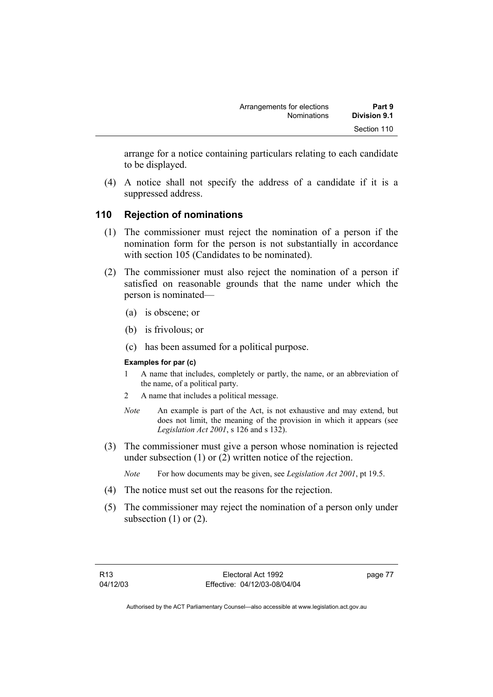arrange for a notice containing particulars relating to each candidate to be displayed.

 (4) A notice shall not specify the address of a candidate if it is a suppressed address.

# **110 Rejection of nominations**

- (1) The commissioner must reject the nomination of a person if the nomination form for the person is not substantially in accordance with section 105 (Candidates to be nominated).
- (2) The commissioner must also reject the nomination of a person if satisfied on reasonable grounds that the name under which the person is nominated—
	- (a) is obscene; or
	- (b) is frivolous; or
	- (c) has been assumed for a political purpose.

#### **Examples for par (c)**

- 1 A name that includes, completely or partly, the name, or an abbreviation of the name, of a political party.
- 2 A name that includes a political message.
- *Note* An example is part of the Act, is not exhaustive and may extend, but does not limit, the meaning of the provision in which it appears (see *Legislation Act 2001*, s 126 and s 132).
- (3) The commissioner must give a person whose nomination is rejected under subsection (1) or (2) written notice of the rejection.
	- *Note* For how documents may be given, see *Legislation Act 2001*, pt 19.5.
- (4) The notice must set out the reasons for the rejection.
- (5) The commissioner may reject the nomination of a person only under subsection  $(1)$  or  $(2)$ .

page 77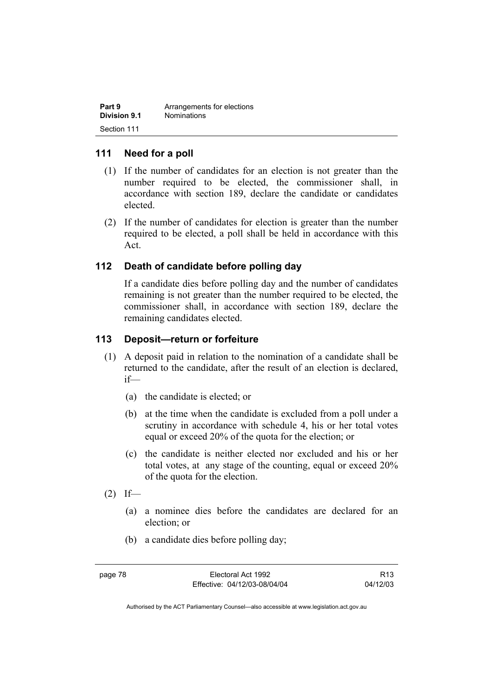| Part 9       | Arrangements for elections |
|--------------|----------------------------|
| Division 9.1 | <b>Nominations</b>         |
| Section 111  |                            |

# **111 Need for a poll**

- (1) If the number of candidates for an election is not greater than the number required to be elected, the commissioner shall, in accordance with section 189, declare the candidate or candidates elected.
- (2) If the number of candidates for election is greater than the number required to be elected, a poll shall be held in accordance with this Act.

# **112 Death of candidate before polling day**

If a candidate dies before polling day and the number of candidates remaining is not greater than the number required to be elected, the commissioner shall, in accordance with section 189, declare the remaining candidates elected.

# **113 Deposit—return or forfeiture**

- (1) A deposit paid in relation to the nomination of a candidate shall be returned to the candidate, after the result of an election is declared, if—
	- (a) the candidate is elected; or
	- (b) at the time when the candidate is excluded from a poll under a scrutiny in accordance with schedule 4, his or her total votes equal or exceed 20% of the quota for the election; or
	- (c) the candidate is neither elected nor excluded and his or her total votes, at any stage of the counting, equal or exceed 20% of the quota for the election.
- $(2)$  If—
	- (a) a nominee dies before the candidates are declared for an election; or
	- (b) a candidate dies before polling day;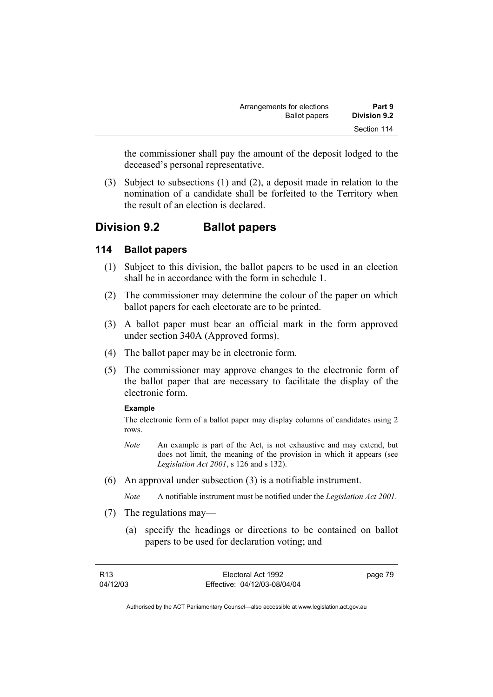| Part 9              | Arrangements for elections |
|---------------------|----------------------------|
| <b>Division 9.2</b> | <b>Ballot papers</b>       |
| Section 114         |                            |

the commissioner shall pay the amount of the deposit lodged to the deceased's personal representative.

 (3) Subject to subsections (1) and (2), a deposit made in relation to the nomination of a candidate shall be forfeited to the Territory when the result of an election is declared.

# **Division 9.2 Ballot papers**

# **114 Ballot papers**

- (1) Subject to this division, the ballot papers to be used in an election shall be in accordance with the form in schedule 1.
- (2) The commissioner may determine the colour of the paper on which ballot papers for each electorate are to be printed.
- (3) A ballot paper must bear an official mark in the form approved under section 340A (Approved forms).
- (4) The ballot paper may be in electronic form.
- (5) The commissioner may approve changes to the electronic form of the ballot paper that are necessary to facilitate the display of the electronic form.

#### **Example**

The electronic form of a ballot paper may display columns of candidates using 2 rows.

- *Note* An example is part of the Act, is not exhaustive and may extend, but does not limit, the meaning of the provision in which it appears (see *Legislation Act 2001*, s 126 and s 132).
- (6) An approval under subsection (3) is a notifiable instrument.

*Note* A notifiable instrument must be notified under the *Legislation Act 2001*.

- (7) The regulations may—
	- (a) specify the headings or directions to be contained on ballot papers to be used for declaration voting; and

| R13      | Electoral Act 1992           | page 79 |
|----------|------------------------------|---------|
| 04/12/03 | Effective: 04/12/03-08/04/04 |         |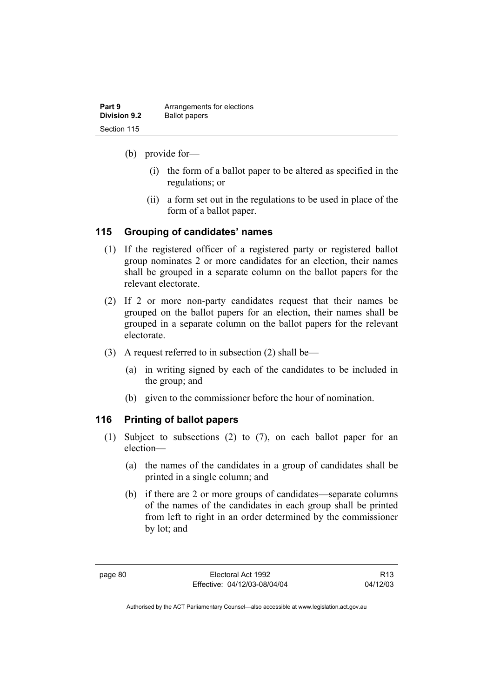| Part 9              | Arrangements for elections |
|---------------------|----------------------------|
| <b>Division 9.2</b> | <b>Ballot papers</b>       |
| Section 115         |                            |

- (b) provide for—
	- (i) the form of a ballot paper to be altered as specified in the regulations; or
	- (ii) a form set out in the regulations to be used in place of the form of a ballot paper.

# **115 Grouping of candidates' names**

- (1) If the registered officer of a registered party or registered ballot group nominates 2 or more candidates for an election, their names shall be grouped in a separate column on the ballot papers for the relevant electorate.
- (2) If 2 or more non-party candidates request that their names be grouped on the ballot papers for an election, their names shall be grouped in a separate column on the ballot papers for the relevant electorate.
- (3) A request referred to in subsection (2) shall be—
	- (a) in writing signed by each of the candidates to be included in the group; and
	- (b) given to the commissioner before the hour of nomination.

# **116 Printing of ballot papers**

- (1) Subject to subsections (2) to (7), on each ballot paper for an election—
	- (a) the names of the candidates in a group of candidates shall be printed in a single column; and
	- (b) if there are 2 or more groups of candidates—separate columns of the names of the candidates in each group shall be printed from left to right in an order determined by the commissioner by lot; and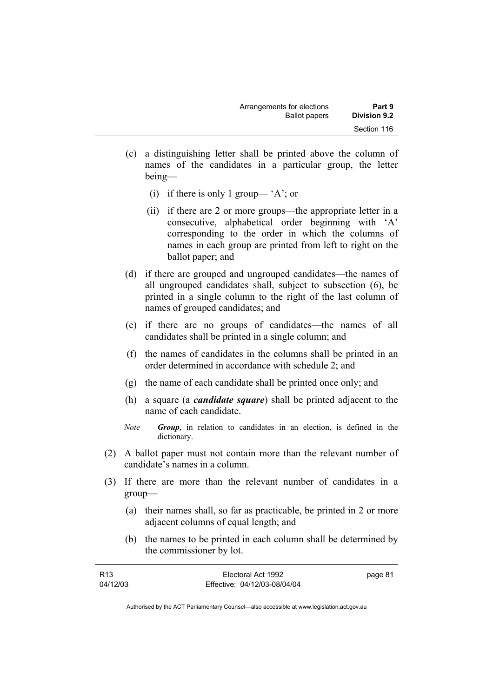| Arrangements for elections | Part 9       |
|----------------------------|--------------|
| <b>Ballot papers</b>       | Division 9.2 |
|                            | Section 116  |

- (c) a distinguishing letter shall be printed above the column of names of the candidates in a particular group, the letter being—
	- (i) if there is only 1 group— 'A'; or
	- (ii) if there are 2 or more groups—the appropriate letter in a consecutive, alphabetical order beginning with 'A' corresponding to the order in which the columns of names in each group are printed from left to right on the ballot paper; and
- (d) if there are grouped and ungrouped candidates—the names of all ungrouped candidates shall, subject to subsection (6), be printed in a single column to the right of the last column of names of grouped candidates; and
- (e) if there are no groups of candidates—the names of all candidates shall be printed in a single column; and
- (f) the names of candidates in the columns shall be printed in an order determined in accordance with schedule 2; and
- (g) the name of each candidate shall be printed once only; and
- (h) a square (a *candidate square*) shall be printed adjacent to the name of each candidate.
- *Note Group*, in relation to candidates in an election, is defined in the dictionary.
- (2) A ballot paper must not contain more than the relevant number of candidate's names in a column.
- (3) If there are more than the relevant number of candidates in a group—
	- (a) their names shall, so far as practicable, be printed in 2 or more adjacent columns of equal length; and
	- (b) the names to be printed in each column shall be determined by the commissioner by lot.

| R <sub>13</sub> | Electoral Act 1992           | page 81 |
|-----------------|------------------------------|---------|
| 04/12/03        | Effective: 04/12/03-08/04/04 |         |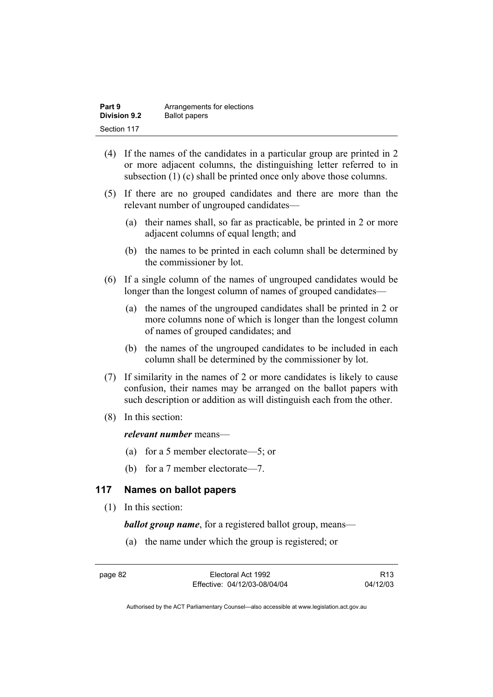| Part 9              | Arrangements for elections |
|---------------------|----------------------------|
| <b>Division 9.2</b> | <b>Ballot papers</b>       |
| Section 117         |                            |

- (4) If the names of the candidates in a particular group are printed in 2 or more adjacent columns, the distinguishing letter referred to in subsection (1) (c) shall be printed once only above those columns.
- (5) If there are no grouped candidates and there are more than the relevant number of ungrouped candidates—
	- (a) their names shall, so far as practicable, be printed in 2 or more adjacent columns of equal length; and
	- (b) the names to be printed in each column shall be determined by the commissioner by lot.
- (6) If a single column of the names of ungrouped candidates would be longer than the longest column of names of grouped candidates—
	- (a) the names of the ungrouped candidates shall be printed in 2 or more columns none of which is longer than the longest column of names of grouped candidates; and
	- (b) the names of the ungrouped candidates to be included in each column shall be determined by the commissioner by lot.
- (7) If similarity in the names of 2 or more candidates is likely to cause confusion, their names may be arranged on the ballot papers with such description or addition as will distinguish each from the other.
- (8) In this section:

#### *relevant number* means—

- (a) for a 5 member electorate—5; or
- (b) for a 7 member electorate—7.

# **117 Names on ballot papers**

(1) In this section:

*ballot group name*, for a registered ballot group, means—

(a) the name under which the group is registered; or

R13 04/12/03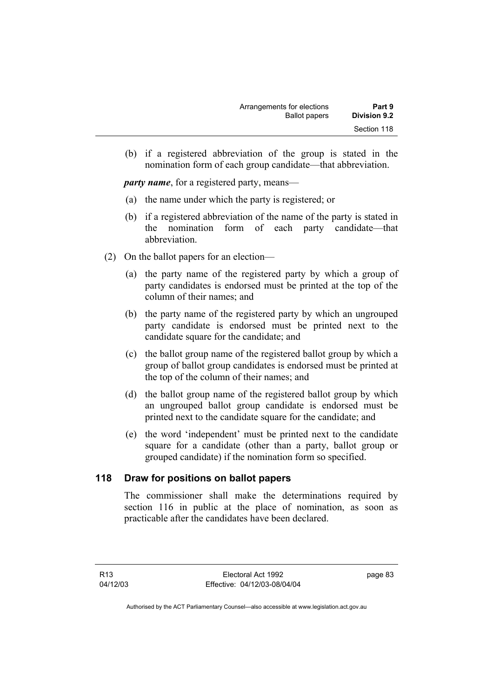| Arrangements for elections | Part 9              |
|----------------------------|---------------------|
| <b>Ballot papers</b>       | <b>Division 9.2</b> |
|                            | Section 118         |

 (b) if a registered abbreviation of the group is stated in the nomination form of each group candidate—that abbreviation.

*party name*, for a registered party, means—

- (a) the name under which the party is registered; or
- (b) if a registered abbreviation of the name of the party is stated in the nomination form of each party candidate—that abbreviation.
- (2) On the ballot papers for an election—
	- (a) the party name of the registered party by which a group of party candidates is endorsed must be printed at the top of the column of their names; and
	- (b) the party name of the registered party by which an ungrouped party candidate is endorsed must be printed next to the candidate square for the candidate; and
	- (c) the ballot group name of the registered ballot group by which a group of ballot group candidates is endorsed must be printed at the top of the column of their names; and
	- (d) the ballot group name of the registered ballot group by which an ungrouped ballot group candidate is endorsed must be printed next to the candidate square for the candidate; and
	- (e) the word 'independent' must be printed next to the candidate square for a candidate (other than a party, ballot group or grouped candidate) if the nomination form so specified.

# **118 Draw for positions on ballot papers**

The commissioner shall make the determinations required by section 116 in public at the place of nomination, as soon as practicable after the candidates have been declared.

page 83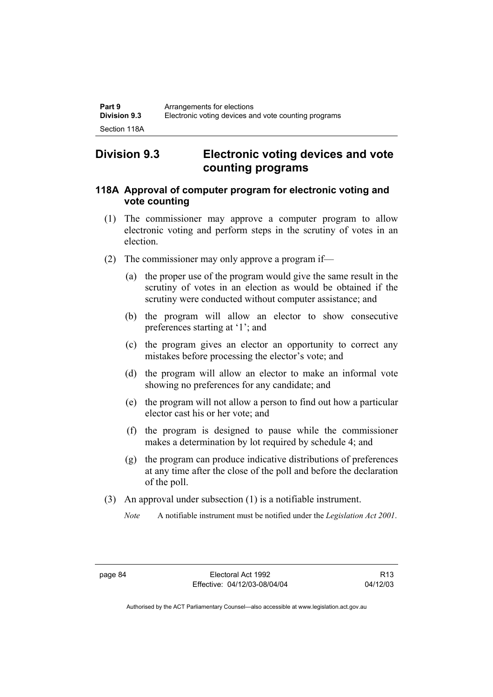# **Division 9.3 Electronic voting devices and vote counting programs**

# **118A Approval of computer program for electronic voting and vote counting**

- (1) The commissioner may approve a computer program to allow electronic voting and perform steps in the scrutiny of votes in an election.
- (2) The commissioner may only approve a program if—
	- (a) the proper use of the program would give the same result in the scrutiny of votes in an election as would be obtained if the scrutiny were conducted without computer assistance; and
	- (b) the program will allow an elector to show consecutive preferences starting at '1'; and
	- (c) the program gives an elector an opportunity to correct any mistakes before processing the elector's vote; and
	- (d) the program will allow an elector to make an informal vote showing no preferences for any candidate; and
	- (e) the program will not allow a person to find out how a particular elector cast his or her vote; and
	- (f) the program is designed to pause while the commissioner makes a determination by lot required by schedule 4; and
	- (g) the program can produce indicative distributions of preferences at any time after the close of the poll and before the declaration of the poll.
- (3) An approval under subsection (1) is a notifiable instrument.
	- *Note* A notifiable instrument must be notified under the *Legislation Act 2001*.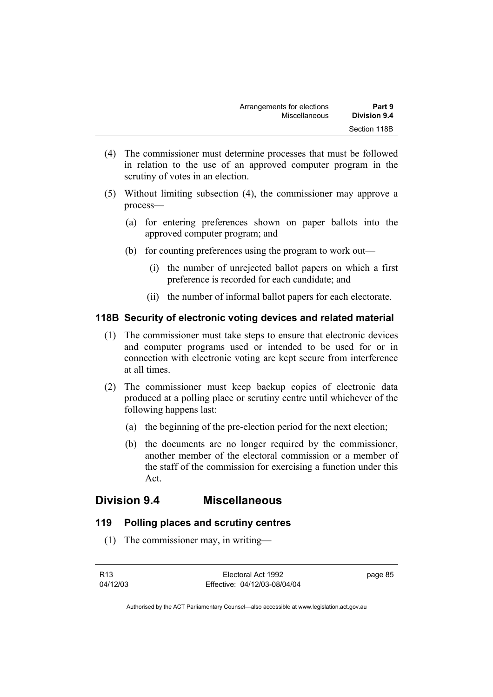- (4) The commissioner must determine processes that must be followed in relation to the use of an approved computer program in the scrutiny of votes in an election.
- (5) Without limiting subsection (4), the commissioner may approve a process—
	- (a) for entering preferences shown on paper ballots into the approved computer program; and
	- (b) for counting preferences using the program to work out—
		- (i) the number of unrejected ballot papers on which a first preference is recorded for each candidate; and
		- (ii) the number of informal ballot papers for each electorate.

## **118B Security of electronic voting devices and related material**

- (1) The commissioner must take steps to ensure that electronic devices and computer programs used or intended to be used for or in connection with electronic voting are kept secure from interference at all times.
- (2) The commissioner must keep backup copies of electronic data produced at a polling place or scrutiny centre until whichever of the following happens last:
	- (a) the beginning of the pre-election period for the next election;
	- (b) the documents are no longer required by the commissioner, another member of the electoral commission or a member of the staff of the commission for exercising a function under this Act.

# **Division 9.4 Miscellaneous**

# **119 Polling places and scrutiny centres**

(1) The commissioner may, in writing—

page 85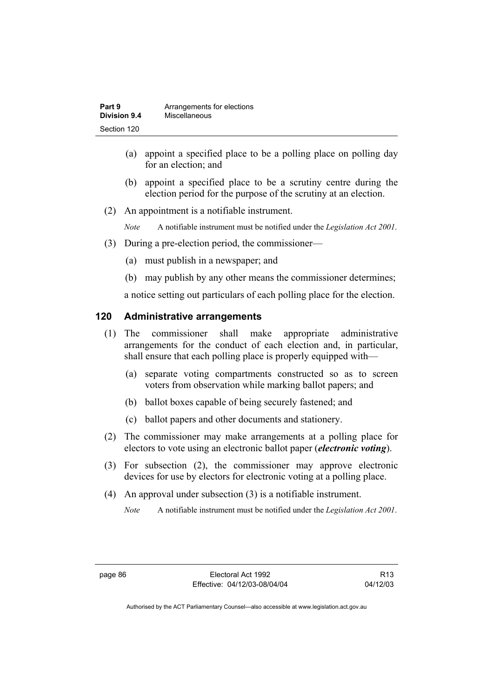| Part 9              | Arrangements for elections |
|---------------------|----------------------------|
| <b>Division 9.4</b> | Miscellaneous              |
| Section 120         |                            |

- (a) appoint a specified place to be a polling place on polling day for an election; and
- (b) appoint a specified place to be a scrutiny centre during the election period for the purpose of the scrutiny at an election.
- (2) An appointment is a notifiable instrument.

*Note* A notifiable instrument must be notified under the *Legislation Act 2001*.

- (3) During a pre-election period, the commissioner—
	- (a) must publish in a newspaper; and
	- (b) may publish by any other means the commissioner determines;

a notice setting out particulars of each polling place for the election.

# **120 Administrative arrangements**

- (1) The commissioner shall make appropriate administrative arrangements for the conduct of each election and, in particular, shall ensure that each polling place is properly equipped with—
	- (a) separate voting compartments constructed so as to screen voters from observation while marking ballot papers; and
	- (b) ballot boxes capable of being securely fastened; and
	- (c) ballot papers and other documents and stationery.
- (2) The commissioner may make arrangements at a polling place for electors to vote using an electronic ballot paper (*electronic voting*).
- (3) For subsection (2), the commissioner may approve electronic devices for use by electors for electronic voting at a polling place.
- (4) An approval under subsection (3) is a notifiable instrument.

*Note* A notifiable instrument must be notified under the *Legislation Act 2001*.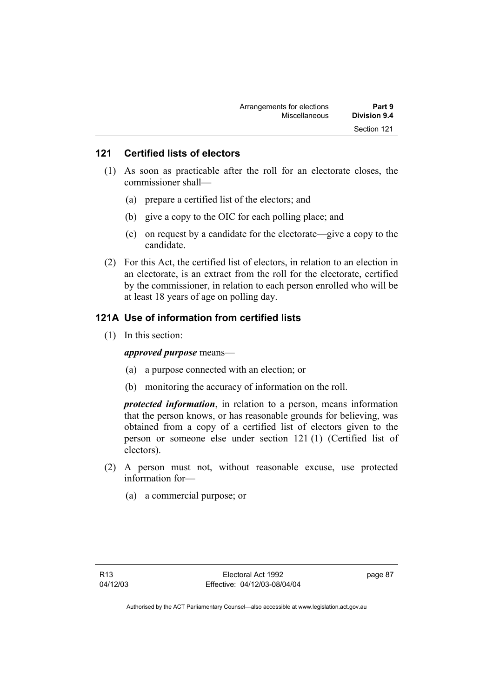# **121 Certified lists of electors**

- (1) As soon as practicable after the roll for an electorate closes, the commissioner shall—
	- (a) prepare a certified list of the electors; and
	- (b) give a copy to the OIC for each polling place; and
	- (c) on request by a candidate for the electorate—give a copy to the candidate.
- (2) For this Act, the certified list of electors, in relation to an election in an electorate, is an extract from the roll for the electorate, certified by the commissioner, in relation to each person enrolled who will be at least 18 years of age on polling day.

# **121A Use of information from certified lists**

(1) In this section:

*approved purpose* means—

- (a) a purpose connected with an election; or
- (b) monitoring the accuracy of information on the roll.

*protected information*, in relation to a person, means information that the person knows, or has reasonable grounds for believing, was obtained from a copy of a certified list of electors given to the person or someone else under section 121 (1) (Certified list of electors).

- (2) A person must not, without reasonable excuse, use protected information for—
	- (a) a commercial purpose; or

page 87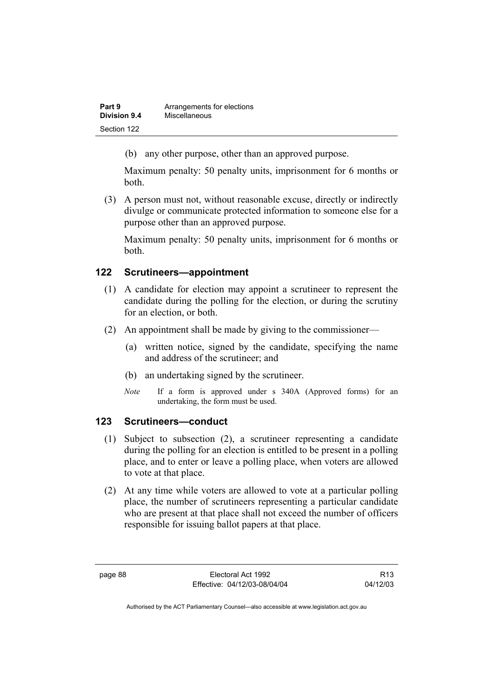| Part 9              | Arrangements for elections |
|---------------------|----------------------------|
| <b>Division 9.4</b> | <b>Miscellaneous</b>       |
| Section 122         |                            |

(b) any other purpose, other than an approved purpose.

Maximum penalty: 50 penalty units, imprisonment for 6 months or both.

 (3) A person must not, without reasonable excuse, directly or indirectly divulge or communicate protected information to someone else for a purpose other than an approved purpose.

Maximum penalty: 50 penalty units, imprisonment for 6 months or both.

# **122 Scrutineers—appointment**

- (1) A candidate for election may appoint a scrutineer to represent the candidate during the polling for the election, or during the scrutiny for an election, or both.
- (2) An appointment shall be made by giving to the commissioner—
	- (a) written notice, signed by the candidate, specifying the name and address of the scrutineer; and
	- (b) an undertaking signed by the scrutineer.
	- *Note* If a form is approved under s 340A (Approved forms) for an undertaking, the form must be used.

# **123 Scrutineers—conduct**

- (1) Subject to subsection (2), a scrutineer representing a candidate during the polling for an election is entitled to be present in a polling place, and to enter or leave a polling place, when voters are allowed to vote at that place.
- (2) At any time while voters are allowed to vote at a particular polling place, the number of scrutineers representing a particular candidate who are present at that place shall not exceed the number of officers responsible for issuing ballot papers at that place.

R13 04/12/03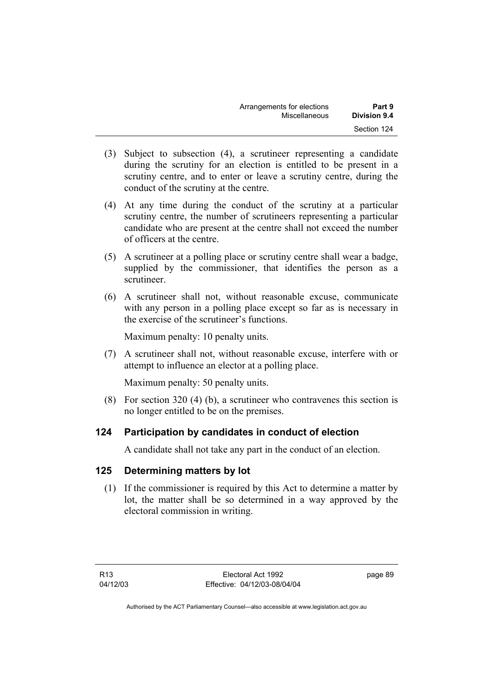| Arrangements for elections | Part 9       |
|----------------------------|--------------|
| Miscellaneous              | Division 9.4 |
|                            | Section 124  |

- (3) Subject to subsection (4), a scrutineer representing a candidate during the scrutiny for an election is entitled to be present in a scrutiny centre, and to enter or leave a scrutiny centre, during the conduct of the scrutiny at the centre.
- (4) At any time during the conduct of the scrutiny at a particular scrutiny centre, the number of scrutineers representing a particular candidate who are present at the centre shall not exceed the number of officers at the centre.
- (5) A scrutineer at a polling place or scrutiny centre shall wear a badge, supplied by the commissioner, that identifies the person as a scrutineer.
- (6) A scrutineer shall not, without reasonable excuse, communicate with any person in a polling place except so far as is necessary in the exercise of the scrutineer's functions.

Maximum penalty: 10 penalty units.

 (7) A scrutineer shall not, without reasonable excuse, interfere with or attempt to influence an elector at a polling place.

Maximum penalty: 50 penalty units.

 (8) For section 320 (4) (b), a scrutineer who contravenes this section is no longer entitled to be on the premises.

# **124 Participation by candidates in conduct of election**

A candidate shall not take any part in the conduct of an election.

# **125 Determining matters by lot**

 (1) If the commissioner is required by this Act to determine a matter by lot, the matter shall be so determined in a way approved by the electoral commission in writing.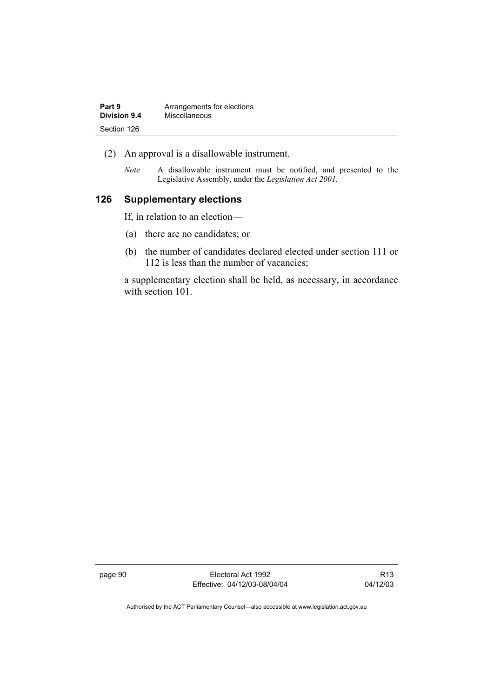| Part 9       | Arrangements for elections |
|--------------|----------------------------|
| Division 9.4 | Miscellaneous              |
| Section 126  |                            |

- (2) An approval is a disallowable instrument.
	- *Note* A disallowable instrument must be notified, and presented to the Legislative Assembly, under the *Legislation Act 2001*.

# **126 Supplementary elections**

If, in relation to an election—

- (a) there are no candidates; or
- (b) the number of candidates declared elected under section 111 or 112 is less than the number of vacancies;

a supplementary election shall be held, as necessary, in accordance with section 101.

page 90 Electoral Act 1992 Effective: 04/12/03-08/04/04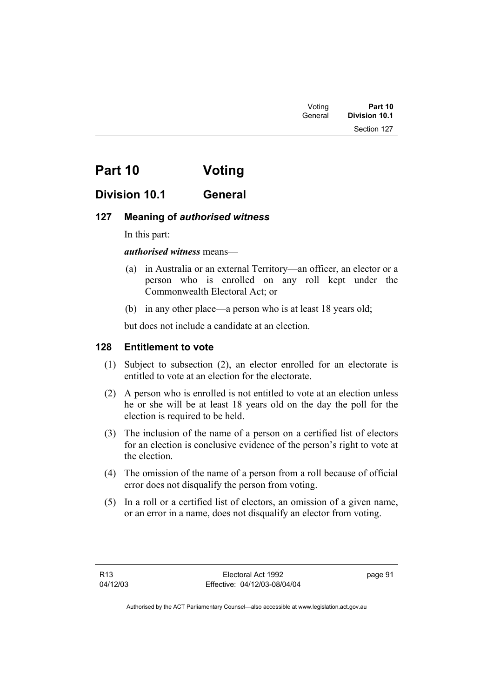# **Part 10 Voting**

# **Division 10.1 General**

# **127 Meaning of** *authorised witness*

In this part:

*authorised witness* means—

- (a) in Australia or an external Territory—an officer, an elector or a person who is enrolled on any roll kept under the Commonwealth Electoral Act; or
- (b) in any other place—a person who is at least 18 years old;

but does not include a candidate at an election.

# **128 Entitlement to vote**

- (1) Subject to subsection (2), an elector enrolled for an electorate is entitled to vote at an election for the electorate.
- (2) A person who is enrolled is not entitled to vote at an election unless he or she will be at least 18 years old on the day the poll for the election is required to be held.
- (3) The inclusion of the name of a person on a certified list of electors for an election is conclusive evidence of the person's right to vote at the election.
- (4) The omission of the name of a person from a roll because of official error does not disqualify the person from voting.
- (5) In a roll or a certified list of electors, an omission of a given name, or an error in a name, does not disqualify an elector from voting.

page 91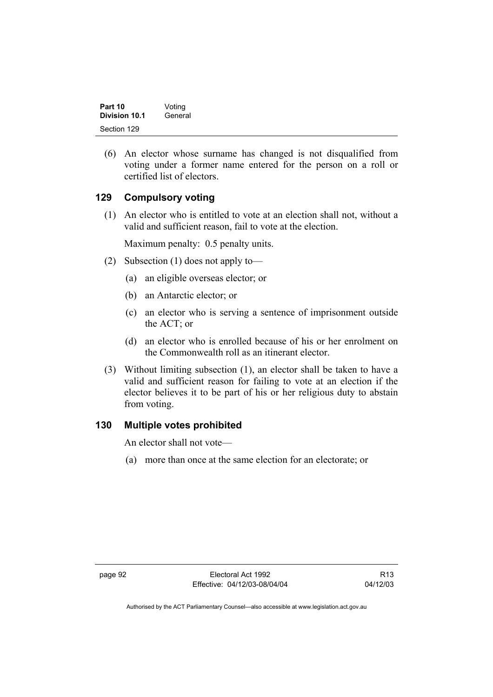| Part 10       | Voting  |
|---------------|---------|
| Division 10.1 | General |
| Section 129   |         |

 (6) An elector whose surname has changed is not disqualified from voting under a former name entered for the person on a roll or certified list of electors.

# **129 Compulsory voting**

 (1) An elector who is entitled to vote at an election shall not, without a valid and sufficient reason, fail to vote at the election.

Maximum penalty: 0.5 penalty units.

- (2) Subsection (1) does not apply to—
	- (a) an eligible overseas elector; or
	- (b) an Antarctic elector; or
	- (c) an elector who is serving a sentence of imprisonment outside the ACT; or
	- (d) an elector who is enrolled because of his or her enrolment on the Commonwealth roll as an itinerant elector.
- (3) Without limiting subsection (1), an elector shall be taken to have a valid and sufficient reason for failing to vote at an election if the elector believes it to be part of his or her religious duty to abstain from voting.

### **130 Multiple votes prohibited**

An elector shall not vote—

(a) more than once at the same election for an electorate; or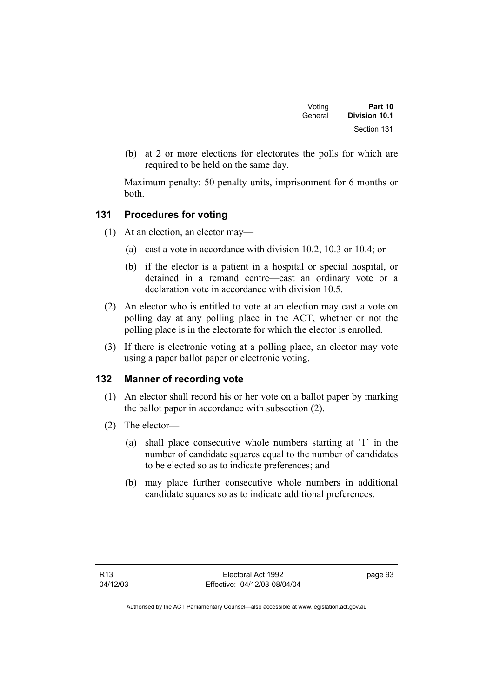| Voting  | Part 10       |  |
|---------|---------------|--|
| General | Division 10.1 |  |
|         | Section 131   |  |

 (b) at 2 or more elections for electorates the polls for which are required to be held on the same day.

Maximum penalty: 50 penalty units, imprisonment for 6 months or both.

## **131 Procedures for voting**

- (1) At an election, an elector may—
	- (a) cast a vote in accordance with division 10.2, 10.3 or 10.4; or
	- (b) if the elector is a patient in a hospital or special hospital, or detained in a remand centre—cast an ordinary vote or a declaration vote in accordance with division 10.5.
- (2) An elector who is entitled to vote at an election may cast a vote on polling day at any polling place in the ACT, whether or not the polling place is in the electorate for which the elector is enrolled.
- (3) If there is electronic voting at a polling place, an elector may vote using a paper ballot paper or electronic voting.

# **132 Manner of recording vote**

- (1) An elector shall record his or her vote on a ballot paper by marking the ballot paper in accordance with subsection (2).
- (2) The elector—
	- (a) shall place consecutive whole numbers starting at '1' in the number of candidate squares equal to the number of candidates to be elected so as to indicate preferences; and
	- (b) may place further consecutive whole numbers in additional candidate squares so as to indicate additional preferences.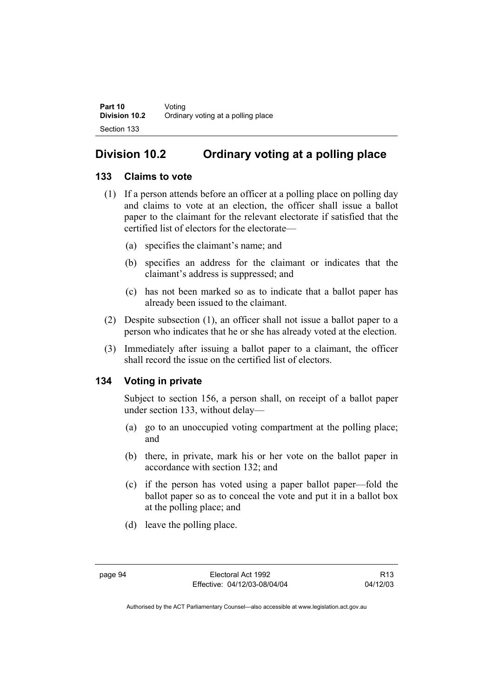# **Division 10.2 Ordinary voting at a polling place**

# **133 Claims to vote**

- (1) If a person attends before an officer at a polling place on polling day and claims to vote at an election, the officer shall issue a ballot paper to the claimant for the relevant electorate if satisfied that the certified list of electors for the electorate—
	- (a) specifies the claimant's name; and
	- (b) specifies an address for the claimant or indicates that the claimant's address is suppressed; and
	- (c) has not been marked so as to indicate that a ballot paper has already been issued to the claimant.
- (2) Despite subsection (1), an officer shall not issue a ballot paper to a person who indicates that he or she has already voted at the election.
- (3) Immediately after issuing a ballot paper to a claimant, the officer shall record the issue on the certified list of electors.

# **134 Voting in private**

Subject to section 156, a person shall, on receipt of a ballot paper under section 133, without delay—

- (a) go to an unoccupied voting compartment at the polling place; and
- (b) there, in private, mark his or her vote on the ballot paper in accordance with section 132; and
- (c) if the person has voted using a paper ballot paper—fold the ballot paper so as to conceal the vote and put it in a ballot box at the polling place; and
- (d) leave the polling place.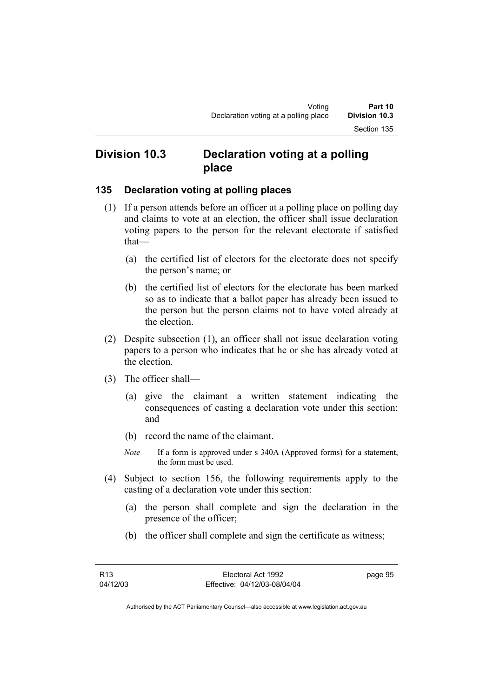# **Division 10.3 Declaration voting at a polling place**

## **135 Declaration voting at polling places**

- (1) If a person attends before an officer at a polling place on polling day and claims to vote at an election, the officer shall issue declaration voting papers to the person for the relevant electorate if satisfied that—
	- (a) the certified list of electors for the electorate does not specify the person's name; or
	- (b) the certified list of electors for the electorate has been marked so as to indicate that a ballot paper has already been issued to the person but the person claims not to have voted already at the election.
- (2) Despite subsection (1), an officer shall not issue declaration voting papers to a person who indicates that he or she has already voted at the election.
- (3) The officer shall—
	- (a) give the claimant a written statement indicating the consequences of casting a declaration vote under this section; and
	- (b) record the name of the claimant.
	- *Note* If a form is approved under s 340A (Approved forms) for a statement, the form must be used.
- (4) Subject to section 156, the following requirements apply to the casting of a declaration vote under this section:
	- (a) the person shall complete and sign the declaration in the presence of the officer;
	- (b) the officer shall complete and sign the certificate as witness;

page 95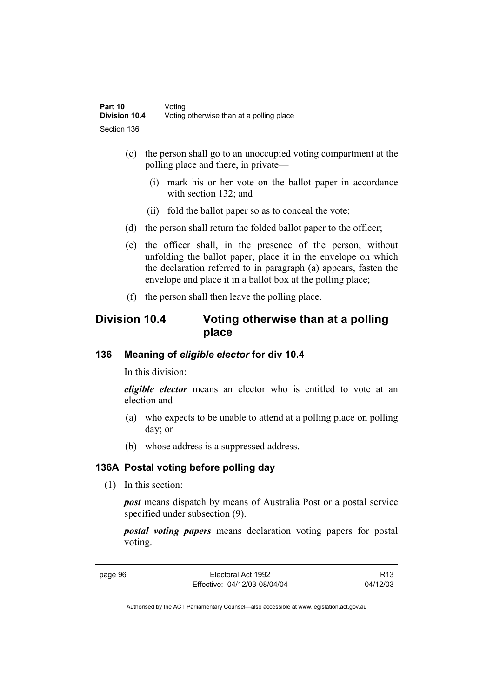- (c) the person shall go to an unoccupied voting compartment at the polling place and there, in private—
	- (i) mark his or her vote on the ballot paper in accordance with section 132; and
	- (ii) fold the ballot paper so as to conceal the vote;
- (d) the person shall return the folded ballot paper to the officer;
- (e) the officer shall, in the presence of the person, without unfolding the ballot paper, place it in the envelope on which the declaration referred to in paragraph (a) appears, fasten the envelope and place it in a ballot box at the polling place;
- (f) the person shall then leave the polling place.

# **Division 10.4 Voting otherwise than at a polling place**

# **136 Meaning of** *eligible elector* **for div 10.4**

In this division:

*eligible elector* means an elector who is entitled to vote at an election and—

- (a) who expects to be unable to attend at a polling place on polling day; or
- (b) whose address is a suppressed address.

# **136A Postal voting before polling day**

(1) In this section:

*post* means dispatch by means of Australia Post or a postal service specified under subsection (9).

*postal voting papers* means declaration voting papers for postal voting.

page 96 Electoral Act 1992 Effective: 04/12/03-08/04/04

R13 04/12/03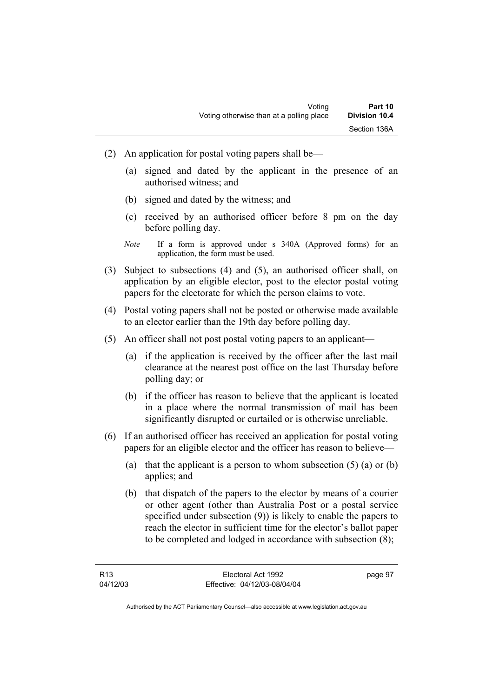- (2) An application for postal voting papers shall be—
	- (a) signed and dated by the applicant in the presence of an authorised witness; and
	- (b) signed and dated by the witness; and
	- (c) received by an authorised officer before 8 pm on the day before polling day.
	- *Note* If a form is approved under s 340A (Approved forms) for an application, the form must be used.
- (3) Subject to subsections (4) and (5), an authorised officer shall, on application by an eligible elector, post to the elector postal voting papers for the electorate for which the person claims to vote.
- (4) Postal voting papers shall not be posted or otherwise made available to an elector earlier than the 19th day before polling day.
- (5) An officer shall not post postal voting papers to an applicant—
	- (a) if the application is received by the officer after the last mail clearance at the nearest post office on the last Thursday before polling day; or
	- (b) if the officer has reason to believe that the applicant is located in a place where the normal transmission of mail has been significantly disrupted or curtailed or is otherwise unreliable.
- (6) If an authorised officer has received an application for postal voting papers for an eligible elector and the officer has reason to believe—
	- (a) that the applicant is a person to whom subsection  $(5)$  (a) or  $(b)$ applies; and
	- (b) that dispatch of the papers to the elector by means of a courier or other agent (other than Australia Post or a postal service specified under subsection (9)) is likely to enable the papers to reach the elector in sufficient time for the elector's ballot paper to be completed and lodged in accordance with subsection (8);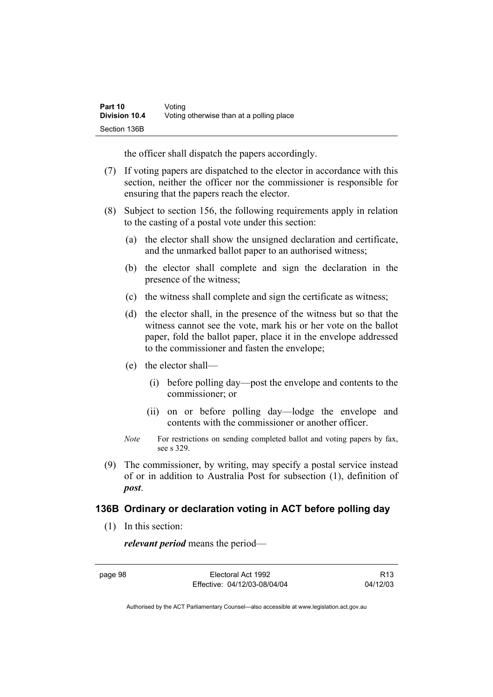| Part 10              | Voting                                   |
|----------------------|------------------------------------------|
| <b>Division 10.4</b> | Voting otherwise than at a polling place |
| Section 136B         |                                          |

the officer shall dispatch the papers accordingly.

- (7) If voting papers are dispatched to the elector in accordance with this section, neither the officer nor the commissioner is responsible for ensuring that the papers reach the elector.
- (8) Subject to section 156, the following requirements apply in relation to the casting of a postal vote under this section:
	- (a) the elector shall show the unsigned declaration and certificate, and the unmarked ballot paper to an authorised witness;
	- (b) the elector shall complete and sign the declaration in the presence of the witness;
	- (c) the witness shall complete and sign the certificate as witness;
	- (d) the elector shall, in the presence of the witness but so that the witness cannot see the vote, mark his or her vote on the ballot paper, fold the ballot paper, place it in the envelope addressed to the commissioner and fasten the envelope;
	- (e) the elector shall—
		- (i) before polling day—post the envelope and contents to the commissioner; or
		- (ii) on or before polling day—lodge the envelope and contents with the commissioner or another officer.
	- *Note* For restrictions on sending completed ballot and voting papers by fax, see s 329.
- (9) The commissioner, by writing, may specify a postal service instead of or in addition to Australia Post for subsection (1), definition of *post*.

### **136B Ordinary or declaration voting in ACT before polling day**

(1) In this section:

*relevant period* means the period—

page 98 Electoral Act 1992 Effective: 04/12/03-08/04/04

R13 04/12/03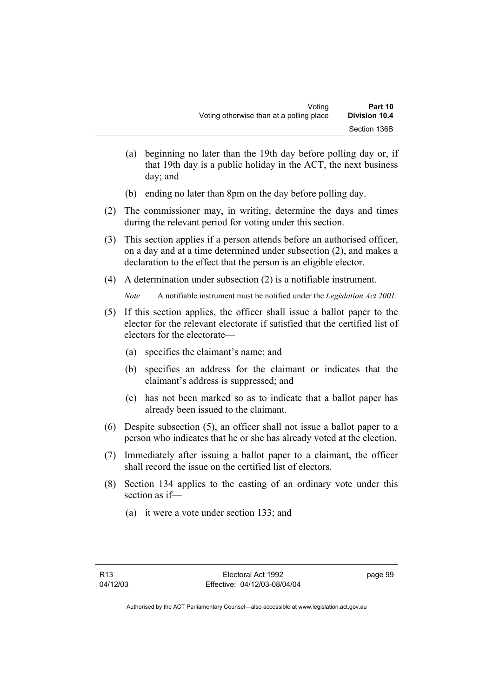- (a) beginning no later than the 19th day before polling day or, if that 19th day is a public holiday in the ACT, the next business day; and
- (b) ending no later than 8pm on the day before polling day.
- (2) The commissioner may, in writing, determine the days and times during the relevant period for voting under this section.
- (3) This section applies if a person attends before an authorised officer, on a day and at a time determined under subsection (2), and makes a declaration to the effect that the person is an eligible elector.
- (4) A determination under subsection (2) is a notifiable instrument.

*Note* A notifiable instrument must be notified under the *Legislation Act 2001*.

- (5) If this section applies, the officer shall issue a ballot paper to the elector for the relevant electorate if satisfied that the certified list of electors for the electorate—
	- (a) specifies the claimant's name; and
	- (b) specifies an address for the claimant or indicates that the claimant's address is suppressed; and
	- (c) has not been marked so as to indicate that a ballot paper has already been issued to the claimant.
- (6) Despite subsection (5), an officer shall not issue a ballot paper to a person who indicates that he or she has already voted at the election.
- (7) Immediately after issuing a ballot paper to a claimant, the officer shall record the issue on the certified list of electors.
- (8) Section 134 applies to the casting of an ordinary vote under this section as if—
	- (a) it were a vote under section 133; and

page 99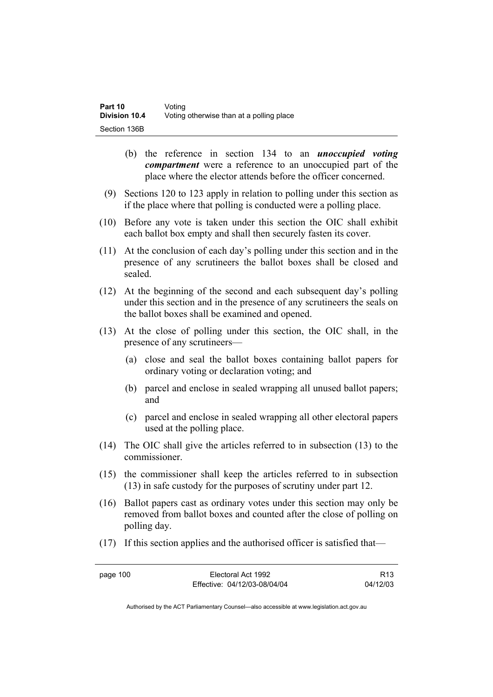| Part 10              | Voting                                   |
|----------------------|------------------------------------------|
| <b>Division 10.4</b> | Voting otherwise than at a polling place |
| Section 136B         |                                          |

- (b) the reference in section 134 to an *unoccupied voting compartment* were a reference to an unoccupied part of the place where the elector attends before the officer concerned.
- (9) Sections 120 to 123 apply in relation to polling under this section as if the place where that polling is conducted were a polling place.
- (10) Before any vote is taken under this section the OIC shall exhibit each ballot box empty and shall then securely fasten its cover.
- (11) At the conclusion of each day's polling under this section and in the presence of any scrutineers the ballot boxes shall be closed and sealed.
- (12) At the beginning of the second and each subsequent day's polling under this section and in the presence of any scrutineers the seals on the ballot boxes shall be examined and opened.
- (13) At the close of polling under this section, the OIC shall, in the presence of any scrutineers—
	- (a) close and seal the ballot boxes containing ballot papers for ordinary voting or declaration voting; and
	- (b) parcel and enclose in sealed wrapping all unused ballot papers; and
	- (c) parcel and enclose in sealed wrapping all other electoral papers used at the polling place.
- (14) The OIC shall give the articles referred to in subsection (13) to the commissioner.
- (15) the commissioner shall keep the articles referred to in subsection (13) in safe custody for the purposes of scrutiny under part 12.
- (16) Ballot papers cast as ordinary votes under this section may only be removed from ballot boxes and counted after the close of polling on polling day.
- (17) If this section applies and the authorised officer is satisfied that—

page 100 Electoral Act 1992 Effective: 04/12/03-08/04/04

R13 04/12/03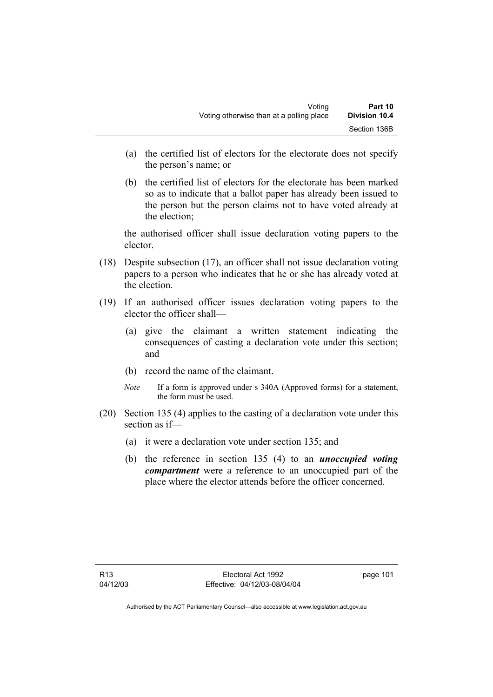- (a) the certified list of electors for the electorate does not specify the person's name; or
- (b) the certified list of electors for the electorate has been marked so as to indicate that a ballot paper has already been issued to the person but the person claims not to have voted already at the election;

the authorised officer shall issue declaration voting papers to the elector.

- (18) Despite subsection (17), an officer shall not issue declaration voting papers to a person who indicates that he or she has already voted at the election.
- (19) If an authorised officer issues declaration voting papers to the elector the officer shall—
	- (a) give the claimant a written statement indicating the consequences of casting a declaration vote under this section; and
	- (b) record the name of the claimant.
	- *Note* If a form is approved under s 340A (Approved forms) for a statement, the form must be used.
- (20) Section 135 (4) applies to the casting of a declaration vote under this section as if—
	- (a) it were a declaration vote under section 135; and
	- (b) the reference in section 135 (4) to an *unoccupied voting compartment* were a reference to an unoccupied part of the place where the elector attends before the officer concerned.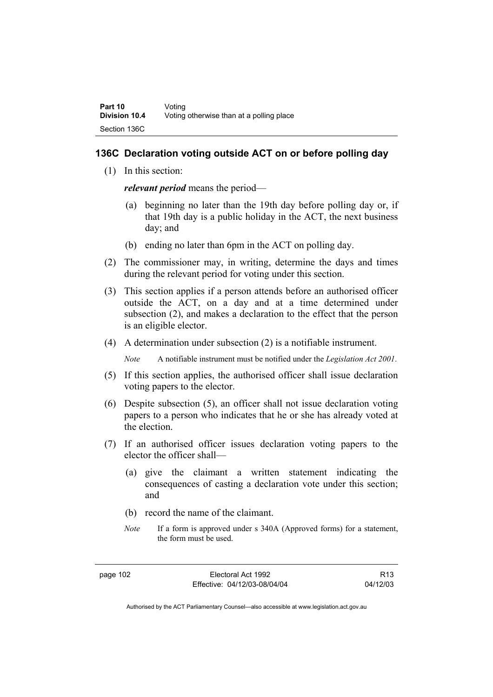### **136C Declaration voting outside ACT on or before polling day**

(1) In this section:

*relevant period* means the period—

- (a) beginning no later than the 19th day before polling day or, if that 19th day is a public holiday in the ACT, the next business day; and
- (b) ending no later than 6pm in the ACT on polling day.
- (2) The commissioner may, in writing, determine the days and times during the relevant period for voting under this section.
- (3) This section applies if a person attends before an authorised officer outside the ACT, on a day and at a time determined under subsection (2), and makes a declaration to the effect that the person is an eligible elector.
- (4) A determination under subsection (2) is a notifiable instrument.

*Note* A notifiable instrument must be notified under the *Legislation Act 2001*.

- (5) If this section applies, the authorised officer shall issue declaration voting papers to the elector.
- (6) Despite subsection (5), an officer shall not issue declaration voting papers to a person who indicates that he or she has already voted at the election.
- (7) If an authorised officer issues declaration voting papers to the elector the officer shall—
	- (a) give the claimant a written statement indicating the consequences of casting a declaration vote under this section; and
	- (b) record the name of the claimant.
	- *Note* If a form is approved under s 340A (Approved forms) for a statement, the form must be used.

R13 04/12/03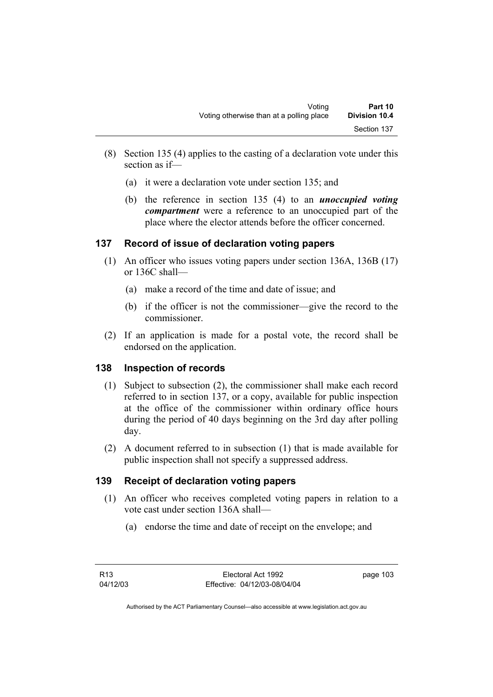- (8) Section 135 (4) applies to the casting of a declaration vote under this section as if—
	- (a) it were a declaration vote under section 135; and
	- (b) the reference in section 135 (4) to an *unoccupied voting compartment* were a reference to an unoccupied part of the place where the elector attends before the officer concerned.

# **137 Record of issue of declaration voting papers**

- (1) An officer who issues voting papers under section 136A, 136B (17) or 136C shall—
	- (a) make a record of the time and date of issue; and
	- (b) if the officer is not the commissioner—give the record to the commissioner.
- (2) If an application is made for a postal vote, the record shall be endorsed on the application.

# **138 Inspection of records**

- (1) Subject to subsection (2), the commissioner shall make each record referred to in section 137, or a copy, available for public inspection at the office of the commissioner within ordinary office hours during the period of 40 days beginning on the 3rd day after polling day.
- (2) A document referred to in subsection (1) that is made available for public inspection shall not specify a suppressed address.

# **139 Receipt of declaration voting papers**

- (1) An officer who receives completed voting papers in relation to a vote cast under section 136A shall—
	- (a) endorse the time and date of receipt on the envelope; and

page 103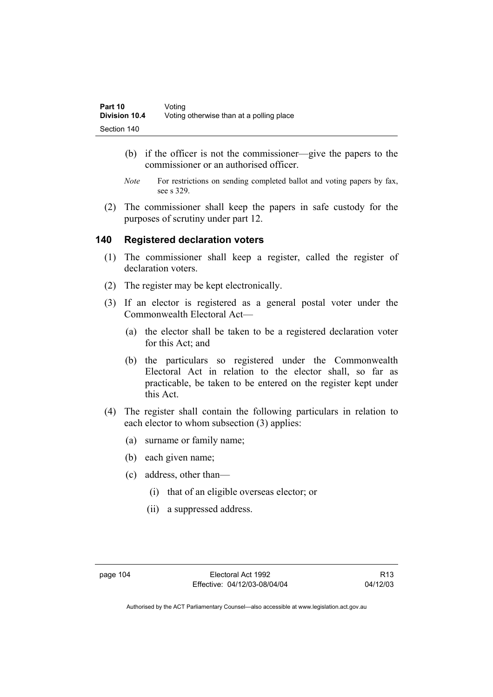- (b) if the officer is not the commissioner—give the papers to the commissioner or an authorised officer.
- *Note* For restrictions on sending completed ballot and voting papers by fax, see s 329.
- (2) The commissioner shall keep the papers in safe custody for the purposes of scrutiny under part 12.

### **140 Registered declaration voters**

- (1) The commissioner shall keep a register, called the register of declaration voters.
- (2) The register may be kept electronically.
- (3) If an elector is registered as a general postal voter under the Commonwealth Electoral Act—
	- (a) the elector shall be taken to be a registered declaration voter for this Act; and
	- (b) the particulars so registered under the Commonwealth Electoral Act in relation to the elector shall, so far as practicable, be taken to be entered on the register kept under this Act.
- (4) The register shall contain the following particulars in relation to each elector to whom subsection (3) applies:
	- (a) surname or family name;
	- (b) each given name;
	- (c) address, other than—
		- (i) that of an eligible overseas elector; or
		- (ii) a suppressed address.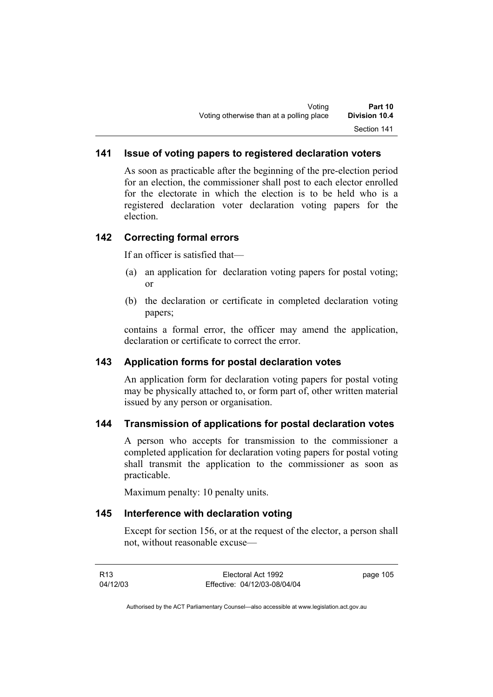# **141 Issue of voting papers to registered declaration voters**

As soon as practicable after the beginning of the pre-election period for an election, the commissioner shall post to each elector enrolled for the electorate in which the election is to be held who is a registered declaration voter declaration voting papers for the election.

### **142 Correcting formal errors**

If an officer is satisfied that—

- (a) an application for declaration voting papers for postal voting; or
- (b) the declaration or certificate in completed declaration voting papers;

contains a formal error, the officer may amend the application, declaration or certificate to correct the error.

### **143 Application forms for postal declaration votes**

An application form for declaration voting papers for postal voting may be physically attached to, or form part of, other written material issued by any person or organisation.

### **144 Transmission of applications for postal declaration votes**

A person who accepts for transmission to the commissioner a completed application for declaration voting papers for postal voting shall transmit the application to the commissioner as soon as practicable.

Maximum penalty: 10 penalty units.

#### **145 Interference with declaration voting**

Except for section 156, or at the request of the elector, a person shall not, without reasonable excuse—

| R13      | Electoral Act 1992           | page 105 |
|----------|------------------------------|----------|
| 04/12/03 | Effective: 04/12/03-08/04/04 |          |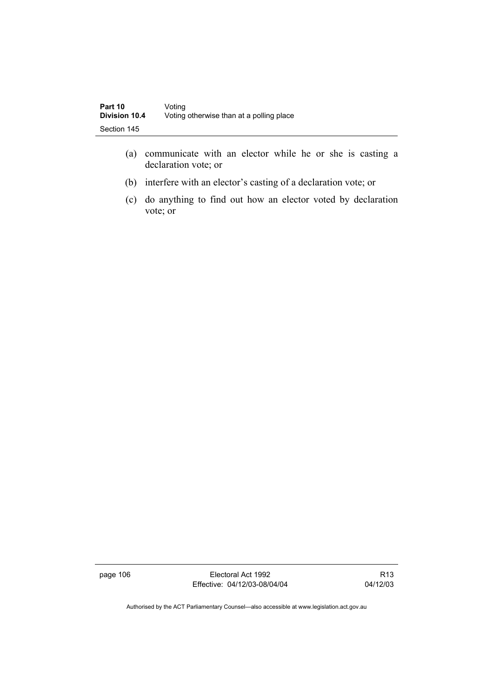- (a) communicate with an elector while he or she is casting a declaration vote; or
- (b) interfere with an elector's casting of a declaration vote; or
- (c) do anything to find out how an elector voted by declaration vote; or

page 106 Electoral Act 1992 Effective: 04/12/03-08/04/04

R13 04/12/03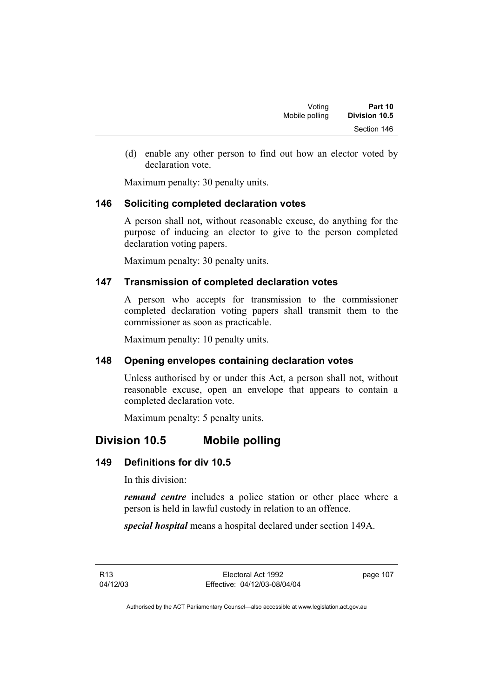(d) enable any other person to find out how an elector voted by declaration vote.

Maximum penalty: 30 penalty units.

## **146 Soliciting completed declaration votes**

A person shall not, without reasonable excuse, do anything for the purpose of inducing an elector to give to the person completed declaration voting papers.

Maximum penalty: 30 penalty units.

# **147 Transmission of completed declaration votes**

A person who accepts for transmission to the commissioner completed declaration voting papers shall transmit them to the commissioner as soon as practicable.

Maximum penalty: 10 penalty units.

# **148 Opening envelopes containing declaration votes**

Unless authorised by or under this Act, a person shall not, without reasonable excuse, open an envelope that appears to contain a completed declaration vote.

Maximum penalty: 5 penalty units.

# **Division 10.5 Mobile polling**

# **149 Definitions for div 10.5**

In this division:

*remand centre* includes a police station or other place where a person is held in lawful custody in relation to an offence.

*special hospital* means a hospital declared under section 149A.

R13 04/12/03 page 107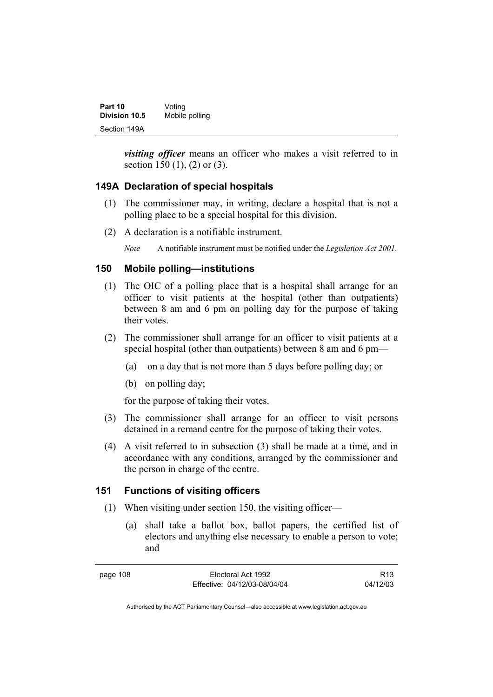| Part 10              | Voting         |
|----------------------|----------------|
| <b>Division 10.5</b> | Mobile polling |
| Section 149A         |                |

*visiting officer* means an officer who makes a visit referred to in section 150 (1), (2) or (3).

## **149A Declaration of special hospitals**

- (1) The commissioner may, in writing, declare a hospital that is not a polling place to be a special hospital for this division.
- (2) A declaration is a notifiable instrument.

*Note* A notifiable instrument must be notified under the *Legislation Act 2001*.

### **150 Mobile polling—institutions**

- (1) The OIC of a polling place that is a hospital shall arrange for an officer to visit patients at the hospital (other than outpatients) between 8 am and 6 pm on polling day for the purpose of taking their votes.
- (2) The commissioner shall arrange for an officer to visit patients at a special hospital (other than outpatients) between 8 am and 6 pm—
	- (a) on a day that is not more than 5 days before polling day; or
	- (b) on polling day;

for the purpose of taking their votes.

- (3) The commissioner shall arrange for an officer to visit persons detained in a remand centre for the purpose of taking their votes.
- (4) A visit referred to in subsection (3) shall be made at a time, and in accordance with any conditions, arranged by the commissioner and the person in charge of the centre.

# **151 Functions of visiting officers**

- (1) When visiting under section 150, the visiting officer—
	- (a) shall take a ballot box, ballot papers, the certified list of electors and anything else necessary to enable a person to vote; and

R13 04/12/03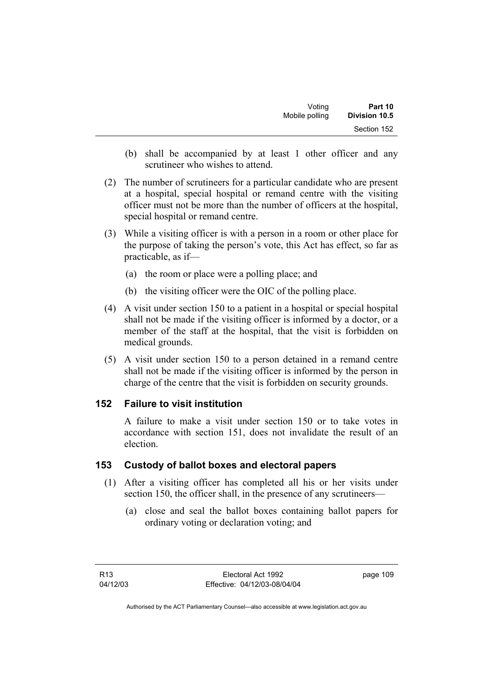| Voting         | Part 10              |
|----------------|----------------------|
| Mobile polling | <b>Division 10.5</b> |
|                | Section 152          |

- (b) shall be accompanied by at least 1 other officer and any scrutineer who wishes to attend.
- (2) The number of scrutineers for a particular candidate who are present at a hospital, special hospital or remand centre with the visiting officer must not be more than the number of officers at the hospital, special hospital or remand centre.
- (3) While a visiting officer is with a person in a room or other place for the purpose of taking the person's vote, this Act has effect, so far as practicable, as if—
	- (a) the room or place were a polling place; and
	- (b) the visiting officer were the OIC of the polling place.
- (4) A visit under section 150 to a patient in a hospital or special hospital shall not be made if the visiting officer is informed by a doctor, or a member of the staff at the hospital, that the visit is forbidden on medical grounds.
- (5) A visit under section 150 to a person detained in a remand centre shall not be made if the visiting officer is informed by the person in charge of the centre that the visit is forbidden on security grounds.

### **152 Failure to visit institution**

A failure to make a visit under section 150 or to take votes in accordance with section 151, does not invalidate the result of an election.

### **153 Custody of ballot boxes and electoral papers**

- (1) After a visiting officer has completed all his or her visits under section 150, the officer shall, in the presence of any scrutineers—
	- (a) close and seal the ballot boxes containing ballot papers for ordinary voting or declaration voting; and

page 109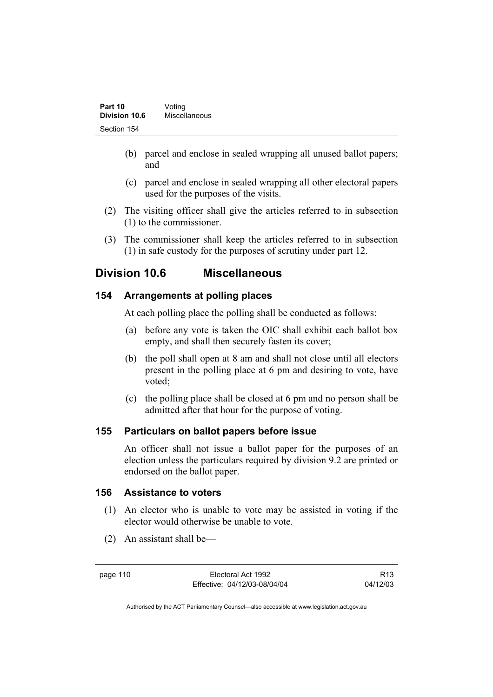| Part 10       | Voting        |  |
|---------------|---------------|--|
| Division 10.6 | Miscellaneous |  |
| Section 154   |               |  |

- (b) parcel and enclose in sealed wrapping all unused ballot papers; and
- (c) parcel and enclose in sealed wrapping all other electoral papers used for the purposes of the visits.
- (2) The visiting officer shall give the articles referred to in subsection (1) to the commissioner.
- (3) The commissioner shall keep the articles referred to in subsection (1) in safe custody for the purposes of scrutiny under part 12.

# **Division 10.6 Miscellaneous**

## **154 Arrangements at polling places**

At each polling place the polling shall be conducted as follows:

- (a) before any vote is taken the OIC shall exhibit each ballot box empty, and shall then securely fasten its cover;
- (b) the poll shall open at 8 am and shall not close until all electors present in the polling place at 6 pm and desiring to vote, have voted;
- (c) the polling place shall be closed at 6 pm and no person shall be admitted after that hour for the purpose of voting.

### **155 Particulars on ballot papers before issue**

An officer shall not issue a ballot paper for the purposes of an election unless the particulars required by division 9.2 are printed or endorsed on the ballot paper.

#### **156 Assistance to voters**

- (1) An elector who is unable to vote may be assisted in voting if the elector would otherwise be unable to vote.
- (2) An assistant shall be—

page 110 Electoral Act 1992 Effective: 04/12/03-08/04/04

R13 04/12/03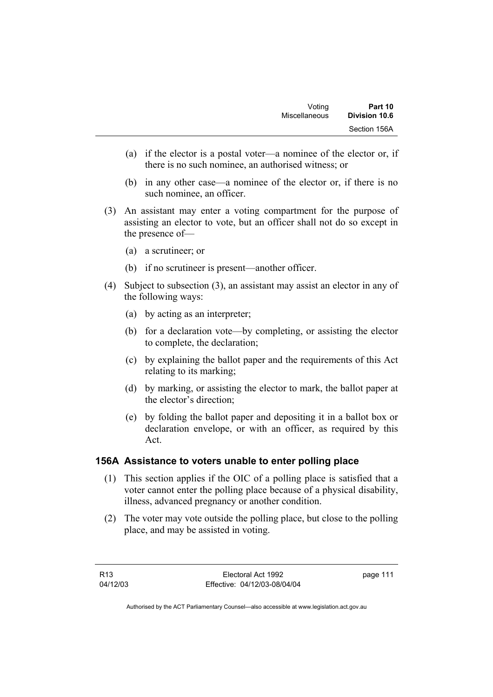| Voting        | Part 10       |
|---------------|---------------|
| Miscellaneous | Division 10.6 |
|               | Section 156A  |

- (a) if the elector is a postal voter—a nominee of the elector or, if there is no such nominee, an authorised witness; or
- (b) in any other case—a nominee of the elector or, if there is no such nominee, an officer.
- (3) An assistant may enter a voting compartment for the purpose of assisting an elector to vote, but an officer shall not do so except in the presence of—
	- (a) a scrutineer; or
	- (b) if no scrutineer is present—another officer.
- (4) Subject to subsection (3), an assistant may assist an elector in any of the following ways:
	- (a) by acting as an interpreter;
	- (b) for a declaration vote—by completing, or assisting the elector to complete, the declaration;
	- (c) by explaining the ballot paper and the requirements of this Act relating to its marking;
	- (d) by marking, or assisting the elector to mark, the ballot paper at the elector's direction;
	- (e) by folding the ballot paper and depositing it in a ballot box or declaration envelope, or with an officer, as required by this Act.

# **156A Assistance to voters unable to enter polling place**

- (1) This section applies if the OIC of a polling place is satisfied that a voter cannot enter the polling place because of a physical disability, illness, advanced pregnancy or another condition.
- (2) The voter may vote outside the polling place, but close to the polling place, and may be assisted in voting.

page 111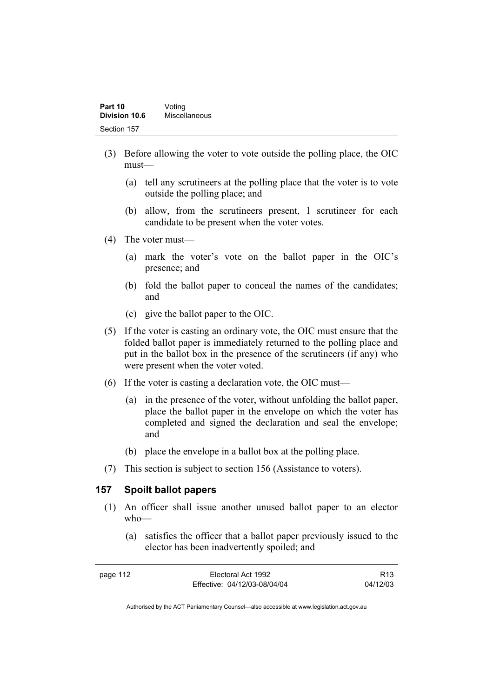| Part 10<br>Division 10.6 | Voting        |
|--------------------------|---------------|
|                          | Miscellaneous |
| Section 157              |               |

- (3) Before allowing the voter to vote outside the polling place, the OIC must—
	- (a) tell any scrutineers at the polling place that the voter is to vote outside the polling place; and
	- (b) allow, from the scrutineers present, 1 scrutineer for each candidate to be present when the voter votes.
- (4) The voter must—
	- (a) mark the voter's vote on the ballot paper in the OIC's presence; and
	- (b) fold the ballot paper to conceal the names of the candidates; and
	- (c) give the ballot paper to the OIC.
- (5) If the voter is casting an ordinary vote, the OIC must ensure that the folded ballot paper is immediately returned to the polling place and put in the ballot box in the presence of the scrutineers (if any) who were present when the voter voted.
- (6) If the voter is casting a declaration vote, the OIC must—
	- (a) in the presence of the voter, without unfolding the ballot paper, place the ballot paper in the envelope on which the voter has completed and signed the declaration and seal the envelope; and
	- (b) place the envelope in a ballot box at the polling place.
- (7) This section is subject to section 156 (Assistance to voters).

#### **157 Spoilt ballot papers**

- (1) An officer shall issue another unused ballot paper to an elector who—
	- (a) satisfies the officer that a ballot paper previously issued to the elector has been inadvertently spoiled; and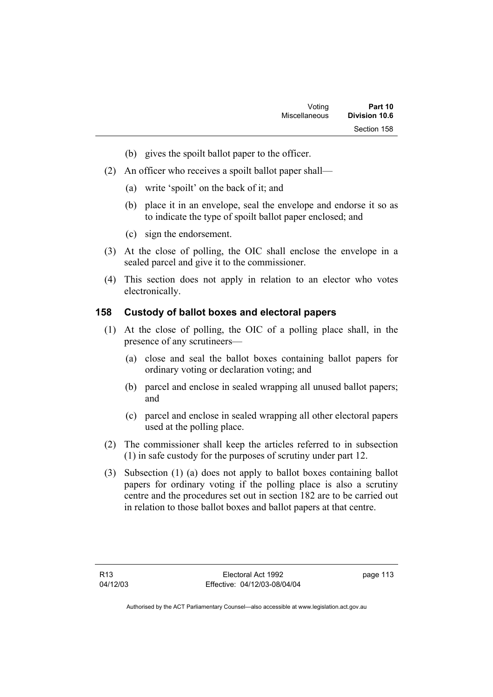- (b) gives the spoilt ballot paper to the officer.
- (2) An officer who receives a spoilt ballot paper shall—
	- (a) write 'spoilt' on the back of it; and
	- (b) place it in an envelope, seal the envelope and endorse it so as to indicate the type of spoilt ballot paper enclosed; and
	- (c) sign the endorsement.
- (3) At the close of polling, the OIC shall enclose the envelope in a sealed parcel and give it to the commissioner.
- (4) This section does not apply in relation to an elector who votes electronically.

### **158 Custody of ballot boxes and electoral papers**

- (1) At the close of polling, the OIC of a polling place shall, in the presence of any scrutineers—
	- (a) close and seal the ballot boxes containing ballot papers for ordinary voting or declaration voting; and
	- (b) parcel and enclose in sealed wrapping all unused ballot papers; and
	- (c) parcel and enclose in sealed wrapping all other electoral papers used at the polling place.
- (2) The commissioner shall keep the articles referred to in subsection (1) in safe custody for the purposes of scrutiny under part 12.
- (3) Subsection (1) (a) does not apply to ballot boxes containing ballot papers for ordinary voting if the polling place is also a scrutiny centre and the procedures set out in section 182 are to be carried out in relation to those ballot boxes and ballot papers at that centre.

page 113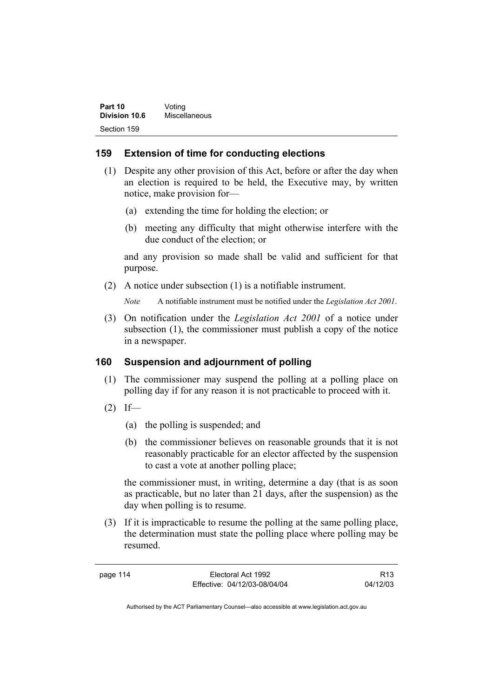| Part 10              | Voting        |
|----------------------|---------------|
| <b>Division 10.6</b> | Miscellaneous |
| Section 159          |               |

## **159 Extension of time for conducting elections**

- (1) Despite any other provision of this Act, before or after the day when an election is required to be held, the Executive may, by written notice, make provision for—
	- (a) extending the time for holding the election; or
	- (b) meeting any difficulty that might otherwise interfere with the due conduct of the election; or

and any provision so made shall be valid and sufficient for that purpose.

(2) A notice under subsection (1) is a notifiable instrument.

*Note* A notifiable instrument must be notified under the *Legislation Act 2001*.

 (3) On notification under the *Legislation Act 2001* of a notice under subsection (1), the commissioner must publish a copy of the notice in a newspaper.

### **160 Suspension and adjournment of polling**

- (1) The commissioner may suspend the polling at a polling place on polling day if for any reason it is not practicable to proceed with it.
- $(2)$  If—
	- (a) the polling is suspended; and
	- (b) the commissioner believes on reasonable grounds that it is not reasonably practicable for an elector affected by the suspension to cast a vote at another polling place;

the commissioner must, in writing, determine a day (that is as soon as practicable, but no later than 21 days, after the suspension) as the day when polling is to resume.

 (3) If it is impracticable to resume the polling at the same polling place, the determination must state the polling place where polling may be resumed.

| page 114 | Electoral Act 1992           | R <sub>13</sub> |
|----------|------------------------------|-----------------|
|          | Effective: 04/12/03-08/04/04 | 04/12/03        |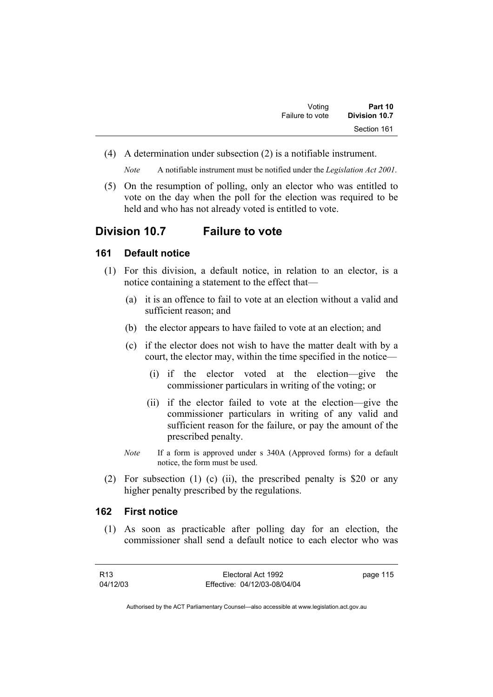| Voting          | Part 10       |  |
|-----------------|---------------|--|
| Failure to vote | Division 10.7 |  |
|                 | Section 161   |  |

(4) A determination under subsection (2) is a notifiable instrument.

*Note* A notifiable instrument must be notified under the *Legislation Act 2001*.

 (5) On the resumption of polling, only an elector who was entitled to vote on the day when the poll for the election was required to be held and who has not already voted is entitled to vote.

# **Division 10.7 Failure to vote**

### **161 Default notice**

- (1) For this division, a default notice, in relation to an elector, is a notice containing a statement to the effect that—
	- (a) it is an offence to fail to vote at an election without a valid and sufficient reason; and
	- (b) the elector appears to have failed to vote at an election; and
	- (c) if the elector does not wish to have the matter dealt with by a court, the elector may, within the time specified in the notice—
		- (i) if the elector voted at the election—give the commissioner particulars in writing of the voting; or
		- (ii) if the elector failed to vote at the election—give the commissioner particulars in writing of any valid and sufficient reason for the failure, or pay the amount of the prescribed penalty.
	- *Note* If a form is approved under s 340A (Approved forms) for a default notice, the form must be used.
- (2) For subsection (1) (c) (ii), the prescribed penalty is \$20 or any higher penalty prescribed by the regulations.

### **162 First notice**

 (1) As soon as practicable after polling day for an election, the commissioner shall send a default notice to each elector who was

| R13      | Electoral Act 1992           | page 115 |
|----------|------------------------------|----------|
| 04/12/03 | Effective: 04/12/03-08/04/04 |          |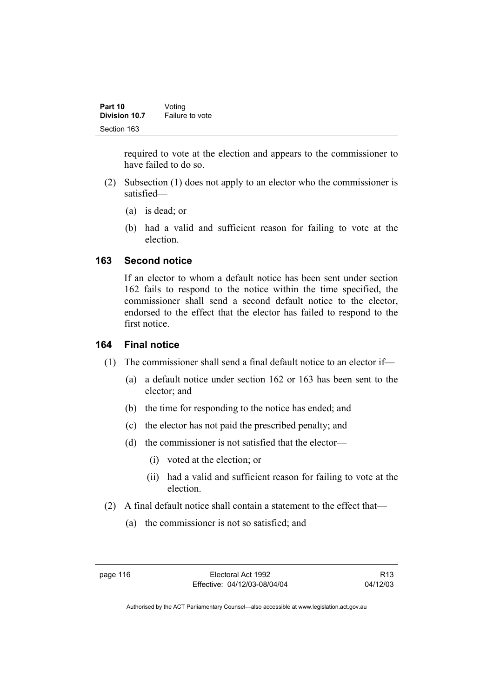| Part 10       | Voting          |
|---------------|-----------------|
| Division 10.7 | Failure to vote |
| Section 163   |                 |

required to vote at the election and appears to the commissioner to have failed to do so.

- (2) Subsection (1) does not apply to an elector who the commissioner is satisfied—
	- (a) is dead; or
	- (b) had a valid and sufficient reason for failing to vote at the election.

### **163 Second notice**

If an elector to whom a default notice has been sent under section 162 fails to respond to the notice within the time specified, the commissioner shall send a second default notice to the elector, endorsed to the effect that the elector has failed to respond to the first notice.

# **164 Final notice**

- (1) The commissioner shall send a final default notice to an elector if—
	- (a) a default notice under section 162 or 163 has been sent to the elector; and
	- (b) the time for responding to the notice has ended; and
	- (c) the elector has not paid the prescribed penalty; and
	- (d) the commissioner is not satisfied that the elector—
		- (i) voted at the election; or
		- (ii) had a valid and sufficient reason for failing to vote at the election.
- (2) A final default notice shall contain a statement to the effect that—
	- (a) the commissioner is not so satisfied; and

R13 04/12/03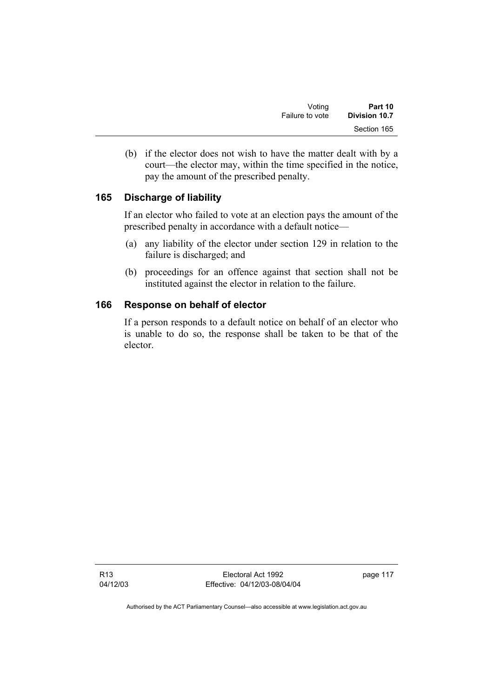| Voting          | Part 10       |  |
|-----------------|---------------|--|
| Failure to vote | Division 10.7 |  |
|                 | Section 165   |  |

 (b) if the elector does not wish to have the matter dealt with by a court—the elector may, within the time specified in the notice, pay the amount of the prescribed penalty.

# **165 Discharge of liability**

If an elector who failed to vote at an election pays the amount of the prescribed penalty in accordance with a default notice—

- (a) any liability of the elector under section 129 in relation to the failure is discharged; and
- (b) proceedings for an offence against that section shall not be instituted against the elector in relation to the failure.

## **166 Response on behalf of elector**

If a person responds to a default notice on behalf of an elector who is unable to do so, the response shall be taken to be that of the elector.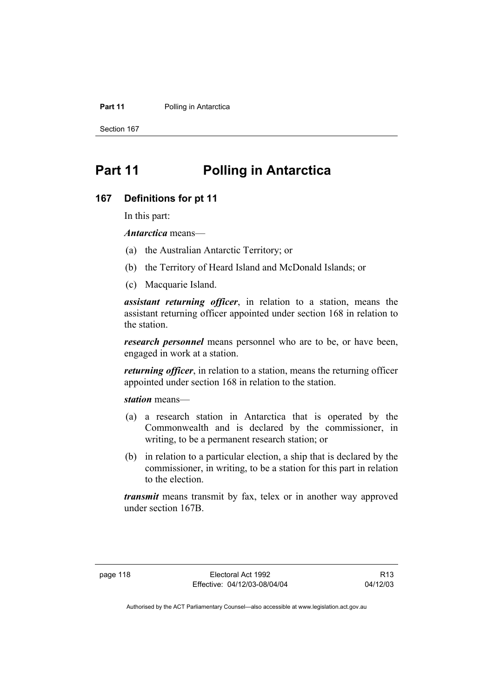#### **Part 11** Polling in Antarctica

Section 167

# **Part 11 Polling in Antarctica**

#### **167 Definitions for pt 11**

In this part:

*Antarctica* means—

- (a) the Australian Antarctic Territory; or
- (b) the Territory of Heard Island and McDonald Islands; or
- (c) Macquarie Island.

*assistant returning officer*, in relation to a station, means the assistant returning officer appointed under section 168 in relation to the station.

*research personnel* means personnel who are to be, or have been, engaged in work at a station.

*returning officer*, in relation to a station, means the returning officer appointed under section 168 in relation to the station.

*station* means—

- (a) a research station in Antarctica that is operated by the Commonwealth and is declared by the commissioner, in writing, to be a permanent research station; or
- (b) in relation to a particular election, a ship that is declared by the commissioner, in writing, to be a station for this part in relation to the election.

*transmit* means transmit by fax, telex or in another way approved under section 167B.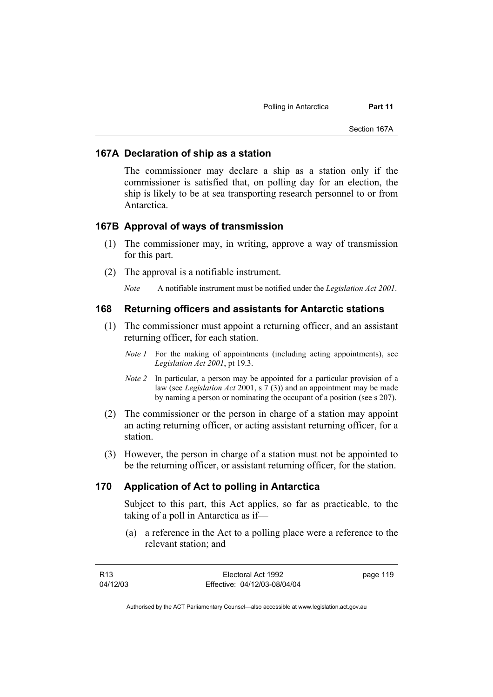#### **167A Declaration of ship as a station**

The commissioner may declare a ship as a station only if the commissioner is satisfied that, on polling day for an election, the ship is likely to be at sea transporting research personnel to or from Antarctica.

### **167B Approval of ways of transmission**

- (1) The commissioner may, in writing, approve a way of transmission for this part.
- (2) The approval is a notifiable instrument.

*Note* A notifiable instrument must be notified under the *Legislation Act 2001*.

#### **168 Returning officers and assistants for Antarctic stations**

- (1) The commissioner must appoint a returning officer, and an assistant returning officer, for each station.
	- *Note 1* For the making of appointments (including acting appointments), see *Legislation Act 2001*, pt 19.3.
	- *Note 2* In particular, a person may be appointed for a particular provision of a law (see *Legislation Act* 2001, s 7 (3)) and an appointment may be made by naming a person or nominating the occupant of a position (see s 207).
- (2) The commissioner or the person in charge of a station may appoint an acting returning officer, or acting assistant returning officer, for a station.
- (3) However, the person in charge of a station must not be appointed to be the returning officer, or assistant returning officer, for the station.

### **170 Application of Act to polling in Antarctica**

Subject to this part, this Act applies, so far as practicable, to the taking of a poll in Antarctica as if—

 (a) a reference in the Act to a polling place were a reference to the relevant station; and

| R13      | Electoral Act 1992           | page 119 |
|----------|------------------------------|----------|
| 04/12/03 | Effective: 04/12/03-08/04/04 |          |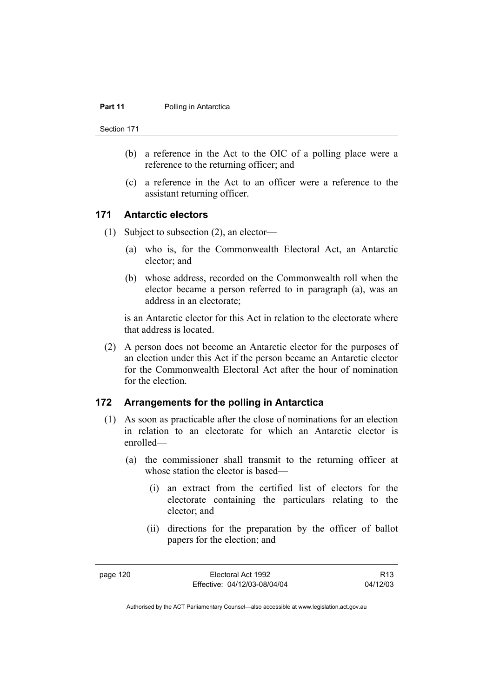#### **Part 11** Polling in Antarctica

Section 171

- (b) a reference in the Act to the OIC of a polling place were a reference to the returning officer; and
- (c) a reference in the Act to an officer were a reference to the assistant returning officer.

#### **171 Antarctic electors**

- (1) Subject to subsection (2), an elector—
	- (a) who is, for the Commonwealth Electoral Act, an Antarctic elector; and
	- (b) whose address, recorded on the Commonwealth roll when the elector became a person referred to in paragraph (a), was an address in an electorate;

is an Antarctic elector for this Act in relation to the electorate where that address is located.

 (2) A person does not become an Antarctic elector for the purposes of an election under this Act if the person became an Antarctic elector for the Commonwealth Electoral Act after the hour of nomination for the election.

### **172 Arrangements for the polling in Antarctica**

- (1) As soon as practicable after the close of nominations for an election in relation to an electorate for which an Antarctic elector is enrolled—
	- (a) the commissioner shall transmit to the returning officer at whose station the elector is based—
		- (i) an extract from the certified list of electors for the electorate containing the particulars relating to the elector; and
		- (ii) directions for the preparation by the officer of ballot papers for the election; and

R13 04/12/03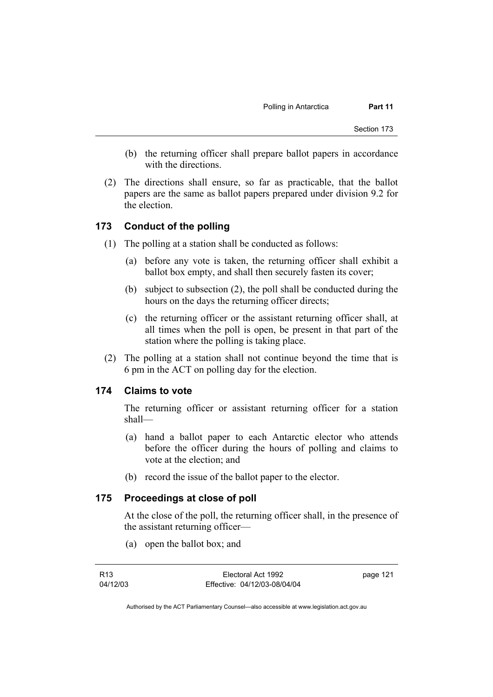- (b) the returning officer shall prepare ballot papers in accordance with the directions.
- (2) The directions shall ensure, so far as practicable, that the ballot papers are the same as ballot papers prepared under division 9.2 for the election.

# **173 Conduct of the polling**

- (1) The polling at a station shall be conducted as follows:
	- (a) before any vote is taken, the returning officer shall exhibit a ballot box empty, and shall then securely fasten its cover;
	- (b) subject to subsection (2), the poll shall be conducted during the hours on the days the returning officer directs;
	- (c) the returning officer or the assistant returning officer shall, at all times when the poll is open, be present in that part of the station where the polling is taking place.
- (2) The polling at a station shall not continue beyond the time that is 6 pm in the ACT on polling day for the election.

### **174 Claims to vote**

The returning officer or assistant returning officer for a station shall—

- (a) hand a ballot paper to each Antarctic elector who attends before the officer during the hours of polling and claims to vote at the election; and
- (b) record the issue of the ballot paper to the elector.

# **175 Proceedings at close of poll**

At the close of the poll, the returning officer shall, in the presence of the assistant returning officer—

(a) open the ballot box; and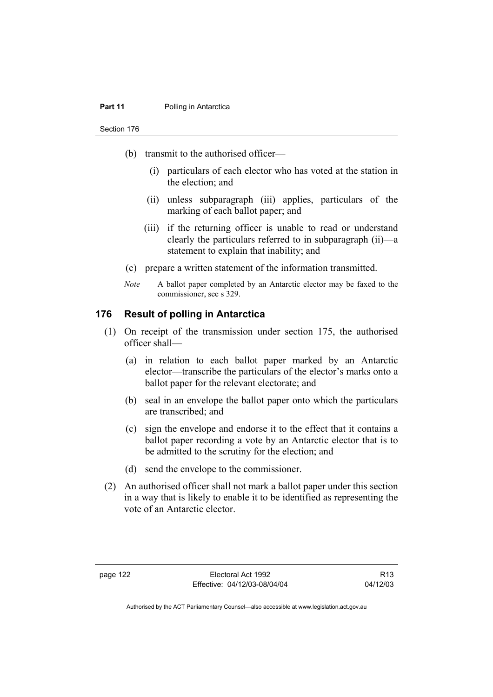#### **Part 11** Polling in Antarctica

Section 176

- (b) transmit to the authorised officer—
	- (i) particulars of each elector who has voted at the station in the election; and
	- (ii) unless subparagraph (iii) applies, particulars of the marking of each ballot paper; and
	- (iii) if the returning officer is unable to read or understand clearly the particulars referred to in subparagraph (ii)—a statement to explain that inability; and
- (c) prepare a written statement of the information transmitted.
- *Note* A ballot paper completed by an Antarctic elector may be faxed to the commissioner, see s 329.

### **176 Result of polling in Antarctica**

- (1) On receipt of the transmission under section 175, the authorised officer shall—
	- (a) in relation to each ballot paper marked by an Antarctic elector—transcribe the particulars of the elector's marks onto a ballot paper for the relevant electorate; and
	- (b) seal in an envelope the ballot paper onto which the particulars are transcribed; and
	- (c) sign the envelope and endorse it to the effect that it contains a ballot paper recording a vote by an Antarctic elector that is to be admitted to the scrutiny for the election; and
	- (d) send the envelope to the commissioner.
- (2) An authorised officer shall not mark a ballot paper under this section in a way that is likely to enable it to be identified as representing the vote of an Antarctic elector.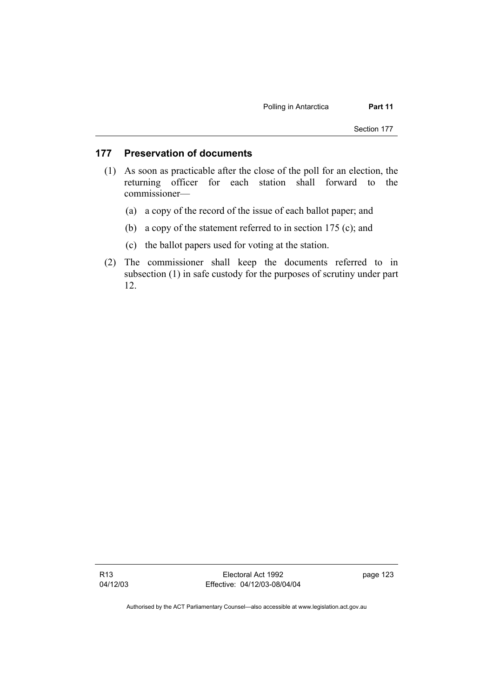## **177 Preservation of documents**

- (1) As soon as practicable after the close of the poll for an election, the returning officer for each station shall forward to the commissioner—
	- (a) a copy of the record of the issue of each ballot paper; and
	- (b) a copy of the statement referred to in section 175 (c); and
	- (c) the ballot papers used for voting at the station.
- (2) The commissioner shall keep the documents referred to in subsection (1) in safe custody for the purposes of scrutiny under part 12.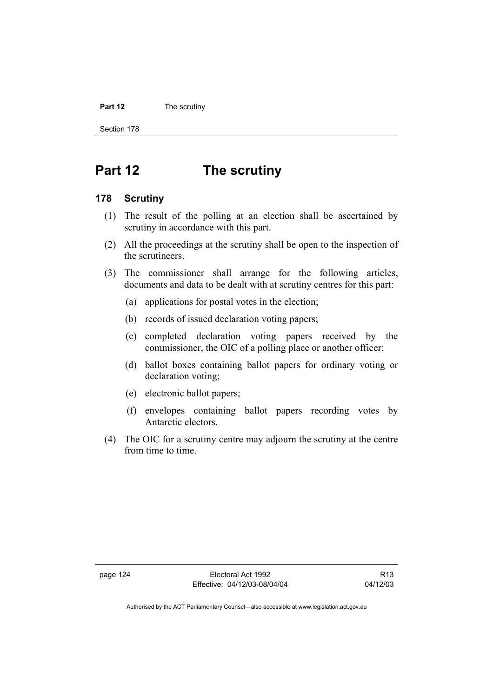#### **Part 12** The scrutiny

Section 178

# **Part 12 The scrutiny**

#### **178 Scrutiny**

- (1) The result of the polling at an election shall be ascertained by scrutiny in accordance with this part.
- (2) All the proceedings at the scrutiny shall be open to the inspection of the scrutineers.
- (3) The commissioner shall arrange for the following articles, documents and data to be dealt with at scrutiny centres for this part:
	- (a) applications for postal votes in the election;
	- (b) records of issued declaration voting papers;
	- (c) completed declaration voting papers received by the commissioner, the OIC of a polling place or another officer;
	- (d) ballot boxes containing ballot papers for ordinary voting or declaration voting;
	- (e) electronic ballot papers;
	- (f) envelopes containing ballot papers recording votes by Antarctic electors.
- (4) The OIC for a scrutiny centre may adjourn the scrutiny at the centre from time to time.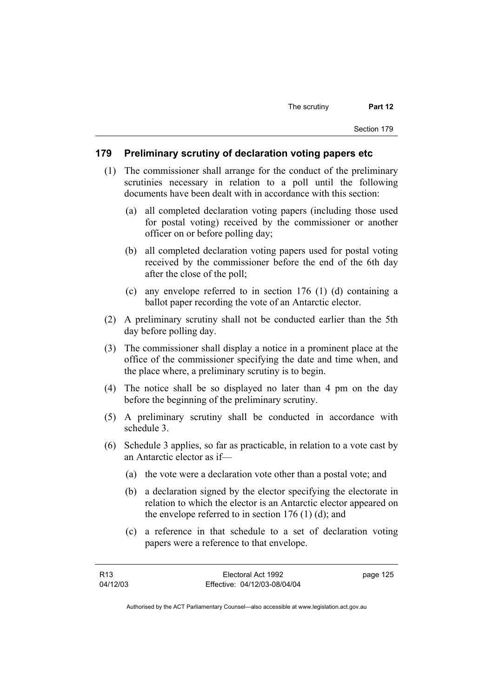#### **179 Preliminary scrutiny of declaration voting papers etc**

- (1) The commissioner shall arrange for the conduct of the preliminary scrutinies necessary in relation to a poll until the following documents have been dealt with in accordance with this section:
	- (a) all completed declaration voting papers (including those used for postal voting) received by the commissioner or another officer on or before polling day;
	- (b) all completed declaration voting papers used for postal voting received by the commissioner before the end of the 6th day after the close of the poll;
	- (c) any envelope referred to in section 176 (1) (d) containing a ballot paper recording the vote of an Antarctic elector.
- (2) A preliminary scrutiny shall not be conducted earlier than the 5th day before polling day.
- (3) The commissioner shall display a notice in a prominent place at the office of the commissioner specifying the date and time when, and the place where, a preliminary scrutiny is to begin.
- (4) The notice shall be so displayed no later than 4 pm on the day before the beginning of the preliminary scrutiny.
- (5) A preliminary scrutiny shall be conducted in accordance with schedule 3.
- (6) Schedule 3 applies, so far as practicable, in relation to a vote cast by an Antarctic elector as if—
	- (a) the vote were a declaration vote other than a postal vote; and
	- (b) a declaration signed by the elector specifying the electorate in relation to which the elector is an Antarctic elector appeared on the envelope referred to in section  $176$  (1) (d); and
	- (c) a reference in that schedule to a set of declaration voting papers were a reference to that envelope.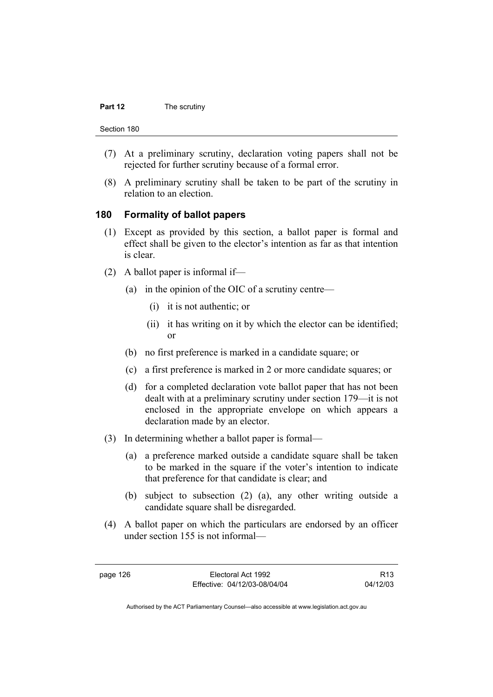#### **Part 12** The scrutiny

Section 180

- (7) At a preliminary scrutiny, declaration voting papers shall not be rejected for further scrutiny because of a formal error.
- (8) A preliminary scrutiny shall be taken to be part of the scrutiny in relation to an election.

#### **180 Formality of ballot papers**

- (1) Except as provided by this section, a ballot paper is formal and effect shall be given to the elector's intention as far as that intention is clear.
- (2) A ballot paper is informal if—
	- (a) in the opinion of the OIC of a scrutiny centre—
		- (i) it is not authentic; or
		- (ii) it has writing on it by which the elector can be identified; or
	- (b) no first preference is marked in a candidate square; or
	- (c) a first preference is marked in 2 or more candidate squares; or
	- (d) for a completed declaration vote ballot paper that has not been dealt with at a preliminary scrutiny under section 179—it is not enclosed in the appropriate envelope on which appears a declaration made by an elector.
- (3) In determining whether a ballot paper is formal—
	- (a) a preference marked outside a candidate square shall be taken to be marked in the square if the voter's intention to indicate that preference for that candidate is clear; and
	- (b) subject to subsection (2) (a), any other writing outside a candidate square shall be disregarded.
- (4) A ballot paper on which the particulars are endorsed by an officer under section 155 is not informal—

page 126 Electoral Act 1992 Effective: 04/12/03-08/04/04

R13 04/12/03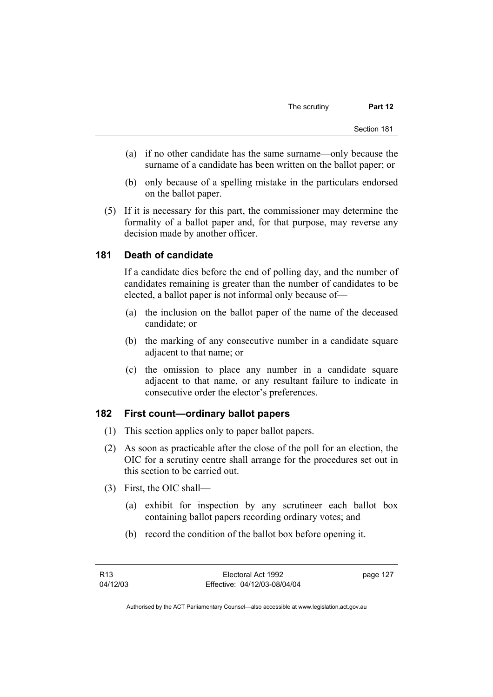- (a) if no other candidate has the same surname—only because the surname of a candidate has been written on the ballot paper; or
- (b) only because of a spelling mistake in the particulars endorsed on the ballot paper.
- (5) If it is necessary for this part, the commissioner may determine the formality of a ballot paper and, for that purpose, may reverse any decision made by another officer.

## **181 Death of candidate**

If a candidate dies before the end of polling day, and the number of candidates remaining is greater than the number of candidates to be elected, a ballot paper is not informal only because of—

- (a) the inclusion on the ballot paper of the name of the deceased candidate; or
- (b) the marking of any consecutive number in a candidate square adjacent to that name; or
- (c) the omission to place any number in a candidate square adjacent to that name, or any resultant failure to indicate in consecutive order the elector's preferences.

## **182 First count—ordinary ballot papers**

- (1) This section applies only to paper ballot papers.
- (2) As soon as practicable after the close of the poll for an election, the OIC for a scrutiny centre shall arrange for the procedures set out in this section to be carried out.
- (3) First, the OIC shall—
	- (a) exhibit for inspection by any scrutineer each ballot box containing ballot papers recording ordinary votes; and
	- (b) record the condition of the ballot box before opening it.

page 127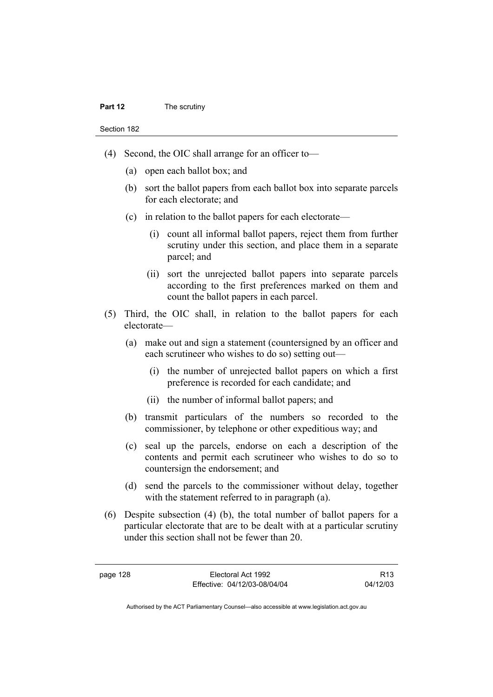- (4) Second, the OIC shall arrange for an officer to—
	- (a) open each ballot box; and
	- (b) sort the ballot papers from each ballot box into separate parcels for each electorate; and
	- (c) in relation to the ballot papers for each electorate—
		- (i) count all informal ballot papers, reject them from further scrutiny under this section, and place them in a separate parcel; and
		- (ii) sort the unrejected ballot papers into separate parcels according to the first preferences marked on them and count the ballot papers in each parcel.
- (5) Third, the OIC shall, in relation to the ballot papers for each electorate—
	- (a) make out and sign a statement (countersigned by an officer and each scrutineer who wishes to do so) setting out—
		- (i) the number of unrejected ballot papers on which a first preference is recorded for each candidate; and
		- (ii) the number of informal ballot papers; and
	- (b) transmit particulars of the numbers so recorded to the commissioner, by telephone or other expeditious way; and
	- (c) seal up the parcels, endorse on each a description of the contents and permit each scrutineer who wishes to do so to countersign the endorsement; and
	- (d) send the parcels to the commissioner without delay, together with the statement referred to in paragraph (a).
- (6) Despite subsection (4) (b), the total number of ballot papers for a particular electorate that are to be dealt with at a particular scrutiny under this section shall not be fewer than 20.

R13 04/12/03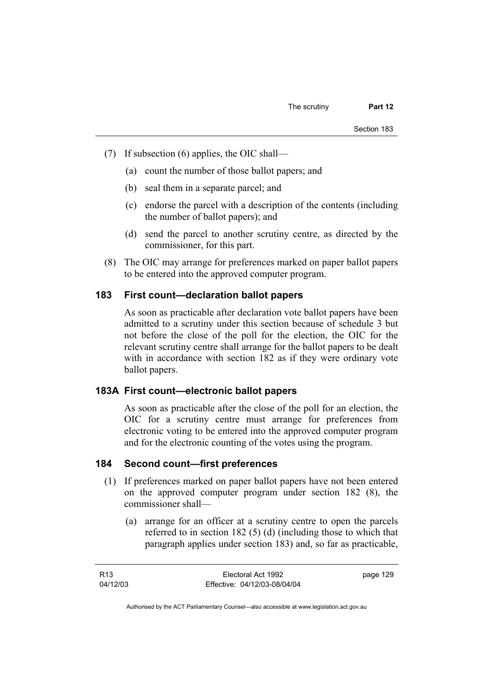- (7) If subsection (6) applies, the OIC shall—
	- (a) count the number of those ballot papers; and
	- (b) seal them in a separate parcel; and
	- (c) endorse the parcel with a description of the contents (including the number of ballot papers); and
	- (d) send the parcel to another scrutiny centre, as directed by the commissioner, for this part.
- (8) The OIC may arrange for preferences marked on paper ballot papers to be entered into the approved computer program.

#### **183 First count—declaration ballot papers**

As soon as practicable after declaration vote ballot papers have been admitted to a scrutiny under this section because of schedule 3 but not before the close of the poll for the election, the OIC for the relevant scrutiny centre shall arrange for the ballot papers to be dealt with in accordance with section 182 as if they were ordinary vote ballot papers.

#### **183A First count—electronic ballot papers**

As soon as practicable after the close of the poll for an election, the OIC for a scrutiny centre must arrange for preferences from electronic voting to be entered into the approved computer program and for the electronic counting of the votes using the program.

#### **184 Second count—first preferences**

- (1) If preferences marked on paper ballot papers have not been entered on the approved computer program under section 182 (8), the commissioner shall—
	- (a) arrange for an officer at a scrutiny centre to open the parcels referred to in section 182 (5) (d) (including those to which that paragraph applies under section 183) and, so far as practicable,

| R13      | Electoral Act 1992           | page 129 |
|----------|------------------------------|----------|
| 04/12/03 | Effective: 04/12/03-08/04/04 |          |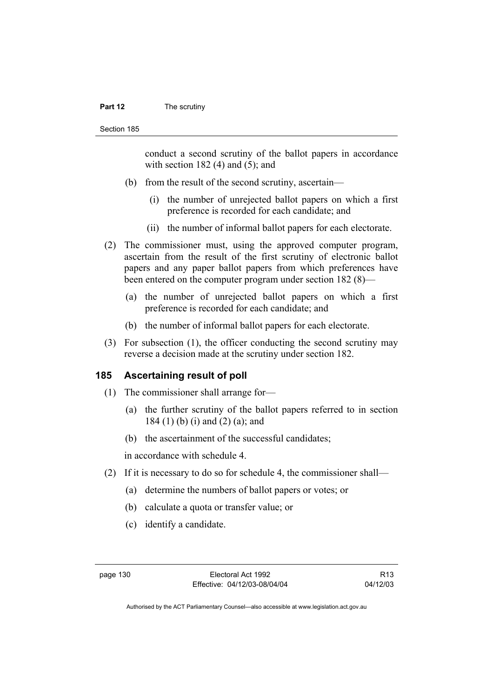#### **Part 12** The scrutiny

conduct a second scrutiny of the ballot papers in accordance with section  $182(4)$  and  $(5)$ ; and

- (b) from the result of the second scrutiny, ascertain—
	- (i) the number of unrejected ballot papers on which a first preference is recorded for each candidate; and
	- (ii) the number of informal ballot papers for each electorate.
- (2) The commissioner must, using the approved computer program, ascertain from the result of the first scrutiny of electronic ballot papers and any paper ballot papers from which preferences have been entered on the computer program under section 182 (8)—
	- (a) the number of unrejected ballot papers on which a first preference is recorded for each candidate; and
	- (b) the number of informal ballot papers for each electorate.
- (3) For subsection (1), the officer conducting the second scrutiny may reverse a decision made at the scrutiny under section 182.

### **185 Ascertaining result of poll**

- (1) The commissioner shall arrange for—
	- (a) the further scrutiny of the ballot papers referred to in section 184 (1) (b) (i) and (2) (a); and
	- (b) the ascertainment of the successful candidates;

in accordance with schedule 4.

- (2) If it is necessary to do so for schedule 4, the commissioner shall—
	- (a) determine the numbers of ballot papers or votes; or
	- (b) calculate a quota or transfer value; or
	- (c) identify a candidate.

R13 04/12/03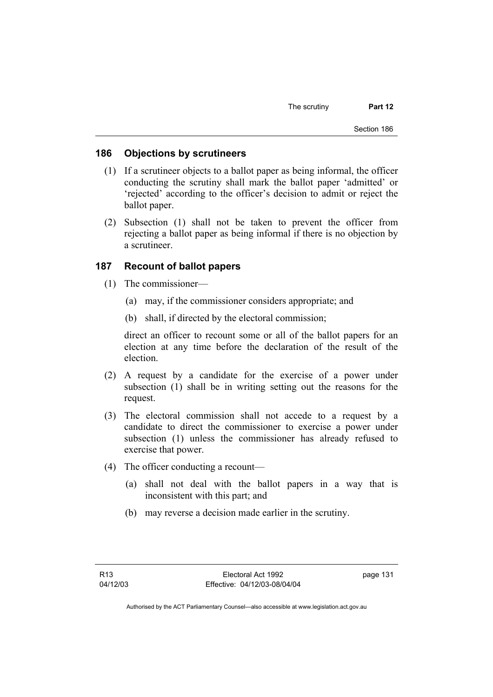### **186 Objections by scrutineers**

- (1) If a scrutineer objects to a ballot paper as being informal, the officer conducting the scrutiny shall mark the ballot paper 'admitted' or 'rejected' according to the officer's decision to admit or reject the ballot paper.
- (2) Subsection (1) shall not be taken to prevent the officer from rejecting a ballot paper as being informal if there is no objection by a scrutineer.

## **187 Recount of ballot papers**

- (1) The commissioner—
	- (a) may, if the commissioner considers appropriate; and
	- (b) shall, if directed by the electoral commission;

direct an officer to recount some or all of the ballot papers for an election at any time before the declaration of the result of the election.

- (2) A request by a candidate for the exercise of a power under subsection (1) shall be in writing setting out the reasons for the request.
- (3) The electoral commission shall not accede to a request by a candidate to direct the commissioner to exercise a power under subsection (1) unless the commissioner has already refused to exercise that power.
- (4) The officer conducting a recount—
	- (a) shall not deal with the ballot papers in a way that is inconsistent with this part; and
	- (b) may reverse a decision made earlier in the scrutiny.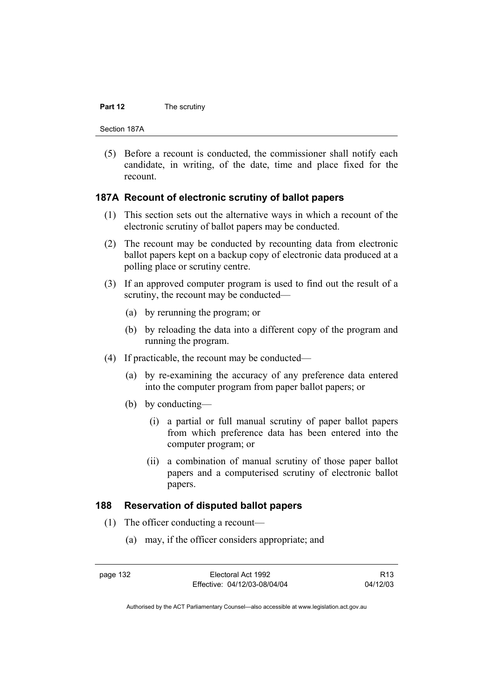#### **Part 12** The scrutiny

Section 187A

 (5) Before a recount is conducted, the commissioner shall notify each candidate, in writing, of the date, time and place fixed for the recount.

#### **187A Recount of electronic scrutiny of ballot papers**

- (1) This section sets out the alternative ways in which a recount of the electronic scrutiny of ballot papers may be conducted.
- (2) The recount may be conducted by recounting data from electronic ballot papers kept on a backup copy of electronic data produced at a polling place or scrutiny centre.
- (3) If an approved computer program is used to find out the result of a scrutiny, the recount may be conducted—
	- (a) by rerunning the program; or
	- (b) by reloading the data into a different copy of the program and running the program.
- (4) If practicable, the recount may be conducted—
	- (a) by re-examining the accuracy of any preference data entered into the computer program from paper ballot papers; or
	- (b) by conducting—
		- (i) a partial or full manual scrutiny of paper ballot papers from which preference data has been entered into the computer program; or
		- (ii) a combination of manual scrutiny of those paper ballot papers and a computerised scrutiny of electronic ballot papers.

#### **188 Reservation of disputed ballot papers**

- (1) The officer conducting a recount—
	- (a) may, if the officer considers appropriate; and

page 132 Electoral Act 1992 Effective: 04/12/03-08/04/04

R13 04/12/03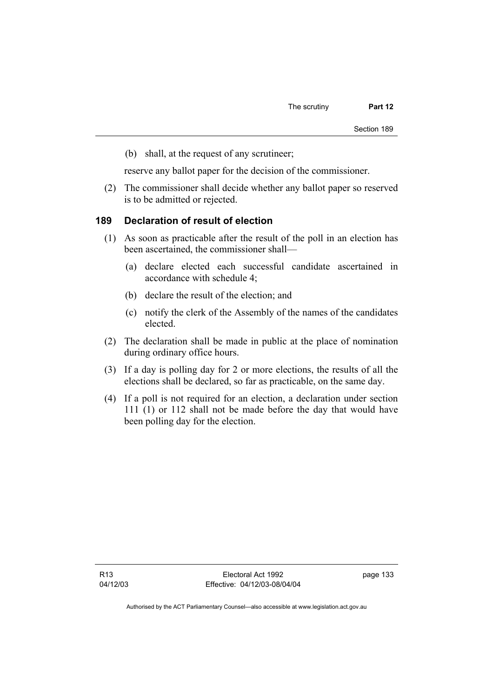(b) shall, at the request of any scrutineer;

reserve any ballot paper for the decision of the commissioner.

 (2) The commissioner shall decide whether any ballot paper so reserved is to be admitted or rejected.

#### **189 Declaration of result of election**

- (1) As soon as practicable after the result of the poll in an election has been ascertained, the commissioner shall—
	- (a) declare elected each successful candidate ascertained in accordance with schedule 4;
	- (b) declare the result of the election; and
	- (c) notify the clerk of the Assembly of the names of the candidates elected.
- (2) The declaration shall be made in public at the place of nomination during ordinary office hours.
- (3) If a day is polling day for 2 or more elections, the results of all the elections shall be declared, so far as practicable, on the same day.
- (4) If a poll is not required for an election, a declaration under section 111 (1) or 112 shall not be made before the day that would have been polling day for the election.

page 133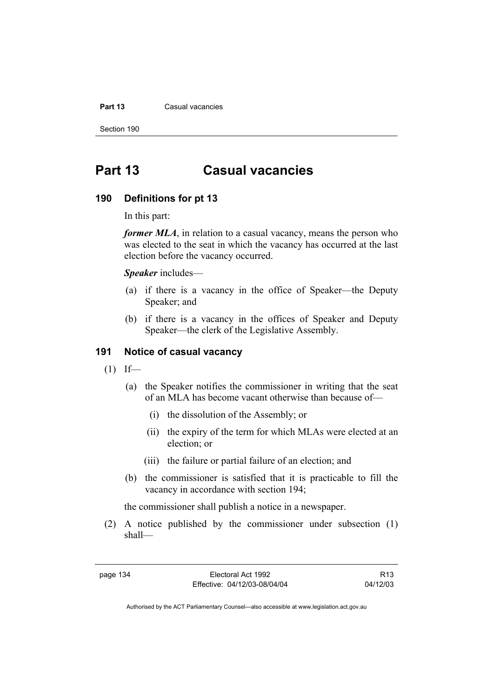#### **Part 13 Casual vacancies**

Section 190

# **Part 13 Casual vacancies**

#### **190 Definitions for pt 13**

In this part:

*former MLA*, in relation to a casual vacancy, means the person who was elected to the seat in which the vacancy has occurred at the last election before the vacancy occurred.

*Speaker* includes—

- (a) if there is a vacancy in the office of Speaker—the Deputy Speaker; and
- (b) if there is a vacancy in the offices of Speaker and Deputy Speaker—the clerk of the Legislative Assembly.

### **191 Notice of casual vacancy**

- $(1)$  If—
	- (a) the Speaker notifies the commissioner in writing that the seat of an MLA has become vacant otherwise than because of—
		- (i) the dissolution of the Assembly; or
		- (ii) the expiry of the term for which MLAs were elected at an election; or
		- (iii) the failure or partial failure of an election; and
	- (b) the commissioner is satisfied that it is practicable to fill the vacancy in accordance with section 194;

the commissioner shall publish a notice in a newspaper.

 (2) A notice published by the commissioner under subsection (1) shall—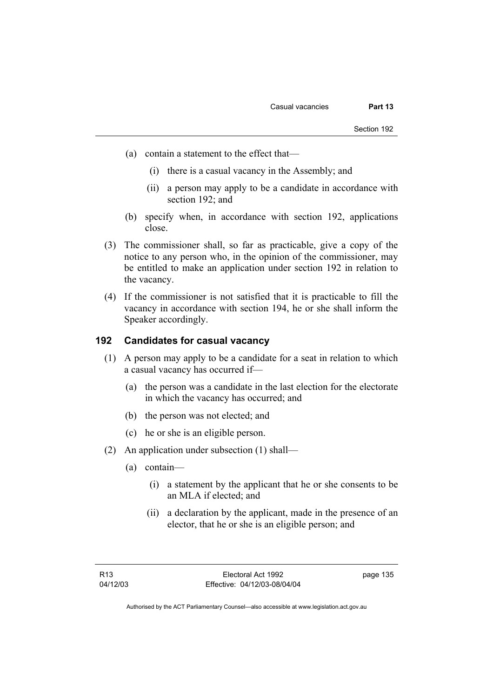- (a) contain a statement to the effect that—
	- (i) there is a casual vacancy in the Assembly; and
	- (ii) a person may apply to be a candidate in accordance with section 192; and
- (b) specify when, in accordance with section 192, applications close.
- (3) The commissioner shall, so far as practicable, give a copy of the notice to any person who, in the opinion of the commissioner, may be entitled to make an application under section 192 in relation to the vacancy.
- (4) If the commissioner is not satisfied that it is practicable to fill the vacancy in accordance with section 194, he or she shall inform the Speaker accordingly.

## **192 Candidates for casual vacancy**

- (1) A person may apply to be a candidate for a seat in relation to which a casual vacancy has occurred if—
	- (a) the person was a candidate in the last election for the electorate in which the vacancy has occurred; and
	- (b) the person was not elected; and
	- (c) he or she is an eligible person.
- (2) An application under subsection (1) shall—
	- (a) contain—
		- (i) a statement by the applicant that he or she consents to be an MLA if elected; and
		- (ii) a declaration by the applicant, made in the presence of an elector, that he or she is an eligible person; and

page 135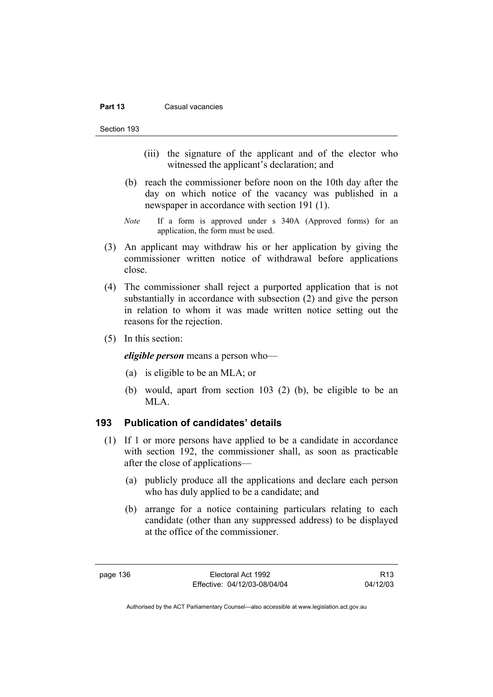#### **Part 13 Casual vacancies**

Section 193

- (iii) the signature of the applicant and of the elector who witnessed the applicant's declaration; and
- (b) reach the commissioner before noon on the 10th day after the day on which notice of the vacancy was published in a newspaper in accordance with section 191 (1).
- *Note* If a form is approved under s 340A (Approved forms) for an application, the form must be used.
- (3) An applicant may withdraw his or her application by giving the commissioner written notice of withdrawal before applications close.
- (4) The commissioner shall reject a purported application that is not substantially in accordance with subsection (2) and give the person in relation to whom it was made written notice setting out the reasons for the rejection.
- (5) In this section:

*eligible person* means a person who—

- (a) is eligible to be an MLA; or
- (b) would, apart from section 103 (2) (b), be eligible to be an MLA.

### **193 Publication of candidates' details**

- (1) If 1 or more persons have applied to be a candidate in accordance with section 192, the commissioner shall, as soon as practicable after the close of applications—
	- (a) publicly produce all the applications and declare each person who has duly applied to be a candidate; and
	- (b) arrange for a notice containing particulars relating to each candidate (other than any suppressed address) to be displayed at the office of the commissioner.

R13 04/12/03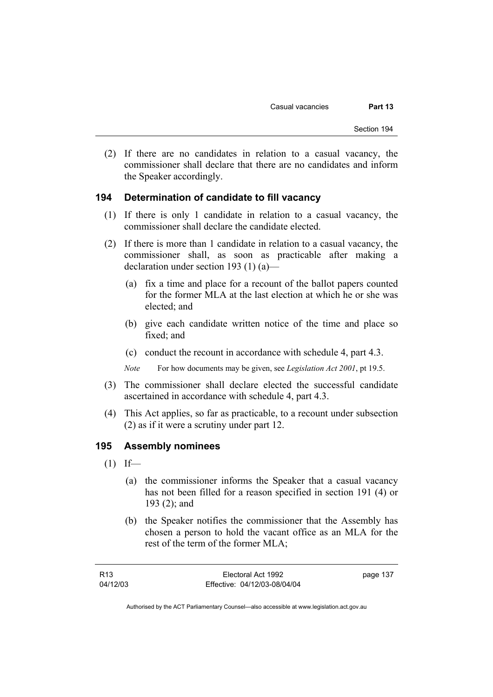(2) If there are no candidates in relation to a casual vacancy, the commissioner shall declare that there are no candidates and inform the Speaker accordingly.

## **194 Determination of candidate to fill vacancy**

- (1) If there is only 1 candidate in relation to a casual vacancy, the commissioner shall declare the candidate elected.
- (2) If there is more than 1 candidate in relation to a casual vacancy, the commissioner shall, as soon as practicable after making a declaration under section 193 (1) (a)—
	- (a) fix a time and place for a recount of the ballot papers counted for the former MLA at the last election at which he or she was elected; and
	- (b) give each candidate written notice of the time and place so fixed; and
	- (c) conduct the recount in accordance with schedule 4, part 4.3.

*Note* For how documents may be given, see *Legislation Act 2001*, pt 19.5.

- (3) The commissioner shall declare elected the successful candidate ascertained in accordance with schedule 4, part 4.3.
- (4) This Act applies, so far as practicable, to a recount under subsection (2) as if it were a scrutiny under part 12.

### **195 Assembly nominees**

- $(1)$  If—
	- (a) the commissioner informs the Speaker that a casual vacancy has not been filled for a reason specified in section 191 (4) or 193 (2); and
	- (b) the Speaker notifies the commissioner that the Assembly has chosen a person to hold the vacant office as an MLA for the rest of the term of the former MLA;

| R13      | Electoral Act 1992           | page 137 |
|----------|------------------------------|----------|
| 04/12/03 | Effective: 04/12/03-08/04/04 |          |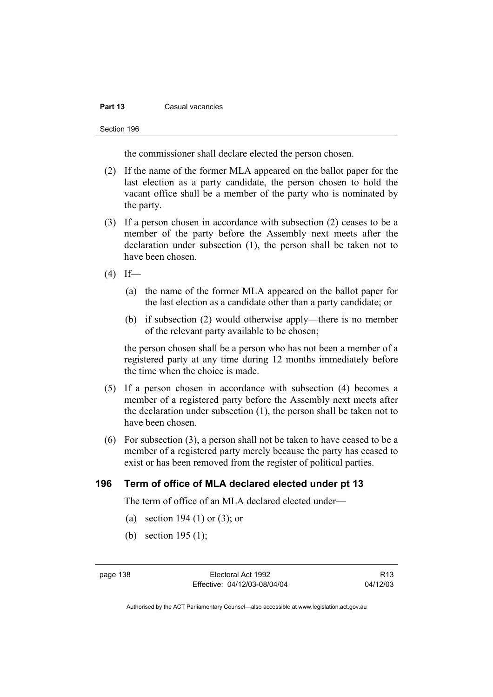#### **Part 13** Casual vacancies

Section 196

the commissioner shall declare elected the person chosen.

- (2) If the name of the former MLA appeared on the ballot paper for the last election as a party candidate, the person chosen to hold the vacant office shall be a member of the party who is nominated by the party.
- (3) If a person chosen in accordance with subsection (2) ceases to be a member of the party before the Assembly next meets after the declaration under subsection (1), the person shall be taken not to have been chosen.
- $(4)$  If—
	- (a) the name of the former MLA appeared on the ballot paper for the last election as a candidate other than a party candidate; or
	- (b) if subsection (2) would otherwise apply—there is no member of the relevant party available to be chosen;

the person chosen shall be a person who has not been a member of a registered party at any time during 12 months immediately before the time when the choice is made.

- (5) If a person chosen in accordance with subsection (4) becomes a member of a registered party before the Assembly next meets after the declaration under subsection (1), the person shall be taken not to have been chosen.
- (6) For subsection (3), a person shall not be taken to have ceased to be a member of a registered party merely because the party has ceased to exist or has been removed from the register of political parties.

### **196 Term of office of MLA declared elected under pt 13**

The term of office of an MLA declared elected under—

- (a) section 194 (1) or (3); or
- (b) section 195 (1);

page 138 Electoral Act 1992 Effective: 04/12/03-08/04/04

R13 04/12/03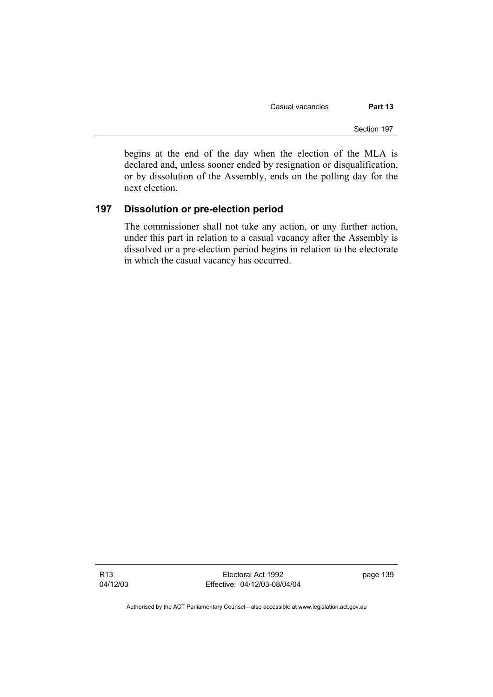Casual vacancies **Part 13** 

Section 197

begins at the end of the day when the election of the MLA is declared and, unless sooner ended by resignation or disqualification, or by dissolution of the Assembly, ends on the polling day for the next election.

## **197 Dissolution or pre-election period**

The commissioner shall not take any action, or any further action, under this part in relation to a casual vacancy after the Assembly is dissolved or a pre-election period begins in relation to the electorate in which the casual vacancy has occurred.

R13 04/12/03

Electoral Act 1992 Effective: 04/12/03-08/04/04 page 139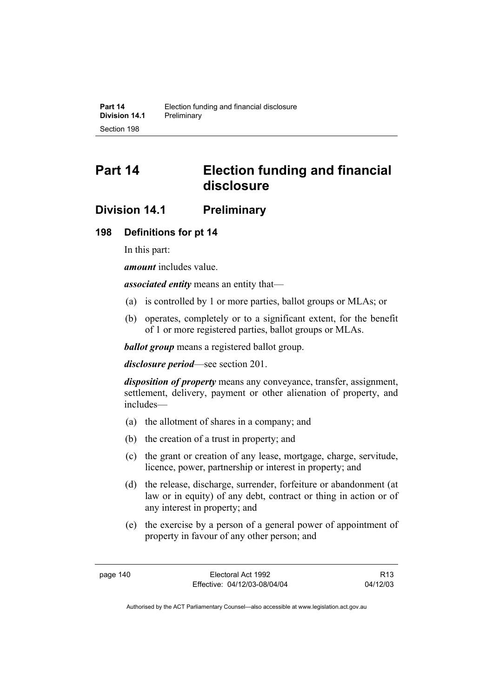# **Part 14 Election funding and financial disclosure**

## **Division 14.1 Preliminary**

## **198 Definitions for pt 14**

In this part:

*amount* includes value.

*associated entity* means an entity that—

- (a) is controlled by 1 or more parties, ballot groups or MLAs; or
- (b) operates, completely or to a significant extent, for the benefit of 1 or more registered parties, ballot groups or MLAs.

*ballot group* means a registered ballot group.

*disclosure period*—see section 201.

*disposition of property* means any conveyance, transfer, assignment, settlement, delivery, payment or other alienation of property, and includes—

- (a) the allotment of shares in a company; and
- (b) the creation of a trust in property; and
- (c) the grant or creation of any lease, mortgage, charge, servitude, licence, power, partnership or interest in property; and
- (d) the release, discharge, surrender, forfeiture or abandonment (at law or in equity) of any debt, contract or thing in action or of any interest in property; and
- (e) the exercise by a person of a general power of appointment of property in favour of any other person; and

R13 04/12/03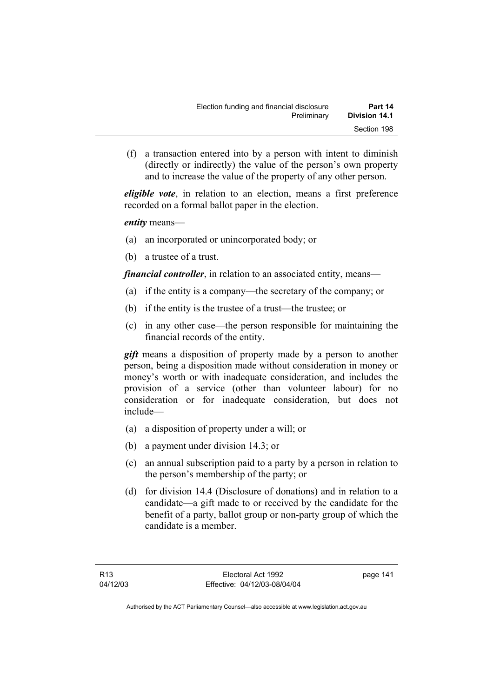(f) a transaction entered into by a person with intent to diminish (directly or indirectly) the value of the person's own property and to increase the value of the property of any other person.

*eligible vote*, in relation to an election, means a first preference recorded on a formal ballot paper in the election.

*entity* means—

- (a) an incorporated or unincorporated body; or
- (b) a trustee of a trust.

*financial controller*, in relation to an associated entity, means—

- (a) if the entity is a company—the secretary of the company; or
- (b) if the entity is the trustee of a trust—the trustee; or
- (c) in any other case—the person responsible for maintaining the financial records of the entity.

*gift* means a disposition of property made by a person to another person, being a disposition made without consideration in money or money's worth or with inadequate consideration, and includes the provision of a service (other than volunteer labour) for no consideration or for inadequate consideration, but does not include—

- (a) a disposition of property under a will; or
- (b) a payment under division 14.3; or
- (c) an annual subscription paid to a party by a person in relation to the person's membership of the party; or
- (d) for division 14.4 (Disclosure of donations) and in relation to a candidate—a gift made to or received by the candidate for the benefit of a party, ballot group or non-party group of which the candidate is a member.

page 141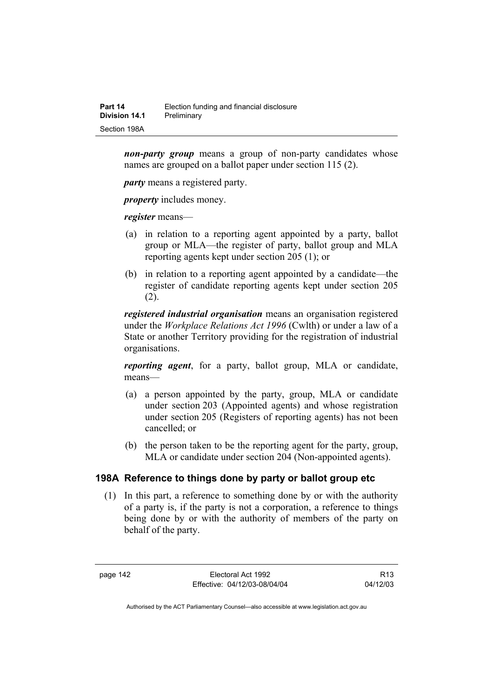| Part 14       | Election funding and financial disclosure |
|---------------|-------------------------------------------|
| Division 14.1 | Preliminary                               |
| Section 198A  |                                           |

*non-party group* means a group of non-party candidates whose names are grouped on a ballot paper under section 115 (2).

*party* means a registered party.

*property* includes money.

*register* means—

- (a) in relation to a reporting agent appointed by a party, ballot group or MLA—the register of party, ballot group and MLA reporting agents kept under section 205 (1); or
- (b) in relation to a reporting agent appointed by a candidate—the register of candidate reporting agents kept under section 205 (2).

*registered industrial organisation* means an organisation registered under the *Workplace Relations Act 1996* (Cwlth) or under a law of a State or another Territory providing for the registration of industrial organisations.

*reporting agent*, for a party, ballot group, MLA or candidate, means—

- (a) a person appointed by the party, group, MLA or candidate under section 203 (Appointed agents) and whose registration under section 205 (Registers of reporting agents) has not been cancelled; or
- (b) the person taken to be the reporting agent for the party, group, MLA or candidate under section 204 (Non-appointed agents).

### **198A Reference to things done by party or ballot group etc**

 (1) In this part, a reference to something done by or with the authority of a party is, if the party is not a corporation, a reference to things being done by or with the authority of members of the party on behalf of the party.

page 142 Electoral Act 1992 Effective: 04/12/03-08/04/04

R13 04/12/03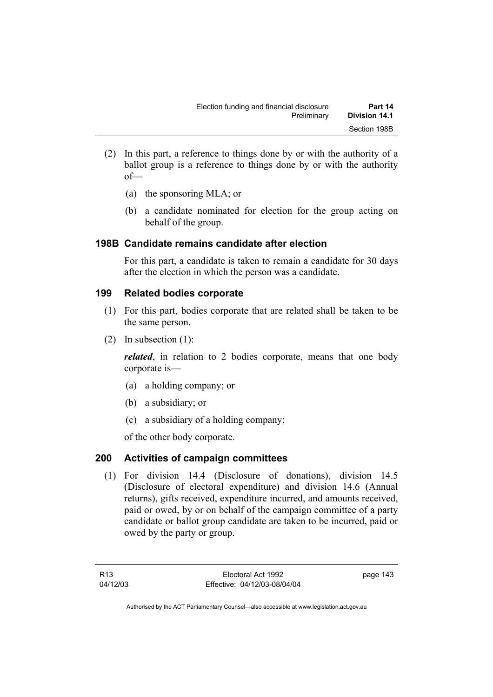- (2) In this part, a reference to things done by or with the authority of a ballot group is a reference to things done by or with the authority of—
	- (a) the sponsoring MLA; or
	- (b) a candidate nominated for election for the group acting on behalf of the group.

## **198B Candidate remains candidate after election**

For this part, a candidate is taken to remain a candidate for 30 days after the election in which the person was a candidate.

## **199 Related bodies corporate**

- (1) For this part, bodies corporate that are related shall be taken to be the same person.
- (2) In subsection (1):

*related*, in relation to 2 bodies corporate, means that one body corporate is—

- (a) a holding company; or
- (b) a subsidiary; or
- (c) a subsidiary of a holding company;

of the other body corporate.

## **200 Activities of campaign committees**

 (1) For division 14.4 (Disclosure of donations), division 14.5 (Disclosure of electoral expenditure) and division 14.6 (Annual returns), gifts received, expenditure incurred, and amounts received, paid or owed, by or on behalf of the campaign committee of a party candidate or ballot group candidate are taken to be incurred, paid or owed by the party or group.

R13 04/12/03 page 143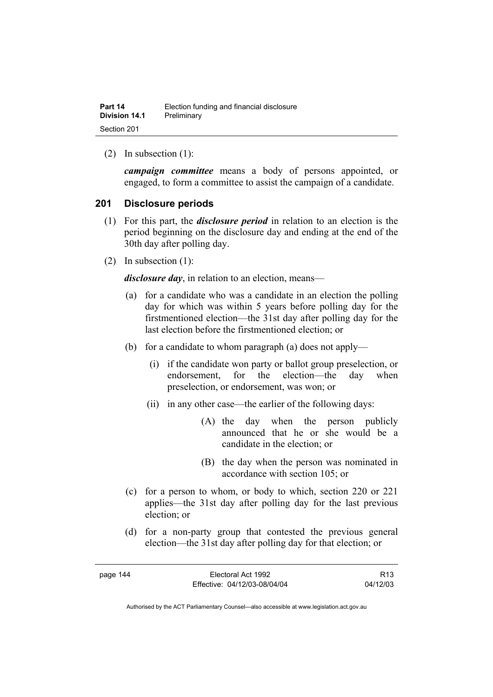(2) In subsection (1):

*campaign committee* means a body of persons appointed, or engaged, to form a committee to assist the campaign of a candidate.

#### **201 Disclosure periods**

- (1) For this part, the *disclosure period* in relation to an election is the period beginning on the disclosure day and ending at the end of the 30th day after polling day.
- (2) In subsection (1):

*disclosure day*, in relation to an election, means—

- (a) for a candidate who was a candidate in an election the polling day for which was within 5 years before polling day for the firstmentioned election—the 31st day after polling day for the last election before the firstmentioned election; or
- (b) for a candidate to whom paragraph (a) does not apply—
	- (i) if the candidate won party or ballot group preselection, or endorsement, for the election—the day when preselection, or endorsement, was won; or
	- (ii) in any other case—the earlier of the following days:
		- (A) the day when the person publicly announced that he or she would be a candidate in the election; or
		- (B) the day when the person was nominated in accordance with section 105; or
- (c) for a person to whom, or body to which, section 220 or 221 applies—the 31st day after polling day for the last previous election; or
- (d) for a non-party group that contested the previous general election—the 31st day after polling day for that election; or

R13 04/12/03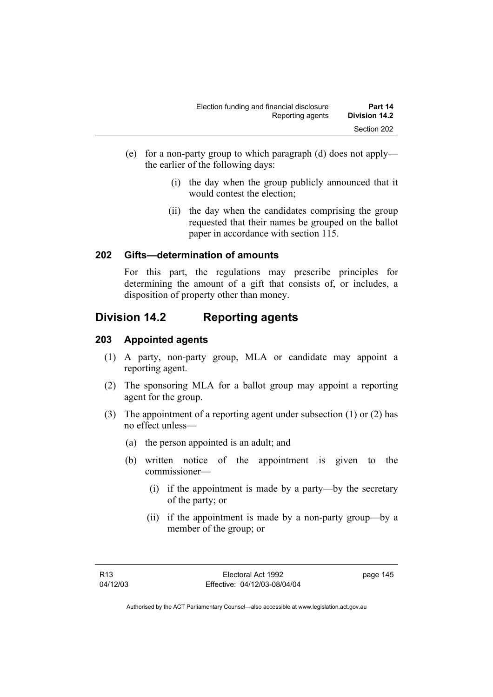- (e) for a non-party group to which paragraph (d) does not apply the earlier of the following days:
	- (i) the day when the group publicly announced that it would contest the election;
	- (ii) the day when the candidates comprising the group requested that their names be grouped on the ballot paper in accordance with section 115.

## **202 Gifts—determination of amounts**

For this part, the regulations may prescribe principles for determining the amount of a gift that consists of, or includes, a disposition of property other than money.

## **Division 14.2 Reporting agents**

## **203 Appointed agents**

- (1) A party, non-party group, MLA or candidate may appoint a reporting agent.
- (2) The sponsoring MLA for a ballot group may appoint a reporting agent for the group.
- (3) The appointment of a reporting agent under subsection (1) or (2) has no effect unless—
	- (a) the person appointed is an adult; and
	- (b) written notice of the appointment is given to the commissioner—
		- (i) if the appointment is made by a party—by the secretary of the party; or
		- (ii) if the appointment is made by a non-party group—by a member of the group; or

page 145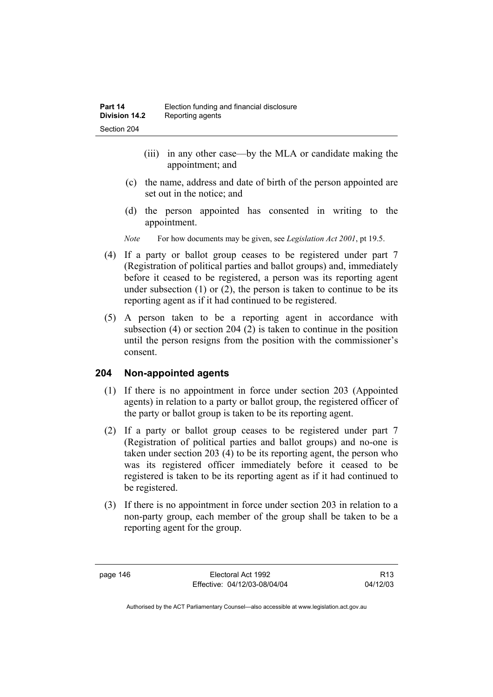- (iii) in any other case—by the MLA or candidate making the appointment; and
- (c) the name, address and date of birth of the person appointed are set out in the notice; and
- (d) the person appointed has consented in writing to the appointment.
- *Note* For how documents may be given, see *Legislation Act 2001*, pt 19.5.
- (4) If a party or ballot group ceases to be registered under part 7 (Registration of political parties and ballot groups) and, immediately before it ceased to be registered, a person was its reporting agent under subsection  $(1)$  or  $(2)$ , the person is taken to continue to be its reporting agent as if it had continued to be registered.
- (5) A person taken to be a reporting agent in accordance with subsection (4) or section 204 (2) is taken to continue in the position until the person resigns from the position with the commissioner's consent.

### **204 Non-appointed agents**

- (1) If there is no appointment in force under section 203 (Appointed agents) in relation to a party or ballot group, the registered officer of the party or ballot group is taken to be its reporting agent.
- (2) If a party or ballot group ceases to be registered under part 7 (Registration of political parties and ballot groups) and no-one is taken under section 203 (4) to be its reporting agent, the person who was its registered officer immediately before it ceased to be registered is taken to be its reporting agent as if it had continued to be registered.
- (3) If there is no appointment in force under section 203 in relation to a non-party group, each member of the group shall be taken to be a reporting agent for the group.

page 146 Electoral Act 1992 Effective: 04/12/03-08/04/04

R13 04/12/03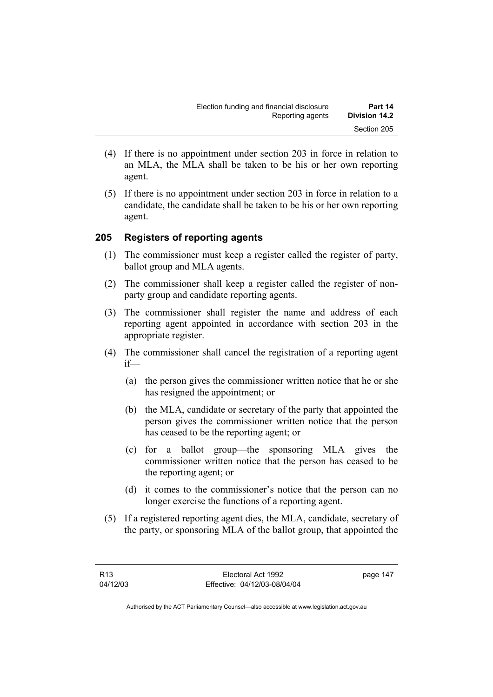- (4) If there is no appointment under section 203 in force in relation to an MLA, the MLA shall be taken to be his or her own reporting agent.
- (5) If there is no appointment under section 203 in force in relation to a candidate, the candidate shall be taken to be his or her own reporting agent.

## **205 Registers of reporting agents**

- (1) The commissioner must keep a register called the register of party, ballot group and MLA agents.
- (2) The commissioner shall keep a register called the register of nonparty group and candidate reporting agents.
- (3) The commissioner shall register the name and address of each reporting agent appointed in accordance with section 203 in the appropriate register.
- (4) The commissioner shall cancel the registration of a reporting agent if—
	- (a) the person gives the commissioner written notice that he or she has resigned the appointment; or
	- (b) the MLA, candidate or secretary of the party that appointed the person gives the commissioner written notice that the person has ceased to be the reporting agent; or
	- (c) for a ballot group—the sponsoring MLA gives the commissioner written notice that the person has ceased to be the reporting agent; or
	- (d) it comes to the commissioner's notice that the person can no longer exercise the functions of a reporting agent.
- (5) If a registered reporting agent dies, the MLA, candidate, secretary of the party, or sponsoring MLA of the ballot group, that appointed the

page 147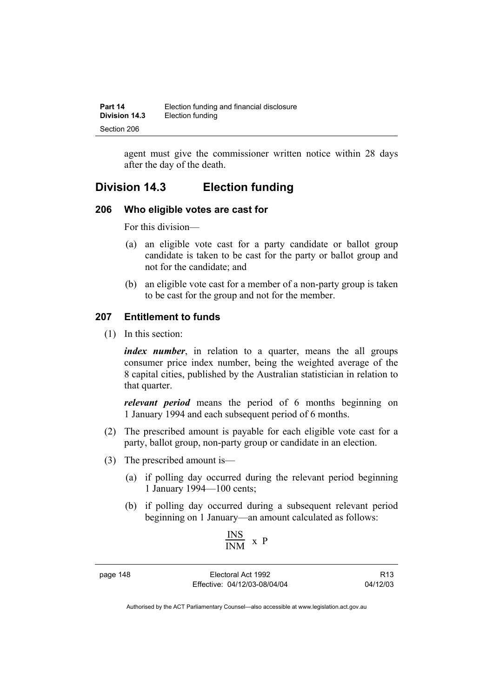| Part 14              | Election funding and financial disclosure |
|----------------------|-------------------------------------------|
| <b>Division 14.3</b> | Election funding                          |
| Section 206          |                                           |

agent must give the commissioner written notice within 28 days after the day of the death.

## **Division 14.3 Election funding**

#### **206 Who eligible votes are cast for**

For this division—

- (a) an eligible vote cast for a party candidate or ballot group candidate is taken to be cast for the party or ballot group and not for the candidate; and
- (b) an eligible vote cast for a member of a non-party group is taken to be cast for the group and not for the member.

### **207 Entitlement to funds**

(1) In this section:

*index number*, in relation to a quarter, means the all groups consumer price index number, being the weighted average of the 8 capital cities, published by the Australian statistician in relation to that quarter.

*relevant period* means the period of 6 months beginning on 1 January 1994 and each subsequent period of 6 months.

- (2) The prescribed amount is payable for each eligible vote cast for a party, ballot group, non-party group or candidate in an election.
- (3) The prescribed amount is—
	- (a) if polling day occurred during the relevant period beginning 1 January 1994—100 cents;
	- (b) if polling day occurred during a subsequent relevant period beginning on 1 January—an amount calculated as follows:

$$
\frac{INS}{INM} \ x \ P
$$

page 148 Electoral Act 1992 Effective: 04/12/03-08/04/04

R13 04/12/03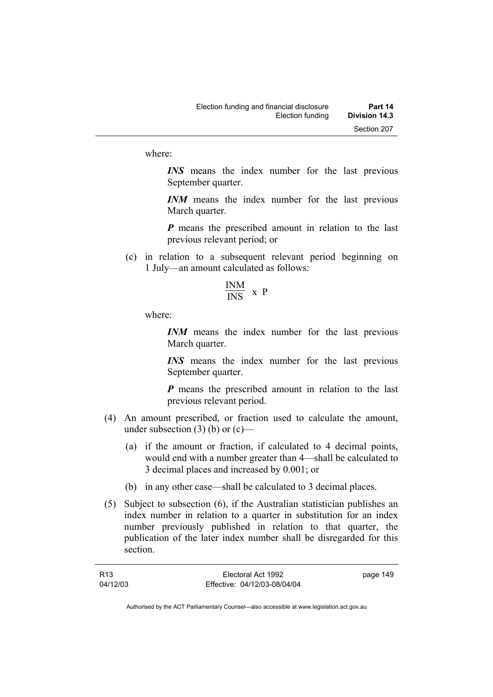where:

*INS* means the index number for the last previous September quarter.

*INM* means the index number for the last previous March quarter.

*P* means the prescribed amount in relation to the last previous relevant period; or

 (c) in relation to a subsequent relevant period beginning on 1 July—an amount calculated as follows:

$$
\frac{\text{INM}}{\text{INS}} \times P
$$

where:

*INM* means the index number for the last previous March quarter.

*INS* means the index number for the last previous September quarter.

*P* means the prescribed amount in relation to the last previous relevant period.

- (4) An amount prescribed, or fraction used to calculate the amount, under subsection  $(3)$  (b) or  $(c)$ —
	- (a) if the amount or fraction, if calculated to 4 decimal points, would end with a number greater than 4—shall be calculated to 3 decimal places and increased by 0.001; or
	- (b) in any other case—shall be calculated to 3 decimal places.
- (5) Subject to subsection (6), if the Australian statistician publishes an index number in relation to a quarter in substitution for an index number previously published in relation to that quarter, the publication of the later index number shall be disregarded for this section.

| R <sub>13</sub> | Electoral Act 1992           | page 149 |
|-----------------|------------------------------|----------|
| 04/12/03        | Effective: 04/12/03-08/04/04 |          |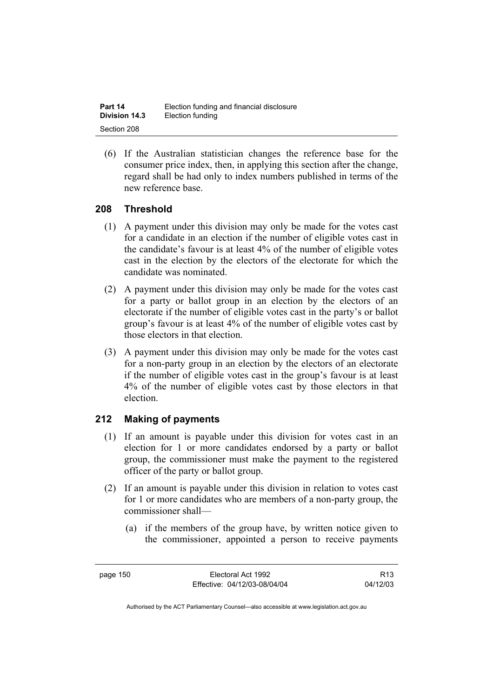| Part 14              | Election funding and financial disclosure |
|----------------------|-------------------------------------------|
| <b>Division 14.3</b> | Election funding                          |
| Section 208          |                                           |

 (6) If the Australian statistician changes the reference base for the consumer price index, then, in applying this section after the change, regard shall be had only to index numbers published in terms of the new reference base.

## **208 Threshold**

- (1) A payment under this division may only be made for the votes cast for a candidate in an election if the number of eligible votes cast in the candidate's favour is at least 4% of the number of eligible votes cast in the election by the electors of the electorate for which the candidate was nominated.
- (2) A payment under this division may only be made for the votes cast for a party or ballot group in an election by the electors of an electorate if the number of eligible votes cast in the party's or ballot group's favour is at least 4% of the number of eligible votes cast by those electors in that election.
- (3) A payment under this division may only be made for the votes cast for a non-party group in an election by the electors of an electorate if the number of eligible votes cast in the group's favour is at least 4% of the number of eligible votes cast by those electors in that election.

## **212 Making of payments**

- (1) If an amount is payable under this division for votes cast in an election for 1 or more candidates endorsed by a party or ballot group, the commissioner must make the payment to the registered officer of the party or ballot group.
- (2) If an amount is payable under this division in relation to votes cast for 1 or more candidates who are members of a non-party group, the commissioner shall—
	- (a) if the members of the group have, by written notice given to the commissioner, appointed a person to receive payments

R13 04/12/03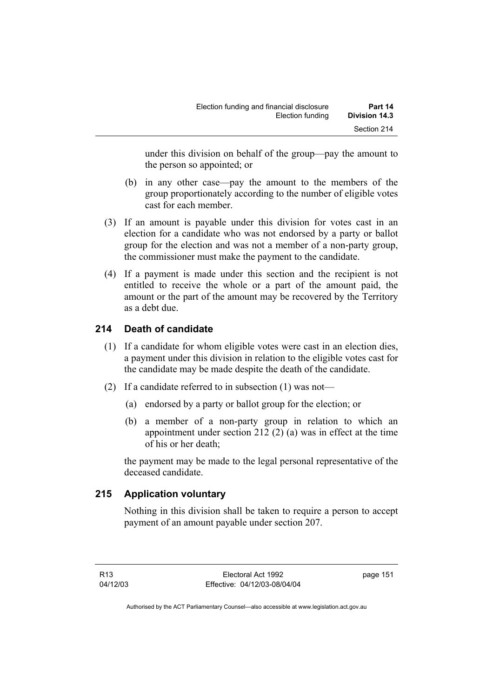under this division on behalf of the group—pay the amount to the person so appointed; or

- (b) in any other case—pay the amount to the members of the group proportionately according to the number of eligible votes cast for each member.
- (3) If an amount is payable under this division for votes cast in an election for a candidate who was not endorsed by a party or ballot group for the election and was not a member of a non-party group, the commissioner must make the payment to the candidate.
- (4) If a payment is made under this section and the recipient is not entitled to receive the whole or a part of the amount paid, the amount or the part of the amount may be recovered by the Territory as a debt due.

## **214 Death of candidate**

- (1) If a candidate for whom eligible votes were cast in an election dies, a payment under this division in relation to the eligible votes cast for the candidate may be made despite the death of the candidate.
- (2) If a candidate referred to in subsection (1) was not—
	- (a) endorsed by a party or ballot group for the election; or
	- (b) a member of a non-party group in relation to which an appointment under section 212 (2) (a) was in effect at the time of his or her death;

the payment may be made to the legal personal representative of the deceased candidate.

## **215 Application voluntary**

Nothing in this division shall be taken to require a person to accept payment of an amount payable under section 207.

page 151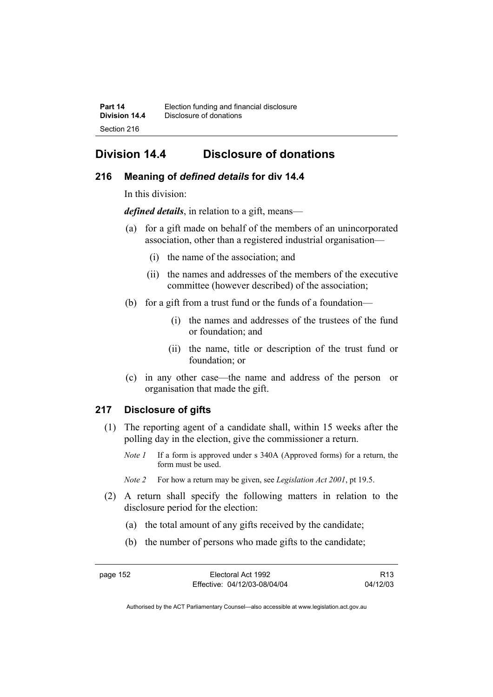## **Division 14.4 Disclosure of donations**

## **216 Meaning of** *defined details* **for div 14.4**

In this division:

*defined details*, in relation to a gift, means—

- (a) for a gift made on behalf of the members of an unincorporated association, other than a registered industrial organisation—
	- (i) the name of the association; and
	- (ii) the names and addresses of the members of the executive committee (however described) of the association;
- (b) for a gift from a trust fund or the funds of a foundation—
	- (i) the names and addresses of the trustees of the fund or foundation; and
	- (ii) the name, title or description of the trust fund or foundation; or
- (c) in any other case—the name and address of the person or organisation that made the gift.

## **217 Disclosure of gifts**

- (1) The reporting agent of a candidate shall, within 15 weeks after the polling day in the election, give the commissioner a return.
	- *Note 1* If a form is approved under s 340A (Approved forms) for a return, the form must be used.
	- *Note 2* For how a return may be given, see *Legislation Act 2001*, pt 19.5.
- (2) A return shall specify the following matters in relation to the disclosure period for the election:
	- (a) the total amount of any gifts received by the candidate;
	- (b) the number of persons who made gifts to the candidate;

page 152 Electoral Act 1992 Effective: 04/12/03-08/04/04

R13 04/12/03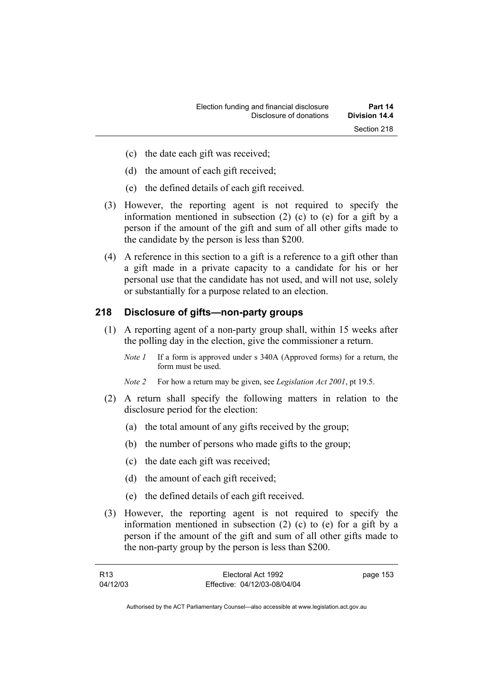- (c) the date each gift was received;
- (d) the amount of each gift received;
- (e) the defined details of each gift received.
- (3) However, the reporting agent is not required to specify the information mentioned in subsection (2) (c) to (e) for a gift by a person if the amount of the gift and sum of all other gifts made to the candidate by the person is less than \$200.
- (4) A reference in this section to a gift is a reference to a gift other than a gift made in a private capacity to a candidate for his or her personal use that the candidate has not used, and will not use, solely or substantially for a purpose related to an election.

### **218 Disclosure of gifts—non-party groups**

- (1) A reporting agent of a non-party group shall, within 15 weeks after the polling day in the election, give the commissioner a return.
	- *Note 1* If a form is approved under s 340A (Approved forms) for a return, the form must be used.
	- *Note 2* For how a return may be given, see *Legislation Act 2001*, pt 19.5.
- (2) A return shall specify the following matters in relation to the disclosure period for the election:
	- (a) the total amount of any gifts received by the group;
	- (b) the number of persons who made gifts to the group;
	- (c) the date each gift was received;
	- (d) the amount of each gift received;
	- (e) the defined details of each gift received.
- (3) However, the reporting agent is not required to specify the information mentioned in subsection (2) (c) to (e) for a gift by a person if the amount of the gift and sum of all other gifts made to the non-party group by the person is less than \$200.

| R13      | Electoral Act 1992           | page 153 |
|----------|------------------------------|----------|
| 04/12/03 | Effective: 04/12/03-08/04/04 |          |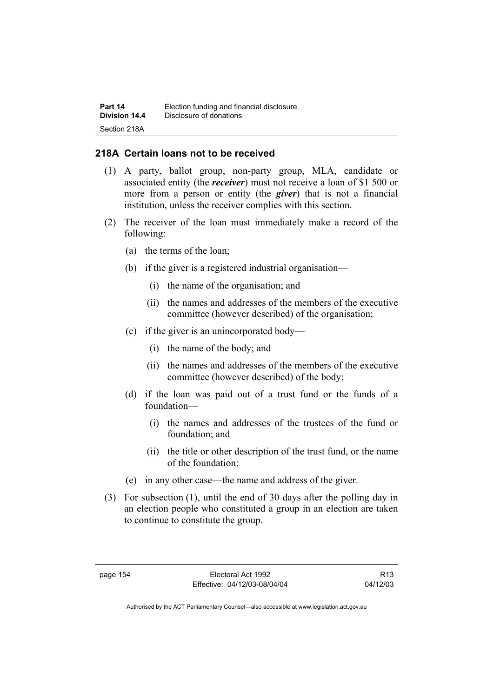| Part 14       | Election funding and financial disclosure |
|---------------|-------------------------------------------|
| Division 14.4 | Disclosure of donations                   |
| Section 218A  |                                           |

### **218A Certain loans not to be received**

- (1) A party, ballot group, non-party group, MLA, candidate or associated entity (the *receiver*) must not receive a loan of \$1 500 or more from a person or entity (the *giver*) that is not a financial institution, unless the receiver complies with this section.
- (2) The receiver of the loan must immediately make a record of the following:
	- (a) the terms of the loan;
	- (b) if the giver is a registered industrial organisation—
		- (i) the name of the organisation; and
		- (ii) the names and addresses of the members of the executive committee (however described) of the organisation;
	- (c) if the giver is an unincorporated body—
		- (i) the name of the body; and
		- (ii) the names and addresses of the members of the executive committee (however described) of the body;
	- (d) if the loan was paid out of a trust fund or the funds of a foundation—
		- (i) the names and addresses of the trustees of the fund or foundation; and
		- (ii) the title or other description of the trust fund, or the name of the foundation;
	- (e) in any other case—the name and address of the giver.
- (3) For subsection (1), until the end of 30 days after the polling day in an election people who constituted a group in an election are taken to continue to constitute the group.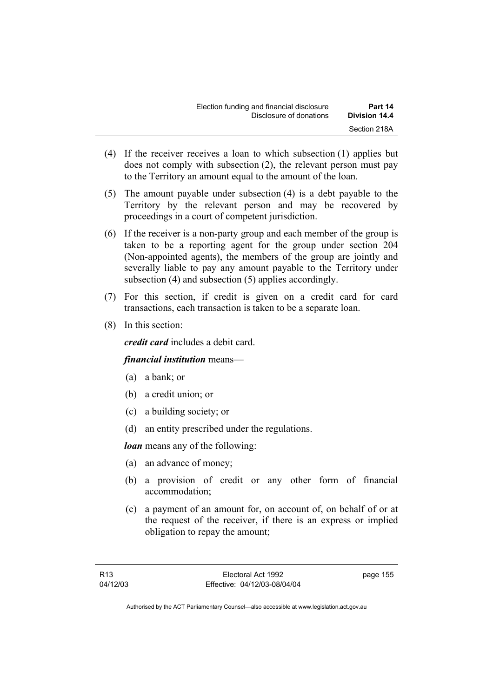- (4) If the receiver receives a loan to which subsection (1) applies but does not comply with subsection (2), the relevant person must pay to the Territory an amount equal to the amount of the loan.
- (5) The amount payable under subsection (4) is a debt payable to the Territory by the relevant person and may be recovered by proceedings in a court of competent jurisdiction.
- (6) If the receiver is a non-party group and each member of the group is taken to be a reporting agent for the group under section 204 (Non-appointed agents), the members of the group are jointly and severally liable to pay any amount payable to the Territory under subsection (4) and subsection (5) applies accordingly.
- (7) For this section, if credit is given on a credit card for card transactions, each transaction is taken to be a separate loan.
- (8) In this section:

*credit card* includes a debit card.

### *financial institution* means—

- (a) a bank; or
- (b) a credit union; or
- (c) a building society; or
- (d) an entity prescribed under the regulations.

*loan* means any of the following:

- (a) an advance of money;
- (b) a provision of credit or any other form of financial accommodation;
- (c) a payment of an amount for, on account of, on behalf of or at the request of the receiver, if there is an express or implied obligation to repay the amount;

page 155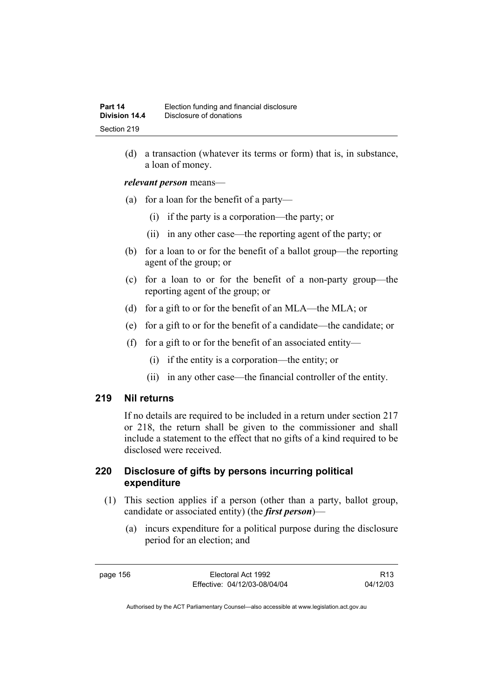(d) a transaction (whatever its terms or form) that is, in substance, a loan of money.

*relevant person* means—

- (a) for a loan for the benefit of a party—
	- (i) if the party is a corporation—the party; or
	- (ii) in any other case—the reporting agent of the party; or
- (b) for a loan to or for the benefit of a ballot group—the reporting agent of the group; or
- (c) for a loan to or for the benefit of a non-party group—the reporting agent of the group; or
- (d) for a gift to or for the benefit of an MLA—the MLA; or
- (e) for a gift to or for the benefit of a candidate—the candidate; or
- (f) for a gift to or for the benefit of an associated entity—
	- (i) if the entity is a corporation—the entity; or
	- (ii) in any other case—the financial controller of the entity.

#### **219 Nil returns**

If no details are required to be included in a return under section 217 or 218, the return shall be given to the commissioner and shall include a statement to the effect that no gifts of a kind required to be disclosed were received.

### **220 Disclosure of gifts by persons incurring political expenditure**

- (1) This section applies if a person (other than a party, ballot group, candidate or associated entity) (the *first person*)—
	- (a) incurs expenditure for a political purpose during the disclosure period for an election; and

R13 04/12/03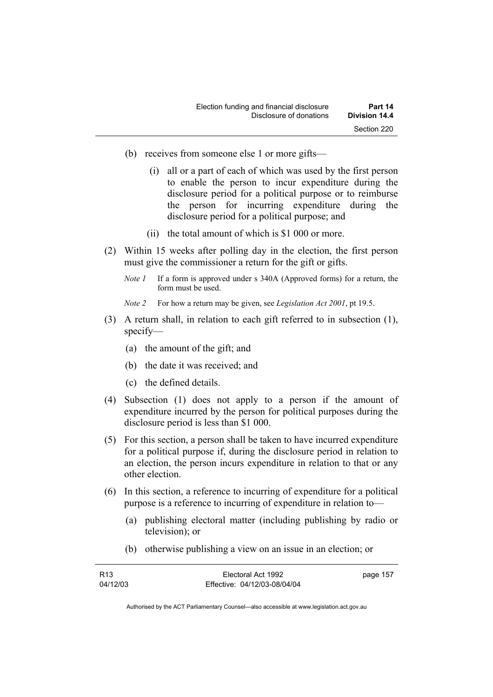- (b) receives from someone else 1 or more gifts—
	- (i) all or a part of each of which was used by the first person to enable the person to incur expenditure during the disclosure period for a political purpose or to reimburse the person for incurring expenditure during the disclosure period for a political purpose; and
	- (ii) the total amount of which is \$1 000 or more.
- (2) Within 15 weeks after polling day in the election, the first person must give the commissioner a return for the gift or gifts.
	- *Note 1* If a form is approved under s 340A (Approved forms) for a return, the form must be used.
	- *Note 2* For how a return may be given, see *Legislation Act 2001*, pt 19.5.
- (3) A return shall, in relation to each gift referred to in subsection (1), specify—
	- (a) the amount of the gift; and
	- (b) the date it was received; and
	- (c) the defined details.
- (4) Subsection (1) does not apply to a person if the amount of expenditure incurred by the person for political purposes during the disclosure period is less than \$1 000.
- (5) For this section, a person shall be taken to have incurred expenditure for a political purpose if, during the disclosure period in relation to an election, the person incurs expenditure in relation to that or any other election.
- (6) In this section, a reference to incurring of expenditure for a political purpose is a reference to incurring of expenditure in relation to—
	- (a) publishing electoral matter (including publishing by radio or television); or
	- (b) otherwise publishing a view on an issue in an election; or

| R <sub>13</sub> | Electoral Act 1992           | page 157 |
|-----------------|------------------------------|----------|
| 04/12/03        | Effective: 04/12/03-08/04/04 |          |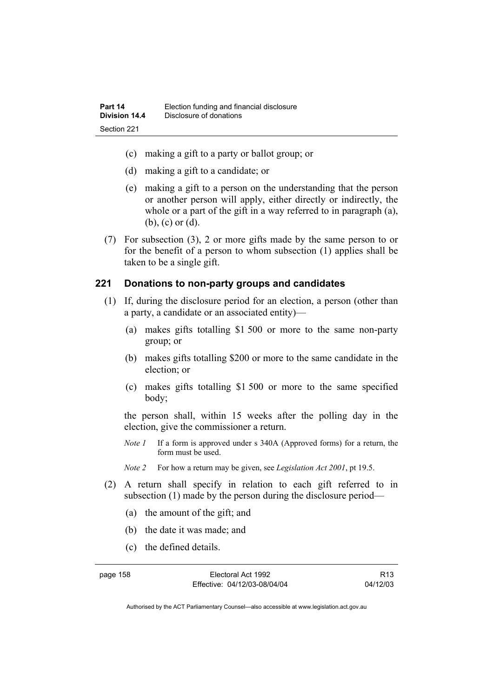- (c) making a gift to a party or ballot group; or
- (d) making a gift to a candidate; or
- (e) making a gift to a person on the understanding that the person or another person will apply, either directly or indirectly, the whole or a part of the gift in a way referred to in paragraph (a), (b), (c) or (d).
- (7) For subsection (3), 2 or more gifts made by the same person to or for the benefit of a person to whom subsection (1) applies shall be taken to be a single gift.

#### **221 Donations to non-party groups and candidates**

- (1) If, during the disclosure period for an election, a person (other than a party, a candidate or an associated entity)—
	- (a) makes gifts totalling \$1 500 or more to the same non-party group; or
	- (b) makes gifts totalling \$200 or more to the same candidate in the election; or
	- (c) makes gifts totalling \$1 500 or more to the same specified body;

the person shall, within 15 weeks after the polling day in the election, give the commissioner a return.

*Note 1* If a form is approved under s 340A (Approved forms) for a return, the form must be used.

*Note 2* For how a return may be given, see *Legislation Act 2001*, pt 19.5.

- (2) A return shall specify in relation to each gift referred to in subsection (1) made by the person during the disclosure period—
	- (a) the amount of the gift; and
	- (b) the date it was made; and
	- (c) the defined details.

page 158 Electoral Act 1992 Effective: 04/12/03-08/04/04

R13 04/12/03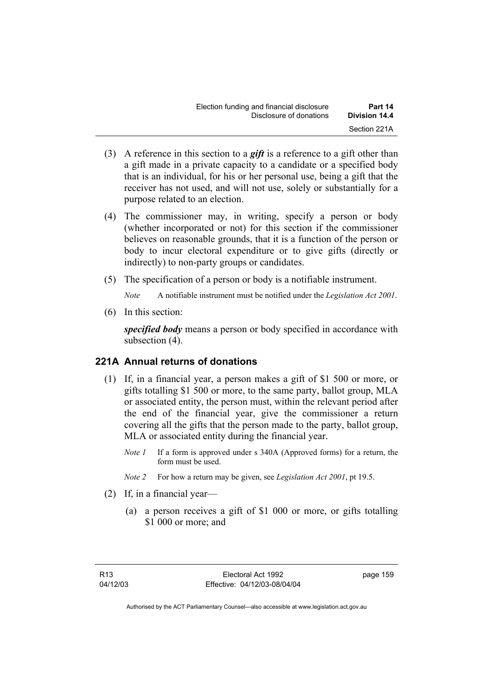- (3) A reference in this section to a *gift* is a reference to a gift other than a gift made in a private capacity to a candidate or a specified body that is an individual, for his or her personal use, being a gift that the receiver has not used, and will not use, solely or substantially for a purpose related to an election.
- (4) The commissioner may, in writing, specify a person or body (whether incorporated or not) for this section if the commissioner believes on reasonable grounds, that it is a function of the person or body to incur electoral expenditure or to give gifts (directly or indirectly) to non-party groups or candidates.
- (5) The specification of a person or body is a notifiable instrument.

*Note* A notifiable instrument must be notified under the *Legislation Act 2001*.

(6) In this section:

*specified body* means a person or body specified in accordance with subsection (4).

## **221A Annual returns of donations**

- (1) If, in a financial year, a person makes a gift of \$1 500 or more, or gifts totalling \$1 500 or more, to the same party, ballot group, MLA or associated entity, the person must, within the relevant period after the end of the financial year, give the commissioner a return covering all the gifts that the person made to the party, ballot group, MLA or associated entity during the financial year.
	- *Note 1* If a form is approved under s 340A (Approved forms) for a return, the form must be used.
	- *Note 2* For how a return may be given, see *Legislation Act 2001*, pt 19.5.
- (2) If, in a financial year—
	- (a) a person receives a gift of \$1 000 or more, or gifts totalling \$1 000 or more; and

page 159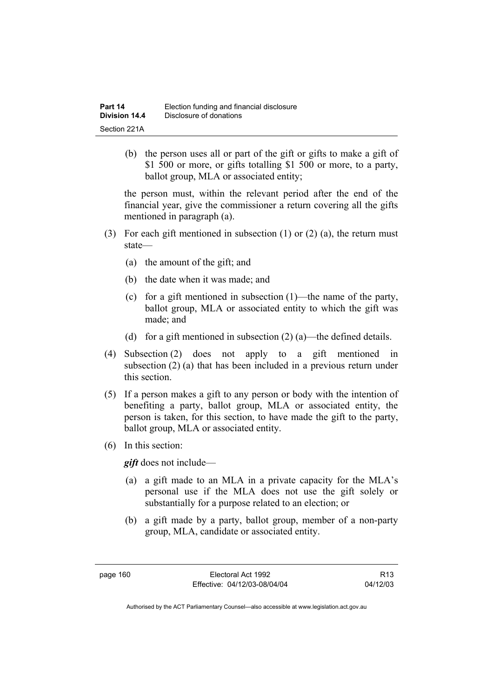(b) the person uses all or part of the gift or gifts to make a gift of \$1 500 or more, or gifts totalling \$1 500 or more, to a party, ballot group, MLA or associated entity;

the person must, within the relevant period after the end of the financial year, give the commissioner a return covering all the gifts mentioned in paragraph (a).

- (3) For each gift mentioned in subsection (1) or (2) (a), the return must state—
	- (a) the amount of the gift; and
	- (b) the date when it was made; and
	- (c) for a gift mentioned in subsection (1)—the name of the party, ballot group, MLA or associated entity to which the gift was made; and
	- (d) for a gift mentioned in subsection  $(2)$  (a)—the defined details.
- (4) Subsection (2) does not apply to a gift mentioned in subsection (2) (a) that has been included in a previous return under this section.
- (5) If a person makes a gift to any person or body with the intention of benefiting a party, ballot group, MLA or associated entity, the person is taken, for this section, to have made the gift to the party, ballot group, MLA or associated entity.
- (6) In this section:

*gift* does not include—

- (a) a gift made to an MLA in a private capacity for the MLA's personal use if the MLA does not use the gift solely or substantially for a purpose related to an election; or
- (b) a gift made by a party, ballot group, member of a non-party group, MLA, candidate or associated entity.

page 160 Electoral Act 1992 Effective: 04/12/03-08/04/04

R13 04/12/03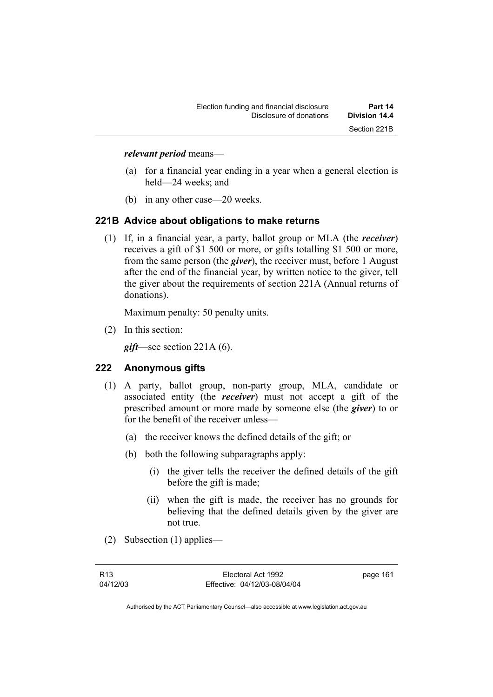#### *relevant period* means—

- (a) for a financial year ending in a year when a general election is held—24 weeks; and
- (b) in any other case—20 weeks.

#### **221B Advice about obligations to make returns**

 (1) If, in a financial year, a party, ballot group or MLA (the *receiver*) receives a gift of \$1 500 or more, or gifts totalling \$1 500 or more, from the same person (the *giver*), the receiver must, before 1 August after the end of the financial year, by written notice to the giver, tell the giver about the requirements of section 221A (Annual returns of donations).

Maximum penalty: 50 penalty units.

(2) In this section:

*gift*—see section 221A (6).

#### **222 Anonymous gifts**

- (1) A party, ballot group, non-party group, MLA, candidate or associated entity (the *receiver*) must not accept a gift of the prescribed amount or more made by someone else (the *giver*) to or for the benefit of the receiver unless—
	- (a) the receiver knows the defined details of the gift; or
	- (b) both the following subparagraphs apply:
		- (i) the giver tells the receiver the defined details of the gift before the gift is made;
		- (ii) when the gift is made, the receiver has no grounds for believing that the defined details given by the giver are not true.
- (2) Subsection (1) applies—

page 161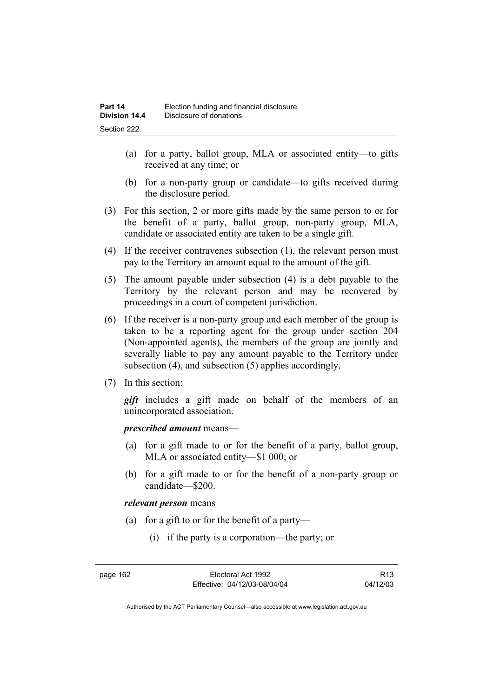- (a) for a party, ballot group, MLA or associated entity—to gifts received at any time; or
- (b) for a non-party group or candidate—to gifts received during the disclosure period.
- (3) For this section, 2 or more gifts made by the same person to or for the benefit of a party, ballot group, non-party group, MLA, candidate or associated entity are taken to be a single gift.
- (4) If the receiver contravenes subsection (1), the relevant person must pay to the Territory an amount equal to the amount of the gift.
- (5) The amount payable under subsection (4) is a debt payable to the Territory by the relevant person and may be recovered by proceedings in a court of competent jurisdiction.
- (6) If the receiver is a non-party group and each member of the group is taken to be a reporting agent for the group under section 204 (Non-appointed agents), the members of the group are jointly and severally liable to pay any amount payable to the Territory under subsection (4), and subsection (5) applies accordingly.
- (7) In this section:

*gift* includes a gift made on behalf of the members of an unincorporated association.

*prescribed amount* means—

- (a) for a gift made to or for the benefit of a party, ballot group, MLA or associated entity—\$1 000; or
- (b) for a gift made to or for the benefit of a non-party group or candidate—\$200.

#### *relevant person* means

- (a) for a gift to or for the benefit of a party—
	- (i) if the party is a corporation—the party; or

R13 04/12/03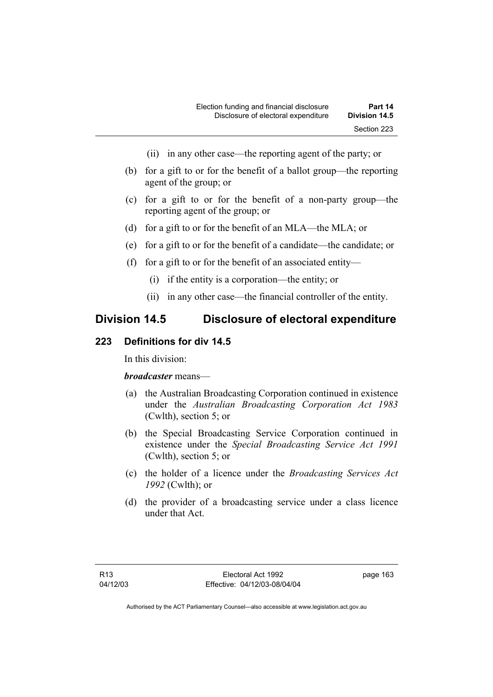- (ii) in any other case—the reporting agent of the party; or
- (b) for a gift to or for the benefit of a ballot group—the reporting agent of the group; or
- (c) for a gift to or for the benefit of a non-party group—the reporting agent of the group; or
- (d) for a gift to or for the benefit of an MLA—the MLA; or
- (e) for a gift to or for the benefit of a candidate—the candidate; or
- (f) for a gift to or for the benefit of an associated entity—
	- (i) if the entity is a corporation—the entity; or
	- (ii) in any other case—the financial controller of the entity.

# **Division 14.5 Disclosure of electoral expenditure**

#### **223 Definitions for div 14.5**

In this division:

#### *broadcaster* means—

- (a) the Australian Broadcasting Corporation continued in existence under the *Australian Broadcasting Corporation Act 1983* (Cwlth), section 5; or
- (b) the Special Broadcasting Service Corporation continued in existence under the *Special Broadcasting Service Act 1991*  (Cwlth), section 5; or
- (c) the holder of a licence under the *Broadcasting Services Act 1992* (Cwlth); or
- (d) the provider of a broadcasting service under a class licence under that Act.

page 163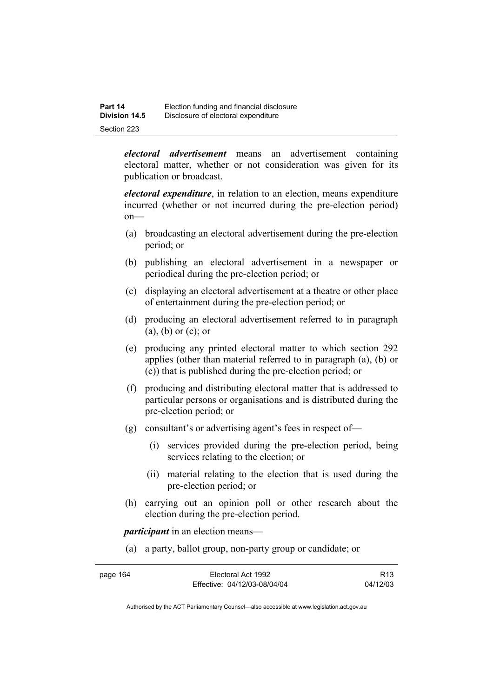| Part 14       | Election funding and financial disclosure |
|---------------|-------------------------------------------|
| Division 14.5 | Disclosure of electoral expenditure       |
| Section 223   |                                           |

*electoral advertisement* means an advertisement containing electoral matter, whether or not consideration was given for its publication or broadcast.

*electoral expenditure*, in relation to an election, means expenditure incurred (whether or not incurred during the pre-election period) on—

- (a) broadcasting an electoral advertisement during the pre-election period; or
- (b) publishing an electoral advertisement in a newspaper or periodical during the pre-election period; or
- (c) displaying an electoral advertisement at a theatre or other place of entertainment during the pre-election period; or
- (d) producing an electoral advertisement referred to in paragraph (a), (b) or (c); or
- (e) producing any printed electoral matter to which section 292 applies (other than material referred to in paragraph (a), (b) or (c)) that is published during the pre-election period; or
- (f) producing and distributing electoral matter that is addressed to particular persons or organisations and is distributed during the pre-election period; or
- (g) consultant's or advertising agent's fees in respect of—
	- (i) services provided during the pre-election period, being services relating to the election; or
	- (ii) material relating to the election that is used during the pre-election period; or
- (h) carrying out an opinion poll or other research about the election during the pre-election period.

*participant* in an election means—

(a) a party, ballot group, non-party group or candidate; or

| page 164 | Electoral Act 1992           | R <sub>13</sub> |
|----------|------------------------------|-----------------|
|          | Effective: 04/12/03-08/04/04 | 04/12/03        |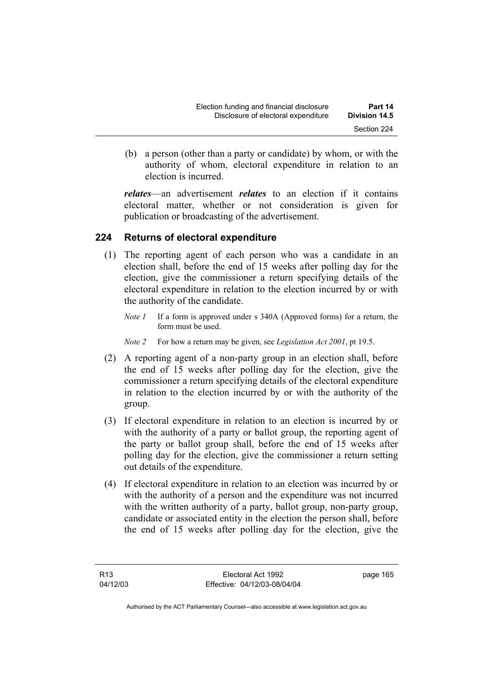| Election funding and financial disclosure | Part 14       |
|-------------------------------------------|---------------|
| Disclosure of electoral expenditure       | Division 14.5 |
|                                           | Section 224   |

 (b) a person (other than a party or candidate) by whom, or with the authority of whom, electoral expenditure in relation to an election is incurred.

*relates*—an advertisement *relates* to an election if it contains electoral matter, whether or not consideration is given for publication or broadcasting of the advertisement.

#### **224 Returns of electoral expenditure**

- (1) The reporting agent of each person who was a candidate in an election shall, before the end of 15 weeks after polling day for the election, give the commissioner a return specifying details of the electoral expenditure in relation to the election incurred by or with the authority of the candidate.
	- *Note 1* If a form is approved under s 340A (Approved forms) for a return, the form must be used.
	- *Note 2* For how a return may be given, see *Legislation Act 2001*, pt 19.5.
- (2) A reporting agent of a non-party group in an election shall, before the end of 15 weeks after polling day for the election, give the commissioner a return specifying details of the electoral expenditure in relation to the election incurred by or with the authority of the group.
- (3) If electoral expenditure in relation to an election is incurred by or with the authority of a party or ballot group, the reporting agent of the party or ballot group shall, before the end of 15 weeks after polling day for the election, give the commissioner a return setting out details of the expenditure.
- (4) If electoral expenditure in relation to an election was incurred by or with the authority of a person and the expenditure was not incurred with the written authority of a party, ballot group, non-party group, candidate or associated entity in the election the person shall, before the end of 15 weeks after polling day for the election, give the

page 165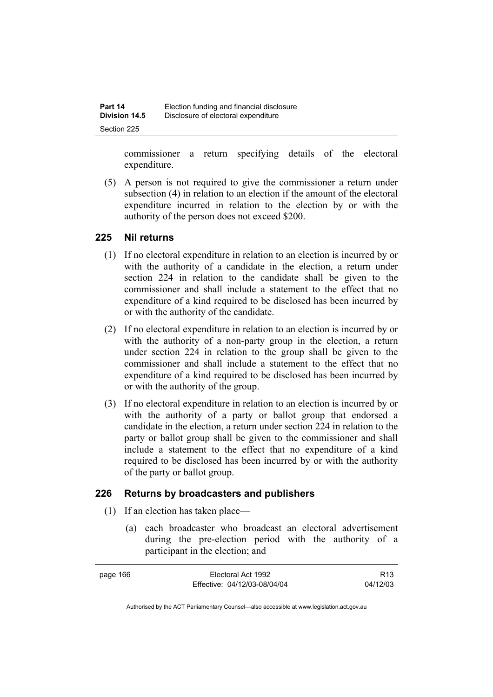commissioner a return specifying details of the electoral expenditure.

 (5) A person is not required to give the commissioner a return under subsection (4) in relation to an election if the amount of the electoral expenditure incurred in relation to the election by or with the authority of the person does not exceed \$200.

#### **225 Nil returns**

- (1) If no electoral expenditure in relation to an election is incurred by or with the authority of a candidate in the election, a return under section 224 in relation to the candidate shall be given to the commissioner and shall include a statement to the effect that no expenditure of a kind required to be disclosed has been incurred by or with the authority of the candidate.
- (2) If no electoral expenditure in relation to an election is incurred by or with the authority of a non-party group in the election, a return under section 224 in relation to the group shall be given to the commissioner and shall include a statement to the effect that no expenditure of a kind required to be disclosed has been incurred by or with the authority of the group.
- (3) If no electoral expenditure in relation to an election is incurred by or with the authority of a party or ballot group that endorsed a candidate in the election, a return under section 224 in relation to the party or ballot group shall be given to the commissioner and shall include a statement to the effect that no expenditure of a kind required to be disclosed has been incurred by or with the authority of the party or ballot group.

## **226 Returns by broadcasters and publishers**

- (1) If an election has taken place—
	- (a) each broadcaster who broadcast an electoral advertisement during the pre-election period with the authority of a participant in the election; and

| page 166 | Electoral Act 1992           | R <sub>13</sub> |
|----------|------------------------------|-----------------|
|          | Effective: 04/12/03-08/04/04 | 04/12/03        |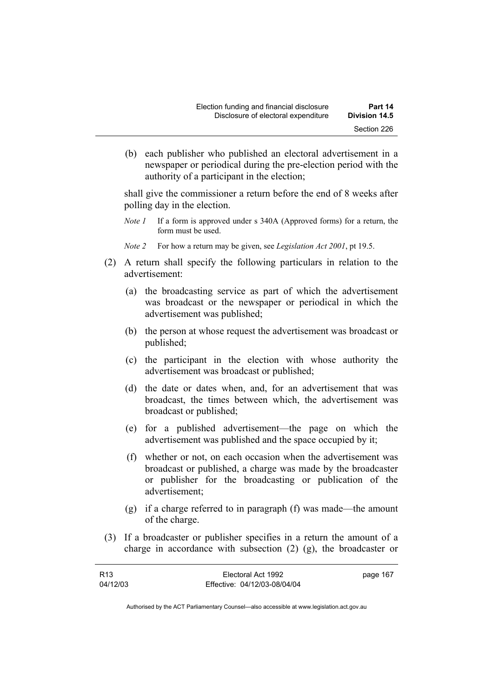(b) each publisher who published an electoral advertisement in a newspaper or periodical during the pre-election period with the authority of a participant in the election;

shall give the commissioner a return before the end of 8 weeks after polling day in the election.

- *Note 1* If a form is approved under s 340A (Approved forms) for a return, the form must be used.
- *Note 2* For how a return may be given, see *Legislation Act 2001*, pt 19.5.
- (2) A return shall specify the following particulars in relation to the advertisement:
	- (a) the broadcasting service as part of which the advertisement was broadcast or the newspaper or periodical in which the advertisement was published;
	- (b) the person at whose request the advertisement was broadcast or published;
	- (c) the participant in the election with whose authority the advertisement was broadcast or published;
	- (d) the date or dates when, and, for an advertisement that was broadcast, the times between which, the advertisement was broadcast or published;
	- (e) for a published advertisement—the page on which the advertisement was published and the space occupied by it;
	- (f) whether or not, on each occasion when the advertisement was broadcast or published, a charge was made by the broadcaster or publisher for the broadcasting or publication of the advertisement;
	- (g) if a charge referred to in paragraph (f) was made—the amount of the charge.
- (3) If a broadcaster or publisher specifies in a return the amount of a charge in accordance with subsection (2) (g), the broadcaster or

| R <sub>13</sub> | Electoral Act 1992           | page 167 |
|-----------------|------------------------------|----------|
| 04/12/03        | Effective: 04/12/03-08/04/04 |          |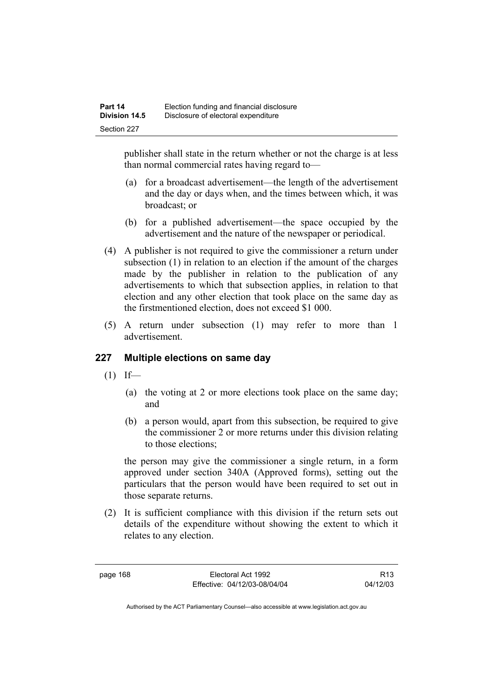publisher shall state in the return whether or not the charge is at less than normal commercial rates having regard to—

- (a) for a broadcast advertisement—the length of the advertisement and the day or days when, and the times between which, it was broadcast; or
- (b) for a published advertisement—the space occupied by the advertisement and the nature of the newspaper or periodical.
- (4) A publisher is not required to give the commissioner a return under subsection (1) in relation to an election if the amount of the charges made by the publisher in relation to the publication of any advertisements to which that subsection applies, in relation to that election and any other election that took place on the same day as the firstmentioned election, does not exceed \$1 000.
- (5) A return under subsection (1) may refer to more than 1 advertisement.

## **227 Multiple elections on same day**

- $(1)$  If—
	- (a) the voting at 2 or more elections took place on the same day; and
	- (b) a person would, apart from this subsection, be required to give the commissioner 2 or more returns under this division relating to those elections;

the person may give the commissioner a single return, in a form approved under section 340A (Approved forms), setting out the particulars that the person would have been required to set out in those separate returns.

 (2) It is sufficient compliance with this division if the return sets out details of the expenditure without showing the extent to which it relates to any election.

page 168 Electoral Act 1992 Effective: 04/12/03-08/04/04

R13 04/12/03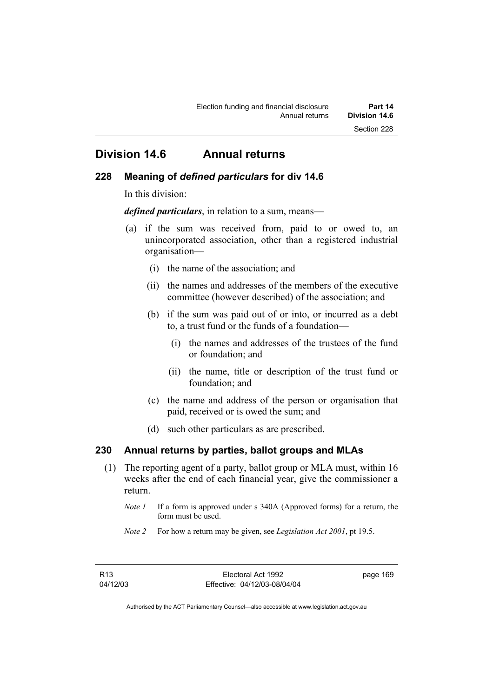# **Division 14.6 Annual returns**

#### **228 Meaning of** *defined particulars* **for div 14.6**

In this division:

*defined particulars*, in relation to a sum, means—

- (a) if the sum was received from, paid to or owed to, an unincorporated association, other than a registered industrial organisation—
	- (i) the name of the association; and
	- (ii) the names and addresses of the members of the executive committee (however described) of the association; and
	- (b) if the sum was paid out of or into, or incurred as a debt to, a trust fund or the funds of a foundation—
		- (i) the names and addresses of the trustees of the fund or foundation; and
		- (ii) the name, title or description of the trust fund or foundation; and
	- (c) the name and address of the person or organisation that paid, received or is owed the sum; and
	- (d) such other particulars as are prescribed.

#### **230 Annual returns by parties, ballot groups and MLAs**

- (1) The reporting agent of a party, ballot group or MLA must, within 16 weeks after the end of each financial year, give the commissioner a return.
	- *Note 1* If a form is approved under s 340A (Approved forms) for a return, the form must be used.
	- *Note 2* For how a return may be given, see *Legislation Act 2001*, pt 19.5.

page 169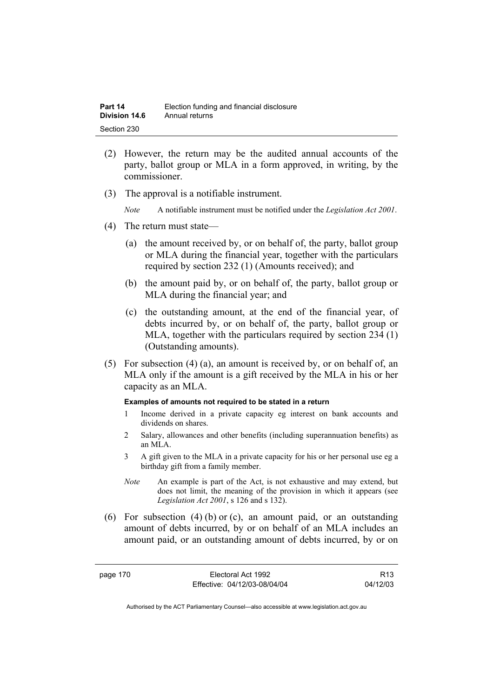| Part 14       | Election funding and financial disclosure |
|---------------|-------------------------------------------|
| Division 14.6 | Annual returns                            |
| Section 230   |                                           |

- (2) However, the return may be the audited annual accounts of the party, ballot group or MLA in a form approved, in writing, by the commissioner.
- (3) The approval is a notifiable instrument.

*Note* A notifiable instrument must be notified under the *Legislation Act 2001*.

- (4) The return must state—
	- (a) the amount received by, or on behalf of, the party, ballot group or MLA during the financial year, together with the particulars required by section 232 (1) (Amounts received); and
	- (b) the amount paid by, or on behalf of, the party, ballot group or MLA during the financial year; and
	- (c) the outstanding amount, at the end of the financial year, of debts incurred by, or on behalf of, the party, ballot group or MLA, together with the particulars required by section 234 (1) (Outstanding amounts).
- (5) For subsection (4) (a), an amount is received by, or on behalf of, an MLA only if the amount is a gift received by the MLA in his or her capacity as an MLA.

#### **Examples of amounts not required to be stated in a return**

- 1 Income derived in a private capacity eg interest on bank accounts and dividends on shares.
- 2 Salary, allowances and other benefits (including superannuation benefits) as an MLA.
- 3 A gift given to the MLA in a private capacity for his or her personal use eg a birthday gift from a family member.
- *Note* An example is part of the Act, is not exhaustive and may extend, but does not limit, the meaning of the provision in which it appears (see *Legislation Act 2001*, s 126 and s 132).
- (6) For subsection (4) (b) or (c), an amount paid, or an outstanding amount of debts incurred, by or on behalf of an MLA includes an amount paid, or an outstanding amount of debts incurred, by or on

page 170 Electoral Act 1992 Effective: 04/12/03-08/04/04

R13 04/12/03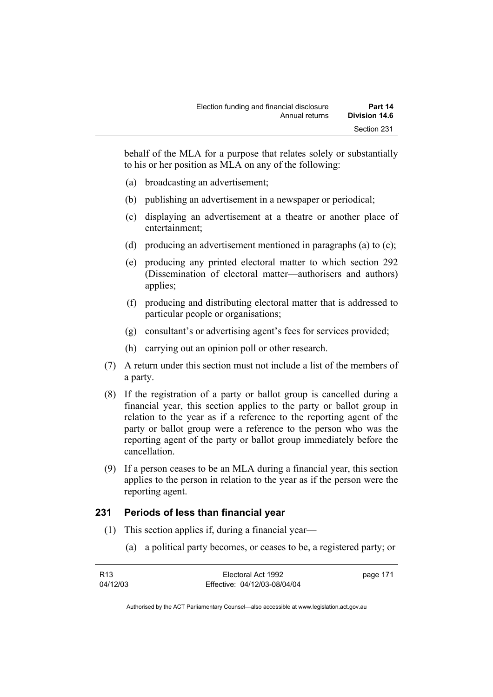behalf of the MLA for a purpose that relates solely or substantially to his or her position as MLA on any of the following:

- (a) broadcasting an advertisement;
- (b) publishing an advertisement in a newspaper or periodical;
- (c) displaying an advertisement at a theatre or another place of entertainment;
- (d) producing an advertisement mentioned in paragraphs (a) to (c);
- (e) producing any printed electoral matter to which section 292 (Dissemination of electoral matter—authorisers and authors) applies;
- (f) producing and distributing electoral matter that is addressed to particular people or organisations;
- (g) consultant's or advertising agent's fees for services provided;
- (h) carrying out an opinion poll or other research.
- (7) A return under this section must not include a list of the members of a party.
- (8) If the registration of a party or ballot group is cancelled during a financial year, this section applies to the party or ballot group in relation to the year as if a reference to the reporting agent of the party or ballot group were a reference to the person who was the reporting agent of the party or ballot group immediately before the cancellation.
- (9) If a person ceases to be an MLA during a financial year, this section applies to the person in relation to the year as if the person were the reporting agent.

#### **231 Periods of less than financial year**

- (1) This section applies if, during a financial year—
	- (a) a political party becomes, or ceases to be, a registered party; or

| R13      | Electoral Act 1992           | page 171 |
|----------|------------------------------|----------|
| 04/12/03 | Effective: 04/12/03-08/04/04 |          |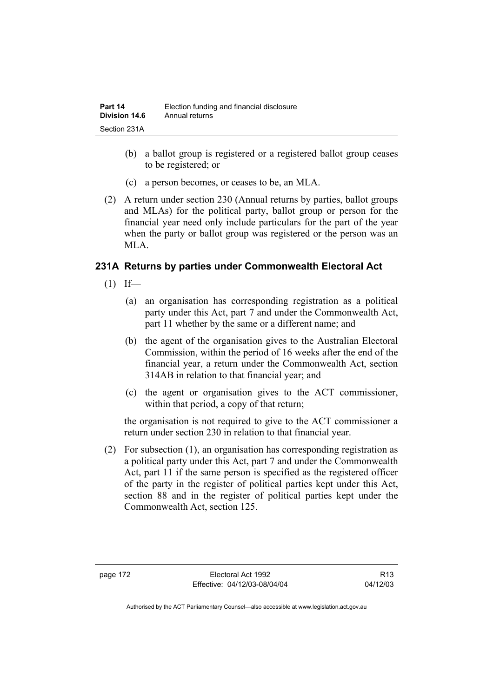- (b) a ballot group is registered or a registered ballot group ceases to be registered; or
- (c) a person becomes, or ceases to be, an MLA.
- (2) A return under section 230 (Annual returns by parties, ballot groups and MLAs) for the political party, ballot group or person for the financial year need only include particulars for the part of the year when the party or ballot group was registered or the person was an MLA.

#### **231A Returns by parties under Commonwealth Electoral Act**

- $(1)$  If—
	- (a) an organisation has corresponding registration as a political party under this Act, part 7 and under the Commonwealth Act, part 11 whether by the same or a different name; and
	- (b) the agent of the organisation gives to the Australian Electoral Commission, within the period of 16 weeks after the end of the financial year, a return under the Commonwealth Act, section 314AB in relation to that financial year; and
	- (c) the agent or organisation gives to the ACT commissioner, within that period, a copy of that return;

the organisation is not required to give to the ACT commissioner a return under section 230 in relation to that financial year.

 (2) For subsection (1), an organisation has corresponding registration as a political party under this Act, part 7 and under the Commonwealth Act, part 11 if the same person is specified as the registered officer of the party in the register of political parties kept under this Act, section 88 and in the register of political parties kept under the Commonwealth Act, section 125.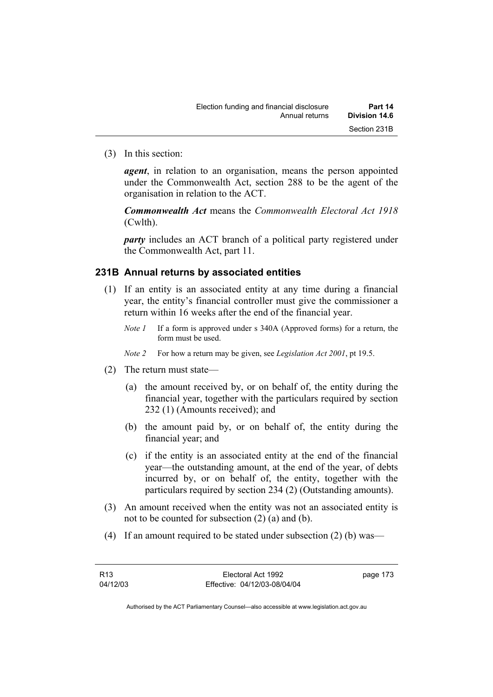(3) In this section:

*agent*, in relation to an organisation, means the person appointed under the Commonwealth Act, section 288 to be the agent of the organisation in relation to the ACT.

*Commonwealth Act* means the *Commonwealth Electoral Act 1918* (Cwlth).

*party* includes an ACT branch of a political party registered under the Commonwealth Act, part 11.

#### **231B Annual returns by associated entities**

- (1) If an entity is an associated entity at any time during a financial year, the entity's financial controller must give the commissioner a return within 16 weeks after the end of the financial year.
	- *Note 1* If a form is approved under s 340A (Approved forms) for a return, the form must be used.
	- *Note 2* For how a return may be given, see *Legislation Act 2001*, pt 19.5.
- (2) The return must state—
	- (a) the amount received by, or on behalf of, the entity during the financial year, together with the particulars required by section 232 (1) (Amounts received); and
	- (b) the amount paid by, or on behalf of, the entity during the financial year; and
	- (c) if the entity is an associated entity at the end of the financial year—the outstanding amount, at the end of the year, of debts incurred by, or on behalf of, the entity, together with the particulars required by section 234 (2) (Outstanding amounts).
- (3) An amount received when the entity was not an associated entity is not to be counted for subsection (2) (a) and (b).
- (4) If an amount required to be stated under subsection (2) (b) was—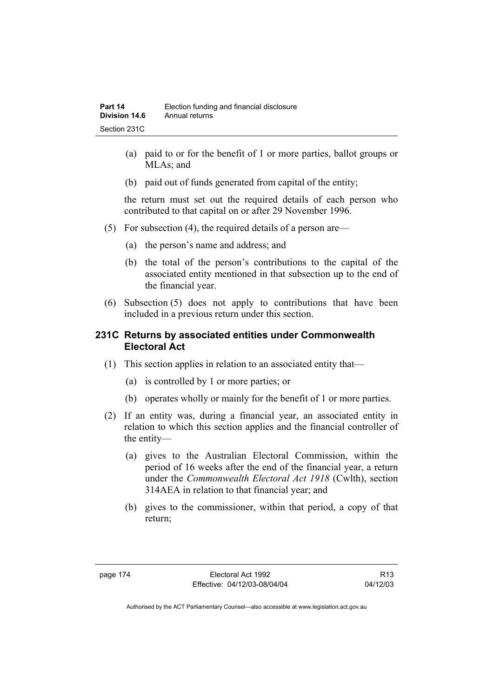- (a) paid to or for the benefit of 1 or more parties, ballot groups or MLA<sub>s</sub>; and
- (b) paid out of funds generated from capital of the entity;

the return must set out the required details of each person who contributed to that capital on or after 29 November 1996.

- (5) For subsection (4), the required details of a person are—
	- (a) the person's name and address; and
	- (b) the total of the person's contributions to the capital of the associated entity mentioned in that subsection up to the end of the financial year.
- (6) Subsection (5) does not apply to contributions that have been included in a previous return under this section.

#### **231C Returns by associated entities under Commonwealth Electoral Act**

- (1) This section applies in relation to an associated entity that—
	- (a) is controlled by 1 or more parties; or
	- (b) operates wholly or mainly for the benefit of 1 or more parties.
- (2) If an entity was, during a financial year, an associated entity in relation to which this section applies and the financial controller of the entity—
	- (a) gives to the Australian Electoral Commission, within the period of 16 weeks after the end of the financial year, a return under the *Commonwealth Electoral Act 1918* (Cwlth), section 314AEA in relation to that financial year; and
	- (b) gives to the commissioner, within that period, a copy of that return;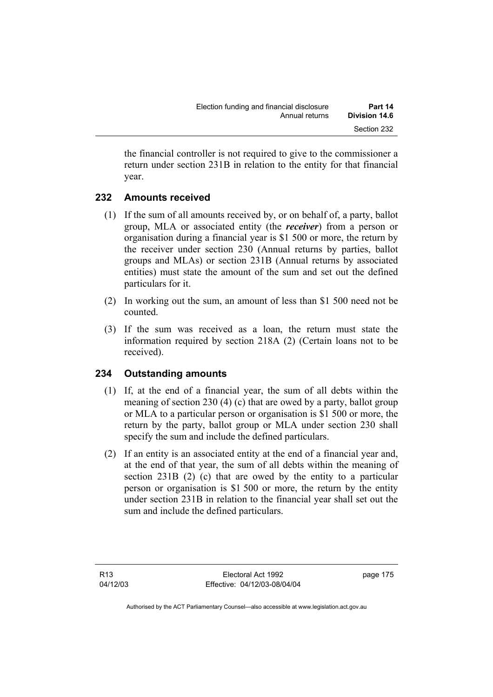the financial controller is not required to give to the commissioner a return under section 231B in relation to the entity for that financial year.

# **232 Amounts received**

- (1) If the sum of all amounts received by, or on behalf of, a party, ballot group, MLA or associated entity (the *receiver*) from a person or organisation during a financial year is \$1 500 or more, the return by the receiver under section 230 (Annual returns by parties, ballot groups and MLAs) or section 231B (Annual returns by associated entities) must state the amount of the sum and set out the defined particulars for it.
- (2) In working out the sum, an amount of less than \$1 500 need not be counted.
- (3) If the sum was received as a loan, the return must state the information required by section 218A (2) (Certain loans not to be received).

# **234 Outstanding amounts**

- (1) If, at the end of a financial year, the sum of all debts within the meaning of section 230 (4) (c) that are owed by a party, ballot group or MLA to a particular person or organisation is \$1 500 or more, the return by the party, ballot group or MLA under section 230 shall specify the sum and include the defined particulars.
- (2) If an entity is an associated entity at the end of a financial year and, at the end of that year, the sum of all debts within the meaning of section 231B (2) (c) that are owed by the entity to a particular person or organisation is \$1 500 or more, the return by the entity under section 231B in relation to the financial year shall set out the sum and include the defined particulars.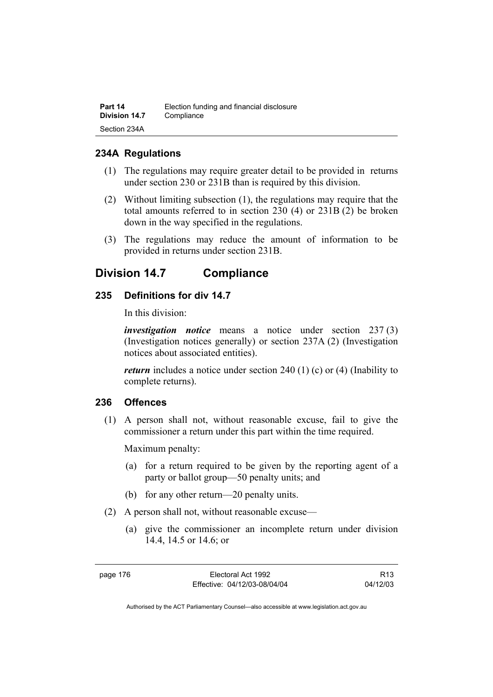| Part 14       | Election funding and financial disclosure |
|---------------|-------------------------------------------|
| Division 14.7 | Compliance                                |
| Section 234A  |                                           |

#### **234A Regulations**

- (1) The regulations may require greater detail to be provided in returns under section 230 or 231B than is required by this division.
- (2) Without limiting subsection (1), the regulations may require that the total amounts referred to in section 230 (4) or 231B (2) be broken down in the way specified in the regulations.
- (3) The regulations may reduce the amount of information to be provided in returns under section 231B.

# **Division 14.7 Compliance**

#### **235 Definitions for div 14.7**

In this division:

*investigation notice* means a notice under section 237 (3) (Investigation notices generally) or section 237A (2) (Investigation notices about associated entities).

*return* includes a notice under section 240 (1) (c) or (4) (Inability to complete returns).

#### **236 Offences**

 (1) A person shall not, without reasonable excuse, fail to give the commissioner a return under this part within the time required.

Maximum penalty:

- (a) for a return required to be given by the reporting agent of a party or ballot group—50 penalty units; and
- (b) for any other return—20 penalty units.
- (2) A person shall not, without reasonable excuse—
	- (a) give the commissioner an incomplete return under division 14.4, 14.5 or 14.6; or

R13 04/12/03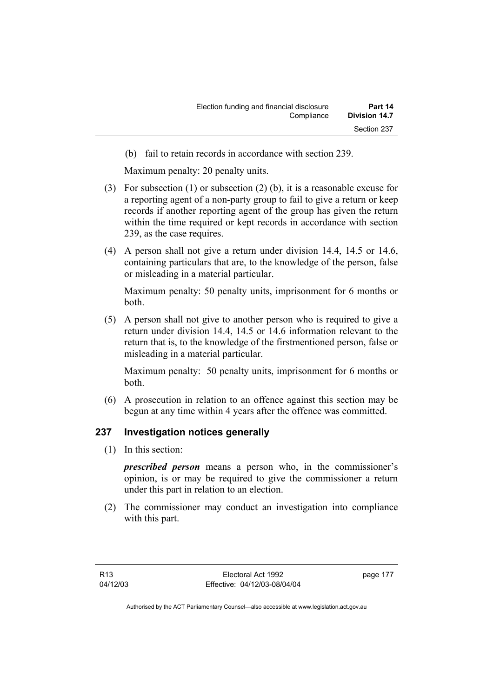(b) fail to retain records in accordance with section 239.

Maximum penalty: 20 penalty units.

- (3) For subsection (1) or subsection (2) (b), it is a reasonable excuse for a reporting agent of a non-party group to fail to give a return or keep records if another reporting agent of the group has given the return within the time required or kept records in accordance with section 239, as the case requires.
- (4) A person shall not give a return under division 14.4, 14.5 or 14.6, containing particulars that are, to the knowledge of the person, false or misleading in a material particular.

Maximum penalty: 50 penalty units, imprisonment for 6 months or both.

 (5) A person shall not give to another person who is required to give a return under division 14.4, 14.5 or 14.6 information relevant to the return that is, to the knowledge of the firstmentioned person, false or misleading in a material particular.

Maximum penalty: 50 penalty units, imprisonment for 6 months or both.

 (6) A prosecution in relation to an offence against this section may be begun at any time within 4 years after the offence was committed.

## **237 Investigation notices generally**

(1) In this section:

*prescribed person* means a person who, in the commissioner's opinion, is or may be required to give the commissioner a return under this part in relation to an election.

 (2) The commissioner may conduct an investigation into compliance with this part.

page 177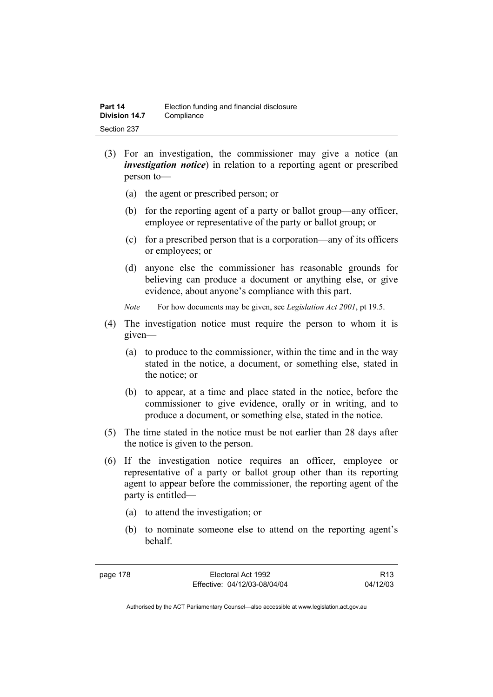- (3) For an investigation, the commissioner may give a notice (an *investigation notice*) in relation to a reporting agent or prescribed person to—
	- (a) the agent or prescribed person; or
	- (b) for the reporting agent of a party or ballot group—any officer, employee or representative of the party or ballot group; or
	- (c) for a prescribed person that is a corporation—any of its officers or employees; or
	- (d) anyone else the commissioner has reasonable grounds for believing can produce a document or anything else, or give evidence, about anyone's compliance with this part.
	- *Note* For how documents may be given, see *Legislation Act 2001*, pt 19.5.
- (4) The investigation notice must require the person to whom it is given—
	- (a) to produce to the commissioner, within the time and in the way stated in the notice, a document, or something else, stated in the notice; or
	- (b) to appear, at a time and place stated in the notice, before the commissioner to give evidence, orally or in writing, and to produce a document, or something else, stated in the notice.
- (5) The time stated in the notice must be not earlier than 28 days after the notice is given to the person.
- (6) If the investigation notice requires an officer, employee or representative of a party or ballot group other than its reporting agent to appear before the commissioner, the reporting agent of the party is entitled—
	- (a) to attend the investigation; or
	- (b) to nominate someone else to attend on the reporting agent's behalf.

R13 04/12/03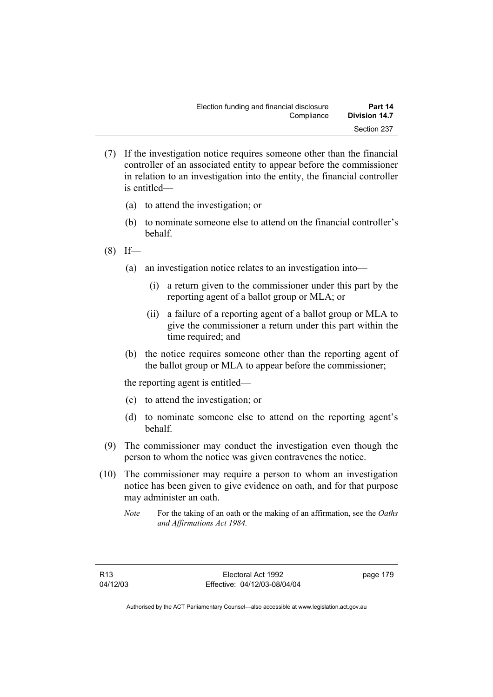- (7) If the investigation notice requires someone other than the financial controller of an associated entity to appear before the commissioner in relation to an investigation into the entity, the financial controller is entitled—
	- (a) to attend the investigation; or
	- (b) to nominate someone else to attend on the financial controller's behalf.
- $(8)$  If—
	- (a) an investigation notice relates to an investigation into—
		- (i) a return given to the commissioner under this part by the reporting agent of a ballot group or MLA; or
		- (ii) a failure of a reporting agent of a ballot group or MLA to give the commissioner a return under this part within the time required; and
	- (b) the notice requires someone other than the reporting agent of the ballot group or MLA to appear before the commissioner;

the reporting agent is entitled—

- (c) to attend the investigation; or
- (d) to nominate someone else to attend on the reporting agent's behalf.
- (9) The commissioner may conduct the investigation even though the person to whom the notice was given contravenes the notice.
- (10) The commissioner may require a person to whom an investigation notice has been given to give evidence on oath, and for that purpose may administer an oath.
	- *Note* For the taking of an oath or the making of an affirmation, see the *Oaths and Affirmations Act 1984.*

page 179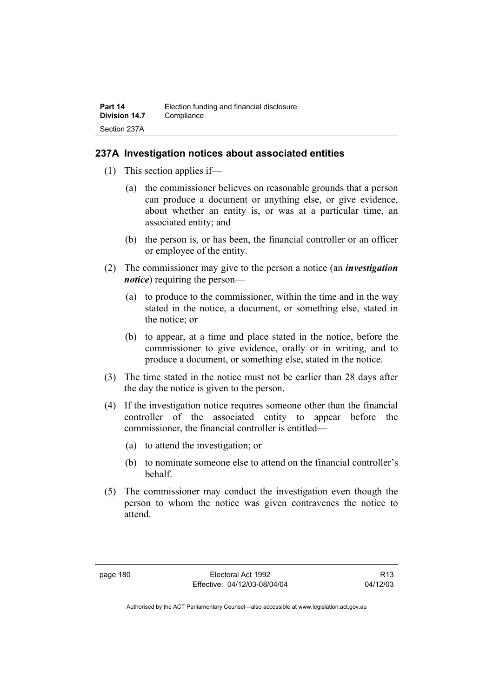#### **237A Investigation notices about associated entities**

- (1) This section applies if—
	- (a) the commissioner believes on reasonable grounds that a person can produce a document or anything else, or give evidence, about whether an entity is, or was at a particular time, an associated entity; and
	- (b) the person is, or has been, the financial controller or an officer or employee of the entity.
- (2) The commissioner may give to the person a notice (an *investigation notice*) requiring the person—
	- (a) to produce to the commissioner, within the time and in the way stated in the notice, a document, or something else, stated in the notice; or
	- (b) to appear, at a time and place stated in the notice, before the commissioner to give evidence, orally or in writing, and to produce a document, or something else, stated in the notice.
- (3) The time stated in the notice must not be earlier than 28 days after the day the notice is given to the person.
- (4) If the investigation notice requires someone other than the financial controller of the associated entity to appear before the commissioner, the financial controller is entitled—
	- (a) to attend the investigation; or
	- (b) to nominate someone else to attend on the financial controller's behalf.
- (5) The commissioner may conduct the investigation even though the person to whom the notice was given contravenes the notice to attend.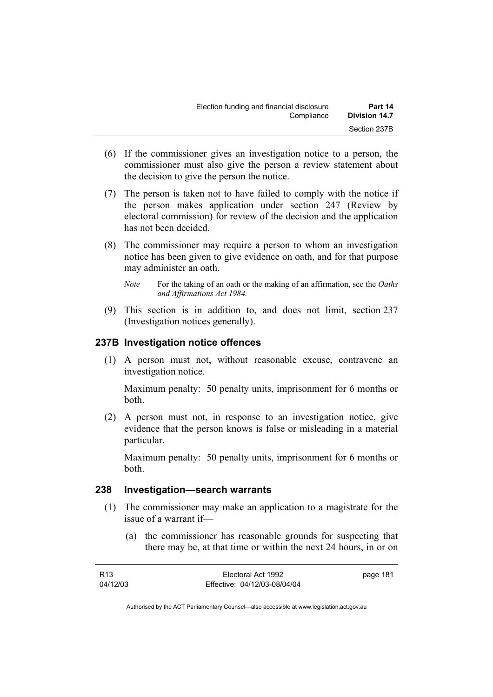| Election funding and financial disclosure | Part 14              |
|-------------------------------------------|----------------------|
| Compliance                                | <b>Division 14.7</b> |
|                                           | Section 237B         |

- (6) If the commissioner gives an investigation notice to a person, the commissioner must also give the person a review statement about the decision to give the person the notice.
- (7) The person is taken not to have failed to comply with the notice if the person makes application under section 247 (Review by electoral commission) for review of the decision and the application has not been decided.
- (8) The commissioner may require a person to whom an investigation notice has been given to give evidence on oath, and for that purpose may administer an oath.
	- *Note* For the taking of an oath or the making of an affirmation, see the *Oaths and Affirmations Act 1984.*
- (9) This section is in addition to, and does not limit, section 237 (Investigation notices generally).

#### **237B Investigation notice offences**

 (1) A person must not, without reasonable excuse, contravene an investigation notice.

Maximum penalty: 50 penalty units, imprisonment for 6 months or both.

 (2) A person must not, in response to an investigation notice, give evidence that the person knows is false or misleading in a material particular.

Maximum penalty: 50 penalty units, imprisonment for 6 months or both.

#### **238 Investigation—search warrants**

- (1) The commissioner may make an application to a magistrate for the issue of a warrant if—
	- (a) the commissioner has reasonable grounds for suspecting that there may be, at that time or within the next 24 hours, in or on

| R13      | Electoral Act 1992           | page 181 |
|----------|------------------------------|----------|
| 04/12/03 | Effective: 04/12/03-08/04/04 |          |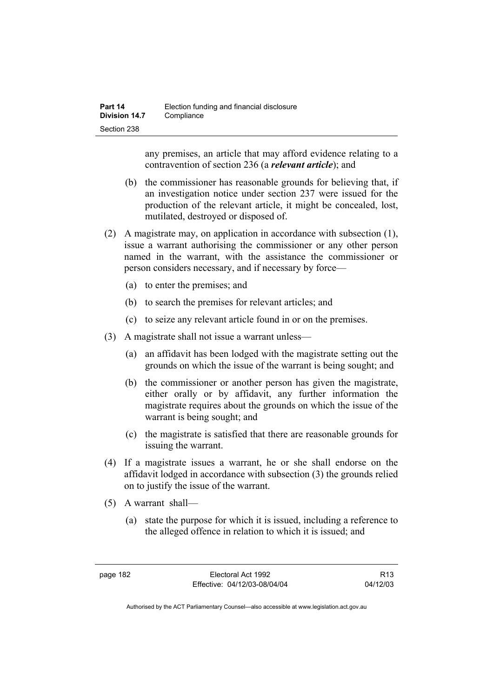any premises, an article that may afford evidence relating to a contravention of section 236 (a *relevant article*); and

- (b) the commissioner has reasonable grounds for believing that, if an investigation notice under section 237 were issued for the production of the relevant article, it might be concealed, lost, mutilated, destroyed or disposed of.
- (2) A magistrate may, on application in accordance with subsection (1), issue a warrant authorising the commissioner or any other person named in the warrant, with the assistance the commissioner or person considers necessary, and if necessary by force—
	- (a) to enter the premises; and
	- (b) to search the premises for relevant articles; and
	- (c) to seize any relevant article found in or on the premises.
- (3) A magistrate shall not issue a warrant unless—
	- (a) an affidavit has been lodged with the magistrate setting out the grounds on which the issue of the warrant is being sought; and
	- (b) the commissioner or another person has given the magistrate, either orally or by affidavit, any further information the magistrate requires about the grounds on which the issue of the warrant is being sought; and
	- (c) the magistrate is satisfied that there are reasonable grounds for issuing the warrant.
- (4) If a magistrate issues a warrant, he or she shall endorse on the affidavit lodged in accordance with subsection (3) the grounds relied on to justify the issue of the warrant.
- (5) A warrant shall—
	- (a) state the purpose for which it is issued, including a reference to the alleged offence in relation to which it is issued; and

R13 04/12/03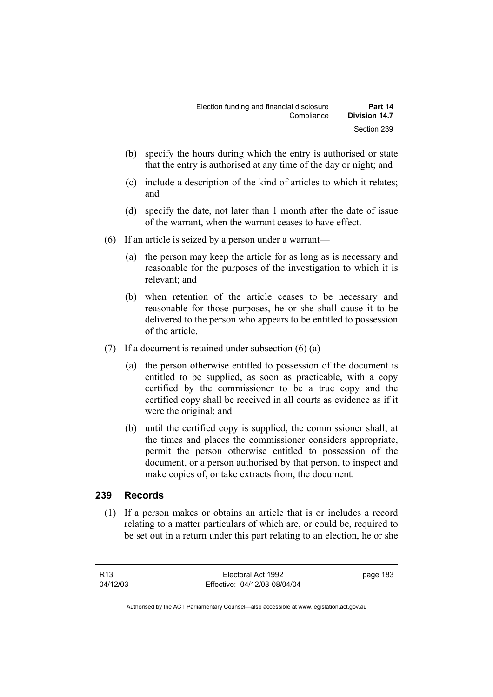- (b) specify the hours during which the entry is authorised or state that the entry is authorised at any time of the day or night; and
- (c) include a description of the kind of articles to which it relates; and
- (d) specify the date, not later than 1 month after the date of issue of the warrant, when the warrant ceases to have effect.
- (6) If an article is seized by a person under a warrant—
	- (a) the person may keep the article for as long as is necessary and reasonable for the purposes of the investigation to which it is relevant; and
	- (b) when retention of the article ceases to be necessary and reasonable for those purposes, he or she shall cause it to be delivered to the person who appears to be entitled to possession of the article.
- (7) If a document is retained under subsection  $(6)$  (a)—
	- (a) the person otherwise entitled to possession of the document is entitled to be supplied, as soon as practicable, with a copy certified by the commissioner to be a true copy and the certified copy shall be received in all courts as evidence as if it were the original; and
	- (b) until the certified copy is supplied, the commissioner shall, at the times and places the commissioner considers appropriate, permit the person otherwise entitled to possession of the document, or a person authorised by that person, to inspect and make copies of, or take extracts from, the document.

#### **239 Records**

 (1) If a person makes or obtains an article that is or includes a record relating to a matter particulars of which are, or could be, required to be set out in a return under this part relating to an election, he or she

page 183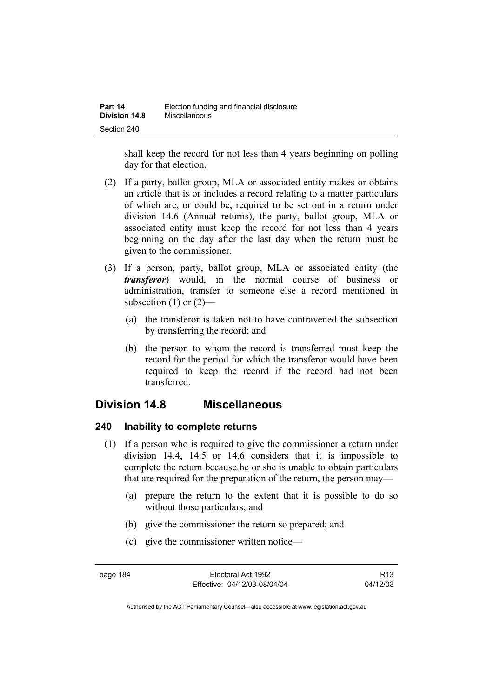shall keep the record for not less than 4 years beginning on polling day for that election.

- (2) If a party, ballot group, MLA or associated entity makes or obtains an article that is or includes a record relating to a matter particulars of which are, or could be, required to be set out in a return under division 14.6 (Annual returns), the party, ballot group, MLA or associated entity must keep the record for not less than 4 years beginning on the day after the last day when the return must be given to the commissioner.
- (3) If a person, party, ballot group, MLA or associated entity (the *transferor*) would, in the normal course of business or administration, transfer to someone else a record mentioned in subsection  $(1)$  or  $(2)$ —
	- (a) the transferor is taken not to have contravened the subsection by transferring the record; and
	- (b) the person to whom the record is transferred must keep the record for the period for which the transferor would have been required to keep the record if the record had not been transferred.

# **Division 14.8 Miscellaneous**

## **240 Inability to complete returns**

- (1) If a person who is required to give the commissioner a return under division 14.4, 14.5 or 14.6 considers that it is impossible to complete the return because he or she is unable to obtain particulars that are required for the preparation of the return, the person may—
	- (a) prepare the return to the extent that it is possible to do so without those particulars; and
	- (b) give the commissioner the return so prepared; and
	- (c) give the commissioner written notice—

R13 04/12/03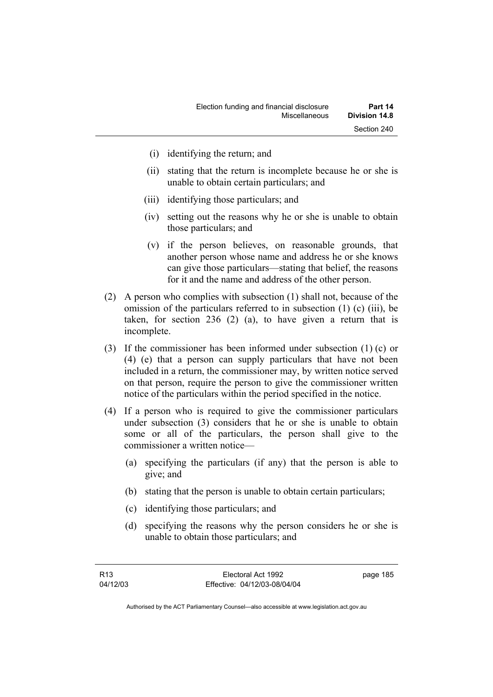- (i) identifying the return; and
- (ii) stating that the return is incomplete because he or she is unable to obtain certain particulars; and
- (iii) identifying those particulars; and
- (iv) setting out the reasons why he or she is unable to obtain those particulars; and
- (v) if the person believes, on reasonable grounds, that another person whose name and address he or she knows can give those particulars—stating that belief, the reasons for it and the name and address of the other person.
- (2) A person who complies with subsection (1) shall not, because of the omission of the particulars referred to in subsection (1) (c) (iii), be taken, for section 236 (2) (a), to have given a return that is incomplete.
- (3) If the commissioner has been informed under subsection (1) (c) or (4) (e) that a person can supply particulars that have not been included in a return, the commissioner may, by written notice served on that person, require the person to give the commissioner written notice of the particulars within the period specified in the notice.
- (4) If a person who is required to give the commissioner particulars under subsection (3) considers that he or she is unable to obtain some or all of the particulars, the person shall give to the commissioner a written notice—
	- (a) specifying the particulars (if any) that the person is able to give; and
	- (b) stating that the person is unable to obtain certain particulars;
	- (c) identifying those particulars; and
	- (d) specifying the reasons why the person considers he or she is unable to obtain those particulars; and

page 185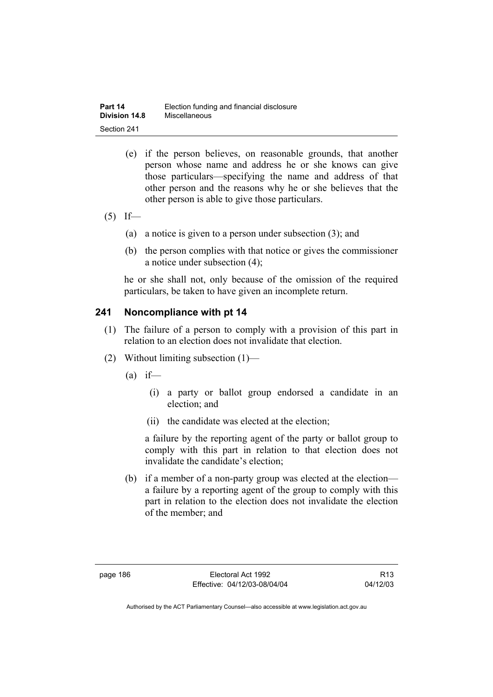| Part 14              | Election funding and financial disclosure |
|----------------------|-------------------------------------------|
| <b>Division 14.8</b> | Miscellaneous                             |
| Section 241          |                                           |

- (e) if the person believes, on reasonable grounds, that another person whose name and address he or she knows can give those particulars—specifying the name and address of that other person and the reasons why he or she believes that the other person is able to give those particulars.
- $(5)$  If—
	- (a) a notice is given to a person under subsection (3); and
	- (b) the person complies with that notice or gives the commissioner a notice under subsection (4);

he or she shall not, only because of the omission of the required particulars, be taken to have given an incomplete return.

## **241 Noncompliance with pt 14**

- (1) The failure of a person to comply with a provision of this part in relation to an election does not invalidate that election.
- (2) Without limiting subsection (1)—
	- $(a)$  if—
		- (i) a party or ballot group endorsed a candidate in an election; and
		- (ii) the candidate was elected at the election;

a failure by the reporting agent of the party or ballot group to comply with this part in relation to that election does not invalidate the candidate's election;

 (b) if a member of a non-party group was elected at the election a failure by a reporting agent of the group to comply with this part in relation to the election does not invalidate the election of the member; and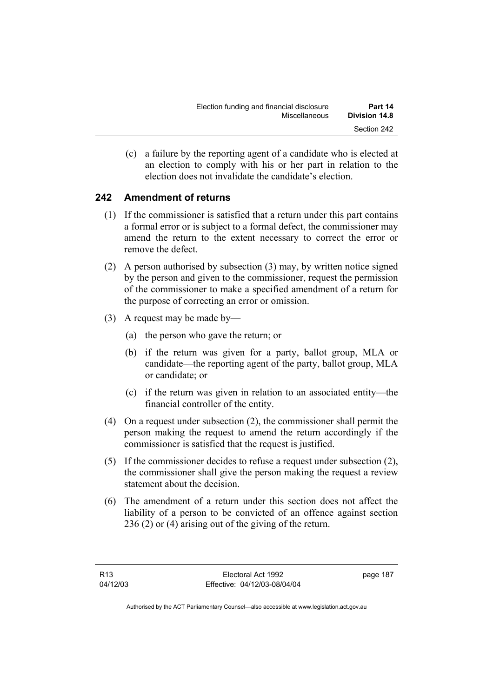(c) a failure by the reporting agent of a candidate who is elected at an election to comply with his or her part in relation to the election does not invalidate the candidate's election.

# **242 Amendment of returns**

- (1) If the commissioner is satisfied that a return under this part contains a formal error or is subject to a formal defect, the commissioner may amend the return to the extent necessary to correct the error or remove the defect.
- (2) A person authorised by subsection (3) may, by written notice signed by the person and given to the commissioner, request the permission of the commissioner to make a specified amendment of a return for the purpose of correcting an error or omission.
- (3) A request may be made by—
	- (a) the person who gave the return; or
	- (b) if the return was given for a party, ballot group, MLA or candidate—the reporting agent of the party, ballot group, MLA or candidate; or
	- (c) if the return was given in relation to an associated entity—the financial controller of the entity.
- (4) On a request under subsection (2), the commissioner shall permit the person making the request to amend the return accordingly if the commissioner is satisfied that the request is justified.
- (5) If the commissioner decides to refuse a request under subsection (2), the commissioner shall give the person making the request a review statement about the decision.
- (6) The amendment of a return under this section does not affect the liability of a person to be convicted of an offence against section 236 (2) or (4) arising out of the giving of the return.

page 187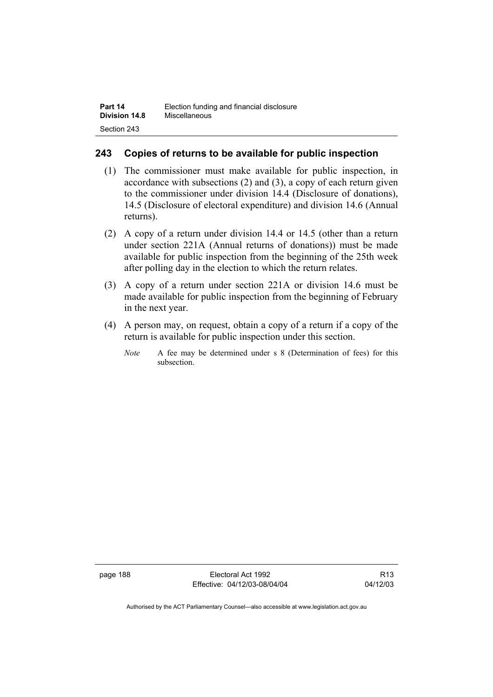#### **243 Copies of returns to be available for public inspection**

- (1) The commissioner must make available for public inspection, in accordance with subsections (2) and (3), a copy of each return given to the commissioner under division 14.4 (Disclosure of donations), 14.5 (Disclosure of electoral expenditure) and division 14.6 (Annual returns).
- (2) A copy of a return under division 14.4 or 14.5 (other than a return under section 221A (Annual returns of donations)) must be made available for public inspection from the beginning of the 25th week after polling day in the election to which the return relates.
- (3) A copy of a return under section 221A or division 14.6 must be made available for public inspection from the beginning of February in the next year.
- (4) A person may, on request, obtain a copy of a return if a copy of the return is available for public inspection under this section.
	- *Note* A fee may be determined under s 8 (Determination of fees) for this subsection.

page 188 Electoral Act 1992 Effective: 04/12/03-08/04/04

R13 04/12/03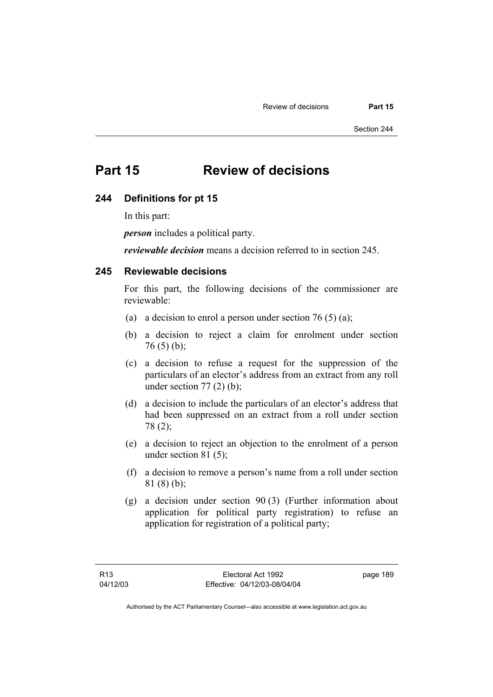Section 244

# **Part 15 Review of decisions**

#### **244 Definitions for pt 15**

In this part:

*person* includes a political party.

*reviewable decision* means a decision referred to in section 245.

#### **245 Reviewable decisions**

For this part, the following decisions of the commissioner are reviewable:

- (a) a decision to enrol a person under section 76 (5) (a);
- (b) a decision to reject a claim for enrolment under section  $76(5)(b)$ ;
- (c) a decision to refuse a request for the suppression of the particulars of an elector's address from an extract from any roll under section  $77(2)$  (b);
- (d) a decision to include the particulars of an elector's address that had been suppressed on an extract from a roll under section 78 (2);
- (e) a decision to reject an objection to the enrolment of a person under section 81 (5);
- (f) a decision to remove a person's name from a roll under section 81 (8) (b);
- (g) a decision under section 90 (3) (Further information about application for political party registration) to refuse an application for registration of a political party;

page 189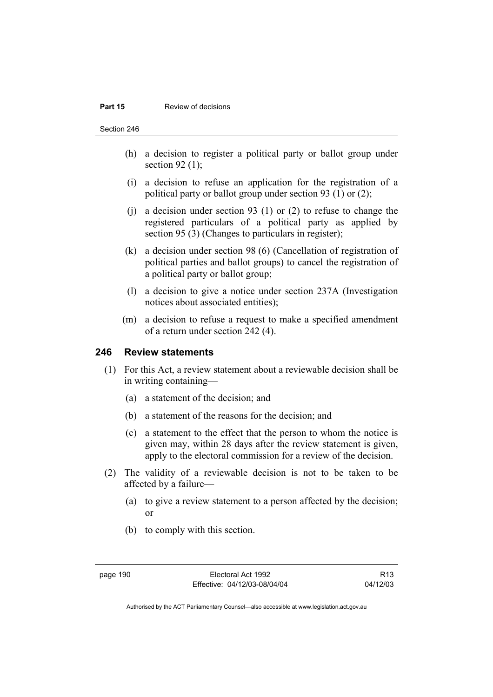#### **Part 15 Review of decisions**

Section 246

- (h) a decision to register a political party or ballot group under section 92 $(1)$ ;
- (i) a decision to refuse an application for the registration of a political party or ballot group under section 93 (1) or (2);
- (j) a decision under section 93 (1) or (2) to refuse to change the registered particulars of a political party as applied by section 95 (3) (Changes to particulars in register);
- (k) a decision under section 98 (6) (Cancellation of registration of political parties and ballot groups) to cancel the registration of a political party or ballot group;
- (l) a decision to give a notice under section 237A (Investigation notices about associated entities);
- (m) a decision to refuse a request to make a specified amendment of a return under section 242 (4).

#### **246 Review statements**

- (1) For this Act, a review statement about a reviewable decision shall be in writing containing—
	- (a) a statement of the decision; and
	- (b) a statement of the reasons for the decision; and
	- (c) a statement to the effect that the person to whom the notice is given may, within 28 days after the review statement is given, apply to the electoral commission for a review of the decision.
- (2) The validity of a reviewable decision is not to be taken to be affected by a failure—
	- (a) to give a review statement to a person affected by the decision; or
	- (b) to comply with this section.

R13 04/12/03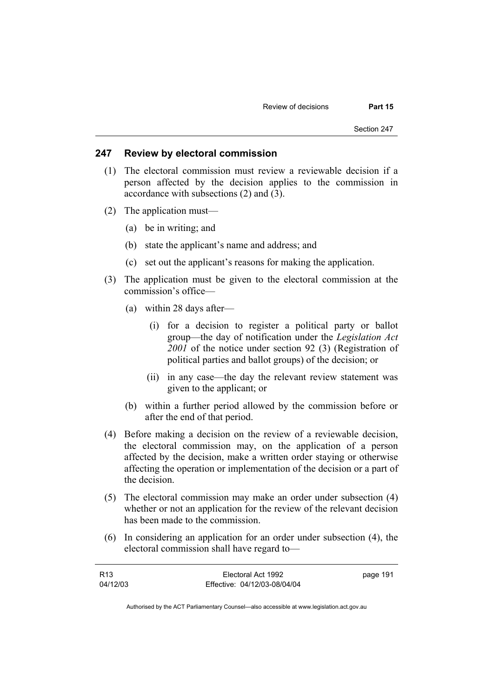#### **247 Review by electoral commission**

- (1) The electoral commission must review a reviewable decision if a person affected by the decision applies to the commission in accordance with subsections (2) and (3).
- (2) The application must—
	- (a) be in writing; and
	- (b) state the applicant's name and address; and
	- (c) set out the applicant's reasons for making the application.
- (3) The application must be given to the electoral commission at the commission's office—
	- (a) within 28 days after—
		- (i) for a decision to register a political party or ballot group—the day of notification under the *Legislation Act 2001* of the notice under section 92 (3) (Registration of political parties and ballot groups) of the decision; or
		- (ii) in any case—the day the relevant review statement was given to the applicant; or
	- (b) within a further period allowed by the commission before or after the end of that period.
- (4) Before making a decision on the review of a reviewable decision, the electoral commission may, on the application of a person affected by the decision, make a written order staying or otherwise affecting the operation or implementation of the decision or a part of the decision.
- (5) The electoral commission may make an order under subsection (4) whether or not an application for the review of the relevant decision has been made to the commission.
- (6) In considering an application for an order under subsection (4), the electoral commission shall have regard to—

| R13      | Electoral Act 1992           | page 191 |
|----------|------------------------------|----------|
| 04/12/03 | Effective: 04/12/03-08/04/04 |          |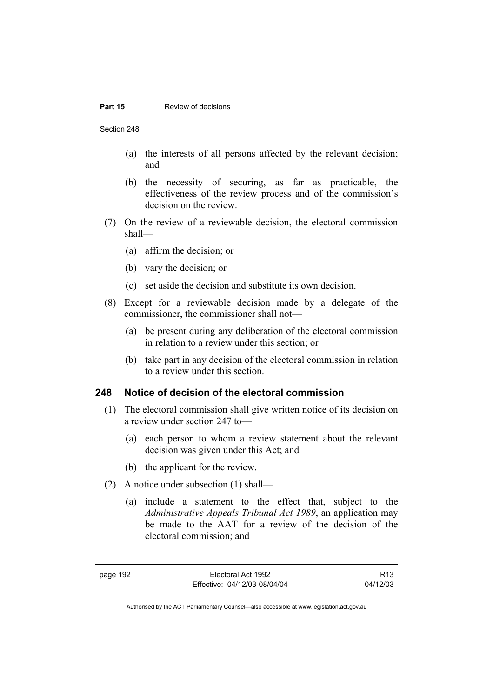#### **Part 15 Review of decisions**

Section 248

- (a) the interests of all persons affected by the relevant decision; and
- (b) the necessity of securing, as far as practicable, the effectiveness of the review process and of the commission's decision on the review.
- (7) On the review of a reviewable decision, the electoral commission shall—
	- (a) affirm the decision; or
	- (b) vary the decision; or
	- (c) set aside the decision and substitute its own decision.
- (8) Except for a reviewable decision made by a delegate of the commissioner, the commissioner shall not—
	- (a) be present during any deliberation of the electoral commission in relation to a review under this section; or
	- (b) take part in any decision of the electoral commission in relation to a review under this section.

#### **248 Notice of decision of the electoral commission**

- (1) The electoral commission shall give written notice of its decision on a review under section 247 to—
	- (a) each person to whom a review statement about the relevant decision was given under this Act; and
	- (b) the applicant for the review.
- (2) A notice under subsection (1) shall—
	- (a) include a statement to the effect that, subject to the *Administrative Appeals Tribunal Act 1989*, an application may be made to the AAT for a review of the decision of the electoral commission; and

R13 04/12/03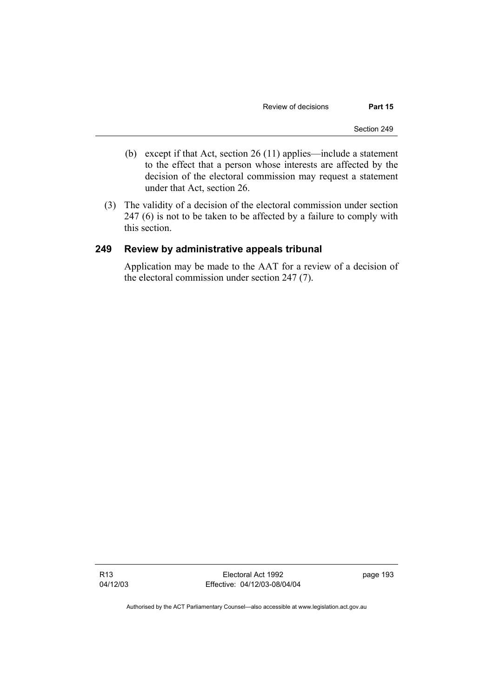- (b) except if that Act, section 26 (11) applies—include a statement to the effect that a person whose interests are affected by the decision of the electoral commission may request a statement under that Act, section 26.
- (3) The validity of a decision of the electoral commission under section 247 (6) is not to be taken to be affected by a failure to comply with this section.

#### **249 Review by administrative appeals tribunal**

Application may be made to the AAT for a review of a decision of the electoral commission under section 247 (7).

R13 04/12/03

Electoral Act 1992 Effective: 04/12/03-08/04/04 page 193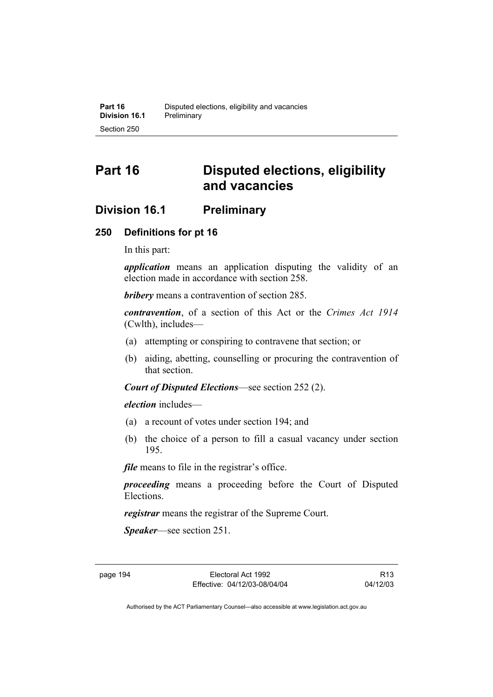# **Part 16 Disputed elections, eligibility and vacancies**

# **Division 16.1 Preliminary**

#### **250 Definitions for pt 16**

In this part:

*application* means an application disputing the validity of an election made in accordance with section 258.

*bribery* means a contravention of section 285.

*contravention*, of a section of this Act or the *Crimes Act 1914* (Cwlth), includes—

- (a) attempting or conspiring to contravene that section; or
- (b) aiding, abetting, counselling or procuring the contravention of that section.

*Court of Disputed Elections*—see section 252 (2).

*election* includes—

- (a) a recount of votes under section 194; and
- (b) the choice of a person to fill a casual vacancy under section 195.

*file* means to file in the registrar's office.

*proceeding* means a proceeding before the Court of Disputed Elections.

*registrar* means the registrar of the Supreme Court.

*Speaker*—see section 251.

R13 04/12/03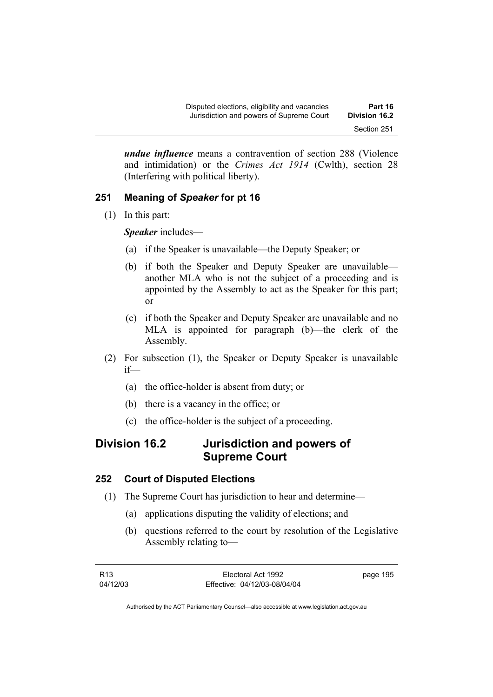*undue influence* means a contravention of section 288 (Violence and intimidation) or the *Crimes Act 1914* (Cwlth), section 28 (Interfering with political liberty).

# **251 Meaning of** *Speaker* **for pt 16**

(1) In this part:

*Speaker* includes—

- (a) if the Speaker is unavailable—the Deputy Speaker; or
- (b) if both the Speaker and Deputy Speaker are unavailable another MLA who is not the subject of a proceeding and is appointed by the Assembly to act as the Speaker for this part; or
- (c) if both the Speaker and Deputy Speaker are unavailable and no MLA is appointed for paragraph (b)—the clerk of the Assembly.
- (2) For subsection (1), the Speaker or Deputy Speaker is unavailable if—
	- (a) the office-holder is absent from duty; or
	- (b) there is a vacancy in the office; or
	- (c) the office-holder is the subject of a proceeding.

# **Division 16.2 Jurisdiction and powers of Supreme Court**

## **252 Court of Disputed Elections**

- (1) The Supreme Court has jurisdiction to hear and determine—
	- (a) applications disputing the validity of elections; and
	- (b) questions referred to the court by resolution of the Legislative Assembly relating to—

| R13      | Electoral Act 1992           | page 195 |
|----------|------------------------------|----------|
| 04/12/03 | Effective: 04/12/03-08/04/04 |          |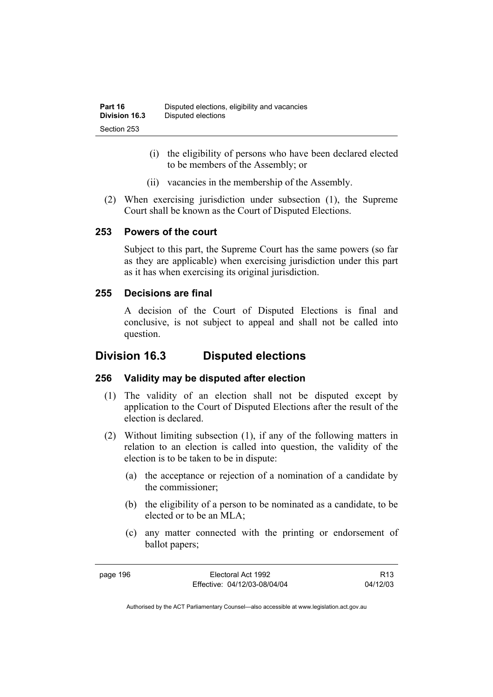- (i) the eligibility of persons who have been declared elected to be members of the Assembly; or
- (ii) vacancies in the membership of the Assembly.
- (2) When exercising jurisdiction under subsection (1), the Supreme Court shall be known as the Court of Disputed Elections.

#### **253 Powers of the court**

Subject to this part, the Supreme Court has the same powers (so far as they are applicable) when exercising jurisdiction under this part as it has when exercising its original jurisdiction.

#### **255 Decisions are final**

A decision of the Court of Disputed Elections is final and conclusive, is not subject to appeal and shall not be called into question.

# **Division 16.3 Disputed elections**

## **256 Validity may be disputed after election**

- (1) The validity of an election shall not be disputed except by application to the Court of Disputed Elections after the result of the election is declared.
- (2) Without limiting subsection (1), if any of the following matters in relation to an election is called into question, the validity of the election is to be taken to be in dispute:
	- (a) the acceptance or rejection of a nomination of a candidate by the commissioner;
	- (b) the eligibility of a person to be nominated as a candidate, to be elected or to be an MLA;
	- (c) any matter connected with the printing or endorsement of ballot papers;

R13 04/12/03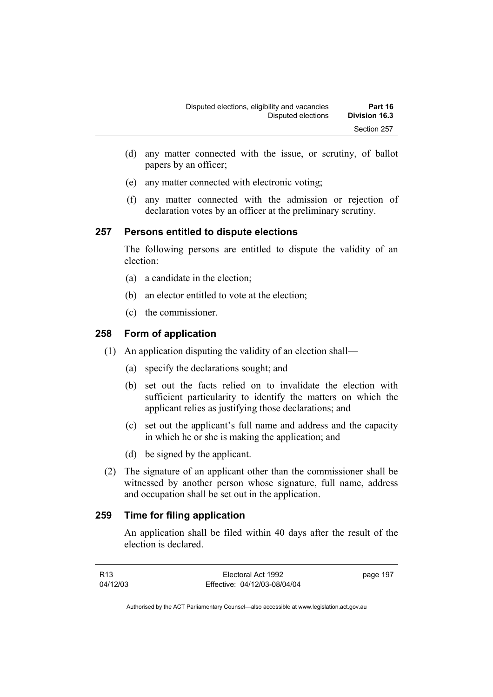- (d) any matter connected with the issue, or scrutiny, of ballot papers by an officer;
- (e) any matter connected with electronic voting;
- (f) any matter connected with the admission or rejection of declaration votes by an officer at the preliminary scrutiny.

## **257 Persons entitled to dispute elections**

The following persons are entitled to dispute the validity of an election:

- (a) a candidate in the election;
- (b) an elector entitled to vote at the election;
- (c) the commissioner.

## **258 Form of application**

- (1) An application disputing the validity of an election shall—
	- (a) specify the declarations sought; and
	- (b) set out the facts relied on to invalidate the election with sufficient particularity to identify the matters on which the applicant relies as justifying those declarations; and
	- (c) set out the applicant's full name and address and the capacity in which he or she is making the application; and
	- (d) be signed by the applicant.
- (2) The signature of an applicant other than the commissioner shall be witnessed by another person whose signature, full name, address and occupation shall be set out in the application.

## **259 Time for filing application**

An application shall be filed within 40 days after the result of the election is declared.

| R13      | Electoral Act 1992           | page 197 |
|----------|------------------------------|----------|
| 04/12/03 | Effective: 04/12/03-08/04/04 |          |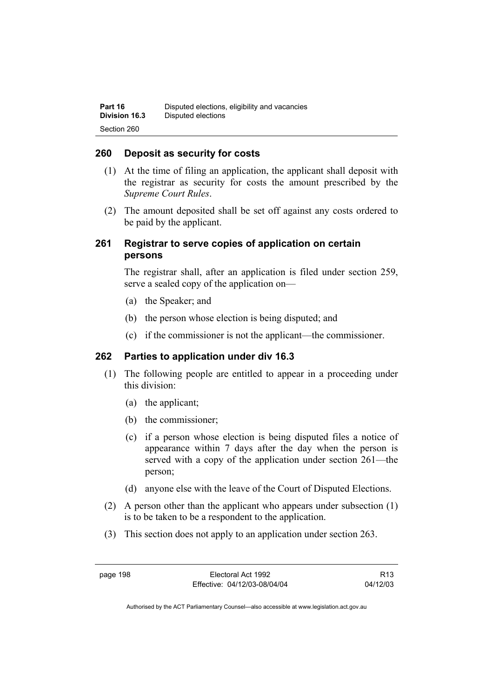#### **260 Deposit as security for costs**

- (1) At the time of filing an application, the applicant shall deposit with the registrar as security for costs the amount prescribed by the *Supreme Court Rules*.
- (2) The amount deposited shall be set off against any costs ordered to be paid by the applicant.

#### **261 Registrar to serve copies of application on certain persons**

The registrar shall, after an application is filed under section 259, serve a sealed copy of the application on—

- (a) the Speaker; and
- (b) the person whose election is being disputed; and
- (c) if the commissioner is not the applicant—the commissioner.

#### **262 Parties to application under div 16.3**

- (1) The following people are entitled to appear in a proceeding under this division:
	- (a) the applicant;
	- (b) the commissioner;
	- (c) if a person whose election is being disputed files a notice of appearance within 7 days after the day when the person is served with a copy of the application under section 261—the person;
	- (d) anyone else with the leave of the Court of Disputed Elections.
- (2) A person other than the applicant who appears under subsection (1) is to be taken to be a respondent to the application.
- (3) This section does not apply to an application under section 263.

page 198 Electoral Act 1992 Effective: 04/12/03-08/04/04

R13 04/12/03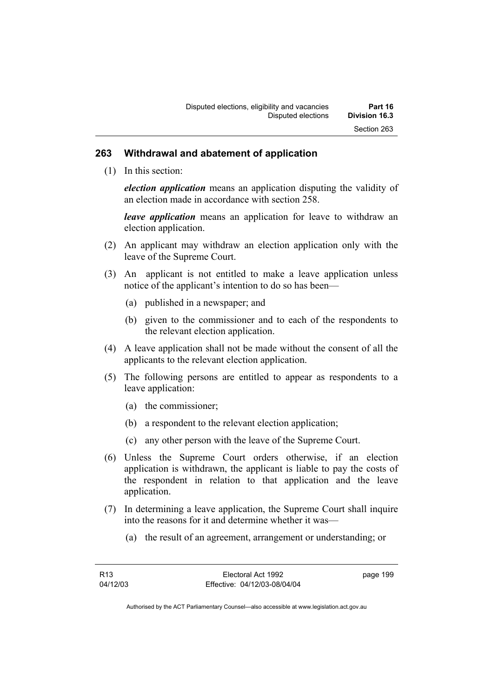#### **263 Withdrawal and abatement of application**

(1) In this section:

*election application* means an application disputing the validity of an election made in accordance with section 258.

*leave application* means an application for leave to withdraw an election application.

- (2) An applicant may withdraw an election application only with the leave of the Supreme Court.
- (3) An applicant is not entitled to make a leave application unless notice of the applicant's intention to do so has been—
	- (a) published in a newspaper; and
	- (b) given to the commissioner and to each of the respondents to the relevant election application.
- (4) A leave application shall not be made without the consent of all the applicants to the relevant election application.
- (5) The following persons are entitled to appear as respondents to a leave application:
	- (a) the commissioner;
	- (b) a respondent to the relevant election application;
	- (c) any other person with the leave of the Supreme Court.
- (6) Unless the Supreme Court orders otherwise, if an election application is withdrawn, the applicant is liable to pay the costs of the respondent in relation to that application and the leave application.
- (7) In determining a leave application, the Supreme Court shall inquire into the reasons for it and determine whether it was—
	- (a) the result of an agreement, arrangement or understanding; or

page 199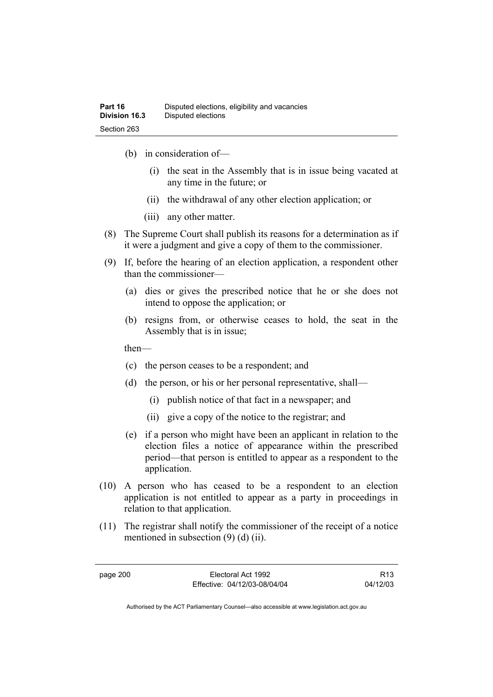- (b) in consideration of—
	- (i) the seat in the Assembly that is in issue being vacated at any time in the future; or
	- (ii) the withdrawal of any other election application; or
	- (iii) any other matter.
- (8) The Supreme Court shall publish its reasons for a determination as if it were a judgment and give a copy of them to the commissioner.
- (9) If, before the hearing of an election application, a respondent other than the commissioner—
	- (a) dies or gives the prescribed notice that he or she does not intend to oppose the application; or
	- (b) resigns from, or otherwise ceases to hold, the seat in the Assembly that is in issue;

then—

- (c) the person ceases to be a respondent; and
- (d) the person, or his or her personal representative, shall—
	- (i) publish notice of that fact in a newspaper; and
	- (ii) give a copy of the notice to the registrar; and
- (e) if a person who might have been an applicant in relation to the election files a notice of appearance within the prescribed period—that person is entitled to appear as a respondent to the application.
- (10) A person who has ceased to be a respondent to an election application is not entitled to appear as a party in proceedings in relation to that application.
- (11) The registrar shall notify the commissioner of the receipt of a notice mentioned in subsection (9) (d) (ii).

page 200 Electoral Act 1992 Effective: 04/12/03-08/04/04

R13 04/12/03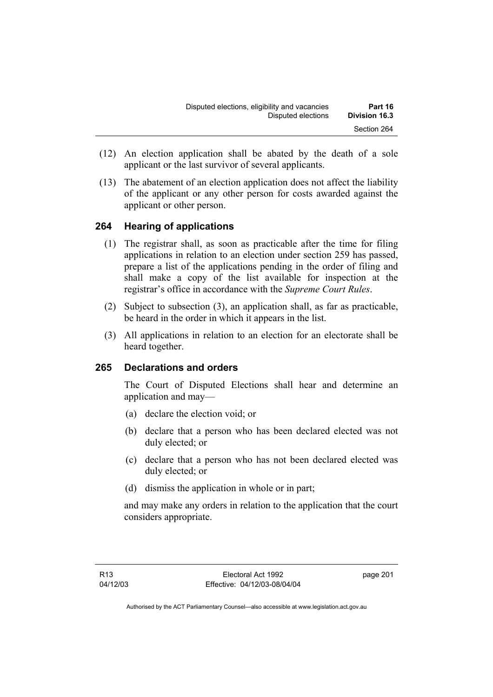- (12) An election application shall be abated by the death of a sole applicant or the last survivor of several applicants.
- (13) The abatement of an election application does not affect the liability of the applicant or any other person for costs awarded against the applicant or other person.

## **264 Hearing of applications**

- (1) The registrar shall, as soon as practicable after the time for filing applications in relation to an election under section 259 has passed, prepare a list of the applications pending in the order of filing and shall make a copy of the list available for inspection at the registrar's office in accordance with the *Supreme Court Rules*.
- (2) Subject to subsection (3), an application shall, as far as practicable, be heard in the order in which it appears in the list.
- (3) All applications in relation to an election for an electorate shall be heard together.

## **265 Declarations and orders**

The Court of Disputed Elections shall hear and determine an application and may—

- (a) declare the election void; or
- (b) declare that a person who has been declared elected was not duly elected; or
- (c) declare that a person who has not been declared elected was duly elected; or
- (d) dismiss the application in whole or in part;

and may make any orders in relation to the application that the court considers appropriate.

page 201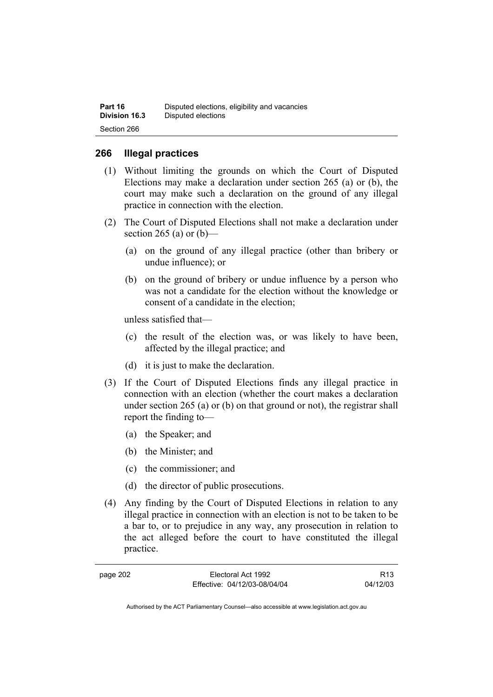| Part 16              | Disputed elections, eligibility and vacancies |
|----------------------|-----------------------------------------------|
| <b>Division 16.3</b> | Disputed elections                            |
| Section 266          |                                               |

#### **266 Illegal practices**

- (1) Without limiting the grounds on which the Court of Disputed Elections may make a declaration under section 265 (a) or (b), the court may make such a declaration on the ground of any illegal practice in connection with the election.
- (2) The Court of Disputed Elections shall not make a declaration under section 265 (a) or  $(b)$ —
	- (a) on the ground of any illegal practice (other than bribery or undue influence); or
	- (b) on the ground of bribery or undue influence by a person who was not a candidate for the election without the knowledge or consent of a candidate in the election;

unless satisfied that—

- (c) the result of the election was, or was likely to have been, affected by the illegal practice; and
- (d) it is just to make the declaration.
- (3) If the Court of Disputed Elections finds any illegal practice in connection with an election (whether the court makes a declaration under section 265 (a) or (b) on that ground or not), the registrar shall report the finding to—
	- (a) the Speaker; and
	- (b) the Minister; and
	- (c) the commissioner; and
	- (d) the director of public prosecutions.
- (4) Any finding by the Court of Disputed Elections in relation to any illegal practice in connection with an election is not to be taken to be a bar to, or to prejudice in any way, any prosecution in relation to the act alleged before the court to have constituted the illegal practice.

Electoral Act 1992 Effective: 04/12/03-08/04/04

R13 04/12/03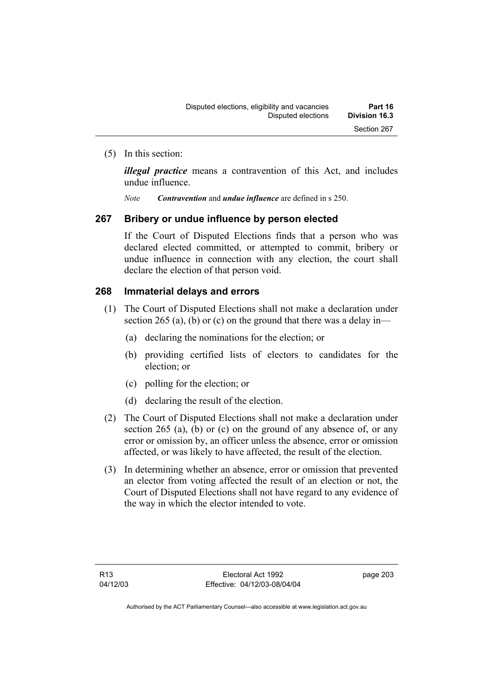(5) In this section:

*illegal practice* means a contravention of this Act, and includes undue influence.

*Note Contravention* and *undue influence* are defined in s 250.

## **267 Bribery or undue influence by person elected**

If the Court of Disputed Elections finds that a person who was declared elected committed, or attempted to commit, bribery or undue influence in connection with any election, the court shall declare the election of that person void.

## **268 Immaterial delays and errors**

- (1) The Court of Disputed Elections shall not make a declaration under section 265 (a), (b) or (c) on the ground that there was a delay in—
	- (a) declaring the nominations for the election; or
	- (b) providing certified lists of electors to candidates for the election; or
	- (c) polling for the election; or
	- (d) declaring the result of the election.
- (2) The Court of Disputed Elections shall not make a declaration under section 265 (a), (b) or (c) on the ground of any absence of, or any error or omission by, an officer unless the absence, error or omission affected, or was likely to have affected, the result of the election.
- (3) In determining whether an absence, error or omission that prevented an elector from voting affected the result of an election or not, the Court of Disputed Elections shall not have regard to any evidence of the way in which the elector intended to vote.

page 203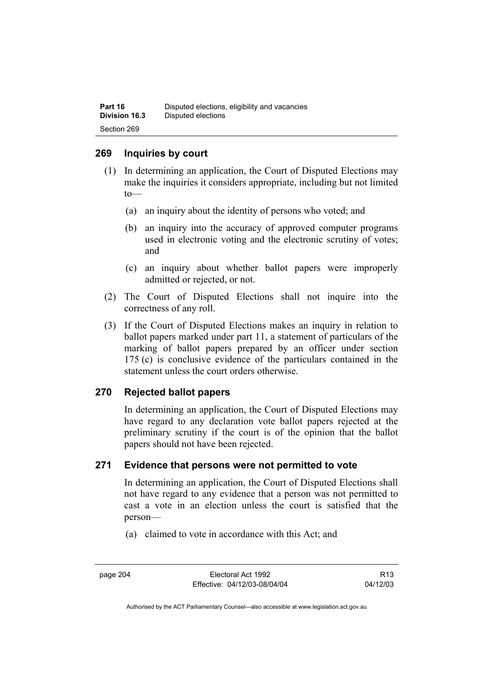## **269 Inquiries by court**

- (1) In determining an application, the Court of Disputed Elections may make the inquiries it considers appropriate, including but not limited to—
	- (a) an inquiry about the identity of persons who voted; and
	- (b) an inquiry into the accuracy of approved computer programs used in electronic voting and the electronic scrutiny of votes; and
	- (c) an inquiry about whether ballot papers were improperly admitted or rejected, or not.
- (2) The Court of Disputed Elections shall not inquire into the correctness of any roll.
- (3) If the Court of Disputed Elections makes an inquiry in relation to ballot papers marked under part 11, a statement of particulars of the marking of ballot papers prepared by an officer under section 175 (c) is conclusive evidence of the particulars contained in the statement unless the court orders otherwise.

## **270 Rejected ballot papers**

In determining an application, the Court of Disputed Elections may have regard to any declaration vote ballot papers rejected at the preliminary scrutiny if the court is of the opinion that the ballot papers should not have been rejected.

## **271 Evidence that persons were not permitted to vote**

In determining an application, the Court of Disputed Elections shall not have regard to any evidence that a person was not permitted to cast a vote in an election unless the court is satisfied that the person—

(a) claimed to vote in accordance with this Act; and

page 204 Electoral Act 1992 Effective: 04/12/03-08/04/04

R13 04/12/03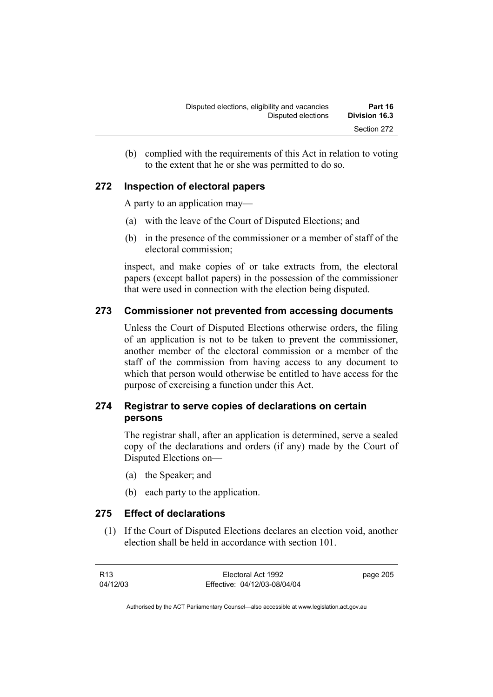(b) complied with the requirements of this Act in relation to voting to the extent that he or she was permitted to do so.

## **272 Inspection of electoral papers**

A party to an application may—

- (a) with the leave of the Court of Disputed Elections; and
- (b) in the presence of the commissioner or a member of staff of the electoral commission;

inspect, and make copies of or take extracts from, the electoral papers (except ballot papers) in the possession of the commissioner that were used in connection with the election being disputed.

## **273 Commissioner not prevented from accessing documents**

Unless the Court of Disputed Elections otherwise orders, the filing of an application is not to be taken to prevent the commissioner, another member of the electoral commission or a member of the staff of the commission from having access to any document to which that person would otherwise be entitled to have access for the purpose of exercising a function under this Act.

## **274 Registrar to serve copies of declarations on certain persons**

The registrar shall, after an application is determined, serve a sealed copy of the declarations and orders (if any) made by the Court of Disputed Elections on—

- (a) the Speaker; and
- (b) each party to the application.

## **275 Effect of declarations**

 (1) If the Court of Disputed Elections declares an election void, another election shall be held in accordance with section 101.

| R13      | Electoral Act 1992           | page 205 |
|----------|------------------------------|----------|
| 04/12/03 | Effective: 04/12/03-08/04/04 |          |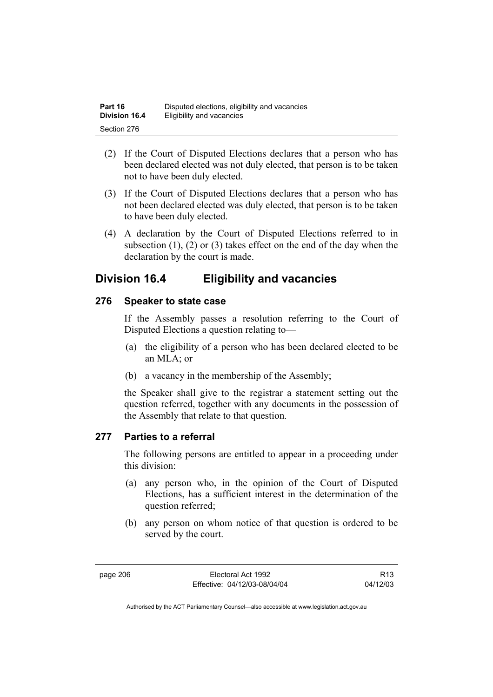| Part 16              | Disputed elections, eligibility and vacancies |
|----------------------|-----------------------------------------------|
| <b>Division 16.4</b> | Eligibility and vacancies                     |
| Section 276          |                                               |

- (2) If the Court of Disputed Elections declares that a person who has been declared elected was not duly elected, that person is to be taken not to have been duly elected.
- (3) If the Court of Disputed Elections declares that a person who has not been declared elected was duly elected, that person is to be taken to have been duly elected.
- (4) A declaration by the Court of Disputed Elections referred to in subsection  $(1)$ ,  $(2)$  or  $(3)$  takes effect on the end of the day when the declaration by the court is made.

## **Division 16.4 Eligibility and vacancies**

## **276 Speaker to state case**

If the Assembly passes a resolution referring to the Court of Disputed Elections a question relating to—

- (a) the eligibility of a person who has been declared elected to be an MLA; or
- (b) a vacancy in the membership of the Assembly;

the Speaker shall give to the registrar a statement setting out the question referred, together with any documents in the possession of the Assembly that relate to that question.

## **277 Parties to a referral**

The following persons are entitled to appear in a proceeding under this division:

- (a) any person who, in the opinion of the Court of Disputed Elections, has a sufficient interest in the determination of the question referred;
- (b) any person on whom notice of that question is ordered to be served by the court.

page 206 Electoral Act 1992 Effective: 04/12/03-08/04/04

R13 04/12/03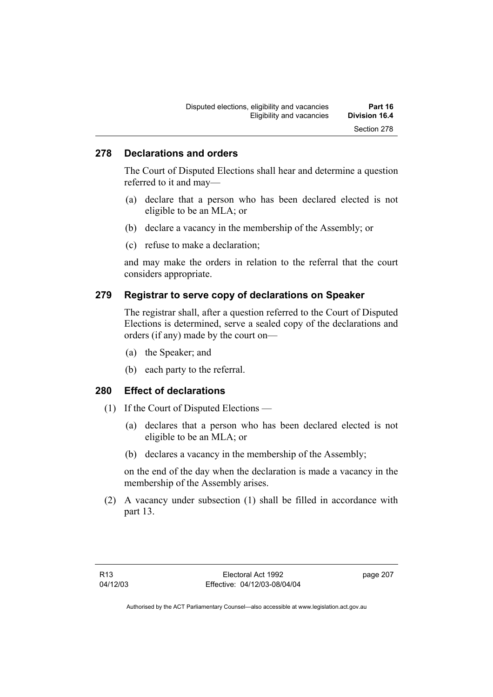## **278 Declarations and orders**

The Court of Disputed Elections shall hear and determine a question referred to it and may—

- (a) declare that a person who has been declared elected is not eligible to be an MLA; or
- (b) declare a vacancy in the membership of the Assembly; or
- (c) refuse to make a declaration;

and may make the orders in relation to the referral that the court considers appropriate.

## **279 Registrar to serve copy of declarations on Speaker**

The registrar shall, after a question referred to the Court of Disputed Elections is determined, serve a sealed copy of the declarations and orders (if any) made by the court on—

- (a) the Speaker; and
- (b) each party to the referral.

## **280 Effect of declarations**

- (1) If the Court of Disputed Elections
	- (a) declares that a person who has been declared elected is not eligible to be an MLA; or
	- (b) declares a vacancy in the membership of the Assembly;

on the end of the day when the declaration is made a vacancy in the membership of the Assembly arises.

 (2) A vacancy under subsection (1) shall be filled in accordance with part 13.

page 207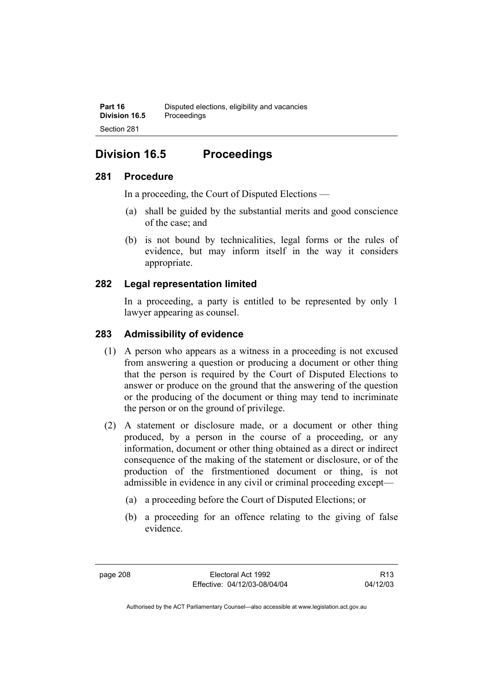## **Division 16.5 Proceedings**

## **281 Procedure**

In a proceeding, the Court of Disputed Elections —

- (a) shall be guided by the substantial merits and good conscience of the case; and
- (b) is not bound by technicalities, legal forms or the rules of evidence, but may inform itself in the way it considers appropriate.

## **282 Legal representation limited**

In a proceeding, a party is entitled to be represented by only 1 lawyer appearing as counsel.

## **283 Admissibility of evidence**

- (1) A person who appears as a witness in a proceeding is not excused from answering a question or producing a document or other thing that the person is required by the Court of Disputed Elections to answer or produce on the ground that the answering of the question or the producing of the document or thing may tend to incriminate the person or on the ground of privilege.
- (2) A statement or disclosure made, or a document or other thing produced, by a person in the course of a proceeding, or any information, document or other thing obtained as a direct or indirect consequence of the making of the statement or disclosure, or of the production of the firstmentioned document or thing, is not admissible in evidence in any civil or criminal proceeding except—
	- (a) a proceeding before the Court of Disputed Elections; or
	- (b) a proceeding for an offence relating to the giving of false evidence.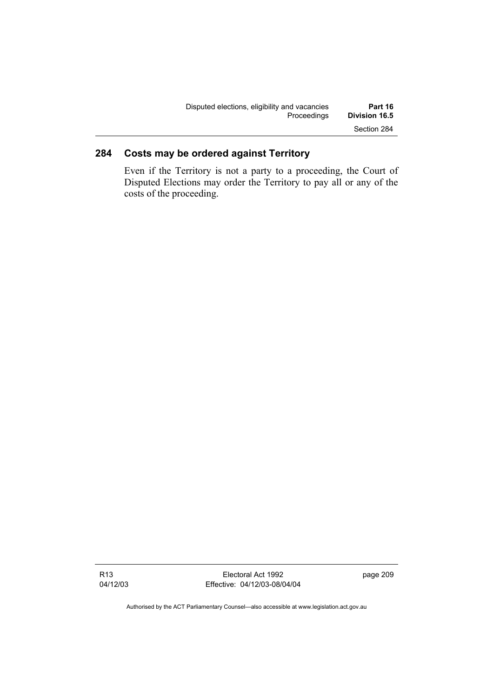| Disputed elections, eligibility and vacancies | Part 16              |
|-----------------------------------------------|----------------------|
| Proceedings                                   | <b>Division 16.5</b> |
|                                               | Section 284          |

## **284 Costs may be ordered against Territory**

Even if the Territory is not a party to a proceeding, the Court of Disputed Elections may order the Territory to pay all or any of the costs of the proceeding.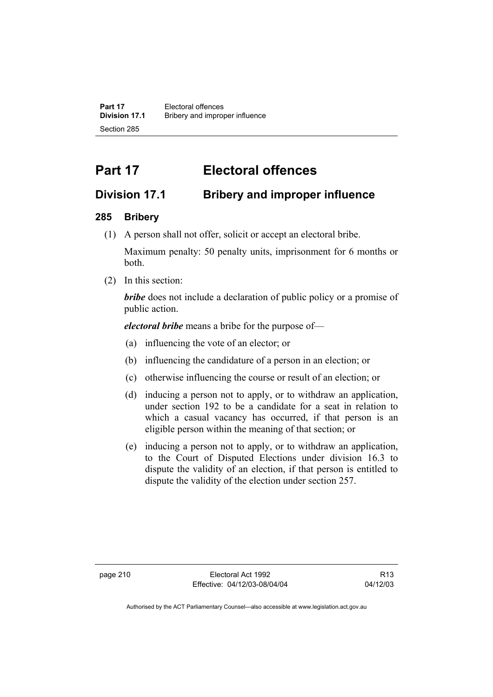**Part 17 Electoral offences**<br>**Division 17.1 Bribery and improre Division 17.1** Bribery and improper influence Section 285

# **Part 17 Electoral offences**

## **Division 17.1 Bribery and improper influence**

## **285 Bribery**

(1) A person shall not offer, solicit or accept an electoral bribe.

Maximum penalty: 50 penalty units, imprisonment for 6 months or both.

(2) In this section:

*bribe* does not include a declaration of public policy or a promise of public action.

*electoral bribe* means a bribe for the purpose of—

- (a) influencing the vote of an elector; or
- (b) influencing the candidature of a person in an election; or
- (c) otherwise influencing the course or result of an election; or
- (d) inducing a person not to apply, or to withdraw an application, under section 192 to be a candidate for a seat in relation to which a casual vacancy has occurred, if that person is an eligible person within the meaning of that section; or
- (e) inducing a person not to apply, or to withdraw an application, to the Court of Disputed Elections under division 16.3 to dispute the validity of an election, if that person is entitled to dispute the validity of the election under section 257.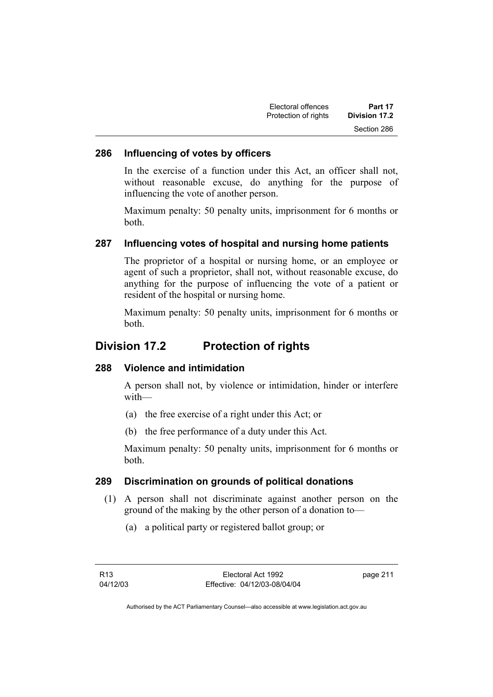| Electoral offences   | Part 17       |
|----------------------|---------------|
| Protection of rights | Division 17.2 |
|                      | Section 286   |

#### **286 Influencing of votes by officers**

In the exercise of a function under this Act, an officer shall not, without reasonable excuse, do anything for the purpose of influencing the vote of another person.

Maximum penalty: 50 penalty units, imprisonment for 6 months or both.

## **287 Influencing votes of hospital and nursing home patients**

The proprietor of a hospital or nursing home, or an employee or agent of such a proprietor, shall not, without reasonable excuse, do anything for the purpose of influencing the vote of a patient or resident of the hospital or nursing home.

Maximum penalty: 50 penalty units, imprisonment for 6 months or both.

## **Division 17.2 Protection of rights**

#### **288 Violence and intimidation**

A person shall not, by violence or intimidation, hinder or interfere with—

- (a) the free exercise of a right under this Act; or
- (b) the free performance of a duty under this Act.

Maximum penalty: 50 penalty units, imprisonment for 6 months or both.

#### **289 Discrimination on grounds of political donations**

- (1) A person shall not discriminate against another person on the ground of the making by the other person of a donation to—
	- (a) a political party or registered ballot group; or

page 211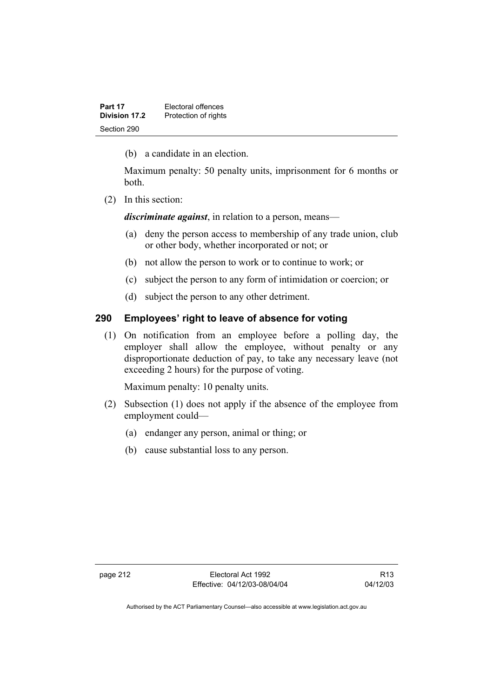| Part 17       | Electoral offences   |
|---------------|----------------------|
| Division 17.2 | Protection of rights |
| Section 290   |                      |

(b) a candidate in an election.

Maximum penalty: 50 penalty units, imprisonment for 6 months or both.

(2) In this section:

*discriminate against*, in relation to a person, means—

- (a) deny the person access to membership of any trade union, club or other body, whether incorporated or not; or
- (b) not allow the person to work or to continue to work; or
- (c) subject the person to any form of intimidation or coercion; or
- (d) subject the person to any other detriment.

## **290 Employees' right to leave of absence for voting**

 (1) On notification from an employee before a polling day, the employer shall allow the employee, without penalty or any disproportionate deduction of pay, to take any necessary leave (not exceeding 2 hours) for the purpose of voting.

Maximum penalty: 10 penalty units.

- (2) Subsection (1) does not apply if the absence of the employee from employment could—
	- (a) endanger any person, animal or thing; or
	- (b) cause substantial loss to any person.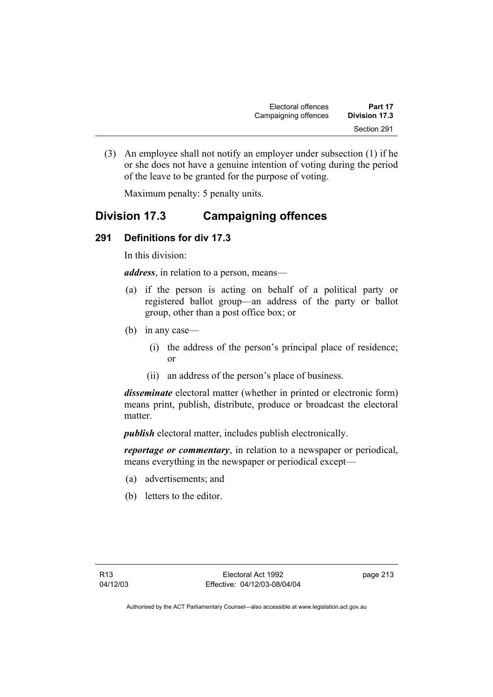| Electoral offences   | Part 17       |
|----------------------|---------------|
| Campaigning offences | Division 17.3 |
|                      | Section 291   |

 (3) An employee shall not notify an employer under subsection (1) if he or she does not have a genuine intention of voting during the period of the leave to be granted for the purpose of voting.

Maximum penalty: 5 penalty units.

## **Division 17.3 Campaigning offences**

## **291 Definitions for div 17.3**

In this division:

*address*, in relation to a person, means—

- (a) if the person is acting on behalf of a political party or registered ballot group—an address of the party or ballot group, other than a post office box; or
- (b) in any case—
	- (i) the address of the person's principal place of residence; or
	- (ii) an address of the person's place of business.

*disseminate* electoral matter (whether in printed or electronic form) means print, publish, distribute, produce or broadcast the electoral matter.

*publish* electoral matter, includes publish electronically.

*reportage or commentary*, in relation to a newspaper or periodical, means everything in the newspaper or periodical except—

- (a) advertisements; and
- (b) letters to the editor.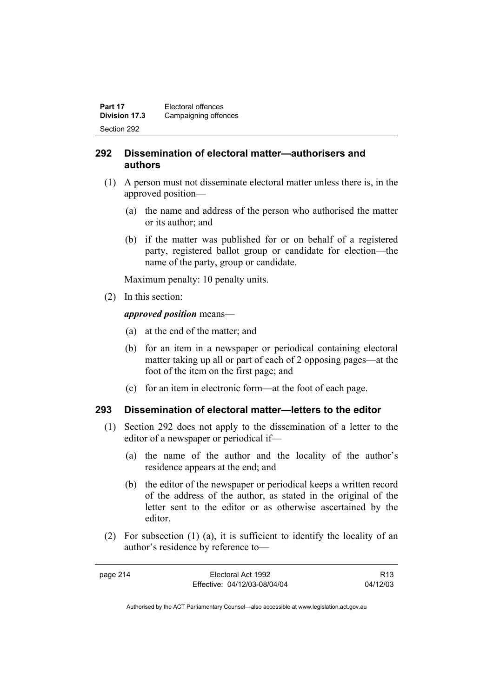| Part 17              | Electoral offences   |
|----------------------|----------------------|
| <b>Division 17.3</b> | Campaigning offences |
| Section 292          |                      |

## **292 Dissemination of electoral matter—authorisers and authors**

- (1) A person must not disseminate electoral matter unless there is, in the approved position—
	- (a) the name and address of the person who authorised the matter or its author; and
	- (b) if the matter was published for or on behalf of a registered party, registered ballot group or candidate for election—the name of the party, group or candidate.

Maximum penalty: 10 penalty units.

(2) In this section:

*approved position* means—

- (a) at the end of the matter; and
- (b) for an item in a newspaper or periodical containing electoral matter taking up all or part of each of 2 opposing pages—at the foot of the item on the first page; and
- (c) for an item in electronic form—at the foot of each page.

## **293 Dissemination of electoral matter—letters to the editor**

- (1) Section 292 does not apply to the dissemination of a letter to the editor of a newspaper or periodical if—
	- (a) the name of the author and the locality of the author's residence appears at the end; and
	- (b) the editor of the newspaper or periodical keeps a written record of the address of the author, as stated in the original of the letter sent to the editor or as otherwise ascertained by the editor.
- (2) For subsection (1) (a), it is sufficient to identify the locality of an author's residence by reference to—

| page 214 | Electoral Act 1992           | R <sub>13</sub> |
|----------|------------------------------|-----------------|
|          | Effective: 04/12/03-08/04/04 | 04/12/03        |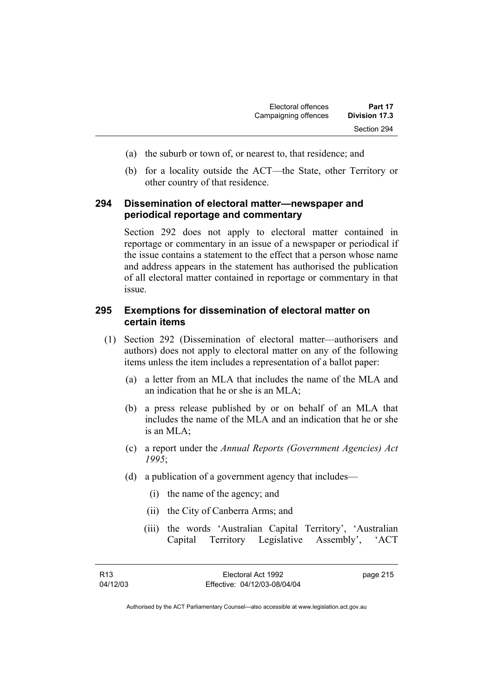- (a) the suburb or town of, or nearest to, that residence; and
- (b) for a locality outside the ACT—the State, other Territory or other country of that residence.

## **294 Dissemination of electoral matter—newspaper and periodical reportage and commentary**

Section 292 does not apply to electoral matter contained in reportage or commentary in an issue of a newspaper or periodical if the issue contains a statement to the effect that a person whose name and address appears in the statement has authorised the publication of all electoral matter contained in reportage or commentary in that issue.

## **295 Exemptions for dissemination of electoral matter on certain items**

- (1) Section 292 (Dissemination of electoral matter—authorisers and authors) does not apply to electoral matter on any of the following items unless the item includes a representation of a ballot paper:
	- (a) a letter from an MLA that includes the name of the MLA and an indication that he or she is an MLA;
	- (b) a press release published by or on behalf of an MLA that includes the name of the MLA and an indication that he or she is an  $MLA$ ;
	- (c) a report under the *Annual Reports (Government Agencies) Act 1995*;
	- (d) a publication of a government agency that includes—
		- (i) the name of the agency; and
		- (ii) the City of Canberra Arms; and
		- (iii) the words 'Australian Capital Territory', 'Australian Capital Territory Legislative Assembly', 'ACT

| R13      | Electoral Act 1992           | page 215 |
|----------|------------------------------|----------|
| 04/12/03 | Effective: 04/12/03-08/04/04 |          |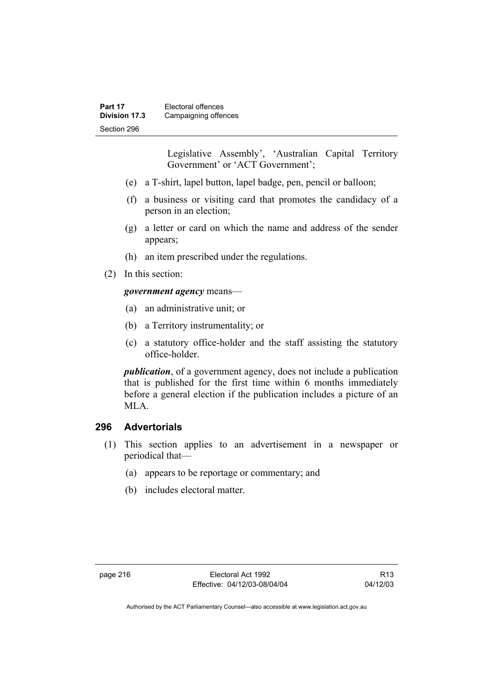Legislative Assembly', 'Australian Capital Territory Government' or 'ACT Government';

- (e) a T-shirt, lapel button, lapel badge, pen, pencil or balloon;
- (f) a business or visiting card that promotes the candidacy of a person in an election;
- (g) a letter or card on which the name and address of the sender appears;
- (h) an item prescribed under the regulations.
- (2) In this section:

## *government agency* means—

- (a) an administrative unit; or
- (b) a Territory instrumentality; or
- (c) a statutory office-holder and the staff assisting the statutory office-holder.

*publication*, of a government agency, does not include a publication that is published for the first time within 6 months immediately before a general election if the publication includes a picture of an MLA.

## **296 Advertorials**

- (1) This section applies to an advertisement in a newspaper or periodical that—
	- (a) appears to be reportage or commentary; and
	- (b) includes electoral matter.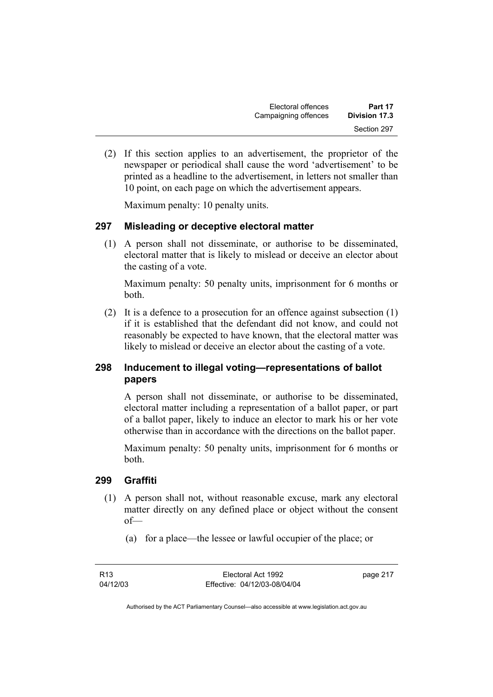| Electoral offences   | Part 17       |
|----------------------|---------------|
| Campaigning offences | Division 17.3 |
|                      | Section 297   |

 (2) If this section applies to an advertisement, the proprietor of the newspaper or periodical shall cause the word 'advertisement' to be printed as a headline to the advertisement, in letters not smaller than 10 point, on each page on which the advertisement appears.

Maximum penalty: 10 penalty units.

## **297 Misleading or deceptive electoral matter**

 (1) A person shall not disseminate, or authorise to be disseminated, electoral matter that is likely to mislead or deceive an elector about the casting of a vote.

Maximum penalty: 50 penalty units, imprisonment for 6 months or both.

 (2) It is a defence to a prosecution for an offence against subsection (1) if it is established that the defendant did not know, and could not reasonably be expected to have known, that the electoral matter was likely to mislead or deceive an elector about the casting of a vote.

## **298 Inducement to illegal voting—representations of ballot papers**

A person shall not disseminate, or authorise to be disseminated, electoral matter including a representation of a ballot paper, or part of a ballot paper, likely to induce an elector to mark his or her vote otherwise than in accordance with the directions on the ballot paper.

Maximum penalty: 50 penalty units, imprisonment for 6 months or both.

#### **299 Graffiti**

- (1) A person shall not, without reasonable excuse, mark any electoral matter directly on any defined place or object without the consent of—
	- (a) for a place—the lessee or lawful occupier of the place; or

page 217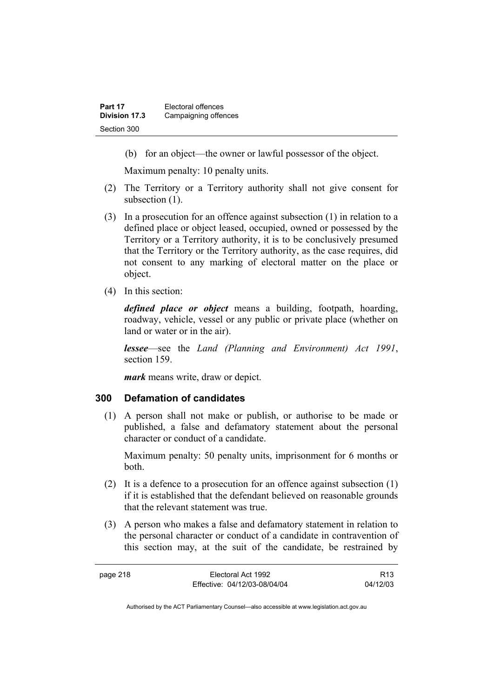(b) for an object—the owner or lawful possessor of the object.

Maximum penalty: 10 penalty units.

- (2) The Territory or a Territory authority shall not give consent for subsection  $(1)$ .
- (3) In a prosecution for an offence against subsection (1) in relation to a defined place or object leased, occupied, owned or possessed by the Territory or a Territory authority, it is to be conclusively presumed that the Territory or the Territory authority, as the case requires, did not consent to any marking of electoral matter on the place or object.
- (4) In this section:

*defined place or object* means a building, footpath, hoarding, roadway, vehicle, vessel or any public or private place (whether on land or water or in the air).

*lessee*—see the *Land (Planning and Environment) Act 1991*, section 159.

*mark* means write, draw or depict.

## **300 Defamation of candidates**

 (1) A person shall not make or publish, or authorise to be made or published, a false and defamatory statement about the personal character or conduct of a candidate.

Maximum penalty: 50 penalty units, imprisonment for 6 months or both.

- (2) It is a defence to a prosecution for an offence against subsection (1) if it is established that the defendant believed on reasonable grounds that the relevant statement was true.
- (3) A person who makes a false and defamatory statement in relation to the personal character or conduct of a candidate in contravention of this section may, at the suit of the candidate, be restrained by

| page 218 | Electoral Act 1992           | R <sub>13</sub> |
|----------|------------------------------|-----------------|
|          | Effective: 04/12/03-08/04/04 | 04/12/03        |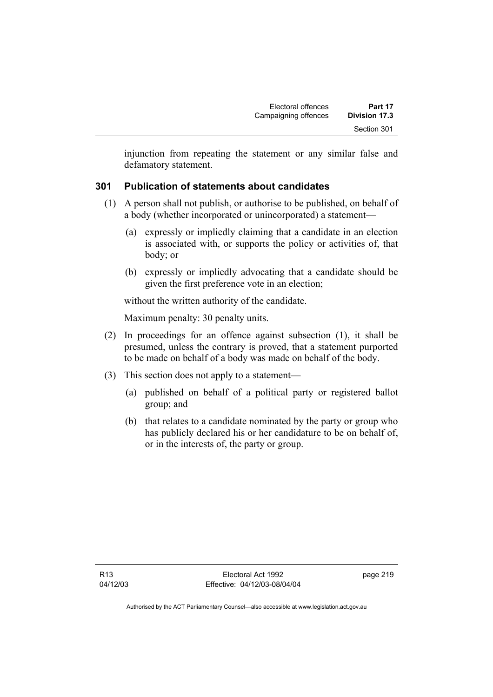injunction from repeating the statement or any similar false and defamatory statement.

## **301 Publication of statements about candidates**

- (1) A person shall not publish, or authorise to be published, on behalf of a body (whether incorporated or unincorporated) a statement—
	- (a) expressly or impliedly claiming that a candidate in an election is associated with, or supports the policy or activities of, that body; or
	- (b) expressly or impliedly advocating that a candidate should be given the first preference vote in an election;

without the written authority of the candidate.

Maximum penalty: 30 penalty units.

- (2) In proceedings for an offence against subsection (1), it shall be presumed, unless the contrary is proved, that a statement purported to be made on behalf of a body was made on behalf of the body.
- (3) This section does not apply to a statement—
	- (a) published on behalf of a political party or registered ballot group; and
	- (b) that relates to a candidate nominated by the party or group who has publicly declared his or her candidature to be on behalf of, or in the interests of, the party or group.

page 219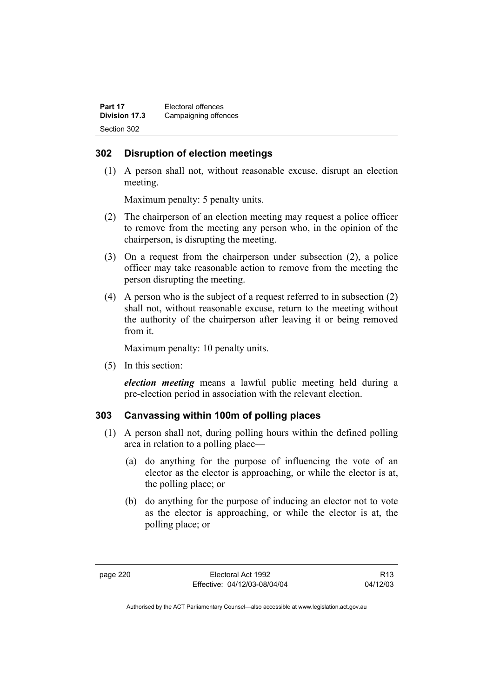| Part 17              | Electoral offences   |
|----------------------|----------------------|
| <b>Division 17.3</b> | Campaigning offences |
| Section 302          |                      |

## **302 Disruption of election meetings**

 (1) A person shall not, without reasonable excuse, disrupt an election meeting.

Maximum penalty: 5 penalty units.

- (2) The chairperson of an election meeting may request a police officer to remove from the meeting any person who, in the opinion of the chairperson, is disrupting the meeting.
- (3) On a request from the chairperson under subsection (2), a police officer may take reasonable action to remove from the meeting the person disrupting the meeting.
- (4) A person who is the subject of a request referred to in subsection (2) shall not, without reasonable excuse, return to the meeting without the authority of the chairperson after leaving it or being removed from it.

Maximum penalty: 10 penalty units.

(5) In this section:

*election meeting* means a lawful public meeting held during a pre-election period in association with the relevant election.

## **303 Canvassing within 100m of polling places**

- (1) A person shall not, during polling hours within the defined polling area in relation to a polling place—
	- (a) do anything for the purpose of influencing the vote of an elector as the elector is approaching, or while the elector is at, the polling place; or
	- (b) do anything for the purpose of inducing an elector not to vote as the elector is approaching, or while the elector is at, the polling place; or

R13 04/12/03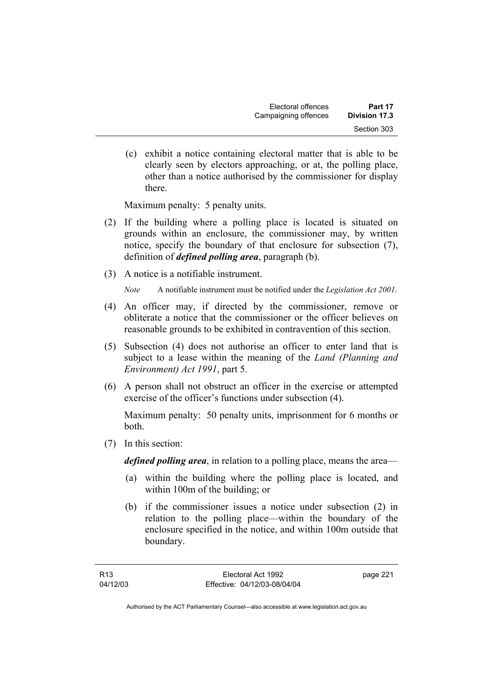(c) exhibit a notice containing electoral matter that is able to be clearly seen by electors approaching, or at, the polling place, other than a notice authorised by the commissioner for display there.

Maximum penalty: 5 penalty units.

- (2) If the building where a polling place is located is situated on grounds within an enclosure, the commissioner may, by written notice, specify the boundary of that enclosure for subsection (7), definition of *defined polling area*, paragraph (b).
- (3) A notice is a notifiable instrument.

*Note* A notifiable instrument must be notified under the *Legislation Act 2001*.

- (4) An officer may, if directed by the commissioner, remove or obliterate a notice that the commissioner or the officer believes on reasonable grounds to be exhibited in contravention of this section.
- (5) Subsection (4) does not authorise an officer to enter land that is subject to a lease within the meaning of the *Land (Planning and Environment) Act 1991*, part 5.
- (6) A person shall not obstruct an officer in the exercise or attempted exercise of the officer's functions under subsection (4).

Maximum penalty: 50 penalty units, imprisonment for 6 months or both.

(7) In this section:

*defined polling area*, in relation to a polling place, means the area—

- (a) within the building where the polling place is located, and within 100m of the building; or
- (b) if the commissioner issues a notice under subsection (2) in relation to the polling place—within the boundary of the enclosure specified in the notice, and within 100m outside that boundary.

page 221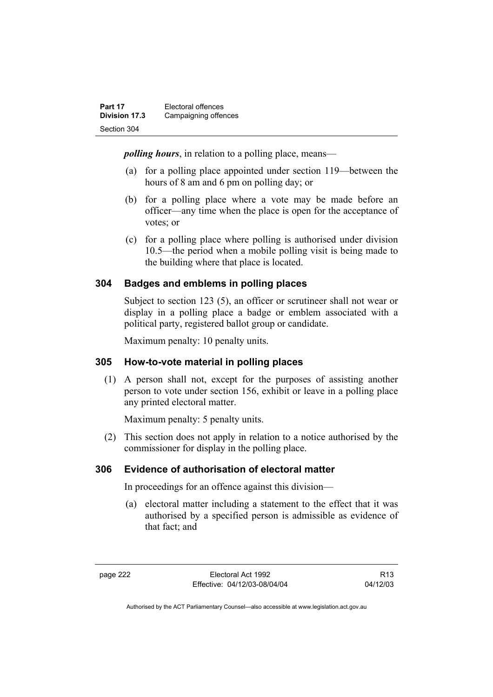| Part 17       | Electoral offences   |
|---------------|----------------------|
| Division 17.3 | Campaigning offences |
| Section 304   |                      |

*polling hours*, in relation to a polling place, means—

- (a) for a polling place appointed under section 119—between the hours of 8 am and 6 pm on polling day; or
- (b) for a polling place where a vote may be made before an officer—any time when the place is open for the acceptance of votes; or
- (c) for a polling place where polling is authorised under division 10.5—the period when a mobile polling visit is being made to the building where that place is located.

## **304 Badges and emblems in polling places**

Subject to section 123 (5), an officer or scrutineer shall not wear or display in a polling place a badge or emblem associated with a political party, registered ballot group or candidate.

Maximum penalty: 10 penalty units.

## **305 How-to-vote material in polling places**

 (1) A person shall not, except for the purposes of assisting another person to vote under section 156, exhibit or leave in a polling place any printed electoral matter.

Maximum penalty: 5 penalty units.

 (2) This section does not apply in relation to a notice authorised by the commissioner for display in the polling place.

## **306 Evidence of authorisation of electoral matter**

In proceedings for an offence against this division—

 (a) electoral matter including a statement to the effect that it was authorised by a specified person is admissible as evidence of that fact; and

R13 04/12/03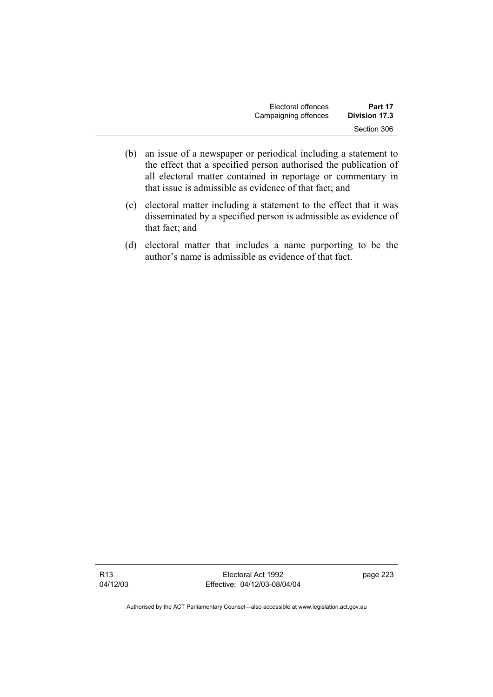| Electoral offences   | Part 17       |
|----------------------|---------------|
| Campaigning offences | Division 17.3 |
|                      | Section 306   |

- (b) an issue of a newspaper or periodical including a statement to the effect that a specified person authorised the publication of all electoral matter contained in reportage or commentary in that issue is admissible as evidence of that fact; and
- (c) electoral matter including a statement to the effect that it was disseminated by a specified person is admissible as evidence of that fact; and
- (d) electoral matter that includes a name purporting to be the author's name is admissible as evidence of that fact.

R13 04/12/03

Electoral Act 1992 Effective: 04/12/03-08/04/04 page 223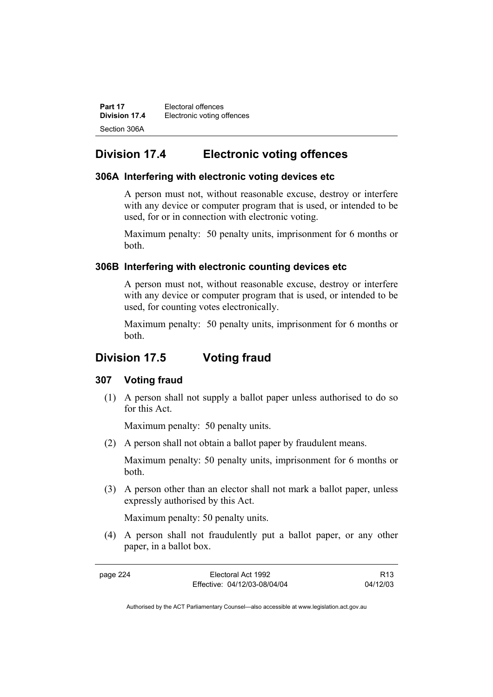| Part 17       | Electoral offences         |
|---------------|----------------------------|
| Division 17.4 | Electronic voting offences |
| Section 306A  |                            |

## **Division 17.4 Electronic voting offences**

## **306A Interfering with electronic voting devices etc**

A person must not, without reasonable excuse, destroy or interfere with any device or computer program that is used, or intended to be used, for or in connection with electronic voting.

Maximum penalty: 50 penalty units, imprisonment for 6 months or both.

## **306B Interfering with electronic counting devices etc**

A person must not, without reasonable excuse, destroy or interfere with any device or computer program that is used, or intended to be used, for counting votes electronically.

Maximum penalty: 50 penalty units, imprisonment for 6 months or both.

## **Division 17.5 Voting fraud**

#### **307 Voting fraud**

 (1) A person shall not supply a ballot paper unless authorised to do so for this Act.

Maximum penalty: 50 penalty units.

(2) A person shall not obtain a ballot paper by fraudulent means.

Maximum penalty: 50 penalty units, imprisonment for 6 months or both.

 (3) A person other than an elector shall not mark a ballot paper, unless expressly authorised by this Act.

Maximum penalty: 50 penalty units.

 (4) A person shall not fraudulently put a ballot paper, or any other paper, in a ballot box.

| page 224 | Electoral Act 1992           | R <sub>13</sub> |
|----------|------------------------------|-----------------|
|          | Effective: 04/12/03-08/04/04 | 04/12/03        |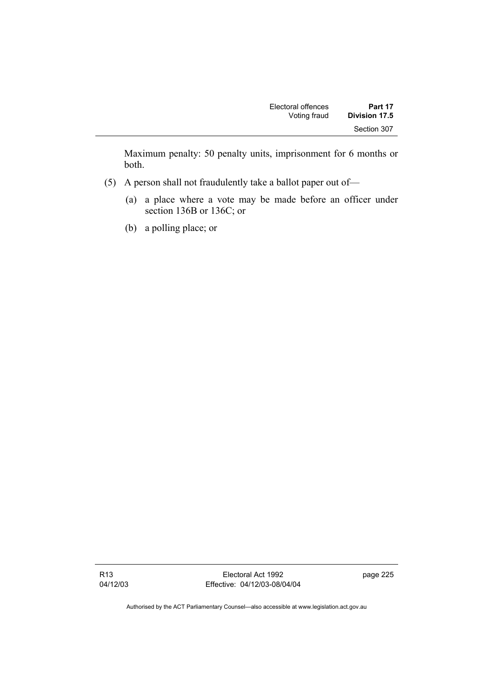| Electoral offences | Part 17       |
|--------------------|---------------|
| Voting fraud       | Division 17.5 |
|                    | Section 307   |

Maximum penalty: 50 penalty units, imprisonment for 6 months or both.

- (5) A person shall not fraudulently take a ballot paper out of—
	- (a) a place where a vote may be made before an officer under section 136B or 136C; or
	- (b) a polling place; or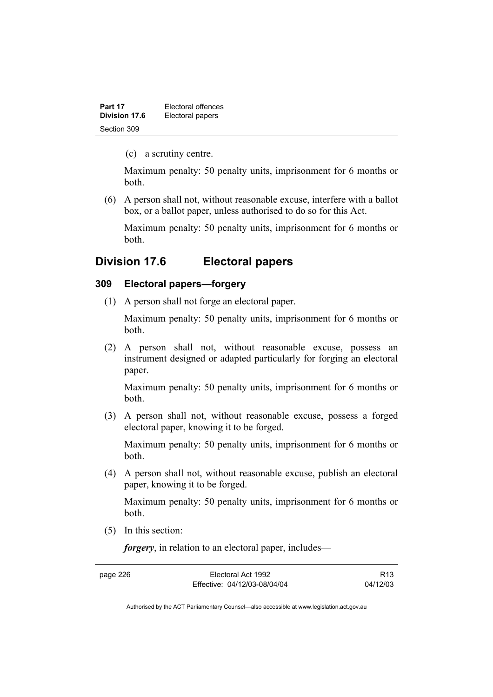| Part 17       | Electoral offences |
|---------------|--------------------|
| Division 17.6 | Electoral papers   |
| Section 309   |                    |

(c) a scrutiny centre.

Maximum penalty: 50 penalty units, imprisonment for 6 months or both.

 (6) A person shall not, without reasonable excuse, interfere with a ballot box, or a ballot paper, unless authorised to do so for this Act.

Maximum penalty: 50 penalty units, imprisonment for 6 months or both.

## **Division 17.6 Electoral papers**

#### **309 Electoral papers—forgery**

(1) A person shall not forge an electoral paper.

Maximum penalty: 50 penalty units, imprisonment for 6 months or both.

 (2) A person shall not, without reasonable excuse, possess an instrument designed or adapted particularly for forging an electoral paper.

Maximum penalty: 50 penalty units, imprisonment for 6 months or both.

 (3) A person shall not, without reasonable excuse, possess a forged electoral paper, knowing it to be forged.

Maximum penalty: 50 penalty units, imprisonment for 6 months or both.

 (4) A person shall not, without reasonable excuse, publish an electoral paper, knowing it to be forged.

Maximum penalty: 50 penalty units, imprisonment for 6 months or both.

(5) In this section:

*forgery*, in relation to an electoral paper, includes—

page 226 Electoral Act 1992 Effective: 04/12/03-08/04/04

R13 04/12/03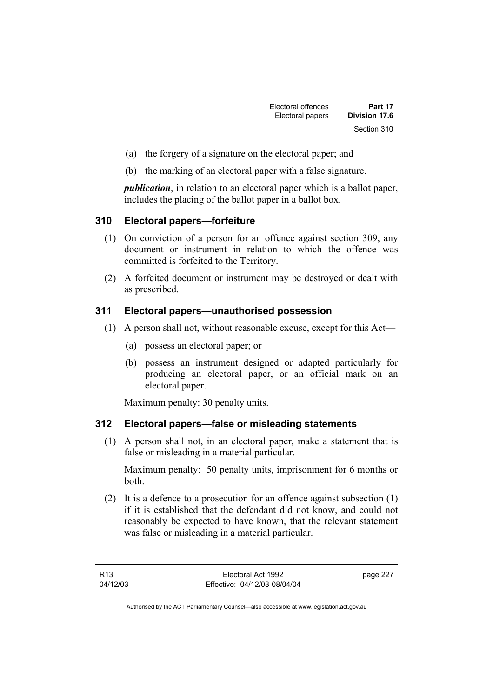| Electoral offences | Part 17       |
|--------------------|---------------|
| Electoral papers   | Division 17.6 |
|                    | Section 310   |

- (a) the forgery of a signature on the electoral paper; and
- (b) the marking of an electoral paper with a false signature.

*publication*, in relation to an electoral paper which is a ballot paper, includes the placing of the ballot paper in a ballot box.

## **310 Electoral papers—forfeiture**

- (1) On conviction of a person for an offence against section 309, any document or instrument in relation to which the offence was committed is forfeited to the Territory.
- (2) A forfeited document or instrument may be destroyed or dealt with as prescribed.

#### **311 Electoral papers—unauthorised possession**

- (1) A person shall not, without reasonable excuse, except for this Act—
	- (a) possess an electoral paper; or
	- (b) possess an instrument designed or adapted particularly for producing an electoral paper, or an official mark on an electoral paper.

Maximum penalty: 30 penalty units.

## **312 Electoral papers—false or misleading statements**

 (1) A person shall not, in an electoral paper, make a statement that is false or misleading in a material particular.

Maximum penalty: 50 penalty units, imprisonment for 6 months or both.

 (2) It is a defence to a prosecution for an offence against subsection (1) if it is established that the defendant did not know, and could not reasonably be expected to have known, that the relevant statement was false or misleading in a material particular.

page 227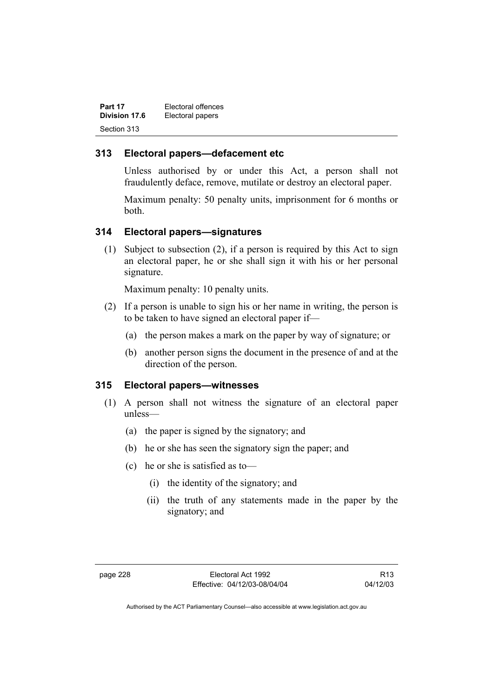| Part 17       | Electoral offences |
|---------------|--------------------|
| Division 17.6 | Electoral papers   |
| Section 313   |                    |

## **313 Electoral papers—defacement etc**

Unless authorised by or under this Act, a person shall not fraudulently deface, remove, mutilate or destroy an electoral paper.

Maximum penalty: 50 penalty units, imprisonment for 6 months or both.

#### **314 Electoral papers—signatures**

 (1) Subject to subsection (2), if a person is required by this Act to sign an electoral paper, he or she shall sign it with his or her personal signature.

Maximum penalty: 10 penalty units.

- (2) If a person is unable to sign his or her name in writing, the person is to be taken to have signed an electoral paper if—
	- (a) the person makes a mark on the paper by way of signature; or
	- (b) another person signs the document in the presence of and at the direction of the person.

## **315 Electoral papers—witnesses**

- (1) A person shall not witness the signature of an electoral paper unless—
	- (a) the paper is signed by the signatory; and
	- (b) he or she has seen the signatory sign the paper; and
	- (c) he or she is satisfied as to—
		- (i) the identity of the signatory; and
		- (ii) the truth of any statements made in the paper by the signatory; and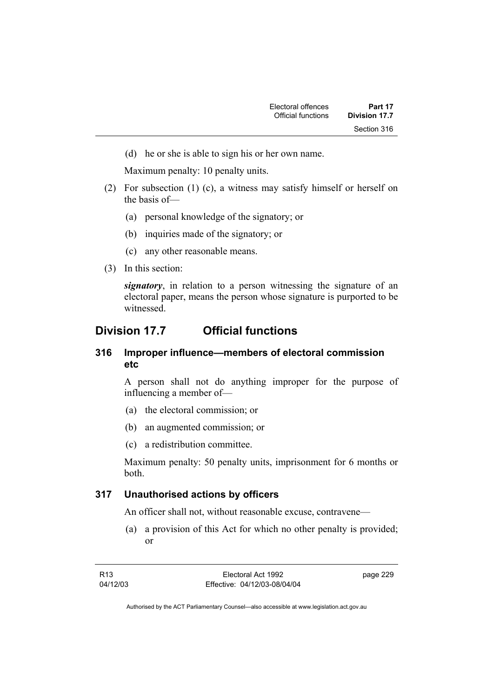(d) he or she is able to sign his or her own name.

Maximum penalty: 10 penalty units.

- (2) For subsection (1) (c), a witness may satisfy himself or herself on the basis of—
	- (a) personal knowledge of the signatory; or
	- (b) inquiries made of the signatory; or
	- (c) any other reasonable means.
- (3) In this section:

*signatory*, in relation to a person witnessing the signature of an electoral paper, means the person whose signature is purported to be witnessed.

## **Division 17.7 Official functions**

## **316 Improper influence—members of electoral commission etc**

A person shall not do anything improper for the purpose of influencing a member of—

- (a) the electoral commission; or
- (b) an augmented commission; or
- (c) a redistribution committee.

Maximum penalty: 50 penalty units, imprisonment for 6 months or both.

## **317 Unauthorised actions by officers**

An officer shall not, without reasonable excuse, contravene—

 (a) a provision of this Act for which no other penalty is provided; or

page 229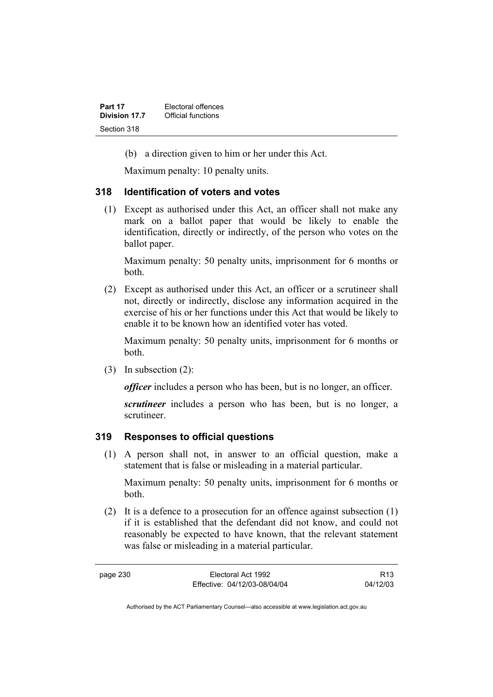| Part 17       | Electoral offences |
|---------------|--------------------|
| Division 17.7 | Official functions |
| Section 318   |                    |

(b) a direction given to him or her under this Act.

Maximum penalty: 10 penalty units.

#### **318 Identification of voters and votes**

 (1) Except as authorised under this Act, an officer shall not make any mark on a ballot paper that would be likely to enable the identification, directly or indirectly, of the person who votes on the ballot paper.

Maximum penalty: 50 penalty units, imprisonment for 6 months or both.

 (2) Except as authorised under this Act, an officer or a scrutineer shall not, directly or indirectly, disclose any information acquired in the exercise of his or her functions under this Act that would be likely to enable it to be known how an identified voter has voted.

Maximum penalty: 50 penalty units, imprisonment for 6 months or both.

(3) In subsection (2):

*officer* includes a person who has been, but is no longer, an officer.

*scrutineer* includes a person who has been, but is no longer, a scrutineer.

#### **319 Responses to official questions**

 (1) A person shall not, in answer to an official question, make a statement that is false or misleading in a material particular.

Maximum penalty: 50 penalty units, imprisonment for 6 months or both.

 (2) It is a defence to a prosecution for an offence against subsection (1) if it is established that the defendant did not know, and could not reasonably be expected to have known, that the relevant statement was false or misleading in a material particular.

R13 04/12/03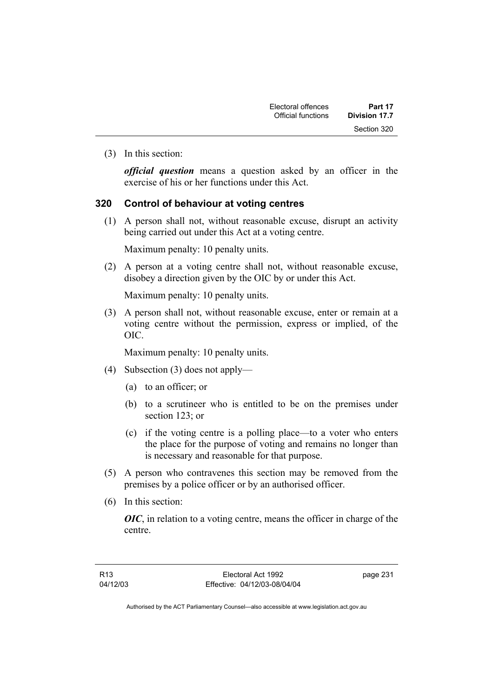| Electoral offences | Part 17       |
|--------------------|---------------|
| Official functions | Division 17.7 |
|                    | Section 320   |

(3) In this section:

*official question* means a question asked by an officer in the exercise of his or her functions under this Act.

#### **320 Control of behaviour at voting centres**

 (1) A person shall not, without reasonable excuse, disrupt an activity being carried out under this Act at a voting centre.

Maximum penalty: 10 penalty units.

 (2) A person at a voting centre shall not, without reasonable excuse, disobey a direction given by the OIC by or under this Act.

Maximum penalty: 10 penalty units.

 (3) A person shall not, without reasonable excuse, enter or remain at a voting centre without the permission, express or implied, of the OIC.

Maximum penalty: 10 penalty units.

- (4) Subsection (3) does not apply—
	- (a) to an officer; or
	- (b) to a scrutineer who is entitled to be on the premises under section 123; or
	- (c) if the voting centre is a polling place—to a voter who enters the place for the purpose of voting and remains no longer than is necessary and reasonable for that purpose.
- (5) A person who contravenes this section may be removed from the premises by a police officer or by an authorised officer.
- (6) In this section:

*OIC*, in relation to a voting centre, means the officer in charge of the centre.

page 231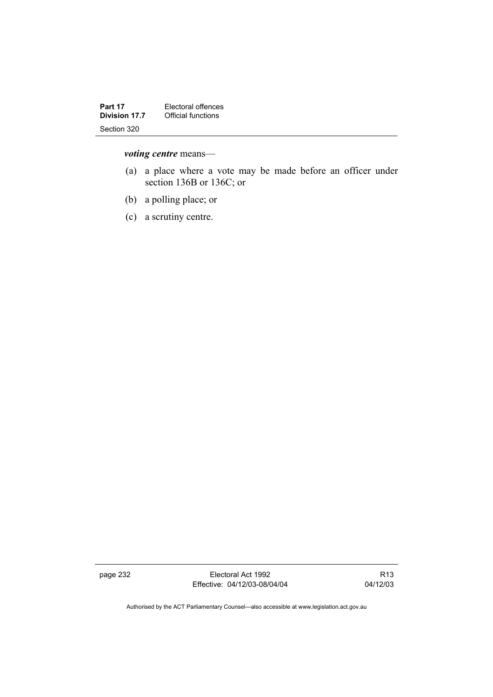| Part 17              | Electoral offences |
|----------------------|--------------------|
| <b>Division 17.7</b> | Official functions |
| Section 320          |                    |

## *voting centre* means—

- (a) a place where a vote may be made before an officer under section 136B or 136C; or
- (b) a polling place; or
- (c) a scrutiny centre.

page 232 Electoral Act 1992 Effective: 04/12/03-08/04/04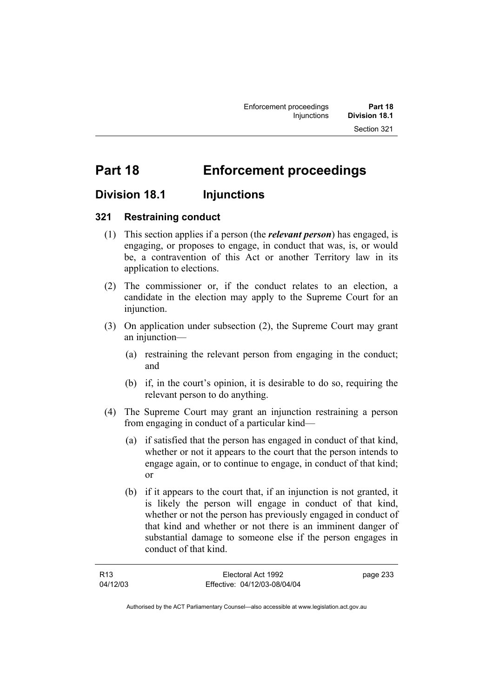# **Part 18 Enforcement proceedings**

## **Division 18.1 Injunctions**

## **321 Restraining conduct**

- (1) This section applies if a person (the *relevant person*) has engaged, is engaging, or proposes to engage, in conduct that was, is, or would be, a contravention of this Act or another Territory law in its application to elections.
- (2) The commissioner or, if the conduct relates to an election, a candidate in the election may apply to the Supreme Court for an injunction.
- (3) On application under subsection (2), the Supreme Court may grant an injunction—
	- (a) restraining the relevant person from engaging in the conduct; and
	- (b) if, in the court's opinion, it is desirable to do so, requiring the relevant person to do anything.
- (4) The Supreme Court may grant an injunction restraining a person from engaging in conduct of a particular kind—
	- (a) if satisfied that the person has engaged in conduct of that kind, whether or not it appears to the court that the person intends to engage again, or to continue to engage, in conduct of that kind; or
	- (b) if it appears to the court that, if an injunction is not granted, it is likely the person will engage in conduct of that kind, whether or not the person has previously engaged in conduct of that kind and whether or not there is an imminent danger of substantial damage to someone else if the person engages in conduct of that kind.

| R <sub>13</sub> | Electoral Act 1992           | page 233 |
|-----------------|------------------------------|----------|
| 04/12/03        | Effective: 04/12/03-08/04/04 |          |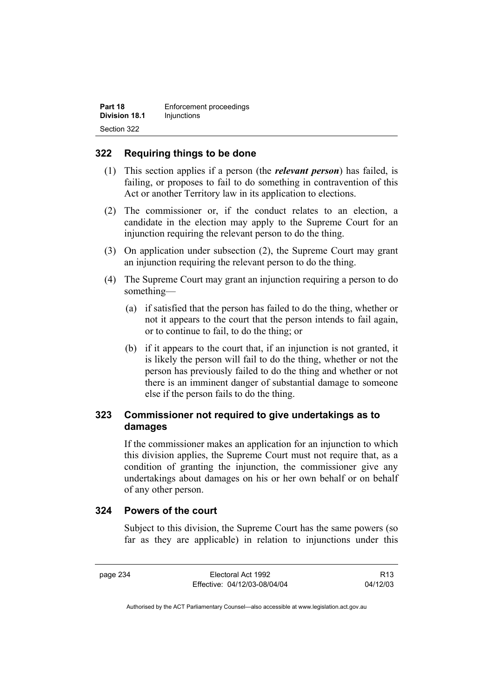| Part 18              | Enforcement proceedings |
|----------------------|-------------------------|
| <b>Division 18.1</b> | Injunctions             |
| Section 322          |                         |

## **322 Requiring things to be done**

- (1) This section applies if a person (the *relevant person*) has failed, is failing, or proposes to fail to do something in contravention of this Act or another Territory law in its application to elections.
- (2) The commissioner or, if the conduct relates to an election, a candidate in the election may apply to the Supreme Court for an injunction requiring the relevant person to do the thing.
- (3) On application under subsection (2), the Supreme Court may grant an injunction requiring the relevant person to do the thing.
- (4) The Supreme Court may grant an injunction requiring a person to do something—
	- (a) if satisfied that the person has failed to do the thing, whether or not it appears to the court that the person intends to fail again, or to continue to fail, to do the thing; or
	- (b) if it appears to the court that, if an injunction is not granted, it is likely the person will fail to do the thing, whether or not the person has previously failed to do the thing and whether or not there is an imminent danger of substantial damage to someone else if the person fails to do the thing.

## **323 Commissioner not required to give undertakings as to damages**

If the commissioner makes an application for an injunction to which this division applies, the Supreme Court must not require that, as a condition of granting the injunction, the commissioner give any undertakings about damages on his or her own behalf or on behalf of any other person.

## **324 Powers of the court**

Subject to this division, the Supreme Court has the same powers (so far as they are applicable) in relation to injunctions under this

R13 04/12/03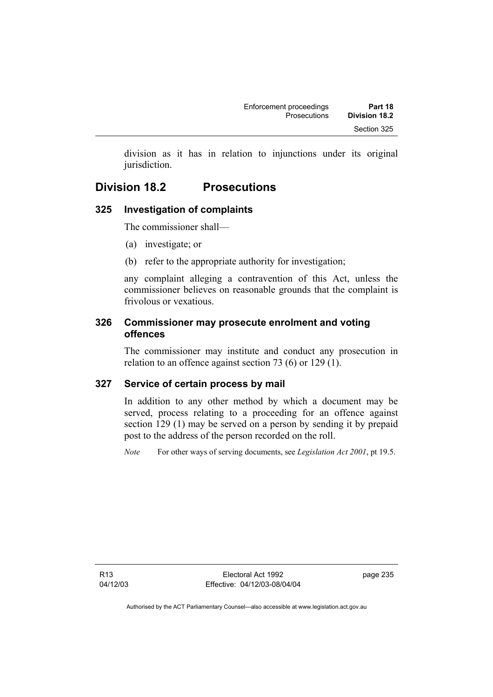division as it has in relation to injunctions under its original jurisdiction.

# **Division 18.2 Prosecutions**

# **325 Investigation of complaints**

The commissioner shall—

- (a) investigate; or
- (b) refer to the appropriate authority for investigation;

any complaint alleging a contravention of this Act, unless the commissioner believes on reasonable grounds that the complaint is frivolous or vexatious.

# **326 Commissioner may prosecute enrolment and voting offences**

The commissioner may institute and conduct any prosecution in relation to an offence against section 73 (6) or 129 (1).

# **327 Service of certain process by mail**

In addition to any other method by which a document may be served, process relating to a proceeding for an offence against section 129 (1) may be served on a person by sending it by prepaid post to the address of the person recorded on the roll.

*Note* For other ways of serving documents, see *Legislation Act 2001*, pt 19.5.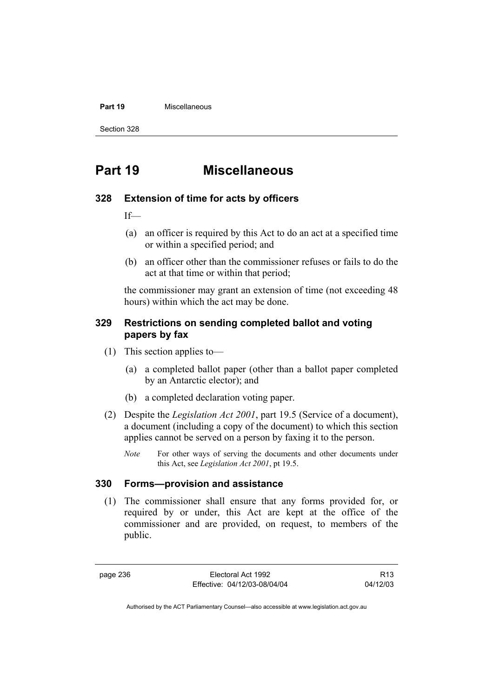#### **Part 19** Miscellaneous

Section 328

# **Part 19 Miscellaneous**

# **328 Extension of time for acts by officers**

 $If$ 

- (a) an officer is required by this Act to do an act at a specified time or within a specified period; and
- (b) an officer other than the commissioner refuses or fails to do the act at that time or within that period;

the commissioner may grant an extension of time (not exceeding 48 hours) within which the act may be done.

# **329 Restrictions on sending completed ballot and voting papers by fax**

- (1) This section applies to—
	- (a) a completed ballot paper (other than a ballot paper completed by an Antarctic elector); and
	- (b) a completed declaration voting paper.
- (2) Despite the *Legislation Act 2001*, part 19.5 (Service of a document), a document (including a copy of the document) to which this section applies cannot be served on a person by faxing it to the person.
	- *Note* For other ways of serving the documents and other documents under this Act, see *Legislation Act 2001*, pt 19.5.

# **330 Forms—provision and assistance**

 (1) The commissioner shall ensure that any forms provided for, or required by or under, this Act are kept at the office of the commissioner and are provided, on request, to members of the public.

page 236 Electoral Act 1992 Effective: 04/12/03-08/04/04

R13 04/12/03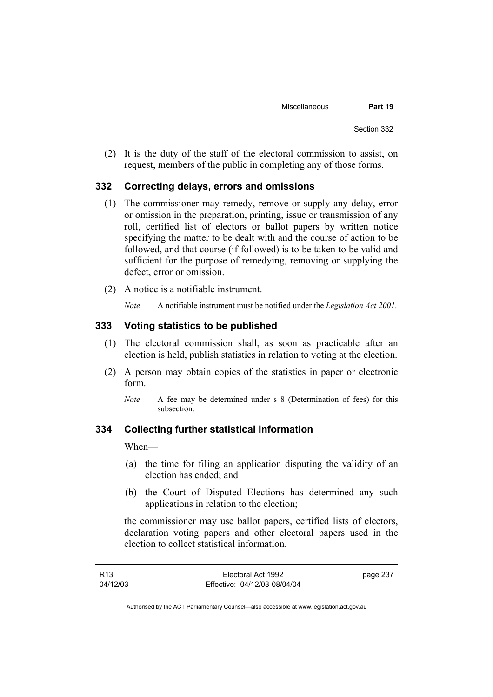(2) It is the duty of the staff of the electoral commission to assist, on request, members of the public in completing any of those forms.

# **332 Correcting delays, errors and omissions**

- (1) The commissioner may remedy, remove or supply any delay, error or omission in the preparation, printing, issue or transmission of any roll, certified list of electors or ballot papers by written notice specifying the matter to be dealt with and the course of action to be followed, and that course (if followed) is to be taken to be valid and sufficient for the purpose of remedying, removing or supplying the defect, error or omission.
- (2) A notice is a notifiable instrument.
	- *Note* A notifiable instrument must be notified under the *Legislation Act 2001*.

# **333 Voting statistics to be published**

- (1) The electoral commission shall, as soon as practicable after an election is held, publish statistics in relation to voting at the election.
- (2) A person may obtain copies of the statistics in paper or electronic form.
	- *Note* A fee may be determined under s 8 (Determination of fees) for this subsection.

# **334 Collecting further statistical information**

When—

- (a) the time for filing an application disputing the validity of an election has ended; and
- (b) the Court of Disputed Elections has determined any such applications in relation to the election;

the commissioner may use ballot papers, certified lists of electors, declaration voting papers and other electoral papers used in the election to collect statistical information.

| R <sub>13</sub> | Electoral Act 1992           | page 237 |
|-----------------|------------------------------|----------|
| 04/12/03        | Effective: 04/12/03-08/04/04 |          |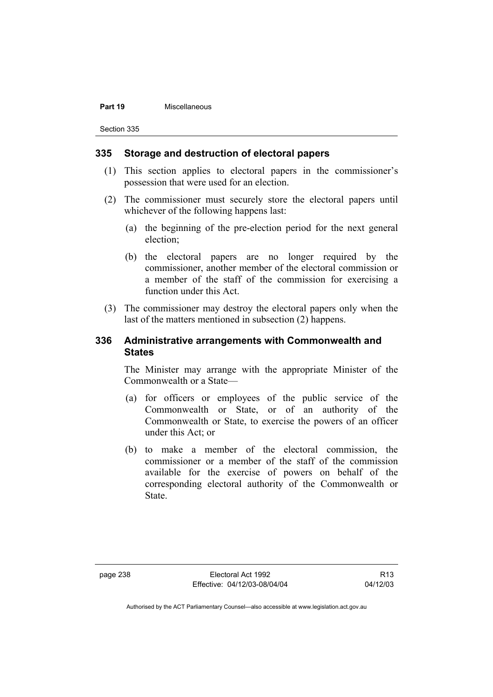#### **Part 19** Miscellaneous

Section 335

#### **335 Storage and destruction of electoral papers**

- (1) This section applies to electoral papers in the commissioner's possession that were used for an election.
- (2) The commissioner must securely store the electoral papers until whichever of the following happens last:
	- (a) the beginning of the pre-election period for the next general election;
	- (b) the electoral papers are no longer required by the commissioner, another member of the electoral commission or a member of the staff of the commission for exercising a function under this Act.
- (3) The commissioner may destroy the electoral papers only when the last of the matters mentioned in subsection (2) happens.

# **336 Administrative arrangements with Commonwealth and States**

The Minister may arrange with the appropriate Minister of the Commonwealth or a State—

- (a) for officers or employees of the public service of the Commonwealth or State, or of an authority of the Commonwealth or State, to exercise the powers of an officer under this Act; or
- (b) to make a member of the electoral commission, the commissioner or a member of the staff of the commission available for the exercise of powers on behalf of the corresponding electoral authority of the Commonwealth or State.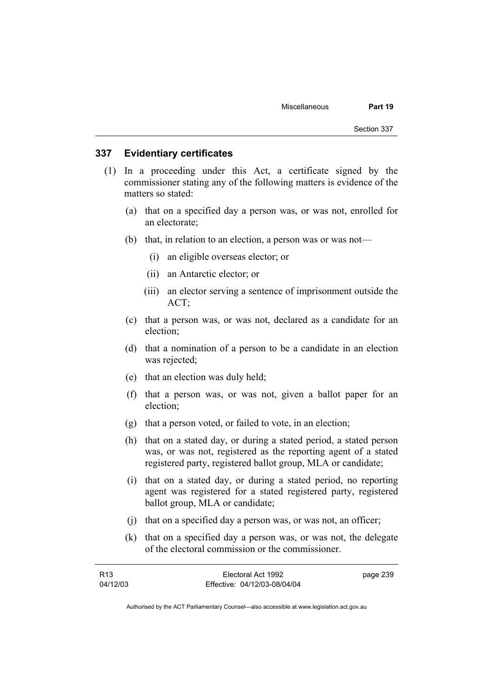#### **337 Evidentiary certificates**

- (1) In a proceeding under this Act, a certificate signed by the commissioner stating any of the following matters is evidence of the matters so stated:
	- (a) that on a specified day a person was, or was not, enrolled for an electorate;
	- (b) that, in relation to an election, a person was or was not—
		- (i) an eligible overseas elector; or
		- (ii) an Antarctic elector; or
		- (iii) an elector serving a sentence of imprisonment outside the ACT;
	- (c) that a person was, or was not, declared as a candidate for an election;
	- (d) that a nomination of a person to be a candidate in an election was rejected;
	- (e) that an election was duly held;
	- (f) that a person was, or was not, given a ballot paper for an election;
	- (g) that a person voted, or failed to vote, in an election;
	- (h) that on a stated day, or during a stated period, a stated person was, or was not, registered as the reporting agent of a stated registered party, registered ballot group, MLA or candidate;
	- (i) that on a stated day, or during a stated period, no reporting agent was registered for a stated registered party, registered ballot group, MLA or candidate;
	- (j) that on a specified day a person was, or was not, an officer;
	- (k) that on a specified day a person was, or was not, the delegate of the electoral commission or the commissioner.

| R13      | Electoral Act 1992           | page 239 |
|----------|------------------------------|----------|
| 04/12/03 | Effective: 04/12/03-08/04/04 |          |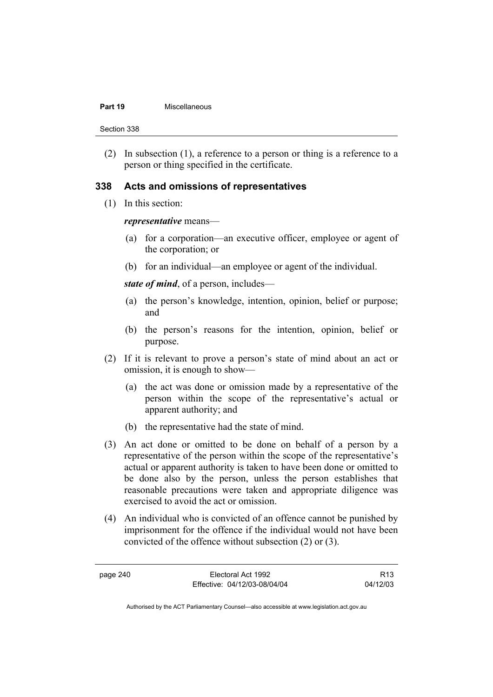#### **Part 19** Miscellaneous

Section 338

 (2) In subsection (1), a reference to a person or thing is a reference to a person or thing specified in the certificate.

# **338 Acts and omissions of representatives**

(1) In this section:

#### *representative* means—

- (a) for a corporation—an executive officer, employee or agent of the corporation; or
- (b) for an individual—an employee or agent of the individual.

*state of mind*, of a person, includes—

- (a) the person's knowledge, intention, opinion, belief or purpose; and
- (b) the person's reasons for the intention, opinion, belief or purpose.
- (2) If it is relevant to prove a person's state of mind about an act or omission, it is enough to show—
	- (a) the act was done or omission made by a representative of the person within the scope of the representative's actual or apparent authority; and
	- (b) the representative had the state of mind.
- (3) An act done or omitted to be done on behalf of a person by a representative of the person within the scope of the representative's actual or apparent authority is taken to have been done or omitted to be done also by the person, unless the person establishes that reasonable precautions were taken and appropriate diligence was exercised to avoid the act or omission.
- (4) An individual who is convicted of an offence cannot be punished by imprisonment for the offence if the individual would not have been convicted of the offence without subsection (2) or (3).

page 240 Electoral Act 1992 Effective: 04/12/03-08/04/04

R13 04/12/03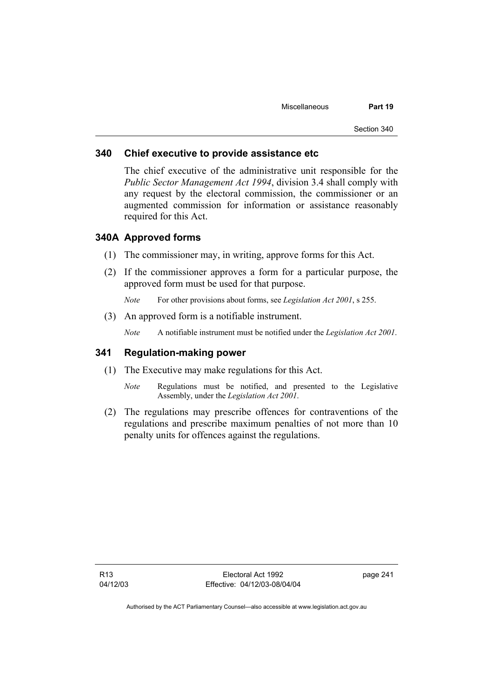## **340 Chief executive to provide assistance etc**

The chief executive of the administrative unit responsible for the *Public Sector Management Act 1994*, division 3.4 shall comply with any request by the electoral commission, the commissioner or an augmented commission for information or assistance reasonably required for this Act.

### **340A Approved forms**

- (1) The commissioner may, in writing, approve forms for this Act.
- (2) If the commissioner approves a form for a particular purpose, the approved form must be used for that purpose.

*Note* For other provisions about forms, see *Legislation Act 2001*, s 255.

(3) An approved form is a notifiable instrument.

*Note* A notifiable instrument must be notified under the *Legislation Act 2001*.

### **341 Regulation-making power**

- (1) The Executive may make regulations for this Act.
	- *Note* Regulations must be notified, and presented to the Legislative Assembly, under the *Legislation Act 2001*.
- (2) The regulations may prescribe offences for contraventions of the regulations and prescribe maximum penalties of not more than 10 penalty units for offences against the regulations.

page 241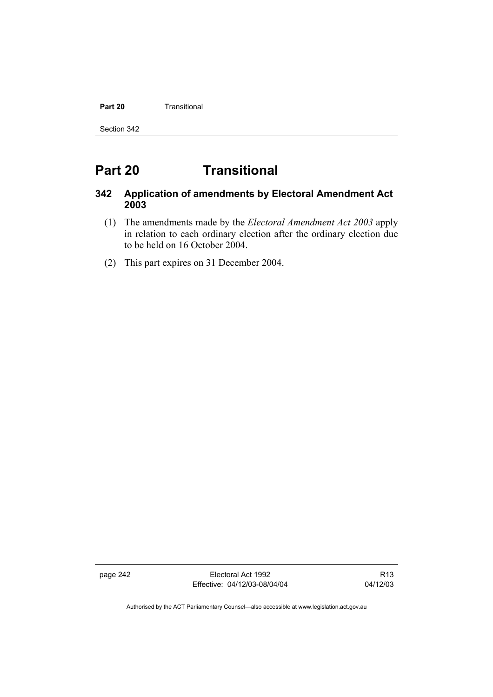#### **Part 20 Transitional**

Section 342

# **Part 20 Transitional**

# **342 Application of amendments by Electoral Amendment Act 2003**

- (1) The amendments made by the *Electoral Amendment Act 2003* apply in relation to each ordinary election after the ordinary election due to be held on 16 October 2004.
- (2) This part expires on 31 December 2004.

page 242 Electoral Act 1992 Effective: 04/12/03-08/04/04

R13 04/12/03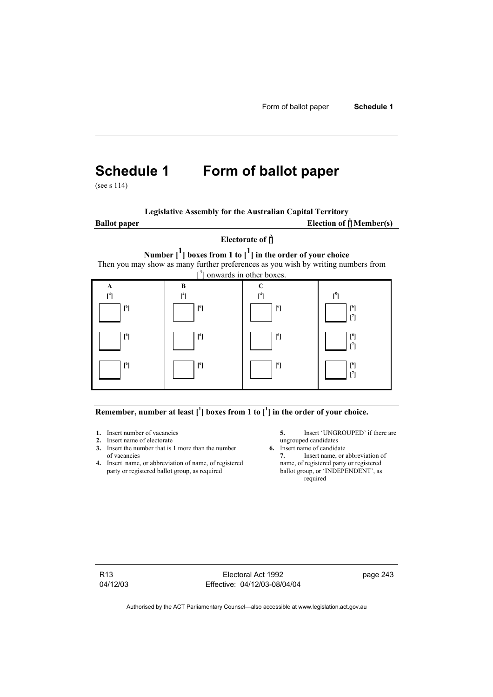# **Schedule 1 Form of ballot paper**

(see s 114)

**Legislative Assembly for the Australian Capital Territory**

**Ballot** paper

Election of  $\mathbf{f}$ <sup>1</sup> Member(s)

# **Electorate of [ 2 ]**

**Number [1] boxes from 1 to [1] in the order of your choice** 

Then you may show as many further preferences as you wish by writing numbers from



#### Remember, number at least  $\begin{bmatrix} 1 \end{bmatrix}$  boxes from 1 to  $\begin{bmatrix} 1 \end{bmatrix}$  in the order of your choice.

- 
- **2.** Insert name of electorate ungrouped candidates<br> **3.** Insert the number that is 1 more than the number **6.** Insert name of candidate **3.** Insert the number that is 1 more than the number of vacancies **7.** Insert name, or abbreviation of
- **4.** Insert name, or abbreviation of name, of registered name, of registered party or registered ballot group, as required ballot group, or 'INDEPENDENT', as party or registered ballot group, as required

**1.** Insert number of vacancies **5.** Insert 'UNGROUPED' if there are **2.** Insert name of electorate **1.** Insert name of electorate

required

R13 04/12/03

Electoral Act 1992 Effective: 04/12/03-08/04/04 page 243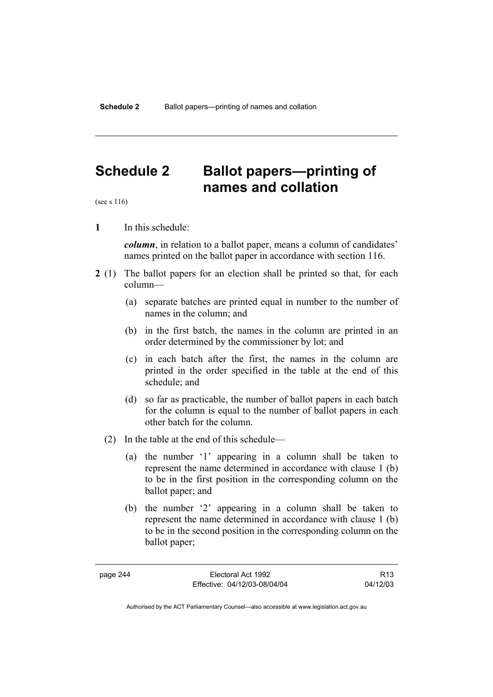# **Schedule 2 Ballot papers—printing of names and collation**

(see s 116)

**1** In this schedule:

*column*, in relation to a ballot paper, means a column of candidates' names printed on the ballot paper in accordance with section 116.

- **2** (1) The ballot papers for an election shall be printed so that, for each column—
	- (a) separate batches are printed equal in number to the number of names in the column; and
	- (b) in the first batch, the names in the column are printed in an order determined by the commissioner by lot; and
	- (c) in each batch after the first, the names in the column are printed in the order specified in the table at the end of this schedule; and
	- (d) so far as practicable, the number of ballot papers in each batch for the column is equal to the number of ballot papers in each other batch for the column.
	- (2) In the table at the end of this schedule—
		- (a) the number '1' appearing in a column shall be taken to represent the name determined in accordance with clause 1 (b) to be in the first position in the corresponding column on the ballot paper; and
		- (b) the number '2' appearing in a column shall be taken to represent the name determined in accordance with clause 1 (b) to be in the second position in the corresponding column on the ballot paper;

R13 04/12/03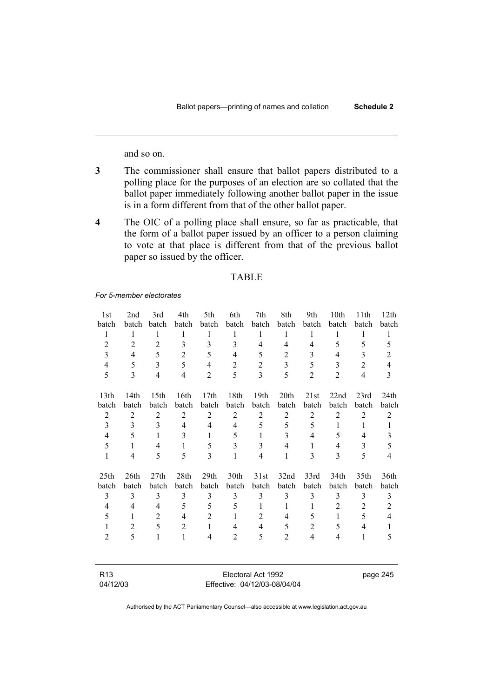and so on.

- **3** The commissioner shall ensure that ballot papers distributed to a polling place for the purposes of an election are so collated that the ballot paper immediately following another ballot paper in the issue is in a form different from that of the other ballot paper.
- **4** The OIC of a polling place shall ensure, so far as practicable, that the form of a ballot paper issued by an officer to a person claiming to vote at that place is different from that of the previous ballot paper so issued by the officer.

#### TABLE

#### *For 5-member electorates*

| 1st              | 2nd              | 3rd              | 4th            | 5th              | 6th            | 7th                     | 8th            | 9th            | 10th           | 11th           | 12th           |
|------------------|------------------|------------------|----------------|------------------|----------------|-------------------------|----------------|----------------|----------------|----------------|----------------|
| batch            | batch            | batch            | batch          | batch            | batch          | batch                   | batch          | batch          | batch          | batch          | batch          |
| $\mathbf{1}$     | 1                | 1                | 1              | 1                | 1              | 1                       | $\mathbf{1}$   | 1              | 1              | 1              | $\mathbf{1}$   |
| $\overline{2}$   | $\overline{2}$   | $\overline{2}$   | 3              | 3                | 3              | 4                       | 4              | $\overline{4}$ | 5              | 5              | 5              |
| 3                | 4                | 5                | $\overline{2}$ | 5                | 4              | 5                       | $\overline{c}$ | 3              | 4              | 3              | $\overline{2}$ |
| 4                | 5                | 3                | 5              | $\overline{4}$   | $\overline{2}$ | $\overline{2}$          | 3              | 5              | 3              | $\overline{2}$ | 4              |
| 5                | 3                | 4                | 4              | $\overline{2}$   | 5              | $\overline{\mathbf{3}}$ | 5              | $\overline{2}$ | $\overline{2}$ | $\overline{4}$ | 3              |
|                  |                  |                  |                |                  |                |                         |                |                |                |                |                |
| 13th             | 14 <sub>th</sub> | 15 <sup>th</sup> | 16th           | 17 <sub>th</sub> | 18th           | 19 <sub>th</sub>        | 20th           | 21st           | 22nd           | 23rd           | 24th           |
| batch            | batch            | batch            | batch          | batch            | batch          | batch                   | batch          | batch          | batch          | batch          | batch          |
| $\overline{2}$   | $\overline{2}$   | $\overline{2}$   | $\overline{2}$ | $\overline{2}$   | $\overline{2}$ | $\overline{2}$          | $\overline{2}$ | $\overline{2}$ | $\overline{2}$ | $\overline{2}$ | $\mathfrak{2}$ |
| 3                | 3                | 3                | $\overline{4}$ | $\overline{4}$   | 4              | 5                       | 5              | 5              | 1              | 1              | 1              |
| $\overline{4}$   | 5                | 1                | 3              | 1                | 5              | 1                       | 3              | 4              | 5              | 4              | 3              |
| 5                | 1                | 4                | $\mathbf{1}$   | 5                | 3              | 3                       | 4              | 1              | 4              | 3              | 5              |
| 1                | 4                | 5                | 5              | 3                | 1              | $\overline{4}$          | 1              | 3              | $\mathcal{E}$  | 5              | 4              |
| 25 <sub>th</sub> | 26th             | 27th             | 28th           | 29th             | 30th           | 31st                    | 32nd           | 33rd           | 34th           | 35th           | 36th           |
| batch            | batch            | batch            | batch          | batch            | batch          | batch                   | batch          | batch          | batch          | batch          | batch          |
| 3                | 3                | 3                | 3              | 3                | 3              | 3                       | 3              | 3              | 3              | 3              | 3              |
| 4                | 4                | 4                | 5              | 5                | 5              | 1                       | 1              | 1              | $\overline{2}$ | 2              | $\overline{2}$ |
| 5                | 1                | $\overline{2}$   | $\overline{4}$ | $\overline{2}$   | 1              | 2                       | 4              | 5              | 1              | 5              | $\overline{4}$ |
|                  | 2                | 5                | $\overline{2}$ | $\mathbf{1}$     | 4              | $\overline{4}$          | 5              | $\overline{2}$ | 5              | 4              | 1              |
| $\overline{2}$   | 5                | 1                | $\mathbf{1}$   | 4                | 2              | 5                       | $\overline{2}$ | $\overline{4}$ | $\overline{4}$ | 1              | 5              |
|                  |                  |                  |                |                  |                |                         |                |                |                |                |                |
|                  |                  |                  |                |                  |                |                         |                |                |                |                |                |

| R13      | Electoral Act 1992           |
|----------|------------------------------|
| 04/12/03 | Effective: 04/12/03-08/04/04 |

page 245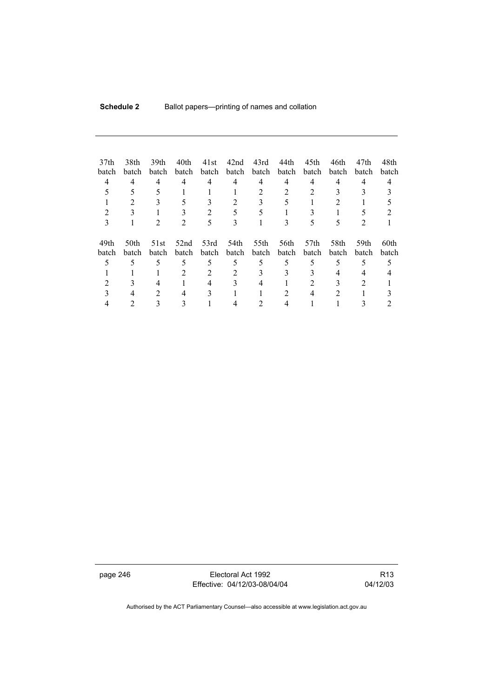| 37 <sub>th</sub><br>batch<br>4 | 38th<br>batch<br>4<br>2 | 39th<br>batch<br>4<br>3 | 40th<br>batch<br>4<br>5 | 41st<br>batch<br>4 | 42nd<br>batch<br>4 | 43rd<br>batch<br>4<br>3 | 44th<br>batch<br>4<br>5 | 45th<br>batch<br>4               | 46th<br>batch<br>4<br>2 | 47th<br>batch<br>4 | 48th<br>batch<br>4 |
|--------------------------------|-------------------------|-------------------------|-------------------------|--------------------|--------------------|-------------------------|-------------------------|----------------------------------|-------------------------|--------------------|--------------------|
|                                |                         |                         |                         | 2                  |                    |                         |                         |                                  |                         |                    |                    |
| 3                              |                         | 2                       | 2                       | 5                  | 3                  |                         | 3                       | 5                                | 5                       | 2                  |                    |
| 49th<br>batch                  | 50th<br>batch           | 51st<br>batch           | 52nd<br><b>batch</b>    | 53rd<br>batch      | 54th<br>batch      | 55th<br>batch           | 56th<br>batch           | 57 <sub>th</sub><br><b>batch</b> | 58th<br><b>batch</b>    | 59th<br>batch      | 60th<br>batch      |
| 5                              | 5                       | 5                       | 5                       | 5                  | 5                  | 5                       | 5                       | 5                                | 5                       | 5                  |                    |
|                                |                         |                         | 2                       | 2                  |                    | 3                       | 3                       |                                  | 4                       |                    |                    |
|                                |                         | 4                       |                         |                    |                    | 4                       |                         |                                  |                         |                    |                    |
|                                |                         | 2                       | 4                       |                    |                    |                         | 2                       | 4                                | 2                       |                    |                    |
|                                |                         |                         |                         |                    |                    |                         |                         |                                  |                         |                    |                    |

page 246 Electoral Act 1992 Effective: 04/12/03-08/04/04

R13 04/12/03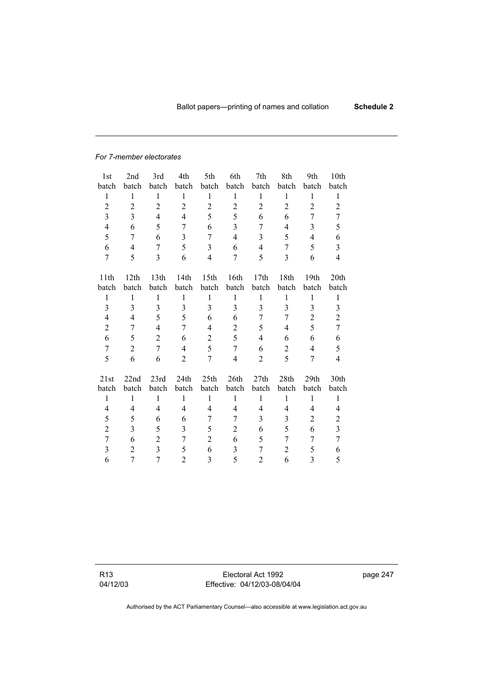#### *For 7-member electorates*

| 1st            | 2nd            | 3rd            | 4th                     | 5th              | 6th            | 7th            | 8th            | 9th            | 10th           |
|----------------|----------------|----------------|-------------------------|------------------|----------------|----------------|----------------|----------------|----------------|
| batch          | batch          | batch          | batch                   | batch            | batch          | batch          | batch          | batch          | batch          |
| 1              | $\mathbf{1}$   | $\mathbf{1}$   | $\mathbf{1}$            | $\mathbf{1}$     | 1              | $\mathbf{1}$   | $\mathbf{1}$   | $\mathbf{1}$   | 1              |
| $\overline{c}$ | $\overline{2}$ | $\overline{c}$ | $\overline{c}$          | $\overline{2}$   | $\overline{2}$ | $\overline{c}$ | $\overline{2}$ | $\overline{2}$ | $\overline{2}$ |
| 3              | 3              | $\overline{4}$ | 4                       | 5                | 5              | 6              | 6              | 7              | 7              |
| $\overline{4}$ | 6              | 5              | 7                       | 6                | $\overline{3}$ | 7              | 4              | 3              | 5              |
| 5              | 7              | 6              | $\overline{\mathbf{3}}$ | $\overline{7}$   | $\overline{4}$ | $\overline{3}$ | 5              | $\overline{4}$ | 6              |
| 6              | 4              | 7              | 5                       | 3                | 6              | $\overline{4}$ | 7              | 5              | $\overline{3}$ |
| $\overline{7}$ | 5              | 3              | 6                       | $\overline{4}$   | 7              | 5              | 3              | 6              | $\overline{4}$ |
|                |                |                |                         |                  |                |                |                |                |                |
| 11th           | 12th           | 13th           | 14th                    | 15 <sup>th</sup> | 16th           | 17th           | 18th           | 19th           | 20th           |
| batch          | batch          | batch          | batch                   | batch            | batch          | batch          | batch          | batch          | batch          |
| $\mathbf{1}$   | $\mathbf{1}$   | $\mathbf{1}$   | $\mathbf{1}$            | 1                | 1              | $\mathbf{1}$   | 1              | $\mathbf{1}$   | 1              |
| $\overline{3}$ | 3              | $\overline{3}$ | 3                       | $\overline{3}$   | 3              | $\overline{3}$ | $\overline{3}$ | 3              | 3              |
| $\overline{4}$ | 4              | 5              | 5                       | 6                | 6              | 7              | 7              | $\overline{c}$ | $\overline{c}$ |
| $\overline{c}$ | 7              | $\overline{4}$ | 7                       | 4                | $\overline{c}$ | 5              | $\overline{4}$ | 5              | 7              |
| 6              | 5              | $\overline{2}$ | 6                       | $\overline{2}$   | 5              | 4              | 6              | 6              | 6              |
| $\overline{7}$ | $\overline{2}$ | $\overline{7}$ | $\overline{4}$          | 5                | $\overline{7}$ | 6              | $\overline{2}$ | $\overline{4}$ | 5              |
| 5              | 6              | 6              | $\overline{2}$          | 7                | $\overline{4}$ | $\overline{2}$ | 5              | 7              | 4              |
| 21st           | 22nd           | 23rd           | 24th                    | 25th             | 26th           | 27th           | 28th           | 29th           | 30th           |
| batch          | batch          | batch          | batch                   | batch            | batch          | batch          | batch          | batch          | batch          |
| $\mathbf{1}$   | $\mathbf{1}$   | 1              | $\mathbf{1}$            | $\mathbf{1}$     | $\mathbf{1}$   | $\mathbf{1}$   | $\mathbf{1}$   | $\mathbf{1}$   | $\mathbf{1}$   |
| 4              | 4              | 4              | 4                       | 4                | 4              | $\overline{4}$ | 4              | 4              | 4              |
| 5              | 5              | 6              | 6                       | 7                | 7              | 3              | 3              | $\overline{2}$ | $\mathbf{2}$   |
| $\overline{c}$ | 3              | 5              | 3                       | 5                | $\overline{2}$ | 6              | 5              | 6              | $\overline{3}$ |
|                |                |                |                         |                  |                |                |                |                |                |
| $\overline{7}$ | 6              | $\overline{2}$ | 7                       | $\overline{2}$   | 6              | 5              | 7              | 7              | $\overline{7}$ |
| 3              | $\overline{c}$ | $\overline{3}$ | 5                       | 6                | 3              | 7              | $\overline{2}$ | 5              | 6              |
| 6              | 7              | $\overline{7}$ | $\overline{2}$          | 3                | 5              | 2              | 6              | 3              | 5              |

R13 04/12/03

Electoral Act 1992 Effective: 04/12/03-08/04/04 page 247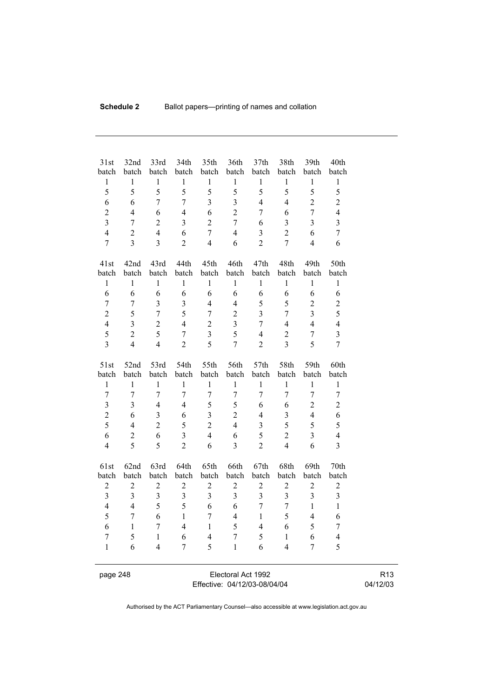| 31st                    | 32nd                  | 33rd                    | 34th                    | 35th                  | 36th                  | 37 <sub>th</sub>        | 38th                  | 39th                    | 40th<br>batch           |  |
|-------------------------|-----------------------|-------------------------|-------------------------|-----------------------|-----------------------|-------------------------|-----------------------|-------------------------|-------------------------|--|
| batch<br>$\,1$          | batch<br>$\mathbf{1}$ | batch<br>$\mathbf{1}$   | batch<br>$\,1$          | batch<br>$\mathbf{1}$ | batch<br>$\mathbf{1}$ | batch<br>$\mathbf{1}$   | batch<br>$\mathbf{1}$ | batch<br>$\mathbf{1}$   | $\,1$                   |  |
| 5                       | 5                     | 5                       | 5                       | 5                     | 5                     | 5                       | 5                     | 5                       | 5                       |  |
| 6                       | 6                     | $\overline{7}$          | $\overline{7}$          | $\overline{3}$        | $\overline{3}$        | $\overline{4}$          | $\overline{4}$        | $\overline{2}$          | $\overline{2}$          |  |
| $\overline{2}$          | $\overline{4}$        | 6                       | $\overline{4}$          | 6                     | $\overline{2}$        | $\overline{7}$          | 6                     | $\overline{7}$          | $\overline{4}$          |  |
| $\overline{\mathbf{3}}$ | $\overline{7}$        | $\overline{2}$          | 3                       | $\overline{2}$        | $\overline{7}$        | 6                       | $\overline{3}$        | $\overline{\mathbf{3}}$ | 3                       |  |
| $\overline{4}$          | $\overline{c}$        | $\overline{4}$          | 6                       | $\overline{7}$        | $\overline{4}$        | $\overline{\mathbf{3}}$ | $\overline{2}$        | 6                       | $\boldsymbol{7}$        |  |
| $\overline{7}$          | $\overline{3}$        | $\overline{3}$          | $\overline{2}$          | $\overline{4}$        | 6                     | $\overline{2}$          | $\overline{7}$        | $\overline{4}$          | 6                       |  |
|                         |                       |                         |                         |                       |                       |                         |                       |                         |                         |  |
| 41st                    | 42nd                  | 43rd                    | 44th                    | 45th                  | 46th                  | 47th                    | 48th                  | 49th                    | 50th                    |  |
| batch                   | batch                 | batch                   | batch                   | batch                 | batch                 | batch                   | batch                 | batch                   | batch                   |  |
| $\,1$                   | 1                     | 1                       | $\,1$                   | $\mathbf{1}$          | $\mathbf{1}$          | $\,1$                   | 1                     | $\mathbf{1}$            | $\,1$                   |  |
| 6                       | 6                     | 6                       | 6                       | 6                     | 6                     | 6                       | 6                     | 6                       | 6                       |  |
| $\overline{7}$          | $\overline{7}$        | $\overline{3}$          | 3                       | $\overline{4}$        | $\overline{4}$        | 5                       | 5                     | $\overline{2}$          | $\overline{c}$          |  |
| $\overline{c}$          | 5                     | $\overline{7}$          | 5                       | $\overline{7}$        | $\overline{2}$        | $\overline{3}$          | $\overline{7}$        | $\overline{\mathbf{3}}$ | 5                       |  |
| $\overline{4}$          | $\overline{3}$        | $\overline{2}$          | $\overline{4}$          | $\overline{2}$        | $\overline{3}$        | $\overline{7}$          | $\overline{4}$        | $\overline{4}$          | $\overline{4}$          |  |
| 5                       | $\overline{2}$        | 5                       | $\overline{7}$          | $\overline{3}$        | 5                     | $\overline{4}$          | $\overline{2}$        | $\overline{7}$          | $\overline{\mathbf{3}}$ |  |
| $\overline{3}$          | $\overline{4}$        | $\overline{4}$          | $\overline{2}$          | 5                     | $\overline{7}$        | $\overline{2}$          | $\overline{3}$        | 5                       | $\overline{7}$          |  |
|                         |                       |                         |                         |                       |                       |                         |                       |                         |                         |  |
| 51st                    | 52nd                  | 53rd                    | 54th                    | 55th                  | 56th                  | 57th                    | 58th                  | 59th                    | 60th                    |  |
| batch                   | batch                 | batch                   | batch                   | batch                 | batch                 | batch                   | batch                 | batch                   | batch                   |  |
| $\mathbf{1}$            | $\mathbf{1}$          | $\mathbf{1}$            | $\mathbf{1}$            | $\mathbf{1}$          | $\mathbf{1}$          | $\mathbf{1}$            | $\mathbf{1}$          | $\mathbf{1}$            | $\mathbf{1}$            |  |
| $\overline{7}$          | $\overline{7}$        | $\overline{7}$          | $\overline{7}$          | $\overline{7}$        | $\overline{7}$        | $\overline{7}$          | $\overline{7}$        | $\overline{7}$          | $\overline{7}$          |  |
| $\overline{\mathbf{3}}$ | $\overline{3}$        | $\overline{4}$          | $\overline{4}$          | 5                     | 5                     | 6                       | 6                     | $\overline{2}$          | $\overline{2}$          |  |
| $\overline{c}$          | 6                     | $\overline{\mathbf{3}}$ | 6                       | $\overline{3}$        | $\overline{2}$        | $\overline{4}$          | $\overline{3}$        | $\overline{4}$          | 6                       |  |
| 5                       | $\overline{4}$        | $\overline{2}$          | 5                       | $\overline{c}$        | $\overline{4}$        | 3                       | 5                     | 5                       | 5                       |  |
| 6                       | $\overline{c}$        | 6                       | 3                       | $\overline{4}$        | 6                     | 5                       | $\overline{c}$        | $\overline{\mathbf{3}}$ | $\overline{4}$          |  |
| $\overline{4}$          | 5                     | 5                       | $\overline{2}$          | 6                     | $\overline{3}$        | $\overline{2}$          | $\overline{4}$        | 6                       | $\overline{3}$          |  |
| 61st                    | 62nd                  | 63rd                    | 64th                    | 65th                  | 66th                  | 67th                    | 68th                  | 69th                    | 70th                    |  |
| batch                   | batch                 | batch                   | batch                   | batch                 | batch                 | batch                   | batch                 | batch                   | batch                   |  |
| $\mathbf{2}$            | $\overline{c}$        | $\boldsymbol{2}$        | $\overline{2}$          | $\boldsymbol{2}$      | $\sqrt{2}$            | $\overline{c}$          | $\overline{c}$        | $\sqrt{2}$              | $\overline{c}$          |  |
| $\overline{\mathbf{3}}$ | $\overline{3}$        | $\overline{3}$          | $\overline{\mathbf{3}}$ | $\overline{3}$        | $\overline{3}$        | $\overline{\mathbf{3}}$ | $\overline{3}$        | $\overline{3}$          | $\overline{\mathbf{3}}$ |  |
| $\overline{\mathbf{4}}$ | $\overline{4}$        | 5                       | 5                       | 6                     | 6                     | $\overline{7}$          | $\overline{7}$        | $\mathbf{1}$            | $\mathbf{1}$            |  |
| 5                       | $\overline{7}$        | 6                       | $\mathbf{1}$            | $\overline{7}$        | $\overline{4}$        | $\mathbf{1}$            | 5                     | 4                       | 6                       |  |
| 6                       | $\mathbf{1}$          | $\overline{7}$          | $\overline{4}$          | $\mathbf{1}$          | 5                     | $\overline{\mathbf{4}}$ | 6                     | 5                       | $\tau$                  |  |
| $\boldsymbol{7}$        | 5                     | $\mathbf{1}$            | 6                       | $\overline{4}$        | $\overline{7}$        | 5                       | $\mathbf{1}$          | 6                       | $\overline{4}$          |  |
| $\mathbf{1}$            | 6                     | $\overline{4}$          | $\overline{7}$          | 5                     | $\mathbf{1}$          | 6                       | $\overline{4}$        | $\overline{7}$          | 5                       |  |
|                         |                       |                         |                         |                       |                       |                         |                       |                         |                         |  |
|                         |                       |                         |                         |                       |                       |                         |                       |                         |                         |  |

l.

page 248 Electoral Act 1992 Effective: 04/12/03-08/04/04

R13 04/12/03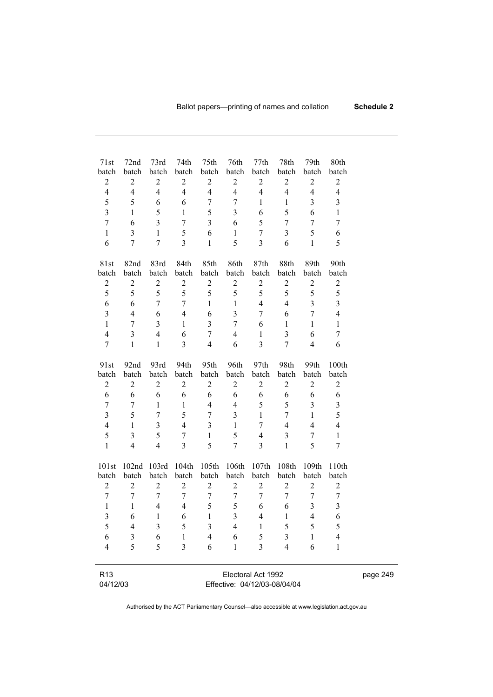| 71st<br>batch<br>$\sqrt{2}$<br>$\overline{4}$ | 72nd<br>batch<br>$\overline{c}$<br>$\overline{4}$ | 73rd<br>batch<br>$\sqrt{2}$<br>$\overline{4}$ | 74th<br>batch<br>$\overline{c}$<br>$\overline{4}$ | 75th<br>batch<br>$\sqrt{2}$<br>$\overline{\mathcal{L}}$ | 76th<br>batch<br>$\boldsymbol{2}$<br>$\overline{4}$ | 77th<br>batch<br>$\sqrt{2}$<br>$\overline{4}$ | 78th<br>batch<br>$\sqrt{2}$<br>$\overline{4}$ | 79th<br>batch<br>$\boldsymbol{2}$<br>$\overline{\mathbf{4}}$ | 80th<br>batch<br>$\sqrt{2}$<br>$\overline{4}$ |  |  |
|-----------------------------------------------|---------------------------------------------------|-----------------------------------------------|---------------------------------------------------|---------------------------------------------------------|-----------------------------------------------------|-----------------------------------------------|-----------------------------------------------|--------------------------------------------------------------|-----------------------------------------------|--|--|
|                                               |                                                   |                                               |                                                   |                                                         |                                                     |                                               |                                               |                                                              |                                               |  |  |
| 5                                             | 5                                                 | 6                                             | 6                                                 | 7                                                       | $\overline{7}$                                      | $\mathbf{1}$                                  | $\mathbf{1}$                                  | 3                                                            | $\overline{3}$                                |  |  |
| $\overline{\mathbf{3}}$                       | $\mathbf{1}$                                      | 5                                             | $\mathbf{1}$                                      | 5                                                       | $\overline{\mathbf{3}}$                             | 6                                             | 5                                             | 6                                                            | $\mathbf{1}$                                  |  |  |
| $\overline{7}$                                | 6                                                 | $\overline{3}$                                | $\tau$                                            | $\overline{3}$                                          | 6                                                   | 5                                             | $\overline{7}$                                | 7                                                            | 7                                             |  |  |
| $\mathbf{1}$                                  | 3                                                 | $\mathbf{1}$                                  | 5                                                 | 6                                                       | $\mathbf{1}$                                        | 7                                             | 3                                             | 5                                                            | 6                                             |  |  |
| 6                                             | $\overline{7}$                                    | $\overline{7}$                                | $\overline{3}$                                    | $\mathbf{1}$                                            | 5                                                   | $\overline{3}$                                | 6                                             | $\mathbf{1}$                                                 | 5                                             |  |  |
| 81st                                          | 82nd                                              | 83rd                                          | 84th                                              | 85th                                                    | 86th                                                | 87th                                          | 88th                                          | 89th                                                         | 90th                                          |  |  |
| batch                                         | batch                                             | batch                                         | batch                                             | batch                                                   | batch                                               | batch                                         | batch                                         | batch                                                        | batch                                         |  |  |
| $\overline{c}$                                | $\sqrt{2}$                                        | $\sqrt{2}$                                    | $\overline{c}$                                    | $\sqrt{2}$                                              | $\overline{2}$                                      | $\sqrt{2}$                                    | $\overline{c}$                                | $\boldsymbol{2}$                                             | $\mathbf{2}$                                  |  |  |
| 5                                             | 5                                                 | 5                                             | 5                                                 | 5                                                       | 5                                                   | 5                                             | 5                                             | 5                                                            | 5                                             |  |  |
| 6                                             | 6                                                 | $\overline{7}$                                | $\tau$                                            | $\mathbf{1}$                                            | $\mathbf{1}$                                        | $\overline{4}$                                | $\overline{4}$                                | 3                                                            | $\overline{3}$                                |  |  |
| 3                                             | $\overline{4}$                                    | 6                                             | $\overline{4}$                                    | 6                                                       | 3                                                   | 7                                             | 6                                             | $\overline{7}$                                               | $\overline{4}$                                |  |  |
| $\mathbf{1}$                                  | $\overline{7}$                                    | $\overline{3}$                                | $\mathbf{1}$                                      | $\overline{\mathbf{3}}$                                 | $\overline{7}$                                      | 6                                             | $\mathbf{1}$                                  | $\mathbf{1}$                                                 | $\mathbf{1}$                                  |  |  |
| $\overline{4}$                                | 3                                                 | $\overline{4}$                                | 6                                                 | $\sqrt{ }$                                              | $\overline{4}$                                      | $\,1$                                         | $\overline{\mathbf{3}}$                       | 6                                                            | $\overline{7}$                                |  |  |
| $\tau$                                        | $\mathbf{1}$                                      | $\mathbf{1}$                                  | $\overline{3}$                                    | $\overline{4}$                                          | 6                                                   | $\overline{3}$                                | $\overline{7}$                                | $\overline{4}$                                               | 6                                             |  |  |
| 91st                                          | 92nd                                              | 93rd                                          | 94th                                              | 95th                                                    | 96th                                                | 97th                                          | 98th                                          | 99th                                                         | 100th                                         |  |  |
| batch                                         | batch                                             | batch                                         | batch                                             | batch                                                   | batch                                               | batch                                         | batch                                         | batch                                                        | batch                                         |  |  |
| $\overline{c}$                                | $\overline{c}$                                    | $\boldsymbol{2}$                              | $\overline{c}$                                    | $\boldsymbol{2}$                                        | $\overline{2}$                                      | $\overline{c}$                                | $\overline{c}$                                | $\overline{2}$                                               | $\sqrt{2}$                                    |  |  |
| 6                                             | 6                                                 | 6                                             | 6                                                 | 6                                                       | 6                                                   | 6                                             | 6                                             | 6                                                            | 6                                             |  |  |
| $\boldsymbol{7}$                              | $\boldsymbol{7}$                                  | $\mathbf{1}$                                  | $\mathbf{1}$                                      | $\overline{4}$                                          | $\overline{4}$                                      | 5                                             | 5                                             | $\overline{\mathbf{3}}$                                      | $\overline{3}$                                |  |  |
| $\overline{3}$                                | 5                                                 | $\overline{7}$                                | 5                                                 | 7                                                       | $\overline{3}$                                      | $\mathbf{1}$                                  | $\overline{7}$                                | $\mathbf{1}$                                                 | 5                                             |  |  |
| $\overline{4}$                                | $\mathbf{1}$                                      | $\overline{3}$                                | $\overline{4}$                                    | $\overline{3}$                                          | $\mathbf{1}$                                        | $\tau$                                        | $\overline{4}$                                | $\overline{4}$                                               | $\overline{4}$                                |  |  |
| 5                                             | 3                                                 | 5                                             | $\boldsymbol{7}$                                  | $\mathbf{1}$                                            | 5                                                   | $\overline{4}$                                | $\overline{\mathbf{3}}$                       | 7                                                            | $\mathbf{1}$                                  |  |  |
| $\mathbf{1}$                                  | $\overline{4}$                                    | $\overline{4}$                                | $\overline{3}$                                    | 5                                                       | $\overline{7}$                                      | 3                                             | $\mathbf{1}$                                  | 5                                                            | $\overline{7}$                                |  |  |
| 101st                                         | 102nd                                             | 103rd                                         | 104th                                             | 105th                                                   | 106th                                               | 107th                                         | 108th                                         | 109th                                                        | 110th                                         |  |  |
| batch                                         | batch                                             | batch                                         | batch                                             | batch                                                   | batch                                               | batch                                         | batch                                         | batch                                                        | batch                                         |  |  |
| $\overline{2}$                                | $\overline{2}$                                    | $\overline{2}$                                | $\overline{2}$                                    | $\overline{2}$                                          | $\overline{2}$                                      | $\overline{2}$                                | $\overline{c}$                                | $\overline{2}$                                               | $\overline{c}$                                |  |  |
| $\overline{7}$                                | $\overline{7}$                                    | $\tau$                                        | $\overline{7}$                                    | 7                                                       | 7                                                   | 7                                             | $\tau$                                        | $\overline{7}$                                               | $\tau$                                        |  |  |
| $\mathbf{1}$                                  | $\mathbf{1}$                                      | $\overline{4}$                                | 4                                                 | 5                                                       | 5                                                   | 6                                             | 6                                             | 3                                                            | $\overline{3}$                                |  |  |
| $\overline{3}$                                | 6                                                 | $\,1$                                         | 6                                                 | $\mathbf{1}$                                            | $\overline{3}$                                      | $\overline{4}$                                | $\mathbf{1}$                                  | $\overline{4}$                                               | 6                                             |  |  |
| 5                                             | 4                                                 | 3                                             | 5                                                 | 3                                                       | 4                                                   | 1                                             | 5                                             | 5                                                            | 5                                             |  |  |
| 6                                             | 3                                                 | 6                                             | 1                                                 | 4                                                       | 6                                                   | 5                                             | 3                                             | 1                                                            | $\overline{4}$                                |  |  |
| 4                                             | 5                                                 | 5                                             | 3                                                 | 6                                                       | 1                                                   | 3                                             | $\overline{4}$                                | 6                                                            | $\mathbf{1}$                                  |  |  |
|                                               |                                                   |                                               |                                                   |                                                         |                                                     |                                               |                                               |                                                              |                                               |  |  |
| R <sub>13</sub>                               |                                                   |                                               |                                                   |                                                         |                                                     | Electoral Act 1992                            |                                               |                                                              |                                               |  |  |
| 04/12/03                                      |                                                   | Effective: 04/12/03-08/04/04                  |                                                   |                                                         |                                                     |                                               |                                               |                                                              |                                               |  |  |

page 249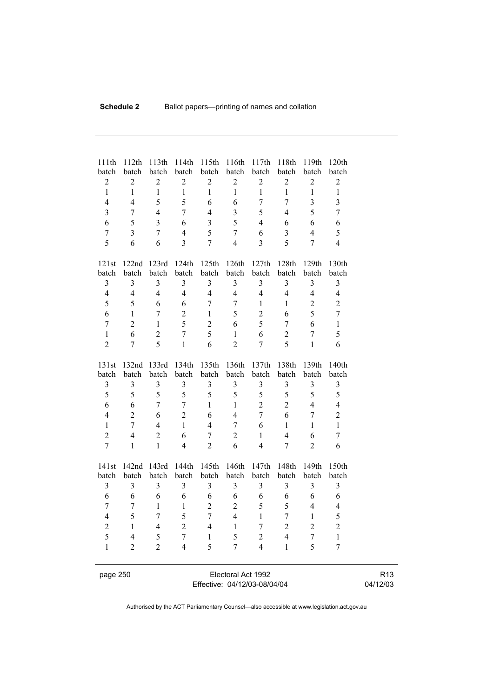| 111th<br>batch                   | 112th<br>batch                   | 113th<br>batch          | 114th<br>batch                 | 115th<br>batch          | 116th<br>batch                 | 117th<br>batch                 | 118th<br>batch      | 119th<br>batch          | 120th<br>batch |
|----------------------------------|----------------------------------|-------------------------|--------------------------------|-------------------------|--------------------------------|--------------------------------|---------------------|-------------------------|----------------|
| $\overline{2}$                   | $\overline{2}$                   | $\overline{2}$          | $\overline{2}$                 | $\overline{2}$          | $\overline{2}$                 | $\overline{2}$                 | $\overline{2}$      | $\overline{2}$          | $\overline{2}$ |
| $\mathbf{1}$                     | $\mathbf{1}$                     | $\mathbf{1}$            | $\mathbf{1}$                   | $\mathbf{1}$            | $\mathbf{1}$                   | $\mathbf{1}$                   | $\mathbf{1}$        | $\mathbf{1}$            | $\mathbf{1}$   |
| $\overline{4}$                   | $\overline{4}$                   | 5                       | 5                              | 6                       | 6                              | $\overline{7}$                 | $\overline{7}$      | 3                       | $\overline{3}$ |
| $\overline{3}$                   | $\overline{7}$                   | $\overline{4}$          | $\overline{7}$                 | $\overline{4}$          | $\overline{3}$                 | 5                              | 4                   | 5                       | $\overline{7}$ |
| 6                                | 5                                | $\overline{\mathbf{3}}$ | 6                              | $\overline{\mathbf{3}}$ | 5                              | $\overline{4}$                 | 6                   | 6                       | 6              |
| $\overline{7}$                   | $\overline{3}$                   | $\overline{7}$          | $\overline{4}$                 | 5                       | $\overline{7}$                 | 6                              | $\overline{3}$      | $\overline{4}$          | 5              |
| 5                                | 6                                | 6                       | $\overline{3}$                 | $\boldsymbol{7}$        | $\overline{4}$                 | $\overline{3}$                 | 5                   | $\overline{7}$          | $\overline{4}$ |
|                                  |                                  |                         |                                |                         |                                |                                |                     |                         |                |
| 121st                            | 122nd                            | 123rd                   | 124th                          | 125th                   | 126th                          | 127th                          | 128th               | 129th                   | 130th          |
| batch                            | batch                            | batch                   | batch                          | batch                   | batch                          | batch                          | batch               | batch                   | batch          |
| 3                                | 3                                | 3                       | 3                              | $\mathfrak{Z}$          | $\mathfrak{Z}$                 | 3                              | 3                   | $\overline{\mathbf{3}}$ | 3              |
| $\overline{4}$                   | $\overline{4}$                   | $\overline{4}$          | $\overline{4}$                 | $\overline{4}$          | $\overline{4}$                 | $\overline{4}$                 | $\overline{4}$      | $\overline{4}$          | $\overline{4}$ |
| 5                                | 5                                | 6                       | 6                              | $\overline{7}$          | $\overline{7}$                 | $\mathbf{1}$                   | $\mathbf{1}$        | $\overline{2}$          | $\overline{2}$ |
| 6                                | $\mathbf{1}$                     | $\overline{7}$          | $\overline{2}$                 | $\mathbf{1}$            | 5                              | $\overline{2}$                 | 6                   | 5                       | $\overline{7}$ |
| $\overline{7}$                   | $\overline{2}$                   | $\mathbf{1}$            | 5                              | $\overline{2}$          | 6                              | 5                              | $\overline{7}$      | 6                       | $\mathbf{1}$   |
| $\mathbf{1}$                     | 6                                | $\overline{2}$          | $\overline{7}$                 | 5                       | $\mathbf{1}$                   | 6                              | $\overline{2}$      | $\overline{7}$          | 5              |
| $\overline{2}$                   | $\overline{7}$                   | 5                       | $\mathbf{1}$                   | 6                       | $\overline{2}$                 | $\overline{7}$                 | 5                   | $\mathbf{1}$            | 6              |
|                                  |                                  |                         |                                |                         |                                |                                |                     |                         |                |
| 131st                            | 132nd                            | 133rd                   | 134th                          | 135th                   | 136th                          | 137th                          | 138th               | 139th                   | 140th          |
| batch                            | batch                            | batch                   | batch                          | batch                   | batch                          | batch                          | batch               | batch                   | batch          |
| 3                                | 3                                | 3                       | 3                              | 3                       | 3                              | $\overline{3}$                 | 3                   | 3                       | 3              |
| 5                                | 5                                | 5                       | 5                              | 5                       | 5                              | 5<br>$\overline{2}$            | 5<br>$\overline{2}$ | 5                       | 5              |
| 6                                | 6                                | $\overline{7}$          | $\boldsymbol{7}$               | $\mathbf{1}$            | $\mathbf{1}$<br>$\overline{4}$ | $\overline{7}$                 |                     | $\overline{4}$          | $\overline{4}$ |
| $\overline{4}$                   | $\overline{2}$<br>$\overline{7}$ | 6                       | $\overline{2}$<br>$\mathbf{1}$ | 6                       | $\overline{7}$                 |                                | 6                   | $\overline{7}$          | $\overline{2}$ |
| $\mathbf{1}$                     |                                  | $\overline{4}$          |                                | $\overline{4}$          |                                | 6                              | 1                   | $\mathbf{1}$            | $\mathbf{1}$   |
| $\overline{2}$<br>$\overline{7}$ | $\overline{4}$<br>$\mathbf{1}$   | $\overline{2}$          | 6<br>$\overline{4}$            | $\overline{7}$          | $\overline{2}$<br>6            | $\mathbf{1}$<br>$\overline{4}$ | $\overline{4}$      | 6                       | $\overline{7}$ |
|                                  |                                  | $\mathbf{1}$            |                                | $\overline{2}$          |                                |                                | $\overline{7}$      | $\overline{2}$          | 6              |
| 141st                            | 142nd                            | 143rd                   | 144th                          | 145th                   | 146th                          | 147th                          | 148th               | 149th                   | 150th          |
| batch                            | batch                            | batch                   | batch                          | batch                   | batch                          | batch                          | batch               | batch                   | batch          |
| $\mathfrak{Z}$                   | $\overline{3}$                   | $\overline{3}$          | $\overline{3}$                 | $\overline{3}$          | 3                              | $\overline{3}$                 | $\overline{3}$      | $\overline{\mathbf{3}}$ | 3              |
| 6                                | 6                                | 6                       | 6                              | 6                       | 6                              | 6                              | 6                   | 6                       | 6              |
| $\overline{7}$                   | $\overline{7}$                   | $\mathbf{1}$            | $\mathbf{1}$                   | $\overline{c}$          | $\overline{2}$                 | 5                              | 5                   | $\overline{4}$          | $\overline{4}$ |
| $\overline{4}$                   | 5                                | $\overline{7}$          | 5                              | $\overline{7}$          | $\overline{4}$                 | $\mathbf{1}$                   | $\overline{7}$      | $\mathbf{1}$            | 5              |
| $\overline{c}$                   | $\mathbf{1}$                     | $\overline{4}$          | $\overline{2}$                 | $\overline{4}$          | $\mathbf{1}$                   | $\overline{7}$                 | $\overline{2}$      | $\overline{2}$          | $\overline{2}$ |
| 5                                | $\overline{4}$                   | 5                       | $\overline{7}$                 | $\mathbf{1}$            | 5                              | $\overline{c}$                 | $\overline{4}$      | $\overline{7}$          | $\,1$          |
| $\mathbf{1}$                     | $\overline{2}$                   | $\overline{2}$          | $\overline{4}$                 | 5                       | $\overline{7}$                 | $\overline{4}$                 | $\mathbf{1}$        | 5                       | $\overline{7}$ |
|                                  |                                  |                         |                                |                         |                                |                                |                     |                         |                |
|                                  |                                  |                         |                                |                         |                                |                                |                     |                         |                |

page 250 Electoral Act 1992 Effective: 04/12/03-08/04/04

R13 04/12/03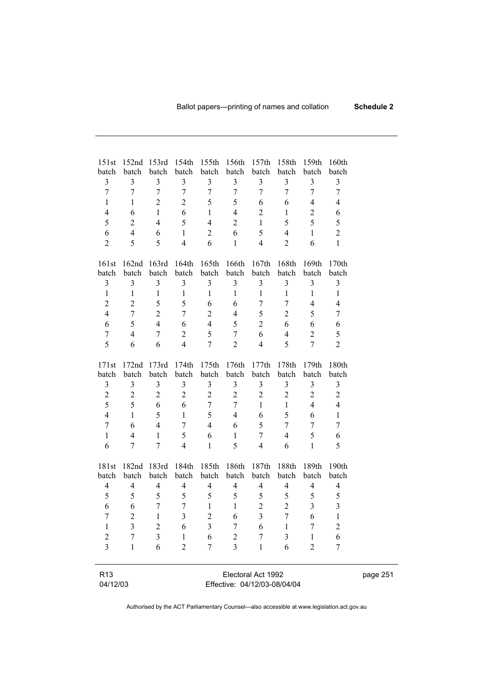| 151st                       | 152nd 153rd              |                                                    |                         | 154th 155th 156th 157th |                         |                  | 158th            | 159th            | 160th                    |  |  |
|-----------------------------|--------------------------|----------------------------------------------------|-------------------------|-------------------------|-------------------------|------------------|------------------|------------------|--------------------------|--|--|
| batch                       | batch                    | batch                                              | batch                   | batch                   | batch                   | batch            | batch            | batch            | batch                    |  |  |
| $\mathfrak{Z}$              | $\mathfrak{Z}$           | 3                                                  | $\mathfrak{Z}$          | $\mathfrak{Z}$          | $\mathfrak{Z}$          | $\mathfrak{Z}$   | $\mathfrak{Z}$   | 3                | $\mathfrak{Z}$           |  |  |
| $\boldsymbol{7}$            | $\boldsymbol{7}$         | $\boldsymbol{7}$                                   | $\tau$                  | $\boldsymbol{7}$        | $\boldsymbol{7}$        | $\boldsymbol{7}$ | $\boldsymbol{7}$ | $\boldsymbol{7}$ | 7                        |  |  |
| $\mathbf{1}$                | $\mathbf{1}$             | $\overline{c}$                                     | $\overline{2}$          | 5                       | 5                       | 6                | 6                | $\overline{4}$   | $\overline{4}$           |  |  |
| $\overline{4}$              | 6                        | $\mathbf{1}$                                       | 6                       | $\mathbf{1}$            | $\overline{4}$          | $\sqrt{2}$       | $\mathbf{1}$     | $\overline{2}$   | 6                        |  |  |
| 5                           | $\boldsymbol{2}$         | $\overline{4}$                                     | 5                       | $\overline{4}$          | $\overline{2}$          | $\mathbf{1}$     | 5                | 5                | 5                        |  |  |
| 6                           | $\overline{4}$           | 6                                                  | $\mathbf{1}$            | $\overline{c}$          | 6                       | 5                | $\overline{4}$   | $\mathbf{1}$     | $\overline{c}$           |  |  |
| $\overline{2}$              | 5                        | 5                                                  | $\overline{4}$          | 6                       | $\mathbf{1}$            | $\overline{4}$   | $\overline{2}$   | 6                | $\mathbf{1}$             |  |  |
| 161st                       | 162 <sub>nd</sub>        | 163rd                                              | 164th                   | 165th                   | 166th                   | 167th            | 168th            | 169th            | 170th                    |  |  |
| batch                       | batch                    | batch                                              | batch                   | batch                   | batch                   | batch            | batch            | batch            | batch                    |  |  |
| $\mathfrak{Z}$              | $\mathfrak{Z}$           | $\mathfrak{Z}$                                     | $\mathfrak{Z}$          | $\mathfrak{Z}$          | $\mathfrak{Z}$          | $\mathfrak{Z}$   | $\mathfrak{Z}$   | $\mathfrak{Z}$   | $\mathfrak{Z}$           |  |  |
| $\mathbf{1}$                | $\,1$                    | $\,1$                                              | $\mathbf{1}$            | $\mathbf{1}$            | $\mathbf{1}$            | $\mathbf{1}$     | $\,1$            | $\mathbf{1}$     | $\mathbf{1}$             |  |  |
| $\overline{2}$              | $\overline{2}$           | 5                                                  | 5                       | 6                       | 6                       | $\tau$           | $\boldsymbol{7}$ | $\overline{4}$   | $\overline{\mathcal{A}}$ |  |  |
| $\overline{4}$              | $\boldsymbol{7}$         | $\overline{2}$                                     | $\tau$                  | $\overline{c}$          | $\overline{4}$          | 5                | $\sqrt{2}$       | 5                | 7                        |  |  |
| 6                           | 5                        | $\overline{4}$                                     | 6                       | $\overline{4}$          | 5                       | $\overline{2}$   | 6                | 6                | 6                        |  |  |
| $\boldsymbol{7}$            | $\overline{4}$           | 7                                                  | $\overline{2}$          | 5                       | $\boldsymbol{7}$        | 6                | $\overline{4}$   | $\boldsymbol{2}$ | 5                        |  |  |
| 5                           | 6                        | 6                                                  | $\overline{4}$          | $\overline{7}$          | $\overline{2}$          | $\overline{4}$   | 5                | $\overline{7}$   | $\overline{2}$           |  |  |
| 171st                       | 172nd                    | 173rd                                              | 174th                   | 175th                   | 176th                   | 177th            | 178th            | 179th            | 180th                    |  |  |
| batch                       | batch                    | batch                                              | batch                   | batch                   | batch                   | batch            | batch            | batch            | batch                    |  |  |
| 3                           | $\mathfrak{Z}$           | $\mathfrak{Z}$                                     | 3                       | 3                       | $\mathfrak{Z}$          | $\mathfrak{Z}$   | $\mathfrak{Z}$   | $\mathfrak{Z}$   | 3                        |  |  |
| $\overline{c}$              | $\sqrt{2}$               | $\sqrt{2}$                                         | $\overline{c}$          | $\sqrt{2}$              | $\sqrt{2}$              | $\sqrt{2}$       | $\sqrt{2}$       | $\boldsymbol{2}$ | $\overline{c}$           |  |  |
| 5                           | 5                        | $\sqrt{6}$                                         | 6                       | $\boldsymbol{7}$        | $\tau$                  | $\mathbf{1}$     | $\mathbf{1}$     | $\overline{4}$   | $\overline{4}$           |  |  |
| $\overline{4}$              | $\mathbf{1}$             | 5                                                  | $\mathbf{1}$            | 5                       | $\overline{4}$          | 6                | 5                | 6                | $\mathbf{1}$             |  |  |
| $\boldsymbol{7}$            | 6                        | $\overline{4}$                                     | $\tau$                  | $\overline{4}$          | 6                       | 5                | $\tau$           | 7                | 7                        |  |  |
| $\mathbf{1}$                | $\overline{\mathcal{L}}$ | $\mathbf{1}$                                       | 5                       | 6                       | $\mathbf{1}$            | $\boldsymbol{7}$ | $\overline{4}$   | 5                | 6                        |  |  |
| 6                           | 7                        | $\tau$                                             | $\overline{4}$          | $\mathbf{1}$            | 5                       | $\overline{4}$   | 6                | $\mathbf{1}$     | 5                        |  |  |
| 181st                       | 182nd 183rd              |                                                    | 184th                   |                         | 185th 186th 187th       |                  | 188th            | 189th            | 190th                    |  |  |
| batch                       | batch                    | batch                                              | batch                   | batch                   | batch                   | batch            | batch            | batch            | batch                    |  |  |
| $\overline{4}$              | $\overline{4}$           | $\overline{\mathbf{4}}$                            | $\overline{\mathbf{4}}$ | $\overline{4}$          | $\overline{\mathbf{4}}$ | $\overline{4}$   | $\overline{4}$   | $\overline{4}$   | $\overline{4}$           |  |  |
| 5                           | 5                        | 5                                                  | 5                       | 5                       | 5                       | 5                | $\mathfrak s$    | 5                | 5                        |  |  |
| 6                           | $\boldsymbol{6}$         | $\boldsymbol{7}$                                   | $\boldsymbol{7}$        | $\mathbf{1}$            | $\mathbf{1}$            | $\sqrt{2}$       | $\sqrt{2}$       | $\mathfrak{Z}$   | $\overline{\mathbf{3}}$  |  |  |
| $\boldsymbol{7}$            | $\overline{2}$           | $\mathbf{1}$                                       | $\mathfrak{Z}$          | $\overline{2}$          | 6                       | $\overline{3}$   | $\boldsymbol{7}$ | 6                | $\mathbf{1}$             |  |  |
| $\,1$                       | $\mathfrak{Z}$           | $\overline{c}$                                     | $\sqrt{6}$              | 3                       | $7\overline{ }$         | $\sqrt{6}$       | $\overline{1}$   | 7                | 2                        |  |  |
| $\overline{c}$              | 7                        | $\overline{3}$                                     | 1                       | 6                       | $\overline{c}$          | 7                | 3                | 1                | 6                        |  |  |
| $\overline{3}$              | $\mathbf{1}$             | 6                                                  | $\overline{2}$          | 7                       | $\overline{3}$          | $\mathbf{1}$     | 6                | $\overline{2}$   | 7                        |  |  |
|                             |                          |                                                    |                         |                         |                         |                  |                  |                  |                          |  |  |
| R <sub>13</sub><br>04/12/03 |                          | Electoral Act 1992<br>Effective: 04/12/03-08/04/04 |                         |                         |                         |                  |                  |                  |                          |  |  |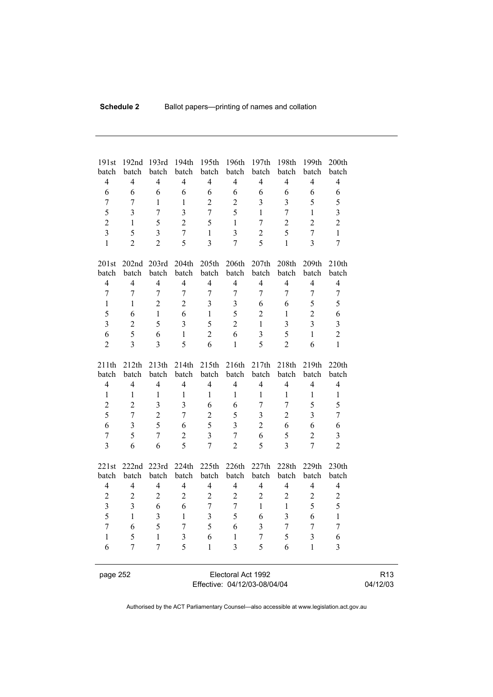| 191st<br>batch          | 192nd<br>batch           | 193rd<br>batch   | 194th<br>batch          | 195th<br>batch          | 196th<br>batch          | 197th<br>batch          | 198th<br>batch   | 199th<br>batch          | 200th<br>batch   |  |
|-------------------------|--------------------------|------------------|-------------------------|-------------------------|-------------------------|-------------------------|------------------|-------------------------|------------------|--|
| $\overline{4}$          | $\overline{4}$           | $\overline{4}$   | $\overline{4}$          | $\overline{4}$          | $\overline{4}$          | $\overline{4}$          | $\overline{4}$   | $\overline{4}$          | $\overline{4}$   |  |
| 6                       | 6                        | 6                | 6                       | 6                       | 6                       | 6                       | 6                | 6                       | 6                |  |
| $\overline{7}$          | 7                        | $\mathbf{1}$     | 1                       | $\overline{2}$          | $\overline{2}$          | 3                       | 3                | 5                       | 5                |  |
| 5                       | $\overline{\mathbf{3}}$  | $\tau$           | $\overline{\mathbf{3}}$ | $\overline{7}$          | 5                       | $\mathbf{1}$            | $\overline{7}$   | $\mathbf{1}$            | 3                |  |
| $\overline{c}$          | $\mathbf{1}$             | 5                | $\overline{2}$          | 5                       | $\mathbf{1}$            | $\overline{7}$          | $\overline{2}$   | $\overline{2}$          | $\overline{c}$   |  |
| $\overline{3}$          | 5                        | $\overline{3}$   | $\boldsymbol{7}$        | $\mathbf{1}$            | $\overline{\mathbf{3}}$ | $\overline{2}$          | 5                | $\boldsymbol{7}$        | $\mathbf{1}$     |  |
| $\mathbf{1}$            | $\overline{2}$           | $\overline{2}$   | 5                       | $\overline{3}$          | $\overline{7}$          | 5                       | $\mathbf{1}$     | $\overline{3}$          | $\overline{7}$   |  |
|                         |                          |                  |                         |                         |                         |                         |                  |                         |                  |  |
| 201st                   | 202 <sub>nd</sub>        | 203rd            | 204th                   | 205th                   | 206th                   | 207th                   | 208th            | 209th                   | 210th            |  |
| batch                   | batch                    | batch            | batch                   | batch                   | batch                   | batch                   | batch            | batch                   | batch            |  |
| $\overline{4}$          | $\overline{4}$           | $\overline{4}$   | $\overline{4}$          | $\overline{4}$          | $\overline{4}$          | $\overline{4}$          | $\overline{4}$   | $\overline{4}$          | $\overline{4}$   |  |
| $\overline{7}$          | $\overline{7}$           | $\overline{7}$   | $\overline{7}$          | $\overline{7}$          | $\overline{7}$          | $\overline{7}$          | $\overline{7}$   | $\overline{7}$          | $\boldsymbol{7}$ |  |
| $\mathbf{1}$            | 1                        | $\overline{2}$   | $\overline{2}$          | $\overline{3}$          | $\overline{\mathbf{3}}$ | 6                       | 6                | 5                       | 5                |  |
| 5                       | 6                        | $\mathbf{1}$     | 6                       | $\mathbf{1}$            | 5                       | $\overline{2}$          | $\,1$            | $\overline{2}$          | 6                |  |
| $\overline{3}$          | $\overline{c}$           | 5                | $\overline{3}$          | 5                       | $\overline{2}$          | $\mathbf{1}$            | $\overline{3}$   | $\overline{3}$          | $\overline{3}$   |  |
| 6                       | 5                        | 6                | $\mathbf{1}$            | $\overline{2}$          | 6                       | $\overline{\mathbf{3}}$ | 5                | $\mathbf{1}$            | $\overline{c}$   |  |
| $\overline{2}$          | $\overline{3}$           | $\overline{3}$   | 5                       | 6                       | $\mathbf{1}$            | 5                       | $\overline{2}$   | 6                       | $\mathbf{1}$     |  |
|                         |                          |                  |                         |                         |                         |                         |                  |                         |                  |  |
| 211th                   | 212th                    | 213th            | 214th                   | 215th                   | 216th                   | 217th                   | 218th            | 219th                   | 220th            |  |
| batch                   | batch                    | batch            | batch                   | batch                   | batch                   | batch                   | batch            | batch                   | batch            |  |
| $\overline{4}$          | $\overline{\mathcal{L}}$ | $\overline{4}$   | $\overline{4}$          | $\overline{4}$          | $\overline{4}$          | $\overline{4}$          | $\overline{4}$   | $\overline{4}$          | $\overline{4}$   |  |
| $\mathbf{1}$            | $\mathbf{1}$             | $\mathbf{1}$     | $\mathbf{1}$            | $\mathbf{1}$            | $\mathbf{1}$            | $\mathbf{1}$            | $\,1$            | $\,1$                   | $\mathbf{1}$     |  |
| $\overline{2}$          | $\overline{c}$           | $\mathfrak{Z}$   | $\overline{3}$          | $\sqrt{6}$              | 6                       | $\boldsymbol{7}$        | $\sqrt{ }$       | 5                       | 5                |  |
| 5                       | $\boldsymbol{7}$         | $\overline{c}$   | $\boldsymbol{7}$        | $\sqrt{2}$              | 5                       | $\mathfrak{Z}$          | $\overline{2}$   | 3                       | $\boldsymbol{7}$ |  |
| 6                       | $\overline{\mathbf{3}}$  | 5                | 6                       | 5                       | $\overline{\mathbf{3}}$ | $\overline{2}$          | 6                | 6                       | 6                |  |
| $\overline{7}$          | 5                        | $\boldsymbol{7}$ | $\overline{2}$          | $\overline{\mathbf{3}}$ | $\overline{7}$          | 6                       | 5                | $\overline{2}$          | 3                |  |
| $\overline{3}$          | 6                        | 6                | 5                       | $\overline{7}$          | $\overline{2}$          | 5                       | $\overline{3}$   | $\overline{7}$          | $\overline{2}$   |  |
|                         |                          |                  |                         |                         |                         |                         |                  |                         |                  |  |
| 221st<br>batch          | 222nd<br>batch           | 223rd<br>batch   | 224th<br>batch          | 225th<br>batch          | 226th<br>batch          | 227th<br>batch          | 228th<br>batch   | 229th<br>batch          | 230th<br>batch   |  |
| $\overline{4}$          | $\overline{\mathcal{L}}$ | $\overline{4}$   | $\overline{4}$          | $\overline{4}$          | $\overline{4}$          | $\overline{4}$          | $\overline{4}$   | $\overline{4}$          | $\overline{4}$   |  |
| $\overline{2}$          | $\overline{c}$           | $\sqrt{2}$       | $\overline{2}$          | $\overline{2}$          | $\overline{2}$          | $\overline{c}$          | $\mathbf{2}$     | $\overline{c}$          | $\sqrt{2}$       |  |
| $\overline{\mathbf{3}}$ | $\mathfrak{Z}$           | 6                | 6                       | $\boldsymbol{7}$        | $\boldsymbol{7}$        | $\mathbf{1}$            | $\,1$            | 5                       | 5                |  |
| 5                       |                          |                  |                         |                         |                         |                         |                  |                         |                  |  |
|                         | $\mathbf{1}$             | $\overline{3}$   | $\mathbf{1}$            | $\mathfrak{Z}$          | 5                       | 6                       | $\overline{3}$   | 6                       | $\mathbf{1}$     |  |
| $\overline{7}$          | 6                        | 5                | $\overline{7}$          | 5                       | 6                       | 3                       | $\boldsymbol{7}$ | $\overline{7}$          | $\overline{7}$   |  |
| $\mathbf{1}$            | 5                        | $\mathbf{1}$     | $\overline{\mathbf{3}}$ | 6                       | $\mathbf{1}$            | $\boldsymbol{7}$        | 5                | $\overline{\mathbf{3}}$ | 6                |  |
| 6                       | $\overline{7}$           | $\overline{7}$   | 5                       | $\mathbf{1}$            | $\overline{\mathbf{3}}$ | 5                       | 6                | $\mathbf{1}$            | $\overline{3}$   |  |
| nage 252                |                          |                  |                         |                         | Flectoral Act 1992      |                         |                  |                         |                  |  |

page 252

Effective: 04/12/03-08/04/04

R13 04/12/03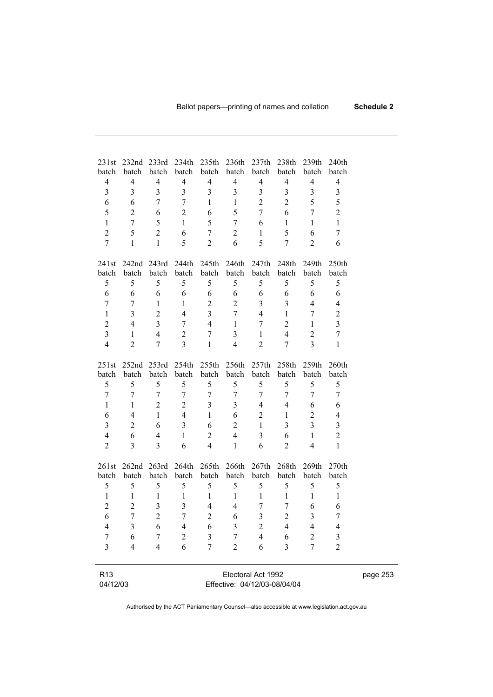| 231st                       | 232nd 233rd              |                         | 234th                   | 235th                   | 236th                   | 237th                                              | 238 <sub>th</sub> | 239th                   | 240th                   |  |
|-----------------------------|--------------------------|-------------------------|-------------------------|-------------------------|-------------------------|----------------------------------------------------|-------------------|-------------------------|-------------------------|--|
| batch                       | batch                    | batch                   | batch                   | batch                   | batch                   | batch                                              | batch             | batch                   | batch                   |  |
| $\overline{4}$              | $\overline{4}$           | $\overline{\mathbf{4}}$ | $\overline{4}$          | 4                       | $\overline{4}$          | $\overline{4}$                                     | $\overline{4}$    | $\overline{4}$          | $\overline{4}$          |  |
| $\overline{3}$              | 3                        | 3                       | $\overline{3}$          | $\overline{3}$          | $\overline{\mathbf{3}}$ | 3                                                  | $\overline{3}$    | $\overline{\mathbf{3}}$ | 3                       |  |
| 6                           | 6                        | 7                       | $\overline{7}$          | $\mathbf{1}$            | $\mathbf{1}$            | $\overline{2}$                                     | $\overline{2}$    | 5                       | 5                       |  |
| 5                           | $\overline{2}$           | 6                       | $\overline{2}$          | 6                       | 5                       | $\overline{7}$                                     | 6                 | $\overline{7}$          | $\overline{2}$          |  |
| $\mathbf{1}$                | $\overline{7}$           | 5                       | $\mathbf{1}$            | 5                       | $\overline{7}$          | 6                                                  | $\mathbf{1}$      | $\mathbf{1}$            | $\mathbf{1}$            |  |
| $\overline{2}$              | 5                        | $\overline{2}$          | 6                       | $\overline{7}$          | $\overline{2}$          | $\mathbf{1}$                                       | 5                 | 6                       | 7                       |  |
| $\overline{7}$              | $\mathbf{1}$             | $\mathbf{1}$            | 5                       | $\overline{2}$          | 6                       | 5                                                  | 7                 | $\overline{2}$          | 6                       |  |
| 241st                       | 242nd                    | 243rd                   | 244th                   | 245th                   | 246th                   | 247th                                              | 248th             | 249th                   | 250th                   |  |
| batch                       | batch                    | batch                   | batch                   | batch                   | batch                   | batch                                              | batch             | batch                   | batch                   |  |
| 5                           | 5                        | 5                       | 5                       | 5                       | 5                       | 5                                                  | 5                 | 5                       | 5                       |  |
| 6                           | 6                        | 6                       | 6                       | 6                       | 6                       | 6                                                  | 6                 | 6                       | 6                       |  |
| $\overline{7}$              | $\overline{7}$           | $\mathbf{1}$            | $\mathbf{1}$            | $\overline{2}$          | $\overline{2}$          | 3                                                  | 3                 | $\overline{4}$          | $\overline{4}$          |  |
| $\mathbf{1}$                | $\overline{3}$           | $\overline{c}$          | $\overline{4}$          | $\overline{3}$          | $\overline{7}$          | $\overline{4}$                                     | $\mathbf{1}$      | 7                       | $\overline{c}$          |  |
| $\overline{c}$              | $\overline{4}$           | 3                       | $\tau$                  | $\overline{4}$          | $\mathbf{1}$            | 7                                                  | $\overline{2}$    | $\mathbf{1}$            | $\overline{\mathbf{3}}$ |  |
| $\overline{\mathbf{3}}$     | $\mathbf{1}$             | $\overline{4}$          | $\overline{2}$          | $\sqrt{ }$              | 3                       | $\mathbf{1}$                                       | $\overline{4}$    | $\overline{c}$          | $\overline{7}$          |  |
| $\overline{4}$              | $\overline{2}$           | $\overline{7}$          | $\overline{3}$          | $\mathbf{1}$            | $\overline{4}$          | $\overline{2}$                                     | 7                 | $\overline{3}$          | $\mathbf{1}$            |  |
| 251st                       | 252nd                    | 253rd                   | 254th                   | 255th                   | 256th                   | 257th                                              | 258th             | 259th                   | 260th                   |  |
| batch                       | batch                    | batch                   | batch                   | batch                   | batch                   | batch                                              | batch             | batch                   | batch                   |  |
| 5                           | 5                        | 5                       | 5                       | 5                       | 5                       | 5                                                  | 5                 | 5                       | 5                       |  |
| 7                           | 7                        | 7                       | $\overline{7}$          | $\overline{7}$          | $\overline{7}$          | 7                                                  | $\tau$            | 7                       | 7                       |  |
| $\mathbf{1}$                | $\mathbf{1}$             | $\overline{2}$          | $\overline{2}$          | $\overline{\mathbf{3}}$ | $\overline{3}$          | $\overline{4}$                                     | $\overline{4}$    | 6                       | 6                       |  |
| 6                           | $\overline{\mathcal{L}}$ | $\mathbf{1}$            | $\overline{4}$          | $\mathbf{1}$            | 6                       | $\overline{c}$                                     | $\mathbf{1}$      | $\overline{2}$          | $\overline{4}$          |  |
| $\overline{3}$              | $\overline{2}$           | 6                       | $\overline{\mathbf{3}}$ | 6                       | $\overline{2}$          | $\mathbf{1}$                                       | $\overline{3}$    | $\overline{3}$          | $\overline{3}$          |  |
| $\overline{4}$              | 6                        | $\overline{4}$          | $\mathbf{1}$            | $\overline{c}$          | $\overline{4}$          | 3                                                  | 6                 | $\mathbf{1}$            | $\overline{c}$          |  |
| $\overline{2}$              | 3                        | 3                       | 6                       | $\overline{4}$          | $\mathbf{1}$            | 6                                                  | $\overline{2}$    | $\overline{4}$          | $\mathbf{1}$            |  |
| 261st                       | 262nd 263rd              |                         | 264th                   | 265th                   | 266th                   | 267th                                              | 268th             | 269th                   | 270 <sub>th</sub>       |  |
| <b>batch</b>                | batch                    | batch                   | batch                   | batch                   | batch                   | batch                                              | batch             | batch                   | batch                   |  |
| 5                           | 5                        | 5                       | 5                       | 5                       | 5                       | 5                                                  | 5                 | 5                       | 5                       |  |
| $\mathbf{1}$                | $\mathbf{1}$             | $\mathbf{1}$            | $\mathbf{1}$            | $\mathbf{1}$            | $\mathbf{1}$            | $\mathbf{1}$                                       | $\mathbf{1}$      | $\mathbf{1}$            | $\mathbf{1}$            |  |
| $\overline{2}$              | $\overline{2}$           | 3                       | 3                       | $\overline{4}$          | $\overline{4}$          | 7                                                  | 7                 | 6                       | 6                       |  |
| 6                           | 7                        | $\overline{2}$          | 7                       | $\overline{2}$          | 6                       | $\overline{3}$                                     | $\overline{2}$    | $\overline{3}$          | 7                       |  |
| 4                           | 3                        | 6                       | 4                       | 6                       | 3                       | $\overline{c}$                                     | 4                 | 4                       | 4                       |  |
| 7                           | 6                        | 7                       | $\overline{c}$          | 3                       | 7                       | $\overline{4}$                                     | 6                 | 2                       | $\mathfrak{Z}$          |  |
| 3                           | $\overline{4}$           | 4                       | 6                       | 7                       | $\overline{2}$          | 6                                                  | 3                 | 7                       | $\overline{2}$          |  |
|                             |                          |                         |                         |                         |                         |                                                    |                   |                         |                         |  |
| R <sub>13</sub><br>04/12/03 |                          |                         |                         |                         |                         | Electoral Act 1992<br>Effective: 04/12/03-08/04/04 |                   |                         |                         |  |
|                             |                          |                         |                         |                         |                         |                                                    |                   |                         |                         |  |

Effective: 04/12/03-08/04/04

page 253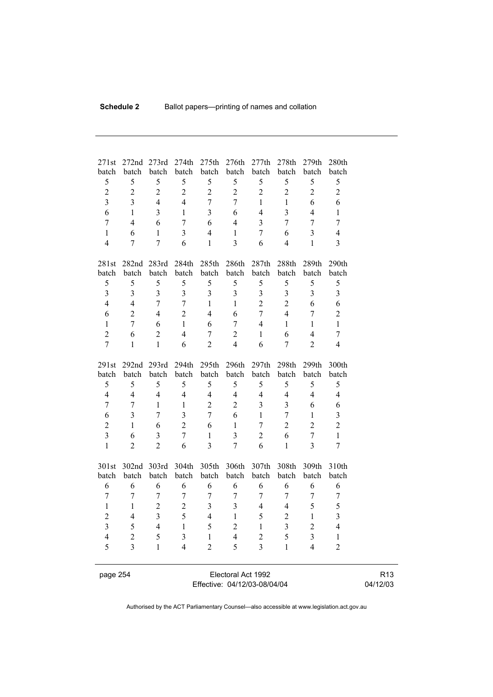| 271st                   | 272nd          | 273rd<br>batch | 274th<br>batch          | 275th<br>batch | 276th<br>batch          | 277th<br>batch          | 278th<br>batch | 279th          | 280th          |
|-------------------------|----------------|----------------|-------------------------|----------------|-------------------------|-------------------------|----------------|----------------|----------------|
| batch<br>5              | batch<br>5     | 5              | 5                       | 5              | 5                       | 5                       | 5              | batch<br>5     | batch<br>5     |
| $\overline{2}$          | $\overline{2}$ | $\overline{2}$ | $\overline{2}$          | $\overline{2}$ | $\overline{2}$          | $\overline{2}$          | $\overline{2}$ | $\overline{2}$ | $\overline{2}$ |
| $\overline{\mathbf{3}}$ | $\overline{3}$ | $\overline{4}$ | $\overline{4}$          | $\overline{7}$ | $\overline{7}$          | $\mathbf{1}$            | $\mathbf{1}$   | 6              | 6              |
| 6                       | $\mathbf{1}$   | $\overline{3}$ | $\mathbf{1}$            | 3              | 6                       | $\overline{4}$          | 3              | $\overline{4}$ | $\mathbf{1}$   |
| $\overline{7}$          | $\overline{4}$ | 6              | $\overline{7}$          | 6              | $\overline{4}$          | $\overline{3}$          | $\overline{7}$ | $\overline{7}$ | $\overline{7}$ |
| $\mathbf{1}$            | 6              | $\mathbf{1}$   | $\overline{3}$          | $\overline{4}$ | $\mathbf{1}$            | $\overline{7}$          | 6              | 3              | $\overline{4}$ |
| $\overline{4}$          | $\overline{7}$ | $\overline{7}$ | 6                       | $\mathbf{1}$   | $\overline{3}$          | 6                       | $\overline{4}$ | $\mathbf{1}$   | $\overline{3}$ |
|                         |                |                |                         |                |                         |                         |                |                |                |
| 281st                   | 282nd 283rd    |                | 284th                   | 285th          | 286th                   | 287th                   | 288th          | 289th          | 290th          |
| batch                   | batch          | batch          | batch                   | batch          | batch                   | batch                   | batch          | batch          | batch          |
| 5                       | 5              | 5              | 5                       | 5              | 5                       | 5                       | 5              | 5              | 5              |
| $\overline{3}$          | $\overline{3}$ | $\overline{3}$ | $\overline{3}$          | $\overline{3}$ | $\overline{3}$          | $\overline{\mathbf{3}}$ | $\overline{3}$ | $\overline{3}$ | $\overline{3}$ |
| $\overline{4}$          | $\overline{4}$ | $\overline{7}$ | $\overline{7}$          | $\mathbf{1}$   | $\mathbf{1}$            | $\overline{2}$          | $\overline{2}$ | 6              | 6              |
| 6                       | $\overline{2}$ | $\overline{4}$ | $\overline{2}$          | $\overline{4}$ | 6                       | $\overline{7}$          | $\overline{4}$ | 7              | $\overline{2}$ |
| $\mathbf{1}$            | $\overline{7}$ | 6              | $\mathbf{1}$            | 6              | $\overline{7}$          | 4                       | $\mathbf{1}$   | $\mathbf{1}$   | $\mathbf{1}$   |
| $\overline{2}$          | 6              | $\overline{2}$ | $\overline{4}$          | $\overline{7}$ | $\overline{2}$          | $\mathbf{1}$            | 6              | $\overline{4}$ | $\overline{7}$ |
| $\overline{7}$          | $\mathbf{1}$   | $\mathbf{1}$   | 6                       | $\overline{2}$ | $\overline{4}$          | 6                       | $\overline{7}$ | $\overline{2}$ | $\overline{4}$ |
| 291st                   | 292nd 293rd    |                | 294 <sub>th</sub>       | 295th          | 296th                   | 297th                   | 298th          | 299th          | 300th          |
| batch                   | batch          | batch          | batch                   | batch          | batch                   | batch                   | batch          | batch          | batch          |
| 5                       | 5              | 5              | 5                       | 5              | 5                       | 5                       | 5              | 5              | 5              |
| $\overline{4}$          | $\overline{4}$ | $\overline{4}$ | $\overline{4}$          | $\overline{4}$ | $\overline{4}$          | $\overline{4}$          | $\overline{4}$ | $\overline{4}$ | $\overline{4}$ |
| $\boldsymbol{7}$        | $\tau$         | $\mathbf{1}$   | $\mathbf{1}$            | $\overline{2}$ | $\overline{2}$          | $\overline{\mathbf{3}}$ | $\overline{3}$ | 6              | 6              |
| 6                       | $\overline{3}$ | $\overline{7}$ | $\overline{3}$          | $\overline{7}$ | 6                       | $\mathbf{1}$            | $\overline{7}$ | $\mathbf{1}$   | $\overline{3}$ |
| $\overline{2}$          | $\mathbf{1}$   | 6              | $\overline{2}$          | 6              | $\mathbf{1}$            | $\overline{7}$          | $\overline{2}$ | $\overline{2}$ | $\overline{2}$ |
| $\overline{3}$          | 6              | 3              | $\overline{7}$          | $\mathbf{1}$   | $\overline{3}$          | $\overline{2}$          | 6              | $\overline{7}$ | $\mathbf{1}$   |
| $\mathbf{1}$            | $\overline{2}$ | $\overline{2}$ | 6                       | 3              | $\overline{7}$          | 6                       | $\mathbf{1}$   | $\overline{3}$ | $\overline{7}$ |
| 301st                   | 302nd 303rd    |                | 304th                   | 305th          | 306th                   | 307th                   | 308th          | 309th          | 310th          |
| batch                   | batch          | batch          | batch                   | batch          | batch                   | batch                   | batch          | batch          | batch          |
| 6                       | 6              | 6              | 6                       | 6              | 6                       | 6                       | 6              | 6              | 6              |
| $\overline{7}$          | $\overline{7}$ | $\overline{7}$ | $\overline{7}$          | $\overline{7}$ | $\overline{7}$          | $\overline{7}$          | $\overline{7}$ | 7              | $\tau$         |
| $\mathbf{1}$            | 1              | $\overline{2}$ | $\overline{c}$          | 3              | $\overline{\mathbf{3}}$ | $\overline{4}$          | 4              | 5              | 5              |
| $\overline{2}$          | $\overline{4}$ | $\overline{3}$ | 5                       | $\overline{4}$ | $\mathbf{1}$            | 5                       | $\overline{2}$ | $\mathbf{1}$   | $\overline{3}$ |
| $\overline{\mathbf{3}}$ | 5              | $\overline{4}$ | $\mathbf{1}$            | 5              | $\overline{2}$          | $\mathbf{1}$            | $\overline{3}$ | $\overline{2}$ | $\overline{4}$ |
| $\overline{4}$          | $\overline{2}$ | 5              | $\overline{\mathbf{3}}$ | $\mathbf{1}$   | $\overline{4}$          | $\overline{2}$          | 5              | 3              | $\mathbf{1}$   |
| 5                       | $\overline{3}$ | $\mathbf{1}$   | $\overline{4}$          | $\overline{2}$ | 5                       | $\overline{3}$          | $\mathbf{1}$   | $\overline{4}$ | $\overline{2}$ |
|                         |                |                |                         |                |                         |                         |                |                |                |

page 254 Electoral Act 1992 Effective: 04/12/03-08/04/04

R13 04/12/03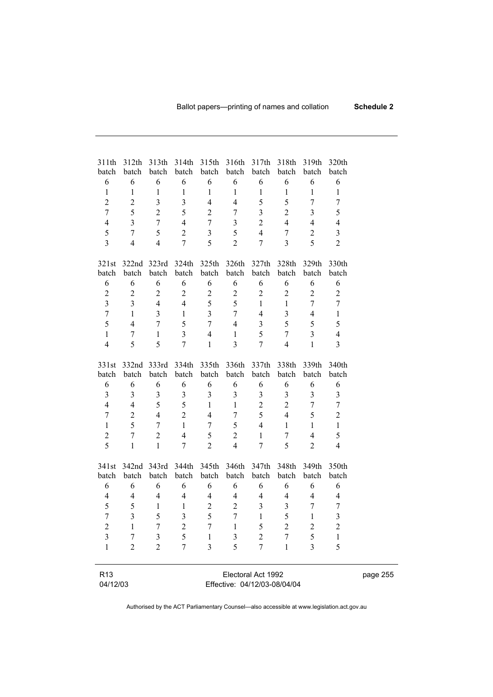| 311th                   | 312th          | 313th                   | 314th                   | 315th                    | 316th                   | 317th                        | 318th                   | 319th          | 320th                   |  |
|-------------------------|----------------|-------------------------|-------------------------|--------------------------|-------------------------|------------------------------|-------------------------|----------------|-------------------------|--|
| batch                   | batch          | batch                   | batch                   | batch                    | batch                   | batch                        | batch                   | batch          | batch                   |  |
| 6                       | 6              | 6                       | 6                       | 6                        | 6                       | 6                            | 6                       | 6              | 6                       |  |
| $\mathbf{1}$            | $\mathbf{1}$   | $\mathbf{1}$            | $\mathbf{1}$            | $\mathbf{1}$             | $\mathbf{1}$            | $\mathbf{1}$                 | $\mathbf{1}$            | $\mathbf{1}$   | $\mathbf{1}$            |  |
| $\overline{2}$          | $\overline{2}$ | 3                       | $\overline{\mathbf{3}}$ | $\overline{\mathcal{L}}$ | $\overline{4}$          | 5                            | 5                       | $\overline{7}$ | $\overline{7}$          |  |
| $\overline{7}$          | 5              | $\overline{2}$          | 5                       | $\overline{2}$           | 7                       | $\overline{3}$               | $\overline{2}$          | 3              | 5                       |  |
| $\overline{4}$          | 3              | $\overline{7}$          | $\overline{4}$          | $\overline{7}$           | $\overline{\mathbf{3}}$ | $\overline{2}$               | $\overline{4}$          | $\overline{4}$ | $\overline{4}$          |  |
| 5                       | $\overline{7}$ | 5                       | $\overline{2}$          | $\overline{\mathbf{3}}$  | 5                       | $\overline{4}$               | 7                       | $\overline{2}$ | $\overline{\mathbf{3}}$ |  |
| $\overline{3}$          | $\overline{4}$ | $\overline{4}$          | $\overline{7}$          | 5                        | $\overline{2}$          | $\tau$                       | 3                       | 5              | $\overline{2}$          |  |
| 321st                   | 322nd          | 323rd                   | 324th                   | 325th                    | 326th                   | 327th                        | 328th                   | 329th          | 330th                   |  |
| batch                   | batch          | batch                   | batch                   | batch                    | batch                   | batch                        | batch                   | batch          | batch                   |  |
| 6                       | 6              | 6                       | 6                       | 6                        | 6                       | 6                            | 6                       | 6              | 6                       |  |
| $\overline{c}$          | $\overline{2}$ | $\overline{2}$          | $\overline{2}$          | $\sqrt{2}$               | $\sqrt{2}$              | $\overline{c}$               | $\overline{2}$          | $\overline{2}$ | $\overline{2}$          |  |
| $\overline{\mathbf{3}}$ | $\overline{3}$ | $\overline{4}$          | $\overline{4}$          | 5                        | 5                       | $\mathbf{1}$                 | $\mathbf{1}$            | $\overline{7}$ | 7                       |  |
| $\overline{7}$          | $\mathbf{1}$   | $\overline{3}$          | $\mathbf{1}$            | $\overline{3}$           | 7                       | $\overline{4}$               | $\overline{3}$          | $\overline{4}$ | $\mathbf{1}$            |  |
| 5                       | $\overline{4}$ | 7                       | 5                       | 7                        | $\overline{4}$          | $\overline{\mathbf{3}}$      | 5                       | 5              | 5                       |  |
| $\mathbf{1}$            | $\overline{7}$ | $\mathbf{1}$            | $\overline{3}$          | $\overline{4}$           | $\mathbf{1}$            | 5                            | $\overline{7}$          | 3              | $\overline{4}$          |  |
| $\overline{4}$          | 5              | 5                       | $\overline{7}$          | $\mathbf{1}$             | $\overline{3}$          | 7                            | $\overline{4}$          | $\mathbf{1}$   | 3                       |  |
| 331st                   | 332nd          | 333rd                   | 334th                   | 335th                    | 336th                   | 337th                        | 338th                   | 339th          | 340th                   |  |
| batch                   | batch          | batch                   | batch                   | batch                    | batch                   | batch                        | batch                   | batch          | batch                   |  |
| 6                       | 6              | 6                       | 6                       | 6                        | 6                       | 6                            | 6                       | 6              | 6                       |  |
| $\overline{\mathbf{3}}$ | $\overline{3}$ | $\overline{\mathbf{3}}$ | 3                       | 3                        | 3                       | 3                            | $\overline{\mathbf{3}}$ | 3              | $\overline{\mathbf{3}}$ |  |
| $\overline{4}$          | $\overline{4}$ | 5                       | 5                       | $\mathbf{1}$             | $\mathbf{1}$            | $\overline{2}$               | $\overline{2}$          | $\overline{7}$ | 7                       |  |
| $\boldsymbol{7}$        | $\overline{2}$ | $\overline{4}$          | $\overline{2}$          | $\overline{4}$           | 7                       | 5                            | $\overline{4}$          | 5              | $\overline{2}$          |  |
| $\mathbf{1}$            | 5              | $\tau$                  | $\mathbf{1}$            | 7                        | 5                       | $\overline{4}$               | $\mathbf{1}$            | $\mathbf{1}$   | $\mathbf{1}$            |  |
| $\overline{c}$          | $\overline{7}$ | $\overline{c}$          | $\overline{4}$          | 5                        | $\sqrt{2}$              | $\mathbf{1}$                 | $\overline{7}$          | $\overline{4}$ | 5                       |  |
| 5                       | $\mathbf{1}$   | $\mathbf{1}$            | $\overline{7}$          | $\overline{2}$           | $\overline{4}$          | $\overline{7}$               | 5                       | $\overline{2}$ | $\overline{4}$          |  |
| 341st                   | 342nd          | 343rd                   | 344th                   | 345th                    | 346th                   | 347th                        | 348th                   | 349th          | 350th                   |  |
| batch                   | batch          | batch                   | batch                   | batch                    | batch                   | batch                        | batch                   | batch          | batch                   |  |
| 6                       | 6              | 6                       | 6                       | 6                        | 6                       | 6                            | 6                       | 6              | 6                       |  |
| $\overline{4}$          | $\overline{4}$ | $\overline{4}$          | $\overline{4}$          | $\overline{4}$           | $\overline{4}$          | $\overline{4}$               | $\overline{4}$          | $\overline{4}$ | $\overline{4}$          |  |
| 5                       | 5              | $\mathbf{1}$            | $\mathbf{1}$            | $\overline{c}$           | $\overline{2}$          | 3                            | 3                       | 7              | 7                       |  |
| $\overline{7}$          | $\overline{3}$ | 5                       | $\overline{3}$          | 5                        | $\overline{7}$          | $\mathbf{1}$                 | 5                       | $\mathbf{1}$   | $\overline{3}$          |  |
| $\overline{\mathbf{c}}$ | 1              | 7                       | $\overline{c}$          | 7                        | $\mathbf{1}$            | 5                            | $\overline{c}$          | $\overline{c}$ | $\overline{\mathbf{c}}$ |  |
| 3                       | 7              | 3                       | 5                       | 1                        | 3                       | $\overline{c}$               | 7                       | 5              | $\mathbf{1}$            |  |
| $\mathbf{1}$            | $\overline{c}$ | $\overline{2}$          | 7                       | 3                        | 5                       | $\overline{7}$               | $\mathbf{1}$            | 3              | 5                       |  |
|                         |                |                         |                         |                          |                         |                              |                         |                |                         |  |
| R <sub>13</sub>         |                |                         |                         |                          |                         | Electoral Act 1992           |                         |                |                         |  |
| 04/12/03                |                |                         |                         |                          |                         | Effective: 04/12/03-08/04/04 |                         |                |                         |  |

page 255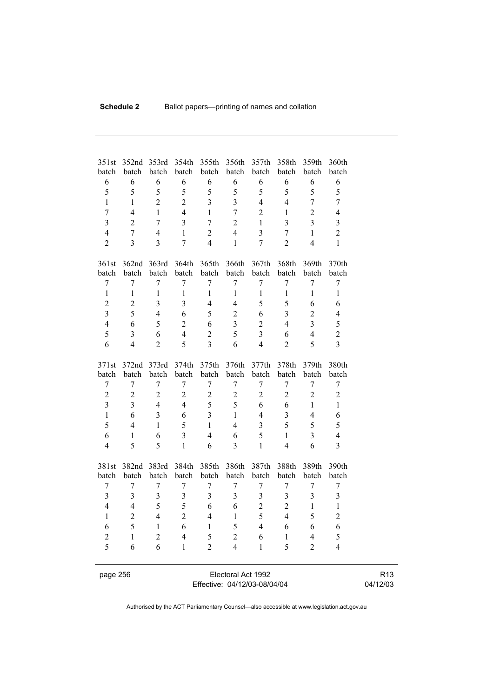| 351st                   | 352nd            | 353rd                   | 354th            | 355th                   | 356th                   | 357th                   | 358th          | 359th                   | 360th                   |
|-------------------------|------------------|-------------------------|------------------|-------------------------|-------------------------|-------------------------|----------------|-------------------------|-------------------------|
| batch                   | batch            | batch                   | batch            | batch                   | batch                   | batch                   | batch          | batch                   | batch                   |
| 6                       | 6<br>5           | 6                       | 6                | 6                       | 6                       | 6                       | 6              | 6                       | 6                       |
| 5                       |                  | 5                       | 5                | 5                       | 5                       | 5                       | 5              | 5                       | 5                       |
| $\mathbf{1}$            | $\mathbf{1}$     | $\overline{2}$          | $\overline{2}$   | $\overline{3}$          | $\overline{3}$          | $\overline{4}$          | $\overline{4}$ | $\overline{7}$          | $\overline{7}$          |
| $\overline{7}$          | 4                | $\mathbf{1}$            | $\overline{4}$   | $\mathbf{1}$            | $\overline{7}$          | $\overline{2}$          | $\mathbf{1}$   | $\overline{2}$          | $\overline{4}$          |
| $\overline{3}$          | $\overline{2}$   | $\overline{7}$          | $\overline{3}$   | $\overline{7}$          | $\overline{2}$          | $\mathbf{1}$            | $\overline{3}$ | $\overline{3}$          | $\overline{3}$          |
| $\overline{\mathbf{4}}$ | $\overline{7}$   | $\overline{4}$          | $\mathbf{1}$     | $\overline{c}$          | $\overline{4}$          | $\overline{\mathbf{3}}$ | $\overline{7}$ | $\mathbf{1}$            | $\overline{2}$          |
| $\overline{2}$          | 3                | $\overline{\mathbf{3}}$ | $\overline{7}$   | $\overline{4}$          | $\mathbf{1}$            | $\overline{7}$          | $\overline{2}$ | $\overline{4}$          | $\mathbf{1}$            |
| 361st                   | 362nd            | 363rd                   | 364th            | 365th                   | 366th                   | 367th                   | 368th          | 369th                   | 370th                   |
| batch                   | batch            | batch                   | batch            | batch                   | batch                   | batch                   | batch          | batch                   | batch                   |
| $\overline{7}$          | $\overline{7}$   | $\tau$                  | $\overline{7}$   | $\overline{7}$          | $\overline{7}$          | $\overline{7}$          | $\overline{7}$ | $\overline{7}$          | $\sqrt{ }$              |
| $\,1$                   | $\mathbf{1}$     | $\,1$                   | $\mathbf{1}$     | $\mathbf{1}$            | $\mathbf{1}$            | $\mathbf{1}$            | $\mathbf{1}$   | $\mathbf{1}$            | $\mathbf{1}$            |
| $\overline{2}$          | $\overline{2}$   | 3                       | 3                | 4                       | $\overline{4}$          | 5                       | 5              | 6                       | 6                       |
| $\overline{3}$          | 5                | $\overline{4}$          | 6                | 5                       | $\overline{2}$          | 6                       | $\overline{3}$ | $\overline{c}$          | $\overline{4}$          |
| $\overline{4}$          | 6                | 5                       | $\overline{2}$   | 6                       | $\overline{\mathbf{3}}$ | $\overline{2}$          | $\overline{4}$ | 3                       | 5                       |
| 5                       | $\overline{3}$   | 6                       | $\overline{4}$   | $\overline{2}$          | 5                       | $\overline{\mathbf{3}}$ | 6              | $\overline{4}$          | $\overline{c}$          |
| 6                       | $\overline{4}$   | $\overline{2}$          | 5                | $\overline{3}$          | 6                       | $\overline{4}$          | $\overline{2}$ | 5                       | $\overline{3}$          |
| 371st                   | 372nd            | 373rd                   | 374th            | 375th                   | 376th                   | 377th                   | 378th          | 379th                   | 380th                   |
| batch                   | batch            | batch                   | batch            | batch                   | batch                   | batch                   | batch          | batch                   | batch                   |
| $\boldsymbol{7}$        | $\boldsymbol{7}$ | $\boldsymbol{7}$        | $\boldsymbol{7}$ | $\boldsymbol{7}$        | $\boldsymbol{7}$        | $\boldsymbol{7}$        | $\overline{7}$ | $\boldsymbol{7}$        | $\boldsymbol{7}$        |
| $\overline{c}$          | $\overline{2}$   | $\overline{2}$          | $\overline{2}$   | $\overline{c}$          | $\overline{c}$          | $\overline{c}$          | $\overline{c}$ | $\overline{2}$          | $\overline{2}$          |
| $\overline{3}$          | $\overline{3}$   | $\overline{4}$          | $\overline{4}$   | 5                       | 5                       | 6                       | 6              | $\mathbf{1}$            | $\mathbf{1}$            |
| $\mathbf{1}$            | 6                | $\overline{3}$          | 6                | $\overline{\mathbf{3}}$ | $\mathbf{1}$            | $\overline{4}$          | $\overline{3}$ | $\overline{4}$          | 6                       |
| 5                       | $\overline{4}$   | $\mathbf{1}$            | 5                | $\mathbf{1}$            | $\overline{4}$          | $\overline{\mathbf{3}}$ | 5              | 5                       | 5                       |
| 6                       | 1                | 6                       | $\overline{3}$   | $\overline{4}$          | 6                       | 5                       | $\mathbf{1}$   | 3                       | $\overline{4}$          |
| $\overline{4}$          | 5                | 5                       | $\mathbf{1}$     | 6                       | $\overline{3}$          | $\mathbf{1}$            | $\overline{4}$ | 6                       | $\overline{\mathbf{3}}$ |
| 381st                   | 382nd            | 383rd                   | 384th            | 385th                   | 386th                   | 387th                   | 388th          | 389th                   | 390th                   |
| batch                   | batch            | batch                   | batch            | batch                   | batch                   | batch                   | batch          | batch                   | batch                   |
| $\boldsymbol{7}$        | $\boldsymbol{7}$ | $\boldsymbol{7}$        | $\boldsymbol{7}$ | $\boldsymbol{7}$        | $\boldsymbol{7}$        | $\overline{7}$          | $\sqrt{ }$     | $\boldsymbol{7}$        | $\overline{7}$          |
| 3                       | 3                | 3                       | 3                | $\mathfrak{Z}$          | 3                       | $\overline{\mathbf{3}}$ | 3              | $\overline{\mathbf{3}}$ | 3                       |
| $\overline{4}$          | $\overline{4}$   | 5                       | 5                | 6                       | 6                       | $\overline{c}$          | $\overline{2}$ | $\mathbf{1}$            | $\mathbf{1}$            |
| $\mathbf{1}$            | $\overline{2}$   | $\overline{4}$          | $\overline{2}$   | $\overline{4}$          | $\mathbf{1}$            | 5                       | $\overline{4}$ | 5                       | $\overline{2}$          |
| 6                       | 5                | $\mathbf{1}$            | 6                | $\mathbf{1}$            | 5                       | $\overline{4}$          | 6              | 6                       | 6                       |
| $\overline{2}$          | $\,1$            | $\overline{2}$          | $\overline{4}$   | 5                       | $\overline{2}$          | 6                       | $\mathbf{1}$   | $\overline{4}$          | 5                       |
| 5                       | 6                | 6                       | 1                | $\overline{2}$          | $\overline{4}$          | $\mathbf{1}$            | 5              | $\overline{2}$          | $\overline{4}$          |
|                         |                  |                         |                  |                         |                         |                         |                |                         |                         |
| page 256                |                  |                         |                  |                         | Electoral Act 1992      |                         |                |                         |                         |

Effective: 04/12/03-08/04/04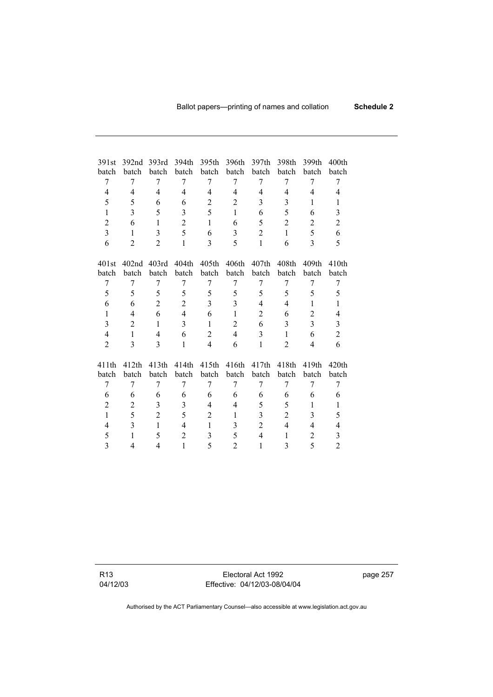| 391st          | 392 <sub>nd</sub> | 393rd          | 394th          | 395th          | 396th          | 397th          | 398th          | 399th          | 400 <sub>th</sub> |
|----------------|-------------------|----------------|----------------|----------------|----------------|----------------|----------------|----------------|-------------------|
| batch          | batch             | batch          | batch          | batch          | batch          | batch          | batch          | batch          | batch             |
| 7              | 7                 | 7              | 7              | 7              | 7              | 7              | 7              | 7              | 7                 |
| $\overline{4}$ | 4                 | $\overline{4}$ | $\overline{4}$ | 4              | 4              | 4              | 4              | 4              | 4                 |
| 5              | 5                 | 6              | 6              | $\overline{c}$ | 2              | 3              | 3              | 1              | 1                 |
| $\mathbf{1}$   | 3                 | 5              | 3              | 5              | $\mathbf{1}$   | 6              | 5              | 6              | 3                 |
| $\overline{2}$ | 6                 | $\mathbf{1}$   | $\overline{2}$ | $\mathbf{1}$   | 6              | 5              | $\overline{2}$ | $\overline{2}$ | $\overline{c}$    |
| $\overline{3}$ | $\mathbf{1}$      | 3              | 5              | 6              | 3              | $\overline{2}$ | $\mathbf{1}$   | 5              | 6                 |
| 6              | $\overline{2}$    | $\overline{2}$ | $\mathbf{1}$   | 3              | 5              | $\mathbf{1}$   | 6              | $\overline{3}$ | 5                 |
|                |                   |                |                |                |                |                |                |                |                   |
| 401st          | 402 <sub>nd</sub> | 403rd          | 404th          | 405th          | 406th          | 407th          | 408th          | 409th          | 410 <sub>th</sub> |
| batch          | batch             | batch          | batch          | batch          | batch          | batch          | batch          | batch          | batch             |
| 7              | 7                 | 7              | 7              | 7              | 7              | 7              | 7              | 7              | 7                 |
| 5              | 5                 | 5              | 5              | 5              | 5              | 5              | 5              | 5              | 5                 |
| 6              | 6                 | $\overline{2}$ | $\overline{2}$ | $\mathfrak{Z}$ | 3              | $\overline{4}$ | 4              | $\mathbf{1}$   | 1                 |
| $\mathbf{1}$   | 4                 | 6              | $\overline{4}$ | 6              | $\mathbf{1}$   | $\overline{2}$ | 6              | $\overline{2}$ | 4                 |
| 3              | $\overline{c}$    | $\mathbf{1}$   | 3              | $\mathbf{1}$   | $\overline{2}$ | 6              | 3              | 3              | 3                 |
| $\overline{4}$ | $\mathbf{1}$      | 4              | 6              | $\overline{2}$ | $\overline{4}$ | 3              | $\mathbf{1}$   | 6              | $\overline{c}$    |
| $\overline{2}$ | 3                 | 3              | 1              | $\overline{4}$ | 6              | $\mathbf{1}$   | $\overline{2}$ | $\overline{4}$ | 6                 |
| 411th          | 412th             | 413th          | 414th          | 415th          | 416th          | 417th          | 418th          | 419th          | 420th             |
| batch          | batch             | batch          | batch          | batch          | batch          | batch          | batch          | batch          | batch             |
|                |                   |                |                |                |                |                |                |                |                   |
| 7              | 7                 | 7              | 7              | 7              | 7              | 7              | 7              | 7              | 7                 |
| 6              | 6                 | 6              | 6              | 6              | 6              | 6              | 6              | 6              | 6                 |
| $\overline{2}$ | 2                 | 3              | 3              | 4              | $\overline{4}$ | 5              | 5              | 1              | 1                 |
| $\mathbf{1}$   | 5                 | $\overline{2}$ | 5              | $\overline{c}$ | 1              | 3              | $\overline{2}$ | 3              | 5                 |
| $\overline{4}$ | 3                 | $\mathbf{1}$   | $\overline{4}$ | $\mathbf{1}$   | 3              | $\overline{2}$ | $\overline{4}$ | 4              | 4                 |
| 5              | $\mathbf{1}$      | 5              | $\overline{2}$ | 3              | 5              | $\overline{4}$ | $\mathbf{1}$   | $\overline{2}$ | 3                 |
| $\overline{3}$ | $\overline{4}$    | $\overline{4}$ | 1              | 5              | $\overline{2}$ | $\mathbf{1}$   | 3              | 5              | $\overline{2}$    |

R13 04/12/03

Electoral Act 1992 Effective: 04/12/03-08/04/04 page 257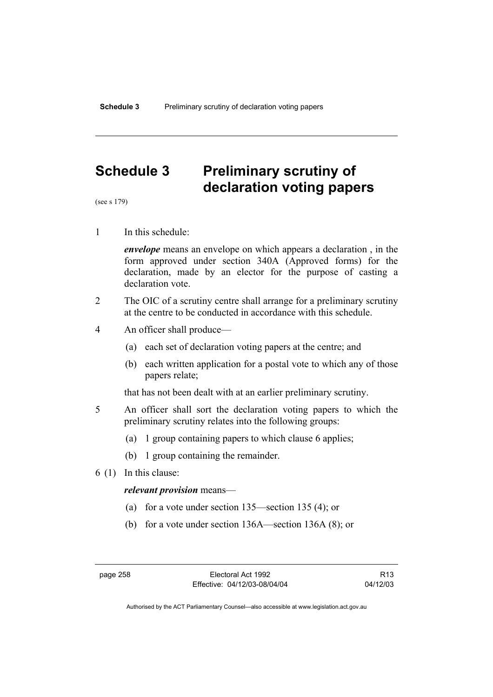# **Schedule 3 Preliminary scrutiny of declaration voting papers**

(see s 179)

1 In this schedule:

*envelope* means an envelope on which appears a declaration , in the form approved under section 340A (Approved forms) for the declaration, made by an elector for the purpose of casting a declaration vote.

- 2 The OIC of a scrutiny centre shall arrange for a preliminary scrutiny at the centre to be conducted in accordance with this schedule.
- 4 An officer shall produce—
	- (a) each set of declaration voting papers at the centre; and
	- (b) each written application for a postal vote to which any of those papers relate;

that has not been dealt with at an earlier preliminary scrutiny.

- 5 An officer shall sort the declaration voting papers to which the preliminary scrutiny relates into the following groups:
	- (a) 1 group containing papers to which clause 6 applies;
	- (b) 1 group containing the remainder.
- 6 (1) In this clause:

#### *relevant provision* means—

- (a) for a vote under section 135—section 135 (4); or
- (b) for a vote under section 136A—section 136A (8); or

R13 04/12/03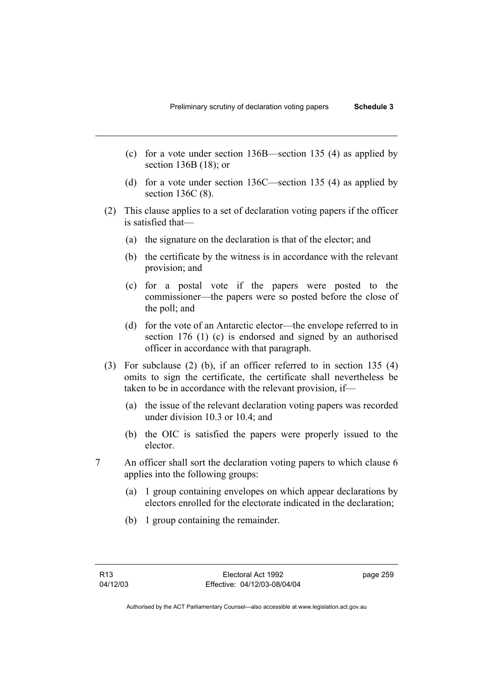- (c) for a vote under section 136B—section 135 (4) as applied by section 136B (18); or
- (d) for a vote under section 136C—section 135 (4) as applied by section 136C (8).
- (2) This clause applies to a set of declaration voting papers if the officer is satisfied that—
	- (a) the signature on the declaration is that of the elector; and
	- (b) the certificate by the witness is in accordance with the relevant provision; and
	- (c) for a postal vote if the papers were posted to the commissioner—the papers were so posted before the close of the poll; and
	- (d) for the vote of an Antarctic elector—the envelope referred to in section 176 (1) (c) is endorsed and signed by an authorised officer in accordance with that paragraph.
- (3) For subclause (2) (b), if an officer referred to in section 135 (4) omits to sign the certificate, the certificate shall nevertheless be taken to be in accordance with the relevant provision, if—
	- (a) the issue of the relevant declaration voting papers was recorded under division 10.3 or 10.4; and
	- (b) the OIC is satisfied the papers were properly issued to the elector.
- 7 An officer shall sort the declaration voting papers to which clause 6 applies into the following groups:
	- (a) 1 group containing envelopes on which appear declarations by electors enrolled for the electorate indicated in the declaration;
	- (b) 1 group containing the remainder.

page 259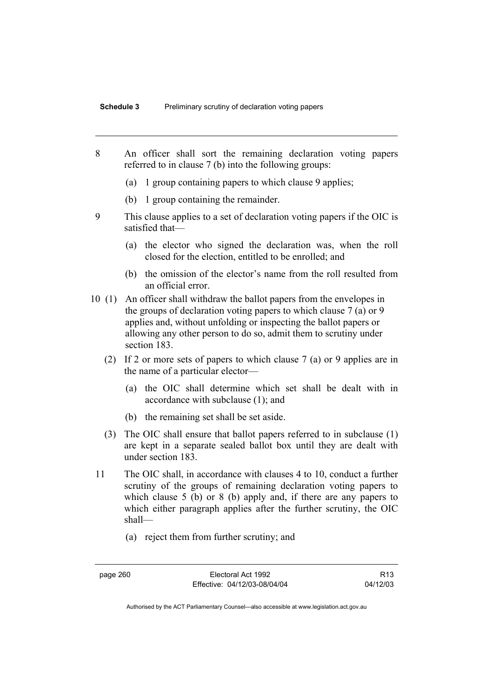- 8 An officer shall sort the remaining declaration voting papers referred to in clause 7 (b) into the following groups:
	- (a) 1 group containing papers to which clause 9 applies;
	- (b) 1 group containing the remainder.
- 9 This clause applies to a set of declaration voting papers if the OIC is satisfied that—
	- (a) the elector who signed the declaration was, when the roll closed for the election, entitled to be enrolled; and
	- (b) the omission of the elector's name from the roll resulted from an official error.
- 10 (1) An officer shall withdraw the ballot papers from the envelopes in the groups of declaration voting papers to which clause 7 (a) or 9 applies and, without unfolding or inspecting the ballot papers or allowing any other person to do so, admit them to scrutiny under section 183.
	- (2) If 2 or more sets of papers to which clause 7 (a) or 9 applies are in the name of a particular elector—
		- (a) the OIC shall determine which set shall be dealt with in accordance with subclause (1); and
		- (b) the remaining set shall be set aside.
	- (3) The OIC shall ensure that ballot papers referred to in subclause (1) are kept in a separate sealed ballot box until they are dealt with under section 183.
- 11 The OIC shall, in accordance with clauses 4 to 10, conduct a further scrutiny of the groups of remaining declaration voting papers to which clause 5 (b) or 8 (b) apply and, if there are any papers to which either paragraph applies after the further scrutiny, the OIC shall—
	- (a) reject them from further scrutiny; and

page 260 Electoral Act 1992 Effective: 04/12/03-08/04/04

R13 04/12/03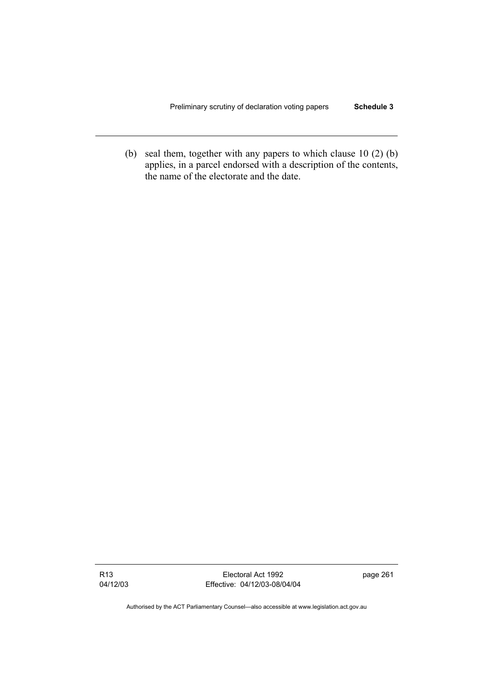(b) seal them, together with any papers to which clause 10 (2) (b) applies, in a parcel endorsed with a description of the contents, the name of the electorate and the date.

R13 04/12/03

Electoral Act 1992 Effective: 04/12/03-08/04/04 page 261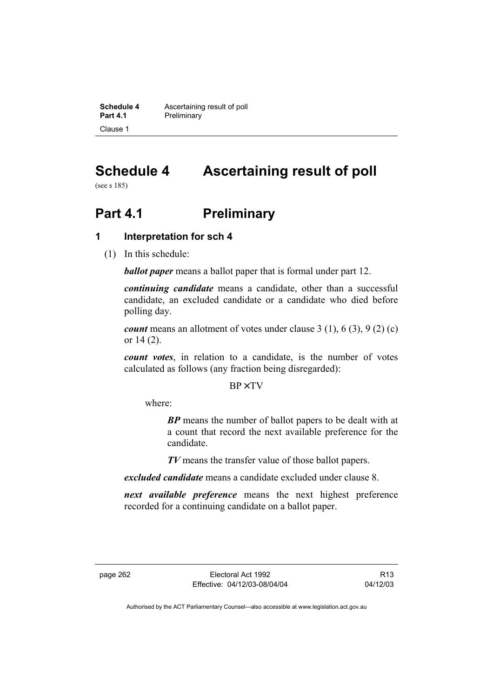**Schedule 4 Ascertaining result of poll**<br>**Part 4.1 Preliminary Preliminary** Clause 1

# **Schedule 4 Ascertaining result of poll**

(see s 185)

# **Part 4.1** Preliminary

# **1 Interpretation for sch 4**

(1) In this schedule:

*ballot paper* means a ballot paper that is formal under part 12.

*continuing candidate* means a candidate, other than a successful candidate, an excluded candidate or a candidate who died before polling day.

*count* means an allotment of votes under clause 3 (1), 6 (3), 9 (2) (c) or 14 (2).

*count votes*, in relation to a candidate, is the number of votes calculated as follows (any fraction being disregarded):

BP× TV

where:

*BP* means the number of ballot papers to be dealt with at a count that record the next available preference for the candidate.

*TV* means the transfer value of those ballot papers.

*excluded candidate* means a candidate excluded under clause 8.

*next available preference* means the next highest preference recorded for a continuing candidate on a ballot paper.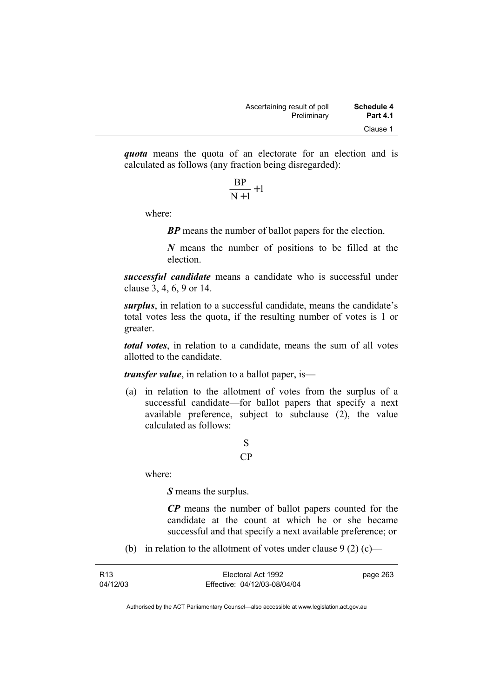*quota* means the quota of an electorate for an election and is calculated as follows (any fraction being disregarded):

$$
\frac{\text{BP}}{\text{N}+1}+1
$$

where:

*BP* means the number of ballot papers for the election.

*N* means the number of positions to be filled at the election.

*successful candidate* means a candidate who is successful under clause 3, 4, 6, 9 or 14.

*surplus*, in relation to a successful candidate, means the candidate's total votes less the quota, if the resulting number of votes is 1 or greater.

*total votes*, in relation to a candidate, means the sum of all votes allotted to the candidate.

*transfer value*, in relation to a ballot paper, is—

 (a) in relation to the allotment of votes from the surplus of a successful candidate—for ballot papers that specify a next available preference, subject to subclause (2), the value calculated as follows:

$$
\frac{\text{S}}{\text{CP}}
$$

where:

*S* means the surplus.

*CP* means the number of ballot papers counted for the candidate at the count at which he or she became successful and that specify a next available preference; or

(b) in relation to the allotment of votes under clause  $9(2)(c)$ —

| R <sub>13</sub> | Electoral Act 1992           | page 263 |
|-----------------|------------------------------|----------|
| 04/12/03        | Effective: 04/12/03-08/04/04 |          |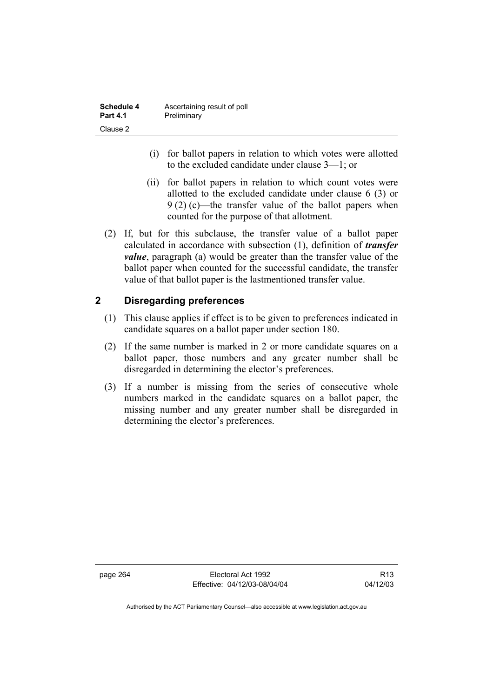| Schedule 4      | Ascertaining result of poll |
|-----------------|-----------------------------|
| <b>Part 4.1</b> | Preliminary                 |
| Clause 2        |                             |

- (i) for ballot papers in relation to which votes were allotted to the excluded candidate under clause 3—1; or
- (ii) for ballot papers in relation to which count votes were allotted to the excluded candidate under clause 6 (3) or 9 (2) (c)—the transfer value of the ballot papers when counted for the purpose of that allotment.
- (2) If, but for this subclause, the transfer value of a ballot paper calculated in accordance with subsection (1), definition of *transfer value*, paragraph (a) would be greater than the transfer value of the ballot paper when counted for the successful candidate, the transfer value of that ballot paper is the lastmentioned transfer value.

# **2 Disregarding preferences**

- (1) This clause applies if effect is to be given to preferences indicated in candidate squares on a ballot paper under section 180.
- (2) If the same number is marked in 2 or more candidate squares on a ballot paper, those numbers and any greater number shall be disregarded in determining the elector's preferences.
- (3) If a number is missing from the series of consecutive whole numbers marked in the candidate squares on a ballot paper, the missing number and any greater number shall be disregarded in determining the elector's preferences.

page 264 Electoral Act 1992 Effective: 04/12/03-08/04/04

R13 04/12/03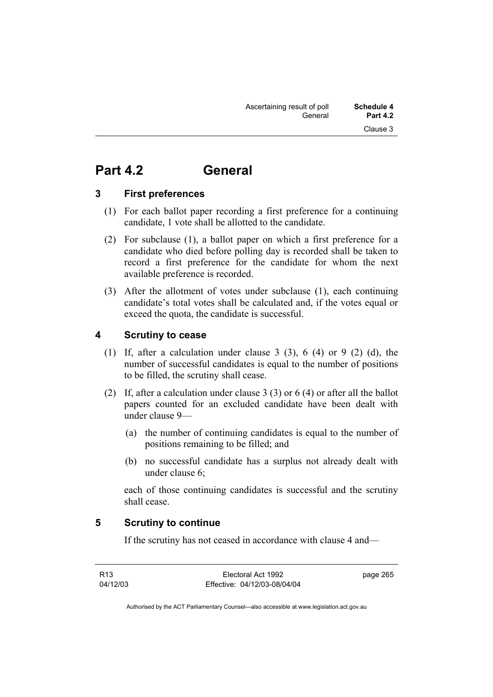# **Part 4.2 General**

# **3 First preferences**

- (1) For each ballot paper recording a first preference for a continuing candidate, 1 vote shall be allotted to the candidate.
- (2) For subclause (1), a ballot paper on which a first preference for a candidate who died before polling day is recorded shall be taken to record a first preference for the candidate for whom the next available preference is recorded.
- (3) After the allotment of votes under subclause (1), each continuing candidate's total votes shall be calculated and, if the votes equal or exceed the quota, the candidate is successful.

# **4 Scrutiny to cease**

- (1) If, after a calculation under clause 3 (3), 6 (4) or 9 (2) (d), the number of successful candidates is equal to the number of positions to be filled, the scrutiny shall cease.
- (2) If, after a calculation under clause 3 (3) or 6 (4) or after all the ballot papers counted for an excluded candidate have been dealt with under clause 9—
	- (a) the number of continuing candidates is equal to the number of positions remaining to be filled; and
	- (b) no successful candidate has a surplus not already dealt with under clause 6;

each of those continuing candidates is successful and the scrutiny shall cease.

# **5 Scrutiny to continue**

If the scrutiny has not ceased in accordance with clause 4 and—

R13 04/12/03

Electoral Act 1992 Effective: 04/12/03-08/04/04 page 265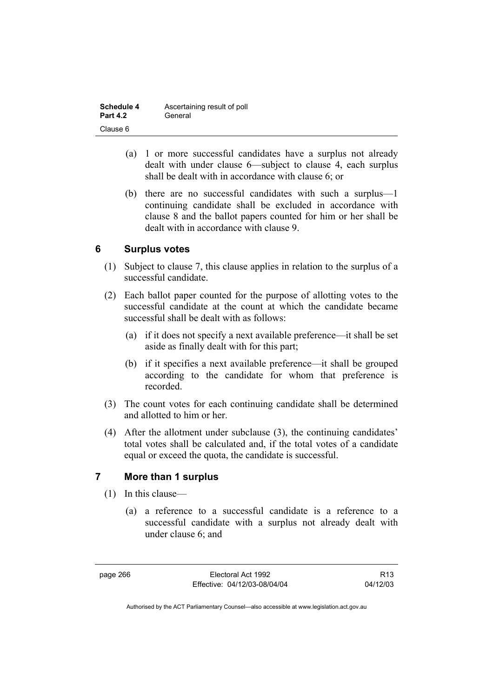| Schedule 4      | Ascertaining result of poll |
|-----------------|-----------------------------|
| <b>Part 4.2</b> | General                     |
| Clause 6        |                             |

- (a) 1 or more successful candidates have a surplus not already dealt with under clause 6—subject to clause 4, each surplus shall be dealt with in accordance with clause 6; or
- (b) there are no successful candidates with such a surplus—1 continuing candidate shall be excluded in accordance with clause 8 and the ballot papers counted for him or her shall be dealt with in accordance with clause 9.

# **6 Surplus votes**

- (1) Subject to clause 7, this clause applies in relation to the surplus of a successful candidate.
- (2) Each ballot paper counted for the purpose of allotting votes to the successful candidate at the count at which the candidate became successful shall be dealt with as follows:
	- (a) if it does not specify a next available preference—it shall be set aside as finally dealt with for this part;
	- (b) if it specifies a next available preference—it shall be grouped according to the candidate for whom that preference is recorded.
- (3) The count votes for each continuing candidate shall be determined and allotted to him or her.
- (4) After the allotment under subclause (3), the continuing candidates' total votes shall be calculated and, if the total votes of a candidate equal or exceed the quota, the candidate is successful.

# **7 More than 1 surplus**

- (1) In this clause—
	- (a) a reference to a successful candidate is a reference to a successful candidate with a surplus not already dealt with under clause 6; and

page 266 Electoral Act 1992 Effective: 04/12/03-08/04/04

R13 04/12/03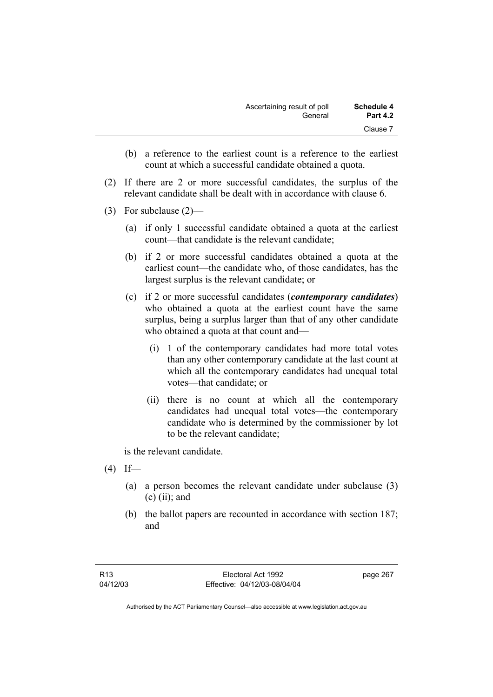| <b>Schedule 4</b> | Ascertaining result of poll |
|-------------------|-----------------------------|
| <b>Part 4.2</b>   | General                     |
| Clause 7          |                             |

- (b) a reference to the earliest count is a reference to the earliest count at which a successful candidate obtained a quota.
- (2) If there are 2 or more successful candidates, the surplus of the relevant candidate shall be dealt with in accordance with clause 6.
- (3) For subclause (2)—
	- (a) if only 1 successful candidate obtained a quota at the earliest count—that candidate is the relevant candidate;
	- (b) if 2 or more successful candidates obtained a quota at the earliest count—the candidate who, of those candidates, has the largest surplus is the relevant candidate; or
	- (c) if 2 or more successful candidates (*contemporary candidates*) who obtained a quota at the earliest count have the same surplus, being a surplus larger than that of any other candidate who obtained a quota at that count and—
		- (i) 1 of the contemporary candidates had more total votes than any other contemporary candidate at the last count at which all the contemporary candidates had unequal total votes—that candidate; or
		- (ii) there is no count at which all the contemporary candidates had unequal total votes—the contemporary candidate who is determined by the commissioner by lot to be the relevant candidate;

is the relevant candidate.

- $(4)$  If—
	- (a) a person becomes the relevant candidate under subclause (3)  $(c)$  (ii); and
	- (b) the ballot papers are recounted in accordance with section 187; and

page 267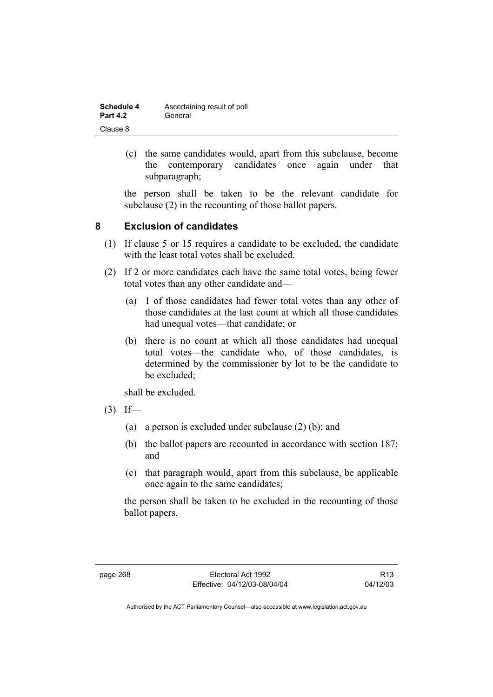| <b>Schedule 4</b> | Ascertaining result of poll |
|-------------------|-----------------------------|
| <b>Part 4.2</b>   | General                     |
| Clause 8          |                             |

 (c) the same candidates would, apart from this subclause, become the contemporary candidates once again under that subparagraph;

the person shall be taken to be the relevant candidate for subclause (2) in the recounting of those ballot papers.

# **8 Exclusion of candidates**

- (1) If clause 5 or 15 requires a candidate to be excluded, the candidate with the least total votes shall be excluded.
- (2) If 2 or more candidates each have the same total votes, being fewer total votes than any other candidate and—
	- (a) 1 of those candidates had fewer total votes than any other of those candidates at the last count at which all those candidates had unequal votes—that candidate; or
	- (b) there is no count at which all those candidates had unequal total votes—the candidate who, of those candidates, is determined by the commissioner by lot to be the candidate to be excluded;

shall be excluded.

- $(3)$  If—
	- (a) a person is excluded under subclause (2) (b); and
	- (b) the ballot papers are recounted in accordance with section 187; and
	- (c) that paragraph would, apart from this subclause, be applicable once again to the same candidates;

the person shall be taken to be excluded in the recounting of those ballot papers.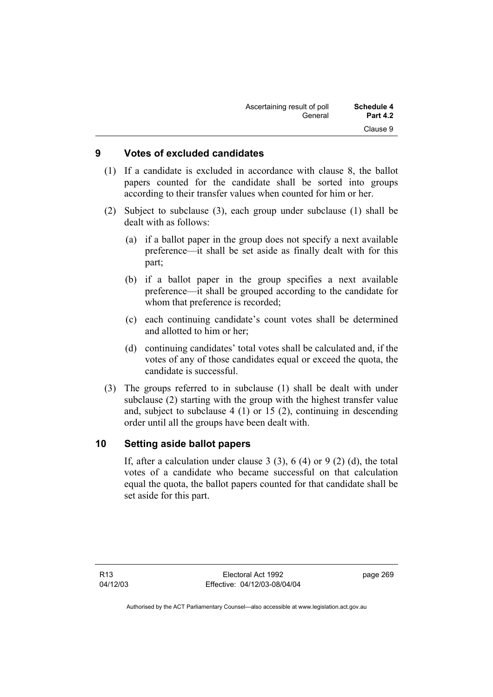| Schedule 4      | Ascertaining result of poll |
|-----------------|-----------------------------|
| <b>Part 4.2</b> | General                     |
| Clause 9        |                             |

## **9 Votes of excluded candidates**

- (1) If a candidate is excluded in accordance with clause 8, the ballot papers counted for the candidate shall be sorted into groups according to their transfer values when counted for him or her.
- (2) Subject to subclause (3), each group under subclause (1) shall be dealt with as follows:
	- (a) if a ballot paper in the group does not specify a next available preference—it shall be set aside as finally dealt with for this part;
	- (b) if a ballot paper in the group specifies a next available preference—it shall be grouped according to the candidate for whom that preference is recorded;
	- (c) each continuing candidate's count votes shall be determined and allotted to him or her;
	- (d) continuing candidates' total votes shall be calculated and, if the votes of any of those candidates equal or exceed the quota, the candidate is successful.
- (3) The groups referred to in subclause (1) shall be dealt with under subclause (2) starting with the group with the highest transfer value and, subject to subclause 4 (1) or 15 (2), continuing in descending order until all the groups have been dealt with.

# **10 Setting aside ballot papers**

If, after a calculation under clause 3  $(3)$ , 6  $(4)$  or 9  $(2)$   $(d)$ , the total votes of a candidate who became successful on that calculation equal the quota, the ballot papers counted for that candidate shall be set aside for this part.

page 269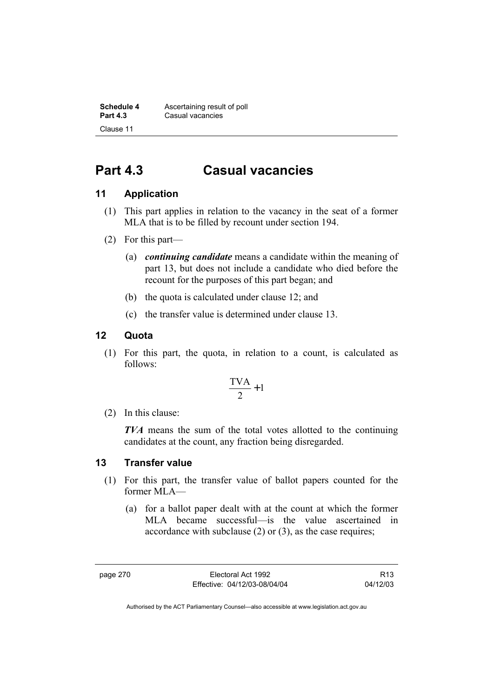**Schedule 4 Ascertaining result of poll**<br>**Part 4.3 Casual vacancies Casual vacancies** Clause 11

# **Part 4.3 Casual vacancies**

# **11 Application**

- (1) This part applies in relation to the vacancy in the seat of a former MLA that is to be filled by recount under section 194.
- (2) For this part—
	- (a) *continuing candidate* means a candidate within the meaning of part 13, but does not include a candidate who died before the recount for the purposes of this part began; and
	- (b) the quota is calculated under clause 12; and
	- (c) the transfer value is determined under clause 13.

# **12 Quota**

 (1) For this part, the quota, in relation to a count, is calculated as follows:

$$
\frac{\text{TVA}}{2} + 1
$$

(2) In this clause:

*TVA* means the sum of the total votes allotted to the continuing candidates at the count, any fraction being disregarded.

# **13 Transfer value**

- (1) For this part, the transfer value of ballot papers counted for the former MLA—
	- (a) for a ballot paper dealt with at the count at which the former MLA became successful—is the value ascertained in accordance with subclause (2) or (3), as the case requires;

page 270 Electoral Act 1992 Effective: 04/12/03-08/04/04

R13 04/12/03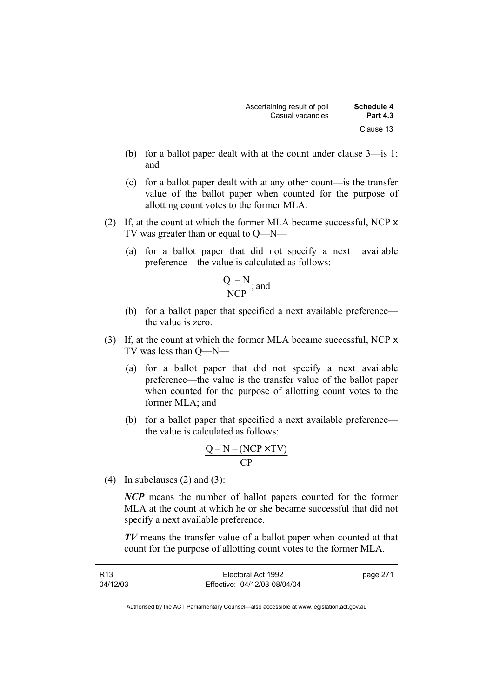- (b) for a ballot paper dealt with at the count under clause 3—is 1; and
- (c) for a ballot paper dealt with at any other count—is the transfer value of the ballot paper when counted for the purpose of allotting count votes to the former MLA.
- (2) If, at the count at which the former MLA became successful, NCP x TV was greater than or equal to Q—N—
	- (a) for a ballot paper that did not specify a next available preference—the value is calculated as follows:

$$
\frac{Q-N}{NCP}; \text{and}
$$

- (b) for a ballot paper that specified a next available preference the value is zero.
- (3) If, at the count at which the former MLA became successful, NCP x TV was less than Q—N—
	- (a) for a ballot paper that did not specify a next available preference—the value is the transfer value of the ballot paper when counted for the purpose of allotting count votes to the former MLA; and
	- (b) for a ballot paper that specified a next available preference the value is calculated as follows:

$$
\frac{Q-N-(NCP \times TV)}{CP}
$$

(4) In subclauses  $(2)$  and  $(3)$ :

*NCP* means the number of ballot papers counted for the former MLA at the count at which he or she became successful that did not specify a next available preference.

*TV* means the transfer value of a ballot paper when counted at that count for the purpose of allotting count votes to the former MLA.

| R13      | Electoral Act 1992           | page 271 |
|----------|------------------------------|----------|
| 04/12/03 | Effective: 04/12/03-08/04/04 |          |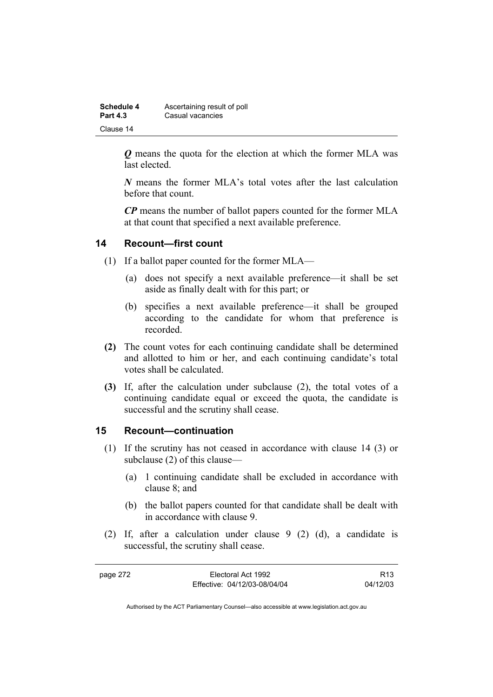| <b>Schedule 4</b> | Ascertaining result of poll |
|-------------------|-----------------------------|
| <b>Part 4.3</b>   | Casual vacancies            |
| Clause 14         |                             |

*Q* means the quota for the election at which the former MLA was last elected.

*N* means the former MLA's total votes after the last calculation before that count.

*CP* means the number of ballot papers counted for the former MLA at that count that specified a next available preference.

# **14 Recount—first count**

- (1) If a ballot paper counted for the former MLA—
	- (a) does not specify a next available preference—it shall be set aside as finally dealt with for this part; or
	- (b) specifies a next available preference—it shall be grouped according to the candidate for whom that preference is recorded.
- **(2)** The count votes for each continuing candidate shall be determined and allotted to him or her, and each continuing candidate's total votes shall be calculated.
- **(3)** If, after the calculation under subclause (2), the total votes of a continuing candidate equal or exceed the quota, the candidate is successful and the scrutiny shall cease.

# **15 Recount—continuation**

- (1) If the scrutiny has not ceased in accordance with clause 14 (3) or subclause (2) of this clause—
	- (a) 1 continuing candidate shall be excluded in accordance with clause 8; and
	- (b) the ballot papers counted for that candidate shall be dealt with in accordance with clause 9.
- (2) If, after a calculation under clause 9 (2) (d), a candidate is successful, the scrutiny shall cease.

page 272 Electoral Act 1992 Effective: 04/12/03-08/04/04

R13 04/12/03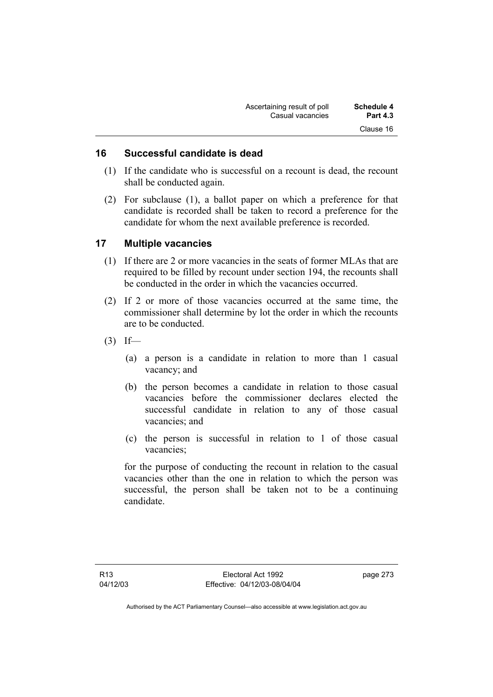| Ascertaining result of poll | <b>Schedule 4</b> |
|-----------------------------|-------------------|
| Casual vacancies            | <b>Part 4.3</b>   |
|                             | Clause 16         |

# **16 Successful candidate is dead**

- (1) If the candidate who is successful on a recount is dead, the recount shall be conducted again.
- (2) For subclause (1), a ballot paper on which a preference for that candidate is recorded shall be taken to record a preference for the candidate for whom the next available preference is recorded.

# **17 Multiple vacancies**

- (1) If there are 2 or more vacancies in the seats of former MLAs that are required to be filled by recount under section 194, the recounts shall be conducted in the order in which the vacancies occurred.
- (2) If 2 or more of those vacancies occurred at the same time, the commissioner shall determine by lot the order in which the recounts are to be conducted.
- $(3)$  If—
	- (a) a person is a candidate in relation to more than 1 casual vacancy; and
	- (b) the person becomes a candidate in relation to those casual vacancies before the commissioner declares elected the successful candidate in relation to any of those casual vacancies; and
	- (c) the person is successful in relation to 1 of those casual vacancies;

for the purpose of conducting the recount in relation to the casual vacancies other than the one in relation to which the person was successful, the person shall be taken not to be a continuing candidate.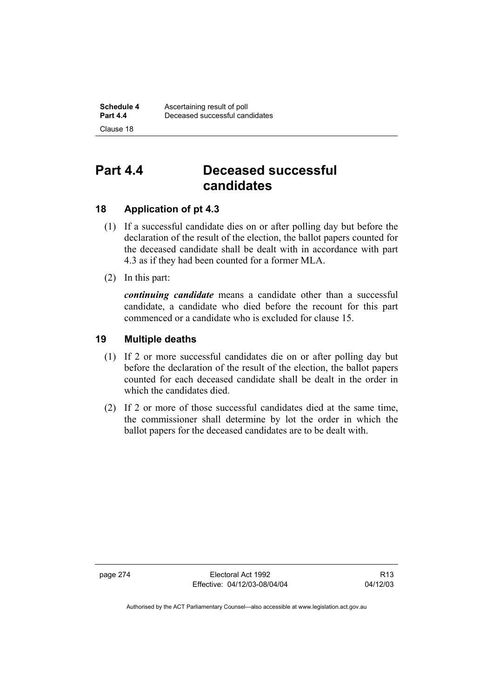# **Part 4.4 Deceased successful candidates**

# **18 Application of pt 4.3**

- (1) If a successful candidate dies on or after polling day but before the declaration of the result of the election, the ballot papers counted for the deceased candidate shall be dealt with in accordance with part 4.3 as if they had been counted for a former MLA.
- (2) In this part:

*continuing candidate* means a candidate other than a successful candidate, a candidate who died before the recount for this part commenced or a candidate who is excluded for clause 15.

# **19 Multiple deaths**

- (1) If 2 or more successful candidates die on or after polling day but before the declaration of the result of the election, the ballot papers counted for each deceased candidate shall be dealt in the order in which the candidates died.
- (2) If 2 or more of those successful candidates died at the same time, the commissioner shall determine by lot the order in which the ballot papers for the deceased candidates are to be dealt with.

page 274 Electoral Act 1992 Effective: 04/12/03-08/04/04

R13 04/12/03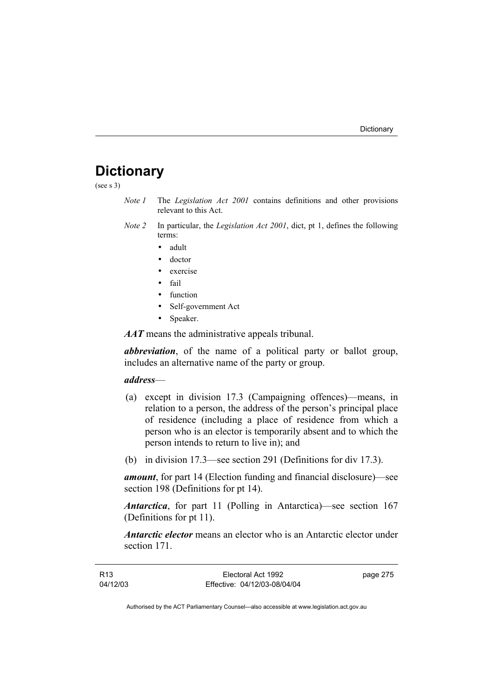# **Dictionary**

(see s 3)

- *Note 1* The *Legislation Act 2001* contains definitions and other provisions relevant to this Act.
- *Note 2* In particular, the *Legislation Act 2001*, dict, pt 1, defines the following terms:
	- adult
	- doctor
	- exercise
	- fail
	- function
	- Self-government Act
	- Speaker.

*AAT* means the administrative appeals tribunal.

*abbreviation*, of the name of a political party or ballot group, includes an alternative name of the party or group.

## *address*—

- (a) except in division 17.3 (Campaigning offences)—means, in relation to a person, the address of the person's principal place of residence (including a place of residence from which a person who is an elector is temporarily absent and to which the person intends to return to live in); and
- (b) in division 17.3—see section 291 (Definitions for div 17.3).

*amount*, for part 14 (Election funding and financial disclosure)—see section 198 (Definitions for pt 14).

*Antarctica*, for part 11 (Polling in Antarctica)—see section 167 (Definitions for pt 11).

*Antarctic elector* means an elector who is an Antarctic elector under section 171.

| R13      | Electoral Act 1992           | page 275 |
|----------|------------------------------|----------|
| 04/12/03 | Effective: 04/12/03-08/04/04 |          |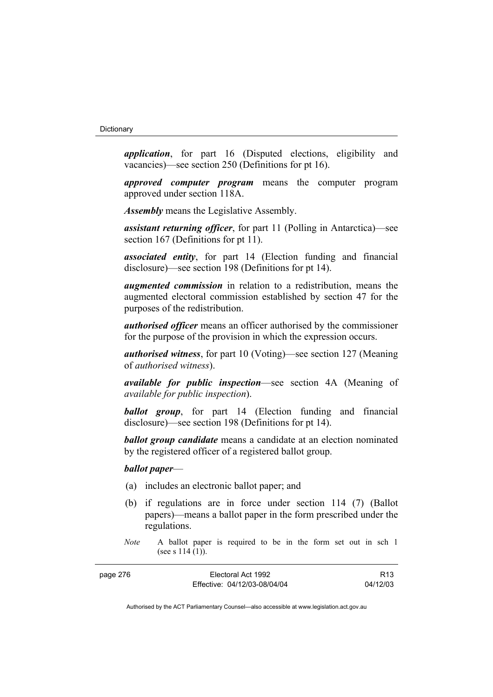*application*, for part 16 (Disputed elections, eligibility and vacancies)—see section 250 (Definitions for pt 16).

*approved computer program* means the computer program approved under section 118A.

*Assembly* means the Legislative Assembly.

*assistant returning officer*, for part 11 (Polling in Antarctica)—see section 167 (Definitions for pt 11).

*associated entity*, for part 14 (Election funding and financial disclosure)—see section 198 (Definitions for pt 14).

*augmented commission* in relation to a redistribution, means the augmented electoral commission established by section 47 for the purposes of the redistribution.

*authorised officer* means an officer authorised by the commissioner for the purpose of the provision in which the expression occurs.

*authorised witness*, for part 10 (Voting)—see section 127 (Meaning of *authorised witness*).

*available for public inspection*—see section 4A (Meaning of *available for public inspection*).

*ballot group*, for part 14 (Election funding and financial disclosure)—see section 198 (Definitions for pt 14).

*ballot group candidate* means a candidate at an election nominated by the registered officer of a registered ballot group.

# *ballot paper*—

- (a) includes an electronic ballot paper; and
- (b) if regulations are in force under section 114 (7) (Ballot papers)—means a ballot paper in the form prescribed under the regulations.
- *Note* A ballot paper is required to be in the form set out in sch 1 (see s 114 (1)).

| page 276 | Electoral Act 1992           | R <sub>13</sub> |
|----------|------------------------------|-----------------|
|          | Effective: 04/12/03-08/04/04 | 04/12/03        |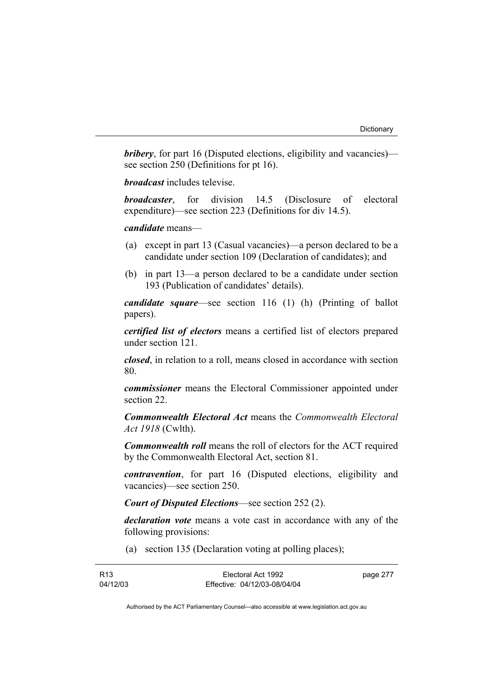*bribery*, for part 16 (Disputed elections, eligibility and vacancies) see section 250 (Definitions for pt 16).

*broadcast* includes televise.

*broadcaster*, for division 14.5 (Disclosure of electoral expenditure)—see section 223 (Definitions for div 14.5).

## *candidate* means—

- (a) except in part 13 (Casual vacancies)—a person declared to be a candidate under section 109 (Declaration of candidates); and
- (b) in part 13—a person declared to be a candidate under section 193 (Publication of candidates' details).

*candidate square*—see section 116 (1) (h) (Printing of ballot papers).

*certified list of electors* means a certified list of electors prepared under section 121.

*closed*, in relation to a roll, means closed in accordance with section 80.

*commissioner* means the Electoral Commissioner appointed under section 22.

*Commonwealth Electoral Act* means the *Commonwealth Electoral Act 1918* (Cwlth).

*Commonwealth roll* means the roll of electors for the ACT required by the Commonwealth Electoral Act, section 81.

*contravention*, for part 16 (Disputed elections, eligibility and vacancies)—see section 250.

*Court of Disputed Elections*—see section 252 (2).

*declaration vote* means a vote cast in accordance with any of the following provisions:

(a) section 135 (Declaration voting at polling places);

| R <sub>13</sub> | Electoral Act 1992           | page 277 |
|-----------------|------------------------------|----------|
| 04/12/03        | Effective: 04/12/03-08/04/04 |          |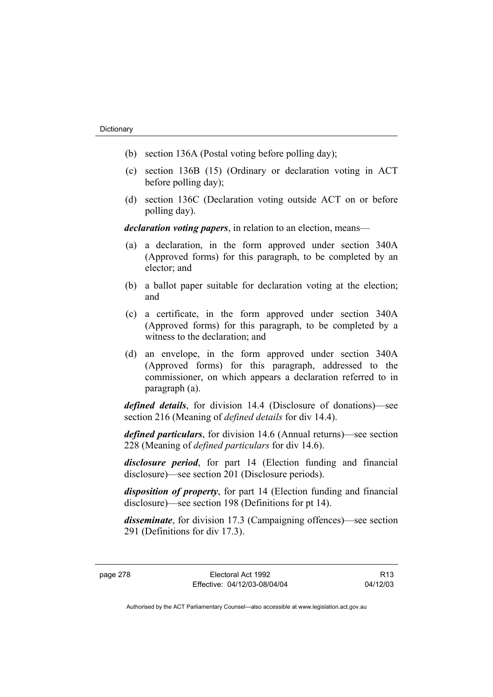- (b) section 136A (Postal voting before polling day);
- (c) section 136B (15) (Ordinary or declaration voting in ACT before polling day);
- (d) section 136C (Declaration voting outside ACT on or before polling day).

*declaration voting papers*, in relation to an election, means—

- (a) a declaration, in the form approved under section 340A (Approved forms) for this paragraph, to be completed by an elector; and
- (b) a ballot paper suitable for declaration voting at the election; and
- (c) a certificate, in the form approved under section 340A (Approved forms) for this paragraph, to be completed by a witness to the declaration; and
- (d) an envelope, in the form approved under section 340A (Approved forms) for this paragraph, addressed to the commissioner, on which appears a declaration referred to in paragraph (a).

*defined details*, for division 14.4 (Disclosure of donations)—see section 216 (Meaning of *defined details* for div 14.4).

*defined particulars*, for division 14.6 (Annual returns)—see section 228 (Meaning of *defined particulars* for div 14.6).

*disclosure period*, for part 14 (Election funding and financial disclosure)—see section 201 (Disclosure periods).

*disposition of property*, for part 14 (Election funding and financial disclosure)—see section 198 (Definitions for pt 14).

*disseminate*, for division 17.3 (Campaigning offences)—see section 291 (Definitions for div 17.3).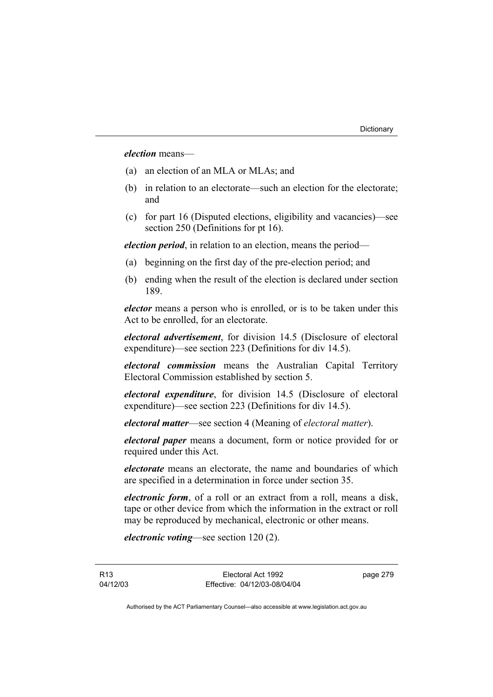# *election* means—

- (a) an election of an MLA or MLAs; and
- (b) in relation to an electorate—such an election for the electorate; and
- (c) for part 16 (Disputed elections, eligibility and vacancies)—see section 250 (Definitions for pt 16).

*election period*, in relation to an election, means the period—

- (a) beginning on the first day of the pre-election period; and
- (b) ending when the result of the election is declared under section 189.

*elector* means a person who is enrolled, or is to be taken under this Act to be enrolled, for an electorate.

*electoral advertisement*, for division 14.5 (Disclosure of electoral expenditure)—see section 223 (Definitions for div 14.5).

*electoral commission* means the Australian Capital Territory Electoral Commission established by section 5.

*electoral expenditure*, for division 14.5 (Disclosure of electoral expenditure)—see section 223 (Definitions for div 14.5).

*electoral matter*—see section 4 (Meaning of *electoral matter*).

*electoral paper* means a document, form or notice provided for or required under this Act.

*electorate* means an electorate, the name and boundaries of which are specified in a determination in force under section 35.

*electronic form*, of a roll or an extract from a roll, means a disk, tape or other device from which the information in the extract or roll may be reproduced by mechanical, electronic or other means.

*electronic voting*—see section 120 (2).

R13 04/12/03 page 279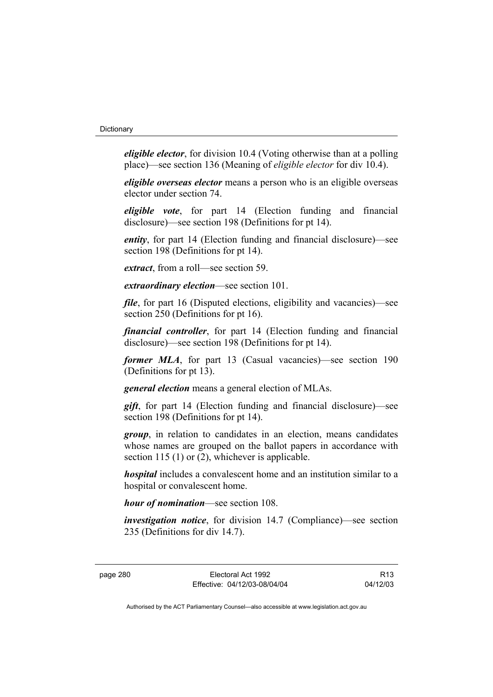*eligible elector*, for division 10.4 (Voting otherwise than at a polling place)—see section 136 (Meaning of *eligible elector* for div 10.4).

*eligible overseas elector* means a person who is an eligible overseas elector under section 74.

*eligible vote*, for part 14 (Election funding and financial disclosure)—see section 198 (Definitions for pt 14).

*entity*, for part 14 (Election funding and financial disclosure)—see section 198 (Definitions for pt 14).

*extract*, from a roll—see section 59.

*extraordinary election*—see section 101.

*file*, for part 16 (Disputed elections, eligibility and vacancies)—see section 250 (Definitions for pt 16).

*financial controller*, for part 14 (Election funding and financial disclosure)—see section 198 (Definitions for pt 14).

*former MLA*, for part 13 (Casual vacancies)—see section 190 (Definitions for pt 13).

*general election* means a general election of MLAs.

*gift*, for part 14 (Election funding and financial disclosure)—see section 198 (Definitions for pt 14).

*group*, in relation to candidates in an election, means candidates whose names are grouped on the ballot papers in accordance with section 115 (1) or (2), whichever is applicable.

*hospital* includes a convalescent home and an institution similar to a hospital or convalescent home.

*hour of nomination*—see section 108.

*investigation notice*, for division 14.7 (Compliance)—see section 235 (Definitions for div 14.7).

R13 04/12/03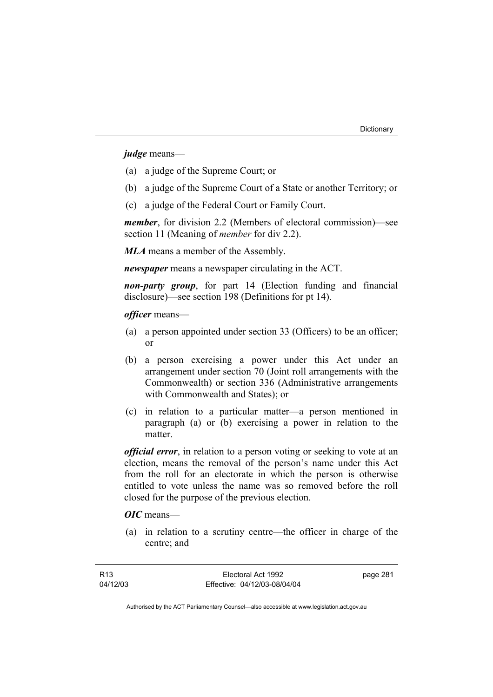*judge* means—

- (a) a judge of the Supreme Court; or
- (b) a judge of the Supreme Court of a State or another Territory; or
- (c) a judge of the Federal Court or Family Court.

*member*, for division 2.2 (Members of electoral commission)—see section 11 (Meaning of *member* for div 2.2).

*MLA* means a member of the Assembly.

*newspaper* means a newspaper circulating in the ACT.

*non-party group*, for part 14 (Election funding and financial disclosure)—see section 198 (Definitions for pt 14).

*officer* means—

- (a) a person appointed under section 33 (Officers) to be an officer; or
- (b) a person exercising a power under this Act under an arrangement under section 70 (Joint roll arrangements with the Commonwealth) or section 336 (Administrative arrangements with Commonwealth and States); or
- (c) in relation to a particular matter—a person mentioned in paragraph (a) or (b) exercising a power in relation to the matter.

*official error*, in relation to a person voting or seeking to vote at an election, means the removal of the person's name under this Act from the roll for an electorate in which the person is otherwise entitled to vote unless the name was so removed before the roll closed for the purpose of the previous election.

*OIC* means—

 (a) in relation to a scrutiny centre—the officer in charge of the centre; and

page 281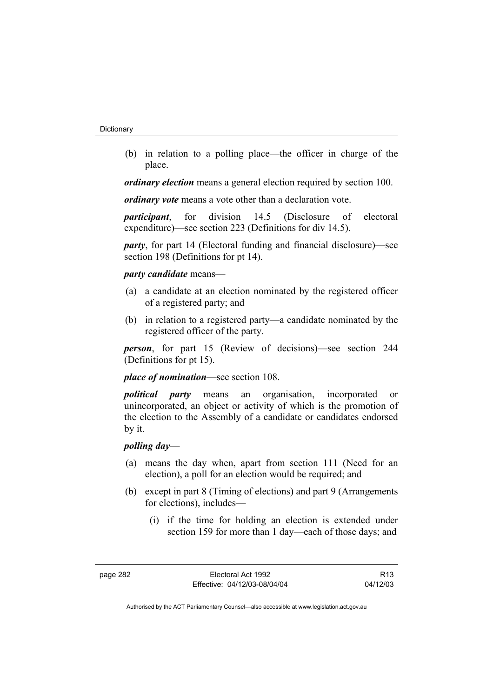(b) in relation to a polling place—the officer in charge of the place.

*ordinary election* means a general election required by section 100.

*ordinary vote* means a vote other than a declaration vote.

*participant*, for division 14.5 (Disclosure of electoral expenditure)—see section 223 (Definitions for div 14.5).

*party*, for part 14 (Electoral funding and financial disclosure)—see section 198 (Definitions for pt 14).

# *party candidate* means—

- (a) a candidate at an election nominated by the registered officer of a registered party; and
- (b) in relation to a registered party—a candidate nominated by the registered officer of the party.

*person*, for part 15 (Review of decisions)—see section 244 (Definitions for pt 15).

*place of nomination*—see section 108.

*political party* means an organisation, incorporated or unincorporated, an object or activity of which is the promotion of the election to the Assembly of a candidate or candidates endorsed by it.

# *polling day*—

- (a) means the day when, apart from section 111 (Need for an election), a poll for an election would be required; and
- (b) except in part 8 (Timing of elections) and part 9 (Arrangements for elections), includes—
	- (i) if the time for holding an election is extended under section 159 for more than 1 day—each of those days; and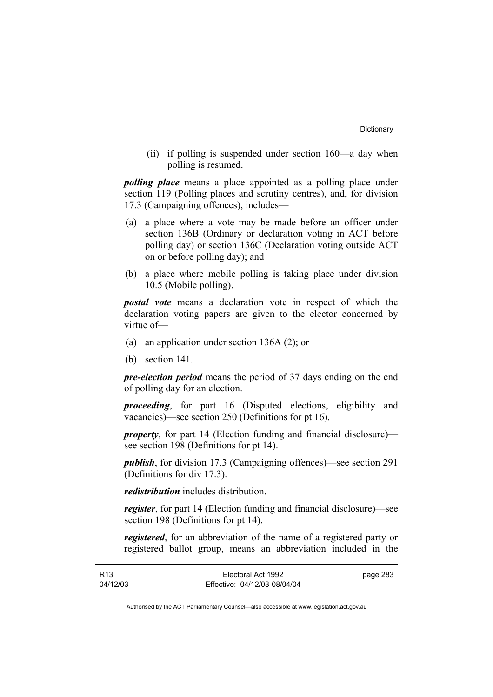(ii) if polling is suspended under section 160—a day when polling is resumed.

*polling place* means a place appointed as a polling place under section 119 (Polling places and scrutiny centres), and, for division 17.3 (Campaigning offences), includes—

- (a) a place where a vote may be made before an officer under section 136B (Ordinary or declaration voting in ACT before polling day) or section 136C (Declaration voting outside ACT on or before polling day); and
- (b) a place where mobile polling is taking place under division 10.5 (Mobile polling).

*postal vote* means a declaration vote in respect of which the declaration voting papers are given to the elector concerned by virtue of—

- (a) an application under section 136A (2); or
- (b) section 141.

*pre-election period* means the period of 37 days ending on the end of polling day for an election.

*proceeding*, for part 16 (Disputed elections, eligibility and vacancies)—see section 250 (Definitions for pt 16).

*property*, for part 14 (Election funding and financial disclosure) see section 198 (Definitions for pt 14).

*publish*, for division 17.3 (Campaigning offences)—see section 291 (Definitions for div 17.3).

*redistribution* includes distribution.

*register*, for part 14 (Election funding and financial disclosure)—see section 198 (Definitions for pt 14).

*registered*, for an abbreviation of the name of a registered party or registered ballot group, means an abbreviation included in the

| R13      | Electoral Act 1992           | page 283 |
|----------|------------------------------|----------|
| 04/12/03 | Effective: 04/12/03-08/04/04 |          |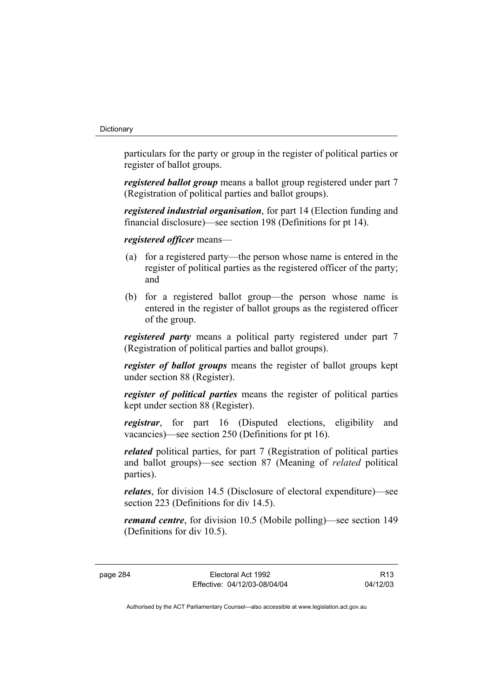particulars for the party or group in the register of political parties or register of ballot groups.

*registered ballot group* means a ballot group registered under part 7 (Registration of political parties and ballot groups).

*registered industrial organisation*, for part 14 (Election funding and financial disclosure)—see section 198 (Definitions for pt 14).

*registered officer* means—

- (a) for a registered party—the person whose name is entered in the register of political parties as the registered officer of the party; and
- (b) for a registered ballot group—the person whose name is entered in the register of ballot groups as the registered officer of the group.

*registered party* means a political party registered under part 7 (Registration of political parties and ballot groups).

*register of ballot groups* means the register of ballot groups kept under section 88 (Register).

*register of political parties* means the register of political parties kept under section 88 (Register).

*registrar*, for part 16 (Disputed elections, eligibility and vacancies)—see section 250 (Definitions for pt 16).

*related* political parties, for part 7 (Registration of political parties and ballot groups)—see section 87 (Meaning of *related* political parties).

*relates*, for division 14.5 (Disclosure of electoral expenditure)—see section 223 (Definitions for div 14.5).

*remand centre*, for division 10.5 (Mobile polling)—see section 149 (Definitions for div 10.5).

page 284 Electoral Act 1992 Effective: 04/12/03-08/04/04

R13 04/12/03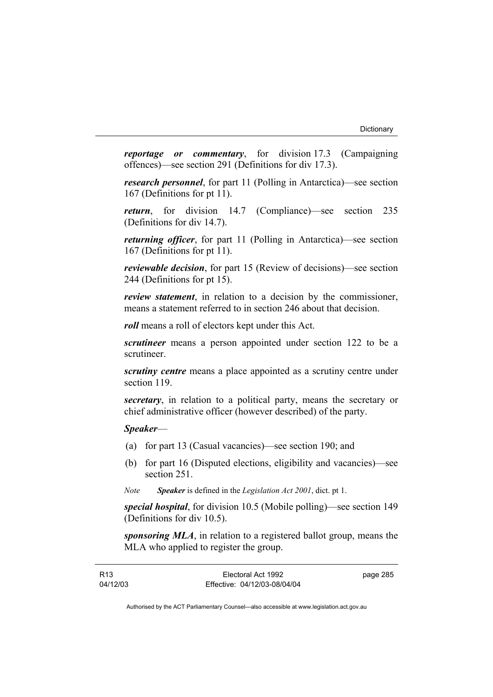*reportage or commentary*, for division 17.3 (Campaigning offences)—see section 291 (Definitions for div 17.3).

*research personnel*, for part 11 (Polling in Antarctica)—see section 167 (Definitions for pt 11).

*return*, for division 14.7 (Compliance)—see section 235 (Definitions for div 14.7).

*returning officer*, for part 11 (Polling in Antarctica)—see section 167 (Definitions for pt 11).

*reviewable decision*, for part 15 (Review of decisions)—see section 244 (Definitions for pt 15).

*review statement*, in relation to a decision by the commissioner, means a statement referred to in section 246 about that decision.

*roll* means a roll of electors kept under this Act.

*scrutineer* means a person appointed under section 122 to be a scrutineer.

*scrutiny centre* means a place appointed as a scrutiny centre under section 119.

*secretary*, in relation to a political party, means the secretary or chief administrative officer (however described) of the party.

*Speaker*—

- (a) for part 13 (Casual vacancies)—see section 190; and
- (b) for part 16 (Disputed elections, eligibility and vacancies)—see section 251.
- *Note Speaker* is defined in the *Legislation Act 2001*, dict. pt 1.

*special hospital*, for division 10.5 (Mobile polling)—see section 149 (Definitions for div 10.5).

*sponsoring MLA*, in relation to a registered ballot group, means the MLA who applied to register the group.

| R13      | Electoral Act 1992           | page 285 |
|----------|------------------------------|----------|
| 04/12/03 | Effective: 04/12/03-08/04/04 |          |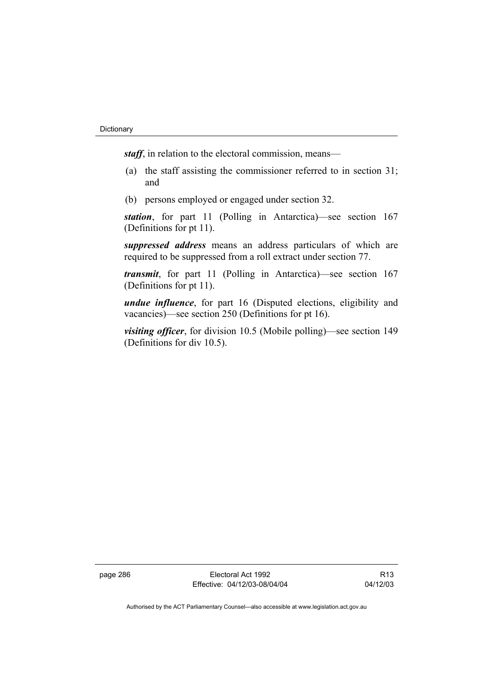*staff*, in relation to the electoral commission, means—

- (a) the staff assisting the commissioner referred to in section 31; and
- (b) persons employed or engaged under section 32.

*station*, for part 11 (Polling in Antarctica)—see section 167 (Definitions for pt 11).

*suppressed address* means an address particulars of which are required to be suppressed from a roll extract under section 77.

*transmit*, for part 11 (Polling in Antarctica)—see section 167 (Definitions for pt 11).

*undue influence*, for part 16 (Disputed elections, eligibility and vacancies)—see section 250 (Definitions for pt 16).

*visiting officer*, for division 10.5 (Mobile polling)—see section 149 (Definitions for div 10.5).

page 286 Electoral Act 1992 Effective: 04/12/03-08/04/04

R13 04/12/03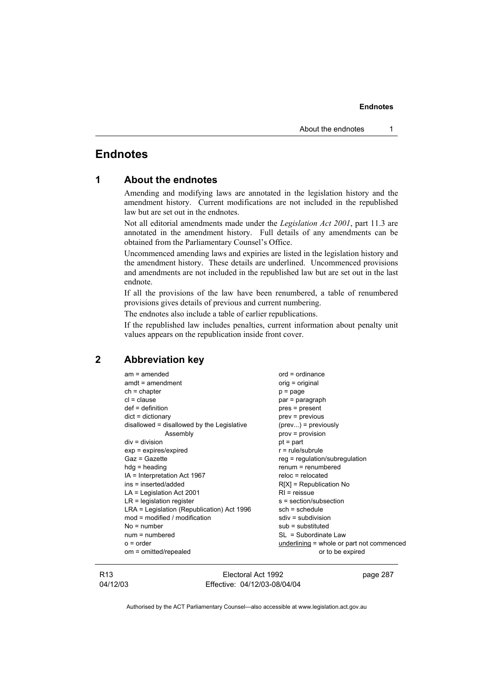# **Endnotes**

| 1 |  |  | <b>About the endnotes</b> |
|---|--|--|---------------------------|
|---|--|--|---------------------------|

Amending and modifying laws are annotated in the legislation history and the amendment history. Current modifications are not included in the republished law but are set out in the endnotes.

Not all editorial amendments made under the *Legislation Act 2001*, part 11.3 are annotated in the amendment history. Full details of any amendments can be obtained from the Parliamentary Counsel's Office.

Uncommenced amending laws and expiries are listed in the legislation history and the amendment history. These details are underlined. Uncommenced provisions and amendments are not included in the republished law but are set out in the last endnote.

If all the provisions of the law have been renumbered, a table of renumbered provisions gives details of previous and current numbering.

The endnotes also include a table of earlier republications.

If the republished law includes penalties, current information about penalty unit values appears on the republication inside front cover.

# **2 Abbreviation key**

| $am = amended$                             | $ord = ordinance$                         |
|--------------------------------------------|-------------------------------------------|
| $amdt = amendment$                         | $orig = original$                         |
| $ch = chapter$                             | $p = page$                                |
| $cl = clause$                              | par = paragraph                           |
| $def = definition$                         | pres = present                            |
| $dict = dictionary$                        | prev = previous                           |
| disallowed = disallowed by the Legislative | $(\text{prev})$ = previously              |
| Assembly                                   | prov = provision                          |
| $div = division$                           | $pt = part$                               |
| $exp = expires/expired$                    | $r = rule/subrule$                        |
| Gaz = Gazette                              | $reg = regulation/subregulation$          |
| $hdg =$ heading                            | $renum = renumbered$                      |
| IA = Interpretation Act 1967               | $reloc = relocated$                       |
| ins = inserted/added                       | $R[X]$ = Republication No                 |
| $LA =$ Legislation Act 2001                | $RI = reissue$                            |
| $LR =$ legislation register                | s = section/subsection                    |
| LRA = Legislation (Republication) Act 1996 | $sch = schedule$                          |
| $mod = modified / modified$                | $sdiv = subdivision$                      |
| $No = number$                              | $sub =$ substituted                       |
| $num = numbered$                           | SL = Subordinate Law                      |
| $o = order$                                | underlining = whole or part not commenced |
| om = omitted/repealed                      | or to be expired                          |
|                                            |                                           |

R13 04/12/03

Electoral Act 1992 Effective: 04/12/03-08/04/04 page 287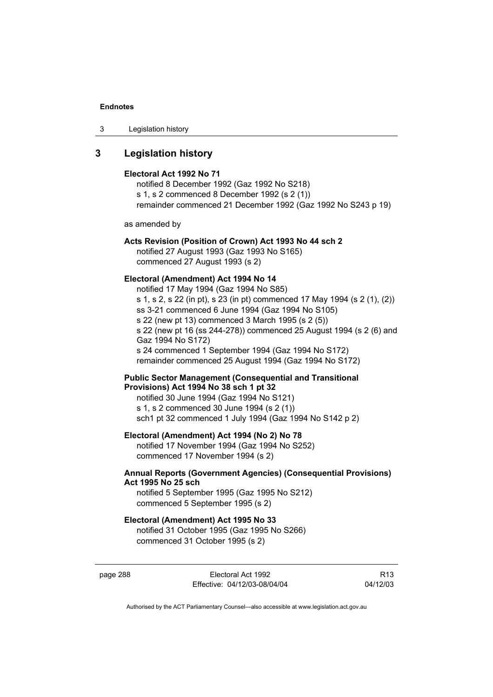3 Legislation history

# **3 Legislation history**

### **Electoral Act 1992 No 71**

notified 8 December 1992 (Gaz 1992 No S218) s 1, s 2 commenced 8 December 1992 (s 2 (1)) remainder commenced 21 December 1992 (Gaz 1992 No S243 p 19)

as amended by

## **Acts Revision (Position of Crown) Act 1993 No 44 sch 2**

notified 27 August 1993 (Gaz 1993 No S165) commenced 27 August 1993 (s 2)

## **Electoral (Amendment) Act 1994 No 14**

notified 17 May 1994 (Gaz 1994 No S85) s 1, s 2, s 22 (in pt), s 23 (in pt) commenced 17 May 1994 (s 2 (1), (2)) ss 3-21 commenced 6 June 1994 (Gaz 1994 No S105) s 22 (new pt 13) commenced 3 March 1995 (s 2 (5)) s 22 (new pt 16 (ss 244-278)) commenced 25 August 1994 (s 2 (6) and Gaz 1994 No S172) s 24 commenced 1 September 1994 (Gaz 1994 No S172) remainder commenced 25 August 1994 (Gaz 1994 No S172)

# **Public Sector Management (Consequential and Transitional Provisions) Act 1994 No 38 sch 1 pt 32**

notified 30 June 1994 (Gaz 1994 No S121) s 1, s 2 commenced 30 June 1994 (s 2 (1)) sch1 pt 32 commenced 1 July 1994 (Gaz 1994 No S142 p 2)

## **Electoral (Amendment) Act 1994 (No 2) No 78**

notified 17 November 1994 (Gaz 1994 No S252) commenced 17 November 1994 (s 2)

## **Annual Reports (Government Agencies) (Consequential Provisions) Act 1995 No 25 sch**

notified 5 September 1995 (Gaz 1995 No S212) commenced 5 September 1995 (s 2)

## **Electoral (Amendment) Act 1995 No 33**

notified 31 October 1995 (Gaz 1995 No S266) commenced 31 October 1995 (s 2)

page 288 Electoral Act 1992 Effective: 04/12/03-08/04/04

R13 04/12/03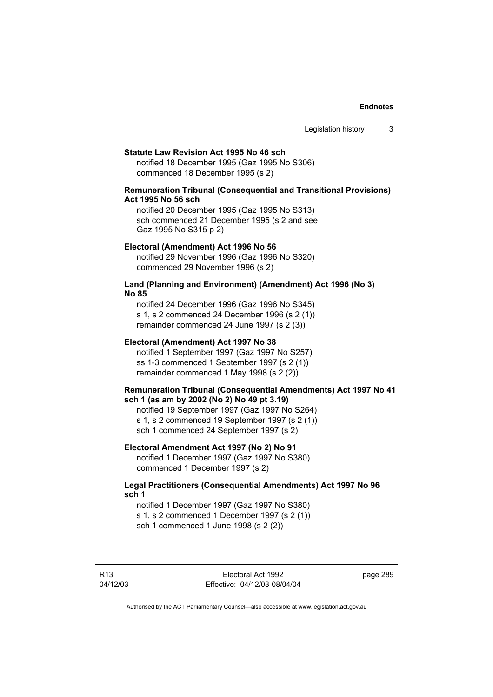Legislation history 3

### **Statute Law Revision Act 1995 No 46 sch**

notified 18 December 1995 (Gaz 1995 No S306) commenced 18 December 1995 (s 2)

## **Remuneration Tribunal (Consequential and Transitional Provisions) Act 1995 No 56 sch**

notified 20 December 1995 (Gaz 1995 No S313) sch commenced 21 December 1995 (s 2 and see Gaz 1995 No S315 p 2)

## **Electoral (Amendment) Act 1996 No 56**

notified 29 November 1996 (Gaz 1996 No S320) commenced 29 November 1996 (s 2)

# **Land (Planning and Environment) (Amendment) Act 1996 (No 3) No 85**

notified 24 December 1996 (Gaz 1996 No S345) s 1, s 2 commenced 24 December 1996 (s 2 (1)) remainder commenced 24 June 1997 (s 2 (3))

# **Electoral (Amendment) Act 1997 No 38**

notified 1 September 1997 (Gaz 1997 No S257) ss 1-3 commenced 1 September 1997 (s 2 (1)) remainder commenced 1 May 1998 (s 2 (2))

## **Remuneration Tribunal (Consequential Amendments) Act 1997 No 41 sch 1 (as am by 2002 (No 2) No 49 pt 3.19)**

notified 19 September 1997 (Gaz 1997 No S264) s 1, s 2 commenced 19 September 1997 (s 2 (1)) sch 1 commenced 24 September 1997 (s 2)

## **Electoral Amendment Act 1997 (No 2) No 91**

notified 1 December 1997 (Gaz 1997 No S380) commenced 1 December 1997 (s 2)

# **Legal Practitioners (Consequential Amendments) Act 1997 No 96 sch 1**

notified 1 December 1997 (Gaz 1997 No S380) s 1, s 2 commenced 1 December 1997 (s 2 (1)) sch 1 commenced 1 June 1998 (s 2 (2))

R13 04/12/03 page 289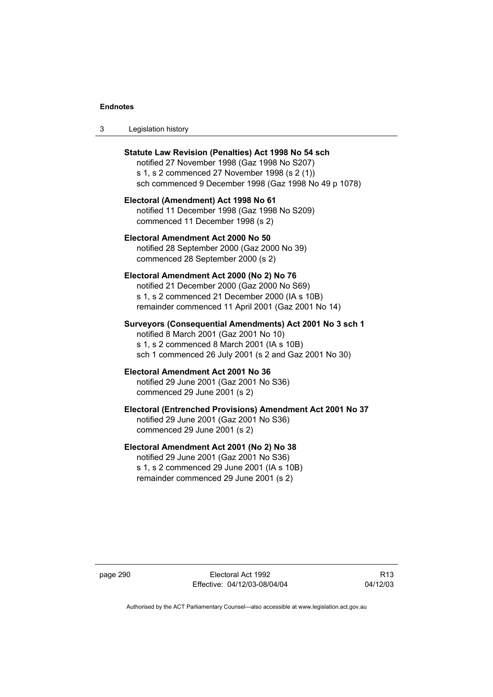| Legislation history<br>-3 |  |
|---------------------------|--|
|---------------------------|--|

| Statute Law Revision (Penalties) Act 1998 No 54 sch<br>notified 27 November 1998 (Gaz 1998 No S207)<br>s 1, s 2 commenced 27 November 1998 (s 2 (1))<br>sch commenced 9 December 1998 (Gaz 1998 No 49 p 1078) |
|---------------------------------------------------------------------------------------------------------------------------------------------------------------------------------------------------------------|
| Electoral (Amendment) Act 1998 No 61<br>notified 11 December 1998 (Gaz 1998 No S209)<br>commenced 11 December 1998 (s 2)                                                                                      |
| Electoral Amendment Act 2000 No 50<br>notified 28 September 2000 (Gaz 2000 No 39)<br>commenced 28 September 2000 (s 2)                                                                                        |
| Electoral Amendment Act 2000 (No 2) No 76<br>notified 21 December 2000 (Gaz 2000 No S69)<br>s 1, s 2 commenced 21 December 2000 (IA s 10B)<br>remainder commenced 11 April 2001 (Gaz 2001 No 14)              |
| Surveyors (Consequential Amendments) Act 2001 No 3 sch 1<br>notified 8 March 2001 (Gaz 2001 No 10)<br>s 1, s 2 commenced 8 March 2001 (IA s 10B)<br>sch 1 commenced 26 July 2001 (s 2 and Gaz 2001 No 30)     |
| Electoral Amendment Act 2001 No 36<br>notified 29 June 2001 (Gaz 2001 No S36)<br>commenced 29 June 2001 (s 2)                                                                                                 |
| Electoral (Entrenched Provisions) Amendment Act 2001 No 37<br>notified 29 June 2001 (Gaz 2001 No S36)<br>commenced 29 June 2001 (s 2)                                                                         |
| Electoral Amendment Act 2001 (No 2) No 38<br>notified 20 June 2001 (Gaz 2001 No S36)                                                                                                                          |

notified 29 June 2001 (Gaz 2001 No S36) s 1, s 2 commenced 29 June 2001 (IA s 10B) remainder commenced 29 June 2001 (s 2)

page 290 Electoral Act 1992 Effective: 04/12/03-08/04/04

R13 04/12/03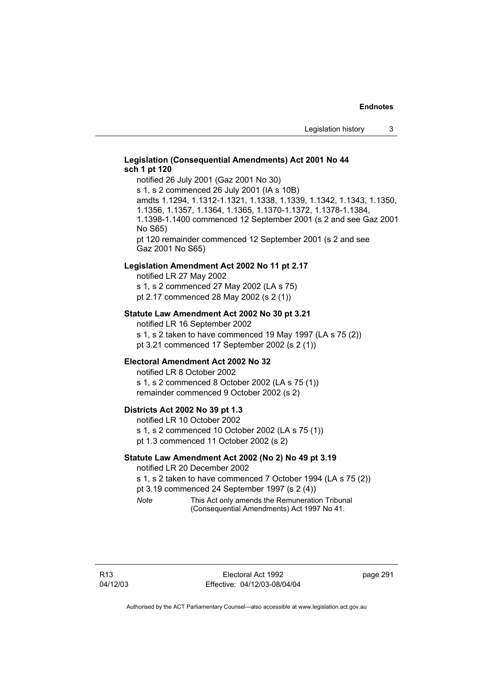# **Legislation (Consequential Amendments) Act 2001 No 44 sch 1 pt 120**

notified 26 July 2001 (Gaz 2001 No 30) s 1, s 2 commenced 26 July 2001 (IA s 10B) amdts 1.1294, 1.1312-1.1321, 1.1338, 1.1339, 1.1342, 1.1343, 1.1350, 1.1356, 1.1357, 1.1364, 1.1365, 1.1370-1.1372, 1.1378-1.1384, 1.1398-1.1400 commenced 12 September 2001 (s 2 and see Gaz 2001 No S65)

pt 120 remainder commenced 12 September 2001 (s 2 and see Gaz 2001 No S65)

# **Legislation Amendment Act 2002 No 11 pt 2.17**

notified LR 27 May 2002 s 1, s 2 commenced 27 May 2002 (LA s 75) pt 2.17 commenced 28 May 2002 (s 2 (1))

## **Statute Law Amendment Act 2002 No 30 pt 3.21**

notified LR 16 September 2002 s 1, s 2 taken to have commenced 19 May 1997 (LA s 75 (2)) pt 3.21 commenced 17 September 2002 (s 2 (1))

# **Electoral Amendment Act 2002 No 32**

notified LR 8 October 2002 s 1, s 2 commenced 8 October 2002 (LA s 75 (1)) remainder commenced 9 October 2002 (s 2)

# **Districts Act 2002 No 39 pt 1.3**

notified LR 10 October 2002 s 1, s 2 commenced 10 October 2002 (LA s 75 (1)) pt 1.3 commenced 11 October 2002 (s 2)

## **Statute Law Amendment Act 2002 (No 2) No 49 pt 3.19**

notified LR 20 December 2002

s 1, s 2 taken to have commenced 7 October 1994 (LA s 75 (2)) pt 3.19 commenced 24 September 1997 (s 2 (4))

*Note* This Act only amends the Remuneration Tribunal (Consequential Amendments) Act 1997 No 41.

page 291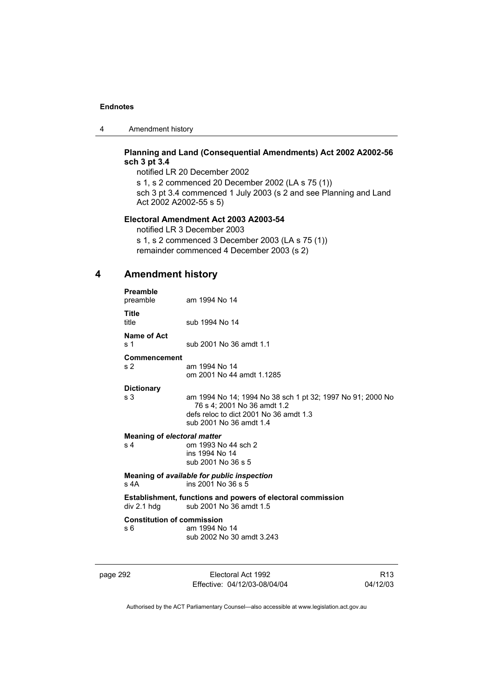4 Amendment history

# **Planning and Land (Consequential Amendments) Act 2002 A2002-56 sch 3 pt 3.4**

notified LR 20 December 2002

s 1, s 2 commenced 20 December 2002 (LA s 75 (1)) sch 3 pt 3.4 commenced 1 July 2003 (s 2 and see Planning and Land Act 2002 A2002-55 s 5)

# **Electoral Amendment Act 2003 A2003-54**

notified LR 3 December 2003

s 1, s 2 commenced 3 December 2003 (LA s 75 (1)) remainder commenced 4 December 2003 (s 2)

# **4 Amendment history**

| <b>Preamble</b><br>preamble                                                                                   | am 1994 No 14                                                                                                                                                  |  |
|---------------------------------------------------------------------------------------------------------------|----------------------------------------------------------------------------------------------------------------------------------------------------------------|--|
| Title<br>title                                                                                                | sub 1994 No 14                                                                                                                                                 |  |
| Name of Act<br>s 1                                                                                            | sub 2001 No 36 amdt 1.1                                                                                                                                        |  |
| Commencement<br>s <sub>2</sub>                                                                                | am 1994 No 14<br>om 2001 No 44 amdt 1.1285                                                                                                                     |  |
| <b>Dictionary</b><br>s 3                                                                                      | am 1994 No 14; 1994 No 38 sch 1 pt 32; 1997 No 91; 2000 No<br>76 s 4: 2001 No 36 amdt 1.2<br>defs reloc to dict 2001 No 36 amdt 1.3<br>sub 2001 No 36 amdt 1.4 |  |
| Meaning of electoral matter<br>s <sub>4</sub>                                                                 | om 1993 No 44 sch 2<br>ins 1994 No 14<br>sub 2001 No 36 s 5                                                                                                    |  |
| Meaning of available for public inspection<br>s 4A<br>ins 2001 No 36 s 5                                      |                                                                                                                                                                |  |
| <b>Establishment, functions and powers of electoral commission</b><br>div 2.1 h dq<br>sub 2001 No 36 amdt 1.5 |                                                                                                                                                                |  |
| <b>Constitution of commission</b><br>s 6                                                                      | am 1994 No 14<br>sub 2002 No 30 amdt 3.243                                                                                                                     |  |

page 292 Electoral Act 1992 Effective: 04/12/03-08/04/04

R13 04/12/03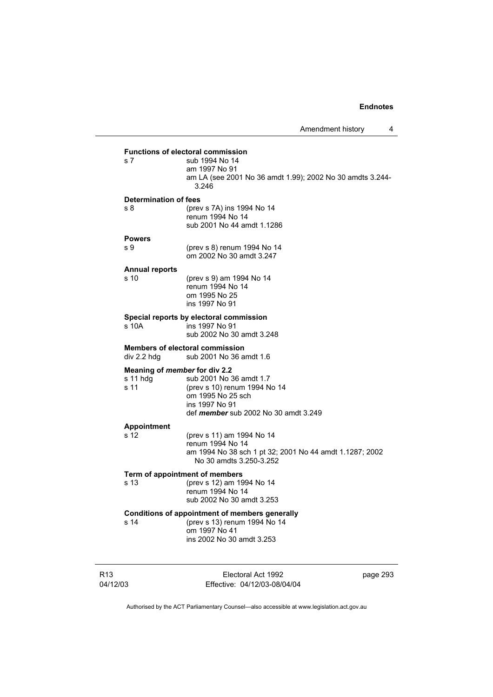|                       | <b>Functions of electoral commission</b>                                        |          |
|-----------------------|---------------------------------------------------------------------------------|----------|
| s 7                   | sub 1994 No 14<br>am 1997 No 91                                                 |          |
|                       | am LA (see 2001 No 36 amdt 1.99); 2002 No 30 amdts 3.244-<br>3.246              |          |
| Determination of fees |                                                                                 |          |
| s 8                   | (prev s 7A) ins 1994 No 14                                                      |          |
|                       | renum 1994 No 14<br>sub 2001 No 44 amdt 1.1286                                  |          |
| <b>Powers</b>         |                                                                                 |          |
| s 9                   | (prev s 8) renum 1994 No 14<br>om 2002 No 30 amdt 3.247                         |          |
| <b>Annual reports</b> |                                                                                 |          |
| s 10                  | (prev s 9) am 1994 No 14<br>renum 1994 No 14<br>om 1995 No 25<br>ins 1997 No 91 |          |
|                       | Special reports by electoral commission                                         |          |
| s 10A                 | ins 1997 No 91<br>sub 2002 No 30 amdt 3.248                                     |          |
| div 2.2 hdg           | <b>Members of electoral commission</b><br>sub 2001 No 36 amdt 1.6               |          |
|                       | Meaning of member for div 2.2                                                   |          |
| s 11 hdg<br>s 11      | sub 2001 No 36 amdt 1.7<br>(prev s 10) renum 1994 No 14                         |          |
|                       | om 1995 No 25 sch                                                               |          |
|                       | ins 1997 No 91<br>def <i>member</i> sub 2002 No 30 amdt 3.249                   |          |
| <b>Appointment</b>    |                                                                                 |          |
| s 12                  | (prev s 11) am 1994 No 14                                                       |          |
|                       | renum 1994 No 14<br>am 1994 No 38 sch 1 pt 32; 2001 No 44 amdt 1.1287; 2002     |          |
|                       | No 30 amdts 3.250-3.252                                                         |          |
|                       | Term of appointment of members                                                  |          |
| s 13                  | (prev s 12) am 1994 No 14                                                       |          |
|                       | renum 1994 No 14<br>sub 2002 No 30 amdt 3.253                                   |          |
|                       | <b>Conditions of appointment of members generally</b>                           |          |
| s 14                  | (prev s 13) renum 1994 No 14                                                    |          |
|                       | om 1997 No 41<br>ins 2002 No 30 amdt 3.253                                      |          |
|                       |                                                                                 |          |
|                       | Electoral Act 1992                                                              | page 293 |

Authorised by the ACT Parliamentary Counsel—also accessible at www.legislation.act.gov.au

Effective: 04/12/03-08/04/04

04/12/03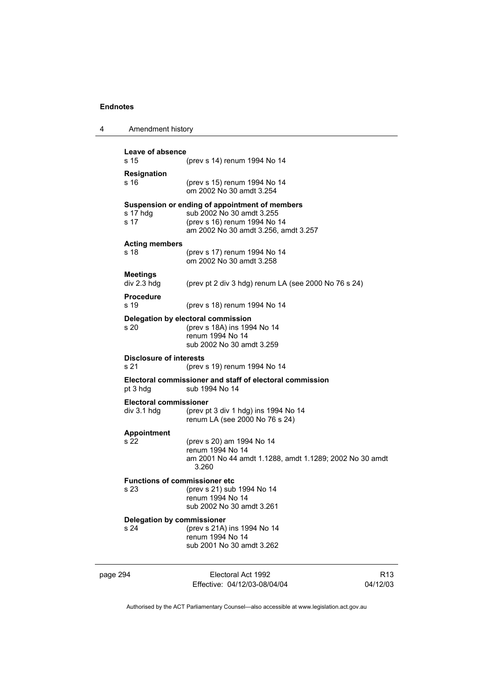| 4        | Amendment history                                                                      |                                                                                                                                                     |                             |
|----------|----------------------------------------------------------------------------------------|-----------------------------------------------------------------------------------------------------------------------------------------------------|-----------------------------|
|          | Leave of absence<br>s 15                                                               | (prev s 14) renum 1994 No 14                                                                                                                        |                             |
|          | <b>Resignation</b><br>s 16                                                             | (prev s 15) renum 1994 No 14<br>om 2002 No 30 amdt 3.254                                                                                            |                             |
|          | s 17 hdg<br>s 17                                                                       | Suspension or ending of appointment of members<br>sub 2002 No 30 amdt 3.255<br>(prev s 16) renum 1994 No 14<br>am 2002 No 30 amdt 3.256, amdt 3.257 |                             |
|          | <b>Acting members</b><br>s 18                                                          | (prev s 17) renum 1994 No 14<br>om 2002 No 30 amdt 3.258                                                                                            |                             |
|          | <b>Meetings</b><br>div 2.3 hdg                                                         | (prev pt 2 div 3 hdg) renum LA (see 2000 No 76 s 24)                                                                                                |                             |
|          | <b>Procedure</b><br>s 19                                                               | (prev s 18) renum 1994 No 14                                                                                                                        |                             |
|          | s20                                                                                    | Delegation by electoral commission<br>(prev s 18A) ins 1994 No 14<br>renum 1994 No 14<br>sub 2002 No 30 amdt 3.259                                  |                             |
|          | <b>Disclosure of interests</b><br>s 21                                                 | (prev s 19) renum 1994 No 14                                                                                                                        |                             |
|          | Electoral commissioner and staff of electoral commission<br>sub 1994 No 14<br>pt 3 hdg |                                                                                                                                                     |                             |
|          | <b>Electoral commissioner</b><br>div 3.1 hdg                                           | (prev pt 3 div 1 hdg) ins 1994 No 14<br>renum LA (see 2000 No 76 s 24)                                                                              |                             |
|          | <b>Appointment</b><br>s 22                                                             | (prev s 20) am 1994 No 14<br>renum 1994 No 14<br>am 2001 No 44 amdt 1.1288, amdt 1.1289; 2002 No 30 amdt<br>3.260                                   |                             |
|          | <b>Functions of commissioner etc</b><br>s 23                                           | (prev s 21) sub 1994 No 14<br>renum 1994 No 14<br>sub 2002 No 30 amdt 3.261                                                                         |                             |
|          | <b>Delegation by commissioner</b><br>s 24                                              | (prev s 21A) ins 1994 No 14<br>renum 1994 No 14<br>sub 2001 No 30 amdt 3.262                                                                        |                             |
| page 294 |                                                                                        | Electoral Act 1992<br>Effective: 04/12/03-08/04/04                                                                                                  | R <sub>13</sub><br>04/12/03 |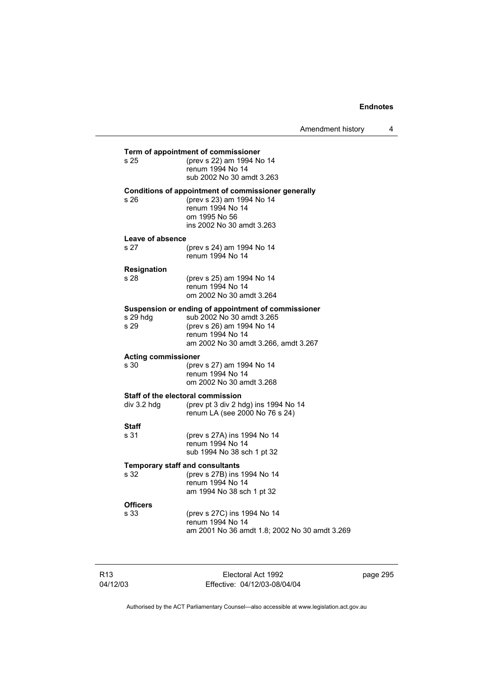Amendment history 4

| s 25                               | Term of appointment of commissioner<br>(prev s 22) am 1994 No 14                 |
|------------------------------------|----------------------------------------------------------------------------------|
|                                    | renum 1994 No 14                                                                 |
|                                    | sub 2002 No 30 amdt 3.263                                                        |
| s 26                               | Conditions of appointment of commissioner generally<br>(prev s 23) am 1994 No 14 |
|                                    | renum 1994 No 14                                                                 |
|                                    | om 1995 No 56                                                                    |
|                                    | ins 2002 No 30 amdt 3.263                                                        |
| Leave of absence                   |                                                                                  |
| s 27                               | (prev s 24) am 1994 No 14                                                        |
|                                    | renum 1994 No 14                                                                 |
| Resignation                        |                                                                                  |
| s 28                               | (prev s 25) am 1994 No 14<br>renum 1994 No 14                                    |
|                                    | om 2002 No 30 amdt 3.264                                                         |
|                                    | Suspension or ending of appointment of commissioner                              |
| s 29 hdg                           | sub 2002 No 30 amdt 3.265                                                        |
| s 29                               | (prev s 26) am 1994 No 14                                                        |
|                                    | renum 1994 No 14<br>am 2002 No 30 amdt 3.266, amdt 3.267                         |
|                                    |                                                                                  |
| <b>Acting commissioner</b><br>s 30 | (prev s 27) am 1994 No 14                                                        |
|                                    | renum 1994 No 14                                                                 |
|                                    | om 2002 No 30 amdt 3.268                                                         |
|                                    | <b>Staff of the electoral commission</b>                                         |
| div 3.2 hdg                        | (prev pt 3 div 2 hdg) ins 1994 No 14                                             |
|                                    | renum LA (see 2000 No 76 s 24)                                                   |
| <b>Staff</b>                       |                                                                                  |
| s 31                               | (prev s 27A) ins 1994 No 14<br>renum 1994 No 14                                  |
|                                    | sub 1994 No 38 sch 1 pt 32                                                       |
|                                    |                                                                                  |
| s 32                               | <b>Temporary staff and consultants</b><br>(prev s 27B) ins 1994 No 14            |
|                                    | renum 1994 No 14                                                                 |
|                                    | am 1994 No 38 sch 1 pt 32                                                        |
| <b>Officers</b>                    |                                                                                  |
| s 33                               | (prev s 27C) ins 1994 No 14                                                      |
|                                    | renum 1994 No 14                                                                 |

R13 04/12/03

Electoral Act 1992 Effective: 04/12/03-08/04/04 page 295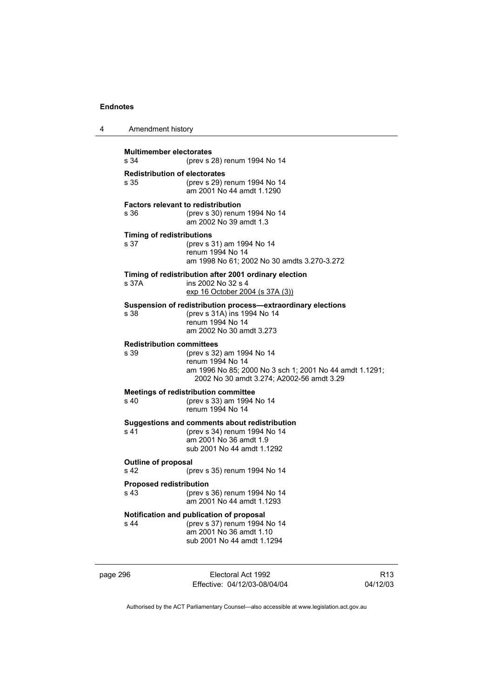| 4 | Amendment history                                                                                   |                                                                                                                                                       |  |
|---|-----------------------------------------------------------------------------------------------------|-------------------------------------------------------------------------------------------------------------------------------------------------------|--|
|   | <b>Multimember electorates</b><br>s 34<br>(prev s 28) renum 1994 No 14                              |                                                                                                                                                       |  |
|   | <b>Redistribution of electorates</b><br>s 35                                                        | (prev s 29) renum 1994 No 14<br>am 2001 No 44 amdt 1.1290                                                                                             |  |
|   | s 36                                                                                                | <b>Factors relevant to redistribution</b><br>(prev s 30) renum 1994 No 14<br>am 2002 No 39 amdt 1.3                                                   |  |
|   | <b>Timing of redistributions</b><br>s 37                                                            | (prev s 31) am 1994 No 14<br>renum 1994 No 14<br>am 1998 No 61; 2002 No 30 amdts 3.270-3.272                                                          |  |
|   | s 37A                                                                                               | Timing of redistribution after 2001 ordinary election<br>ins 2002 No 32 s 4<br>exp 16 October 2004 (s 37A (3))                                        |  |
|   | s 38                                                                                                | Suspension of redistribution process-extraordinary elections<br>(prev s 31A) ins 1994 No 14<br>renum 1994 No 14<br>am 2002 No 30 amdt 3.273           |  |
|   | <b>Redistribution committees</b><br>s 39                                                            | (prev s 32) am 1994 No 14<br>renum 1994 No 14<br>am 1996 No 85; 2000 No 3 sch 1; 2001 No 44 amdt 1.1291;<br>2002 No 30 amdt 3.274; A2002-56 amdt 3.29 |  |
|   | s 40                                                                                                | <b>Meetings of redistribution committee</b><br>(prev s 33) am 1994 No 14<br>renum 1994 No 14                                                          |  |
|   | s 41                                                                                                | Suggestions and comments about redistribution<br>(prev s 34) renum 1994 No 14<br>am 2001 No 36 amdt 1.9<br>sub 2001 No 44 amdt 1.1292                 |  |
|   | <b>Outline of proposal</b><br>s 42<br>(prev s 35) renum 1994 No 14                                  |                                                                                                                                                       |  |
|   | <b>Proposed redistribution</b><br>(prev s 36) renum 1994 No 14<br>s 43<br>am 2001 No 44 amdt 1.1293 |                                                                                                                                                       |  |
|   | s 44                                                                                                | Notification and publication of proposal<br>(prev s 37) renum 1994 No 14<br>am 2001 No 36 amdt 1.10<br>sub 2001 No 44 amdt 1.1294                     |  |

page 296 Electoral Act 1992 Effective: 04/12/03-08/04/04

R13 04/12/03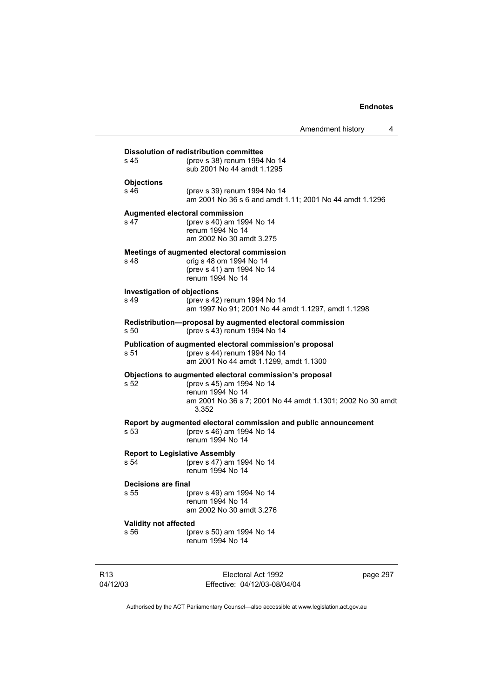|                                               | Amendment history                                                                                                                                                               | 4 |
|-----------------------------------------------|---------------------------------------------------------------------------------------------------------------------------------------------------------------------------------|---|
| s 45                                          | <b>Dissolution of redistribution committee</b><br>(prev s 38) renum 1994 No 14<br>sub 2001 No 44 amdt 1.1295                                                                    |   |
| <b>Objections</b><br>s 46                     | (prev s 39) renum 1994 No 14<br>am 2001 No 36 s 6 and amdt 1.11; 2001 No 44 amdt 1.1296                                                                                         |   |
| s 47                                          | <b>Augmented electoral commission</b><br>(prev s 40) am 1994 No 14<br>renum 1994 No 14<br>am 2002 No 30 amdt 3.275                                                              |   |
| s 48                                          | Meetings of augmented electoral commission<br>orig s 48 om 1994 No 14<br>(prev s 41) am 1994 No 14<br>renum 1994 No 14                                                          |   |
| <b>Investigation of objections</b><br>s 49    | (prev s 42) renum 1994 No 14<br>am 1997 No 91; 2001 No 44 amdt 1.1297, amdt 1.1298                                                                                              |   |
| s 50                                          | Redistribution-proposal by augmented electoral commission<br>(prev s 43) renum 1994 No 14                                                                                       |   |
| s 51                                          | Publication of augmented electoral commission's proposal<br>(prev s 44) renum 1994 No 14<br>am 2001 No 44 amdt 1.1299, amdt 1.1300                                              |   |
| s 52                                          | Objections to augmented electoral commission's proposal<br>(prev s 45) am 1994 No 14<br>renum 1994 No 14<br>am 2001 No 36 s 7; 2001 No 44 amdt 1.1301; 2002 No 30 amdt<br>3.352 |   |
| s 53                                          | Report by augmented electoral commission and public announcement<br>(prev s 46) am 1994 No 14<br>renum 1994 No 14                                                               |   |
| <b>Report to Legislative Assembly</b><br>s 54 | (prev s 47) am 1994 No 14<br>renum 1994 No 14                                                                                                                                   |   |
| Decisions are final<br>s 55                   | (prev s 49) am 1994 No 14<br>renum 1994 No 14<br>am 2002 No 30 amdt 3.276                                                                                                       |   |
| Validity not affected<br>s 56                 | (prev s 50) am 1994 No 14<br>renum 1994 No 14                                                                                                                                   |   |
|                                               |                                                                                                                                                                                 |   |

R13 04/12/03

Electoral Act 1992 Effective: 04/12/03-08/04/04 page 297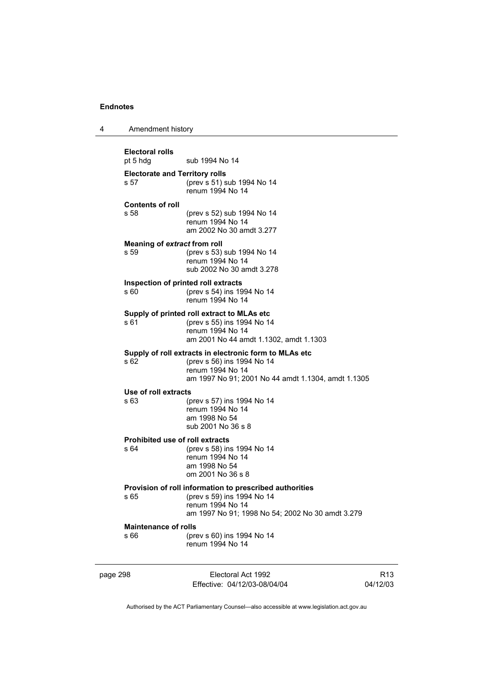4 Amendment history

| <b>Electoral rolls</b><br>pt 5 hdg            | sub 1994 No 14                                                                                                                                                 |                             |  |
|-----------------------------------------------|----------------------------------------------------------------------------------------------------------------------------------------------------------------|-----------------------------|--|
| <b>Electorate and Territory rolls</b><br>s 57 | (prev s 51) sub 1994 No 14<br>renum 1994 No 14                                                                                                                 |                             |  |
| <b>Contents of roll</b><br>s 58               | (prev s 52) sub 1994 No 14<br>renum 1994 No 14<br>am 2002 No 30 amdt 3.277                                                                                     |                             |  |
| Meaning of extract from roll<br>s 59          | (prev s 53) sub 1994 No 14<br>renum 1994 No 14<br>sub 2002 No 30 amdt 3.278                                                                                    |                             |  |
| s 60                                          | Inspection of printed roll extracts<br>(prev s 54) ins 1994 No 14<br>renum 1994 No 14                                                                          |                             |  |
| s 61                                          | Supply of printed roll extract to MLAs etc<br>(prev s 55) ins 1994 No 14<br>renum 1994 No 14<br>am 2001 No 44 amdt 1.1302, amdt 1.1303                         |                             |  |
| s 62                                          | Supply of roll extracts in electronic form to MLAs etc<br>(prev s 56) ins 1994 No 14<br>renum 1994 No 14<br>am 1997 No 91; 2001 No 44 amdt 1.1304, amdt 1.1305 |                             |  |
| Use of roll extracts<br>s 63                  | (prev s 57) ins 1994 No 14<br>renum 1994 No 14<br>am 1998 No 54<br>sub 2001 No 36 s 8                                                                          |                             |  |
| s 64                                          | <b>Prohibited use of roll extracts</b><br>(prev s 58) ins 1994 No 14<br>renum 1994 No 14<br>am 1998 No 54<br>om 2001 No 36 s 8                                 |                             |  |
| s 65                                          | Provision of roll information to prescribed authorities<br>(prev s 59) ins 1994 No 14<br>renum 1994 No 14<br>am 1997 No 91; 1998 No 54; 2002 No 30 amdt 3.279  |                             |  |
| <b>Maintenance of rolls</b><br>s 66           | (prev s 60) ins 1994 No 14<br>renum 1994 No 14                                                                                                                 |                             |  |
| page 298                                      | Electoral Act 1992<br>Effective: 04/12/03-08/04/04                                                                                                             | R <sub>13</sub><br>04/12/03 |  |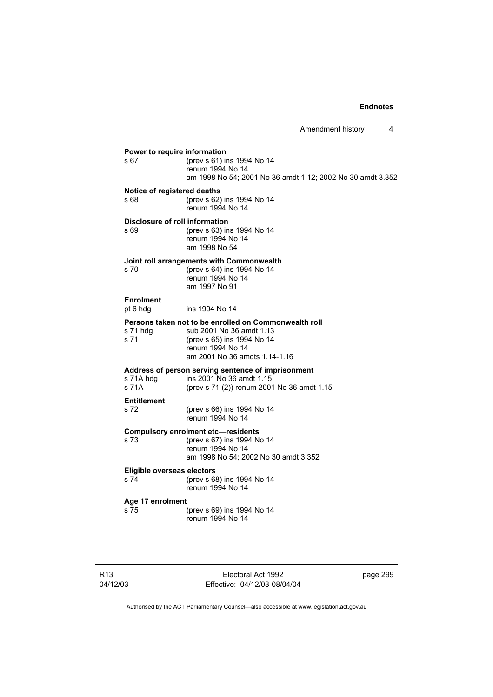# **Power to require information**<br> **s** 67 (prev **s** 61) in s 67 (prev s 61) ins 1994 No 14 renum 1994 No 14 am 1998 No 54; 2001 No 36 amdt 1.12; 2002 No 30 amdt 3.352 **Notice of registered deaths**  s 68 (prev s 62) ins 1994 No 14 renum 1994 No 14 **Disclosure of roll information**<br>  $\frac{1}{2}$  **S**  $\frac{69}{2}$  (prev s 63) in s 69 (prev s 63) ins 1994 No 14 renum 1994 No 14 am 1998 No 54 **Joint roll arrangements with Commonwealth**  s 70 (prev s 64) ins 1994 No 14 renum 1994 No 14 am 1997 No 91 **Enrolment**  pt 6 hdg ins 1994 No 14 **Persons taken not to be enrolled on Commonwealth roll s 71 hda** sub 2001 No 36 amdt 1.13 s 71 hdg sub 2001 No 36 amdt 1.13<br>s 71 (prev s 65) ins 1994 No 14 (prev s 65) ins 1994 No 14 renum 1994 No 14 am 2001 No 36 amdts 1.14-1.16 **Address of person serving sentence of imprisonment**  s 71A hdg ins 2001 No 36 amdt 1.15 s 71A (prev s 71 (2)) renum 2001 No 36 amdt 1.15 **Entitlement**  s 72 (prev s 66) ins 1994 No 14 renum 1994 No 14 **Compulsory enrolment etc—residents**<br>s 73 (prev s 67) ins 1994 N (prev s 67) ins 1994 No 14 renum 1994 No 14 am 1998 No 54; 2002 No 30 amdt 3.352 **Eligible overseas electors**  s 74 (prev s 68) ins 1994 No 14 renum 1994 No 14 **Age 17 enrolment**  s 75 (prev s 69) ins 1994 No 14 renum 1994 No 14

Electoral Act 1992 Effective: 04/12/03-08/04/04 page 299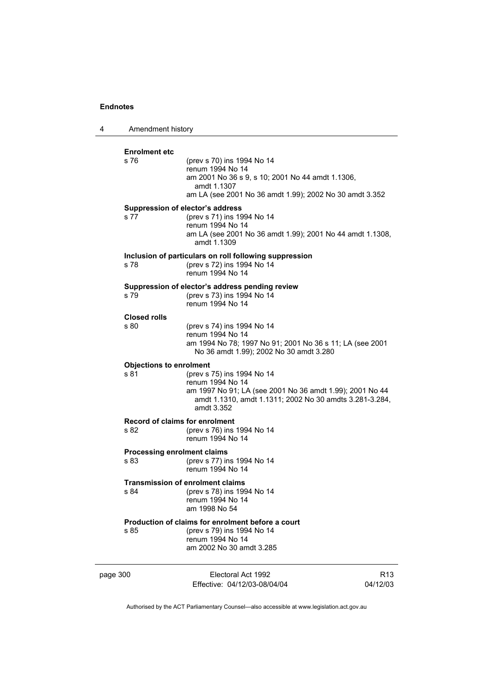| 4                                  | Amendment history              |                                                                                                                                                                                     |                 |
|------------------------------------|--------------------------------|-------------------------------------------------------------------------------------------------------------------------------------------------------------------------------------|-----------------|
|                                    | <b>Enrolment etc</b>           |                                                                                                                                                                                     |                 |
|                                    | s 76                           | (prev s 70) ins 1994 No 14<br>renum 1994 No 14<br>am 2001 No 36 s 9, s 10; 2001 No 44 amdt 1.1306,<br>amdt 1.1307<br>am LA (see 2001 No 36 amdt 1.99); 2002 No 30 amdt 3.352        |                 |
|                                    |                                | Suppression of elector's address                                                                                                                                                    |                 |
|                                    | s 77                           | (prev s 71) ins 1994 No 14<br>renum 1994 No 14<br>am LA (see 2001 No 36 amdt 1.99); 2001 No 44 amdt 1.1308,<br>amdt 1.1309                                                          |                 |
|                                    |                                | Inclusion of particulars on roll following suppression                                                                                                                              |                 |
|                                    | s 78                           | (prev s 72) ins 1994 No 14<br>renum 1994 No 14                                                                                                                                      |                 |
|                                    | s 79                           | Suppression of elector's address pending review<br>(prev s 73) ins 1994 No 14<br>renum 1994 No 14                                                                                   |                 |
|                                    | <b>Closed rolls</b>            |                                                                                                                                                                                     |                 |
|                                    | s 80                           | (prev s 74) ins 1994 No 14<br>renum 1994 No 14<br>am 1994 No 78; 1997 No 91; 2001 No 36 s 11; LA (see 2001<br>No 36 amdt 1.99); 2002 No 30 amdt 3.280                               |                 |
|                                    | <b>Objections to enrolment</b> |                                                                                                                                                                                     |                 |
|                                    | s 81                           | (prev s 75) ins 1994 No 14<br>renum 1994 No 14<br>am 1997 No 91; LA (see 2001 No 36 amdt 1.99); 2001 No 44<br>amdt 1.1310, amdt 1.1311; 2002 No 30 amdts 3.281-3.284,<br>amdt 3.352 |                 |
|                                    |                                | Record of claims for enrolment                                                                                                                                                      |                 |
|                                    | s 82                           | (prev s 76) ins 1994 No 14<br>renum 1994 No 14                                                                                                                                      |                 |
| <b>Processing enrolment claims</b> |                                |                                                                                                                                                                                     |                 |
|                                    | s 83                           | (prev s 77) ins 1994 No 14<br>renum 1994 No 14                                                                                                                                      |                 |
|                                    | s 84                           | Transmission of enrolment claims<br>(prev s 78) ins 1994 No 14<br>renum 1994 No 14<br>am 1998 No 54                                                                                 |                 |
|                                    |                                | Production of claims for enrolment before a court                                                                                                                                   |                 |
|                                    | s 85                           | (prev s 79) ins 1994 No 14<br>renum 1994 No 14<br>am 2002 No 30 amdt 3.285                                                                                                          |                 |
|                                    |                                | Electoral Act 1992                                                                                                                                                                  | R <sub>13</sub> |
| page 300                           |                                | Effective: 04/12/03-08/04/04                                                                                                                                                        | 04/12/03        |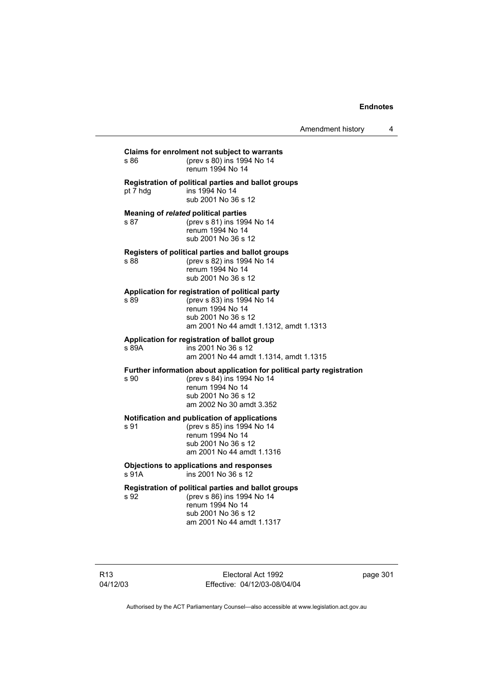R13 Electoral Act 1992 **Claims for enrolment not subject to warrants**  s 86 (prev s 80) ins 1994 No 14 renum 1994 No 14 **Registration of political parties and ballot groups**  pt 7 hdg ins 1994 No 14 sub 2001 No 36 s 12 **Meaning of** *related* **political parties**  s 87 (prev s 81) ins 1994 No 14 renum 1994 No 14 sub 2001 No 36 s 12 **Registers of political parties and ballot groups**  (prev s 82) ins 1994 No 14 renum 1994 No 14 sub 2001 No 36 s 12 **Application for registration of political party**  s 89 (prev s 83) ins 1994 No 14 renum 1994 No 14 sub 2001 No 36 s 12 am 2001 No 44 amdt 1.1312, amdt 1.1313 **Application for registration of ballot group**  s 89A ins 2001 No 36 s 12 am 2001 No 44 amdt 1.1314, amdt 1.1315 **Further information about application for political party registration**  s 90 (prev s 84) ins 1994 No 14 renum 1994 No 14 sub 2001 No 36 s 12 am 2002 No 30 amdt 3.352 **Notification and publication of applications**  s 91 (prev s 85) ins 1994 No 14 renum 1994 No 14 sub 2001 No 36 s 12 am 2001 No 44 amdt 1.1316 **Objections to applications and responses**  s 91A ins 2001 No 36 s 12 **Registration of political parties and ballot groups**  s 92 (prev s 86) ins 1994 No 14 renum 1994 No 14 sub 2001 No 36 s 12 am 2001 No 44 amdt 1.1317

page 301

Authorised by the ACT Parliamentary Counsel—also accessible at www.legislation.act.gov.au

Effective: 04/12/03-08/04/04

04/12/03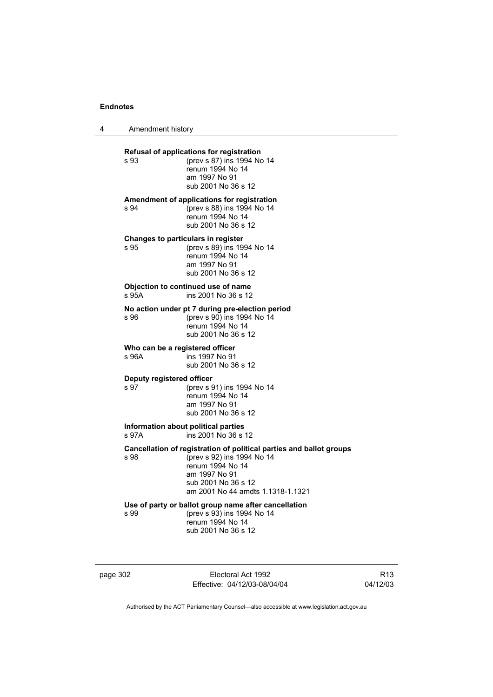4 Amendment history

**Refusal of applications for registration**  s 93 (prev s 87) ins 1994 No 14 renum 1994 No 14 am 1997 No 91 sub 2001 No 36 s 12 **Amendment of applications for registration**  s 94 (prev s 88) ins 1994 No 14 renum 1994 No 14 sub 2001 No 36 s 12 **Changes to particulars in register**  s 95 (prev s 89) ins 1994 No 14 renum 1994 No 14 am 1997 No 91 sub 2001 No 36 s 12 **Objection to continued use of name**<br>s 95A ins 2001 No 36 s 12 ins 2001 No 36 s 12 **No action under pt 7 during pre-election period**  s 96 (prev s 90) ins 1994 No 14 renum 1994 No 14 sub 2001 No 36 s 12 **Who can be a registered officer**<br>s 96A **ins 1997** No 91 ins 1997 No 91 sub 2001 No 36 s 12 **Deputy registered officer**<br>s 97 (prev s 9 (prev s 91) ins 1994 No 14 renum 1994 No 14 am 1997 No 91 sub 2001 No 36 s 12 **Information about political parties**  s 97A ins 2001 No 36 s 12 **Cancellation of registration of political parties and ballot groups**  s 98 (prev s 92) ins 1994 No 14 renum 1994 No 14 am 1997 No 91 sub 2001 No 36 s 12 am 2001 No 44 amdts 1.1318-1.1321 **Use of party or ballot group name after cancellation**  s 99 (prev s 93) ins 1994 No 14 renum 1994 No 14 sub 2001 No 36 s 12

page 302 Electoral Act 1992 Effective: 04/12/03-08/04/04

R13 04/12/03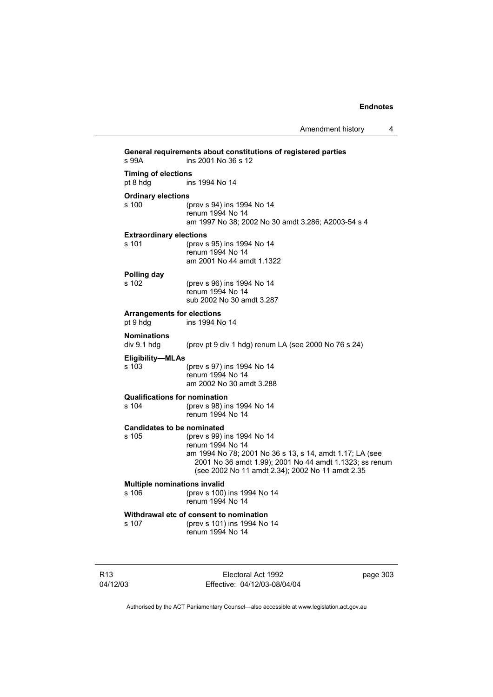| s 99A                                         | General requirements about constitutions of registered parties<br>ins 2001 No 36 s 12                                                                                                                                     |
|-----------------------------------------------|---------------------------------------------------------------------------------------------------------------------------------------------------------------------------------------------------------------------------|
| <b>Timing of elections</b><br>pt 8 hdg        | ins 1994 No 14                                                                                                                                                                                                            |
| <b>Ordinary elections</b><br>s 100            | (prev s 94) ins 1994 No 14<br>renum 1994 No 14<br>am 1997 No 38; 2002 No 30 amdt 3.286; A2003-54 s 4                                                                                                                      |
| <b>Extraordinary elections</b><br>s 101       | (prev s 95) ins 1994 No 14<br>renum 1994 No 14<br>am 2001 No 44 amdt 1.1322                                                                                                                                               |
| Polling day<br>s 102                          | (prev s 96) ins 1994 No 14<br>renum 1994 No 14<br>sub 2002 No 30 amdt 3.287                                                                                                                                               |
| <b>Arrangements for elections</b><br>pt 9 hdg | ins 1994 No 14                                                                                                                                                                                                            |
| <b>Nominations</b><br>div 9.1 hdg             | (prev pt 9 div 1 hdg) renum LA (see 2000 No 76 s 24)                                                                                                                                                                      |
| Eligibility-MLAs<br>s 103                     | (prev s 97) ins 1994 No 14<br>renum 1994 No 14<br>am 2002 No 30 amdt 3.288                                                                                                                                                |
| <b>Qualifications for nomination</b><br>s 104 | (prev s 98) ins 1994 No 14<br>renum 1994 No 14                                                                                                                                                                            |
| <b>Candidates to be nominated</b><br>s 105    | (prev s 99) ins 1994 No 14<br>renum 1994 No 14<br>am 1994 No 78; 2001 No 36 s 13, s 14, amdt 1.17; LA (see<br>2001 No 36 amdt 1.99); 2001 No 44 amdt 1.1323; ss renum<br>(see 2002 No 11 amdt 2.34); 2002 No 11 amdt 2.35 |
| <b>Multiple nominations invalid</b><br>s 106  | (prev s 100) ins 1994 No 14<br>renum 1994 No 14                                                                                                                                                                           |
| s 107                                         | Withdrawal etc of consent to nomination<br>(prev s 101) ins 1994 No 14<br>renum 1994 No 14                                                                                                                                |

R13 04/12/03

Electoral Act 1992 Effective: 04/12/03-08/04/04 page 303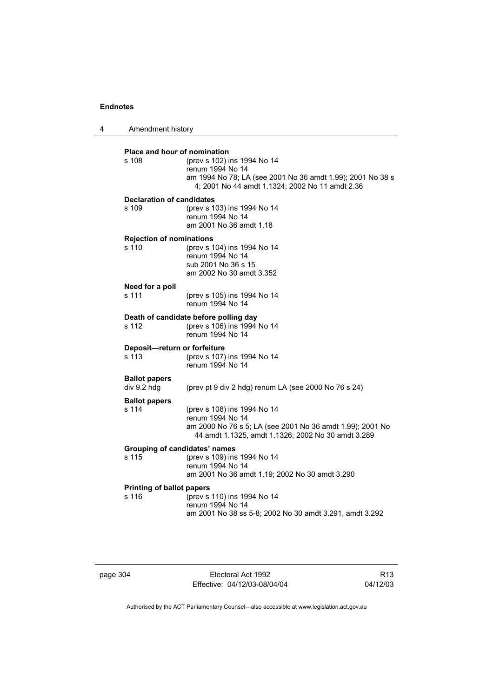| 4 | Amendment history                            |                                                                                                                                                                    |
|---|----------------------------------------------|--------------------------------------------------------------------------------------------------------------------------------------------------------------------|
|   | <b>Place and hour of nomination</b><br>s 108 | (prev s 102) ins 1994 No 14<br>renum 1994 No 14<br>am 1994 No 78; LA (see 2001 No 36 amdt 1.99); 2001 No 38 s<br>4; 2001 No 44 amdt 1.1324; 2002 No 11 amdt 2.36   |
|   | <b>Declaration of candidates</b><br>s 109    | (prev s 103) ins 1994 No 14<br>renum 1994 No 14<br>am 2001 No 36 amdt 1.18                                                                                         |
|   | <b>Rejection of nominations</b><br>s 110     | (prev s 104) ins 1994 No 14<br>renum 1994 No 14<br>sub 2001 No 36 s 15<br>am 2002 No 30 amdt 3.352                                                                 |
|   | Need for a poll<br>s 111                     | (prev s 105) ins 1994 No 14<br>renum 1994 No 14                                                                                                                    |
|   | s 112                                        | Death of candidate before polling day<br>(prev s 106) ins 1994 No 14<br>renum 1994 No 14                                                                           |
|   | Deposit-return or forfeiture<br>s 113        | (prev s 107) ins 1994 No 14<br>renum 1994 No 14                                                                                                                    |
|   | <b>Ballot papers</b><br>div 9.2 hdg          | (prev pt 9 div 2 hdg) renum LA (see 2000 No 76 s 24)                                                                                                               |
|   | <b>Ballot papers</b><br>s 114                | (prev s 108) ins 1994 No 14<br>renum 1994 No 14<br>am 2000 No 76 s 5; LA (see 2001 No 36 amdt 1.99); 2001 No<br>44 amdt 1.1325, amdt 1.1326; 2002 No 30 amdt 3.289 |
|   | Grouping of candidates' names<br>s 115       | (prev s 109) ins 1994 No 14<br>renum 1994 No 14<br>am 2001 No 36 amdt 1.19; 2002 No 30 amdt 3.290                                                                  |
|   | <b>Printing of ballot papers</b><br>s 116    | (prev s 110) ins 1994 No 14<br>renum 1994 No 14<br>am 2001 No 38 ss 5-8; 2002 No 30 amdt 3.291, amdt 3.292                                                         |

page 304 Electoral Act 1992 Effective: 04/12/03-08/04/04

R13 04/12/03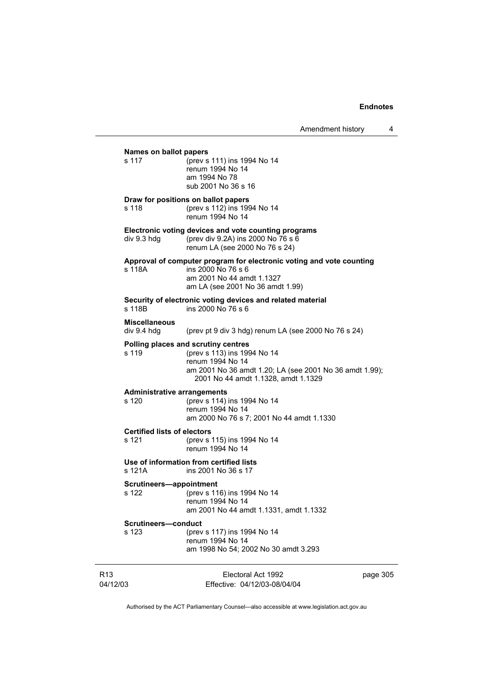# **Names on ballot papers**

s 117 (prev s 111) ins 1994 No 14 renum 1994 No 14 am 1994 No 78 sub 2001 No 36 s 16

### **Draw for positions on ballot papers**

s 118 (prev s 112) ins 1994 No 14 renum 1994 No 14

## **Electronic voting devices and vote counting programs**

div 9.3 hdg (prev div 9.2A) ins 2000 No 76 s 6 renum LA (see 2000 No 76 s 24)

# **Approval of computer program for electronic voting and vote counting**

 $ins 2000$  No 76 s 6 am 2001 No 44 amdt 1.1327 am LA (see 2001 No 36 amdt 1.99)

#### **Security of electronic voting devices and related material**

s 118B ins 2000 No 76 s 6

# **Miscellaneous**

(prev pt 9 div 3 hdg) renum LA (see 2000 No 76 s  $24$ )

#### **Polling places and scrutiny centres**

s 119 (prev s 113) ins 1994 No 14 renum 1994 No 14 am 2001 No 36 amdt 1.20; LA (see 2001 No 36 amdt 1.99); 2001 No 44 amdt 1.1328, amdt 1.1329

#### **Administrative arrangements**

s 120 (prev s 114) ins 1994 No 14 renum 1994 No 14 am 2000 No 76 s 7; 2001 No 44 amdt 1.1330

# **Certified lists of electors**<br>s 121 (prev s)

(prev s 115) ins 1994 No 14 renum 1994 No 14

#### **Use of information from certified lists**

s 121A ins 2001 No 36 s 17

# **Scrutineers—appointment**<br>s 122 (prev s 11)

(prev s 116) ins 1994 No 14 renum 1994 No 14 am 2001 No 44 amdt 1.1331, amdt 1.1332

#### **Scrutineers—conduct**

| s 123 | (prev s 117) ins 1994 No 14          |
|-------|--------------------------------------|
|       | renum 1994 No 14                     |
|       | am 1998 No 54; 2002 No 30 amdt 3.293 |

| R13      | Electoral Act 1992           | page 305 |
|----------|------------------------------|----------|
| 04/12/03 | Effective: 04/12/03-08/04/04 |          |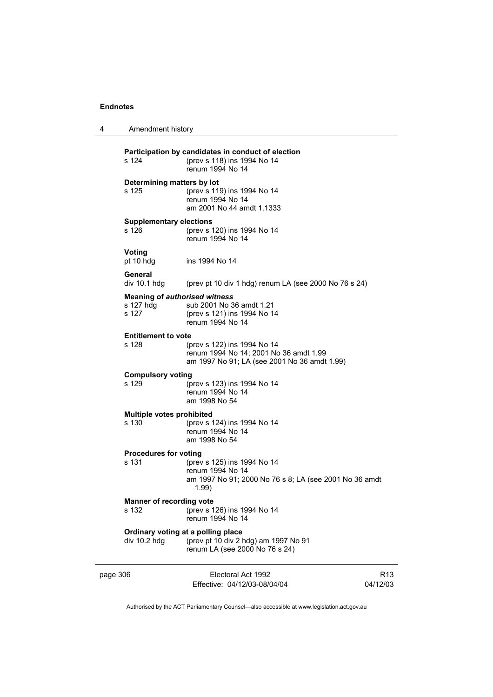4 Amendment history

| page 306                            |                                                    | Electoral Act 1992<br>Effective: 04/12/03-08/04/04                                                                    | 04/12 |
|-------------------------------------|----------------------------------------------------|-----------------------------------------------------------------------------------------------------------------------|-------|
|                                     | div 10.2 hdg                                       | Ordinary voting at a polling place<br>(prev pt 10 div 2 hdg) am 1997 No 91<br>renum LA (see 2000 No 76 s 24)          |       |
|                                     | <b>Manner of recording vote</b><br>s 132           | (prev s 126) ins 1994 No 14<br>renum 1994 No 14                                                                       |       |
|                                     | <b>Procedures for voting</b><br>s 131              | (prev s 125) ins 1994 No 14<br>renum 1994 No 14<br>am 1997 No 91; 2000 No 76 s 8; LA (see 2001 No 36 amdt<br>1.99)    |       |
|                                     | <b>Multiple votes prohibited</b><br>s 130          | (prev s 124) ins 1994 No 14<br>renum 1994 No 14<br>am 1998 No 54                                                      |       |
|                                     | <b>Compulsory voting</b><br>s 129                  | (prev s 123) ins 1994 No 14<br>renum 1994 No 14<br>am 1998 No 54                                                      |       |
|                                     | <b>Entitlement to vote</b><br>s 128                | (prev s 122) ins 1994 No 14<br>renum 1994 No 14; 2001 No 36 amdt 1.99<br>am 1997 No 91; LA (see 2001 No 36 amdt 1.99) |       |
|                                     | s 127 hda<br>s 127                                 | <b>Meaning of authorised witness</b><br>sub 2001 No 36 amdt 1.21<br>(prev s 121) ins 1994 No 14<br>renum 1994 No 14   |       |
|                                     | General<br>div 10.1 hdg                            | (prev pt 10 div 1 hdg) renum LA (see 2000 No 76 s 24)                                                                 |       |
|                                     | Voting<br>pt 10 hdg                                | ins 1994 No 14                                                                                                        |       |
|                                     | <b>Supplementary elections</b><br>s <sub>126</sub> | (prev s 120) ins 1994 No 14<br>renum 1994 No 14                                                                       |       |
| Determining matters by lot<br>s 125 |                                                    | (prev s 119) ins 1994 No 14<br>renum 1994 No 14<br>am 2001 No 44 amdt 1.1333                                          |       |
|                                     | s 124                                              | Participation by candidates in conduct of election<br>(prev s 118) ins 1994 No 14<br>renum 1994 No 14                 |       |
|                                     |                                                    |                                                                                                                       |       |

R13 04/12/03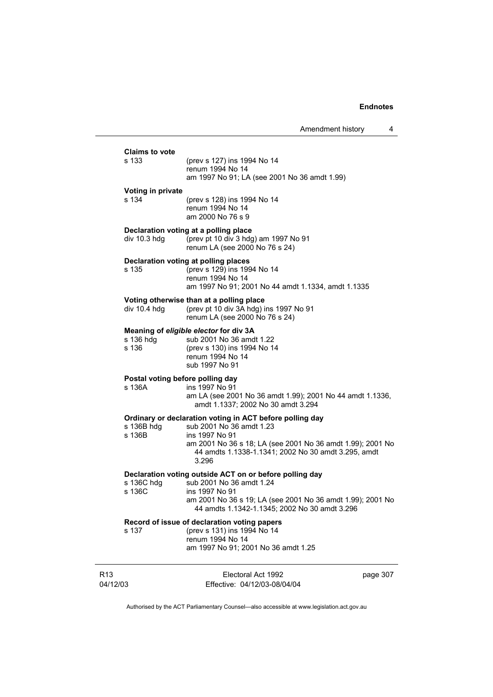| <b>Claims to vote</b><br>s 133             | (prev s 127) ins 1994 No 14<br>renum 1994 No 14<br>am 1997 No 91; LA (see 2001 No 36 amdt 1.99)                                                                                                                                      |          |
|--------------------------------------------|--------------------------------------------------------------------------------------------------------------------------------------------------------------------------------------------------------------------------------------|----------|
| Voting in private<br>s 134                 | (prev s 128) ins 1994 No 14<br>renum 1994 No 14<br>am 2000 No 76 s 9                                                                                                                                                                 |          |
| div $10.3$ hdg                             | Declaration voting at a polling place<br>(prev pt 10 div 3 hdg) am 1997 No 91<br>renum LA (see 2000 No 76 s 24)                                                                                                                      |          |
| s 135                                      | Declaration voting at polling places<br>(prev s 129) ins 1994 No 14<br>renum 1994 No 14<br>am 1997 No 91; 2001 No 44 amdt 1.1334, amdt 1.1335                                                                                        |          |
| div 10.4 hdg                               | Voting otherwise than at a polling place<br>(prev pt 10 div 3A hdg) ins 1997 No 91<br>renum LA (see 2000 No 76 s 24)                                                                                                                 |          |
| s 136 hdg<br>s 136                         | Meaning of eligible elector for div 3A<br>sub 2001 No 36 amdt 1.22<br>(prev s 130) ins 1994 No 14<br>renum 1994 No 14<br>sub 1997 No 91                                                                                              |          |
| Postal voting before polling day<br>s 136A | ins 1997 No 91<br>am LA (see 2001 No 36 amdt 1.99); 2001 No 44 amdt 1.1336,<br>amdt 1.1337; 2002 No 30 amdt 3.294                                                                                                                    |          |
| s 136B hdg<br>s 136B                       | Ordinary or declaration voting in ACT before polling day<br>sub 2001 No 36 amdt 1.23<br>ins 1997 No 91<br>am 2001 No 36 s 18; LA (see 2001 No 36 amdt 1.99); 2001 No<br>44 amdts 1.1338-1.1341; 2002 No 30 amdt 3.295, amdt<br>3.296 |          |
| s 136C hdg<br>s 136C                       | Declaration voting outside ACT on or before polling day<br>sub 2001 No 36 amdt 1.24<br>ins 1997 No 91<br>am 2001 No 36 s 19; LA (see 2001 No 36 amdt 1.99); 2001 No<br>44 amdts 1.1342-1.1345; 2002 No 30 amdt 3.296                 |          |
| s 137                                      | Record of issue of declaration voting papers<br>(prev s 131) ins 1994 No 14<br>renum 1994 No 14<br>am 1997 No 91; 2001 No 36 amdt 1.25                                                                                               |          |
| R <sub>13</sub><br>04/12/03                | Electoral Act 1992<br>Effective: 04/12/03-08/04/04                                                                                                                                                                                   | page 307 |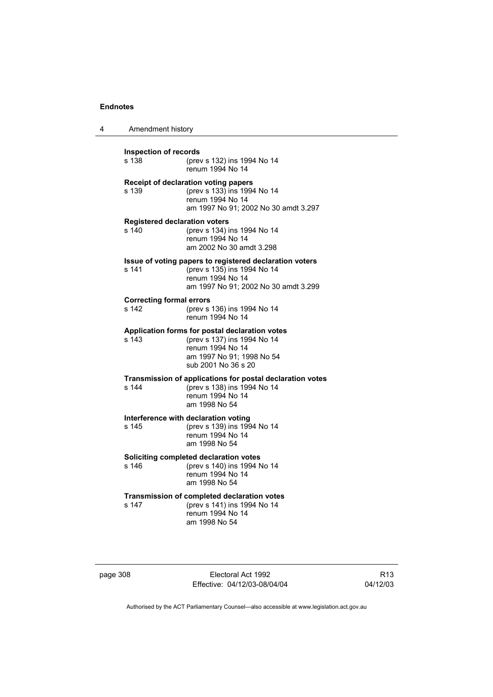4 Amendment history

| <b>Inspection of records</b>                  |                                                                                                                                                       |  |  |
|-----------------------------------------------|-------------------------------------------------------------------------------------------------------------------------------------------------------|--|--|
| s 138                                         | (prev s 132) ins 1994 No 14<br>renum 1994 No 14                                                                                                       |  |  |
| s 139                                         | Receipt of declaration voting papers<br>(prev s 133) ins 1994 No 14<br>renum 1994 No 14<br>am 1997 No 91; 2002 No 30 amdt 3.297                       |  |  |
| <b>Registered declaration voters</b><br>s 140 | (prev s 134) ins 1994 No 14<br>renum 1994 No 14<br>am 2002 No 30 amdt 3.298                                                                           |  |  |
| s 141                                         | Issue of voting papers to registered declaration voters<br>(prev s 135) ins 1994 No 14<br>renum 1994 No 14<br>am 1997 No 91; 2002 No 30 amdt 3.299    |  |  |
| <b>Correcting formal errors</b><br>s 142      | (prev s 136) ins 1994 No 14<br>renum 1994 No 14                                                                                                       |  |  |
| s 143                                         | Application forms for postal declaration votes<br>(prev s 137) ins 1994 No 14<br>renum 1994 No 14<br>am 1997 No 91; 1998 No 54<br>sub 2001 No 36 s 20 |  |  |
| s 144                                         | Transmission of applications for postal declaration votes<br>(prev s 138) ins 1994 No 14<br>renum 1994 No 14<br>am 1998 No 54                         |  |  |
| s 145                                         | Interference with declaration voting<br>(prev s 139) ins 1994 No 14<br>renum 1994 No 14<br>am 1998 No 54                                              |  |  |
| s 146                                         | Soliciting completed declaration votes<br>(prev s 140) ins 1994 No 14<br>renum 1994 No 14<br>am 1998 No 54                                            |  |  |
| s 147                                         | Transmission of completed declaration votes<br>(prev s 141) ins 1994 No 14<br>renum 1994 No 14<br>am 1998 No 54                                       |  |  |

| page 308 |  |  |
|----------|--|--|
|          |  |  |

Electoral Act 1992 Effective: 04/12/03-08/04/04

R13 04/12/03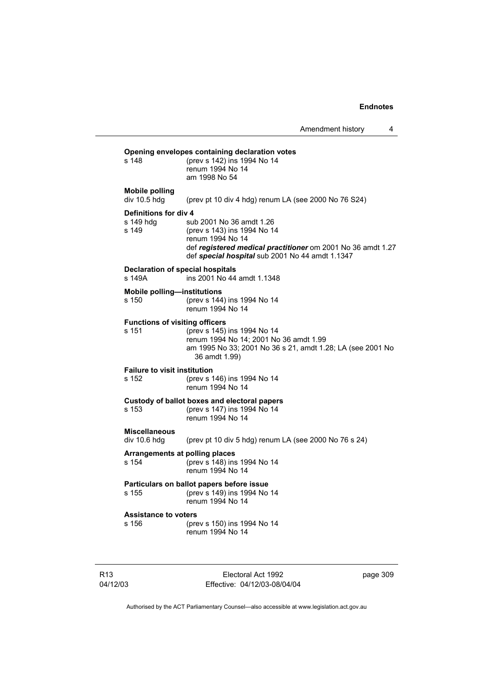| Amendment history |  |
|-------------------|--|
|-------------------|--|

## **Opening envelopes containing declaration votes**<br>s 148 (prev s 142) ins 1994 No 14 s 148 (prev s 142) ins 1994 No 14 renum 1994 No 14 am 1998 No 54 **Mobile polling**  div 10.5 hdg (prev pt 10 div 4 hdg) renum LA (see 2000 No 76 S24) **Definitions for div 4** s 149 hdg sub 2001 No 36 amdt 1.26<br>s 149 (prev s 143) ins 1994 No 14 s 149 (prev s 143) ins 1994 No 14 renum 1994 No 14 def *registered medical practitioner* om 2001 No 36 amdt 1.27 def *special hospital* sub 2001 No 44 amdt 1.1347 **Declaration of special hospitals**  s 149A ins 2001 No 44 amdt 1.1348 **Mobile polling—institutions**

s 150 (prev s 144) ins 1994 No 14 renum 1994 No 14

# **Functions of visiting officers**<br>s 151 (prev s 145)

(prev s 145) ins 1994 No 14 renum 1994 No 14; 2001 No 36 amdt 1.99 am 1995 No 33; 2001 No 36 s 21, amdt 1.28; LA (see 2001 No 36 amdt 1.99)

### **Failure to visit institution**

s 152 (prev s 146) ins 1994 No 14 renum 1994 No 14

### **Custody of ballot boxes and electoral papers** s 153 (prev s 147) ins 1994 No 14

renum 1994 No 14

# **Miscellaneous**

(prev pt 10 div 5 hdg) renum LA (see 2000 No 76 s 24)

## **Arrangements at polling places**

s 154 (prev s 148) ins 1994 No 14 renum 1994 No 14

### **Particulars on ballot papers before issue** s 155 (prev s 149) ins 1994 No 14 renum 1994 No 14

# **Assistance to voters**<br>s 156 (pre

(prev s 150) ins 1994 No 14 renum 1994 No 14

R13 04/12/03

Electoral Act 1992 Effective: 04/12/03-08/04/04 page 309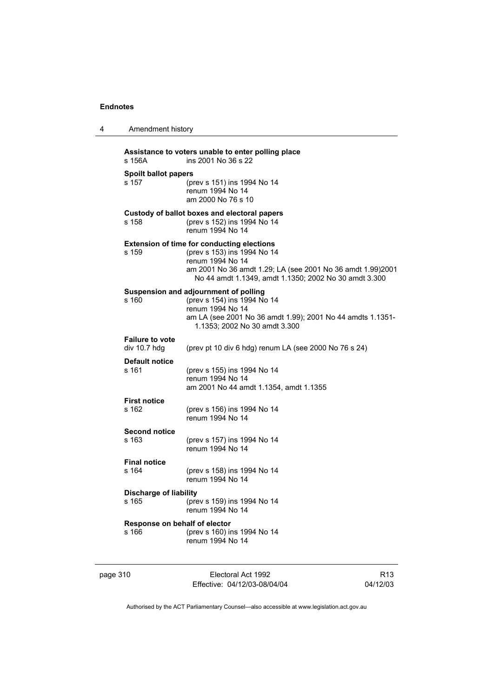| 4        | Amendment history                      |                                                                                                                                                                                                                             |                 |
|----------|----------------------------------------|-----------------------------------------------------------------------------------------------------------------------------------------------------------------------------------------------------------------------------|-----------------|
|          | s 156A                                 | Assistance to voters unable to enter polling place<br>ins 2001 No 36 s 22                                                                                                                                                   |                 |
|          | <b>Spoilt ballot papers</b><br>s 157   | (prev s 151) ins 1994 No 14<br>renum 1994 No 14<br>am 2000 No 76 s 10                                                                                                                                                       |                 |
|          | s 158                                  | Custody of ballot boxes and electoral papers<br>(prev s 152) ins 1994 No 14<br>renum 1994 No 14                                                                                                                             |                 |
|          | s 159                                  | <b>Extension of time for conducting elections</b><br>(prev s 153) ins 1994 No 14<br>renum 1994 No 14<br>am 2001 No 36 amdt 1.29; LA (see 2001 No 36 amdt 1.99)2001<br>No 44 amdt 1.1349, amdt 1.1350; 2002 No 30 amdt 3.300 |                 |
|          | s <sub>160</sub>                       | Suspension and adjournment of polling<br>(prev s 154) ins 1994 No 14<br>renum 1994 No 14<br>am LA (see 2001 No 36 amdt 1.99); 2001 No 44 amdts 1.1351-<br>1.1353; 2002 No 30 amdt 3.300                                     |                 |
|          | <b>Failure to vote</b><br>div 10.7 hdg | (prev pt 10 div 6 hdg) renum LA (see 2000 No 76 s 24)                                                                                                                                                                       |                 |
|          | Default notice<br>s 161                | (prev s 155) ins 1994 No 14<br>renum 1994 No 14<br>am 2001 No 44 amdt 1.1354, amdt 1.1355                                                                                                                                   |                 |
|          | <b>First notice</b><br>s 162           | (prev s 156) ins 1994 No 14<br>renum 1994 No 14                                                                                                                                                                             |                 |
|          | <b>Second notice</b><br>s 163          | (prev s 157) ins 1994 No 14<br>renum 1994 No 14                                                                                                                                                                             |                 |
|          | <b>Final notice</b><br>s 164           | (prev s 158) ins 1994 No 14<br>renum 1994 No 14                                                                                                                                                                             |                 |
|          | <b>Discharge of liability</b><br>s 165 | (prev s 159) ins 1994 No 14<br>renum 1994 No 14                                                                                                                                                                             |                 |
|          | Response on behalf of elector<br>s 166 | (prev s 160) ins 1994 No 14<br>renum 1994 No 14                                                                                                                                                                             |                 |
| page 310 |                                        | Electoral Act 1992<br>Effective: 04/12/03-08/04/04                                                                                                                                                                          | R13<br>04/12/03 |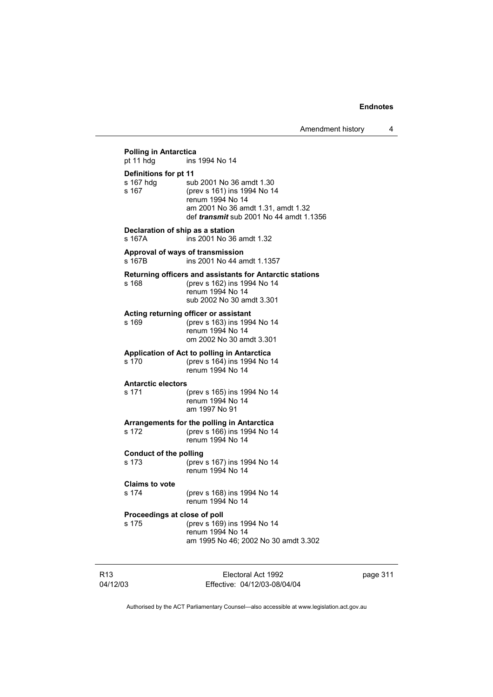Amendment history 4

**Polling in Antarctica**<br>pt 11 hdg ins ins 1994 No 14 **Definitions for pt 11** s 167 hdg sub 2001 No 36 amdt 1.30<br>s 167 (prev s 161) ins 1994 No 1 s 167 (prev s 161) ins 1994 No 14 renum 1994 No 14 am 2001 No 36 amdt 1.31, amdt 1.32 def *transmit* sub 2001 No 44 amdt 1.1356 **Declaration of ship as a station** s 167A ins 2001 No 36 amdt 1.32 **Approval of ways of transmission**  s 167B ins 2001 No 44 amdt 1.1357 **Returning officers and assistants for Antarctic stations** s 168 (prev s 162) ins 1994 No 14 renum 1994 No 14 sub 2002 No 30 amdt 3.301 **Acting returning officer or assistant** s 169 (prev s 163) ins 1994 No 14 renum 1994 No 14 om 2002 No 30 amdt 3.301 **Application of Act to polling in Antarctica** s 170 (prev s 164) ins 1994 No 14 renum 1994 No 14 **Antarctic electors** s 171 (prev s 165) ins 1994 No 14 renum 1994 No 14 am 1997 No 91 **Arrangements for the polling in Antarctica** s 172 (prev s 166) ins 1994 No 14 renum 1994 No 14 **Conduct of the polling** s 173 (prev s 167) ins 1994 No 14 renum 1994 No 14 **Claims to vote** (prev s 168) ins 1994 No 14 renum 1994 No 14 **Proceedings at close of poll** s 175 (prev s 169) ins 1994 No 14 renum 1994 No 14 am 1995 No 46; 2002 No 30 amdt 3.302

R13 04/12/03 Electoral Act 1992 Effective: 04/12/03-08/04/04 page 311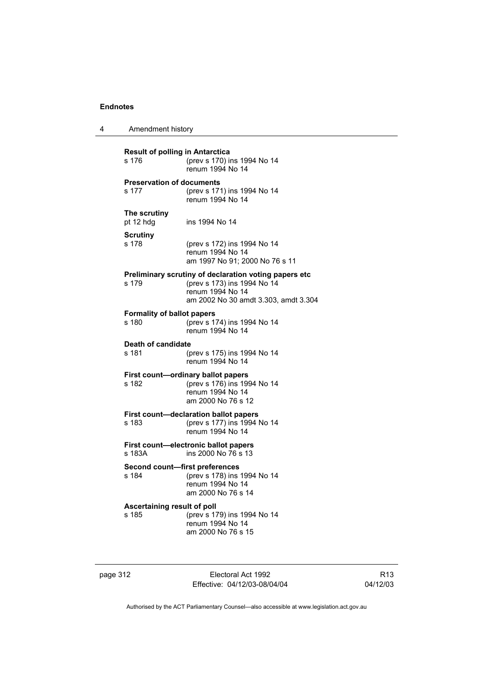| 4 | Amendment history |
|---|-------------------|
|---|-------------------|

| <b>Result of polling in Antarctica</b><br>(prev s 170) ins 1994 No 14<br>s 176<br>renum 1994 No 14 |                                                                                                                                                  |  |
|----------------------------------------------------------------------------------------------------|--------------------------------------------------------------------------------------------------------------------------------------------------|--|
| <b>Preservation of documents</b><br>s 177                                                          | (prev s 171) ins 1994 No 14<br>renum 1994 No 14                                                                                                  |  |
| The scrutiny<br>pt 12 hdg                                                                          | ins 1994 No 14                                                                                                                                   |  |
| Scrutiny<br>s 178                                                                                  | (prev s 172) ins 1994 No 14<br>renum 1994 No 14<br>am 1997 No 91; 2000 No 76 s 11                                                                |  |
| s 179                                                                                              | Preliminary scrutiny of declaration voting papers etc<br>(prev s 173) ins 1994 No 14<br>renum 1994 No 14<br>am 2002 No 30 amdt 3.303, amdt 3.304 |  |
| <b>Formality of ballot papers</b><br>s 180                                                         | (prev s 174) ins 1994 No 14<br>renum 1994 No 14                                                                                                  |  |
| Death of candidate<br>s 181                                                                        | (prev s 175) ins 1994 No 14<br>renum 1994 No 14                                                                                                  |  |
| s 182                                                                                              | First count-ordinary ballot papers<br>(prev s 176) ins 1994 No 14<br>renum 1994 No 14<br>am 2000 No 76 s 12                                      |  |
| s 183                                                                                              | First count-declaration ballot papers<br>(prev s 177) ins 1994 No 14<br>renum 1994 No 14                                                         |  |
| s 183A                                                                                             | First count-electronic ballot papers<br>ins 2000 No 76 s 13                                                                                      |  |
| Second count-first preferences<br>s 184                                                            | (prev s 178) ins 1994 No 14<br>renum 1994 No 14<br>am 2000 No 76 s 14                                                                            |  |
| Ascertaining result of poll<br>s 185                                                               | (prev s 179) ins 1994 No 14<br>renum 1994 No 14<br>am 2000 No 76 s 15                                                                            |  |

page 312 Electoral Act 1992 Effective: 04/12/03-08/04/04

R13 04/12/03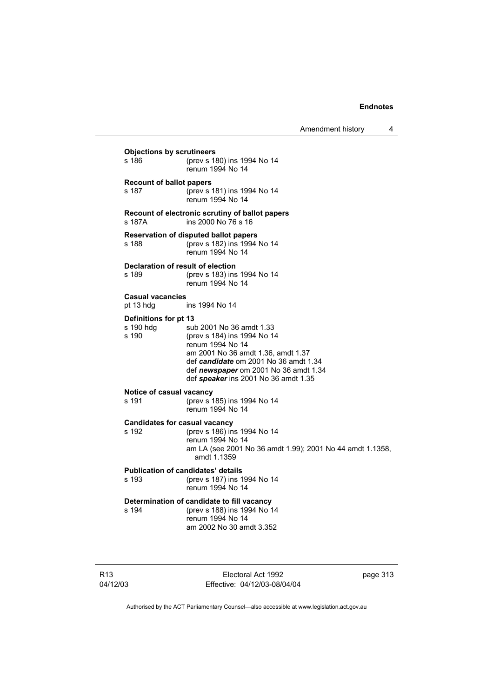Amendment history 4

**Objections by scrutineers**<br>s 186 (prev s 18 s 186 (prev s 180) ins 1994 No 14 renum 1994 No 14 **Recount of ballot papers** s 187 (prev s 181) ins 1994 No 14 renum 1994 No 14 **Recount of electronic scrutiny of ballot papers** s 187A ins 2000 No 76 s 16 **Reservation of disputed ballot papers** s 188 (prev s 182) ins 1994 No 14 renum 1994 No 14 **Declaration of result of election** s 189 (prev s 183) ins 1994 No 14 renum 1994 No 14 **Casual vacancies** pt 13 hdg ins 1994 No 14 **Definitions for pt 13** s 190 hdg sub 2001 No 36 amdt 1.33<br>s 190 (prev s 184) ins 1994 No 1 (prev s 184) ins 1994 No 14 renum 1994 No 14 am 2001 No 36 amdt 1.36, amdt 1.37 def *candidate* om 2001 No 36 amdt 1.34 def *newspaper* om 2001 No 36 amdt 1.34 def *speaker* ins 2001 No 36 amdt 1.35 **Notice of casual vacancy** s 191 (prev s 185) ins 1994 No 14 renum 1994 No 14 **Candidates for casual vacancy** s 192 (prev s 186) ins 1994 No 14 renum 1994 No 14 am LA (see 2001 No 36 amdt 1.99); 2001 No 44 amdt 1.1358, amdt 1.1359 **Publication of candidates' details** s 193 (prev s 187) ins 1994 No 14 renum 1994 No 14 **Determination of candidate to fill vacancy** s 194 (prev s 188) ins 1994 No 14 renum 1994 No 14 am 2002 No 30 amdt 3.352

Electoral Act 1992 Effective: 04/12/03-08/04/04 page 313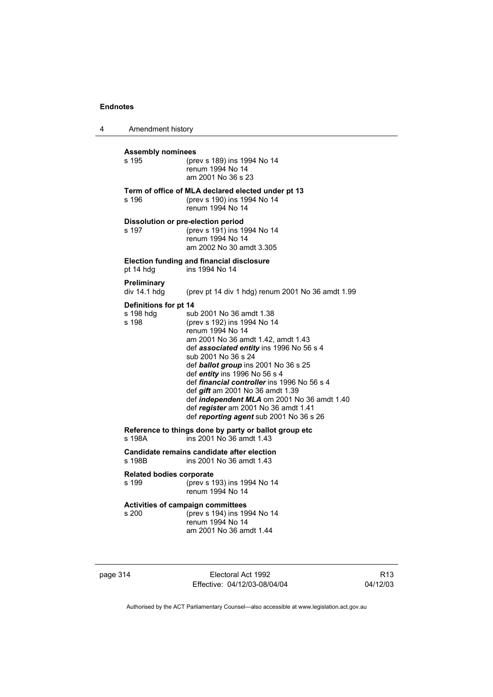4 Amendment history **Assembly nominees** (prev s 189) ins 1994 No 14 renum 1994 No 14 am 2001 No 36 s 23 **Term of office of MLA declared elected under pt 13** s 196 (prev s 190) ins 1994 No 14 renum 1994 No 14 **Dissolution or pre-election period**<br>s 197 (prev s 191) ins 19 s 197 (prev s 191) ins 1994 No 14 renum 1994 No 14 am 2002 No 30 amdt 3.305 **Election funding and financial disclosure** ins 1994 No 14 **Preliminary**  (prev pt 14 div 1 hdg) renum 2001 No 36 amdt 1.99 **Definitions for pt 14**<br>s 198 hdg sul s 198 hdg sub 2001 No 36 amdt 1.38<br>s 198 (prev s 192) ins 1994 No 14 (prev s 192) ins 1994 No 14 renum 1994 No 14 am 2001 No 36 amdt 1.42, amdt 1.43 def *associated entity* ins 1996 No 56 s 4 sub 2001 No 36 s 24 def *ballot group* ins 2001 No 36 s 25 def *entity* ins 1996 No 56 s 4 def *financial controller* ins 1996 No 56 s 4 def *gift* am 2001 No 36 amdt 1.39 def *independent MLA* om 2001 No 36 amdt 1.40 def *register* am 2001 No 36 amdt 1.41 def *reporting agent* sub 2001 No 36 s 26 **Reference to things done by party or ballot group etc**<br>s 198A ins 2001 No 36 amdt 1.43 ins 2001 No 36 amdt 1.43 **Candidate remains candidate after election** ins 2001 No 36 amdt 1.43 **Related bodies corporate** s 199 (prev s 193) ins 1994 No 14 renum 1994 No 14 **Activities of campaign committees**  $5$  (prev s 194) ins 1994 No 14 renum 1994 No 14 am 2001 No 36 amdt 1.44

page 314 Electoral Act 1992 Effective: 04/12/03-08/04/04

R13 04/12/03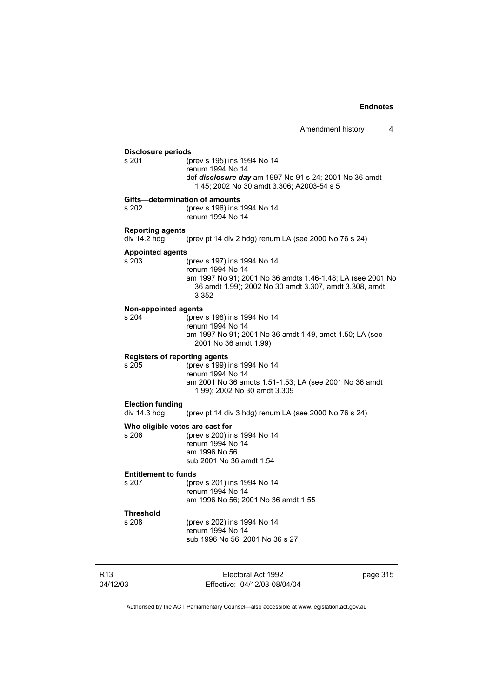|                 | <b>Disclosure periods</b>               |                                                                                                                               |          |
|-----------------|-----------------------------------------|-------------------------------------------------------------------------------------------------------------------------------|----------|
|                 | s 201                                   | (prev s 195) ins 1994 No 14<br>renum 1994 No 14<br>def <i>disclosure day</i> am 1997 No 91 s 24; 2001 No 36 amdt              |          |
|                 |                                         | 1.45; 2002 No 30 amdt 3.306; A2003-54 s 5                                                                                     |          |
|                 | Gifts-determination of amounts          |                                                                                                                               |          |
|                 | s 202                                   | (prev s 196) ins 1994 No 14<br>renum 1994 No 14                                                                               |          |
|                 | <b>Reporting agents</b><br>div 14.2 hdg | (prev pt 14 div 2 hdg) renum LA (see 2000 No 76 s 24)                                                                         |          |
|                 | <b>Appointed agents</b>                 |                                                                                                                               |          |
|                 | s 203                                   | (prev s 197) ins 1994 No 14<br>renum 1994 No 14                                                                               |          |
|                 |                                         | am 1997 No 91; 2001 No 36 amdts 1.46-1.48; LA (see 2001 No<br>36 amdt 1.99); 2002 No 30 amdt 3.307, amdt 3.308, amdt<br>3.352 |          |
|                 | <b>Non-appointed agents</b>             |                                                                                                                               |          |
|                 | s 204                                   | (prev s 198) ins 1994 No 14                                                                                                   |          |
|                 |                                         | renum 1994 No 14<br>am 1997 No 91; 2001 No 36 amdt 1.49, amdt 1.50; LA (see                                                   |          |
|                 |                                         | 2001 No 36 amdt 1.99)                                                                                                         |          |
|                 | <b>Registers of reporting agents</b>    |                                                                                                                               |          |
|                 | s, 205                                  | (prev s 199) ins 1994 No 14                                                                                                   |          |
|                 |                                         | renum 1994 No 14<br>am 2001 No 36 amdts 1.51-1.53; LA (see 2001 No 36 amdt                                                    |          |
|                 |                                         | 1.99); 2002 No 30 amdt 3.309                                                                                                  |          |
|                 | <b>Election funding</b>                 |                                                                                                                               |          |
|                 | div $14.3$ hdg                          | (prev pt 14 div 3 hdg) renum LA (see 2000 No 76 s 24)                                                                         |          |
|                 | Who eligible votes are cast for         |                                                                                                                               |          |
|                 | s 206                                   | (prev s 200) ins 1994 No 14<br>renum 1994 No 14                                                                               |          |
|                 |                                         | am 1996 No 56                                                                                                                 |          |
|                 |                                         | sub 2001 No 36 amdt 1.54                                                                                                      |          |
|                 | <b>Entitlement to funds</b>             |                                                                                                                               |          |
|                 | s 207                                   | (prev s 201) ins 1994 No 14                                                                                                   |          |
|                 |                                         | renum 1994 No 14<br>am 1996 No 56; 2001 No 36 amdt 1.55                                                                       |          |
|                 | Threshold                               |                                                                                                                               |          |
|                 | s 208                                   | (prev s 202) ins 1994 No 14                                                                                                   |          |
|                 |                                         | renum 1994 No 14                                                                                                              |          |
|                 |                                         | sub 1996 No 56; 2001 No 36 s 27                                                                                               |          |
|                 |                                         |                                                                                                                               |          |
| R <sub>13</sub> |                                         | Electoral Act 1992                                                                                                            | page 315 |
| 04/12/03        |                                         | Effective: 04/12/03-08/04/04                                                                                                  |          |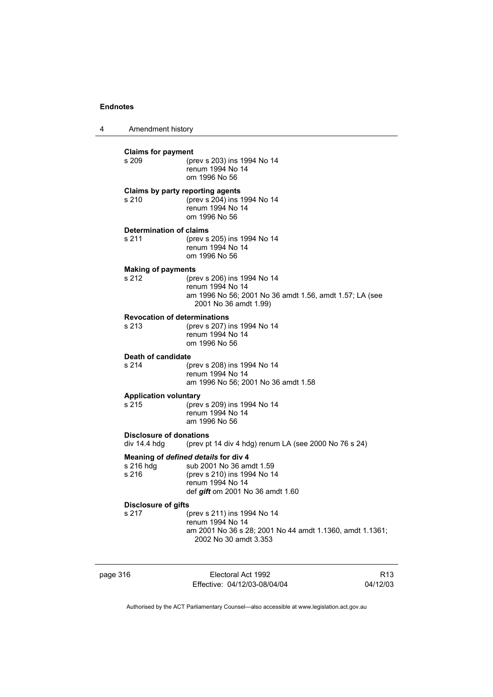4 Amendment history page 316 Electoral Act 1992 R13 **Claims for payment**  s 209 (prev s 203) ins 1994 No 14 renum 1994 No 14 om 1996 No 56 **Claims by party reporting agents**  s 210 (prev s 204) ins 1994 No 14 renum 1994 No 14 om 1996 No 56 **Determination of claims**  s 211 (prev s 205) ins 1994 No 14 renum 1994 No 14 om 1996 No 56 **Making of payments**  s 212 (prev s 206) ins 1994 No 14 renum 1994 No 14 am 1996 No 56; 2001 No 36 amdt 1.56, amdt 1.57; LA (see 2001 No 36 amdt 1.99) **Revocation of determinations**  s 213 (prev s 207) ins 1994 No 14 renum 1994 No 14 om 1996 No 56 **Death of candidate** s 214 (prev s 208) ins 1994 No 14 renum 1994 No 14 am 1996 No 56; 2001 No 36 amdt 1.58 **Application voluntary**<br>s 215 (prev (prev s 209) ins 1994 No 14 renum 1994 No 14 am 1996 No 56 **Disclosure of donations**  div 14.4 hdg (prev pt 14 div 4 hdg) renum LA (see 2000 No 76 s 24) **Meaning of** *defined details* **for div 4** s 216 hdg sub 2001 No 36 am sub 2001 No 36 amdt 1.59 s 216 (prev s 210) ins 1994 No 14 renum 1994 No 14 def *gift* om 2001 No 36 amdt 1.60 **Disclosure of gifts** (prev s 211) ins 1994 No 14 renum 1994 No 14 am 2001 No 36 s 28; 2001 No 44 amdt 1.1360, amdt 1.1361; 2002 No 30 amdt 3.353

Authorised by the ACT Parliamentary Counsel—also accessible at www.legislation.act.gov.au

Effective: 04/12/03-08/04/04

04/12/03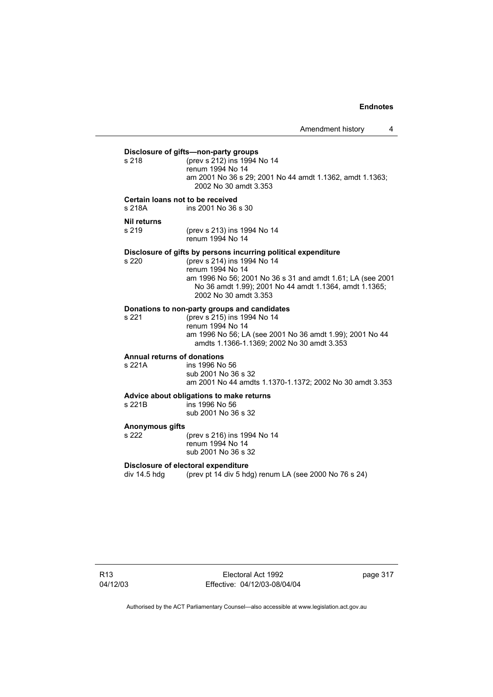**Disclosure of gifts—non-party groups**<br>s 218 (prev s 212) ins 1994 s 218 (prev s 212) ins 1994 No 14 renum 1994 No 14 am 2001 No 36 s 29; 2001 No 44 amdt 1.1362, amdt 1.1363; 2002 No 30 amdt 3.353 **Certain loans not to be received** s 218A ins 2001 No 36 s 30 **Nil returns** s 219 (prev s 213) ins 1994 No 14 renum 1994 No 14 **Disclosure of gifts by persons incurring political expenditure**<br>s 220 (prev s 214) ins 1994 No 14 s 220 (prev s 214) ins 1994 No 14 renum 1994 No 14 am 1996 No 56; 2001 No 36 s 31 and amdt 1.61; LA (see 2001 No 36 amdt 1.99); 2001 No 44 amdt 1.1364, amdt 1.1365; 2002 No 30 amdt 3.353 **Donations to non-party groups and candidates** s 221 (prev s 215) ins 1994 No 14 renum 1994 No 14 am 1996 No 56; LA (see 2001 No 36 amdt 1.99); 2001 No 44 amdts 1.1366-1.1369; 2002 No 30 amdt 3.353 **Annual returns of donations** s 221A ins 1996 No 56 sub 2001 No 36 s 32 am 2001 No 44 amdts 1.1370-1.1372; 2002 No 30 amdt 3.353 **Advice about obligations to make returns**  $ins$  1996 No 56 sub 2001 No 36 s 32 **Anonymous gifts** s 222 (prev s 216) ins 1994 No 14 renum 1994 No 14 sub 2001 No 36 s 32 **Disclosure of electoral expenditure**  div 14.5 hdg (prev pt 14 div 5 hdg) renum LA (see 2000 No 76 s 24)

R13 04/12/03

Electoral Act 1992 Effective: 04/12/03-08/04/04 page 317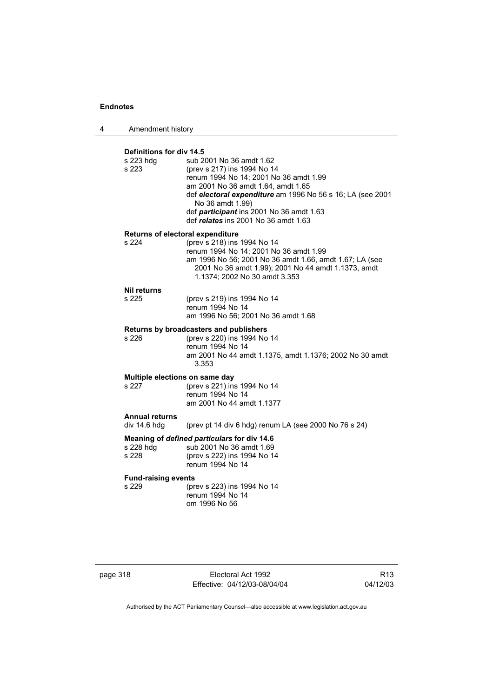4 Amendment history

| Definitions for div 14.5   |                                                                                                                                                                                                                                                                                                               |
|----------------------------|---------------------------------------------------------------------------------------------------------------------------------------------------------------------------------------------------------------------------------------------------------------------------------------------------------------|
| s 223 hdg<br>s 223         | sub 2001 No 36 amdt 1.62<br>(prev s 217) ins 1994 No 14<br>renum 1994 No 14; 2001 No 36 amdt 1.99<br>am 2001 No 36 amdt 1.64, amdt 1.65<br>def electoral expenditure am 1996 No 56 s 16; LA (see 2001<br>No 36 amdt 1.99)<br>def participant ins 2001 No 36 amdt 1.63<br>def relates ins 2001 No 36 amdt 1.63 |
|                            | Returns of electoral expenditure                                                                                                                                                                                                                                                                              |
| s 224                      | (prev s 218) ins 1994 No 14<br>renum 1994 No 14; 2001 No 36 amdt 1.99<br>am 1996 No 56; 2001 No 36 amdt 1.66, amdt 1.67; LA (see<br>2001 No 36 amdt 1.99); 2001 No 44 amdt 1.1373, amdt<br>1.1374; 2002 No 30 amdt 3.353                                                                                      |
| <b>Nil returns</b>         |                                                                                                                                                                                                                                                                                                               |
| s 225                      | (prev s 219) ins 1994 No 14<br>renum 1994 No 14<br>am 1996 No 56; 2001 No 36 amdt 1.68                                                                                                                                                                                                                        |
|                            | Returns by broadcasters and publishers                                                                                                                                                                                                                                                                        |
| s 226                      | (prev s 220) ins 1994 No 14<br>renum 1994 No 14<br>am 2001 No 44 amdt 1.1375, amdt 1.1376; 2002 No 30 amdt<br>3.353                                                                                                                                                                                           |
|                            | Multiple elections on same day                                                                                                                                                                                                                                                                                |
| s 227                      | (prev s 221) ins 1994 No 14<br>renum 1994 No 14<br>am 2001 No 44 amdt 1.1377                                                                                                                                                                                                                                  |
| <b>Annual returns</b>      |                                                                                                                                                                                                                                                                                                               |
| div 14.6 hdg               | (prev pt 14 div 6 hdg) renum LA (see 2000 No 76 s 24)                                                                                                                                                                                                                                                         |
| s 228 hdg<br>s 228         | Meaning of defined particulars for div 14.6<br>sub 2001 No 36 amdt 1.69<br>(prev s 222) ins 1994 No 14<br>renum 1994 No 14                                                                                                                                                                                    |
| <b>Fund-raising events</b> |                                                                                                                                                                                                                                                                                                               |
| s 229                      | (prev s 223) ins 1994 No 14<br>renum 1994 No 14<br>om 1996 No 56                                                                                                                                                                                                                                              |
|                            |                                                                                                                                                                                                                                                                                                               |

page 318 Electoral Act 1992 Effective: 04/12/03-08/04/04

R13 04/12/03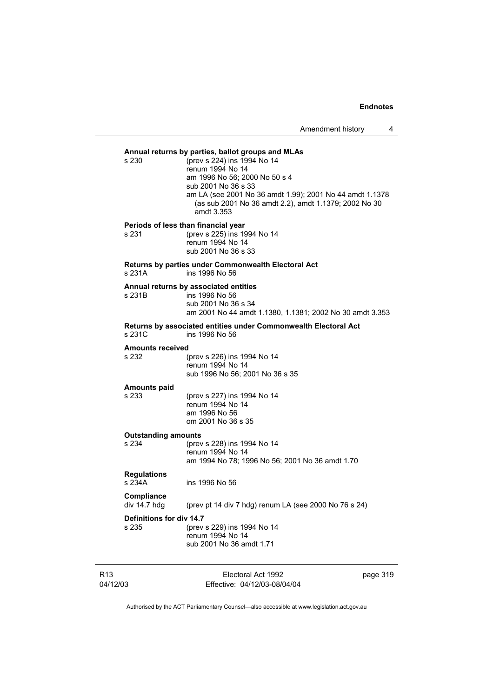Amendment history 4

# **Annual returns by parties, ballot groups and MLAs**

 $(prev s 224)$  ins 1994 No 14 renum 1994 No 14 am 1996 No 56; 2000 No 50 s 4 sub 2001 No 36 s 33 am LA (see 2001 No 36 amdt 1.99); 2001 No 44 amdt 1.1378 (as sub 2001 No 36 amdt 2.2), amdt 1.1379; 2002 No 30 amdt 3.353

**Periods of less than financial year**<br>s 231 (prev s 225) ins 19 (prev s 225) ins 1994 No 14 renum 1994 No 14 sub 2001 No 36 s 33

# **Returns by parties under Commonwealth Electoral Act**

s 231A ins 1996 No 56

# **Annual returns by associated entities**

 $\overline{\phantom{1}}$  ins 1996 No 56 sub 2001 No 36 s 34 am 2001 No 44 amdt 1.1380, 1.1381; 2002 No 30 amdt 3.353

### **Returns by associated entities under Commonwealth Electoral Act** s 231C ins 1996 No 56

# **Amounts received**

(prev s 226) ins 1994 No 14 renum 1994 No 14 sub 1996 No 56; 2001 No 36 s 35

# **Amounts paid**

(prev s 227) ins 1994 No 14 renum 1994 No 14 am 1996 No 56 om 2001 No 36 s 35

### **Outstanding amounts**

s 234 (prev s 228) ins 1994 No 14 renum 1994 No 14 am 1994 No 78; 1996 No 56; 2001 No 36 amdt 1.70

## **Regulations**

s 234A ins 1996 No 56

# **Compliance**

(prev pt 14 div 7 hdg) renum LA (see 2000 No 76 s 24)

### **Definitions for div 14.7**

s 235 (prev s 229) ins 1994 No 14 renum 1994 No 14 sub 2001 No 36 amdt 1.71

| R13      | Electoral Act 1992           | page 319 |
|----------|------------------------------|----------|
| 04/12/03 | Effective: 04/12/03-08/04/04 |          |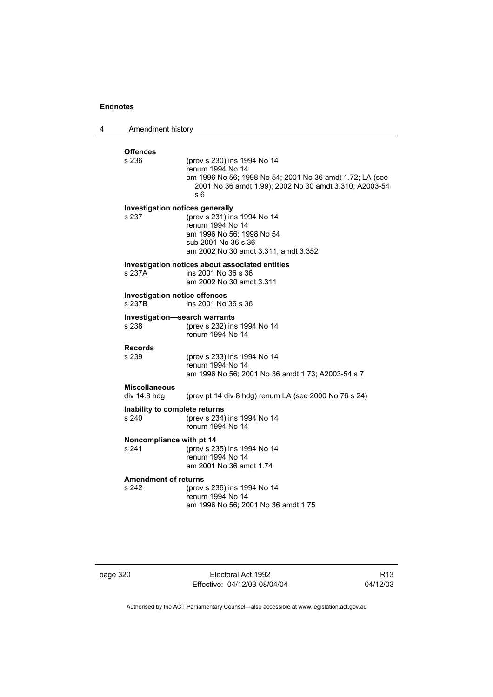| 4 | Amendment history                                                     |                                                                                                                                                                                         |
|---|-----------------------------------------------------------------------|-----------------------------------------------------------------------------------------------------------------------------------------------------------------------------------------|
|   | <b>Offences</b><br>s 236                                              | (prev s 230) ins 1994 No 14<br>renum 1994 No 14<br>am 1996 No 56; 1998 No 54; 2001 No 36 amdt 1.72; LA (see<br>2001 No 36 amdt 1.99); 2002 No 30 amdt 3.310; A2003-54<br>s <sub>6</sub> |
|   | Investigation notices generally<br>s 237                              | (prev s 231) ins 1994 No 14<br>renum 1994 No 14<br>am 1996 No 56; 1998 No 54<br>sub 2001 No 36 s 36<br>am 2002 No 30 amdt 3.311, amdt 3.352                                             |
|   | s 237A                                                                | Investigation notices about associated entities<br>ins 2001 No 36 s 36<br>am 2002 No 30 amdt 3.311                                                                                      |
|   | <b>Investigation notice offences</b><br>ins 2001 No 36 s 36<br>s 237B |                                                                                                                                                                                         |
|   | Investigation-search warrants<br>s 238                                | (prev s 232) ins 1994 No 14<br>renum 1994 No 14                                                                                                                                         |
|   | <b>Records</b><br>s 239                                               | (prev s 233) ins 1994 No 14<br>renum 1994 No 14<br>am 1996 No 56; 2001 No 36 amdt 1.73; A2003-54 s 7                                                                                    |
|   | <b>Miscellaneous</b><br>div 14.8 hdg                                  | (prev pt 14 div 8 hdg) renum LA (see 2000 No 76 s 24)                                                                                                                                   |
|   | Inability to complete returns<br>s 240                                | (prev s 234) ins 1994 No 14<br>renum 1994 No 14                                                                                                                                         |
|   | Noncompliance with pt 14<br>s 241                                     | (prev s 235) ins 1994 No 14<br>renum 1994 No 14<br>am 2001 No 36 amdt 1.74                                                                                                              |
|   | <b>Amendment of returns</b><br>s 242                                  | (prev s 236) ins 1994 No 14<br>renum 1994 No 14<br>am 1996 No 56; 2001 No 36 amdt 1.75                                                                                                  |

page 320 Electoral Act 1992 Effective: 04/12/03-08/04/04

R13 04/12/03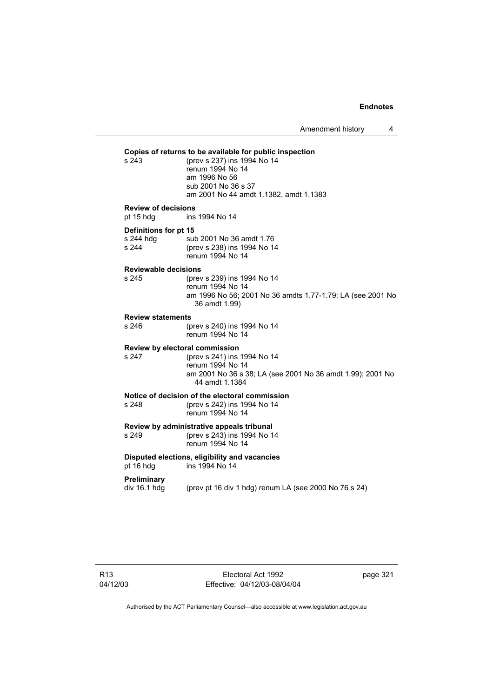Amendment history 4

**Copies of returns to be available for public inspection** (prev s 237) ins 1994 No 14 renum 1994 No 14 am 1996 No 56 sub 2001 No 36 s 37 am 2001 No 44 amdt 1.1382, amdt 1.1383 **Review of decisions** pt 15 hdg ins 1994 No 14 **Definitions for pt 15** s 244 hdg sub 2001 No 36 amdt 1.76 s 244 (prev s 238) ins 1994 No 14 renum 1994 No 14 **Reviewable decisions** s 245 (prev s 239) ins 1994 No 14 renum 1994 No 14 am 1996 No 56; 2001 No 36 amdts 1.77-1.79; LA (see 2001 No 36 amdt 1.99) **Review statements** s 246 (prev s 240) ins 1994 No 14 renum 1994 No 14 **Review by electoral commission** s 247 (prev s 241) ins 1994 No 14 renum 1994 No 14 am 2001 No 36 s 38; LA (see 2001 No 36 amdt 1.99); 2001 No 44 amdt 1.1384 **Notice of decision of the electoral commission**<br>s 248 (orev s 242) ins 1994 No 14 (prev s 242) ins 1994 No 14 renum 1994 No 14 **Review by administrative appeals tribunal** s 249 (prev s 243) ins 1994 No 14 renum 1994 No 14 **Disputed elections, eligibility and vacancies** pt 16 hdg ins 1994 No 14 **Preliminary**   $div 16.1$  hdg (prev pt 16 div 1 hdg) renum LA (see 2000 No 76 s 24)

Electoral Act 1992 Effective: 04/12/03-08/04/04 page 321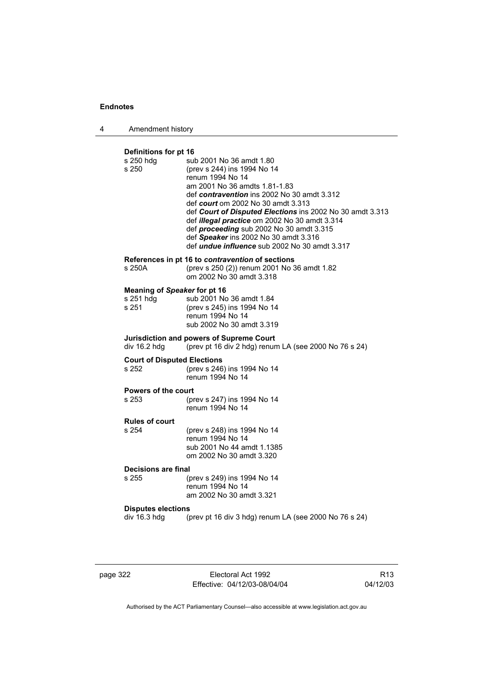| Amendment history |  |
|-------------------|--|
|-------------------|--|

### **Definitions for pt 16**

| s 250 hdg<br>s 250                                        | sub 2001 No 36 amdt 1.80<br>(prev s 244) ins 1994 No 14<br>renum 1994 No 14<br>am 2001 No 36 amdts 1.81-1.83<br>def contravention ins 2002 No 30 amdt 3.312<br>def court om 2002 No 30 amdt 3.313<br>def Court of Disputed Elections ins 2002 No 30 amdt 3.313<br>def illegal practice om 2002 No 30 amdt 3.314<br>def proceeding sub 2002 No 30 amdt 3.315<br>def Speaker ins 2002 No 30 amdt 3.316<br>def <i>undue influence</i> sub 2002 No 30 amdt 3.317 |
|-----------------------------------------------------------|--------------------------------------------------------------------------------------------------------------------------------------------------------------------------------------------------------------------------------------------------------------------------------------------------------------------------------------------------------------------------------------------------------------------------------------------------------------|
| s 250A                                                    | References in pt 16 to contravention of sections<br>(prev s 250 (2)) renum 2001 No 36 amdt 1.82<br>om 2002 No 30 amdt 3.318                                                                                                                                                                                                                                                                                                                                  |
| <b>Meaning of Speaker for pt 16</b><br>s 251 hdg<br>s 251 | sub 2001 No 36 amdt 1.84<br>(prev s 245) ins 1994 No 14<br>renum 1994 No 14<br>sub 2002 No 30 amdt 3.319                                                                                                                                                                                                                                                                                                                                                     |
| div 16.2 hdg                                              | Jurisdiction and powers of Supreme Court<br>(prev pt 16 div 2 hdg) renum LA (see 2000 No 76 s 24)                                                                                                                                                                                                                                                                                                                                                            |
| <b>Court of Disputed Elections</b><br>s 252               | (prev s 246) ins 1994 No 14<br>renum 1994 No 14                                                                                                                                                                                                                                                                                                                                                                                                              |
| <b>Powers of the court</b><br>s 253                       | (prev s 247) ins 1994 No 14<br>renum 1994 No 14                                                                                                                                                                                                                                                                                                                                                                                                              |
| <b>Rules of court</b><br>s 254                            | (prev s 248) ins 1994 No 14<br>renum 1994 No 14<br>sub 2001 No 44 amdt 1.1385<br>om 2002 No 30 amdt 3.320                                                                                                                                                                                                                                                                                                                                                    |
| <b>Decisions are final</b><br>s 255                       | (prev s 249) ins 1994 No 14<br>renum 1994 No 14<br>am 2002 No 30 amdt 3.321                                                                                                                                                                                                                                                                                                                                                                                  |
| <b>Disputes elections</b><br>div 16.3 hdg                 | (prev pt 16 div 3 hdg) renum LA (see 2000 No 76 s 24)                                                                                                                                                                                                                                                                                                                                                                                                        |
|                                                           |                                                                                                                                                                                                                                                                                                                                                                                                                                                              |

page 322 Electoral Act 1992 Effective: 04/12/03-08/04/04

R13 04/12/03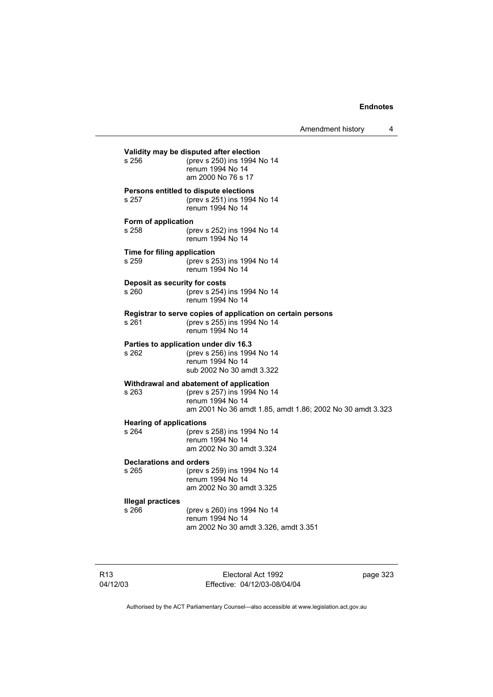Amendment history 4 **Validity may be disputed after election**<br>s 256 (orev s 250) ins 1994 s 256 (prev s 250) ins 1994 No 14 renum 1994 No 14 am 2000 No 76 s 17 **Persons entitled to dispute elections** s 257 (prev s 251) ins 1994 No 14 renum 1994 No 14 **Form of application**<br>s 258 (p) (prev s 252) ins 1994 No 14 renum 1994 No 14 **Time for filing application**<br>s 259 (prev s 2) (prev s 253) ins 1994 No 14 renum 1994 No 14 **Deposit as security for costs** s 260 (prev s 254) ins 1994 No 14 renum 1994 No 14 **Registrar to serve copies of application on certain persons** s 261 (prev s 255) ins 1994 No 14 renum 1994 No 14 **Parties to application under div 16.3** s 262 (prev s 256) ins 1994 No 14 renum 1994 No 14 sub 2002 No 30 amdt 3.322 **Withdrawal and abatement of application** s 263 (prev s 257) ins 1994 No 14 renum 1994 No 14 am 2001 No 36 amdt 1.85, amdt 1.86; 2002 No 30 amdt 3.323 **Hearing of applications** s 264 (prev s 258) ins 1994 No 14 renum 1994 No 14 am 2002 No 30 amdt 3.324 **Declarations and orders** s 265 (prev s 259) ins 1994 No 14 renum 1994 No 14 am 2002 No 30 amdt 3.325 **Illegal practices** s 266 (prev s 260) ins 1994 No 14 renum 1994 No 14 am 2002 No 30 amdt 3.326, amdt 3.351

R13 04/12/03

Electoral Act 1992 Effective: 04/12/03-08/04/04 page 323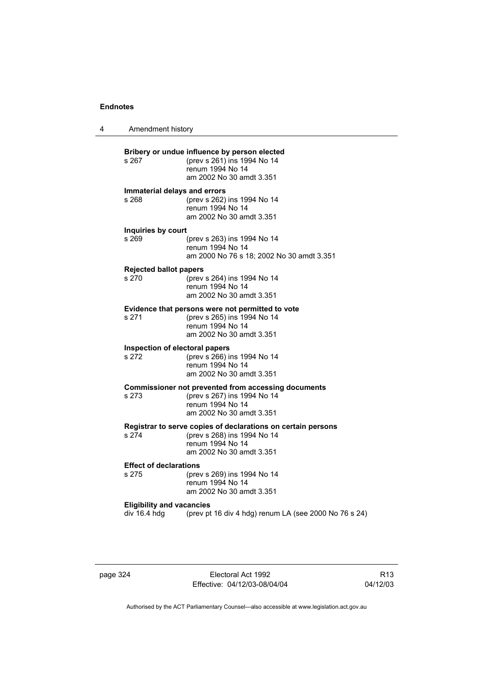4 Amendment history **Bribery or undue influence by person elected**<br>s 267 (prev s 261) ins 1994 No 14 s 267 (prev s 261) ins 1994 No 14 renum 1994 No 14 am 2002 No 30 amdt 3.351 **Immaterial delays and errors** s 268 (prev s 262) ins 1994 No 14 renum 1994 No 14 am 2002 No 30 amdt 3.351 **Inquiries by court** s 269 (prev s 263) ins 1994 No 14 renum 1994 No 14 am 2000 No 76 s 18; 2002 No 30 amdt 3.351 **Rejected ballot papers** s 270 (prev s 264) ins 1994 No 14 renum 1994 No 14 am 2002 No 30 amdt 3.351 **Evidence that persons were not permitted to vote** s 271 (prev s 265) ins 1994 No 14 renum 1994 No 14 am 2002 No 30 amdt 3.351 **Inspection of electoral papers**<br>s 272 (prev s 266) i (prev s 266) ins 1994 No 14 renum 1994 No 14 am 2002 No 30 amdt 3.351 **Commissioner not prevented from accessing documents**<br>s 273 (prev s 267) ins 1994 No 14 (prev s 267) ins 1994 No 14 renum 1994 No 14 am 2002 No 30 amdt 3.351 **Registrar to serve copies of declarations on certain persons** s 274 (prev s 268) ins 1994 No 14 renum 1994 No 14 am 2002 No 30 amdt 3.351 **Effect of declarations** s 275 (prev s 269) ins 1994 No 14 renum 1994 No 14 am 2002 No 30 amdt 3.351 **Eligibility and vacancies**<br>div 16.4 hdg (prev pt (prev pt 16 div 4 hdg) renum LA (see 2000 No 76 s 24)

page 324 Electoral Act 1992 Effective: 04/12/03-08/04/04

R13 04/12/03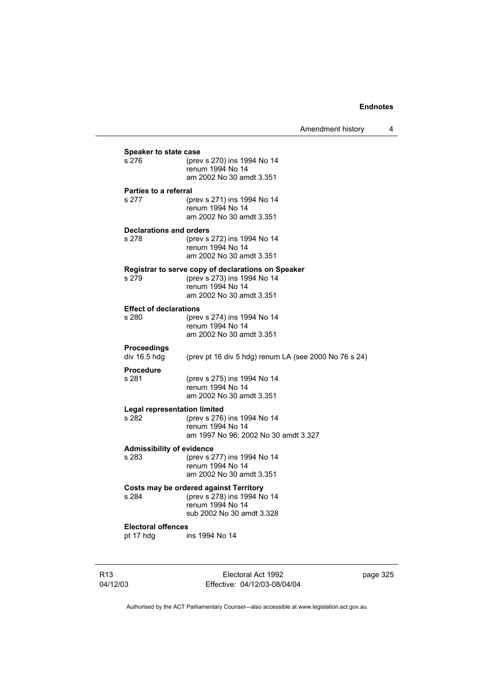Amendment history 4 04/12/03 Electoral Act 1992 Effective: 04/12/03-08/04/04 page 325 **Speaker to state case**<br>s 276 (prev (prev s 270) ins 1994 No 14 renum 1994 No 14 am 2002 No 30 amdt 3.351 **Parties to a referral** s 277 (prev s 271) ins 1994 No 14 renum 1994 No 14 am 2002 No 30 amdt 3.351 **Declarations and orders** s 278 (prev s 272) ins 1994 No 14 renum 1994 No 14 am 2002 No 30 amdt 3.351 **Registrar to serve copy of declarations on Speaker** s 279 (prev s 273) ins 1994 No 14 renum 1994 No 14 am 2002 No 30 amdt 3.351 **Effect of declarations** s 280 (prev s 274) ins 1994 No 14 renum 1994 No 14 am 2002 No 30 amdt 3.351 **Proceedings**  (prev pt 16 div 5 hdg) renum LA (see 2000 No 76 s 24) **Procedure** s 281 (prev s 275) ins 1994 No 14 renum 1994 No 14 am 2002 No 30 amdt 3.351 **Legal representation limited** s 282 (prev s 276) ins 1994 No 14 renum 1994 No 14 am 1997 No 96; 2002 No 30 amdt 3.327 **Admissibility of evidence** s 283 (prev s 277) ins 1994 No 14 renum 1994 No 14 am 2002 No 30 amdt 3.351 **Costs may be ordered against Territory** s 284 (prev s 278) ins 1994 No 14 renum 1994 No 14 sub 2002 No 30 amdt 3.328 **Electoral offences** pt 17 hdg ins 1994 No 14

Authorised by the ACT Parliamentary Counsel—also accessible at www.legislation.act.gov.au

R13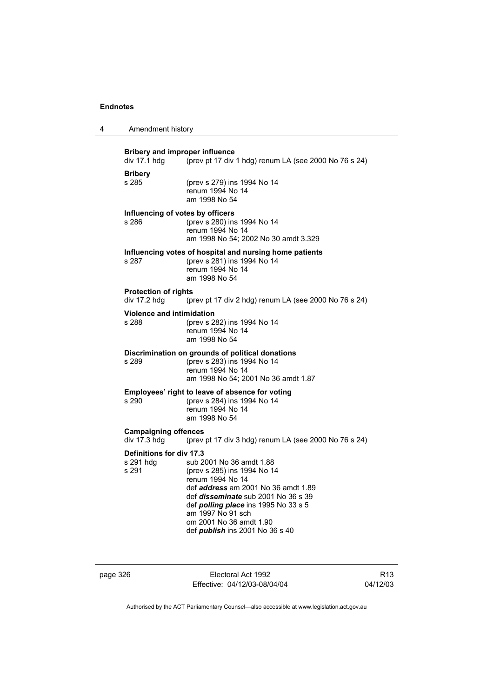| 4                                           | Amendment history                                                                                              |                                                                                                                                                                                                                                                                                                           |
|---------------------------------------------|----------------------------------------------------------------------------------------------------------------|-----------------------------------------------------------------------------------------------------------------------------------------------------------------------------------------------------------------------------------------------------------------------------------------------------------|
|                                             | <b>Bribery and improper influence</b><br>div 17.1 hdg<br>(prev pt 17 div 1 hdg) renum LA (see 2000 No 76 s 24) |                                                                                                                                                                                                                                                                                                           |
|                                             | <b>Bribery</b><br>s 285                                                                                        | (prev s 279) ins 1994 No 14<br>renum 1994 No 14<br>am 1998 No 54                                                                                                                                                                                                                                          |
|                                             | Influencing of votes by officers<br>s 286                                                                      | (prev s 280) ins 1994 No 14<br>renum 1994 No 14<br>am 1998 No 54; 2002 No 30 amdt 3.329                                                                                                                                                                                                                   |
|                                             | s 287                                                                                                          | Influencing votes of hospital and nursing home patients<br>(prev s 281) ins 1994 No 14<br>renum 1994 No 14<br>am 1998 No 54                                                                                                                                                                               |
|                                             | <b>Protection of rights</b><br>div 17.2 hdg                                                                    | (prev pt 17 div 2 hdg) renum LA (see 2000 No 76 s 24)                                                                                                                                                                                                                                                     |
|                                             | <b>Violence and intimidation</b><br>s 288                                                                      | (prev s 282) ins 1994 No 14<br>renum 1994 No 14<br>am 1998 No 54                                                                                                                                                                                                                                          |
|                                             | s 289                                                                                                          | Discrimination on grounds of political donations<br>(prev s 283) ins 1994 No 14<br>renum 1994 No 14<br>am 1998 No 54; 2001 No 36 amdt 1.87                                                                                                                                                                |
|                                             | s 290                                                                                                          | Employees' right to leave of absence for voting<br>(prev s 284) ins 1994 No 14<br>renum 1994 No 14<br>am 1998 No 54                                                                                                                                                                                       |
| <b>Campaigning offences</b><br>div 17.3 hdg |                                                                                                                | (prev pt 17 div 3 hdg) renum LA (see 2000 No 76 s 24)                                                                                                                                                                                                                                                     |
|                                             | <b>Definitions for div 17.3</b><br>s 291 hdg<br>s 291                                                          | sub 2001 No 36 amdt 1.88<br>(prev s 285) ins 1994 No 14<br>renum 1994 No 14<br>def address am 2001 No 36 amdt 1.89<br>def <i>disseminate</i> sub 2001 No 36 s 39<br>def <i>polling place</i> ins 1995 No 33 s 5<br>am 1997 No 91 sch<br>om 2001 No 36 amdt 1.90<br>def <i>publish</i> ins 2001 No 36 s 40 |

page 326 Electoral Act 1992 Effective: 04/12/03-08/04/04

R13 04/12/03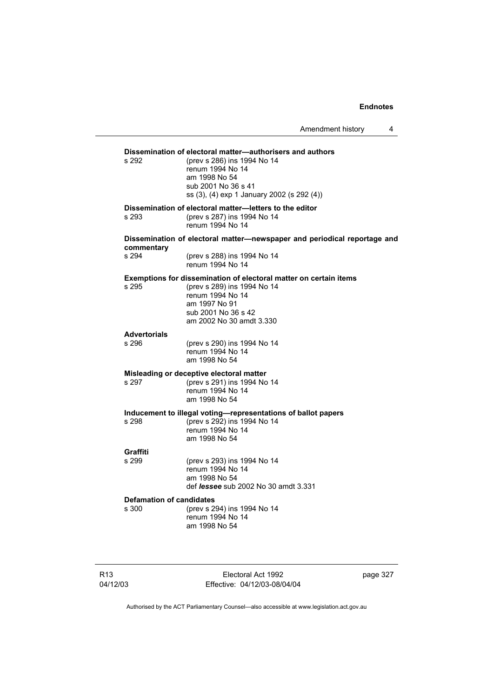Amendment history 4

|                                                                         | s 292                        | Dissemination of electoral matter—authorisers and authors<br>(prev s 286) ins 1994 No 14<br>renum 1994 No 14<br>am 1998 No 54<br>sub 2001 No 36 s 41<br>ss (3), (4) exp 1 January 2002 (s 292 (4)) |
|-------------------------------------------------------------------------|------------------------------|----------------------------------------------------------------------------------------------------------------------------------------------------------------------------------------------------|
|                                                                         | s 293                        | Dissemination of electoral matter-letters to the editor<br>(prev s 287) ins 1994 No 14<br>renum 1994 No 14                                                                                         |
|                                                                         | commentary                   | Dissemination of electoral matter—newspaper and periodical reportage and                                                                                                                           |
|                                                                         | s 294                        | (prev s 288) ins 1994 No 14<br>renum 1994 No 14                                                                                                                                                    |
|                                                                         | s 295                        | Exemptions for dissemination of electoral matter on certain items<br>(prev s 289) ins 1994 No 14<br>renum 1994 No 14<br>am 1997 No 91<br>sub 2001 No 36 s 42<br>am 2002 No 30 amdt 3.330           |
|                                                                         | <b>Advertorials</b><br>s 296 | (prev s 290) ins 1994 No 14                                                                                                                                                                        |
|                                                                         |                              | renum 1994 No 14<br>am 1998 No 54                                                                                                                                                                  |
|                                                                         |                              | Misleading or deceptive electoral matter                                                                                                                                                           |
|                                                                         | s 297                        | (prev s 291) ins 1994 No 14<br>renum 1994 No 14<br>am 1998 No 54                                                                                                                                   |
|                                                                         | s 298                        | Inducement to illegal voting-representations of ballot papers<br>(prev s 292) ins 1994 No 14<br>renum 1994 No 14<br>am 1998 No 54                                                                  |
|                                                                         | Graffiti<br>s 299            |                                                                                                                                                                                                    |
|                                                                         |                              | (prev s 293) ins 1994 No 14<br>renum 1994 No 14<br>am 1998 No 54<br>def <i>lessee</i> sub 2002 No 30 amdt 3.331                                                                                    |
| <b>Defamation of candidates</b><br>(prev s 294) ins 1994 No 14<br>s 300 |                              |                                                                                                                                                                                                    |
|                                                                         |                              | renum 1994 No 14<br>am 1998 No 54                                                                                                                                                                  |

Electoral Act 1992 Effective: 04/12/03-08/04/04 page 327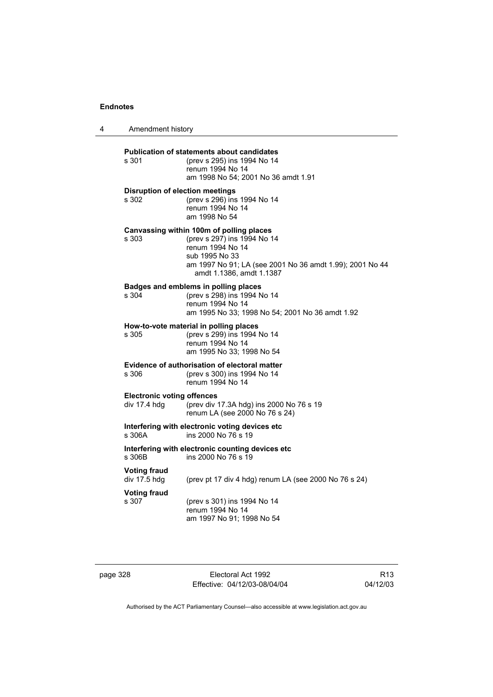| 4 | Amendment history                                                                |                                                                                                                                                                                                       |  |
|---|----------------------------------------------------------------------------------|-------------------------------------------------------------------------------------------------------------------------------------------------------------------------------------------------------|--|
|   | s 301                                                                            | <b>Publication of statements about candidates</b><br>(prev s 295) ins 1994 No 14<br>renum 1994 No 14<br>am 1998 No 54; 2001 No 36 amdt 1.91                                                           |  |
|   | <b>Disruption of election meetings</b><br>s 302                                  | (prev s 296) ins 1994 No 14<br>renum 1994 No 14<br>am 1998 No 54                                                                                                                                      |  |
|   | s 303                                                                            | Canvassing within 100m of polling places<br>(prev s 297) ins 1994 No 14<br>renum 1994 No 14<br>sub 1995 No 33<br>am 1997 No 91; LA (see 2001 No 36 amdt 1.99); 2001 No 44<br>amdt 1.1386, amdt 1.1387 |  |
|   | s 304                                                                            | Badges and emblems in polling places<br>(prev s 298) ins 1994 No 14<br>renum 1994 No 14<br>am 1995 No 33; 1998 No 54; 2001 No 36 amdt 1.92                                                            |  |
|   | s 305                                                                            | How-to-vote material in polling places<br>(prev s 299) ins 1994 No 14<br>renum 1994 No 14<br>am 1995 No 33: 1998 No 54                                                                                |  |
|   | s 306                                                                            | Evidence of authorisation of electoral matter<br>(prev s 300) ins 1994 No 14<br>renum 1994 No 14                                                                                                      |  |
|   | <b>Electronic voting offences</b><br>div 17.4 hdg                                | (prev div 17.3A hdg) ins 2000 No 76 s 19<br>renum LA (see 2000 No 76 s 24)                                                                                                                            |  |
|   | Interfering with electronic voting devices etc.<br>s 306A<br>ins 2000 No 76 s 19 |                                                                                                                                                                                                       |  |
|   | s 306B                                                                           | Interfering with electronic counting devices etc<br>ins 2000 No 76 s 19                                                                                                                               |  |
|   | <b>Voting fraud</b><br>div 17.5 hdg                                              | (prev pt 17 div 4 hdg) renum LA (see 2000 No 76 s 24)                                                                                                                                                 |  |
|   | <b>Voting fraud</b><br>s 307                                                     | (prev s 301) ins 1994 No 14<br>renum 1994 No 14<br>am 1997 No 91; 1998 No 54                                                                                                                          |  |

page 328 Electoral Act 1992 Effective: 04/12/03-08/04/04

R13 04/12/03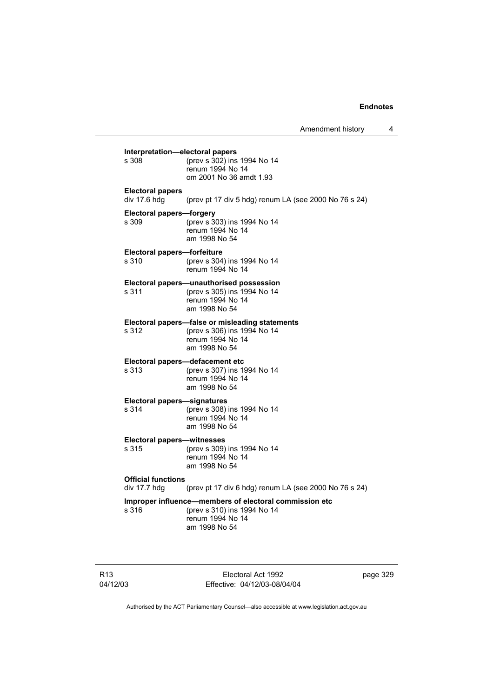|                                             | Amendment history                                                                                                          | 4 |
|---------------------------------------------|----------------------------------------------------------------------------------------------------------------------------|---|
| Interpretation-electoral papers<br>s 308    | (prev s 302) ins 1994 No 14<br>renum 1994 No 14<br>om 2001 No 36 amdt 1.93                                                 |   |
| <b>Electoral papers</b><br>div 17.6 hdg     | (prev pt 17 div 5 hdg) renum LA (see 2000 No 76 s 24)                                                                      |   |
| <b>Electoral papers-forgery</b><br>s 309    | (prev s 303) ins 1994 No 14<br>renum 1994 No 14<br>am 1998 No 54                                                           |   |
| Electoral papers-forfeiture<br>s 310        | (prev s 304) ins 1994 No 14<br>renum 1994 No 14                                                                            |   |
| s 311                                       | Electoral papers-unauthorised possession<br>(prev s 305) ins 1994 No 14<br>renum 1994 No 14<br>am 1998 No 54               |   |
| s 312                                       | Electoral papers-false or misleading statements<br>(prev s 306) ins 1994 No 14<br>renum 1994 No 14<br>am 1998 No 54        |   |
| s 313                                       | Electoral papers-defacement etc<br>(prev s 307) ins 1994 No 14<br>renum 1994 No 14<br>am 1998 No 54                        |   |
| <b>Electoral papers-signatures</b><br>s 314 | (prev s 308) ins 1994 No 14<br>renum 1994 No 14<br>am 1998 No 54                                                           |   |
| <b>Electoral papers-witnesses</b><br>s 315  | (prev s 309) ins 1994 No 14<br>renum 1994 No 14<br>am 1998 No 54                                                           |   |
| <b>Official functions</b><br>div 17.7 hdg   | (prev pt 17 div 6 hdg) renum LA (see 2000 No 76 s 24)                                                                      |   |
| s 316                                       | Improper influence-members of electoral commission etc<br>(prev s 310) ins 1994 No 14<br>renum 1994 No 14<br>am 1998 No 54 |   |

R13 04/12/03

Electoral Act 1992 Effective: 04/12/03-08/04/04 page 329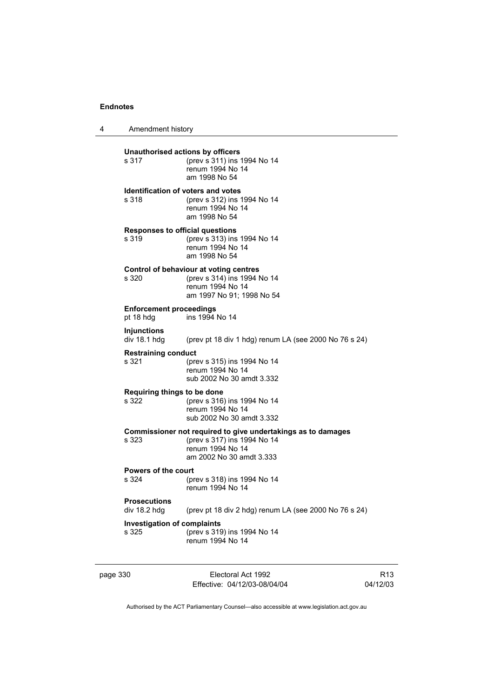4 Amendment history

**Unauthorised actions by officers**<br>s 317 (prev s 311) ins s 317 (prev s 311) ins 1994 No 14 renum 1994 No 14 am 1998 No 54 **Identification of voters and votes** s 318 (prev s 312) ins 1994 No 14 renum 1994 No 14 am 1998 No 54 **Responses to official questions** s 319 (prev s 313) ins 1994 No 14 renum 1994 No 14 am 1998 No 54 **Control of behaviour at voting centres** s 320 (prev s 314) ins 1994 No 14 renum 1994 No 14 am 1997 No 91; 1998 No 54 **Enforcement proceedings** pt 18 hdg ins 1994 No 14 **Injunctions**  (prev pt 18 div 1 hdg) renum LA (see 2000 No 76 s 24) **Restraining conduct** s 321 (prev s 315) ins 1994 No 14 renum 1994 No 14 sub 2002 No 30 amdt 3.332 **Requiring things to be done** s 322 (prev s 316) ins 1994 No 14 renum 1994 No 14 sub 2002 No 30 amdt 3.332 **Commissioner not required to give undertakings as to damages** s 323 (prev s 317) ins 1994 No 14 renum 1994 No 14 am 2002 No 30 amdt 3.333 **Powers of the court**<br>s 324 (proport) s 324 (prev s 318) ins 1994 No 14 renum 1994 No 14 **Prosecutions**  div 18.2 hdg (prev pt 18 div 2 hdg) renum LA (see 2000 No 76 s 24) **Investigation of complaints** s 325 (prev s 319) ins 1994 No 14 renum 1994 No 14

page 330 Electoral Act 1992 Effective: 04/12/03-08/04/04

R13 04/12/03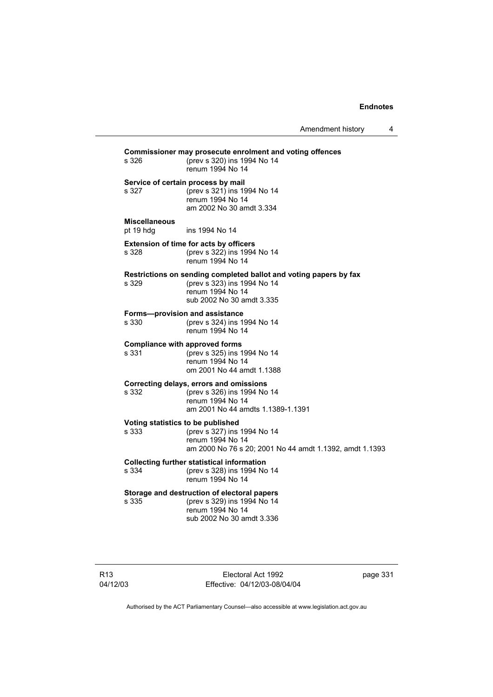Amendment history 4

**Commissioner may prosecute enrolment and voting offences** s 326 (prev s 320) ins 1994 No 14 renum 1994 No 14 **Service of certain process by mail** s 327 (prev s 321) ins 1994 No 14 renum 1994 No 14 am 2002 No 30 amdt 3.334 **Miscellaneous** ins 1994 No 14 **Extension of time for acts by officers** s 328 (prev s 322) ins 1994 No 14 renum 1994 No 14 **Restrictions on sending completed ballot and voting papers by fax** s 329 (prev s 323) ins 1994 No 14 renum 1994 No 14 sub 2002 No 30 amdt 3.335 **Forms—provision and assistance** s 330 (prev s 324) ins 1994 No 14 renum 1994 No 14 **Compliance with approved forms** s 331 (prev s 325) ins 1994 No 14 renum 1994 No 14 om 2001 No 44 amdt 1.1388 **Correcting delays, errors and omissions** s 332 (prev s 326) ins 1994 No 14 renum 1994 No 14 am 2001 No 44 amdts 1.1389-1.1391 **Voting statistics to be published** s 333 (prev s 327) ins 1994 No 14 renum 1994 No 14 am 2000 No 76 s 20; 2001 No 44 amdt 1.1392, amdt 1.1393 **Collecting further statistical information** s 334 (prev s 328) ins 1994 No 14 renum 1994 No 14 **Storage and destruction of electoral papers** s 335 (prev s 329) ins 1994 No 14 renum 1994 No 14 sub 2002 No 30 amdt 3.336

Electoral Act 1992 Effective: 04/12/03-08/04/04 page 331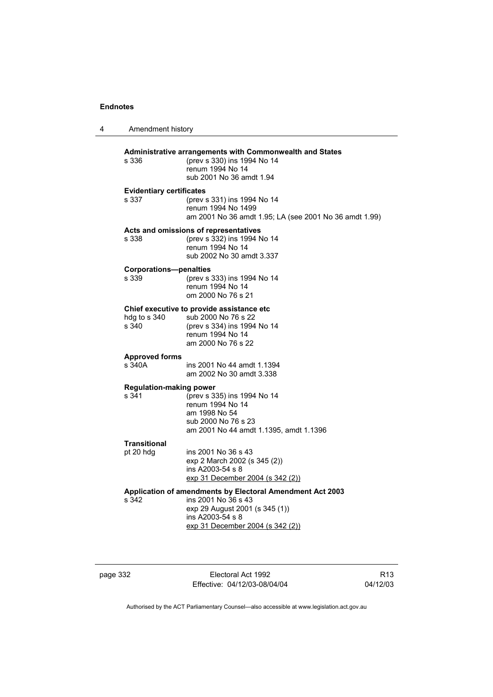| 4 | Amendment history                        |                                                                                                                                                                            |  |
|---|------------------------------------------|----------------------------------------------------------------------------------------------------------------------------------------------------------------------------|--|
|   | s 336                                    | <b>Administrative arrangements with Commonwealth and States</b><br>(prev s 330) ins 1994 No 14<br>renum 1994 No 14<br>sub 2001 No 36 amdt 1.94                             |  |
|   | <b>Evidentiary certificates</b><br>s 337 | (prev s 331) ins 1994 No 14<br>renum 1994 No 1499<br>am 2001 No 36 amdt 1.95; LA (see 2001 No 36 amdt 1.99)                                                                |  |
|   | s 338                                    | Acts and omissions of representatives<br>(prev s 332) ins 1994 No 14<br>renum 1994 No 14<br>sub 2002 No 30 amdt 3.337                                                      |  |
|   | <b>Corporations-penalties</b><br>s 339   | (prev s 333) ins 1994 No 14<br>renum 1994 No 14<br>om 2000 No 76 s 21                                                                                                      |  |
|   | hdg to s 340<br>s 340                    | Chief executive to provide assistance etc<br>sub 2000 No 76 s 22<br>(prev s 334) ins 1994 No 14<br>renum 1994 No 14<br>am 2000 No 76 s 22                                  |  |
|   | <b>Approved forms</b><br>s 340A          | ins 2001 No 44 amdt 1.1394<br>am 2002 No 30 amdt 3.338                                                                                                                     |  |
|   | <b>Regulation-making power</b><br>s 341  | (prev s 335) ins 1994 No 14<br>renum 1994 No 14<br>am 1998 No 54<br>sub 2000 No 76 s 23<br>am 2001 No 44 amdt 1.1395, amdt 1.1396                                          |  |
|   | <b>Transitional</b><br>pt 20 hdg         | ins 2001 No 36 s 43<br>exp 2 March 2002 (s 345 (2))<br>ins A2003-54 s 8<br>exp 31 December 2004 (s 342 (2))                                                                |  |
|   | s 342                                    | Application of amendments by Electoral Amendment Act 2003<br>ins 2001 No 36 s 43<br>exp 29 August 2001 (s 345 (1))<br>ins A2003-54 s 8<br>exp 31 December 2004 (s 342 (2)) |  |

page 332 Electoral Act 1992 Effective: 04/12/03-08/04/04

R13 04/12/03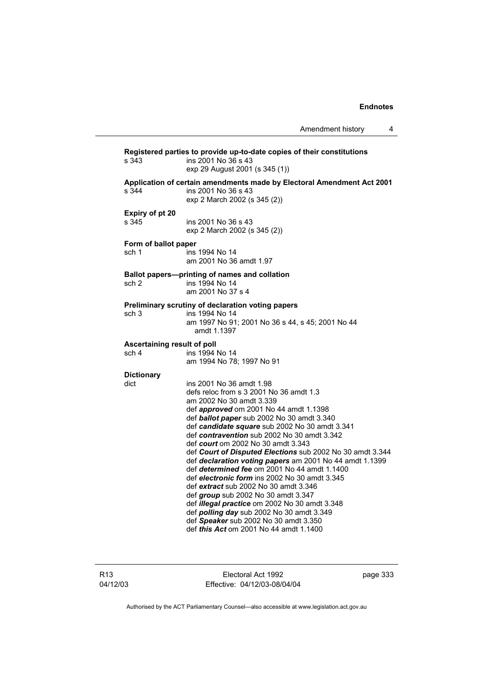|                                      |                                                                                                                                                                                                                                                                                                                                                                                                                                                                                                                                                                                                                                                                                                                                                                                                                                        | Amendment history<br>4 |
|--------------------------------------|----------------------------------------------------------------------------------------------------------------------------------------------------------------------------------------------------------------------------------------------------------------------------------------------------------------------------------------------------------------------------------------------------------------------------------------------------------------------------------------------------------------------------------------------------------------------------------------------------------------------------------------------------------------------------------------------------------------------------------------------------------------------------------------------------------------------------------------|------------------------|
| s 343                                | Registered parties to provide up-to-date copies of their constitutions<br>ins 2001 No 36 s 43<br>exp 29 August 2001 (s 345 (1))                                                                                                                                                                                                                                                                                                                                                                                                                                                                                                                                                                                                                                                                                                        |                        |
| s 344                                | Application of certain amendments made by Electoral Amendment Act 2001<br>ins 2001 No 36 s 43<br>exp 2 March 2002 (s 345 (2))                                                                                                                                                                                                                                                                                                                                                                                                                                                                                                                                                                                                                                                                                                          |                        |
| Expiry of pt 20<br>s 345             | ins 2001 No 36 s 43<br>exp 2 March 2002 (s 345 (2))                                                                                                                                                                                                                                                                                                                                                                                                                                                                                                                                                                                                                                                                                                                                                                                    |                        |
| Form of ballot paper<br>sch 1        | ins 1994 No 14<br>am 2001 No 36 amdt 1.97                                                                                                                                                                                                                                                                                                                                                                                                                                                                                                                                                                                                                                                                                                                                                                                              |                        |
| sch <sub>2</sub>                     | Ballot papers—printing of names and collation<br>ins 1994 No 14<br>am 2001 No 37 s 4                                                                                                                                                                                                                                                                                                                                                                                                                                                                                                                                                                                                                                                                                                                                                   |                        |
| sch <sub>3</sub>                     | Preliminary scrutiny of declaration voting papers<br>ins 1994 No 14<br>am 1997 No 91; 2001 No 36 s 44, s 45; 2001 No 44<br>amdt 1.1397                                                                                                                                                                                                                                                                                                                                                                                                                                                                                                                                                                                                                                                                                                 |                        |
| Ascertaining result of poll<br>sch 4 | ins 1994 No 14<br>am 1994 No 78; 1997 No 91                                                                                                                                                                                                                                                                                                                                                                                                                                                                                                                                                                                                                                                                                                                                                                                            |                        |
| <b>Dictionary</b><br>dict            | ins 2001 No 36 amdt 1.98<br>defs reloc from s 3 2001 No 36 amdt 1.3<br>am 2002 No 30 amdt 3.339<br>def <i>approved</i> om 2001 No 44 amdt 1.1398<br>def ballot paper sub 2002 No 30 amdt 3.340<br>def candidate square sub 2002 No 30 amdt 3.341<br>def contravention sub 2002 No 30 amdt 3.342<br>def court om 2002 No 30 amdt 3.343<br>def Court of Disputed Elections sub 2002 No 30 amdt 3.344<br>def declaration voting papers am 2001 No 44 amdt 1.1399<br>def determined fee om 2001 No 44 amdt 1.1400<br>def electronic form ins 2002 No 30 amdt 3.345<br>def extract sub 2002 No 30 amdt 3.346<br>def group sub 2002 No 30 amdt 3.347<br>def illegal practice om 2002 No 30 amdt 3.348<br>def <i>polling day</i> sub 2002 No 30 amdt 3.349<br>def Speaker sub 2002 No 30 amdt 3.350<br>def this Act om 2001 No 44 amdt 1.1400 |                        |

R13 04/12/03

Electoral Act 1992 Effective: 04/12/03-08/04/04 page 333